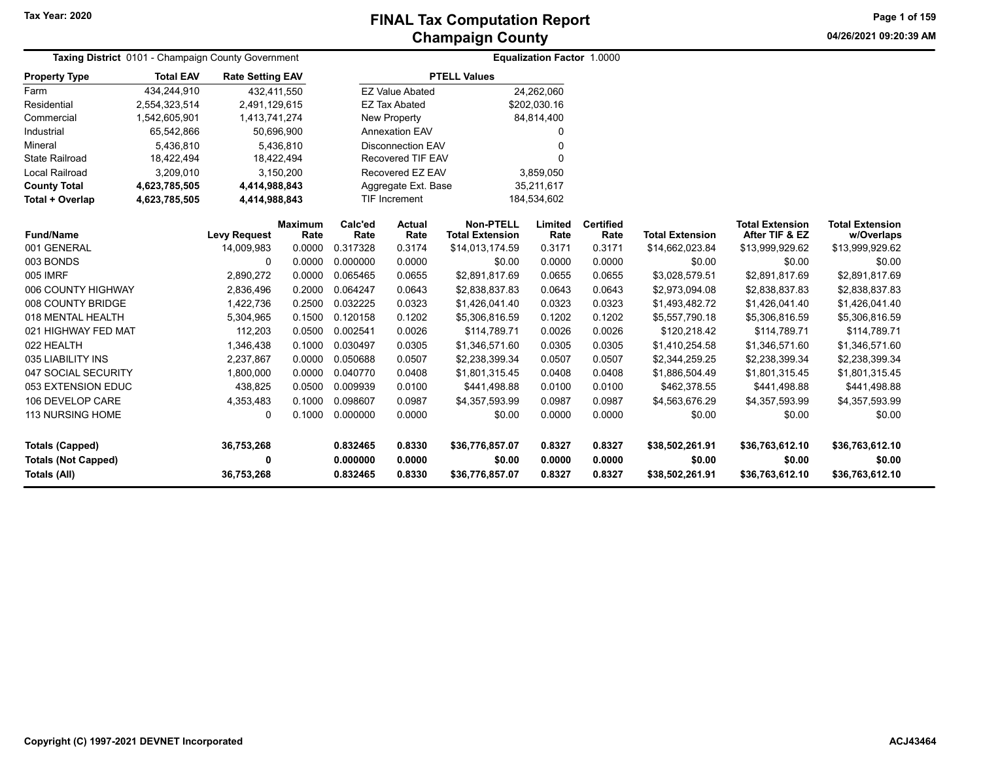**04/26/2021 09:20:39 AMPage 1 of 159**

|                            | Taxing District 0101 - Champaign County Government |                         |                        |                          | <b>Equalization Factor 1.0000</b> |                                            |                 |                          |                        |                                          |                                      |
|----------------------------|----------------------------------------------------|-------------------------|------------------------|--------------------------|-----------------------------------|--------------------------------------------|-----------------|--------------------------|------------------------|------------------------------------------|--------------------------------------|
| <b>Property Type</b>       | <b>Total EAV</b>                                   | <b>Rate Setting EAV</b> |                        |                          |                                   | <b>PTELL Values</b>                        |                 |                          |                        |                                          |                                      |
| Farm                       | 434,244,910                                        | 432,411,550             |                        |                          | <b>EZ Value Abated</b>            |                                            | 24,262,060      |                          |                        |                                          |                                      |
| Residential                | 2,554,323,514                                      | 2,491,129,615           |                        |                          | <b>EZ Tax Abated</b>              |                                            | \$202,030.16    |                          |                        |                                          |                                      |
| Commercial                 | 1,542,605,901                                      | 1,413,741,274           |                        | <b>New Property</b>      |                                   |                                            | 84,814,400      |                          |                        |                                          |                                      |
| Industrial                 | 65,542,866                                         |                         | 50,696,900             |                          | <b>Annexation EAV</b>             |                                            | 0               |                          |                        |                                          |                                      |
| Mineral                    | 5,436,810                                          |                         | 5,436,810              | <b>Disconnection EAV</b> |                                   |                                            | O               |                          |                        |                                          |                                      |
| <b>State Railroad</b>      | 18,422,494                                         | 18,422,494              |                        | <b>Recovered TIF EAV</b> |                                   |                                            | $\Omega$        |                          |                        |                                          |                                      |
| <b>Local Railroad</b>      | 3,209,010                                          |                         | 3,150,200              |                          | Recovered EZ EAV                  |                                            | 3,859,050       |                          |                        |                                          |                                      |
| <b>County Total</b>        | 4,623,785,505                                      | 4,414,988,843           |                        |                          | Aggregate Ext. Base               |                                            | 35,211,617      |                          |                        |                                          |                                      |
| Total + Overlap            | 4,623,785,505                                      | 4,414,988,843           |                        |                          | <b>TIF Increment</b>              |                                            | 184,534,602     |                          |                        |                                          |                                      |
| <b>Fund/Name</b>           |                                                    | <b>Levy Request</b>     | <b>Maximum</b><br>Rate | Calc'ed<br>Rate          | Actual<br>Rate                    | <b>Non-PTELL</b><br><b>Total Extension</b> | Limited<br>Rate | <b>Certified</b><br>Rate | <b>Total Extension</b> | <b>Total Extension</b><br>After TIF & EZ | <b>Total Extension</b><br>w/Overlaps |
| 001 GENERAL                |                                                    | 14,009,983              | 0.0000                 | 0.317328                 | 0.3174                            | \$14,013,174.59                            | 0.3171          | 0.3171                   | \$14,662,023.84        | \$13,999,929.62                          | \$13,999,929.62                      |
| 003 BONDS                  |                                                    | 0                       | 0.0000                 | 0.000000                 | 0.0000                            | \$0.00                                     | 0.0000          | 0.0000                   | \$0.00                 | \$0.00                                   | \$0.00                               |
| 005 IMRF                   |                                                    | 2,890,272               | 0.0000                 | 0.065465                 | 0.0655                            | \$2,891,817.69                             | 0.0655          | 0.0655                   | \$3,028,579.51         | \$2,891,817.69                           | \$2,891,817.69                       |
| 006 COUNTY HIGHWAY         |                                                    | 2,836,496               | 0.2000                 | 0.064247                 | 0.0643                            | \$2,838,837.83                             | 0.0643          | 0.0643                   | \$2,973,094.08         | \$2,838,837.83                           | \$2,838,837.83                       |
| 008 COUNTY BRIDGE          |                                                    | 1,422,736               | 0.2500                 | 0.032225                 | 0.0323                            | \$1,426,041.40                             | 0.0323          | 0.0323                   | \$1,493,482.72         | \$1,426,041.40                           | \$1,426,041.40                       |
| 018 MENTAL HEALTH          |                                                    | 5,304,965               | 0.1500                 | 0.120158                 | 0.1202                            | \$5,306,816.59                             | 0.1202          | 0.1202                   | \$5,557,790.18         | \$5,306,816.59                           | \$5,306,816.59                       |
| 021 HIGHWAY FED MAT        |                                                    | 112,203                 | 0.0500                 | 0.002541                 | 0.0026                            | \$114,789.71                               | 0.0026          | 0.0026                   | \$120,218.42           | \$114,789.71                             | \$114,789.71                         |
| 022 HEALTH                 |                                                    | 1,346,438               | 0.1000                 | 0.030497                 | 0.0305                            | \$1,346,571.60                             | 0.0305          | 0.0305                   | \$1,410,254.58         | \$1,346,571.60                           | \$1,346,571.60                       |
| 035 LIABILITY INS          |                                                    | 2,237,867               | 0.0000                 | 0.050688                 | 0.0507                            | \$2,238,399.34                             | 0.0507          | 0.0507                   | \$2,344,259.25         | \$2,238,399.34                           | \$2,238,399.34                       |
| 047 SOCIAL SECURITY        |                                                    | 1,800,000               | 0.0000                 | 0.040770                 | 0.0408                            | \$1,801,315.45                             | 0.0408          | 0.0408                   | \$1,886,504.49         | \$1,801,315.45                           | \$1,801,315.45                       |
| 053 EXTENSION EDUC         |                                                    | 438,825                 | 0.0500                 | 0.009939                 | 0.0100                            | \$441,498.88                               | 0.0100          | 0.0100                   | \$462,378.55           | \$441,498.88                             | \$441,498.88                         |
| 106 DEVELOP CARE           |                                                    | 4,353,483               | 0.1000                 | 0.098607                 | 0.0987                            | \$4,357,593.99                             | 0.0987          | 0.0987                   | \$4,563,676.29         | \$4,357,593.99                           | \$4,357,593.99                       |
| <b>113 NURSING HOME</b>    |                                                    | 0                       | 0.1000                 | 0.000000                 | 0.0000                            | \$0.00                                     | 0.0000          | 0.0000                   | \$0.00                 | \$0.00                                   | \$0.00                               |
| <b>Totals (Capped)</b>     |                                                    | 36,753,268              |                        | 0.832465                 | 0.8330                            | \$36,776,857.07                            | 0.8327          | 0.8327                   | \$38,502,261.91        | \$36,763,612.10                          | \$36,763,612.10                      |
| <b>Totals (Not Capped)</b> |                                                    | 0                       |                        | 0.000000                 | 0.0000                            | \$0.00                                     | 0.0000          | 0.0000                   | \$0.00                 | \$0.00                                   | \$0.00                               |
| Totals (All)               |                                                    | 36,753,268              |                        | 0.832465                 | 0.8330                            | \$36,776,857.07                            | 0.8327          | 0.8327                   | \$38,502,261.91        | \$36,763,612.10                          | \$36,763,612.10                      |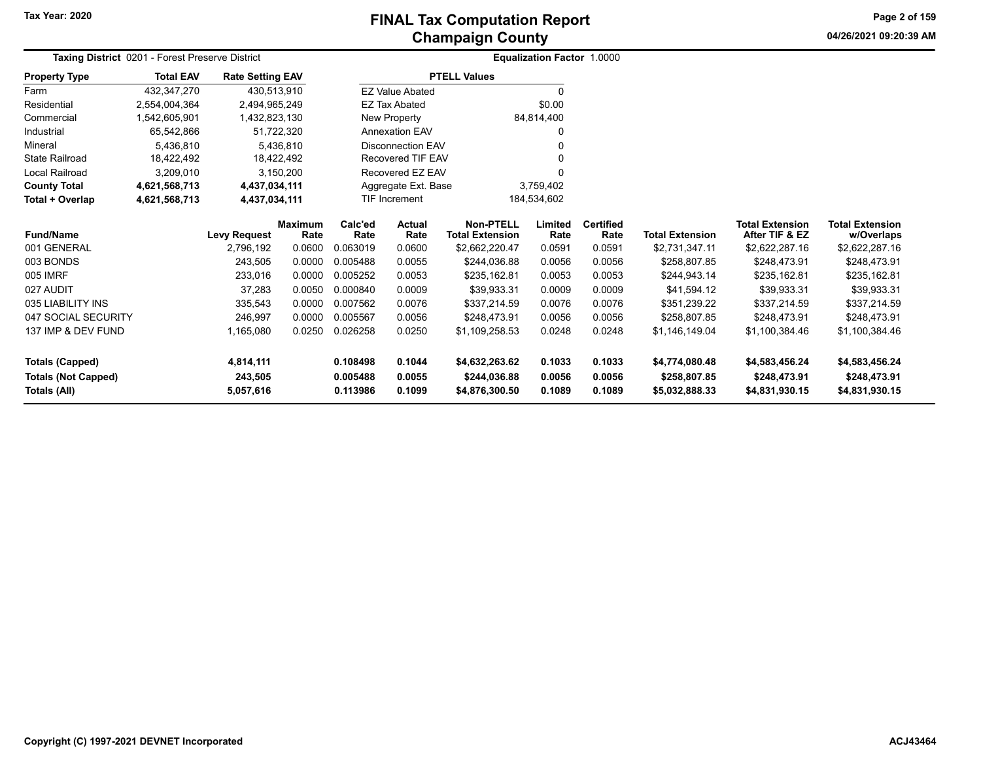**Tax Year: 2020**

# **Champaign County FINAL Tax Computation Report**

**04/26/2021 09:20:39 AMPage 2 of 159**

|                            | Taxing District 0201 - Forest Preserve District |                         |                        |                 |                          |                                            | <b>Equalization Factor 1.0000</b> |                          |                        |                                          |                                      |
|----------------------------|-------------------------------------------------|-------------------------|------------------------|-----------------|--------------------------|--------------------------------------------|-----------------------------------|--------------------------|------------------------|------------------------------------------|--------------------------------------|
| <b>Property Type</b>       | <b>Total EAV</b>                                | <b>Rate Setting EAV</b> |                        |                 |                          | <b>PTELL Values</b>                        |                                   |                          |                        |                                          |                                      |
| Farm                       | 432,347,270                                     | 430,513,910             |                        |                 | <b>EZ Value Abated</b>   |                                            | $\Omega$                          |                          |                        |                                          |                                      |
| Residential                | 2,554,004,364                                   | 2,494,965,249           |                        |                 | <b>EZ Tax Abated</b>     |                                            | \$0.00                            |                          |                        |                                          |                                      |
| Commercial                 | 1,542,605,901                                   | 1,432,823,130           |                        |                 | New Property             |                                            | 84,814,400                        |                          |                        |                                          |                                      |
| Industrial                 | 65,542,866                                      |                         | 51,722,320             |                 | <b>Annexation EAV</b>    |                                            | 0                                 |                          |                        |                                          |                                      |
| Mineral                    | 5,436,810                                       |                         | 5,436,810              |                 | <b>Disconnection EAV</b> |                                            |                                   |                          |                        |                                          |                                      |
| <b>State Railroad</b>      | 18,422,492                                      |                         | 18,422,492             |                 | <b>Recovered TIF EAV</b> |                                            |                                   |                          |                        |                                          |                                      |
| <b>Local Railroad</b>      | 3,209,010                                       |                         | 3,150,200              |                 | Recovered EZ EAV         |                                            | 0                                 |                          |                        |                                          |                                      |
| <b>County Total</b>        | 4,621,568,713                                   | 4,437,034,111           |                        |                 | Aggregate Ext. Base      |                                            | 3,759,402                         |                          |                        |                                          |                                      |
| Total + Overlap            | 4,621,568,713                                   | 4,437,034,111           |                        |                 | TIF Increment            |                                            | 184,534,602                       |                          |                        |                                          |                                      |
| <b>Fund/Name</b>           |                                                 | <b>Levy Request</b>     | <b>Maximum</b><br>Rate | Calc'ed<br>Rate | <b>Actual</b><br>Rate    | <b>Non-PTELL</b><br><b>Total Extension</b> | Limited<br>Rate                   | <b>Certified</b><br>Rate | <b>Total Extension</b> | <b>Total Extension</b><br>After TIF & EZ | <b>Total Extension</b><br>w/Overlaps |
| 001 GENERAL                |                                                 | 2,796,192               | 0.0600                 | 0.063019        | 0.0600                   | \$2,662,220.47                             | 0.0591                            | 0.0591                   | \$2,731,347.11         | \$2,622,287.16                           | \$2,622,287.16                       |
| 003 BONDS                  |                                                 | 243,505                 | 0.0000                 | 0.005488        | 0.0055                   | \$244,036.88                               | 0.0056                            | 0.0056                   | \$258,807.85           | \$248,473.91                             | \$248,473.91                         |
| 005 IMRF                   |                                                 | 233,016                 | 0.0000                 | 0.005252        | 0.0053                   | \$235,162.81                               | 0.0053                            | 0.0053                   | \$244,943.14           | \$235,162.81                             | \$235,162.81                         |
| 027 AUDIT                  |                                                 | 37,283                  | 0.0050                 | 0.000840        | 0.0009                   | \$39.933.31                                | 0.0009                            | 0.0009                   | \$41,594.12            | \$39,933.31                              | \$39,933.31                          |
| 035 LIABILITY INS          |                                                 | 335,543                 | 0.0000                 | 0.007562        | 0.0076                   | \$337,214.59                               | 0.0076                            | 0.0076                   | \$351,239.22           | \$337,214.59                             | \$337,214.59                         |
| 047 SOCIAL SECURITY        |                                                 | 246,997                 | 0.0000                 | 0.005567        | 0.0056                   | \$248,473.91                               | 0.0056                            | 0.0056                   | \$258,807.85           | \$248,473.91                             | \$248,473.91                         |
| 137 IMP & DEV FUND         |                                                 | 1,165,080               | 0.0250                 | 0.026258        | 0.0250                   | \$1,109,258.53                             | 0.0248                            | 0.0248                   | \$1,146,149.04         | \$1,100,384.46                           | \$1,100,384.46                       |
| <b>Totals (Capped)</b>     |                                                 | 4,814,111               |                        | 0.108498        | 0.1044                   | \$4,632,263.62                             | 0.1033                            | 0.1033                   | \$4,774,080.48         | \$4,583,456.24                           | \$4,583,456.24                       |
| <b>Totals (Not Capped)</b> |                                                 | 243,505                 |                        | 0.005488        | 0.0055                   | \$244,036.88                               | 0.0056                            | 0.0056                   | \$258,807.85           | \$248,473.91                             | \$248,473.91                         |
| <b>Totals (All)</b>        |                                                 | 5,057,616               |                        | 0.113986        | 0.1099                   | \$4,876,300.50                             | 0.1089                            | 0.1089                   | \$5,032,888.33         | \$4,831,930.15                           | \$4,831,930.15                       |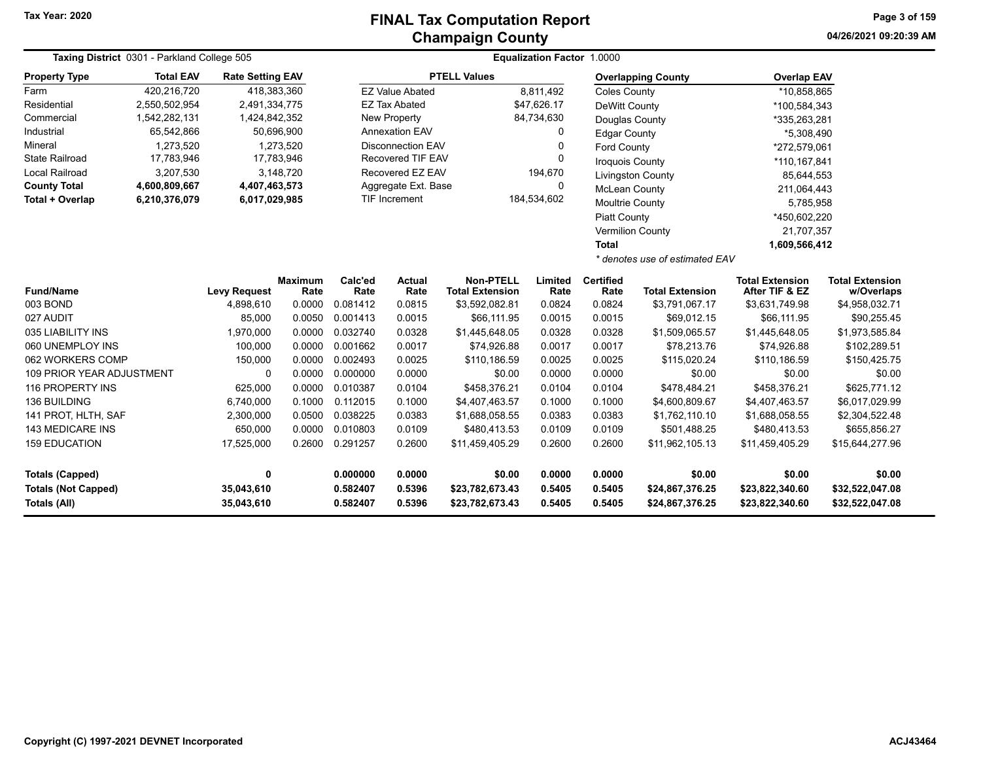| Taxing District 0301 - Parkland College 505 |                  |                         |                  | <b>Equalization Factor 1.0000</b> |                          |                             |                                 |                      |                                |                             |                        |  |
|---------------------------------------------|------------------|-------------------------|------------------|-----------------------------------|--------------------------|-----------------------------|---------------------------------|----------------------|--------------------------------|-----------------------------|------------------------|--|
| <b>Property Type</b>                        | <b>Total EAV</b> | <b>Rate Setting EAV</b> |                  |                                   |                          | <b>PTELL Values</b>         |                                 |                      | <b>Overlapping County</b>      | <b>Overlap EAV</b>          |                        |  |
| Farm                                        | 420,216,720      | 418,383,360             |                  |                                   | <b>EZ Value Abated</b>   |                             | 8,811,492                       | <b>Coles County</b>  |                                | *10,858,865                 |                        |  |
| Residential                                 | 2,550,502,954    | 2,491,334,775           |                  |                                   | <b>EZ Tax Abated</b>     |                             | \$47,626.17                     | DeWitt County        |                                | *100,584,343                |                        |  |
| Commercial                                  | 1,542,282,131    | 1,424,842,352           |                  |                                   | New Property             |                             | 84,734,630                      | Douglas County       |                                | *335,263,281                |                        |  |
| Industrial                                  | 65,542,866       | 50,696,900              |                  |                                   | <b>Annexation EAV</b>    |                             | 0                               | <b>Edgar County</b>  |                                | *5,308,490                  |                        |  |
| Mineral                                     | 1,273,520        |                         | 1,273,520        |                                   | <b>Disconnection EAV</b> |                             | 0<br><b>Ford County</b>         |                      |                                | *272,579,061                |                        |  |
| <b>State Railroad</b>                       | 17,783,946       | 17,783,946              |                  |                                   | Recovered TIF EAV        |                             | $\mathbf{0}$<br>Iroquois County |                      |                                | *110,167,841                |                        |  |
| <b>Local Railroad</b>                       | 3,207,530        |                         | 3,148,720        |                                   | Recovered EZ EAV         |                             | 194,670                         |                      | <b>Livingston County</b>       | 85,644,553                  |                        |  |
| <b>County Total</b>                         | 4,600,809,667    | 4,407,463,573           |                  |                                   | Aggregate Ext. Base      |                             | $\mathbf{0}$                    | <b>McLean County</b> |                                | 211,064,443                 |                        |  |
| Total + Overlap                             | 6,210,376,079    | 6,017,029,985           |                  |                                   | TIF Increment            |                             | 184,534,602                     | Moultrie County      |                                | 5,785,958                   |                        |  |
|                                             |                  |                         |                  |                                   |                          |                             |                                 | <b>Piatt County</b>  |                                | *450,602,220                |                        |  |
|                                             |                  |                         |                  |                                   |                          |                             |                                 |                      | Vermilion County               | 21,707,357                  |                        |  |
|                                             |                  |                         |                  |                                   |                          |                             |                                 | <b>Total</b>         |                                | 1,609,566,412               |                        |  |
|                                             |                  |                         |                  |                                   |                          |                             |                                 |                      | * denotes use of estimated EAV |                             |                        |  |
|                                             |                  |                         | <b>Maximum</b>   | Calc'ed                           | <b>Actual</b>            | <b>Non-PTELL</b>            | Limited                         | <b>Certified</b>     |                                | <b>Total Extension</b>      | <b>Total Extension</b> |  |
| <b>Fund/Name</b>                            |                  | <b>Levy Request</b>     | Rate             | Rate                              | Rate                     | <b>Total Extension</b>      | Rate                            | Rate                 | <b>Total Extension</b>         | After TIF & EZ              | w/Overlaps             |  |
| 003 BOND                                    |                  | 4,898,610               | 0.0000           | 0.081412                          | 0.0815                   | \$3,592,082.81              | 0.0824                          | 0.0824               | \$3,791,067.17                 | \$3,631,749.98              | \$4,958,032.71         |  |
| 027 AUDIT<br>035 LIABILITY INS              |                  | 85,000                  | 0.0050           | 0.001413<br>0.032740              | 0.0015                   | \$66,111.95                 | 0.0015                          | 0.0015               | \$69,012.15                    | \$66,111.95                 | \$90,255.45            |  |
| 060 UNEMPLOY INS                            |                  | 1,970,000               | 0.0000           | 0.001662                          | 0.0328<br>0.0017         | \$1,445,648.05              | 0.0328                          | 0.0328<br>0.0017     | \$1,509,065.57                 | \$1,445,648.05              | \$1,973,585.84         |  |
| 062 WORKERS COMP                            |                  | 100,000<br>150,000      | 0.0000<br>0.0000 | 0.002493                          | 0.0025                   | \$74,926.88<br>\$110,186.59 | 0.0017<br>0.0025                | 0.0025               | \$78,213.76<br>\$115,020.24    | \$74,926.88<br>\$110,186.59 | \$102,289.51           |  |
| <b>109 PRIOR YEAR ADJUSTMENT</b>            |                  | $\Omega$                | 0.0000           | 0.000000                          | 0.0000                   | \$0.00                      | 0.0000                          | 0.0000               | \$0.00                         | \$0.00                      | \$150,425.75<br>\$0.00 |  |
| 116 PROPERTY INS                            |                  | 625,000                 | 0.0000           | 0.010387                          | 0.0104                   | \$458,376.21                | 0.0104                          | 0.0104               | \$478,484.21                   | \$458,376.21                | \$625,771.12           |  |
| 136 BUILDING                                |                  | 6,740,000               | 0.1000           | 0.112015                          | 0.1000                   | \$4,407,463.57              | 0.1000                          | 0.1000               | \$4,600,809.67                 | \$4,407,463.57              | \$6,017,029.99         |  |
| 141 PROT, HLTH, SAF                         |                  | 2,300,000               | 0.0500           | 0.038225                          | 0.0383                   | \$1,688,058.55              | 0.0383                          | 0.0383               | \$1,762,110.10                 | \$1,688,058.55              | \$2,304,522.48         |  |
| 143 MEDICARE INS                            |                  | 650,000                 | 0.0000           | 0.010803                          | 0.0109                   | \$480,413.53                | 0.0109                          | 0.0109               | \$501,488.25                   | \$480,413.53                | \$655,856.27           |  |
| <b>159 EDUCATION</b>                        |                  | 17,525,000              | 0.2600           | 0.291257                          | 0.2600                   | \$11,459,405.29             | 0.2600                          | 0.2600               | \$11,962,105.13                | \$11,459,405.29             | \$15,644,277.96        |  |
|                                             |                  |                         |                  |                                   |                          |                             |                                 |                      |                                |                             |                        |  |
| <b>Totals (Capped)</b>                      |                  | 0                       |                  | 0.000000                          | 0.0000                   | \$0.00                      | 0.0000                          | 0.0000               | \$0.00                         | \$0.00                      | \$0.00                 |  |
| <b>Totals (Not Capped)</b>                  |                  | 35,043,610              |                  | 0.582407                          | 0.5396                   | \$23,782,673.43             | 0.5405                          | 0.5405               | \$24,867,376.25                | \$23,822,340.60             | \$32,522,047.08        |  |
| Totals (All)                                |                  | 35,043,610              |                  | 0.582407                          | 0.5396                   | \$23,782,673.43             | 0.5405                          | 0.5405               | \$24,867,376.25                | \$23,822,340.60             | \$32,522,047.08        |  |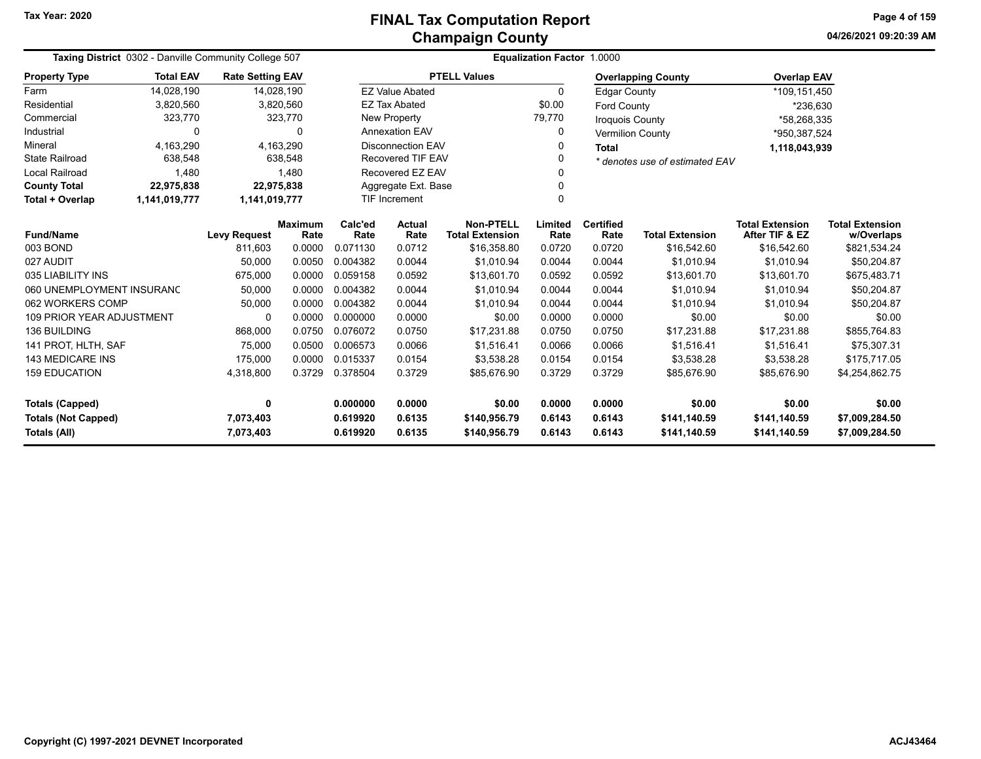**04/26/2021 09:20:39 AMPage 4 of 159**

|                                  | Taxing District 0302 - Danville Community College 507 |                                |                                     |                                  |                          |                        | Equalization Factor 1.0000 |                         |                                |                        |                        |
|----------------------------------|-------------------------------------------------------|--------------------------------|-------------------------------------|----------------------------------|--------------------------|------------------------|----------------------------|-------------------------|--------------------------------|------------------------|------------------------|
| <b>Property Type</b>             | <b>Total EAV</b>                                      | <b>Rate Setting EAV</b>        |                                     |                                  |                          | <b>PTELL Values</b>    |                            |                         | <b>Overlapping County</b>      | <b>Overlap EAV</b>     |                        |
| Farm                             | 14,028,190                                            |                                | 14,028,190                          |                                  | <b>EZ Value Abated</b>   |                        | 0                          | <b>Edgar County</b>     |                                | *109,151,450           |                        |
| Residential                      | 3,820,560                                             |                                | 3,820,560                           |                                  | <b>EZ Tax Abated</b>     |                        | \$0.00                     | <b>Ford County</b>      |                                | *236,630               |                        |
| Commercial                       | 323,770                                               |                                | 323,770                             |                                  | <b>New Property</b>      |                        | 79.770                     | <b>Iroquois County</b>  |                                | *58,268,335            |                        |
| Industrial                       | 0                                                     |                                | 0                                   |                                  | <b>Annexation EAV</b>    |                        | 0                          | <b>Vermilion County</b> |                                | *950,387,524           |                        |
| Mineral                          | 4.163.290                                             |                                | 4,163,290                           |                                  | <b>Disconnection EAV</b> |                        |                            | <b>Total</b>            |                                | 1,118,043,939          |                        |
| <b>State Railroad</b>            | 638,548                                               |                                | <b>Recovered TIF EAV</b><br>638,548 |                                  |                          |                        | 0                          |                         | * denotes use of estimated EAV |                        |                        |
| <b>Local Railroad</b>            | 1,480                                                 | 1,480<br>Recovered EZ EAV<br>∩ |                                     |                                  |                          |                        |                            |                         |                                |                        |                        |
| <b>County Total</b>              | 22,975,838                                            |                                | 22,975,838                          |                                  | Aggregate Ext. Base      |                        | $\Omega$                   |                         |                                |                        |                        |
| Total + Overlap                  | 1,141,019,777                                         | 1,141,019,777                  |                                     | $\Omega$<br><b>TIF Increment</b> |                          |                        |                            |                         |                                |                        |                        |
|                                  | <b>Fund/Name</b>                                      |                                | <b>Maximum</b>                      | Calc'ed                          | <b>Actual</b>            | <b>Non-PTELL</b>       | Limited                    | <b>Certified</b>        |                                | <b>Total Extension</b> | <b>Total Extension</b> |
|                                  |                                                       | <b>Levy Request</b><br>811,603 | Rate                                | Rate                             | Rate                     | <b>Total Extension</b> | Rate                       | Rate                    | <b>Total Extension</b>         | After TIF & EZ         | w/Overlaps             |
|                                  | 003 BOND                                              |                                | 0.0000                              | 0.071130                         | 0.0712                   | \$16,358.80            | 0.0720                     | 0.0720                  | \$16,542.60                    | \$16,542.60            | \$821,534.24           |
| 027 AUDIT                        |                                                       | 50,000                         | 0.0050                              | 0.004382                         | 0.0044                   | \$1.010.94             | 0.0044                     | 0.0044                  | \$1.010.94                     | \$1.010.94             | \$50,204.87            |
| 035 LIABILITY INS                |                                                       | 675,000                        | 0.0000                              | 0.059158                         | 0.0592                   | \$13,601.70            | 0.0592                     | 0.0592                  | \$13,601.70                    | \$13,601.70            | \$675,483.71           |
| 060 UNEMPLOYMENT INSURANC        |                                                       | 50,000                         | 0.0000                              | 0.004382                         | 0.0044                   | \$1.010.94             | 0.0044                     | 0.0044                  | \$1.010.94                     | \$1.010.94             | \$50,204.87            |
| 062 WORKERS COMP                 |                                                       | 50,000                         | 0.0000                              | 0.004382                         | 0.0044                   | \$1.010.94             | 0.0044                     | 0.0044                  | \$1.010.94                     | \$1.010.94             | \$50,204.87            |
| <b>109 PRIOR YEAR ADJUSTMENT</b> |                                                       | 0                              | 0.0000                              | 0.000000                         | 0.0000                   | \$0.00                 | 0.0000                     | 0.0000                  | \$0.00                         | \$0.00                 | \$0.00                 |
| <b>136 BUILDING</b>              |                                                       | 868,000                        | 0.0750                              | 0.076072                         | 0.0750                   | \$17.231.88            | 0.0750                     | 0.0750                  | \$17.231.88                    | \$17.231.88            | \$855,764.83           |
| 141 PROT. HLTH. SAF              |                                                       | 75,000                         | 0.0500                              | 0.006573                         | 0.0066                   | \$1.516.41             | 0.0066                     | 0.0066                  | \$1,516.41                     | \$1.516.41             | \$75,307.31            |
| <b>143 MEDICARE INS</b>          |                                                       | 175,000                        | 0.0000                              | 0.015337                         | 0.0154                   | \$3,538.28             | 0.0154                     | 0.0154                  | \$3,538.28                     | \$3,538.28             | \$175,717.05           |
| <b>159 EDUCATION</b>             |                                                       | 4,318,800                      | 0.3729                              | 0.378504                         | 0.3729                   | \$85,676.90            | 0.3729                     | 0.3729                  | \$85,676.90                    | \$85,676.90            | \$4,254,862.75         |
| <b>Totals (Capped)</b>           |                                                       | 0                              |                                     | 0.000000                         | 0.0000                   | \$0.00                 | 0.0000                     | 0.0000                  | \$0.00                         | \$0.00                 | \$0.00                 |
| <b>Totals (Not Capped)</b>       |                                                       | 7,073,403                      |                                     | 0.619920                         | 0.6135                   | \$140,956.79           | 0.6143                     | 0.6143                  | \$141,140.59                   | \$141,140.59           | \$7,009,284.50         |
| Totals (All)                     |                                                       | 7,073,403                      |                                     | 0.619920                         | 0.6135                   | \$140,956.79           | 0.6143                     | 0.6143                  | \$141,140.59                   | \$141,140.59           | \$7,009,284.50         |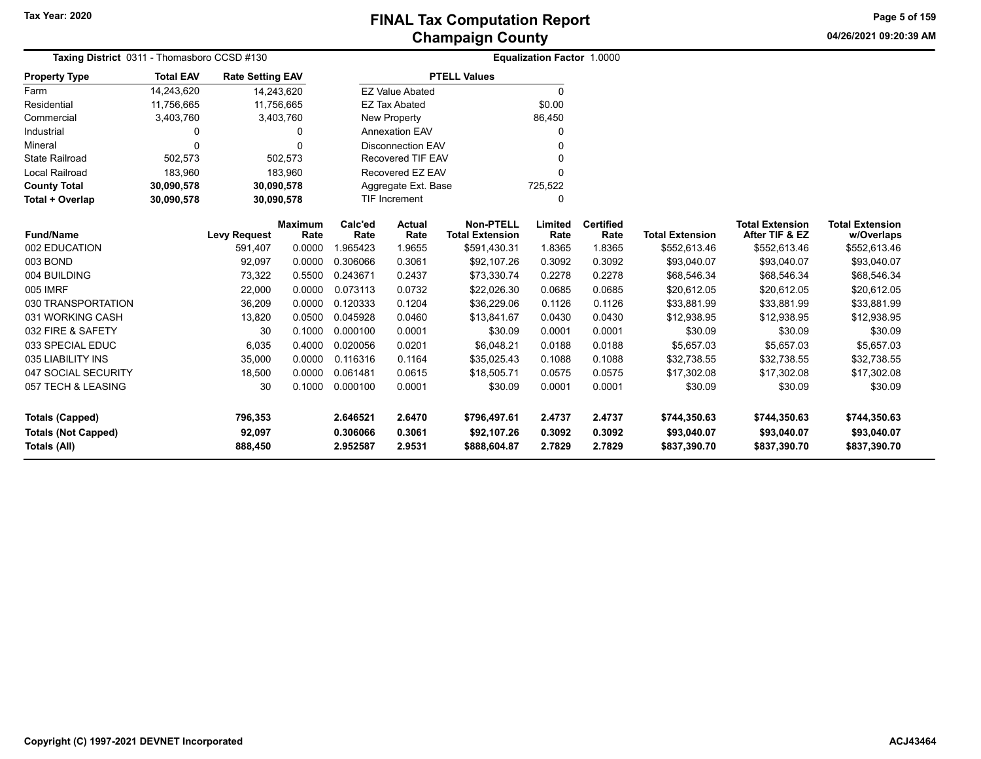**04/26/2021 09:20:39 AMPage 5 of 159**

| Taxing District 0311 - Thomasboro CCSD #130                                 |                  |                              |                        | <b>Equalization Factor 1.0000</b> |                            |                                             |                            |                            |                                             |                                             |                                             |
|-----------------------------------------------------------------------------|------------------|------------------------------|------------------------|-----------------------------------|----------------------------|---------------------------------------------|----------------------------|----------------------------|---------------------------------------------|---------------------------------------------|---------------------------------------------|
| <b>Property Type</b>                                                        | <b>Total EAV</b> | <b>Rate Setting EAV</b>      |                        |                                   |                            | <b>PTELL Values</b>                         |                            |                            |                                             |                                             |                                             |
| Farm                                                                        | 14,243,620       |                              | 14,243,620             |                                   | <b>EZ Value Abated</b>     |                                             | $\Omega$                   |                            |                                             |                                             |                                             |
| Residential                                                                 | 11,756,665       |                              | 11,756,665             |                                   | <b>EZ Tax Abated</b>       |                                             | \$0.00                     |                            |                                             |                                             |                                             |
| Commercial                                                                  | 3,403,760        |                              | 3,403,760              |                                   | New Property               |                                             | 86,450                     |                            |                                             |                                             |                                             |
| Industrial                                                                  | 0                |                              | 0                      |                                   | <b>Annexation EAV</b>      |                                             |                            |                            |                                             |                                             |                                             |
| Mineral                                                                     | 0                |                              | $\Omega$               |                                   | <b>Disconnection EAV</b>   |                                             |                            |                            |                                             |                                             |                                             |
| <b>State Railroad</b>                                                       | 502,573          |                              | 502,573                |                                   | <b>Recovered TIF EAV</b>   |                                             |                            |                            |                                             |                                             |                                             |
| <b>Local Railroad</b>                                                       | 183,960          |                              | 183,960                |                                   | Recovered EZ EAV           |                                             |                            |                            |                                             |                                             |                                             |
| <b>County Total</b>                                                         | 30,090,578       |                              | 30,090,578             |                                   | Aggregate Ext. Base        |                                             | 725,522                    |                            |                                             |                                             |                                             |
| Total + Overlap                                                             | 30,090,578       |                              | 30,090,578             |                                   | <b>TIF Increment</b>       |                                             | 0                          |                            |                                             |                                             |                                             |
| <b>Fund/Name</b>                                                            |                  | <b>Levy Request</b>          | <b>Maximum</b><br>Rate | Calc'ed<br>Rate                   | <b>Actual</b><br>Rate      | <b>Non-PTELL</b><br><b>Total Extension</b>  | Limited<br>Rate            | <b>Certified</b><br>Rate   | <b>Total Extension</b>                      | <b>Total Extension</b><br>After TIF & EZ    | <b>Total Extension</b><br>w/Overlaps        |
| 002 EDUCATION                                                               |                  | 591,407                      | 0.0000                 | 1.965423                          | 1.9655                     | \$591,430.31                                | 1.8365                     | 1.8365                     | \$552,613.46                                | \$552,613.46                                | \$552,613.46                                |
| 003 BOND                                                                    |                  | 92,097                       | 0.0000                 | 0.306066                          | 0.3061                     | \$92,107.26                                 | 0.3092                     | 0.3092                     | \$93,040.07                                 | \$93,040.07                                 | \$93,040.07                                 |
| 004 BUILDING                                                                |                  | 73,322                       | 0.5500                 | 0.243671                          | 0.2437                     | \$73,330.74                                 | 0.2278                     | 0.2278                     | \$68,546.34                                 | \$68,546.34                                 | \$68,546.34                                 |
| 005 IMRF                                                                    |                  | 22,000                       | 0.0000                 | 0.073113                          | 0.0732                     | \$22,026.30                                 | 0.0685                     | 0.0685                     | \$20,612.05                                 | \$20,612.05                                 | \$20,612.05                                 |
| 030 TRANSPORTATION                                                          |                  | 36,209                       | 0.0000                 | 0.120333                          | 0.1204                     | \$36,229.06                                 | 0.1126                     | 0.1126                     | \$33,881.99                                 | \$33,881.99                                 | \$33,881.99                                 |
| 031 WORKING CASH                                                            |                  | 13,820                       | 0.0500                 | 0.045928                          | 0.0460                     | \$13,841.67                                 | 0.0430                     | 0.0430                     | \$12,938.95                                 | \$12,938.95                                 | \$12,938.95                                 |
| 032 FIRE & SAFETY                                                           |                  | 30                           | 0.1000                 | 0.000100                          | 0.0001                     | \$30.09                                     | 0.0001                     | 0.0001                     | \$30.09                                     | \$30.09                                     | \$30.09                                     |
| 033 SPECIAL EDUC                                                            |                  | 6,035                        | 0.4000                 | 0.020056                          | 0.0201                     | \$6,048.21                                  | 0.0188                     | 0.0188                     | \$5,657.03                                  | \$5,657.03                                  | \$5,657.03                                  |
| 035 LIABILITY INS                                                           |                  | 35,000                       | 0.0000                 | 0.116316                          | 0.1164                     | \$35,025.43                                 | 0.1088                     | 0.1088                     | \$32,738.55                                 | \$32,738.55                                 | \$32,738.55                                 |
| 047 SOCIAL SECURITY                                                         |                  | 18,500                       | 0.0000                 | 0.061481                          | 0.0615                     | \$18,505.71                                 | 0.0575                     | 0.0575                     | \$17,302.08                                 | \$17,302.08                                 | \$17,302.08                                 |
| 057 TECH & LEASING                                                          |                  | 30                           | 0.1000                 | 0.000100                          | 0.0001                     | \$30.09                                     | 0.0001                     | 0.0001                     | \$30.09                                     | \$30.09                                     | \$30.09                                     |
| <b>Totals (Capped)</b><br><b>Totals (Not Capped)</b><br><b>Totals (All)</b> |                  | 796,353<br>92,097<br>888,450 |                        | 2.646521<br>0.306066<br>2.952587  | 2.6470<br>0.3061<br>2.9531 | \$796,497.61<br>\$92,107.26<br>\$888,604.87 | 2.4737<br>0.3092<br>2.7829 | 2.4737<br>0.3092<br>2.7829 | \$744,350.63<br>\$93,040.07<br>\$837,390.70 | \$744,350.63<br>\$93,040.07<br>\$837,390.70 | \$744,350.63<br>\$93,040.07<br>\$837,390.70 |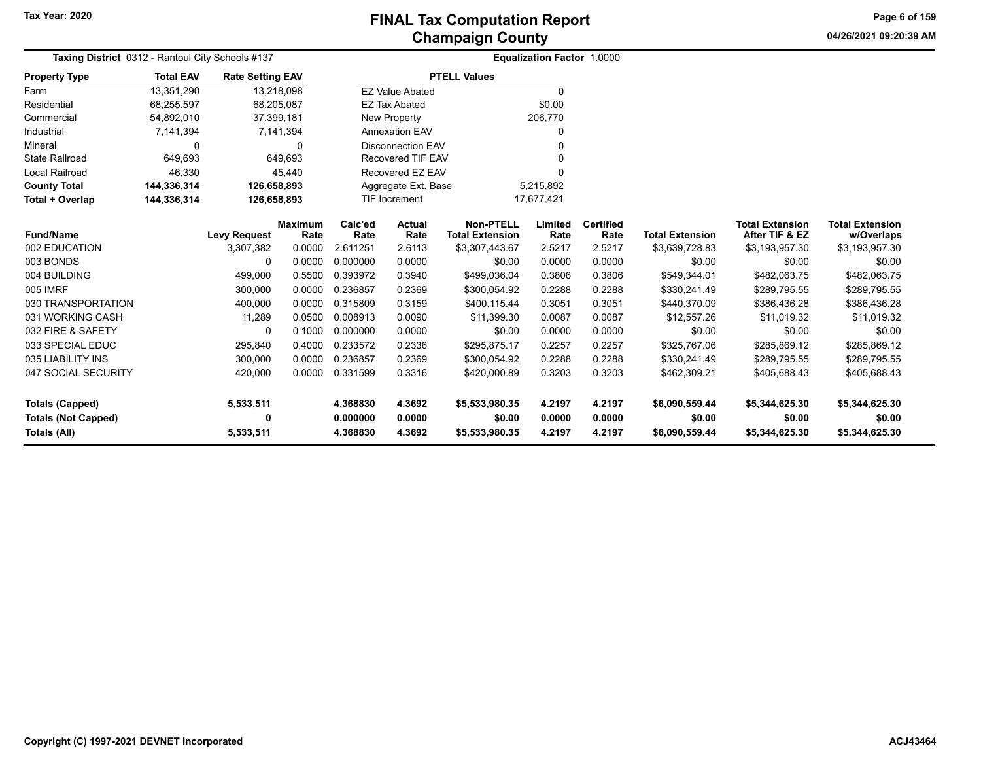**04/26/2021 09:20:39 AMPage 6 of 159**

| <b>Taxing District 0312 - Rantoul City Schools #137</b><br><b>Property Type</b> |           |                                                                                    |                                                                                                                                                                                                     |                                          |                                                                                                                                                                                                                                             |                                                                                                                                                    |                                                                                    |                                                                            |                                                                                                      |                                                                                              |
|---------------------------------------------------------------------------------|-----------|------------------------------------------------------------------------------------|-----------------------------------------------------------------------------------------------------------------------------------------------------------------------------------------------------|------------------------------------------|---------------------------------------------------------------------------------------------------------------------------------------------------------------------------------------------------------------------------------------------|----------------------------------------------------------------------------------------------------------------------------------------------------|------------------------------------------------------------------------------------|----------------------------------------------------------------------------|------------------------------------------------------------------------------------------------------|----------------------------------------------------------------------------------------------|
| <b>Total EAV</b>                                                                |           |                                                                                    |                                                                                                                                                                                                     |                                          |                                                                                                                                                                                                                                             |                                                                                                                                                    |                                                                                    |                                                                            |                                                                                                      |                                                                                              |
| 13,351,290                                                                      |           |                                                                                    |                                                                                                                                                                                                     |                                          |                                                                                                                                                                                                                                             | $\Omega$                                                                                                                                           |                                                                                    |                                                                            |                                                                                                      |                                                                                              |
| 68,255,597                                                                      |           |                                                                                    |                                                                                                                                                                                                     |                                          |                                                                                                                                                                                                                                             | \$0.00                                                                                                                                             |                                                                                    |                                                                            |                                                                                                      |                                                                                              |
| 54,892,010                                                                      |           |                                                                                    |                                                                                                                                                                                                     |                                          |                                                                                                                                                                                                                                             |                                                                                                                                                    |                                                                                    |                                                                            |                                                                                                      |                                                                                              |
| 7,141,394                                                                       |           |                                                                                    |                                                                                                                                                                                                     |                                          |                                                                                                                                                                                                                                             | 0                                                                                                                                                  |                                                                                    |                                                                            |                                                                                                      |                                                                                              |
| $\mathbf 0$                                                                     |           | 0                                                                                  |                                                                                                                                                                                                     |                                          |                                                                                                                                                                                                                                             | $\Omega$                                                                                                                                           |                                                                                    |                                                                            |                                                                                                      |                                                                                              |
| 649,693                                                                         |           |                                                                                    |                                                                                                                                                                                                     |                                          |                                                                                                                                                                                                                                             |                                                                                                                                                    |                                                                                    |                                                                            |                                                                                                      |                                                                                              |
| 46,330                                                                          |           |                                                                                    |                                                                                                                                                                                                     |                                          |                                                                                                                                                                                                                                             | $\Omega$                                                                                                                                           |                                                                                    |                                                                            |                                                                                                      |                                                                                              |
| 144,336,314                                                                     |           |                                                                                    |                                                                                                                                                                                                     |                                          |                                                                                                                                                                                                                                             |                                                                                                                                                    |                                                                                    |                                                                            |                                                                                                      |                                                                                              |
| 144,336,314                                                                     |           |                                                                                    |                                                                                                                                                                                                     |                                          |                                                                                                                                                                                                                                             |                                                                                                                                                    |                                                                                    |                                                                            |                                                                                                      |                                                                                              |
|                                                                                 |           |                                                                                    | Calc'ed                                                                                                                                                                                             | Actual                                   | <b>Non-PTELL</b>                                                                                                                                                                                                                            | Limited                                                                                                                                            | <b>Certified</b>                                                                   |                                                                            | <b>Total Extension</b>                                                                               | <b>Total Extension</b><br>w/Overlaps                                                         |
|                                                                                 |           |                                                                                    |                                                                                                                                                                                                     |                                          |                                                                                                                                                                                                                                             |                                                                                                                                                    |                                                                                    |                                                                            |                                                                                                      | \$3,193,957.30                                                                               |
|                                                                                 |           |                                                                                    |                                                                                                                                                                                                     |                                          |                                                                                                                                                                                                                                             |                                                                                                                                                    |                                                                                    |                                                                            |                                                                                                      | \$0.00                                                                                       |
|                                                                                 |           |                                                                                    |                                                                                                                                                                                                     |                                          |                                                                                                                                                                                                                                             |                                                                                                                                                    |                                                                                    |                                                                            |                                                                                                      | \$482,063.75                                                                                 |
|                                                                                 |           |                                                                                    | 0.236857                                                                                                                                                                                            |                                          |                                                                                                                                                                                                                                             |                                                                                                                                                    |                                                                                    |                                                                            |                                                                                                      | \$289,795.55                                                                                 |
|                                                                                 | 400,000   | 0.0000                                                                             | 0.315809                                                                                                                                                                                            | 0.3159                                   | \$400,115.44                                                                                                                                                                                                                                | 0.3051                                                                                                                                             | 0.3051                                                                             | \$440,370.09                                                               | \$386,436.28                                                                                         | \$386,436.28                                                                                 |
|                                                                                 |           | 0.0500                                                                             | 0.008913                                                                                                                                                                                            | 0.0090                                   | \$11,399.30                                                                                                                                                                                                                                 | 0.0087                                                                                                                                             | 0.0087                                                                             | \$12,557.26                                                                | \$11,019.32                                                                                          | \$11,019.32                                                                                  |
|                                                                                 | 0         | 0.1000                                                                             | 0.000000                                                                                                                                                                                            | 0.0000                                   | \$0.00                                                                                                                                                                                                                                      | 0.0000                                                                                                                                             | 0.0000                                                                             | \$0.00                                                                     | \$0.00                                                                                               | \$0.00                                                                                       |
|                                                                                 | 295,840   | 0.4000                                                                             | 0.233572                                                                                                                                                                                            | 0.2336                                   | \$295,875.17                                                                                                                                                                                                                                | 0.2257                                                                                                                                             | 0.2257                                                                             | \$325,767.06                                                               | \$285,869.12                                                                                         | \$285,869.12                                                                                 |
|                                                                                 | 300,000   | 0.0000                                                                             | 0.236857                                                                                                                                                                                            | 0.2369                                   | \$300,054.92                                                                                                                                                                                                                                | 0.2288                                                                                                                                             | 0.2288                                                                             | \$330,241.49                                                               | \$289,795.55                                                                                         | \$289,795.55                                                                                 |
|                                                                                 | 420,000   | 0.0000                                                                             | 0.331599                                                                                                                                                                                            | 0.3316                                   | \$420,000.89                                                                                                                                                                                                                                | 0.3203                                                                                                                                             | 0.3203                                                                             | \$462,309.21                                                               | \$405,688.43                                                                                         | \$405,688.43                                                                                 |
|                                                                                 | 5,533,511 |                                                                                    | 4.368830                                                                                                                                                                                            | 4.3692                                   | \$5,533,980.35                                                                                                                                                                                                                              | 4.2197                                                                                                                                             | 4.2197                                                                             | \$6,090,559.44                                                             | \$5,344,625.30                                                                                       | \$5,344,625.30                                                                               |
|                                                                                 | 0         |                                                                                    | 0.000000<br>4.368830                                                                                                                                                                                | 0.0000<br>4.3692                         | \$0.00                                                                                                                                                                                                                                      | 0.0000<br>4.2197                                                                                                                                   | 0.0000<br>4.2197                                                                   | \$0.00                                                                     | \$0.00                                                                                               | \$0.00<br>\$5,344,625.30                                                                     |
|                                                                                 |           | <b>Levy Request</b><br>3,307,382<br>0<br>499,000<br>300,000<br>11,289<br>5,533,511 | <b>Rate Setting EAV</b><br>13,218,098<br>68,205,087<br>37,399,181<br>7,141,394<br>649,693<br>45,440<br>126,658,893<br>126,658,893<br><b>Maximum</b><br>Rate<br>0.0000<br>0.0000<br>0.5500<br>0.0000 | Rate<br>2.611251<br>0.000000<br>0.393972 | <b>EZ Value Abated</b><br><b>EZ Tax Abated</b><br>New Property<br><b>Annexation EAV</b><br><b>Disconnection EAV</b><br><b>Recovered TIF EAV</b><br>Recovered EZ EAV<br><b>TIF Increment</b><br>Rate<br>2.6113<br>0.0000<br>0.3940<br>0.2369 | <b>PTELL Values</b><br>Aggregate Ext. Base<br><b>Total Extension</b><br>\$3,307,443.67<br>\$0.00<br>\$499,036.04<br>\$300,054.92<br>\$5,533,980.35 | 206,770<br>5,215,892<br>17,677,421<br>Rate<br>2.5217<br>0.0000<br>0.3806<br>0.2288 | Equalization Factor 1.0000<br>Rate<br>2.5217<br>0.0000<br>0.3806<br>0.2288 | <b>Total Extension</b><br>\$3,639,728.83<br>\$0.00<br>\$549,344.01<br>\$330,241.49<br>\$6,090,559.44 | After TIF & EZ<br>\$3,193,957.30<br>\$0.00<br>\$482,063.75<br>\$289,795.55<br>\$5,344,625.30 |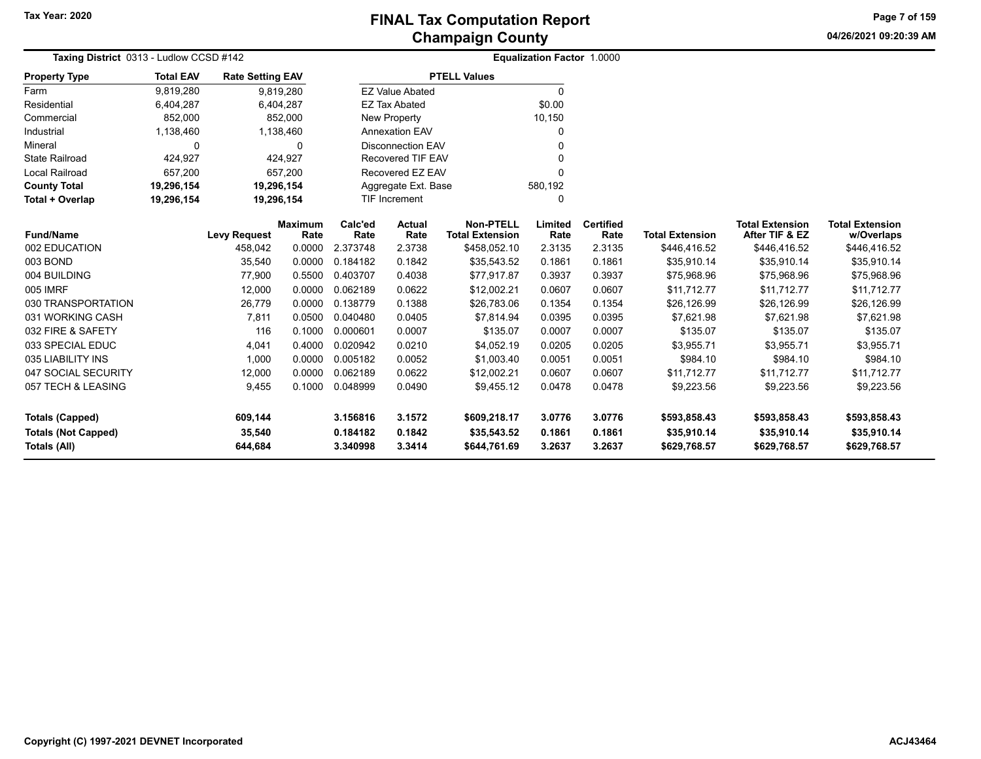**04/26/2021 09:20:39 AM Page 7 of 159**

|                            | Taxing District 0313 - Ludlow CCSD #142 |                         |                |                     |                          | Equalization Factor 1.0000 |          |                  |                        |                        |                        |  |
|----------------------------|-----------------------------------------|-------------------------|----------------|---------------------|--------------------------|----------------------------|----------|------------------|------------------------|------------------------|------------------------|--|
| <b>Property Type</b>       | <b>Total EAV</b>                        | <b>Rate Setting EAV</b> |                |                     |                          | <b>PTELL Values</b>        |          |                  |                        |                        |                        |  |
| Farm                       | 9,819,280                               |                         | 9,819,280      |                     | <b>EZ Value Abated</b>   |                            | $\Omega$ |                  |                        |                        |                        |  |
| Residential                | 6,404,287                               |                         | 6,404,287      |                     | <b>EZ Tax Abated</b>     |                            | \$0.00   |                  |                        |                        |                        |  |
| Commercial                 | 852,000                                 |                         | 852,000        |                     | New Property             |                            | 10,150   |                  |                        |                        |                        |  |
| Industrial                 | 1,138,460                               |                         | 1,138,460      |                     | <b>Annexation EAV</b>    |                            | 0        |                  |                        |                        |                        |  |
| Mineral                    | $\Omega$                                |                         | 0              |                     | <b>Disconnection EAV</b> |                            | 0        |                  |                        |                        |                        |  |
| <b>State Railroad</b>      | 424,927<br>424,927                      |                         |                | Recovered TIF EAV   |                          | 0                          |          |                  |                        |                        |                        |  |
| <b>Local Railroad</b>      | 657,200<br>657,200                      |                         |                | Recovered EZ EAV    |                          | 0                          |          |                  |                        |                        |                        |  |
| <b>County Total</b>        | 19,296,154<br>19,296,154                |                         |                | Aggregate Ext. Base |                          | 580,192                    |          |                  |                        |                        |                        |  |
| Total + Overlap            | 19,296,154<br>19,296,154                |                         |                |                     | TIF Increment            |                            | 0        |                  |                        |                        |                        |  |
|                            |                                         |                         | <b>Maximum</b> | Calc'ed             | Actual                   | <b>Non-PTELL</b>           | Limited  | <b>Certified</b> |                        | <b>Total Extension</b> | <b>Total Extension</b> |  |
| <b>Fund/Name</b>           |                                         | <b>Levy Request</b>     | Rate           | Rate                | Rate                     | <b>Total Extension</b>     | Rate     | Rate             | <b>Total Extension</b> | After TIF & EZ         | w/Overlaps             |  |
| 002 EDUCATION              |                                         | 458,042                 | 0.0000         | 2.373748            | 2.3738                   | \$458,052.10               | 2.3135   | 2.3135           | \$446,416.52           | \$446,416.52           | \$446,416.52           |  |
| 003 BOND                   |                                         | 35,540                  | 0.0000         | 0.184182            | 0.1842                   | \$35,543.52                | 0.1861   | 0.1861           | \$35,910.14            | \$35,910.14            | \$35,910.14            |  |
| 004 BUILDING               |                                         | 77,900                  | 0.5500         | 0.403707            | 0.4038                   | \$77,917.87                | 0.3937   | 0.3937           | \$75,968.96            | \$75,968.96            | \$75,968.96            |  |
| 005 IMRF                   |                                         | 12,000                  | 0.0000         | 0.062189            | 0.0622                   | \$12,002.21                | 0.0607   | 0.0607           | \$11,712.77            | \$11,712.77            | \$11,712.77            |  |
| 030 TRANSPORTATION         |                                         | 26,779                  | 0.0000         | 0.138779            | 0.1388                   | \$26,783.06                | 0.1354   | 0.1354           | \$26,126.99            | \$26,126.99            | \$26,126.99            |  |
| 031 WORKING CASH           |                                         | 7,811                   | 0.0500         | 0.040480            | 0.0405                   | \$7,814.94                 | 0.0395   | 0.0395           | \$7,621.98             | \$7,621.98             | \$7,621.98             |  |
| 032 FIRE & SAFETY          |                                         | 116                     | 0.1000         | 0.000601            | 0.0007                   | \$135.07                   | 0.0007   | 0.0007           | \$135.07               | \$135.07               | \$135.07               |  |
| 033 SPECIAL EDUC           |                                         | 4,041                   | 0.4000         | 0.020942            | 0.0210                   | \$4,052.19                 | 0.0205   | 0.0205           | \$3,955.71             | \$3,955.71             | \$3,955.71             |  |
| 035 LIABILITY INS          |                                         | 1,000                   | 0.0000         | 0.005182            | 0.0052                   | \$1,003.40                 | 0.0051   | 0.0051           | \$984.10               | \$984.10               | \$984.10               |  |
| 047 SOCIAL SECURITY        |                                         | 12,000                  | 0.0000         | 0.062189            | 0.0622                   | \$12,002.21                | 0.0607   | 0.0607           | \$11,712.77            | \$11,712.77            | \$11,712.77            |  |
| 057 TECH & LEASING         |                                         | 9,455                   | 0.1000         | 0.048999            | 0.0490                   | \$9,455.12                 | 0.0478   | 0.0478           | \$9,223.56             | \$9,223.56             | \$9,223.56             |  |
| <b>Totals (Capped)</b>     |                                         | 609,144                 |                | 3.156816            | 3.1572                   | \$609,218.17               | 3.0776   | 3.0776           | \$593,858.43           | \$593,858.43           | \$593,858.43           |  |
| <b>Totals (Not Capped)</b> |                                         | 35,540                  |                | 0.184182            | 0.1842                   | \$35,543.52                | 0.1861   | 0.1861           | \$35,910.14            | \$35,910.14            | \$35,910.14            |  |
| <b>Totals (All)</b>        |                                         | 644,684                 |                | 3.340998            | 3.3414                   | \$644,761.69               | 3.2637   | 3.2637           | \$629,768.57           | \$629,768.57           | \$629,768.57           |  |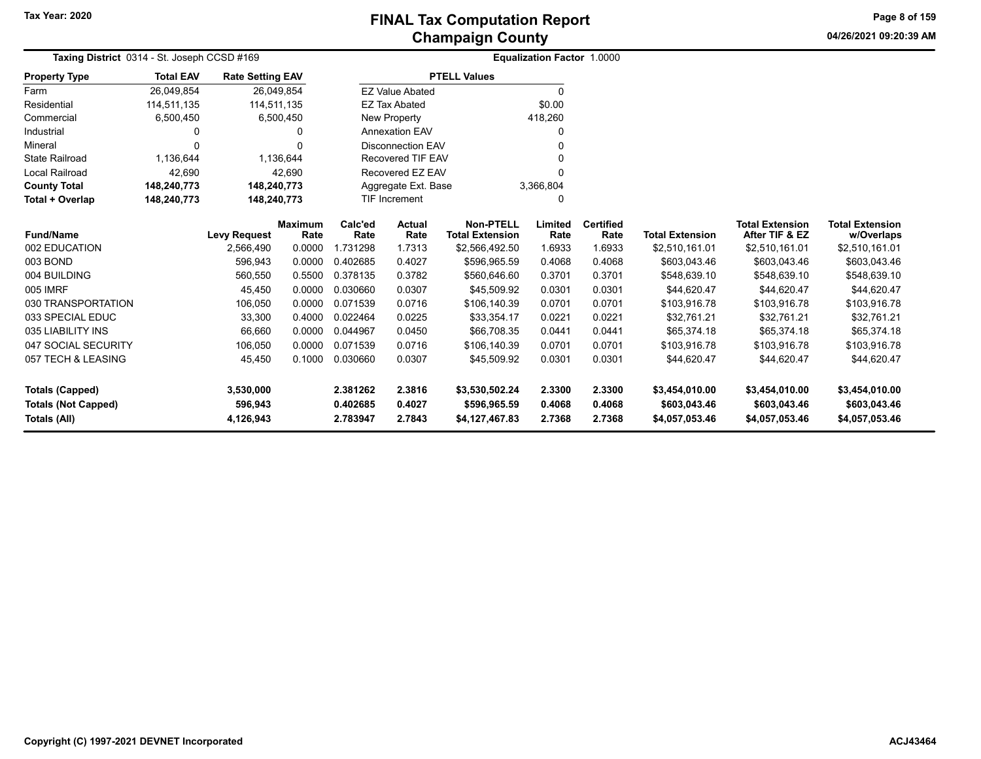**04/26/2021 09:20:39 AMPage 8 of 159**

|                            | Taxing District 0314 - St. Joseph CCSD #169 |                         |                        |                 |                          | <b>Equalization Factor 1.0000</b>          |                 |                          |                        |                                          |                                      |  |
|----------------------------|---------------------------------------------|-------------------------|------------------------|-----------------|--------------------------|--------------------------------------------|-----------------|--------------------------|------------------------|------------------------------------------|--------------------------------------|--|
| <b>Property Type</b>       | <b>Total EAV</b>                            | <b>Rate Setting EAV</b> |                        |                 |                          | <b>PTELL Values</b>                        |                 |                          |                        |                                          |                                      |  |
| Farm                       | 26,049,854                                  | 26,049,854              |                        |                 | <b>EZ Value Abated</b>   |                                            | $\Omega$        |                          |                        |                                          |                                      |  |
| Residential                | 114,511,135                                 | 114,511,135             |                        |                 | <b>EZ Tax Abated</b>     |                                            | \$0.00          |                          |                        |                                          |                                      |  |
| Commercial                 | 6,500,450                                   |                         | 6,500,450              |                 | <b>New Property</b>      |                                            | 418,260         |                          |                        |                                          |                                      |  |
| Industrial                 | 0                                           |                         | 0                      |                 | <b>Annexation EAV</b>    |                                            | 0               |                          |                        |                                          |                                      |  |
| Mineral                    | $\Omega$                                    |                         | 0                      |                 | <b>Disconnection EAV</b> |                                            | 0               |                          |                        |                                          |                                      |  |
| <b>State Railroad</b>      | 1,136,644                                   |                         | 1,136,644              |                 | <b>Recovered TIF EAV</b> |                                            | $\Omega$        |                          |                        |                                          |                                      |  |
| <b>Local Railroad</b>      | 42,690                                      |                         | 42,690                 |                 | Recovered EZ EAV         |                                            | $\Omega$        |                          |                        |                                          |                                      |  |
| <b>County Total</b>        | 148,240,773                                 | 148,240,773             |                        |                 | Aggregate Ext. Base      |                                            | 3,366,804       |                          |                        |                                          |                                      |  |
| Total + Overlap            | 148,240,773                                 | 148,240,773             |                        |                 | <b>TIF Increment</b>     |                                            | 0               |                          |                        |                                          |                                      |  |
| <b>Fund/Name</b>           |                                             | <b>Levy Request</b>     | <b>Maximum</b><br>Rate | Calc'ed<br>Rate | <b>Actual</b><br>Rate    | <b>Non-PTELL</b><br><b>Total Extension</b> | Limited<br>Rate | <b>Certified</b><br>Rate | <b>Total Extension</b> | <b>Total Extension</b><br>After TIF & EZ | <b>Total Extension</b><br>w/Overlaps |  |
| 002 EDUCATION              |                                             | 2,566,490               | 0.0000                 | 1.731298        | 1.7313                   | \$2,566,492.50                             | 1.6933          | 1.6933                   | \$2,510,161.01         | \$2,510,161.01                           | \$2,510,161.01                       |  |
| 003 BOND                   |                                             | 596,943                 | 0.0000                 | 0.402685        | 0.4027                   | \$596,965.59                               | 0.4068          | 0.4068                   | \$603,043.46           | \$603,043.46                             | \$603,043.46                         |  |
| 004 BUILDING               |                                             | 560,550                 | 0.5500                 | 0.378135        | 0.3782                   | \$560,646.60                               | 0.3701          | 0.3701                   | \$548,639.10           | \$548,639.10                             | \$548,639.10                         |  |
| 005 IMRF                   |                                             | 45,450                  | 0.0000                 | 0.030660        | 0.0307                   | \$45,509.92                                | 0.0301          | 0.0301                   | \$44,620.47            | \$44,620.47                              | \$44,620.47                          |  |
| 030 TRANSPORTATION         |                                             | 106,050                 | 0.0000                 | 0.071539        | 0.0716                   | \$106,140.39                               | 0.0701          | 0.0701                   | \$103,916.78           | \$103,916.78                             | \$103,916.78                         |  |
| 033 SPECIAL EDUC           |                                             | 33,300                  | 0.4000                 | 0.022464        | 0.0225                   | \$33,354.17                                | 0.0221          | 0.0221                   | \$32,761.21            | \$32,761.21                              | \$32,761.21                          |  |
| 035 LIABILITY INS          |                                             | 66,660                  | 0.0000                 | 0.044967        | 0.0450                   | \$66,708.35                                | 0.0441          | 0.0441                   | \$65,374.18            | \$65,374.18                              | \$65,374.18                          |  |
| 047 SOCIAL SECURITY        |                                             | 106,050                 | 0.0000                 | 0.071539        | 0.0716                   | \$106,140.39                               | 0.0701          | 0.0701                   | \$103,916.78           | \$103,916.78                             | \$103,916.78                         |  |
| 057 TECH & LEASING         |                                             | 45,450                  | 0.1000                 | 0.030660        | 0.0307                   | \$45,509.92                                | 0.0301          | 0.0301                   | \$44,620.47            | \$44,620.47                              | \$44,620.47                          |  |
| <b>Totals (Capped)</b>     |                                             | 3,530,000               |                        | 2.381262        | 2.3816                   | \$3,530,502.24                             | 2.3300          | 2.3300                   | \$3,454,010.00         | \$3,454,010.00                           | \$3,454,010.00                       |  |
| <b>Totals (Not Capped)</b> |                                             | 596,943                 |                        | 0.402685        | 0.4027                   | \$596,965.59                               | 0.4068          | 0.4068                   | \$603,043.46           | \$603,043.46                             | \$603,043.46                         |  |
| <b>Totals (All)</b>        |                                             | 4,126,943               |                        | 2.783947        | 2.7843                   | \$4,127,467.83                             | 2.7368          | 2.7368                   | \$4,057,053.46         | \$4,057,053.46                           | \$4,057,053.46                       |  |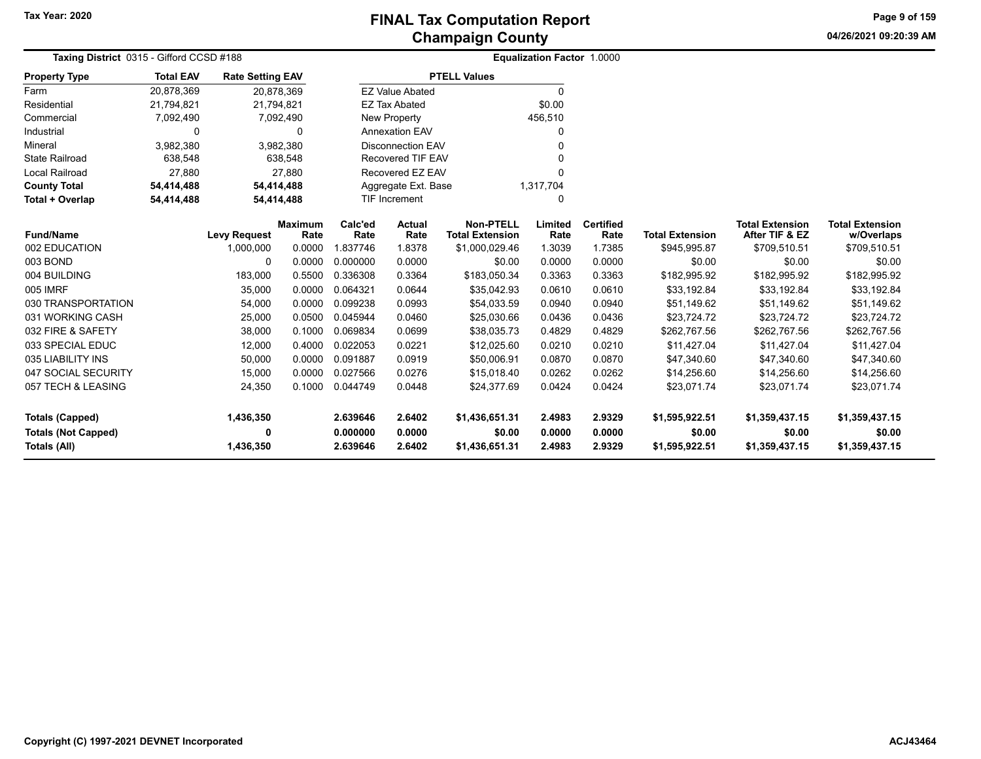**04/26/2021 09:20:39 AM Page 9 of 159**

| Taxing District 0315 - Gifford CCSD #188 |                  |                         |                        | <b>Equalization Factor 1.0000</b> |                          |                                            |                 |                          |                        |                                          |                                      |
|------------------------------------------|------------------|-------------------------|------------------------|-----------------------------------|--------------------------|--------------------------------------------|-----------------|--------------------------|------------------------|------------------------------------------|--------------------------------------|
| <b>Property Type</b>                     | <b>Total EAV</b> | <b>Rate Setting EAV</b> |                        |                                   |                          | <b>PTELL Values</b>                        |                 |                          |                        |                                          |                                      |
| Farm                                     | 20,878,369       | 20,878,369              |                        |                                   | <b>EZ Value Abated</b>   |                                            | $\Omega$        |                          |                        |                                          |                                      |
| Residential                              | 21,794,821       | 21,794,821              |                        |                                   | <b>EZ Tax Abated</b>     |                                            | \$0.00          |                          |                        |                                          |                                      |
| Commercial                               | 7,092,490        |                         | 7,092,490              |                                   | <b>New Property</b>      |                                            | 456,510         |                          |                        |                                          |                                      |
| Industrial                               | 0                |                         | $\Omega$               |                                   | <b>Annexation EAV</b>    |                                            |                 |                          |                        |                                          |                                      |
| Mineral                                  | 3,982,380        |                         | 3,982,380              |                                   | <b>Disconnection EAV</b> |                                            |                 |                          |                        |                                          |                                      |
| <b>State Railroad</b>                    | 638,548          |                         | 638,548                |                                   | <b>Recovered TIF EAV</b> |                                            |                 |                          |                        |                                          |                                      |
| <b>Local Railroad</b>                    | 27,880           |                         | 27.880                 |                                   | Recovered EZ EAV         |                                            |                 |                          |                        |                                          |                                      |
| <b>County Total</b>                      | 54,414,488       | 54,414,488              |                        |                                   | Aggregate Ext. Base      |                                            | 1,317,704       |                          |                        |                                          |                                      |
| Total + Overlap                          | 54,414,488       | 54,414,488              |                        |                                   | <b>TIF Increment</b>     |                                            | 0               |                          |                        |                                          |                                      |
| <b>Fund/Name</b>                         |                  | <b>Levy Request</b>     | <b>Maximum</b><br>Rate | Calc'ed<br>Rate                   | Actual<br>Rate           | <b>Non-PTELL</b><br><b>Total Extension</b> | Limited<br>Rate | <b>Certified</b><br>Rate | <b>Total Extension</b> | <b>Total Extension</b><br>After TIF & EZ | <b>Total Extension</b><br>w/Overlaps |
| 002 EDUCATION                            |                  | 1,000,000               | 0.0000                 | 1.837746                          | 1.8378                   | \$1,000,029.46                             | 1.3039          | 1.7385                   | \$945,995.87           | \$709,510.51                             | \$709,510.51                         |
| 003 BOND                                 |                  | 0                       | 0.0000                 | 0.000000                          | 0.0000                   | \$0.00                                     | 0.0000          | 0.0000                   | \$0.00                 | \$0.00                                   | \$0.00                               |
| 004 BUILDING                             |                  | 183,000                 | 0.5500                 | 0.336308                          | 0.3364                   | \$183,050.34                               | 0.3363          | 0.3363                   | \$182,995.92           | \$182,995.92                             | \$182,995.92                         |
| 005 IMRF                                 |                  | 35,000                  | 0.0000                 | 0.064321                          | 0.0644                   | \$35,042.93                                | 0.0610          | 0.0610                   | \$33,192.84            | \$33,192.84                              | \$33,192.84                          |
| 030 TRANSPORTATION                       |                  | 54,000                  | 0.0000                 | 0.099238                          | 0.0993                   | \$54,033.59                                | 0.0940          | 0.0940                   | \$51,149.62            | \$51,149.62                              | \$51,149.62                          |
| 031 WORKING CASH                         |                  | 25,000                  | 0.0500                 | 0.045944                          | 0.0460                   | \$25,030.66                                | 0.0436          | 0.0436                   | \$23,724.72            | \$23,724.72                              | \$23,724.72                          |
| 032 FIRE & SAFETY                        |                  | 38,000                  | 0.1000                 | 0.069834                          | 0.0699                   | \$38,035.73                                | 0.4829          | 0.4829                   | \$262,767.56           | \$262,767.56                             | \$262,767.56                         |
| 033 SPECIAL EDUC                         |                  | 12,000                  | 0.4000                 | 0.022053                          | 0.0221                   | \$12,025.60                                | 0.0210          | 0.0210                   | \$11,427.04            | \$11,427.04                              | \$11,427.04                          |
| 035 LIABILITY INS                        |                  | 50,000                  | 0.0000                 | 0.091887                          | 0.0919                   | \$50,006.91                                | 0.0870          | 0.0870                   | \$47,340.60            | \$47,340.60                              | \$47,340.60                          |
| 047 SOCIAL SECURITY                      |                  | 15,000                  | 0.0000                 | 0.027566                          | 0.0276                   | \$15,018.40                                | 0.0262          | 0.0262                   | \$14,256.60            | \$14,256.60                              | \$14,256.60                          |
| 057 TECH & LEASING                       |                  | 24,350                  | 0.1000                 | 0.044749                          | 0.0448                   | \$24,377.69                                | 0.0424          | 0.0424                   | \$23,071.74            | \$23,071.74                              | \$23,071.74                          |
| <b>Totals (Capped)</b>                   |                  | 1,436,350               |                        | 2.639646                          | 2.6402                   | \$1,436,651.31                             | 2.4983          | 2.9329                   | \$1,595,922.51         | \$1,359,437.15                           | \$1,359,437.15                       |
| <b>Totals (Not Capped)</b>               |                  | 0                       |                        | 0.000000                          | 0.0000                   | \$0.00                                     | 0.0000          | 0.0000                   | \$0.00                 | \$0.00                                   | \$0.00                               |
| Totals (All)                             |                  | 1,436,350               |                        | 2.639646                          | 2.6402                   | \$1,436,651.31                             | 2.4983          | 2.9329                   | \$1,595,922.51         | \$1,359,437.15                           | \$1,359,437.15                       |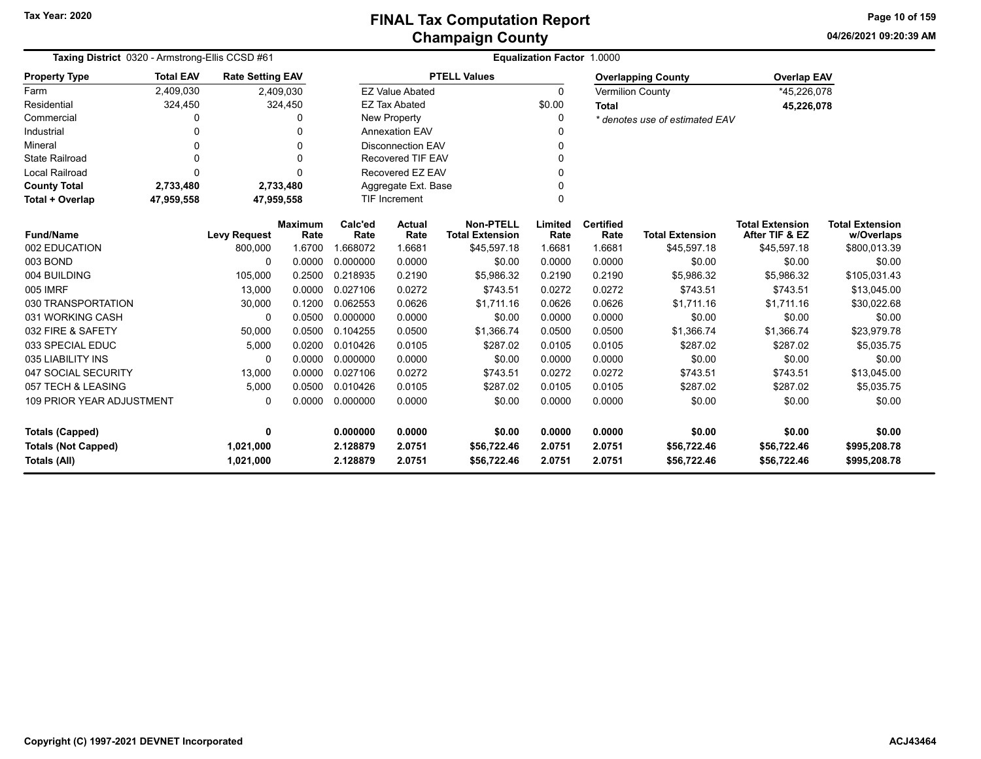**04/26/2021 09:20:39 AMPage 10 of 159**

|                                                                | Taxing District 0320 - Armstrong-Ellis CCSD #61 |                         |                        |                 |                          |                                            | <b>Equalization Factor 1.0000</b> |                          |                                |                                          |                                      |
|----------------------------------------------------------------|-------------------------------------------------|-------------------------|------------------------|-----------------|--------------------------|--------------------------------------------|-----------------------------------|--------------------------|--------------------------------|------------------------------------------|--------------------------------------|
| <b>Property Type</b>                                           | <b>Total EAV</b>                                | <b>Rate Setting EAV</b> |                        |                 |                          | <b>PTELL Values</b>                        |                                   |                          | <b>Overlapping County</b>      | <b>Overlap EAV</b>                       |                                      |
| Farm                                                           | 2,409,030                                       |                         | 2,409,030              |                 | <b>EZ Value Abated</b>   |                                            | $\Omega$                          |                          | <b>Vermilion County</b>        | *45,226,078                              |                                      |
| Residential                                                    | 324,450                                         |                         | 324,450                |                 | <b>EZ Tax Abated</b>     |                                            | \$0.00                            | <b>Total</b>             |                                | 45,226,078                               |                                      |
| Commercial                                                     | 0                                               |                         | $\Omega$               |                 | <b>New Property</b>      |                                            | $\Omega$                          |                          | * denotes use of estimated EAV |                                          |                                      |
| Industrial                                                     | 0                                               |                         | $\Omega$               |                 | <b>Annexation EAV</b>    |                                            | $\Omega$                          |                          |                                |                                          |                                      |
| Mineral                                                        | O                                               |                         | $\Omega$               |                 | <b>Disconnection EAV</b> |                                            | $\Omega$                          |                          |                                |                                          |                                      |
| <b>State Railroad</b>                                          | O                                               |                         | $\Omega$               |                 | Recovered TIF EAV        |                                            | $\Omega$                          |                          |                                |                                          |                                      |
| <b>Local Railroad</b>                                          | $\Omega$                                        |                         | $\Omega$               |                 | Recovered EZ EAV         |                                            | 0                                 |                          |                                |                                          |                                      |
| <b>County Total</b>                                            | 2,733,480                                       |                         | 2,733,480              |                 | Aggregate Ext. Base      |                                            | $\Omega$                          |                          |                                |                                          |                                      |
| Total + Overlap                                                | 47,959,558                                      | 47,959,558              |                        |                 | TIF Increment            |                                            | $\Omega$                          |                          |                                |                                          |                                      |
| <b>Fund/Name</b>                                               |                                                 | <b>Levy Request</b>     | <b>Maximum</b><br>Rate | Calc'ed<br>Rate | <b>Actual</b><br>Rate    | <b>Non-PTELL</b><br><b>Total Extension</b> | Limited<br>Rate                   | <b>Certified</b><br>Rate | <b>Total Extension</b>         | <b>Total Extension</b><br>After TIF & EZ | <b>Total Extension</b><br>w/Overlaps |
| 002 EDUCATION                                                  |                                                 | 800.000                 | 1.6700                 | 1.668072        | 1.6681                   | \$45.597.18                                | 1.6681                            | 1.6681                   | \$45.597.18                    | \$45.597.18                              | \$800,013.39                         |
| 003 BOND                                                       | $\Omega$                                        |                         | 0.0000                 | 0.000000        | 0.0000                   | \$0.00                                     | 0.0000                            | 0.0000                   | \$0.00                         | \$0.00                                   | \$0.00                               |
| 004 BUILDING                                                   |                                                 | 105,000                 | 0.2500                 | 0.218935        | 0.2190                   | \$5,986.32                                 | 0.2190                            | 0.2190                   | \$5,986.32                     | \$5,986.32                               | \$105,031.43                         |
| 005 IMRF                                                       |                                                 | 13,000                  | 0.0000                 | 0.027106        | 0.0272                   | \$743.51                                   | 0.0272                            | 0.0272                   | \$743.51                       | \$743.51                                 | \$13,045.00                          |
| 030 TRANSPORTATION                                             |                                                 | 30,000                  | 0.1200                 | 0.062553        | 0.0626                   | \$1.711.16                                 | 0.0626                            | 0.0626                   | \$1.711.16                     | \$1.711.16                               | \$30,022.68                          |
| 031 WORKING CASH                                               |                                                 | $\Omega$                | 0.0500                 | 0.000000        | 0.0000                   | \$0.00                                     | 0.0000                            | 0.0000                   | \$0.00                         | \$0.00                                   | \$0.00                               |
| 032 FIRE & SAFETY                                              |                                                 | 50,000                  | 0.0500                 | 0.104255        | 0.0500                   | \$1,366.74                                 | 0.0500                            | 0.0500                   | \$1,366.74                     | \$1,366.74                               | \$23,979.78                          |
| 033 SPECIAL EDUC                                               |                                                 | 5,000                   | 0.0200                 | 0.010426        | 0.0105                   | \$287.02                                   | 0.0105                            | 0.0105                   | \$287.02                       | \$287.02                                 | \$5,035.75                           |
| 035 LIABILITY INS                                              |                                                 | $\Omega$                | 0.0000                 | 0.000000        | 0.0000                   | \$0.00                                     | 0.0000                            | 0.0000                   | \$0.00                         | \$0.00                                   | \$0.00                               |
| 047 SOCIAL SECURITY                                            |                                                 | 13,000                  | 0.0000                 | 0.027106        | 0.0272                   | \$743.51                                   | 0.0272                            | 0.0272                   | \$743.51                       | \$743.51                                 | \$13,045.00                          |
| 057 TECH & LEASING                                             |                                                 | 5,000                   | 0.0500                 | 0.010426        | 0.0105                   | \$287.02                                   | 0.0105                            | 0.0105                   | \$287.02                       | \$287.02                                 | \$5,035.75                           |
| <b>109 PRIOR YEAR ADJUSTMENT</b><br>$\Omega$<br>0.0000         |                                                 |                         | 0.000000               | 0.0000          | \$0.00                   | 0.0000                                     | 0.0000                            | \$0.00                   | \$0.00                         | \$0.00                                   |                                      |
| <b>Totals (Capped)</b><br>$\mathbf{0}$                         |                                                 |                         | 0.000000               | 0.0000          | \$0.00                   | 0.0000                                     | 0.0000                            | \$0.00                   | \$0.00                         | \$0.00                                   |                                      |
| 1,021,000                                                      |                                                 |                         | 2.128879               | 2.0751          | \$56,722.46              | 2.0751                                     | 2.0751                            | \$56,722.46              | \$56,722.46                    | \$995,208.78                             |                                      |
| <b>Totals (Not Capped)</b><br><b>Totals (All)</b><br>1,021,000 |                                                 |                         |                        | 2.128879        | 2.0751                   | \$56,722.46                                | 2.0751                            | 2.0751                   | \$56,722.46                    | \$56,722.46                              | \$995,208.78                         |

-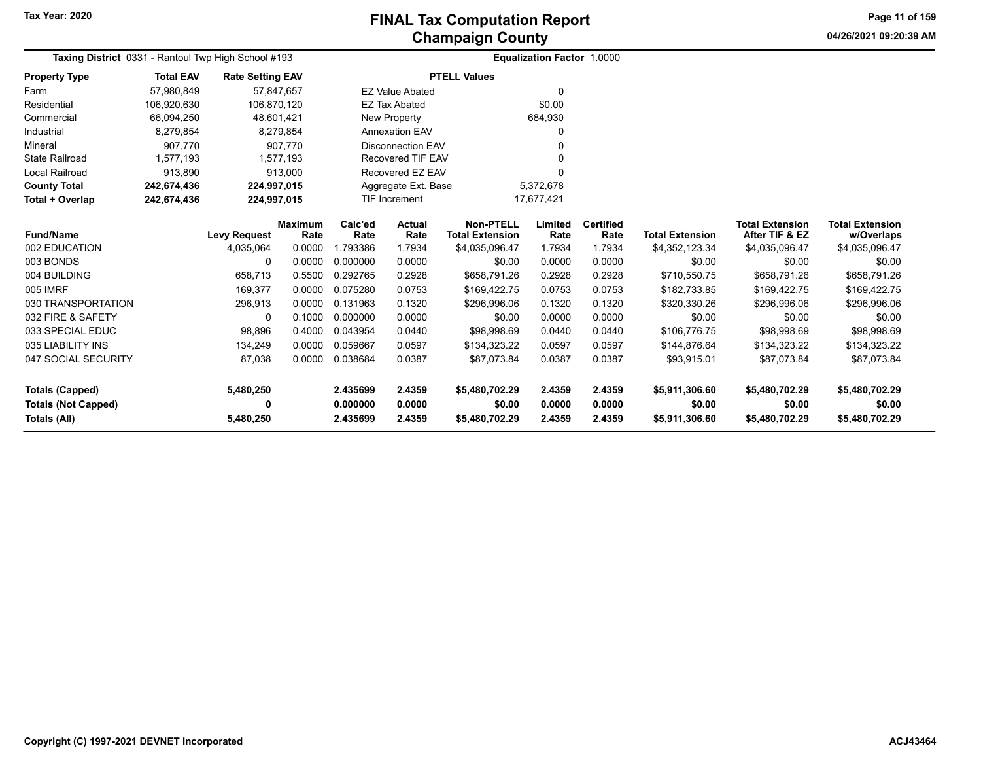**04/26/2021 09:20:39 AMPage 11 of 159**

|                            | Taxing District 0331 - Rantoul Twp High School #193 |                         |                        |                 |                          | <b>Equalization Factor 1.0000</b>          |                 |                          |                        |                                          |                                      |
|----------------------------|-----------------------------------------------------|-------------------------|------------------------|-----------------|--------------------------|--------------------------------------------|-----------------|--------------------------|------------------------|------------------------------------------|--------------------------------------|
| <b>Property Type</b>       | <b>Total EAV</b>                                    | <b>Rate Setting EAV</b> |                        |                 |                          | <b>PTELL Values</b>                        |                 |                          |                        |                                          |                                      |
| Farm                       | 57,980,849                                          | 57,847,657              |                        |                 | <b>EZ Value Abated</b>   |                                            | 0               |                          |                        |                                          |                                      |
| Residential                | 106,920,630                                         | 106,870,120             |                        |                 | <b>EZ Tax Abated</b>     |                                            | \$0.00          |                          |                        |                                          |                                      |
| Commercial                 | 66,094,250                                          | 48,601,421              |                        |                 | New Property             |                                            | 684,930         |                          |                        |                                          |                                      |
| Industrial                 | 8,279,854                                           |                         | 8,279,854              |                 | <b>Annexation EAV</b>    |                                            | 0               |                          |                        |                                          |                                      |
| Mineral                    | 907,770                                             |                         | 907.770                |                 | <b>Disconnection EAV</b> |                                            | 0               |                          |                        |                                          |                                      |
| <b>State Railroad</b>      | 1,577,193                                           |                         | 1,577,193              |                 | <b>Recovered TIF EAV</b> |                                            |                 |                          |                        |                                          |                                      |
| <b>Local Railroad</b>      | 913,890                                             |                         | 913,000                |                 | Recovered EZ EAV         |                                            | 0               |                          |                        |                                          |                                      |
| <b>County Total</b>        | 242,674,436                                         | 224,997,015             |                        |                 | Aggregate Ext. Base      |                                            | 5,372,678       |                          |                        |                                          |                                      |
| Total + Overlap            | 242,674,436                                         | 224,997,015             |                        |                 | <b>TIF Increment</b>     |                                            | 17,677,421      |                          |                        |                                          |                                      |
| <b>Fund/Name</b>           |                                                     | <b>Levy Request</b>     | <b>Maximum</b><br>Rate | Calc'ed<br>Rate | Actual<br>Rate           | <b>Non-PTELL</b><br><b>Total Extension</b> | Limited<br>Rate | <b>Certified</b><br>Rate | <b>Total Extension</b> | <b>Total Extension</b><br>After TIF & EZ | <b>Total Extension</b><br>w/Overlaps |
| 002 EDUCATION              |                                                     | 4,035,064               | 0.0000                 | 1.793386        | 1.7934                   | \$4,035,096.47                             | 1.7934          | 1.7934                   | \$4,352,123.34         | \$4,035,096.47                           | \$4,035,096.47                       |
| 003 BONDS                  |                                                     | 0                       | 0.0000                 | 0.000000        | 0.0000                   | \$0.00                                     | 0.0000          | 0.0000                   | \$0.00                 | \$0.00                                   | \$0.00                               |
| 004 BUILDING               |                                                     | 658,713                 | 0.5500                 | 0.292765        | 0.2928                   | \$658,791.26                               | 0.2928          | 0.2928                   | \$710,550.75           | \$658,791.26                             | \$658,791.26                         |
| 005 IMRF                   |                                                     | 169,377                 | 0.0000                 | 0.075280        | 0.0753                   | \$169,422.75                               | 0.0753          | 0.0753                   | \$182,733.85           | \$169,422.75                             | \$169,422.75                         |
| 030 TRANSPORTATION         |                                                     | 296,913                 | 0.0000                 | 0.131963        | 0.1320                   | \$296,996.06                               | 0.1320          | 0.1320                   | \$320,330.26           | \$296,996.06                             | \$296,996.06                         |
| 032 FIRE & SAFETY          |                                                     | 0                       | 0.1000                 | 0.000000        | 0.0000                   | \$0.00                                     | 0.0000          | 0.0000                   | \$0.00                 | \$0.00                                   | \$0.00                               |
| 033 SPECIAL EDUC           |                                                     | 98,896                  | 0.4000                 | 0.043954        | 0.0440                   | \$98,998.69                                | 0.0440          | 0.0440                   | \$106,776.75           | \$98,998.69                              | \$98,998.69                          |
| 035 LIABILITY INS          |                                                     | 134,249                 | 0.0000                 | 0.059667        | 0.0597                   | \$134,323.22                               | 0.0597          | 0.0597                   | \$144,876.64           | \$134,323.22                             | \$134,323.22                         |
| 047 SOCIAL SECURITY        |                                                     | 87,038                  | 0.0000                 | 0.038684        | 0.0387                   | \$87,073.84                                | 0.0387          | 0.0387                   | \$93,915.01            | \$87,073.84                              | \$87,073.84                          |
| <b>Totals (Capped)</b>     |                                                     | 5,480,250               |                        | 2.435699        | 2.4359                   | \$5,480,702.29                             | 2.4359          | 2.4359                   | \$5,911,306.60         | \$5,480,702.29                           | \$5,480,702.29                       |
| <b>Totals (Not Capped)</b> |                                                     | 0                       |                        | 0.000000        | 0.0000                   | \$0.00                                     | 0.0000          | 0.0000                   | \$0.00                 | \$0.00                                   | \$0.00                               |
| Totals (All)               | 5,480,250                                           |                         |                        | 2.435699        | 2.4359                   | \$5,480,702.29                             | 2.4359          | 2.4359                   | \$5,911,306.60         | \$5,480,702.29                           | \$5,480,702.29                       |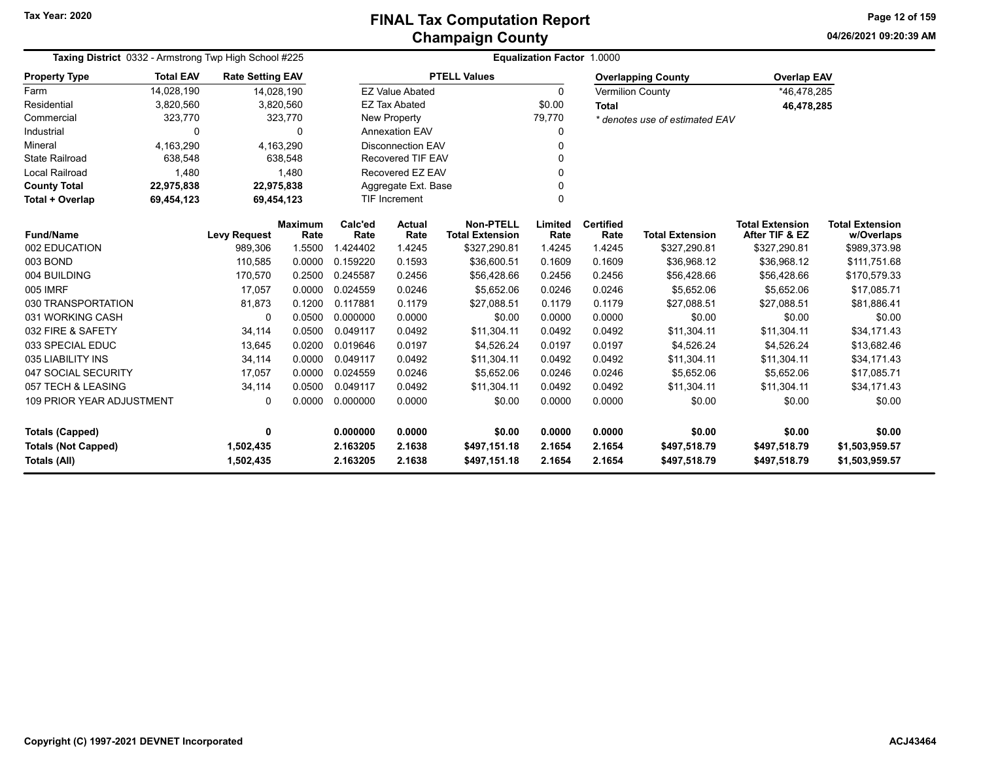**04/26/2021 09:20:39 AM Page 12 of 159**

| <b>Taxing District</b> 0332 - Armstrong Twp High School #225 |                  |                         |                        | <b>Equalization Factor 1.0000</b> |                          |                                            |                 |                          |                                |                                          |                                      |  |
|--------------------------------------------------------------|------------------|-------------------------|------------------------|-----------------------------------|--------------------------|--------------------------------------------|-----------------|--------------------------|--------------------------------|------------------------------------------|--------------------------------------|--|
| <b>Property Type</b>                                         | <b>Total EAV</b> | <b>Rate Setting EAV</b> |                        |                                   |                          | <b>PTELL Values</b>                        |                 |                          | <b>Overlapping County</b>      | <b>Overlap EAV</b>                       |                                      |  |
| Farm                                                         | 14,028,190       |                         | 14,028,190             |                                   | <b>EZ Value Abated</b>   |                                            | $\Omega$        |                          | <b>Vermilion County</b>        | *46,478,285                              |                                      |  |
| Residential                                                  | 3,820,560        |                         | 3,820,560              |                                   | <b>EZ Tax Abated</b>     |                                            | \$0.00          | <b>Total</b>             |                                | 46,478,285                               |                                      |  |
| Commercial                                                   | 323,770          |                         | 323,770                |                                   | New Property             |                                            | 79,770          |                          | * denotes use of estimated EAV |                                          |                                      |  |
| Industrial                                                   | $\Omega$         |                         | $\Omega$               |                                   | <b>Annexation EAV</b>    |                                            |                 |                          |                                |                                          |                                      |  |
| Mineral                                                      | 4,163,290        |                         | 4,163,290              |                                   | <b>Disconnection EAV</b> |                                            |                 |                          |                                |                                          |                                      |  |
| <b>State Railroad</b>                                        | 638,548          |                         | 638,548                |                                   | <b>Recovered TIF EAV</b> |                                            |                 |                          |                                |                                          |                                      |  |
| <b>Local Railroad</b>                                        | 1,480            |                         | 1,480                  |                                   | Recovered EZ EAV         |                                            |                 |                          |                                |                                          |                                      |  |
| <b>County Total</b>                                          | 22,975,838       |                         | 22,975,838             |                                   | Aggregate Ext. Base      |                                            |                 |                          |                                |                                          |                                      |  |
| Total + Overlap                                              | 69,454,123       |                         | 69,454,123             | <b>TIF Increment</b><br>$\Omega$  |                          |                                            |                 |                          |                                |                                          |                                      |  |
| <b>Fund/Name</b>                                             |                  | <b>Levy Request</b>     | <b>Maximum</b><br>Rate | Calc'ed<br>Rate                   | <b>Actual</b><br>Rate    | <b>Non-PTELL</b><br><b>Total Extension</b> | Limited<br>Rate | <b>Certified</b><br>Rate | <b>Total Extension</b>         | <b>Total Extension</b><br>After TIF & EZ | <b>Total Extension</b><br>w/Overlaps |  |
| 002 EDUCATION                                                |                  | 989,306                 | 1.5500                 | 1.424402                          | 1.4245                   | \$327,290.81                               | 1.4245          | 1.4245                   | \$327,290.81                   | \$327,290.81                             | \$989,373.98                         |  |
| 003 BOND                                                     |                  | 110,585                 | 0.0000                 | 0.159220                          | 0.1593                   | \$36,600.51                                | 0.1609          | 0.1609                   | \$36,968.12                    | \$36,968.12                              | \$111,751.68                         |  |
| 004 BUILDING                                                 |                  | 170,570                 | 0.2500                 | 0.245587                          | 0.2456                   | \$56,428.66                                | 0.2456          | 0.2456                   | \$56,428.66                    | \$56,428.66                              | \$170,579.33                         |  |
| 005 IMRF                                                     |                  | 17,057                  | 0.0000                 | 0.024559                          | 0.0246                   | \$5,652.06                                 | 0.0246          | 0.0246                   | \$5,652.06                     | \$5,652.06                               | \$17,085.71                          |  |
| 030 TRANSPORTATION                                           |                  | 81,873                  | 0.1200                 | 0.117881                          | 0.1179                   | \$27,088.51                                | 0.1179          | 0.1179                   | \$27,088.51                    | \$27,088.51                              | \$81,886.41                          |  |
| 031 WORKING CASH                                             |                  | 0                       | 0.0500                 | 0.000000                          | 0.0000                   | \$0.00                                     | 0.0000          | 0.0000                   | \$0.00                         | \$0.00                                   | \$0.00                               |  |
| 032 FIRE & SAFETY                                            |                  | 34,114                  | 0.0500                 | 0.049117                          | 0.0492                   | \$11.304.11                                | 0.0492          | 0.0492                   | \$11,304.11                    | \$11.304.11                              | \$34.171.43                          |  |
| 033 SPECIAL EDUC                                             |                  | 13,645                  | 0.0200                 | 0.019646                          | 0.0197                   | \$4,526.24                                 | 0.0197          | 0.0197                   | \$4,526.24                     | \$4,526.24                               | \$13,682.46                          |  |
| 035 LIABILITY INS                                            |                  | 34,114                  | 0.0000                 | 0.049117                          | 0.0492                   | \$11,304.11                                | 0.0492          | 0.0492                   | \$11,304.11                    | \$11,304.11                              | \$34,171.43                          |  |
| 047 SOCIAL SECURITY                                          |                  | 17,057                  | 0.0000                 | 0.024559                          | 0.0246                   | \$5,652.06                                 | 0.0246          | 0.0246                   | \$5,652.06                     | \$5,652.06                               | \$17,085.71                          |  |
| 057 TECH & LEASING                                           |                  | 34,114                  | 0.0500                 | 0.049117                          | 0.0492                   | \$11,304.11                                | 0.0492          | 0.0492                   | \$11,304.11                    | \$11,304.11                              | \$34,171.43                          |  |
| <b>109 PRIOR YEAR ADJUSTMENT</b>                             |                  | 0                       | 0.0000                 | 0.000000                          | 0.0000                   | \$0.00                                     | 0.0000          | 0.0000                   | \$0.00                         | \$0.00                                   | \$0.00                               |  |
| <b>Totals (Capped)</b>                                       |                  | 0                       |                        | 0.000000                          | 0.0000                   | \$0.00                                     | 0.0000          | 0.0000                   | \$0.00                         | \$0.00                                   | \$0.00                               |  |
| <b>Totals (Not Capped)</b>                                   |                  | 1,502,435               |                        | 2.163205                          | 2.1638                   | \$497,151.18                               | 2.1654          | 2.1654                   | \$497,518.79                   | \$497,518.79                             | \$1,503,959.57                       |  |
| Totals (All)                                                 |                  | 1,502,435               |                        | 2.163205                          | 2.1638                   | \$497,151.18                               | 2.1654          | 2.1654                   | \$497,518.79                   | \$497,518.79                             | \$1,503,959.57                       |  |

—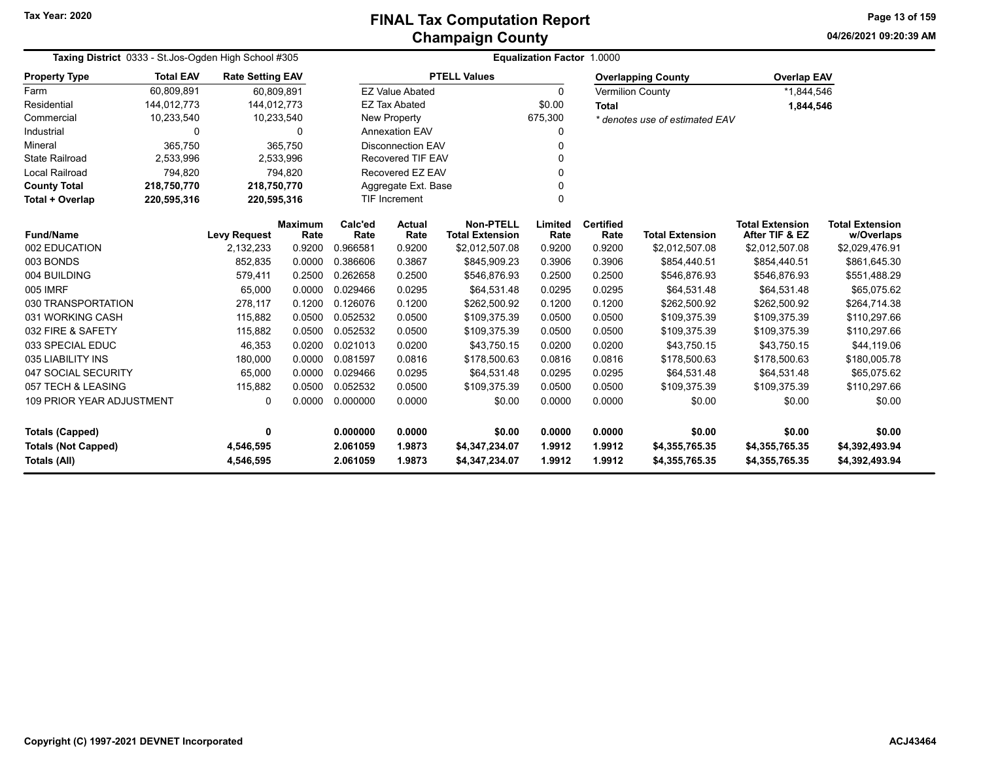**04/26/2021 09:20:39 AMPage 13 of 159**

| Taxing District 0333 - St. Jos-Ogden High School #305 |                  |                         |                        |                 | Equalization Factor 1.0000 |                                            |                 |                          |                                |                                          |                                      |  |  |
|-------------------------------------------------------|------------------|-------------------------|------------------------|-----------------|----------------------------|--------------------------------------------|-----------------|--------------------------|--------------------------------|------------------------------------------|--------------------------------------|--|--|
| <b>Property Type</b>                                  | <b>Total EAV</b> | <b>Rate Setting EAV</b> |                        |                 |                            | <b>PTELL Values</b>                        |                 |                          | <b>Overlapping County</b>      | <b>Overlap EAV</b>                       |                                      |  |  |
| Farm                                                  | 60.809.891       | 60.809.891              |                        |                 | <b>EZ Value Abated</b>     |                                            | $\Omega$        | Vermilion County         |                                | *1,844,546                               |                                      |  |  |
| Residential                                           | 144,012,773      | 144,012,773             |                        |                 | <b>EZ Tax Abated</b>       |                                            | \$0.00          | <b>Total</b>             |                                | 1,844,546                                |                                      |  |  |
| Commercial                                            | 10,233,540       | 10,233,540              |                        |                 | <b>New Property</b>        |                                            | 675,300         |                          | * denotes use of estimated EAV |                                          |                                      |  |  |
| Industrial                                            | 0                |                         | 0                      |                 | <b>Annexation EAV</b>      |                                            | 0               |                          |                                |                                          |                                      |  |  |
| Mineral                                               | 365,750          |                         | 365,750                |                 | <b>Disconnection EAV</b>   |                                            | $\Omega$        |                          |                                |                                          |                                      |  |  |
| <b>State Railroad</b>                                 | 2,533,996        |                         | 2,533,996              |                 | <b>Recovered TIF EAV</b>   |                                            | $\Omega$        |                          |                                |                                          |                                      |  |  |
| <b>Local Railroad</b>                                 | 794,820          |                         | 794,820                |                 | Recovered EZ EAV           |                                            | $\Omega$        |                          |                                |                                          |                                      |  |  |
| <b>County Total</b>                                   | 218,750,770      | 218,750,770             |                        |                 | Aggregate Ext. Base        |                                            | $\Omega$        |                          |                                |                                          |                                      |  |  |
| Total + Overlap                                       | 220,595,316      | 220,595,316             |                        |                 | $\Omega$<br>TIF Increment  |                                            |                 |                          |                                |                                          |                                      |  |  |
| <b>Fund/Name</b>                                      |                  | <b>Levy Request</b>     | <b>Maximum</b><br>Rate | Calc'ed<br>Rate | <b>Actual</b><br>Rate      | <b>Non-PTELL</b><br><b>Total Extension</b> | Limited<br>Rate | <b>Certified</b><br>Rate | <b>Total Extension</b>         | <b>Total Extension</b><br>After TIF & EZ | <b>Total Extension</b><br>w/Overlaps |  |  |
| 002 EDUCATION                                         |                  | 2,132,233               | 0.9200                 | 0.966581        | 0.9200                     | \$2,012,507.08                             | 0.9200          | 0.9200                   | \$2,012,507.08                 | \$2,012,507.08                           | \$2,029,476.91                       |  |  |
| 003 BONDS                                             |                  | 852,835                 | 0.0000                 | 0.386606        | 0.3867                     | \$845,909.23                               | 0.3906          | 0.3906                   | \$854,440.51                   | \$854,440.51                             | \$861,645.30                         |  |  |
| 004 BUILDING                                          |                  | 579,411                 | 0.2500                 | 0.262658        | 0.2500                     | \$546,876.93                               | 0.2500          | 0.2500                   | \$546,876.93                   | \$546,876.93                             | \$551,488.29                         |  |  |
| 005 IMRF                                              |                  | 65,000                  | 0.0000                 | 0.029466        | 0.0295                     | \$64,531.48                                | 0.0295          | 0.0295                   | \$64,531.48                    | \$64,531.48                              | \$65,075.62                          |  |  |
| 030 TRANSPORTATION                                    |                  | 278,117                 | 0.1200                 | 0.126076        | 0.1200                     | \$262,500.92                               | 0.1200          | 0.1200                   | \$262,500.92                   | \$262,500.92                             | \$264,714.38                         |  |  |
| 031 WORKING CASH                                      |                  | 115,882                 | 0.0500                 | 0.052532        | 0.0500                     | \$109,375.39                               | 0.0500          | 0.0500                   | \$109,375.39                   | \$109,375.39                             | \$110,297.66                         |  |  |
| 032 FIRE & SAFETY                                     |                  | 115,882                 | 0.0500                 | 0.052532        | 0.0500                     | \$109,375.39                               | 0.0500          | 0.0500                   | \$109,375.39                   | \$109,375.39                             | \$110,297.66                         |  |  |
| 033 SPECIAL EDUC                                      |                  | 46,353                  | 0.0200                 | 0.021013        | 0.0200                     | \$43,750.15                                | 0.0200          | 0.0200                   | \$43,750.15                    | \$43,750.15                              | \$44,119.06                          |  |  |
| 035 LIABILITY INS                                     |                  | 180,000                 | 0.0000                 | 0.081597        | 0.0816                     | \$178,500.63                               | 0.0816          | 0.0816                   | \$178,500.63                   | \$178,500.63                             | \$180,005.78                         |  |  |
| 047 SOCIAL SECURITY                                   |                  | 65,000                  | 0.0000                 | 0.029466        | 0.0295                     | \$64,531.48                                | 0.0295          | 0.0295                   | \$64,531.48                    | \$64.531.48                              | \$65,075.62                          |  |  |
| 057 TECH & LEASING                                    |                  | 115,882                 | 0.0500                 | 0.052532        | 0.0500                     | \$109,375.39                               | 0.0500          | 0.0500                   | \$109,375.39                   | \$109,375.39                             | \$110,297.66                         |  |  |
| 109 PRIOR YEAR ADJUSTMENT<br>0.0000<br>0              |                  |                         | 0.000000               | 0.0000          | \$0.00                     | 0.0000                                     | 0.0000          | \$0.00                   | \$0.00                         | \$0.00                                   |                                      |  |  |
| <b>Totals (Capped)</b><br>0                           |                  |                         |                        | 0.000000        | 0.0000                     | \$0.00                                     | 0.0000          | 0.0000                   | \$0.00                         | \$0.00                                   | \$0.00                               |  |  |
| <b>Totals (Not Capped)</b><br>4,546,595               |                  |                         |                        | 2.061059        | 1.9873                     | \$4,347,234.07                             | 1.9912          | 1.9912                   | \$4,355,765.35                 | \$4,355,765.35                           | \$4,392,493.94                       |  |  |
| Totals (All)                                          |                  | 4,546,595               |                        | 2.061059        | 1.9873                     | \$4,347,234.07                             | 1.9912          | 1.9912                   | \$4,355,765.35                 | \$4,355,765.35                           | \$4,392,493.94                       |  |  |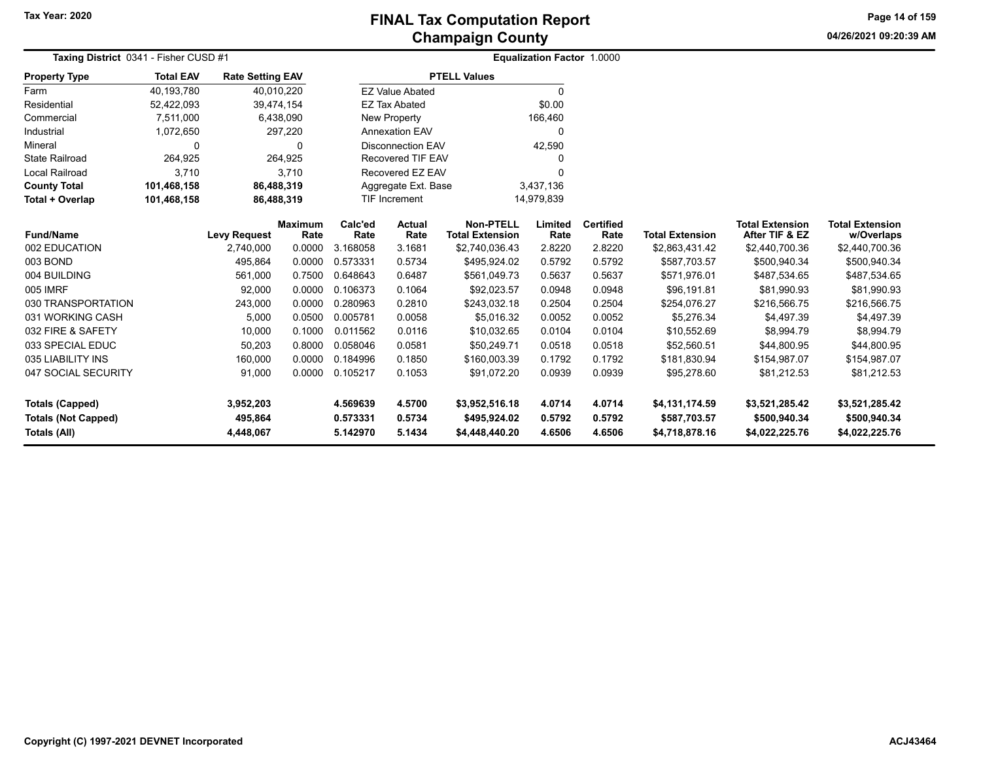**04/26/2021 09:20:39 AMPage 14 of 159**

| Taxing District 0341 - Fisher CUSD #1                                       |                  |                                   | <b>Equalization Factor 1.0000</b> |                                  |                            |                                                  |                            |                            |                                                  |                                                  |                                                  |
|-----------------------------------------------------------------------------|------------------|-----------------------------------|-----------------------------------|----------------------------------|----------------------------|--------------------------------------------------|----------------------------|----------------------------|--------------------------------------------------|--------------------------------------------------|--------------------------------------------------|
| <b>Property Type</b>                                                        | <b>Total EAV</b> | <b>Rate Setting EAV</b>           |                                   |                                  |                            | <b>PTELL Values</b>                              |                            |                            |                                                  |                                                  |                                                  |
| Farm                                                                        | 40,193,780       |                                   | 40,010,220                        |                                  | <b>EZ Value Abated</b>     |                                                  | 0                          |                            |                                                  |                                                  |                                                  |
| Residential                                                                 | 52,422,093       | 39,474,154                        |                                   |                                  | <b>EZ Tax Abated</b>       |                                                  | \$0.00                     |                            |                                                  |                                                  |                                                  |
| Commercial                                                                  | 7,511,000        |                                   | 6,438,090                         |                                  | New Property               |                                                  | 166,460                    |                            |                                                  |                                                  |                                                  |
| Industrial                                                                  | 1,072,650        |                                   | 297,220                           |                                  | <b>Annexation EAV</b>      |                                                  | 0                          |                            |                                                  |                                                  |                                                  |
| Mineral                                                                     | 0                |                                   | $\Omega$                          |                                  | <b>Disconnection EAV</b>   |                                                  | 42,590                     |                            |                                                  |                                                  |                                                  |
| <b>State Railroad</b>                                                       | 264,925          |                                   | 264,925                           |                                  | <b>Recovered TIF EAV</b>   |                                                  |                            |                            |                                                  |                                                  |                                                  |
| <b>Local Railroad</b>                                                       | 3,710            |                                   | 3.710                             |                                  | Recovered EZ EAV           |                                                  | U                          |                            |                                                  |                                                  |                                                  |
| <b>County Total</b>                                                         | 101,468,158      | 86,488,319                        |                                   |                                  | Aggregate Ext. Base        |                                                  | 3,437,136                  |                            |                                                  |                                                  |                                                  |
| Total + Overlap                                                             | 101,468,158      |                                   | 86,488,319                        |                                  | TIF Increment              |                                                  | 14,979,839                 |                            |                                                  |                                                  |                                                  |
| <b>Fund/Name</b>                                                            |                  | <b>Levy Request</b>               | <b>Maximum</b><br>Rate            | Calc'ed<br>Rate                  | <b>Actual</b><br>Rate      | <b>Non-PTELL</b><br><b>Total Extension</b>       | Limited<br>Rate            | <b>Certified</b><br>Rate   | <b>Total Extension</b>                           | <b>Total Extension</b><br>After TIF & EZ         | <b>Total Extension</b><br>w/Overlaps             |
| 002 EDUCATION                                                               |                  | 2,740,000                         | 0.0000                            | 3.168058                         | 3.1681                     | \$2,740,036.43                                   | 2.8220                     | 2.8220                     | \$2,863,431.42                                   | \$2,440,700.36                                   | \$2,440,700.36                                   |
| 003 BOND                                                                    |                  | 495,864                           | 0.0000                            | 0.573331                         | 0.5734                     | \$495,924.02                                     | 0.5792                     | 0.5792                     | \$587,703.57                                     | \$500,940.34                                     | \$500,940.34                                     |
| 004 BUILDING                                                                |                  | 561,000                           | 0.7500                            | 0.648643                         | 0.6487                     | \$561,049.73                                     | 0.5637                     | 0.5637                     | \$571,976.01                                     | \$487,534.65                                     | \$487,534.65                                     |
| 005 IMRF                                                                    |                  | 92,000                            | 0.0000                            | 0.106373                         | 0.1064                     | \$92,023.57                                      | 0.0948                     | 0.0948                     | \$96,191.81                                      | \$81,990.93                                      | \$81,990.93                                      |
| 030 TRANSPORTATION                                                          |                  | 243,000                           | 0.0000                            | 0.280963                         | 0.2810                     | \$243,032.18                                     | 0.2504                     | 0.2504                     | \$254,076.27                                     | \$216,566.75                                     | \$216,566.75                                     |
| 031 WORKING CASH                                                            |                  | 5,000                             | 0.0500                            | 0.005781                         | 0.0058                     | \$5.016.32                                       | 0.0052                     | 0.0052                     | \$5,276.34                                       | \$4,497.39                                       | \$4,497.39                                       |
| 032 FIRE & SAFETY                                                           |                  | 10,000                            | 0.1000                            | 0.011562                         | 0.0116                     | \$10,032.65                                      | 0.0104                     | 0.0104                     | \$10,552.69                                      | \$8,994.79                                       | \$8,994.79                                       |
| 033 SPECIAL EDUC                                                            |                  | 50,203                            | 0.8000                            | 0.058046                         | 0.0581                     | \$50,249.71                                      | 0.0518                     | 0.0518                     | \$52,560.51                                      | \$44,800.95                                      | \$44,800.95                                      |
| 035 LIABILITY INS                                                           |                  | 160,000                           | 0.0000                            | 0.184996                         | 0.1850                     | \$160,003.39                                     | 0.1792                     | 0.1792                     | \$181,830.94                                     | \$154,987.07                                     | \$154,987.07                                     |
| 047 SOCIAL SECURITY                                                         |                  | 91,000                            | 0.0000                            | 0.105217                         | 0.1053                     | \$91,072.20                                      | 0.0939                     | 0.0939                     | \$95,278.60                                      | \$81,212.53                                      | \$81,212.53                                      |
| <b>Totals (Capped)</b><br><b>Totals (Not Capped)</b><br><b>Totals (All)</b> |                  | 3,952,203<br>495,864<br>4,448,067 |                                   | 4.569639<br>0.573331<br>5.142970 | 4.5700<br>0.5734<br>5.1434 | \$3,952,516.18<br>\$495,924.02<br>\$4,448,440.20 | 4.0714<br>0.5792<br>4.6506 | 4.0714<br>0.5792<br>4.6506 | \$4,131,174.59<br>\$587,703.57<br>\$4,718,878.16 | \$3,521,285.42<br>\$500,940.34<br>\$4,022,225.76 | \$3,521,285.42<br>\$500,940.34<br>\$4,022,225.76 |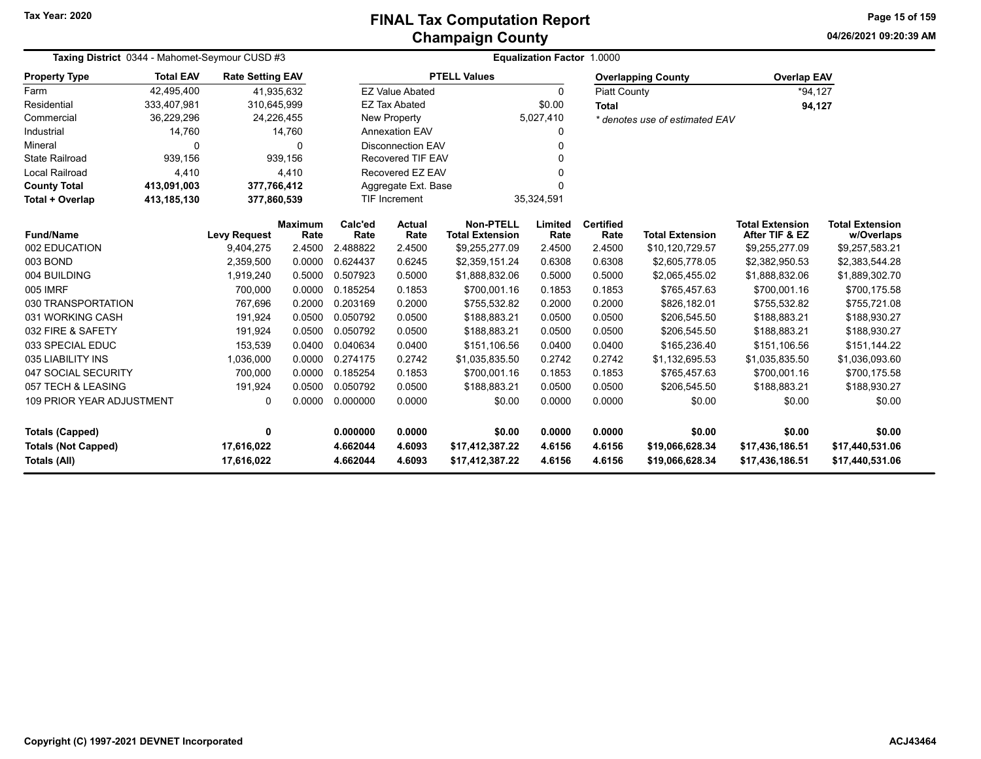**04/26/2021 09:20:39 AMPage 15 of 159**

| Taxing District 0344 - Mahomet-Seymour CUSD #3    | <b>Equalization Factor 1.0000</b> |                          |                        |                      |                            |                                            |                  |                          |                                    |                                          |                                      |
|---------------------------------------------------|-----------------------------------|--------------------------|------------------------|----------------------|----------------------------|--------------------------------------------|------------------|--------------------------|------------------------------------|------------------------------------------|--------------------------------------|
| <b>Property Type</b>                              | <b>Total EAV</b>                  | <b>Rate Setting EAV</b>  |                        |                      |                            | <b>PTELL Values</b>                        |                  |                          | <b>Overlapping County</b>          | <b>Overlap EAV</b>                       |                                      |
| Farm                                              | 42,495,400                        | 41,935,632               |                        |                      | <b>EZ Value Abated</b>     |                                            | $\mathbf{0}$     | <b>Piatt County</b>      |                                    | $*94.127$                                |                                      |
| Residential                                       | 333,407,981                       | 310,645,999              |                        |                      | <b>EZ Tax Abated</b>       |                                            | \$0.00           | <b>Total</b>             |                                    | 94,127                                   |                                      |
| Commercial                                        | 36,229,296                        | 24,226,455               |                        |                      | New Property               |                                            | 5,027,410        |                          | * denotes use of estimated EAV     |                                          |                                      |
| Industrial                                        | 14,760                            |                          | 14,760                 |                      | <b>Annexation EAV</b><br>0 |                                            |                  |                          |                                    |                                          |                                      |
| Mineral                                           | $\Omega$                          |                          | $\Omega$               |                      | <b>Disconnection EAV</b>   |                                            | $\Omega$         |                          |                                    |                                          |                                      |
| <b>State Railroad</b>                             | 939.156                           |                          | 939.156                |                      | Recovered TIF EAV          |                                            | $\Omega$         |                          |                                    |                                          |                                      |
| Local Railroad                                    | 4,410                             |                          | 4,410                  |                      | Recovered EZ EAV           |                                            | $\Omega$         |                          |                                    |                                          |                                      |
| <b>County Total</b>                               | 413,091,003                       | 377,766,412              |                        |                      | Aggregate Ext. Base        |                                            | $\Omega$         |                          |                                    |                                          |                                      |
| <b>Total + Overlap</b>                            | 413,185,130                       | 377,860,539              |                        |                      | TIF Increment              |                                            | 35,324,591       |                          |                                    |                                          |                                      |
| <b>Fund/Name</b>                                  |                                   | <b>Levy Request</b>      | <b>Maximum</b><br>Rate | Calc'ed<br>Rate      | Actual<br>Rate             | <b>Non-PTELL</b><br><b>Total Extension</b> | Limited<br>Rate  | <b>Certified</b><br>Rate | <b>Total Extension</b>             | <b>Total Extension</b><br>After TIF & EZ | <b>Total Extension</b><br>w/Overlaps |
| 002 EDUCATION                                     |                                   | 9,404,275                | 2.4500                 | 2.488822             | 2.4500                     | \$9,255,277.09                             | 2.4500           | 2.4500                   | \$10,120,729.57                    | \$9,255,277.09                           | \$9,257,583.21                       |
| 003 BOND                                          |                                   | 2,359,500                | 0.0000                 | 0.624437             | 0.6245                     | \$2,359,151.24                             | 0.6308           | 0.6308                   | \$2,605,778.05                     | \$2,382,950.53                           | \$2,383,544.28                       |
| 004 BUILDING                                      |                                   | 1,919,240                | 0.5000                 | 0.507923             | 0.5000                     | \$1,888,832.06                             | 0.5000           | 0.5000                   | \$2,065,455.02                     | \$1,888,832.06                           | \$1,889,302.70                       |
| 005 IMRF                                          |                                   | 700,000                  | 0.0000                 | 0.185254             | 0.1853                     | \$700,001.16                               | 0.1853           | 0.1853                   | \$765,457.63                       | \$700,001.16                             | \$700,175.58                         |
| 030 TRANSPORTATION                                |                                   | 767,696                  | 0.2000                 | 0.203169             | 0.2000                     | \$755,532.82                               | 0.2000           | 0.2000                   | \$826,182.01                       | \$755,532.82                             | \$755,721.08                         |
| 031 WORKING CASH                                  |                                   | 191,924                  | 0.0500                 | 0.050792             | 0.0500                     | \$188,883.21                               | 0.0500           | 0.0500                   | \$206,545.50                       | \$188,883.21                             | \$188,930.27                         |
| 032 FIRE & SAFETY                                 |                                   | 191,924                  | 0.0500                 | 0.050792             | 0.0500                     | \$188,883.21                               | 0.0500           | 0.0500                   | \$206,545.50                       | \$188,883.21                             | \$188,930.27                         |
| 033 SPECIAL EDUC                                  |                                   | 153,539                  | 0.0400                 | 0.040634             | 0.0400                     | \$151,106.56                               | 0.0400           | 0.0400                   | \$165,236.40                       | \$151,106.56                             | \$151,144.22                         |
| 035 LIABILITY INS                                 |                                   | 1,036,000                | 0.0000                 | 0.274175             | 0.2742                     | \$1,035,835.50                             | 0.2742           | 0.2742                   | \$1,132,695.53                     | \$1,035,835.50                           | \$1,036,093.60                       |
| 047 SOCIAL SECURITY                               |                                   | 700,000                  | 0.0000                 | 0.185254             | 0.1853                     | \$700,001.16                               | 0.1853           | 0.1853                   | \$765,457.63                       | \$700,001.16                             | \$700,175.58                         |
| 057 TECH & LEASING                                |                                   | 191,924                  | 0.0500                 | 0.050792             | 0.0500                     | \$188,883.21                               | 0.0500           | 0.0500                   | \$206,545.50                       | \$188,883.21                             | \$188,930.27                         |
| <b>109 PRIOR YEAR ADJUSTMENT</b>                  |                                   | 0                        | 0.0000                 | 0.000000             | 0.0000                     | \$0.00                                     | 0.0000           | 0.0000                   | \$0.00                             | \$0.00                                   | \$0.00                               |
| <b>Totals (Capped)</b><br>0                       |                                   |                          | 0.000000               | 0.0000               | \$0.00                     | 0.0000                                     | 0.0000           | \$0.00                   | \$0.00                             | \$0.00                                   |                                      |
| <b>Totals (Not Capped)</b><br><b>Totals (All)</b> |                                   | 17,616,022<br>17,616,022 |                        | 4.662044<br>4.662044 | 4.6093<br>4.6093           | \$17,412,387.22<br>\$17,412,387.22         | 4.6156<br>4.6156 | 4.6156<br>4.6156         | \$19,066,628.34<br>\$19,066,628.34 | \$17,436,186.51<br>\$17,436,186.51       | \$17,440,531.06<br>\$17,440,531.06   |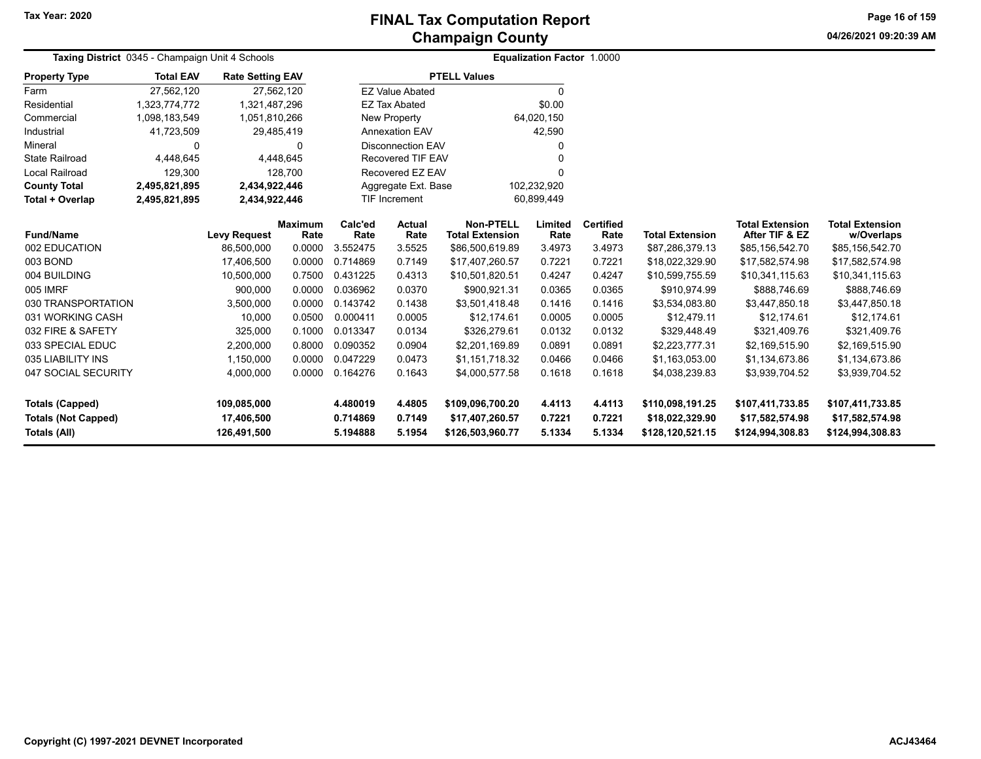**04/26/2021 09:20:39 AMPage 16 of 159**

| Taxing District 0345 - Champaign Unit 4 Schools |                  |                         |                        |                 |                                    |                                            | <b>Equalization Factor 1.0000</b> |                          |                        |                                          |                               |
|-------------------------------------------------|------------------|-------------------------|------------------------|-----------------|------------------------------------|--------------------------------------------|-----------------------------------|--------------------------|------------------------|------------------------------------------|-------------------------------|
| <b>Property Type</b>                            | <b>Total EAV</b> | <b>Rate Setting EAV</b> |                        |                 |                                    | <b>PTELL Values</b>                        |                                   |                          |                        |                                          |                               |
| Farm                                            | 27,562,120       |                         | 27,562,120             |                 | <b>EZ Value Abated</b>             |                                            | 0                                 |                          |                        |                                          |                               |
| Residential                                     | 1,323,774,772    | 1,321,487,296           |                        |                 | <b>EZ Tax Abated</b>               |                                            | \$0.00                            |                          |                        |                                          |                               |
| Commercial                                      | 1,098,183,549    | 1,051,810,266           |                        |                 | New Property                       |                                            | 64,020,150                        |                          |                        |                                          |                               |
| Industrial                                      | 41,723,509       |                         | 29,485,419             |                 | <b>Annexation EAV</b>              |                                            | 42,590                            |                          |                        |                                          |                               |
| Mineral                                         | 0                |                         | $\Omega$               |                 | <b>Disconnection EAV</b>           |                                            |                                   |                          |                        |                                          |                               |
| <b>State Railroad</b>                           | 4,448,645        |                         | 4,448,645              |                 | <b>Recovered TIF EAV</b>           |                                            |                                   |                          |                        |                                          |                               |
| <b>Local Railroad</b>                           | 129,300          |                         | 128,700                |                 | Recovered EZ EAV                   |                                            |                                   |                          |                        |                                          |                               |
| <b>County Total</b>                             | 2,495,821,895    | 2,434,922,446           |                        |                 | Aggregate Ext. Base                |                                            | 102,232,920                       |                          |                        |                                          |                               |
| Total + Overlap                                 | 2,495,821,895    | 2,434,922,446           |                        |                 | <b>TIF Increment</b><br>60,899,449 |                                            |                                   |                          |                        |                                          |                               |
| <b>Fund/Name</b>                                |                  | <b>Levy Request</b>     | <b>Maximum</b><br>Rate | Calc'ed<br>Rate | Actual<br>Rate                     | <b>Non-PTELL</b><br><b>Total Extension</b> | Limited<br>Rate                   | <b>Certified</b><br>Rate | <b>Total Extension</b> | <b>Total Extension</b><br>After TIF & EZ | <b>Total Extension</b>        |
| 002 EDUCATION                                   |                  | 86,500,000              | 0.0000                 | 3.552475        | 3.5525                             | \$86,500,619.89                            | 3.4973                            | 3.4973                   | \$87,286,379.13        | \$85,156,542.70                          | w/Overlaps<br>\$85,156,542.70 |
| 003 BOND                                        |                  | 17.406.500              | 0.0000                 | 0.714869        | 0.7149                             | \$17,407,260.57                            | 0.7221                            | 0.7221                   | \$18,022,329.90        | \$17,582,574.98                          | \$17,582,574.98               |
| 004 BUILDING                                    |                  | 10,500,000              | 0.7500                 | 0.431225        | 0.4313                             | \$10,501,820.51                            | 0.4247                            | 0.4247                   | \$10,599,755.59        | \$10,341,115.63                          | \$10,341,115.63               |
| 005 IMRF                                        |                  | 900,000                 | 0.0000                 | 0.036962        | 0.0370                             | \$900,921.31                               | 0.0365                            | 0.0365                   | \$910,974.99           | \$888,746.69                             | \$888,746.69                  |
| 030 TRANSPORTATION                              |                  | 3,500,000               | 0.0000                 | 0.143742        | 0.1438                             | \$3,501,418.48                             | 0.1416                            | 0.1416                   | \$3,534,083.80         | \$3,447,850.18                           | \$3,447,850.18                |
| 031 WORKING CASH                                |                  | 10,000                  | 0.0500                 | 0.000411        | 0.0005                             | \$12,174.61                                | 0.0005                            | 0.0005                   | \$12,479.11            | \$12,174.61                              | \$12,174.61                   |
| 032 FIRE & SAFETY                               |                  | 325,000                 | 0.1000                 | 0.013347        | 0.0134                             | \$326,279.61                               | 0.0132                            | 0.0132                   | \$329,448.49           | \$321,409.76                             | \$321,409.76                  |
| 033 SPECIAL EDUC                                |                  | 2,200,000               | 0.8000                 | 0.090352        | 0.0904                             | \$2,201,169.89                             | 0.0891                            | 0.0891                   | \$2,223,777.31         | \$2,169,515.90                           | \$2,169,515.90                |
| 035 LIABILITY INS                               |                  | 1,150,000               | 0.0000                 | 0.047229        | 0.0473                             | \$1,151,718.32                             | 0.0466                            | 0.0466                   | \$1,163,053.00         | \$1,134,673.86                           | \$1,134,673.86                |
| 047 SOCIAL SECURITY                             |                  | 4,000,000               | 0.0000                 | 0.164276        | 0.1643                             | \$4,000,577.58                             | 0.1618                            | 0.1618                   | \$4,038,239.83         | \$3,939,704.52                           | \$3,939,704.52                |
|                                                 |                  |                         |                        |                 |                                    |                                            |                                   |                          |                        |                                          |                               |
| <b>Totals (Capped)</b>                          |                  | 109,085,000             |                        | 4.480019        | 4.4805                             | \$109,096,700.20                           | 4.4113                            | 4.4113                   | \$110,098,191.25       | \$107,411,733.85                         | \$107,411,733.85              |
| <b>Totals (Not Capped)</b>                      |                  | 17,406,500              |                        | 0.714869        | 0.7149                             | \$17,407,260.57                            | 0.7221                            | 0.7221                   | \$18,022,329.90        | \$17,582,574.98                          | \$17,582,574.98               |
| <b>Totals (All)</b>                             |                  | 126,491,500             |                        | 5.194888        | 5.1954                             | \$126,503,960.77                           | 5.1334                            | 5.1334                   | \$128,120,521.15       | \$124,994,308.83                         | \$124,994,308.83              |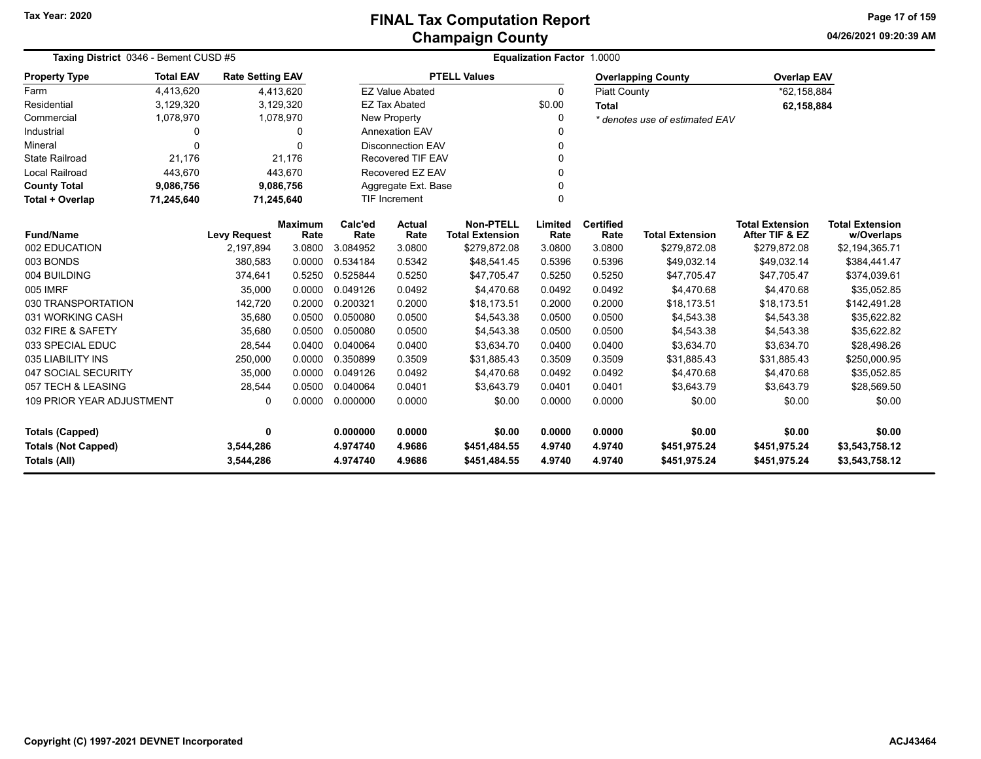**04/26/2021 09:20:39 AMPage 17 of 159**

| Taxing District 0346 - Bement CUSD #5                                                                                                                          |                  |                         |                        | <b>Equalization Factor 1.0000</b> |                          |                                            |                 |                          |                                |                                          |                                      |
|----------------------------------------------------------------------------------------------------------------------------------------------------------------|------------------|-------------------------|------------------------|-----------------------------------|--------------------------|--------------------------------------------|-----------------|--------------------------|--------------------------------|------------------------------------------|--------------------------------------|
| <b>Property Type</b>                                                                                                                                           | <b>Total EAV</b> | <b>Rate Setting EAV</b> |                        |                                   |                          | <b>PTELL Values</b>                        |                 |                          | <b>Overlapping County</b>      | <b>Overlap EAV</b>                       |                                      |
| Farm                                                                                                                                                           | 4.413.620        |                         | 4,413,620              |                                   | <b>EZ Value Abated</b>   |                                            | $\mathbf{0}$    | <b>Piatt County</b>      |                                | *62,158,884                              |                                      |
| Residential                                                                                                                                                    | 3,129,320        |                         | 3,129,320              |                                   | <b>EZ Tax Abated</b>     |                                            | \$0.00          | <b>Total</b>             |                                | 62,158,884                               |                                      |
| Commercial                                                                                                                                                     | 1,078,970        |                         | 1,078,970              |                                   | New Property             |                                            | 0               |                          | * denotes use of estimated EAV |                                          |                                      |
| Industrial                                                                                                                                                     | 0                |                         | 0                      |                                   | <b>Annexation EAV</b>    |                                            |                 |                          |                                |                                          |                                      |
| Mineral                                                                                                                                                        | $\Omega$         |                         | $\Omega$               |                                   | <b>Disconnection EAV</b> |                                            | 0               |                          |                                |                                          |                                      |
| <b>State Railroad</b>                                                                                                                                          | 21,176           |                         | 21.176                 |                                   | Recovered TIF EAV        |                                            | $\Omega$        |                          |                                |                                          |                                      |
| <b>Local Railroad</b>                                                                                                                                          | 443,670          |                         | 443,670                |                                   | Recovered EZ EAV         |                                            | O               |                          |                                |                                          |                                      |
| <b>County Total</b>                                                                                                                                            | 9,086,756        |                         | 9,086,756              |                                   | Aggregate Ext. Base      |                                            | 0               |                          |                                |                                          |                                      |
| Total + Overlap                                                                                                                                                | 71,245,640       |                         | 71,245,640             |                                   | <b>TIF Increment</b>     |                                            | $\Omega$        |                          |                                |                                          |                                      |
| <b>Fund/Name</b>                                                                                                                                               |                  | <b>Levy Request</b>     | <b>Maximum</b><br>Rate | Calc'ed<br>Rate                   | <b>Actual</b><br>Rate    | <b>Non-PTELL</b><br><b>Total Extension</b> | Limited<br>Rate | <b>Certified</b><br>Rate | <b>Total Extension</b>         | <b>Total Extension</b><br>After TIF & EZ | <b>Total Extension</b><br>w/Overlaps |
| 002 EDUCATION                                                                                                                                                  |                  | 2,197,894               | 3.0800                 | 3.084952                          | 3.0800                   | \$279,872.08                               | 3.0800          | 3.0800                   | \$279,872.08                   | \$279,872.08                             | \$2,194,365.71                       |
| 003 BONDS                                                                                                                                                      |                  | 380,583                 | 0.0000                 | 0.534184                          | 0.5342                   | \$48,541.45                                | 0.5396          | 0.5396                   | \$49,032.14                    | \$49,032.14                              | \$384,441.47                         |
| 004 BUILDING                                                                                                                                                   |                  | 374,641                 | 0.5250                 | 0.525844                          | 0.5250                   | \$47,705.47                                | 0.5250          | 0.5250                   | \$47,705.47                    | \$47,705.47                              | \$374,039.61                         |
| <b>005 IMRF</b>                                                                                                                                                |                  | 35,000                  | 0.0000                 | 0.049126                          | 0.0492                   | \$4,470.68                                 | 0.0492          | 0.0492                   | \$4,470.68                     | \$4,470.68                               | \$35,052.85                          |
| 030 TRANSPORTATION                                                                                                                                             |                  | 142,720                 | 0.2000                 | 0.200321                          | 0.2000                   | \$18,173.51                                | 0.2000          | 0.2000                   | \$18,173.51                    | \$18,173.51                              | \$142,491.28                         |
| 031 WORKING CASH                                                                                                                                               |                  | 35,680                  | 0.0500                 | 0.050080                          | 0.0500                   | \$4,543.38                                 | 0.0500          | 0.0500                   | \$4,543.38                     | \$4,543.38                               | \$35,622.82                          |
| 032 FIRE & SAFETY                                                                                                                                              |                  | 35,680                  | 0.0500                 | 0.050080                          | 0.0500                   | \$4,543.38                                 | 0.0500          | 0.0500                   | \$4,543.38                     | \$4,543.38                               | \$35,622.82                          |
| 033 SPECIAL EDUC                                                                                                                                               |                  | 28,544                  | 0.0400                 | 0.040064                          | 0.0400                   | \$3,634.70                                 | 0.0400          | 0.0400                   | \$3,634.70                     | \$3,634.70                               | \$28,498.26                          |
| 035 LIABILITY INS                                                                                                                                              |                  | 250,000                 | 0.0000                 | 0.350899                          | 0.3509                   | \$31,885.43                                | 0.3509          | 0.3509                   | \$31,885.43                    | \$31,885.43                              | \$250,000.95                         |
| 047 SOCIAL SECURITY                                                                                                                                            |                  | 35,000                  | 0.0000                 | 0.049126                          | 0.0492                   | \$4,470.68                                 | 0.0492          | 0.0492                   | \$4,470.68                     | \$4,470.68                               | \$35,052.85                          |
| 057 TECH & LEASING                                                                                                                                             |                  | 28,544                  | 0.0500                 | 0.040064                          | 0.0401                   | \$3,643.79                                 | 0.0401          | 0.0401                   | \$3,643.79                     | \$3,643.79                               | \$28,569.50                          |
| <b>109 PRIOR YEAR ADJUSTMENT</b><br>0.000000<br>0.0000<br>0.0000<br>0<br>0.0000<br>\$0.00<br>0.0000<br>\$0.00<br>\$0.00                                        |                  |                         |                        |                                   | \$0.00                   |                                            |                 |                          |                                |                                          |                                      |
| 0<br><b>Totals (Capped)</b>                                                                                                                                    |                  |                         |                        | 0.000000                          | 0.0000                   | \$0.00                                     | 0.0000          | 0.0000                   | \$0.00                         | \$0.00                                   | \$0.00                               |
|                                                                                                                                                                |                  |                         |                        | 4.974740                          | 4.9686                   | \$451,484.55                               | 4.9740          | 4.9740                   | \$451,975.24                   | \$451,975.24                             | \$3,543,758.12                       |
| <b>Totals (Not Capped)</b><br>3,544,286<br>3,544,286<br>4.974740<br>4.9686<br>\$451,484.55<br>4.9740<br>4.9740<br>\$451,975.24<br>Totals (All)<br>\$451,975.24 |                  |                         |                        |                                   |                          | \$3,543,758.12                             |                 |                          |                                |                                          |                                      |

 $\overline{\phantom{0}}$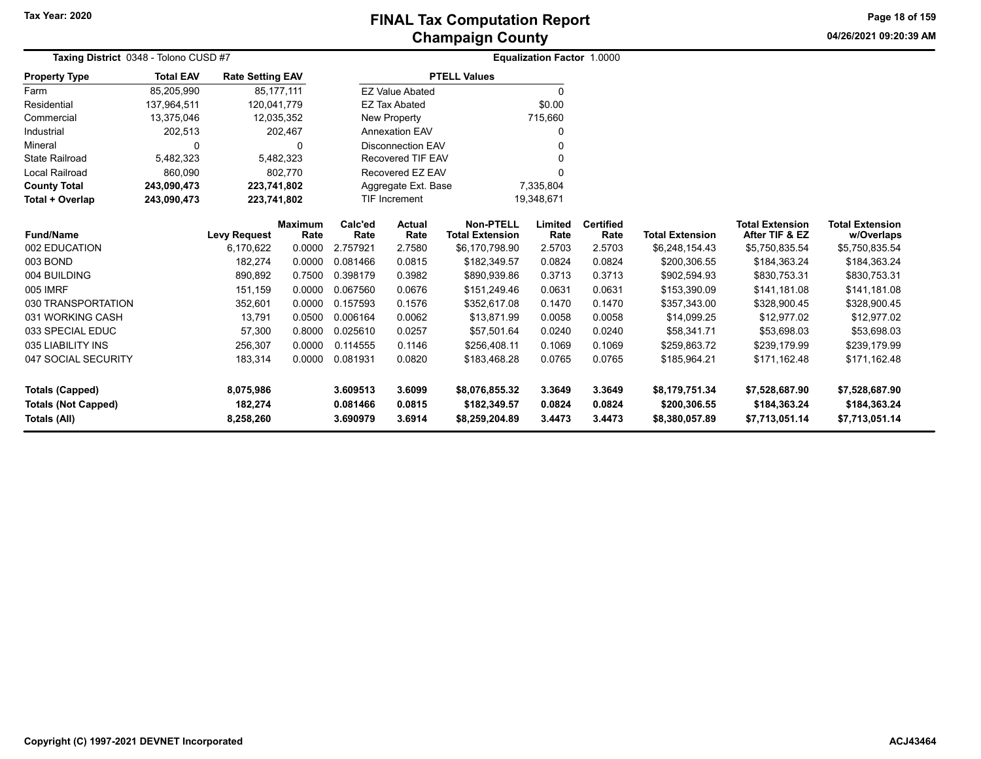**04/26/2021 09:20:39 AMPage 18 of 159**

| Taxing District 0348 - Tolono CUSD #7 |                  |                         |                        |                 |                                    | <b>Equalization Factor 1.0000</b>          |                 |                          |                        |                                          |                                      |
|---------------------------------------|------------------|-------------------------|------------------------|-----------------|------------------------------------|--------------------------------------------|-----------------|--------------------------|------------------------|------------------------------------------|--------------------------------------|
| <b>Property Type</b>                  | <b>Total EAV</b> | <b>Rate Setting EAV</b> |                        |                 |                                    | <b>PTELL Values</b>                        |                 |                          |                        |                                          |                                      |
| Farm                                  | 85,205,990       |                         | 85,177,111             |                 | <b>EZ Value Abated</b>             |                                            | 0               |                          |                        |                                          |                                      |
| Residential                           | 137,964,511      | 120,041,779             |                        |                 | <b>EZ Tax Abated</b>               |                                            | \$0.00          |                          |                        |                                          |                                      |
| Commercial                            | 13,375,046       |                         | 12,035,352             |                 | <b>New Property</b>                |                                            | 715,660         |                          |                        |                                          |                                      |
| Industrial                            | 202,513          |                         | 202,467                |                 | <b>Annexation EAV</b>              |                                            | 0               |                          |                        |                                          |                                      |
| Mineral                               | $\Omega$         |                         | O                      |                 | <b>Disconnection EAV</b>           |                                            |                 |                          |                        |                                          |                                      |
| <b>State Railroad</b>                 | 5,482,323        |                         | 5,482,323              |                 | <b>Recovered TIF EAV</b>           |                                            |                 |                          |                        |                                          |                                      |
| <b>Local Railroad</b>                 | 860,090          |                         | 802,770                |                 | Recovered EZ EAV                   |                                            | 0               |                          |                        |                                          |                                      |
| <b>County Total</b>                   | 243,090,473      | 223,741,802             |                        |                 | Aggregate Ext. Base                |                                            | 7,335,804       |                          |                        |                                          |                                      |
| Total + Overlap                       | 243,090,473      | 223,741,802             |                        |                 | <b>TIF Increment</b><br>19,348,671 |                                            |                 |                          |                        |                                          |                                      |
| <b>Fund/Name</b>                      |                  | <b>Levy Request</b>     | <b>Maximum</b><br>Rate | Calc'ed<br>Rate | <b>Actual</b><br>Rate              | <b>Non-PTELL</b><br><b>Total Extension</b> | Limited<br>Rate | <b>Certified</b><br>Rate | <b>Total Extension</b> | <b>Total Extension</b><br>After TIF & EZ | <b>Total Extension</b><br>w/Overlaps |
| 002 EDUCATION                         |                  | 6,170,622               | 0.0000                 | 2.757921        | 2.7580                             | \$6,170,798.90                             | 2.5703          | 2.5703                   | \$6,248,154.43         | \$5,750,835.54                           | \$5,750,835.54                       |
| 003 BOND                              |                  | 182,274                 | 0.0000                 | 0.081466        | 0.0815                             | \$182,349.57                               | 0.0824          | 0.0824                   | \$200,306.55           | \$184,363.24                             | \$184,363.24                         |
| 004 BUILDING                          |                  | 890,892                 | 0.7500                 | 0.398179        | 0.3982                             | \$890,939.86                               | 0.3713          | 0.3713                   | \$902,594.93           | \$830,753.31                             | \$830,753.31                         |
| 005 IMRF                              |                  | 151,159                 | 0.0000                 | 0.067560        | 0.0676                             | \$151,249.46                               | 0.0631          | 0.0631                   | \$153,390.09           | \$141,181.08                             | \$141,181.08                         |
| 030 TRANSPORTATION                    |                  | 352,601                 | 0.0000                 | 0.157593        | 0.1576                             | \$352,617.08                               | 0.1470          | 0.1470                   | \$357,343.00           | \$328,900.45                             | \$328,900.45                         |
| 031 WORKING CASH                      |                  | 13,791                  | 0.0500                 | 0.006164        | 0.0062                             | \$13,871.99                                | 0.0058          | 0.0058                   | \$14,099.25            | \$12,977.02                              | \$12,977.02                          |
| 033 SPECIAL EDUC                      |                  | 57,300                  | 0.8000                 | 0.025610        | 0.0257                             | \$57,501.64                                | 0.0240          | 0.0240                   | \$58,341.71            | \$53,698.03                              | \$53,698.03                          |
| 035 LIABILITY INS                     |                  | 256,307                 | 0.0000                 | 0.114555        | 0.1146                             | \$256,408.11                               | 0.1069          | 0.1069                   | \$259,863.72           | \$239,179.99                             | \$239,179.99                         |
| 047 SOCIAL SECURITY                   |                  | 183,314                 | 0.0000                 | 0.081931        | 0.0820                             | \$183,468.28                               | 0.0765          | 0.0765                   | \$185,964.21           | \$171,162.48                             | \$171,162.48                         |
| <b>Totals (Capped)</b>                |                  | 8,075,986               |                        | 3.609513        | 3.6099                             | \$8,076,855.32                             | 3.3649          | 3.3649                   | \$8,179,751.34         | \$7,528,687.90                           | \$7,528,687.90                       |
| <b>Totals (Not Capped)</b>            |                  | 182,274                 |                        | 0.081466        | 0.0815                             | \$182,349.57                               | 0.0824          | 0.0824                   | \$200,306.55           | \$184,363.24                             | \$184,363.24                         |
| Totals (All)                          |                  | 8,258,260               |                        | 3.690979        | 3.6914                             | \$8,259,204.89                             | 3.4473          | 3.4473                   | \$8,380,057.89         | \$7,713,051.14                           | \$7,713,051.14                       |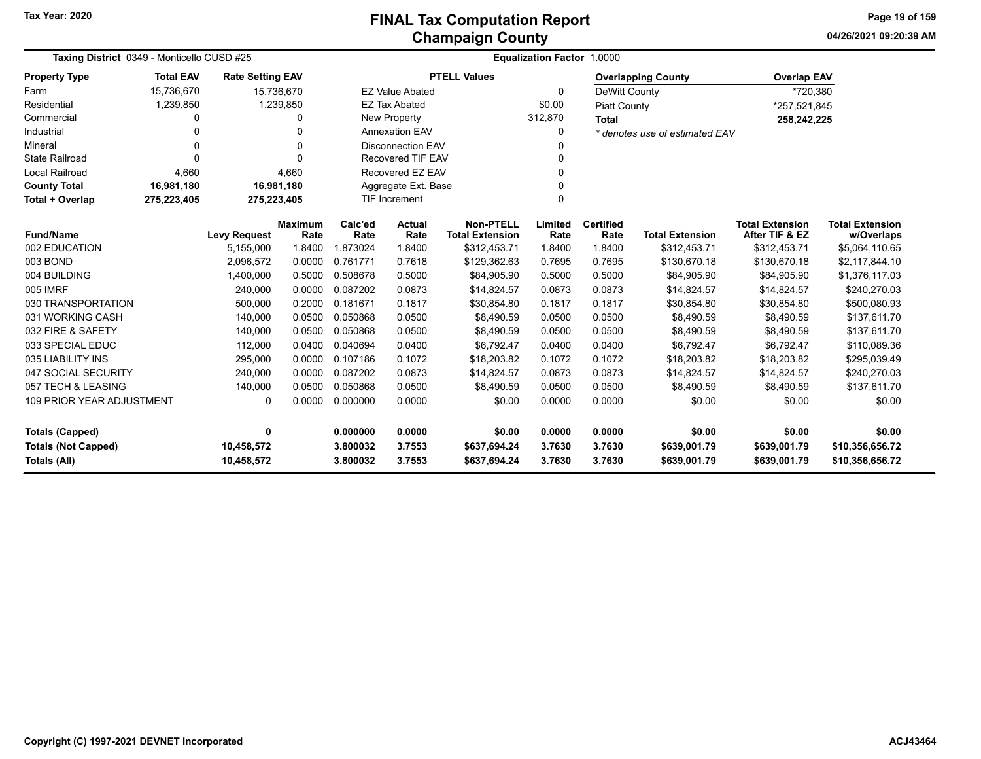**04/26/2021 09:20:39 AMPage 19 of 159**

| Taxing District 0349 - Monticello CUSD #25                 |                  |                         |                 | Equalization Factor 1.0000 |                          |                                            |                 |                          |                                |                                          |                                      |  |
|------------------------------------------------------------|------------------|-------------------------|-----------------|----------------------------|--------------------------|--------------------------------------------|-----------------|--------------------------|--------------------------------|------------------------------------------|--------------------------------------|--|
| <b>Property Type</b>                                       | <b>Total EAV</b> | <b>Rate Setting EAV</b> |                 |                            |                          | <b>PTELL Values</b>                        |                 |                          | <b>Overlapping County</b>      | <b>Overlap EAV</b>                       |                                      |  |
| Farm                                                       | 15,736,670       | 15,736,670              |                 |                            | <b>EZ Value Abated</b>   |                                            | $\Omega$        | DeWitt County            |                                | *720,380                                 |                                      |  |
| Residential                                                | 1,239,850        |                         | 1,239,850       |                            | <b>EZ Tax Abated</b>     |                                            | \$0.00          | <b>Piatt County</b>      |                                | *257,521,845                             |                                      |  |
| Commercial                                                 | 0                |                         | 0               |                            | <b>New Property</b>      |                                            | 312,870         | <b>Total</b>             |                                | 258,242,225                              |                                      |  |
| Industrial                                                 | 0                |                         | U               |                            | <b>Annexation EAV</b>    |                                            | 0               |                          | * denotes use of estimated EAV |                                          |                                      |  |
| Mineral                                                    | 0                |                         | U               |                            | <b>Disconnection EAV</b> |                                            | 0               |                          |                                |                                          |                                      |  |
| <b>State Railroad</b>                                      | $\Omega$         |                         | U               |                            | Recovered TIF EAV        |                                            | 0               |                          |                                |                                          |                                      |  |
| <b>Local Railroad</b>                                      | 4,660            |                         | 4,660           |                            | Recovered EZ EAV         |                                            | 0               |                          |                                |                                          |                                      |  |
| <b>County Total</b>                                        | 16,981,180       | 16,981,180              |                 |                            | Aggregate Ext. Base      |                                            | 0               |                          |                                |                                          |                                      |  |
| <b>Total + Overlap</b>                                     | 275,223,405      | 275,223,405             |                 |                            | <b>TIF Increment</b>     |                                            | $\Omega$        |                          |                                |                                          |                                      |  |
| <b>Fund/Name</b>                                           |                  | <b>Levy Request</b>     | Maximum<br>Rate | Calc'ed<br>Rate            | Actual<br>Rate           | <b>Non-PTELL</b><br><b>Total Extension</b> | Limited<br>Rate | <b>Certified</b><br>Rate | <b>Total Extension</b>         | <b>Total Extension</b><br>After TIF & EZ | <b>Total Extension</b><br>w/Overlaps |  |
| 002 EDUCATION                                              |                  | 5,155,000               | 1.8400          | 1.873024                   | 1.8400                   | \$312,453.71                               | 1.8400          | 1.8400                   | \$312,453.71                   | \$312,453.71                             | \$5,064,110.65                       |  |
| 003 BOND                                                   |                  | 2.096.572               | 0.0000          | 0.761771                   | 0.7618                   | \$129,362.63                               | 0.7695          | 0.7695                   | \$130,670.18                   | \$130,670.18                             | \$2,117,844.10                       |  |
| 004 BUILDING                                               |                  | 1,400,000               | 0.5000          | 0.508678                   | 0.5000                   | \$84,905.90                                | 0.5000          | 0.5000                   | \$84,905.90                    | \$84,905.90                              | \$1,376,117.03                       |  |
| 005 IMRF                                                   |                  | 240,000                 | 0.0000          | 0.087202                   | 0.0873                   | \$14,824.57                                | 0.0873          | 0.0873                   | \$14,824.57                    | \$14,824.57                              | \$240,270.03                         |  |
| 030 TRANSPORTATION                                         |                  | 500,000                 | 0.2000          | 0.181671                   | 0.1817                   | \$30,854.80                                | 0.1817          | 0.1817                   | \$30,854.80                    | \$30,854.80                              | \$500,080.93                         |  |
| 031 WORKING CASH                                           |                  | 140,000                 | 0.0500          | 0.050868                   | 0.0500                   | \$8,490.59                                 | 0.0500          | 0.0500                   | \$8,490.59                     | \$8,490.59                               | \$137,611.70                         |  |
| 032 FIRE & SAFETY                                          |                  | 140,000                 | 0.0500          | 0.050868                   | 0.0500                   | \$8,490.59                                 | 0.0500          | 0.0500                   | \$8,490.59                     | \$8,490.59                               | \$137,611.70                         |  |
| 033 SPECIAL EDUC                                           |                  | 112,000                 | 0.0400          | 0.040694                   | 0.0400                   | \$6,792.47                                 | 0.0400          | 0.0400                   | \$6,792.47                     | \$6,792.47                               | \$110,089.36                         |  |
| 035 LIABILITY INS                                          |                  | 295,000                 | 0.0000          | 0.107186                   | 0.1072                   | \$18,203.82                                | 0.1072          | 0.1072                   | \$18,203.82                    | \$18,203.82                              | \$295,039.49                         |  |
| 047 SOCIAL SECURITY                                        |                  | 240,000                 | 0.0000          | 0.087202                   | 0.0873                   | \$14,824.57                                | 0.0873          | 0.0873                   | \$14,824.57                    | \$14,824.57                              | \$240,270.03                         |  |
| 057 TECH & LEASING                                         |                  | 140,000                 | 0.0500          | 0.050868                   | 0.0500                   | \$8,490.59                                 | 0.0500          | 0.0500                   | \$8,490.59                     | \$8,490.59                               | \$137,611.70                         |  |
| <b>109 PRIOR YEAR ADJUSTMENT</b><br>0.0000<br>$\mathbf{0}$ |                  |                         | 0.000000        | 0.0000                     | \$0.00                   | 0.0000                                     | 0.0000          | \$0.00                   | \$0.00                         | \$0.00                                   |                                      |  |
| <b>Totals (Capped)</b>                                     | 0.000000         | 0.0000                  | \$0.00          | 0.0000                     | 0.0000                   | \$0.00                                     | \$0.00          | \$0.00                   |                                |                                          |                                      |  |
| <b>Totals (Not Capped)</b>                                 |                  | 10,458,572              |                 | 3.800032                   | 3.7553                   | \$637,694.24                               | 3.7630          | 3.7630                   | \$639,001.79                   | \$639,001.79                             | \$10,356,656.72                      |  |
| 3.7553<br><b>Totals (All)</b><br>10,458,572<br>3.800032    |                  |                         |                 |                            | \$637,694.24             | 3.7630                                     | 3.7630          | \$639,001.79             | \$639,001.79                   | \$10,356,656.72                          |                                      |  |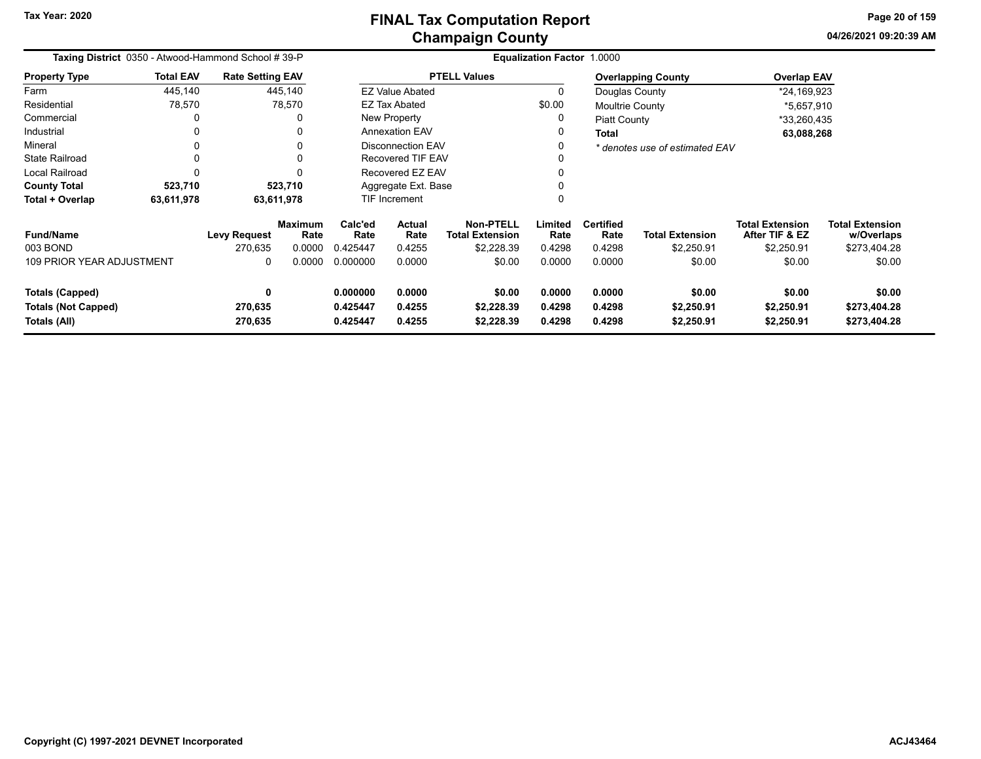|                                                                      | Taxing District 0350 - Atwood-Hammond School #39-P |                                |                                  |                                  | Equalization Factor 1.0000      |                                                          |                            |                                    |                                      |                                                        |                                                      |  |  |
|----------------------------------------------------------------------|----------------------------------------------------|--------------------------------|----------------------------------|----------------------------------|---------------------------------|----------------------------------------------------------|----------------------------|------------------------------------|--------------------------------------|--------------------------------------------------------|------------------------------------------------------|--|--|
| <b>Property Type</b>                                                 | <b>Total EAV</b>                                   | <b>Rate Setting EAV</b>        |                                  |                                  |                                 | <b>PTELL Values</b>                                      |                            |                                    | <b>Overlapping County</b>            | <b>Overlap EAV</b>                                     |                                                      |  |  |
| Farm                                                                 | 445,140                                            |                                | 445,140                          |                                  | <b>EZ Value Abated</b>          |                                                          | 0                          | Douglas County                     |                                      | *24,169,923                                            |                                                      |  |  |
| Residential                                                          | 78,570                                             |                                | 78,570                           |                                  | EZ Tax Abated                   |                                                          | \$0.00                     | <b>Moultrie County</b>             |                                      | *5,657,910                                             |                                                      |  |  |
| Commercial                                                           | 0                                                  |                                | $\Omega$                         |                                  | New Property                    |                                                          | 0                          | Piatt County                       |                                      | *33,260,435                                            |                                                      |  |  |
| Industrial                                                           | 0                                                  |                                | $\Omega$                         |                                  | <b>Annexation EAV</b>           |                                                          | 0                          | <b>Total</b>                       |                                      | 63,088,268                                             |                                                      |  |  |
| Mineral                                                              | 0                                                  |                                | 0                                |                                  | <b>Disconnection EAV</b>        |                                                          | 0                          |                                    | * denotes use of estimated EAV       |                                                        |                                                      |  |  |
| <b>State Railroad</b>                                                | $\mathbf{0}$                                       |                                | $\Omega$                         |                                  | <b>Recovered TIF EAV</b>        |                                                          | 0                          |                                    |                                      |                                                        |                                                      |  |  |
| Local Railroad                                                       | $\Omega$                                           |                                | $\Omega$                         |                                  | Recovered EZ EAV<br>0           |                                                          |                            |                                    |                                      |                                                        |                                                      |  |  |
| <b>County Total</b>                                                  | 523,710                                            |                                | 523,710                          | Aggregate Ext. Base              |                                 |                                                          |                            |                                    |                                      |                                                        |                                                      |  |  |
| Total + Overlap                                                      | 63,611,978                                         |                                | 63,611,978                       |                                  | <b>TIF Increment</b>            |                                                          | 0                          | 0                                  |                                      |                                                        |                                                      |  |  |
| <b>Fund/Name</b><br>003 BOND<br><b>109 PRIOR YEAR ADJUSTMENT</b>     |                                                    | <b>Levy Request</b><br>270.635 | <b>Maximum</b><br>Rate<br>0.0000 | Calc'ed<br>Rate<br>0.425447      | <b>Actual</b><br>Rate<br>0.4255 | <b>Non-PTELL</b><br><b>Total Extension</b><br>\$2,228.39 | Limited<br>Rate<br>0.4298  | <b>Certified</b><br>Rate<br>0.4298 | <b>Total Extension</b><br>\$2,250.91 | <b>Total Extension</b><br>After TIF & EZ<br>\$2,250.91 | <b>Total Extension</b><br>w/Overlaps<br>\$273,404.28 |  |  |
|                                                                      |                                                    | 0                              | 0.0000                           | 0.000000                         | 0.0000                          | \$0.00                                                   | 0.0000                     | 0.0000                             | \$0.00                               | \$0.00                                                 | \$0.00                                               |  |  |
| <b>Totals (Capped)</b><br><b>Totals (Not Capped)</b><br>Totals (All) |                                                    | 0<br>270,635<br>270,635        |                                  | 0.000000<br>0.425447<br>0.425447 | 0.0000<br>0.4255<br>0.4255      | \$0.00<br>\$2,228.39<br>\$2,228.39                       | 0.0000<br>0.4298<br>0.4298 | 0.0000<br>0.4298<br>0.4298         | \$0.00<br>\$2,250.91<br>\$2,250.91   | \$0.00<br>\$2,250.91<br>\$2,250.91                     | \$0.00<br>\$273,404.28<br>\$273,404.28               |  |  |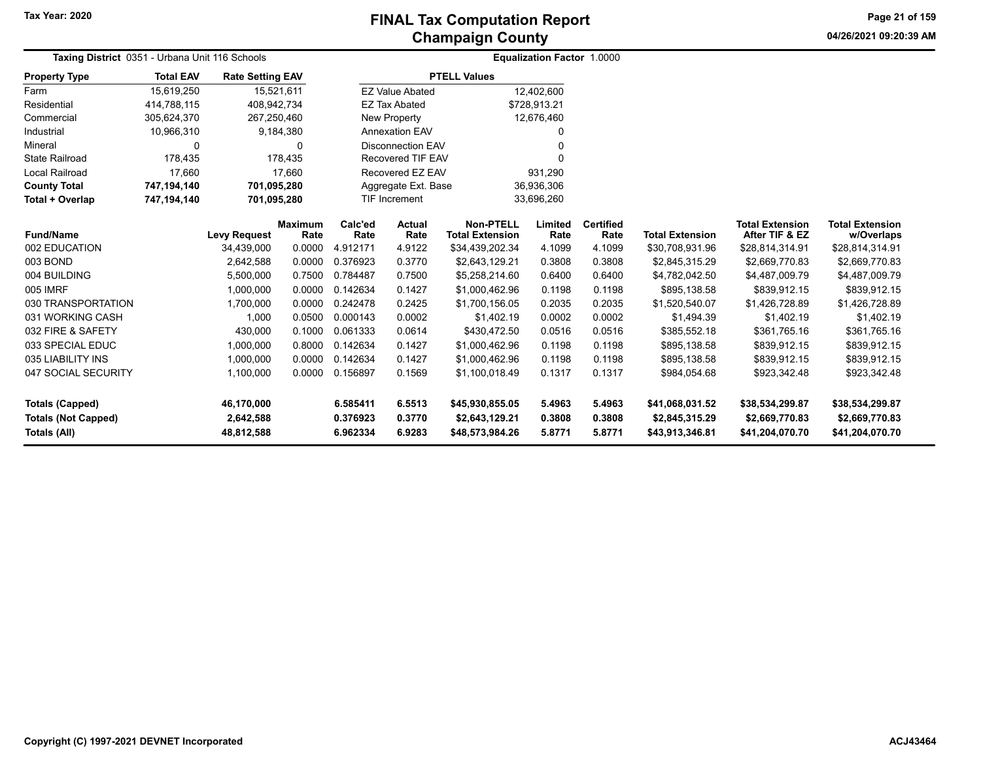**04/26/2021 09:20:39 AM Page 21 of 159**

| Taxing District 0351 - Urbana Unit 116 Schools |                  |                         |                        | Equalization Factor 1.0000 |                          |                                            |                 |                          |                        |                                          |                                      |
|------------------------------------------------|------------------|-------------------------|------------------------|----------------------------|--------------------------|--------------------------------------------|-----------------|--------------------------|------------------------|------------------------------------------|--------------------------------------|
| <b>Property Type</b>                           | <b>Total EAV</b> | <b>Rate Setting EAV</b> |                        |                            |                          | <b>PTELL Values</b>                        |                 |                          |                        |                                          |                                      |
| Farm                                           | 15,619,250       |                         | 15,521,611             |                            | <b>EZ Value Abated</b>   |                                            | 12,402,600      |                          |                        |                                          |                                      |
| Residential                                    | 414,788,115      | 408,942,734             |                        |                            | <b>EZ Tax Abated</b>     |                                            | \$728,913.21    |                          |                        |                                          |                                      |
| Commercial                                     | 305,624,370      | 267,250,460             |                        |                            | <b>New Property</b>      |                                            | 12,676,460      |                          |                        |                                          |                                      |
| Industrial                                     | 10,966,310       |                         | 9,184,380              |                            | <b>Annexation EAV</b>    |                                            | 0               |                          |                        |                                          |                                      |
| Mineral                                        | $\Omega$         |                         | 0                      |                            | <b>Disconnection EAV</b> |                                            | 0               |                          |                        |                                          |                                      |
| <b>State Railroad</b>                          | 178,435          |                         | 178.435                |                            | Recovered TIF EAV        |                                            | U               |                          |                        |                                          |                                      |
| <b>Local Railroad</b>                          | 17,660           |                         | 17,660                 |                            | Recovered EZ EAV         | 931,290                                    |                 |                          |                        |                                          |                                      |
| <b>County Total</b>                            | 747,194,140      | 701,095,280             |                        |                            | Aggregate Ext. Base      |                                            | 36,936,306      |                          |                        |                                          |                                      |
| Total + Overlap                                | 747,194,140      | 701,095,280             |                        |                            | TIF Increment            |                                            | 33,696,260      |                          |                        |                                          |                                      |
| <b>Fund/Name</b>                               |                  | <b>Levy Request</b>     | <b>Maximum</b><br>Rate | Calc'ed<br>Rate            | Actual<br>Rate           | <b>Non-PTELL</b><br><b>Total Extension</b> | Limited<br>Rate | <b>Certified</b><br>Rate | <b>Total Extension</b> | <b>Total Extension</b><br>After TIF & EZ | <b>Total Extension</b><br>w/Overlaps |
| 002 EDUCATION                                  |                  | 34,439,000              | 0.0000                 | 4.912171                   | 4.9122                   | \$34,439,202.34                            | 4.1099          | 4.1099                   | \$30,708,931.96        | \$28,814,314.91                          | \$28,814,314.91                      |
| 003 BOND                                       |                  | 2,642,588               | 0.0000                 | 0.376923                   | 0.3770                   | \$2,643,129.21                             | 0.3808          | 0.3808                   | \$2,845,315.29         | \$2,669,770.83                           | \$2,669,770.83                       |
| 004 BUILDING                                   |                  | 5,500,000               | 0.7500                 | 0.784487                   | 0.7500                   | \$5,258,214.60                             | 0.6400          | 0.6400                   | \$4,782,042.50         | \$4,487,009.79                           | \$4,487,009.79                       |
| 005 IMRF                                       |                  | 1,000,000               | 0.0000                 | 0.142634                   | 0.1427                   | \$1,000,462.96                             | 0.1198          | 0.1198                   | \$895,138.58           | \$839.912.15                             | \$839,912.15                         |
| 030 TRANSPORTATION                             |                  | 1,700,000               | 0.0000                 | 0.242478                   | 0.2425                   | \$1,700,156.05                             | 0.2035          | 0.2035                   | \$1,520,540.07         | \$1,426,728.89                           | \$1,426,728.89                       |
| 031 WORKING CASH                               |                  | 1,000                   | 0.0500                 | 0.000143                   | 0.0002                   | \$1,402.19                                 | 0.0002          | 0.0002                   | \$1,494.39             | \$1,402.19                               | \$1,402.19                           |
| 032 FIRE & SAFETY                              |                  | 430,000                 | 0.1000                 | 0.061333                   | 0.0614                   | \$430,472.50                               | 0.0516          | 0.0516                   | \$385,552.18           | \$361,765.16                             | \$361,765.16                         |
| 033 SPECIAL EDUC                               |                  | 1,000,000               | 0.8000                 | 0.142634                   | 0.1427                   | \$1,000,462.96                             | 0.1198          | 0.1198                   | \$895,138.58           | \$839,912.15                             | \$839,912.15                         |
| 035 LIABILITY INS                              |                  | 1,000,000               | 0.0000                 | 0.142634                   | 0.1427                   | \$1,000,462.96                             | 0.1198          | 0.1198                   | \$895,138.58           | \$839,912.15                             | \$839,912.15                         |
| 047 SOCIAL SECURITY                            |                  | 1,100,000               | 0.0000                 | 0.156897                   | 0.1569                   | \$1,100,018.49                             | 0.1317          | 0.1317                   | \$984,054.68           | \$923,342.48                             | \$923,342.48                         |
| <b>Totals (Capped)</b>                         |                  | 46,170,000              |                        | 6.585411                   | 6.5513                   | \$45,930,855.05                            | 5.4963          | 5.4963                   | \$41,068,031.52        | \$38,534,299.87                          | \$38,534,299.87                      |
| <b>Totals (Not Capped)</b>                     |                  | 2,642,588               |                        | 0.376923                   | 0.3770                   | \$2,643,129.21                             | 0.3808          | 0.3808                   | \$2,845,315.29         | \$2,669,770.83                           | \$2,669,770.83                       |
| Totals (All)                                   |                  | 48,812,588              |                        | 6.962334                   | 6.9283                   | \$48,573,984.26                            | 5.8771          | 5.8771                   | \$43,913,346.81        | \$41,204,070.70                          | \$41,204,070.70                      |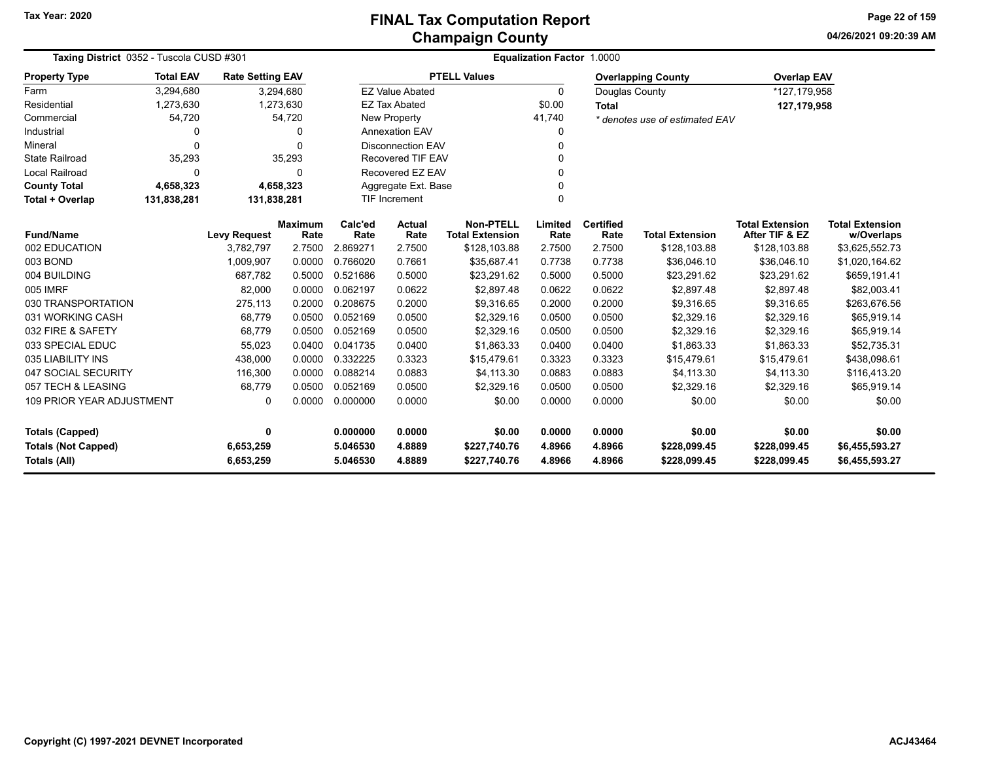**04/26/2021 09:20:39 AMPage 22 of 159**

| Taxing District 0352 - Tuscola CUSD #301                             | Equalization Factor 1.0000 |                         |                        |                      |                          |                                            |                  |                          |                                |                                          |                                      |
|----------------------------------------------------------------------|----------------------------|-------------------------|------------------------|----------------------|--------------------------|--------------------------------------------|------------------|--------------------------|--------------------------------|------------------------------------------|--------------------------------------|
| <b>Property Type</b>                                                 | <b>Total EAV</b>           | <b>Rate Setting EAV</b> |                        |                      |                          | <b>PTELL Values</b>                        |                  |                          | <b>Overlapping County</b>      | <b>Overlap EAV</b>                       |                                      |
| Farm                                                                 | 3,294,680                  |                         | 3,294,680              |                      | <b>EZ Value Abated</b>   |                                            | $\Omega$         | Douglas County           |                                | *127,179,958                             |                                      |
| Residential                                                          | 1,273,630                  |                         | 1,273,630              |                      | <b>EZ Tax Abated</b>     |                                            | \$0.00           | <b>Total</b>             |                                | 127,179,958                              |                                      |
| Commercial                                                           | 54,720                     |                         | 54,720                 |                      | New Property             |                                            | 41,740           |                          | * denotes use of estimated EAV |                                          |                                      |
| Industrial                                                           | 0                          |                         | $\Omega$               |                      | <b>Annexation EAV</b>    |                                            | 0                |                          |                                |                                          |                                      |
| Mineral                                                              | 0                          |                         | $\Omega$               |                      | <b>Disconnection EAV</b> |                                            | 0                |                          |                                |                                          |                                      |
| <b>State Railroad</b>                                                | 35,293                     |                         | 35,293                 |                      | <b>Recovered TIF EAV</b> |                                            | 0                |                          |                                |                                          |                                      |
| <b>Local Railroad</b>                                                | $\Omega$                   |                         | $\Omega$               |                      | Recovered EZ EAV         |                                            | $\Omega$         |                          |                                |                                          |                                      |
| <b>County Total</b>                                                  | 4,658,323                  |                         | 4,658,323              |                      | Aggregate Ext. Base      |                                            | 0                |                          |                                |                                          |                                      |
| Total + Overlap                                                      | 131,838,281                | 131,838,281             |                        |                      | <b>TIF Increment</b>     |                                            | $\Omega$         |                          |                                |                                          |                                      |
| <b>Fund/Name</b>                                                     |                            | <b>Levy Request</b>     | <b>Maximum</b><br>Rate | Calc'ed<br>Rate      | <b>Actual</b><br>Rate    | <b>Non-PTELL</b><br><b>Total Extension</b> | Limited<br>Rate  | <b>Certified</b><br>Rate | <b>Total Extension</b>         | <b>Total Extension</b><br>After TIF & EZ | <b>Total Extension</b><br>w/Overlaps |
| 002 EDUCATION                                                        |                            | 3,782,797               | 2.7500                 | 2.869271             | 2.7500                   | \$128,103.88                               | 2.7500           | 2.7500                   | \$128,103.88                   | \$128,103.88                             | \$3,625,552.73                       |
| 003 BOND                                                             |                            | 1,009,907               | 0.0000                 | 0.766020             | 0.7661                   | \$35,687.41                                | 0.7738           | 0.7738                   | \$36,046.10                    | \$36,046.10                              | \$1,020,164.62                       |
| 004 BUILDING                                                         |                            | 687,782                 | 0.5000                 | 0.521686             | 0.5000                   | \$23,291.62                                | 0.5000           | 0.5000                   | \$23,291.62                    | \$23,291.62                              | \$659,191.41                         |
| 005 IMRF                                                             |                            | 82,000                  | 0.0000                 | 0.062197             | 0.0622                   | \$2.897.48                                 | 0.0622           | 0.0622                   | \$2,897.48                     | \$2,897.48                               | \$82,003.41                          |
| 030 TRANSPORTATION                                                   |                            | 275,113                 | 0.2000                 | 0.208675             | 0.2000                   | \$9,316.65                                 | 0.2000           | 0.2000                   | \$9,316.65                     | \$9,316.65                               | \$263,676.56                         |
| 031 WORKING CASH                                                     |                            | 68,779                  | 0.0500                 | 0.052169             | 0.0500                   | \$2,329.16                                 | 0.0500           | 0.0500                   | \$2,329.16                     | \$2,329.16                               | \$65,919.14                          |
| 032 FIRE & SAFETY                                                    |                            | 68,779                  | 0.0500                 | 0.052169             | 0.0500                   | \$2,329.16                                 | 0.0500           | 0.0500                   | \$2,329.16                     | \$2,329.16                               | \$65,919.14                          |
| 033 SPECIAL EDUC                                                     |                            | 55,023                  | 0.0400                 | 0.041735             | 0.0400                   | \$1,863.33                                 | 0.0400           | 0.0400                   | \$1,863.33                     | \$1,863.33                               | \$52,735.31                          |
| 035 LIABILITY INS                                                    |                            | 438,000                 | 0.0000                 | 0.332225             | 0.3323                   | \$15,479.61                                | 0.3323           | 0.3323                   | \$15,479.61                    | \$15,479.61                              | \$438,098.61                         |
| 047 SOCIAL SECURITY                                                  |                            | 116,300                 | 0.0000                 | 0.088214             | 0.0883                   | \$4,113.30                                 | 0.0883           | 0.0883                   | \$4,113.30                     | \$4,113.30                               | \$116,413.20                         |
| 057 TECH & LEASING                                                   |                            | 68,779                  | 0.0500                 | 0.052169             | 0.0500                   | \$2,329.16                                 | 0.0500           | 0.0500                   | \$2,329.16                     | \$2,329.16                               | \$65,919.14                          |
| <b>109 PRIOR YEAR ADJUSTMENT</b><br>0                                |                            |                         | 0.0000                 | 0.000000             | 0.0000                   | \$0.00                                     | 0.0000           | 0.0000                   | \$0.00                         | \$0.00                                   | \$0.00                               |
| <b>Totals (Capped)</b><br>0                                          |                            |                         |                        | 0.000000             | 0.0000                   | \$0.00                                     | 0.0000           | 0.0000                   | \$0.00                         | \$0.00                                   | \$0.00                               |
| <b>Totals (Not Capped)</b><br>6,653,259<br>Totals (All)<br>6,653,259 |                            |                         |                        | 5.046530<br>5.046530 | 4.8889<br>4.8889         | \$227,740.76<br>\$227,740.76               | 4.8966<br>4.8966 | 4.8966<br>4.8966         | \$228,099.45<br>\$228,099.45   | \$228,099.45<br>\$228,099.45             | \$6,455,593.27<br>\$6,455,593.27     |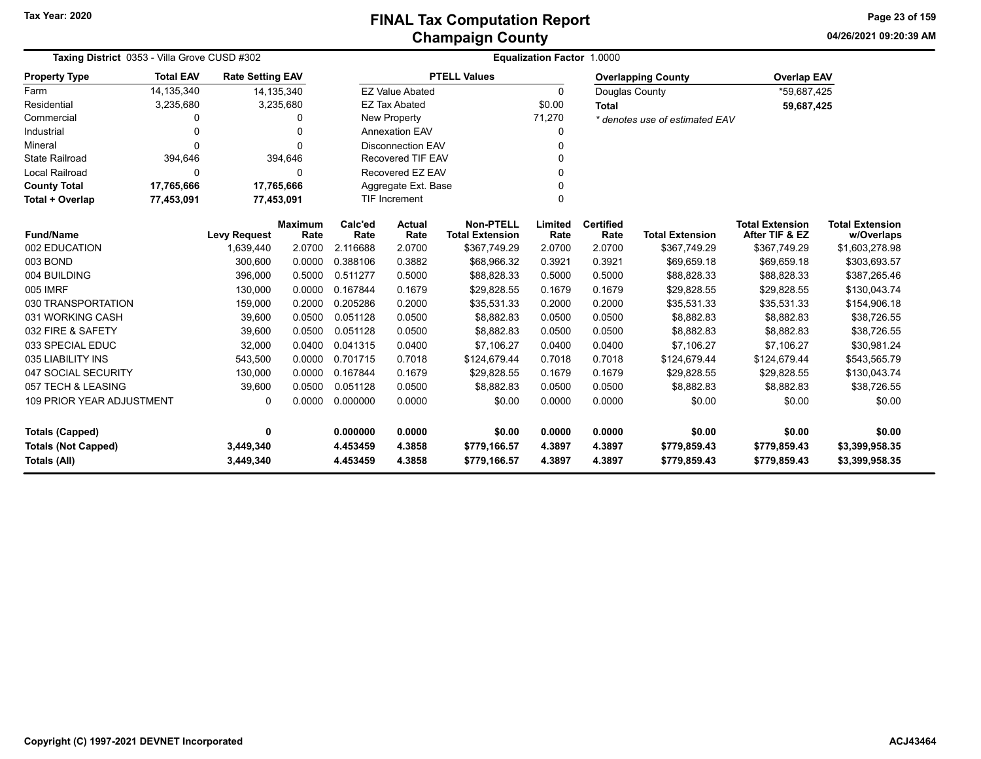**04/26/2021 09:20:39 AMPage 23 of 159**

| Taxing District 0353 - Villa Grove CUSD #302                                |                  |                         |                        | Equalization Factor 1.0000 |                           |                                     |                  |                          |                                |                                          |                                      |  |
|-----------------------------------------------------------------------------|------------------|-------------------------|------------------------|----------------------------|---------------------------|-------------------------------------|------------------|--------------------------|--------------------------------|------------------------------------------|--------------------------------------|--|
| <b>Property Type</b>                                                        | <b>Total EAV</b> | <b>Rate Setting EAV</b> |                        |                            |                           | <b>PTELL Values</b>                 |                  |                          | <b>Overlapping County</b>      | <b>Overlap EAV</b>                       |                                      |  |
| Farm                                                                        | 14,135,340       |                         | 14,135,340             |                            | <b>EZ Value Abated</b>    |                                     | $\Omega$         | Douglas County           |                                | *59,687,425                              |                                      |  |
| Residential                                                                 | 3,235,680        |                         | 3,235,680              |                            | <b>EZ Tax Abated</b>      |                                     | \$0.00           | <b>Total</b>             |                                | 59,687,425                               |                                      |  |
| Commercial                                                                  | $\Omega$         |                         | 0                      |                            | <b>New Property</b>       |                                     | 71,270           |                          | * denotes use of estimated EAV |                                          |                                      |  |
| Industrial                                                                  | $\mathbf{0}$     |                         | 0                      |                            | <b>Annexation EAV</b>     |                                     | 0                |                          |                                |                                          |                                      |  |
| Mineral                                                                     | $\Omega$         |                         | $\Omega$               |                            | <b>Disconnection EAV</b>  |                                     | $\Omega$         |                          |                                |                                          |                                      |  |
| <b>State Railroad</b>                                                       | 394,646          |                         | 394,646                |                            | <b>Recovered TIF EAV</b>  |                                     |                  |                          |                                |                                          |                                      |  |
| <b>Local Railroad</b>                                                       | 0                |                         | 0                      |                            | Recovered EZ EAV          |                                     |                  |                          |                                |                                          |                                      |  |
| <b>County Total</b>                                                         | 17,765,666       | 17,765,666              |                        |                            | Aggregate Ext. Base       |                                     | O                |                          |                                |                                          |                                      |  |
| <b>Total + Overlap</b>                                                      | 77,453,091       | 77,453,091              |                        |                            | TIF Increment<br>$\Omega$ |                                     |                  |                          |                                |                                          |                                      |  |
| <b>Fund/Name</b>                                                            |                  | <b>Levy Request</b>     | <b>Maximum</b><br>Rate | Calc'ed<br>Rate            | <b>Actual</b><br>Rate     | Non-PTELL<br><b>Total Extension</b> | Limited<br>Rate  | <b>Certified</b><br>Rate | <b>Total Extension</b>         | <b>Total Extension</b><br>After TIF & EZ | <b>Total Extension</b><br>w/Overlaps |  |
| 002 EDUCATION                                                               |                  | 1,639,440               | 2.0700                 | 2.116688                   | 2.0700                    | \$367,749.29                        | 2.0700           | 2.0700                   | \$367,749.29                   | \$367,749.29                             | \$1,603,278.98                       |  |
| 003 BOND                                                                    |                  | 300,600                 | 0.0000                 | 0.388106                   | 0.3882                    | \$68,966.32                         | 0.3921           | 0.3921                   | \$69,659.18                    | \$69,659.18                              | \$303,693.57                         |  |
| 004 BUILDING                                                                |                  | 396,000                 | 0.5000                 | 0.511277                   | 0.5000                    | \$88,828.33                         | 0.5000           | 0.5000                   | \$88,828.33                    | \$88,828.33                              | \$387,265.46                         |  |
| 005 IMRF                                                                    |                  | 130,000                 | 0.0000                 | 0.167844                   | 0.1679                    | \$29,828.55                         | 0.1679           | 0.1679                   | \$29,828.55                    | \$29,828.55                              | \$130,043.74                         |  |
| 030 TRANSPORTATION                                                          |                  | 159,000                 | 0.2000                 | 0.205286                   | 0.2000                    | \$35,531.33                         | 0.2000           | 0.2000                   | \$35,531.33                    | \$35,531.33                              | \$154,906.18                         |  |
| 031 WORKING CASH                                                            |                  | 39,600                  | 0.0500                 | 0.051128                   | 0.0500                    | \$8,882.83                          | 0.0500           | 0.0500                   | \$8,882.83                     | \$8,882.83                               | \$38,726.55                          |  |
| 032 FIRE & SAFETY                                                           |                  | 39,600                  | 0.0500                 | 0.051128                   | 0.0500                    | \$8.882.83                          | 0.0500           | 0.0500                   | \$8,882.83                     | \$8,882.83                               | \$38,726.55                          |  |
| 033 SPECIAL EDUC                                                            |                  | 32,000                  | 0.0400                 | 0.041315                   | 0.0400                    | \$7.106.27                          | 0.0400           | 0.0400                   | \$7.106.27                     | \$7,106.27                               | \$30,981.24                          |  |
| 035 LIABILITY INS                                                           |                  | 543,500                 | 0.0000                 | 0.701715                   | 0.7018                    | \$124,679.44                        | 0.7018           | 0.7018                   | \$124,679.44                   | \$124,679.44                             | \$543,565.79                         |  |
| 047 SOCIAL SECURITY                                                         |                  | 130,000                 | 0.0000                 | 0.167844                   | 0.1679                    | \$29,828.55                         | 0.1679           | 0.1679                   | \$29,828.55                    | \$29,828.55                              | \$130,043.74                         |  |
| 057 TECH & LEASING                                                          |                  | 39,600                  | 0.0500                 | 0.051128                   | 0.0500                    | \$8,882.83                          | 0.0500           | 0.0500                   | \$8,882.83                     | \$8,882.83                               | \$38,726.55                          |  |
| <b>109 PRIOR YEAR ADJUSTMENT</b><br>$\Omega$                                |                  |                         | 0.0000                 | 0.000000                   | 0.0000                    | \$0.00                              | 0.0000           | 0.0000                   | \$0.00                         | \$0.00                                   | \$0.00                               |  |
| <b>Totals (Capped)</b><br>0                                                 |                  |                         | 0.000000               | 0.0000                     | \$0.00                    | 0.0000                              | 0.0000           | \$0.00                   | \$0.00                         | \$0.00                                   |                                      |  |
| <b>Totals (Not Capped)</b><br>3,449,340<br><b>Totals (All)</b><br>3,449,340 |                  |                         |                        | 4.453459<br>4.453459       | 4.3858<br>4.3858          | \$779,166.57<br>\$779,166.57        | 4.3897<br>4.3897 | 4.3897<br>4.3897         | \$779,859.43<br>\$779,859.43   | \$779,859.43<br>\$779,859.43             | \$3,399,958.35<br>\$3,399,958.35     |  |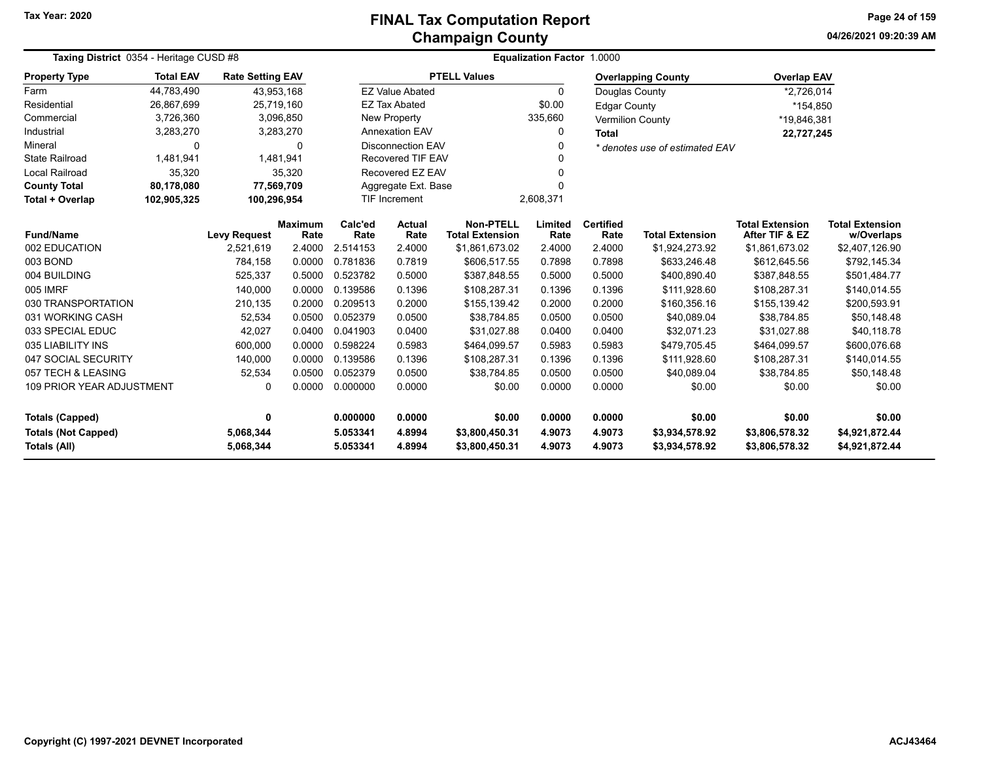**Tax Year: 2020**

# **Champaign County FINAL Tax Computation Report**

**04/26/2021 09:20:39 AMPage 24 of 159**

| Taxing District 0354 - Heritage CUSD #8 |                  | Equalization Factor 1.0000 |                        |                                      |                                   |                                            |                 |                                |                           |                                          |                                      |
|-----------------------------------------|------------------|----------------------------|------------------------|--------------------------------------|-----------------------------------|--------------------------------------------|-----------------|--------------------------------|---------------------------|------------------------------------------|--------------------------------------|
| <b>Property Type</b>                    | <b>Total EAV</b> | <b>Rate Setting EAV</b>    |                        |                                      |                                   | <b>PTELL Values</b>                        |                 |                                | <b>Overlapping County</b> | <b>Overlap EAV</b>                       |                                      |
| Farm                                    | 44,783,490       |                            | 43,953,168             |                                      | <b>EZ Value Abated</b>            |                                            | $\Omega$        | Douglas County                 |                           | *2,726,014                               |                                      |
| Residential                             | 26,867,699       |                            | 25,719,160             |                                      | <b>EZ Tax Abated</b>              |                                            | \$0.00          | <b>Edgar County</b>            |                           | *154,850                                 |                                      |
| Commercial                              | 3,726,360        |                            | 3,096,850              |                                      | New Property                      |                                            | 335,660         |                                | <b>Vermilion County</b>   | *19,846,381                              |                                      |
| Industrial                              | 3,283,270        |                            | 3,283,270              |                                      | <b>Annexation EAV</b><br>0        |                                            |                 | <b>Total</b>                   |                           | 22,727,245                               |                                      |
| Mineral                                 | $\mathbf{0}$     |                            | 0                      | <b>Disconnection EAV</b><br>$\Omega$ |                                   |                                            |                 | * denotes use of estimated EAV |                           |                                          |                                      |
| <b>State Railroad</b>                   | 1,481,941        |                            | 1,481,941              |                                      | <b>Recovered TIF EAV</b>          |                                            |                 |                                |                           |                                          |                                      |
| Local Railroad                          | 35,320           |                            | 35,320                 |                                      | Recovered EZ EAV<br>$\Omega$      |                                            |                 |                                |                           |                                          |                                      |
| <b>County Total</b>                     | 80,178,080       |                            | 77,569,709             |                                      | Aggregate Ext. Base<br>O          |                                            |                 |                                |                           |                                          |                                      |
| Total + Overlap                         | 102,905,325      | 100,296,954                |                        |                                      | <b>TIF Increment</b><br>2,608,371 |                                            |                 |                                |                           |                                          |                                      |
| <b>Fund/Name</b>                        |                  | <b>Levy Request</b>        | <b>Maximum</b><br>Rate | Calc'ed<br>Rate                      | <b>Actual</b><br>Rate             | <b>Non-PTELL</b><br><b>Total Extension</b> | Limited<br>Rate | <b>Certified</b><br>Rate       | <b>Total Extension</b>    | <b>Total Extension</b><br>After TIF & EZ | <b>Total Extension</b><br>w/Overlaps |
| 002 EDUCATION                           |                  | 2,521,619                  | 2.4000                 | 2.514153                             | 2.4000                            | \$1,861,673.02                             | 2.4000          | 2.4000                         | \$1,924,273.92            | \$1,861,673.02                           | \$2,407,126.90                       |
| 003 BOND                                |                  | 784,158                    | 0.0000                 | 0.781836                             | 0.7819                            | \$606,517.55                               | 0.7898          | 0.7898                         | \$633,246.48              | \$612,645.56                             | \$792,145.34                         |
| 004 BUILDING                            |                  | 525,337                    | 0.5000                 | 0.523782                             | 0.5000                            | \$387,848.55                               | 0.5000          | 0.5000                         | \$400,890.40              | \$387,848.55                             | \$501,484.77                         |
| 005 IMRF                                |                  | 140,000                    | 0.0000                 | 0.139586                             | 0.1396                            | \$108,287.31                               | 0.1396          | 0.1396                         | \$111,928.60              | \$108,287.31                             | \$140,014.55                         |
| 030 TRANSPORTATION                      |                  | 210,135                    | 0.2000                 | 0.209513                             | 0.2000                            | \$155,139.42                               | 0.2000          | 0.2000                         | \$160,356.16              | \$155,139.42                             | \$200,593.91                         |
| 031 WORKING CASH                        |                  | 52,534                     | 0.0500                 | 0.052379                             | 0.0500                            | \$38.784.85                                | 0.0500          | 0.0500                         | \$40,089.04               | \$38,784.85                              | \$50,148.48                          |
| 033 SPECIAL EDUC                        |                  | 42,027                     | 0.0400                 | 0.041903                             | 0.0400                            | \$31,027.88                                | 0.0400          | 0.0400                         | \$32,071.23               | \$31,027.88                              | \$40,118.78                          |
| 035 LIABILITY INS                       |                  | 600,000                    | 0.0000                 | 0.598224                             | 0.5983                            | \$464,099.57                               | 0.5983          | 0.5983                         | \$479,705.45              | \$464.099.57                             | \$600,076.68                         |
| 047 SOCIAL SECURITY                     |                  | 140,000                    | 0.0000                 | 0.139586                             | 0.1396                            | \$108,287.31                               | 0.1396          | 0.1396                         | \$111,928.60              | \$108,287.31                             | \$140,014.55                         |
| 057 TECH & LEASING                      |                  | 52,534                     | 0.0500                 | 0.052379                             | 0.0500                            | \$38,784.85                                | 0.0500          | 0.0500                         | \$40.089.04               | \$38.784.85                              | \$50,148.48                          |
| 109 PRIOR YEAR ADJUSTMENT               |                  | 0                          | 0.0000                 | 0.000000                             | 0.0000                            | \$0.00                                     | 0.0000          | 0.0000                         | \$0.00                    | \$0.00                                   | \$0.00                               |
| <b>Totals (Capped)</b>                  |                  | 0                          |                        | 0.000000                             | 0.0000                            | \$0.00                                     | 0.0000          | 0.0000                         | \$0.00                    | \$0.00                                   | \$0.00                               |
| <b>Totals (Not Capped)</b>              |                  | 5,068,344                  |                        | 5.053341                             | 4.8994                            | \$3,800,450.31                             | 4.9073          | 4.9073                         | \$3,934,578.92            | \$3,806,578.32                           | \$4,921,872.44                       |
| Totals (All)<br>5,068,344               |                  |                            | 5.053341               | 4.8994                               | \$3,800,450.31                    | 4.9073                                     | 4.9073          | \$3,934,578.92                 | \$3,806,578.32            | \$4,921,872.44                           |                                      |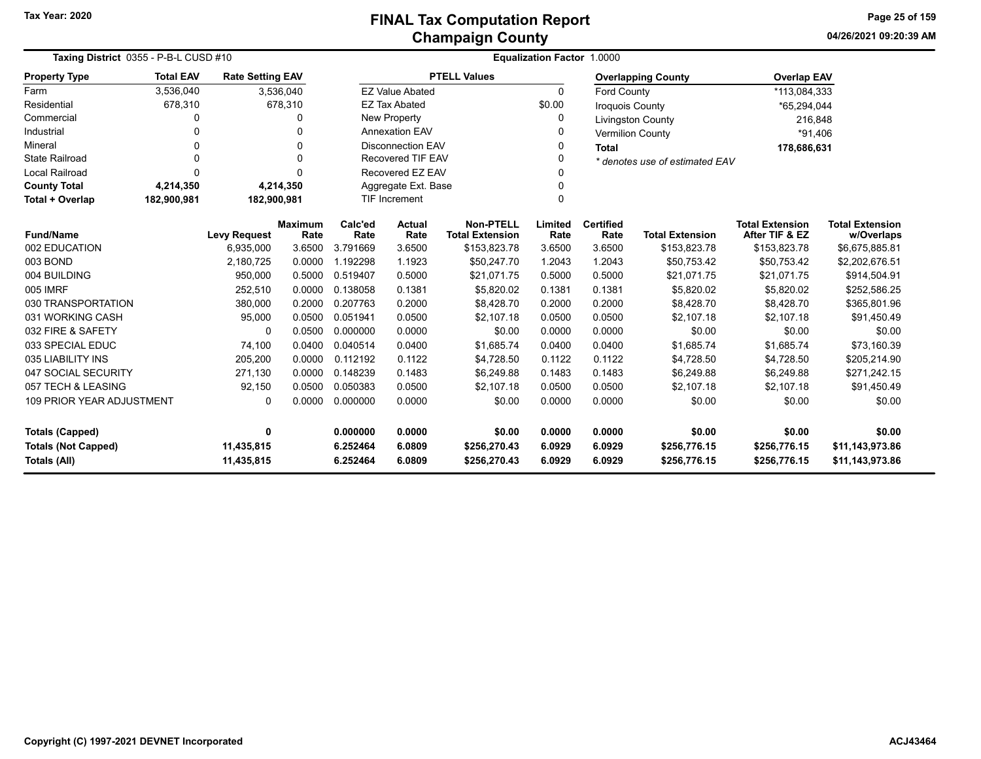|                                   | Taxing District 0355 - P-B-L CUSD #10 |                         |                        |                 |                          |                                            | <b>Equalization Factor 1.0000</b> |                          |                                |                                          |                                      |
|-----------------------------------|---------------------------------------|-------------------------|------------------------|-----------------|--------------------------|--------------------------------------------|-----------------------------------|--------------------------|--------------------------------|------------------------------------------|--------------------------------------|
| <b>Property Type</b>              | <b>Total EAV</b>                      | <b>Rate Setting EAV</b> |                        |                 |                          | <b>PTELL Values</b>                        |                                   |                          | <b>Overlapping County</b>      | <b>Overlap EAV</b>                       |                                      |
| Farm                              | 3,536,040                             |                         | 3,536,040              |                 | <b>EZ Value Abated</b>   |                                            | $\Omega$                          | Ford County              |                                | *113,084,333                             |                                      |
| Residential                       | 678,310                               |                         | 678,310                |                 | <b>EZ Tax Abated</b>     |                                            | \$0.00                            | <b>Iroquois County</b>   |                                | *65,294,044                              |                                      |
| Commercial                        | 0                                     |                         | $\Omega$               |                 | <b>New Property</b>      |                                            | 0                                 |                          | <b>Livingston County</b>       | 216,848                                  |                                      |
| Industrial                        | $\Omega$                              |                         | $\Omega$               |                 | <b>Annexation EAV</b>    |                                            | 0                                 |                          | <b>Vermilion County</b>        | *91.406                                  |                                      |
| Mineral                           | O                                     |                         | $\Omega$               |                 | <b>Disconnection EAV</b> |                                            | 0                                 | <b>Total</b>             |                                | 178,686,631                              |                                      |
| <b>State Railroad</b>             | $\Omega$                              |                         | $\Omega$               |                 | <b>Recovered TIF EAV</b> |                                            | 0                                 |                          | * denotes use of estimated EAV |                                          |                                      |
| Local Railroad                    | $\Omega$                              |                         | $\Omega$               |                 | Recovered EZ EAV         |                                            | 0                                 |                          |                                |                                          |                                      |
| <b>County Total</b>               | 4,214,350                             |                         | 4,214,350              |                 | Aggregate Ext. Base      |                                            | 0                                 |                          |                                |                                          |                                      |
| Total + Overlap                   | 182,900,981                           | 182,900,981             |                        |                 | <b>TIF Increment</b>     |                                            | 0                                 |                          |                                |                                          |                                      |
| <b>Fund/Name</b>                  |                                       | <b>Levy Request</b>     | <b>Maximum</b><br>Rate | Calc'ed<br>Rate | <b>Actual</b><br>Rate    | <b>Non-PTELL</b><br><b>Total Extension</b> | Limited<br>Rate                   | <b>Certified</b><br>Rate | <b>Total Extension</b>         | <b>Total Extension</b><br>After TIF & EZ | <b>Total Extension</b><br>w/Overlaps |
| 002 EDUCATION                     |                                       | 6,935,000               | 3.6500                 | 3.791669        | 3.6500                   | \$153,823.78                               | 3.6500                            | 3.6500                   | \$153,823.78                   | \$153,823.78                             | \$6,675,885.81                       |
| 003 BOND                          |                                       | 2,180,725               | 0.0000                 | 1.192298        | 1.1923                   | \$50,247.70                                | 1.2043                            | 1.2043                   | \$50,753.42                    | \$50,753.42                              | \$2,202,676.51                       |
| 004 BUILDING                      |                                       | 950,000                 | 0.5000                 | 0.519407        | 0.5000                   | \$21,071.75                                | 0.5000                            | 0.5000                   | \$21,071.75                    | \$21,071.75                              | \$914,504.91                         |
| <b>005 IMRF</b>                   |                                       | 252,510                 | 0.0000                 | 0.138058        | 0.1381                   | \$5,820.02                                 | 0.1381                            | 0.1381                   | \$5,820.02                     | \$5,820.02                               | \$252,586.25                         |
| 030 TRANSPORTATION                |                                       | 380,000                 | 0.2000                 | 0.207763        | 0.2000                   | \$8.428.70                                 | 0.2000                            | 0.2000                   | \$8.428.70                     | \$8.428.70                               | \$365,801.96                         |
| 031 WORKING CASH                  |                                       | 95,000                  | 0.0500                 | 0.051941        | 0.0500                   | \$2.107.18                                 | 0.0500                            | 0.0500                   | \$2.107.18                     | \$2,107.18                               | \$91,450.49                          |
| 032 FIRE & SAFETY                 |                                       | $\Omega$                | 0.0500                 | 0.000000        | 0.0000                   | \$0.00                                     | 0.0000                            | 0.0000                   | \$0.00                         | \$0.00                                   | \$0.00                               |
| 033 SPECIAL EDUC                  |                                       | 74,100                  | 0.0400                 | 0.040514        | 0.0400                   | \$1,685.74                                 | 0.0400                            | 0.0400                   | \$1,685.74                     | \$1,685.74                               | \$73,160.39                          |
| 035 LIABILITY INS                 |                                       | 205,200                 | 0.0000                 | 0.112192        | 0.1122                   | \$4,728.50                                 | 0.1122                            | 0.1122                   | \$4,728.50                     | \$4,728.50                               | \$205,214.90                         |
| 047 SOCIAL SECURITY               |                                       | 271,130                 | 0.0000                 | 0.148239        | 0.1483                   | \$6,249.88                                 | 0.1483                            | 0.1483                   | \$6,249.88                     | \$6,249.88                               | \$271,242.15                         |
| 057 TECH & LEASING                |                                       | 92,150                  | 0.0500                 | 0.050383        | 0.0500                   | \$2.107.18                                 | 0.0500                            | 0.0500                   | \$2.107.18                     | \$2.107.18                               | \$91,450.49                          |
| <b>109 PRIOR YEAR ADJUSTMENT</b>  |                                       | $\mathbf{0}$            | 0.0000                 | 0.000000        | 0.0000                   | \$0.00                                     | 0.0000                            | 0.0000                   | \$0.00                         | \$0.00                                   | \$0.00                               |
| <b>Totals (Capped)</b>            |                                       | 0                       |                        | 0.000000        | 0.0000                   | \$0.00                                     | 0.0000                            | 0.0000                   | \$0.00                         | \$0.00                                   | \$0.00                               |
| <b>Totals (Not Capped)</b>        |                                       | 11,435,815              |                        | 6.252464        | 6.0809                   | \$256,270.43                               | 6.0929                            | 6.0929                   | \$256,776.15                   | \$256,776.15                             | \$11,143,973.86                      |
| 11,435,815<br><b>Totals (All)</b> |                                       |                         | 6.252464               | 6.0809          | \$256,270.43             | 6.0929                                     | 6.0929                            | \$256,776.15             | \$256,776.15                   | \$11,143,973.86                          |                                      |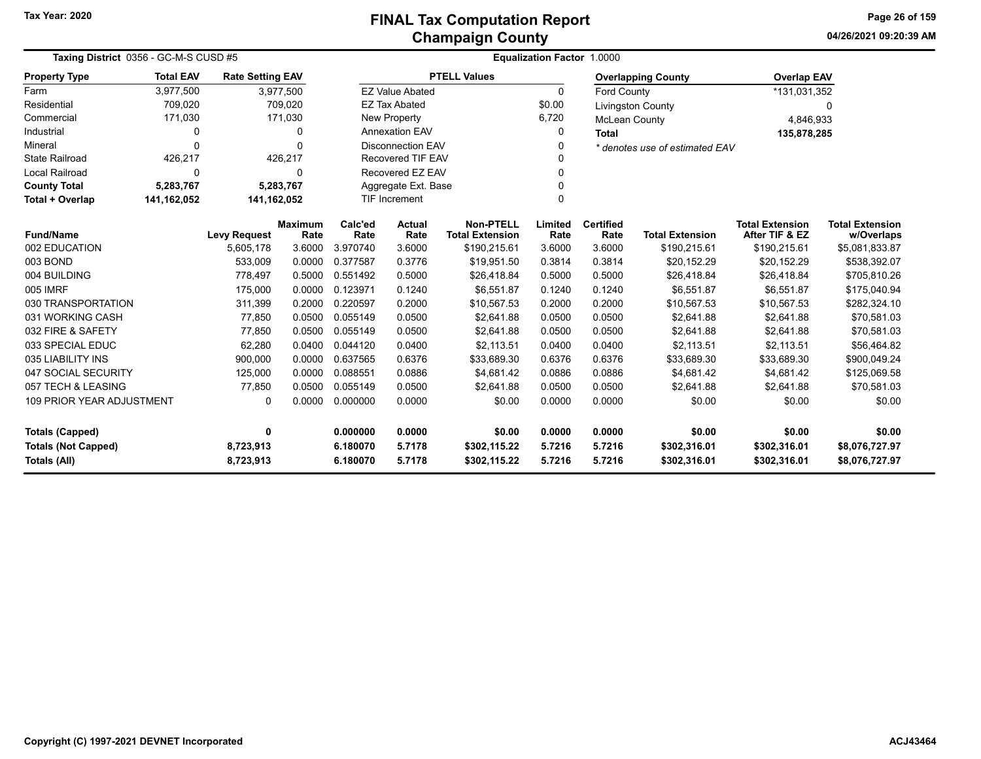**04/26/2021 09:20:39 AMPage 26 of 159**

|                                              | Taxing District 0356 - GC-M-S CUSD #5 |                         |                        |                 |                          | <b>Equalization Factor 1.0000</b>          |                 |                          |                                |                                          |                                      |  |  |  |
|----------------------------------------------|---------------------------------------|-------------------------|------------------------|-----------------|--------------------------|--------------------------------------------|-----------------|--------------------------|--------------------------------|------------------------------------------|--------------------------------------|--|--|--|
| <b>Property Type</b>                         | <b>Total EAV</b>                      | <b>Rate Setting EAV</b> |                        |                 |                          | <b>PTELL Values</b>                        |                 |                          | <b>Overlapping County</b>      | <b>Overlap EAV</b>                       |                                      |  |  |  |
| Farm                                         | 3,977,500                             |                         | 3,977,500              |                 | <b>EZ Value Abated</b>   |                                            | 0               | <b>Ford County</b>       |                                | *131,031,352                             |                                      |  |  |  |
| Residential                                  | 709,020                               |                         | 709,020                |                 | <b>EZ Tax Abated</b>     |                                            | \$0.00          |                          | <b>Livingston County</b>       |                                          | 0                                    |  |  |  |
| Commercial                                   | 171,030                               |                         | 171,030                |                 | New Property             |                                            | 6,720           | <b>McLean County</b>     |                                | 4,846,933                                |                                      |  |  |  |
| Industrial                                   | $\Omega$                              |                         | $\Omega$               |                 | <b>Annexation EAV</b>    |                                            | 0               | <b>Total</b>             |                                | 135,878,285                              |                                      |  |  |  |
| Mineral                                      | $\Omega$                              |                         | $\Omega$               |                 | <b>Disconnection EAV</b> |                                            | 0               |                          | * denotes use of estimated EAV |                                          |                                      |  |  |  |
| <b>State Railroad</b>                        | 426,217                               |                         | 426,217                |                 | Recovered TIF EAV        |                                            |                 |                          |                                |                                          |                                      |  |  |  |
| <b>Local Railroad</b>                        | $\Omega$                              |                         | 0                      |                 | Recovered EZ EAV         |                                            | 0               |                          |                                |                                          |                                      |  |  |  |
| <b>County Total</b>                          | 5,283,767                             |                         | 5.283.767              |                 | Aggregate Ext. Base      |                                            | 0               |                          |                                |                                          |                                      |  |  |  |
| <b>Total + Overlap</b>                       | 141,162,052                           | 141,162,052             |                        |                 | <b>TIF Increment</b>     |                                            | 0               |                          |                                |                                          |                                      |  |  |  |
| <b>Fund/Name</b>                             |                                       | <b>Levy Request</b>     | <b>Maximum</b><br>Rate | Calc'ed<br>Rate | <b>Actual</b><br>Rate    | <b>Non-PTELL</b><br><b>Total Extension</b> | Limited<br>Rate | <b>Certified</b><br>Rate | <b>Total Extension</b>         | <b>Total Extension</b><br>After TIF & EZ | <b>Total Extension</b><br>w/Overlaps |  |  |  |
| 002 EDUCATION                                |                                       | 5,605,178               | 3.6000                 | 3.970740        | 3.6000                   | \$190,215.61                               | 3.6000          | 3.6000                   | \$190,215.61                   | \$190,215.61                             | \$5,081,833.87                       |  |  |  |
| 003 BOND                                     |                                       | 533,009                 | 0.0000                 | 0.377587        | 0.3776                   | \$19,951.50                                | 0.3814          | 0.3814                   | \$20,152.29                    | \$20,152.29                              | \$538,392.07                         |  |  |  |
| 004 BUILDING                                 |                                       | 778,497                 | 0.5000                 | 0.551492        | 0.5000                   | \$26,418.84                                | 0.5000          | 0.5000                   | \$26,418.84                    | \$26,418.84                              | \$705,810.26                         |  |  |  |
| 005 IMRF                                     |                                       | 175,000                 | 0.0000                 | 0.123971        | 0.1240                   | \$6,551.87                                 | 0.1240          | 0.1240                   | \$6,551.87                     | \$6,551.87                               | \$175,040.94                         |  |  |  |
| 030 TRANSPORTATION                           |                                       | 311,399                 | 0.2000                 | 0.220597        | 0.2000                   | \$10,567.53                                | 0.2000          | 0.2000                   | \$10,567.53                    | \$10,567.53                              | \$282,324.10                         |  |  |  |
| 031 WORKING CASH                             |                                       | 77,850                  | 0.0500                 | 0.055149        | 0.0500                   | \$2,641.88                                 | 0.0500          | 0.0500                   | \$2,641.88                     | \$2,641.88                               | \$70,581.03                          |  |  |  |
| 032 FIRE & SAFETY                            |                                       | 77,850                  | 0.0500                 | 0.055149        | 0.0500                   | \$2,641.88                                 | 0.0500          | 0.0500                   | \$2,641.88                     | \$2,641.88                               | \$70,581.03                          |  |  |  |
| 033 SPECIAL EDUC                             |                                       | 62,280                  | 0.0400                 | 0.044120        | 0.0400                   | \$2,113.51                                 | 0.0400          | 0.0400                   | \$2,113.51                     | \$2,113.51                               | \$56,464.82                          |  |  |  |
| 035 LIABILITY INS                            |                                       | 900,000                 | 0.0000                 | 0.637565        | 0.6376                   | \$33,689.30                                | 0.6376          | 0.6376                   | \$33,689.30                    | \$33,689.30                              | \$900,049.24                         |  |  |  |
| 047 SOCIAL SECURITY                          |                                       | 125,000                 | 0.0000                 | 0.088551        | 0.0886                   | \$4,681.42                                 | 0.0886          | 0.0886                   | \$4,681.42                     | \$4,681.42                               | \$125,069.58                         |  |  |  |
| 057 TECH & LEASING                           |                                       | 77,850                  | 0.0500                 | 0.055149        | 0.0500                   | \$2.641.88                                 | 0.0500          | 0.0500                   | \$2,641.88                     | \$2,641.88                               | \$70,581.03                          |  |  |  |
| <b>109 PRIOR YEAR ADJUSTMENT</b><br>$\Omega$ |                                       |                         | 0.0000                 | 0.000000        | 0.0000                   | \$0.00                                     | 0.0000          | 0.0000                   | \$0.00                         | \$0.00                                   | \$0.00                               |  |  |  |
| <b>Totals (Capped)</b><br>$\mathbf 0$        |                                       |                         | 0.000000               | 0.0000          | \$0.00                   | 0.0000                                     | 0.0000          | \$0.00                   | \$0.00                         | \$0.00                                   |                                      |  |  |  |
| <b>Totals (Not Capped)</b><br>8,723,913      |                                       |                         | 6.180070               | 5.7178          | \$302,115.22             | 5.7216                                     | 5.7216          | \$302,316.01             | \$302,316.01                   | \$8,076,727.97                           |                                      |  |  |  |
| <b>Totals (All)</b><br>8,723,913             |                                       |                         |                        | 6.180070        | 5.7178                   | \$302,115.22                               | 5.7216          | 5.7216                   | \$302,316.01                   | \$302,316.01                             | \$8,076,727.97                       |  |  |  |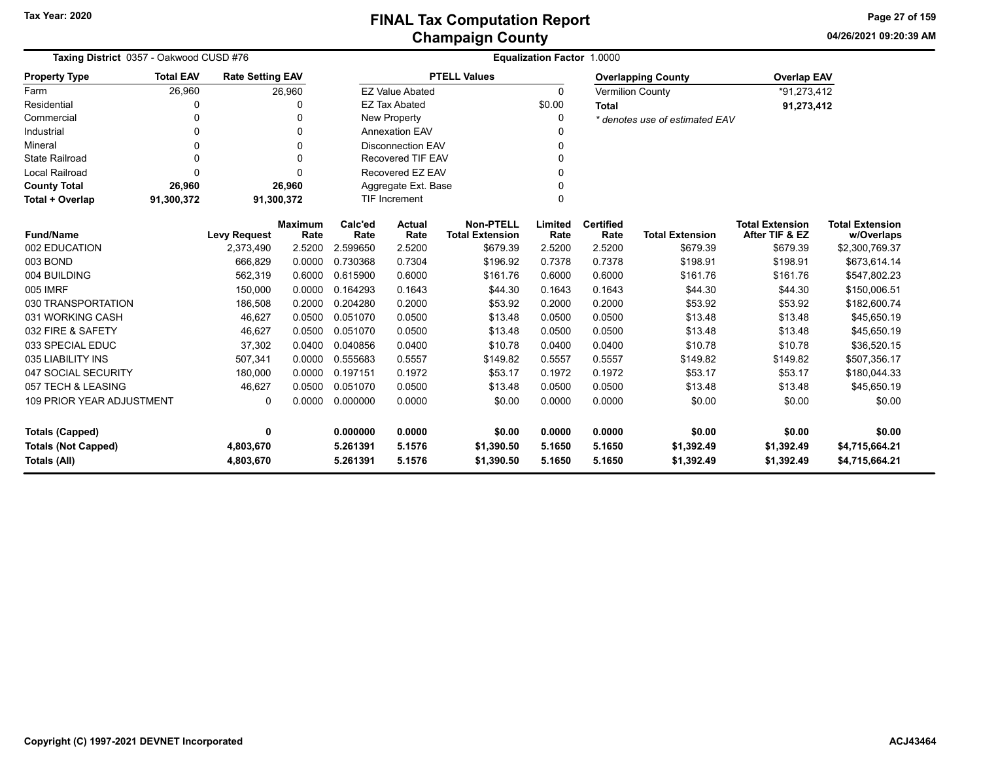**04/26/2021 09:20:39 AM Page 27 of 159**

| Taxing District 0357 - Oakwood CUSD #76                                |                  |                         |                        | <b>Equalization Factor 1.0000</b> |                        |                                            |                      |                          |                                |                                          |                                      |  |  |
|------------------------------------------------------------------------|------------------|-------------------------|------------------------|-----------------------------------|------------------------|--------------------------------------------|----------------------|--------------------------|--------------------------------|------------------------------------------|--------------------------------------|--|--|
| <b>Property Type</b>                                                   | <b>Total EAV</b> | <b>Rate Setting EAV</b> |                        |                                   |                        | <b>PTELL Values</b>                        |                      |                          | <b>Overlapping County</b>      | <b>Overlap EAV</b>                       |                                      |  |  |
| Farm                                                                   | 26,960           |                         | 26,960                 |                                   | <b>EZ Value Abated</b> |                                            | $\Omega$             |                          | <b>Vermilion County</b>        | *91,273,412                              |                                      |  |  |
| Residential                                                            | 0                |                         |                        |                                   | <b>EZ Tax Abated</b>   |                                            | \$0.00               | <b>Total</b>             |                                | 91,273,412                               |                                      |  |  |
| Commercial                                                             | 0                |                         | 0                      |                                   | New Property           |                                            | 0                    |                          | * denotes use of estimated EAV |                                          |                                      |  |  |
| Industrial                                                             | 0                |                         | $\Omega$               |                                   | <b>Annexation EAV</b>  |                                            | O                    |                          |                                |                                          |                                      |  |  |
| Mineral                                                                | 0                |                         | $\Omega$               | <b>Disconnection EAV</b>          |                        |                                            |                      |                          |                                |                                          |                                      |  |  |
| <b>State Railroad</b>                                                  | 0                |                         | $\Omega$               | <b>Recovered TIF EAV</b>          |                        |                                            | $\mathbf{0}$         |                          |                                |                                          |                                      |  |  |
| Local Railroad                                                         | $\Omega$         |                         |                        | Recovered EZ EAV                  |                        |                                            | $\Omega$             |                          |                                |                                          |                                      |  |  |
| <b>County Total</b>                                                    | 26,960           |                         | 26,960                 |                                   | Aggregate Ext. Base    |                                            |                      |                          |                                |                                          |                                      |  |  |
| Total + Overlap                                                        | 91,300,372       |                         | 91,300,372             | <b>TIF Increment</b>              |                        |                                            |                      |                          |                                |                                          |                                      |  |  |
| <b>Fund/Name</b>                                                       |                  | <b>Levy Request</b>     | <b>Maximum</b><br>Rate | Calc'ed<br>Rate                   | <b>Actual</b><br>Rate  | <b>Non-PTELL</b><br><b>Total Extension</b> | Limited<br>Rate      | <b>Certified</b><br>Rate | <b>Total Extension</b>         | <b>Total Extension</b><br>After TIF & EZ | <b>Total Extension</b><br>w/Overlaps |  |  |
| 002 EDUCATION                                                          |                  | 2,373,490               | 2.5200                 | 2.599650                          | 2.5200                 | \$679.39                                   | 2.5200               | 2.5200                   | \$679.39                       | \$679.39                                 | \$2,300,769.37                       |  |  |
| 003 BOND                                                               |                  | 666,829                 | 0.0000                 | 0.730368                          | 0.7304                 | \$196.92                                   | 0.7378               | 0.7378                   | \$198.91                       | \$198.91                                 | \$673,614.14                         |  |  |
| 004 BUILDING                                                           |                  | 562,319                 | 0.6000                 | 0.615900                          | 0.6000                 | \$161.76                                   | 0.6000               | 0.6000                   | \$161.76                       | \$161.76                                 | \$547,802.23                         |  |  |
| 005 IMRF                                                               |                  | 150,000                 | 0.0000                 | 0.164293                          | 0.1643                 | \$44.30                                    | 0.1643               | 0.1643                   | \$44.30                        | \$44.30                                  | \$150,006.51                         |  |  |
| 030 TRANSPORTATION                                                     |                  | 186,508                 | 0.2000                 | 0.204280                          | 0.2000                 | \$53.92                                    | 0.2000               | 0.2000                   | \$53.92                        | \$53.92                                  | \$182,600.74                         |  |  |
| 031 WORKING CASH                                                       |                  | 46,627                  | 0.0500                 | 0.051070                          | 0.0500                 | \$13.48                                    | 0.0500               | 0.0500                   | \$13.48                        | \$13.48                                  | \$45,650.19                          |  |  |
| 032 FIRE & SAFETY                                                      |                  | 46,627                  | 0.0500                 | 0.051070                          | 0.0500                 | \$13.48                                    | 0.0500               | 0.0500                   | \$13.48                        | \$13.48                                  | \$45,650.19                          |  |  |
| 033 SPECIAL EDUC                                                       |                  | 37,302                  | 0.0400                 | 0.040856                          | 0.0400                 | \$10.78                                    | 0.0400               | 0.0400                   | \$10.78                        | \$10.78                                  | \$36,520.15                          |  |  |
| 035 LIABILITY INS                                                      |                  | 507,341                 | 0.0000                 | 0.555683                          | 0.5557                 | \$149.82                                   | 0.5557               | 0.5557                   | \$149.82                       | \$149.82                                 | \$507,356.17                         |  |  |
| 047 SOCIAL SECURITY                                                    |                  | 180,000                 | 0.0000                 | 0.197151                          | 0.1972                 | \$53.17                                    | 0.1972               | 0.1972                   | \$53.17                        | \$53.17                                  | \$180,044.33                         |  |  |
| 057 TECH & LEASING                                                     |                  | 46,627                  | 0.0500                 | 0.051070                          | 0.0500                 | \$13.48                                    | 0.0500               | 0.0500                   | \$13.48                        | \$13.48                                  | \$45,650.19                          |  |  |
| <b>109 PRIOR YEAR ADJUSTMENT</b>                                       |                  | 0                       | 0.0000                 | 0.000000                          | 0.0000                 | \$0.00                                     | 0.0000               | 0.0000                   | \$0.00                         | \$0.00                                   | \$0.00                               |  |  |
| 0<br><b>Totals (Capped)</b><br><b>Totals (Not Capped)</b><br>4,803,670 |                  | 0.000000<br>5.261391    | 0.0000<br>5.1576       | \$0.00<br>\$1,390.50              | 0.0000<br>5.1650       | 0.0000<br>5.1650                           | \$0.00<br>\$1,392.49 | \$0.00<br>\$1,392.49     | \$0.00<br>\$4,715,664.21       |                                          |                                      |  |  |
| Totals (All)<br>4,803,670                                              |                  |                         |                        | 5.261391                          | 5.1576                 | \$1,390.50                                 | 5.1650               | 5.1650                   | \$1,392.49                     | \$1,392.49                               | \$4,715,664.21                       |  |  |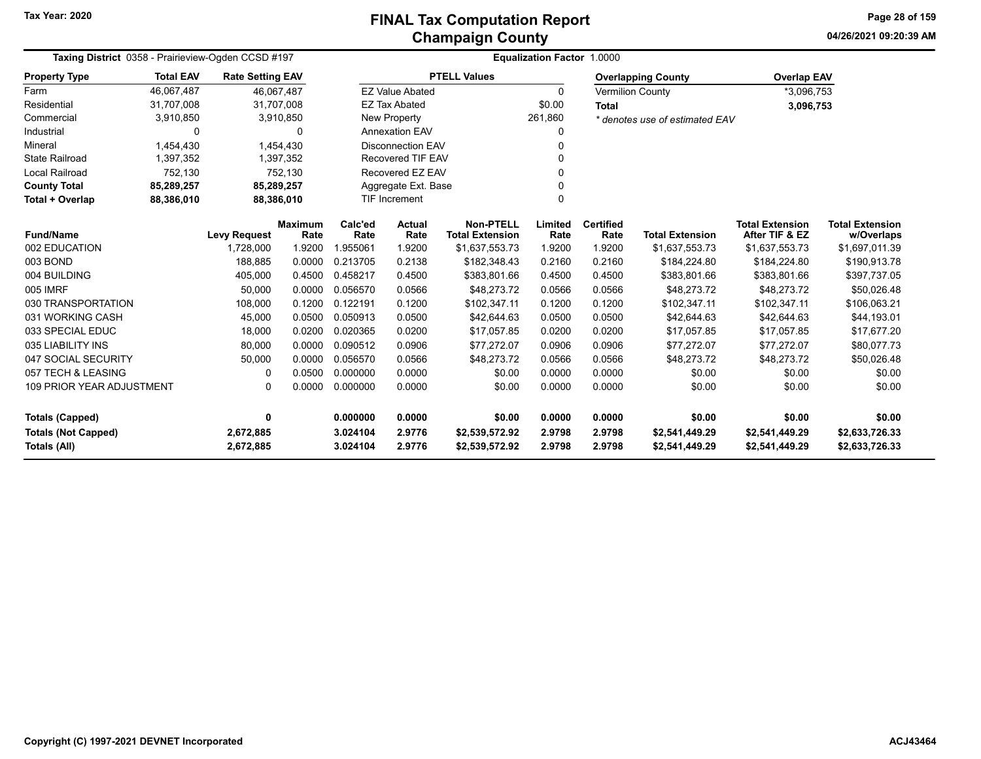**04/26/2021 09:20:39 AMPage 28 of 159**

| Taxing District 0358 - Prairieview-Ogden CCSD #197 |                     |                         |                        | Equalization Factor 1.0000 |                          |                                            |                  |                          |                                  |                                          |                                      |  |  |
|----------------------------------------------------|---------------------|-------------------------|------------------------|----------------------------|--------------------------|--------------------------------------------|------------------|--------------------------|----------------------------------|------------------------------------------|--------------------------------------|--|--|
| <b>Property Type</b>                               | <b>Total EAV</b>    | <b>Rate Setting EAV</b> |                        |                            |                          | <b>PTELL Values</b>                        |                  |                          | <b>Overlapping County</b>        | <b>Overlap EAV</b>                       |                                      |  |  |
| Farm                                               | 46,067,487          | 46,067,487              |                        |                            | <b>EZ Value Abated</b>   |                                            | $\Omega$         |                          | <b>Vermilion County</b>          | *3,096,753                               |                                      |  |  |
| Residential                                        | 31,707,008          | 31,707,008              |                        |                            | <b>EZ Tax Abated</b>     |                                            | \$0.00           | <b>Total</b>             |                                  | 3,096,753                                |                                      |  |  |
| Commercial                                         | 3,910,850           |                         | 3,910,850              |                            | New Property             |                                            | 261,860          |                          | * denotes use of estimated EAV   |                                          |                                      |  |  |
| Industrial                                         | 0                   |                         | 0                      |                            | <b>Annexation EAV</b>    |                                            | 0                |                          |                                  |                                          |                                      |  |  |
| Mineral                                            | 1.454.430           |                         | 1.454.430              |                            | <b>Disconnection EAV</b> |                                            | $\Omega$         |                          |                                  |                                          |                                      |  |  |
| <b>State Railroad</b>                              | 1,397,352           |                         | 1,397,352              |                            | <b>Recovered TIF EAV</b> |                                            | 0                |                          |                                  |                                          |                                      |  |  |
| <b>Local Railroad</b>                              | 752,130             |                         | 752,130                |                            | Recovered EZ EAV         |                                            | 0                |                          |                                  |                                          |                                      |  |  |
| <b>County Total</b>                                | 85,289,257          | 85,289,257              |                        |                            | Aggregate Ext. Base      |                                            | 0                |                          |                                  |                                          |                                      |  |  |
| Total + Overlap                                    | 88,386,010          | 88,386,010              |                        |                            | <b>TIF Increment</b>     |                                            | 0                |                          |                                  |                                          |                                      |  |  |
| <b>Fund/Name</b>                                   | <b>Levy Request</b> |                         | <b>Maximum</b><br>Rate | Calc'ed<br>Rate            | Actual<br>Rate           | <b>Non-PTELL</b><br><b>Total Extension</b> | Limited<br>Rate  | <b>Certified</b><br>Rate | <b>Total Extension</b>           | <b>Total Extension</b><br>After TIF & EZ | <b>Total Extension</b><br>w/Overlaps |  |  |
| 002 EDUCATION                                      |                     | 1,728,000               | 1.9200                 | 1.955061                   | 1.9200                   | \$1,637,553.73                             | 1.9200           | 1.9200                   | \$1,637,553.73                   | \$1,637,553.73                           | \$1,697,011.39                       |  |  |
| 003 BOND                                           |                     | 188,885                 | 0.0000                 | 0.213705                   | 0.2138                   | \$182,348.43                               | 0.2160           | 0.2160                   | \$184,224.80                     | \$184,224.80                             | \$190,913.78                         |  |  |
| 004 BUILDING                                       |                     | 405,000                 | 0.4500                 | 0.458217                   | 0.4500                   | \$383,801.66                               | 0.4500           | 0.4500                   | \$383,801.66                     | \$383,801.66                             | \$397,737.05                         |  |  |
| 005 IMRF                                           |                     | 50,000                  | 0.0000                 | 0.056570                   | 0.0566                   | \$48.273.72                                | 0.0566           | 0.0566                   | \$48,273.72                      | \$48,273.72                              | \$50,026.48                          |  |  |
| 030 TRANSPORTATION                                 |                     | 108,000                 | 0.1200                 | 0.122191                   | 0.1200                   | \$102,347.11                               | 0.1200           | 0.1200                   | \$102,347.11                     | \$102,347.11                             | \$106,063.21                         |  |  |
| 031 WORKING CASH                                   |                     | 45,000                  | 0.0500                 | 0.050913                   | 0.0500                   | \$42,644.63                                | 0.0500           | 0.0500                   | \$42,644.63                      | \$42,644.63                              | \$44,193.01                          |  |  |
| 033 SPECIAL EDUC                                   |                     | 18,000                  | 0.0200                 | 0.020365                   | 0.0200                   | \$17,057.85                                | 0.0200           | 0.0200                   | \$17,057.85                      | \$17,057.85                              | \$17,677.20                          |  |  |
| 035 LIABILITY INS                                  |                     | 80,000                  | 0.0000                 | 0.090512                   | 0.0906                   | \$77,272.07                                | 0.0906           | 0.0906                   | \$77,272.07                      | \$77,272.07                              | \$80,077.73                          |  |  |
| 047 SOCIAL SECURITY                                |                     | 50,000                  | 0.0000                 | 0.056570                   | 0.0566                   | \$48,273.72                                | 0.0566           | 0.0566                   | \$48,273.72                      | \$48,273.72                              | \$50,026.48                          |  |  |
| 057 TECH & LEASING                                 |                     | 0                       | 0.0500                 | 0.000000                   | 0.0000                   | \$0.00                                     | 0.0000           | 0.0000                   | \$0.00                           | \$0.00                                   | \$0.00                               |  |  |
| <b>109 PRIOR YEAR ADJUSTMENT</b>                   |                     | 0                       | 0.0000                 | 0.000000                   | 0.0000                   | \$0.00                                     | 0.0000           | 0.0000                   | \$0.00                           | \$0.00                                   | \$0.00                               |  |  |
|                                                    |                     | 0                       |                        | 0.000000                   | 0.0000                   |                                            | 0.0000           | 0.0000                   |                                  | \$0.00                                   | \$0.00                               |  |  |
| Totals (Capped)                                    |                     |                         |                        |                            |                          | \$0.00                                     |                  |                          | \$0.00                           |                                          |                                      |  |  |
| <b>Totals (Not Capped)</b><br>Totals (All)         |                     | 2,672,885<br>2,672,885  |                        | 3.024104<br>3.024104       | 2.9776<br>2.9776         | \$2,539,572.92<br>\$2,539,572.92           | 2.9798<br>2.9798 | 2.9798<br>2.9798         | \$2,541,449.29<br>\$2,541,449.29 | \$2,541,449.29<br>\$2,541,449.29         | \$2,633,726.33<br>\$2,633,726.33     |  |  |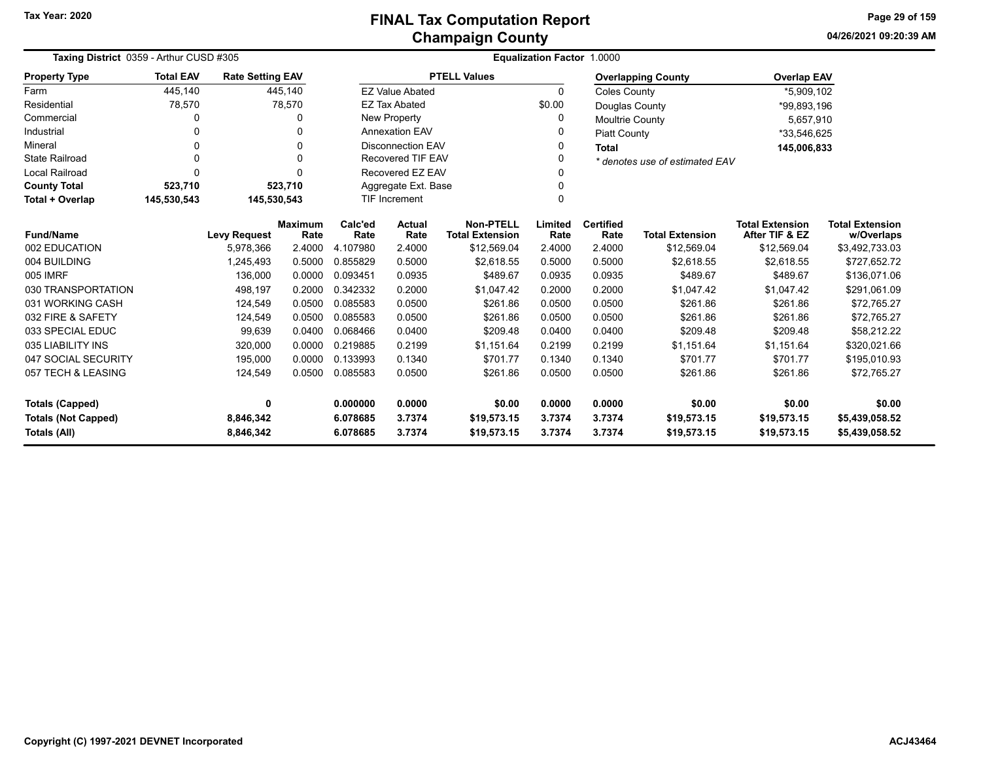**04/26/2021 09:20:39 AMPage 29 of 159**

|                            | Taxing District 0359 - Arthur CUSD #305 |                                               |              |                          | Equalization Factor 1.0000 |                                       |                |                        |                                |                                          |                              |  |  |
|----------------------------|-----------------------------------------|-----------------------------------------------|--------------|--------------------------|----------------------------|---------------------------------------|----------------|------------------------|--------------------------------|------------------------------------------|------------------------------|--|--|
| <b>Property Type</b>       | <b>Total EAV</b>                        | <b>Rate Setting EAV</b>                       |              |                          |                            | <b>PTELL Values</b>                   |                |                        | <b>Overlapping County</b>      | <b>Overlap EAV</b>                       |                              |  |  |
| Farm                       | 445,140                                 |                                               | 445,140      |                          | <b>EZ Value Abated</b>     |                                       | $\Omega$       | <b>Coles County</b>    |                                | *5,909,102                               |                              |  |  |
| Residential                | 78,570                                  |                                               | 78,570       |                          | <b>EZ Tax Abated</b>       |                                       | \$0.00         | Douglas County         |                                | *99,893,196                              |                              |  |  |
| Commercial                 | 0                                       |                                               | 0            |                          | <b>New Property</b>        |                                       | 0              | <b>Moultrie County</b> |                                | 5,657,910                                |                              |  |  |
| Industrial                 | 0                                       |                                               | $\Omega$     | <b>Annexation EAV</b>    |                            |                                       | 0              | <b>Piatt County</b>    |                                | *33,546,625                              |                              |  |  |
| Mineral                    | 0                                       |                                               | <sup>0</sup> | <b>Disconnection EAV</b> |                            |                                       | 0              | <b>Total</b>           |                                | 145,006,833                              |                              |  |  |
| <b>State Railroad</b>      | 0                                       |                                               | $\Omega$     | Recovered TIF EAV        |                            |                                       | 0              |                        | * denotes use of estimated EAV |                                          |                              |  |  |
| <b>Local Railroad</b>      | 0                                       |                                               | $\Omega$     | Recovered EZ EAV         |                            |                                       | 0              |                        |                                |                                          |                              |  |  |
| <b>County Total</b>        | 523,710                                 |                                               | 523,710      | Aggregate Ext. Base      |                            |                                       | 0              |                        |                                |                                          |                              |  |  |
| Total + Overlap            | 145,530,543                             | 145,530,543                                   |              |                          | <b>TIF Increment</b>       |                                       | $\Omega$       |                        |                                |                                          |                              |  |  |
| <b>Fund/Name</b>           |                                         | <b>Maximum</b><br><b>Levy Request</b><br>Rate |              | Calc'ed<br>Rate          | <b>Actual</b>              | Non-PTELL                             | Limited        | <b>Certified</b>       | <b>Total Extension</b>         | <b>Total Extension</b><br>After TIF & EZ | <b>Total Extension</b>       |  |  |
| 002 EDUCATION              |                                         | 5,978,366                                     | 2.4000       | 4.107980                 | Rate<br>2.4000             | <b>Total Extension</b><br>\$12,569.04 | Rate<br>2.4000 | Rate<br>2.4000         | \$12,569.04                    | \$12,569.04                              | w/Overlaps<br>\$3,492,733.03 |  |  |
| 004 BUILDING               |                                         | 1,245,493                                     | 0.5000       | 0.855829                 | 0.5000                     | \$2,618.55                            | 0.5000         | 0.5000                 | \$2,618.55                     | \$2,618.55                               | \$727,652.72                 |  |  |
| 005 IMRF                   |                                         | 136,000                                       | 0.0000       | 0.093451                 | 0.0935                     | \$489.67                              | 0.0935         | 0.0935                 | \$489.67                       | \$489.67                                 | \$136,071.06                 |  |  |
| 030 TRANSPORTATION         |                                         | 498,197                                       | 0.2000       | 0.342332                 | 0.2000                     | \$1.047.42                            | 0.2000         | 0.2000                 | \$1.047.42                     | \$1,047.42                               | \$291,061.09                 |  |  |
| 031 WORKING CASH           |                                         | 124,549                                       | 0.0500       | 0.085583                 | 0.0500                     | \$261.86                              | 0.0500         | 0.0500                 | \$261.86                       | \$261.86                                 | \$72,765.27                  |  |  |
| 032 FIRE & SAFETY          |                                         | 124,549                                       | 0.0500       | 0.085583                 | 0.0500                     | \$261.86                              | 0.0500         | 0.0500                 | \$261.86                       | \$261.86                                 | \$72,765.27                  |  |  |
| 033 SPECIAL EDUC           |                                         | 99,639                                        | 0.0400       | 0.068466                 | 0.0400                     | \$209.48                              | 0.0400         | 0.0400                 | \$209.48                       | \$209.48                                 | \$58,212.22                  |  |  |
| 035 LIABILITY INS          |                                         | 320,000                                       | 0.0000       | 0.219885                 | 0.2199                     | \$1,151.64                            | 0.2199         | 0.2199                 | \$1,151.64                     | \$1.151.64                               | \$320,021.66                 |  |  |
| 047 SOCIAL SECURITY        |                                         | 195,000                                       | 0.0000       | 0.133993                 | 0.1340                     | \$701.77                              | 0.1340         | 0.1340                 | \$701.77                       | \$701.77                                 | \$195,010.93                 |  |  |
| 057 TECH & LEASING         |                                         | 124,549                                       | 0.0500       | 0.085583                 | 0.0500                     | \$261.86                              | 0.0500         | 0.0500                 | \$261.86                       | \$261.86                                 | \$72,765.27                  |  |  |
|                            |                                         |                                               |              |                          |                            |                                       |                |                        |                                |                                          |                              |  |  |
| <b>Totals (Capped)</b>     | 0                                       |                                               |              | 0.000000                 | 0.0000                     | \$0.00                                | 0.0000         | 0.0000                 | \$0.00                         | \$0.00                                   | \$0.00                       |  |  |
| <b>Totals (Not Capped)</b> |                                         | 8,846,342                                     |              | 6.078685                 | 3.7374                     | \$19,573.15                           | 3.7374         | 3.7374                 | \$19,573.15                    | \$19,573.15                              | \$5,439,058.52               |  |  |
| Totals (All)               | 8,846,342                               |                                               |              | 6.078685                 | 3.7374                     | \$19,573.15                           | 3.7374         | 3.7374                 | \$19,573.15                    | \$19,573.15                              | \$5,439,058.52               |  |  |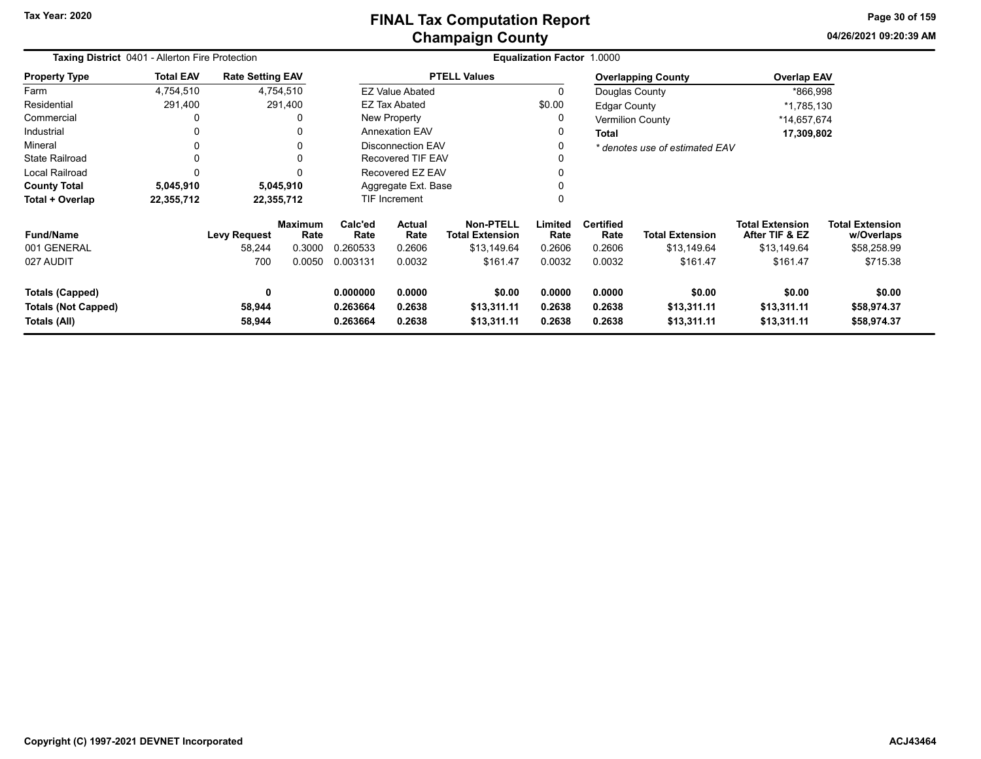**04/26/2021 09:20:39 AMPage 30 of 159**

| Taxing District 0401 - Allerton Fire Protection                      |                  |                               |                                  |                                  |                                 |                                                           | Equalization Factor 1.0000 |                                    |                                       |                                                         |                                                     |  |
|----------------------------------------------------------------------|------------------|-------------------------------|----------------------------------|----------------------------------|---------------------------------|-----------------------------------------------------------|----------------------------|------------------------------------|---------------------------------------|---------------------------------------------------------|-----------------------------------------------------|--|
| <b>Property Type</b>                                                 | <b>Total EAV</b> | <b>Rate Setting EAV</b>       |                                  |                                  |                                 | <b>PTELL Values</b>                                       |                            |                                    | <b>Overlapping County</b>             | <b>Overlap EAV</b>                                      |                                                     |  |
| Farm                                                                 | 4,754,510        | 4,754,510                     |                                  |                                  | <b>EZ Value Abated</b>          |                                                           | 0                          | Douglas County                     |                                       | *866,998                                                |                                                     |  |
| Residential                                                          | 291,400          | 291,400                       |                                  |                                  | <b>EZ Tax Abated</b>            |                                                           | \$0.00                     | <b>Edgar County</b>                |                                       | *1,785,130                                              |                                                     |  |
| Commercial                                                           |                  |                               |                                  |                                  | New Property                    |                                                           | 0                          |                                    | <b>Vermilion County</b>               | *14,657,674                                             |                                                     |  |
| Industrial                                                           | 0                |                               |                                  |                                  | <b>Annexation EAV</b>           |                                                           | 0                          | Total                              |                                       | 17,309,802                                              |                                                     |  |
| Mineral                                                              | $\Omega$         |                               |                                  | Disconnection EAV                |                                 |                                                           | 0                          |                                    | * denotes use of estimated EAV        |                                                         |                                                     |  |
| <b>State Railroad</b>                                                | $\mathbf{0}$     |                               |                                  | Recovered TIF EAV                |                                 |                                                           | 0                          |                                    |                                       |                                                         |                                                     |  |
| Local Railroad                                                       | $\Omega$         |                               |                                  | Recovered EZ EAV                 |                                 |                                                           | 0                          |                                    |                                       |                                                         |                                                     |  |
| <b>County Total</b>                                                  | 5,045,910        | 5,045,910                     |                                  | Aggregate Ext. Base              |                                 |                                                           | 0                          |                                    |                                       |                                                         |                                                     |  |
| Total + Overlap                                                      | 22,355,712       | 22,355,712                    |                                  |                                  | <b>TIF Increment</b>            |                                                           |                            |                                    |                                       |                                                         |                                                     |  |
| <b>Fund/Name</b><br>001 GENERAL                                      |                  | <b>Levy Request</b><br>58,244 | <b>Maximum</b><br>Rate<br>0.3000 | Calc'ed<br>Rate<br>0.260533      | <b>Actual</b><br>Rate<br>0.2606 | <b>Non-PTELL</b><br><b>Total Extension</b><br>\$13,149.64 | Limited<br>Rate<br>0.2606  | <b>Certified</b><br>Rate<br>0.2606 | <b>Total Extension</b><br>\$13,149.64 | <b>Total Extension</b><br>After TIF & EZ<br>\$13,149.64 | <b>Total Extension</b><br>w/Overlaps<br>\$58,258.99 |  |
| 027 AUDIT                                                            |                  | 700                           | 0.0050                           | 0.003131                         | 0.0032                          | \$161.47                                                  | 0.0032                     | 0.0032                             | \$161.47                              | \$161.47                                                | \$715.38                                            |  |
| <b>Totals (Capped)</b><br><b>Totals (Not Capped)</b><br>Totals (All) |                  | 0<br>58,944<br>58,944         |                                  | 0.000000<br>0.263664<br>0.263664 | 0.0000<br>0.2638<br>0.2638      | \$0.00<br>\$13,311.11<br>\$13,311.11                      | 0.0000<br>0.2638<br>0.2638 | 0.0000<br>0.2638<br>0.2638         | \$0.00<br>\$13,311.11<br>\$13,311.11  | \$0.00<br>\$13,311.11<br>\$13,311.11                    | \$0.00<br>\$58,974.37<br>\$58,974.37                |  |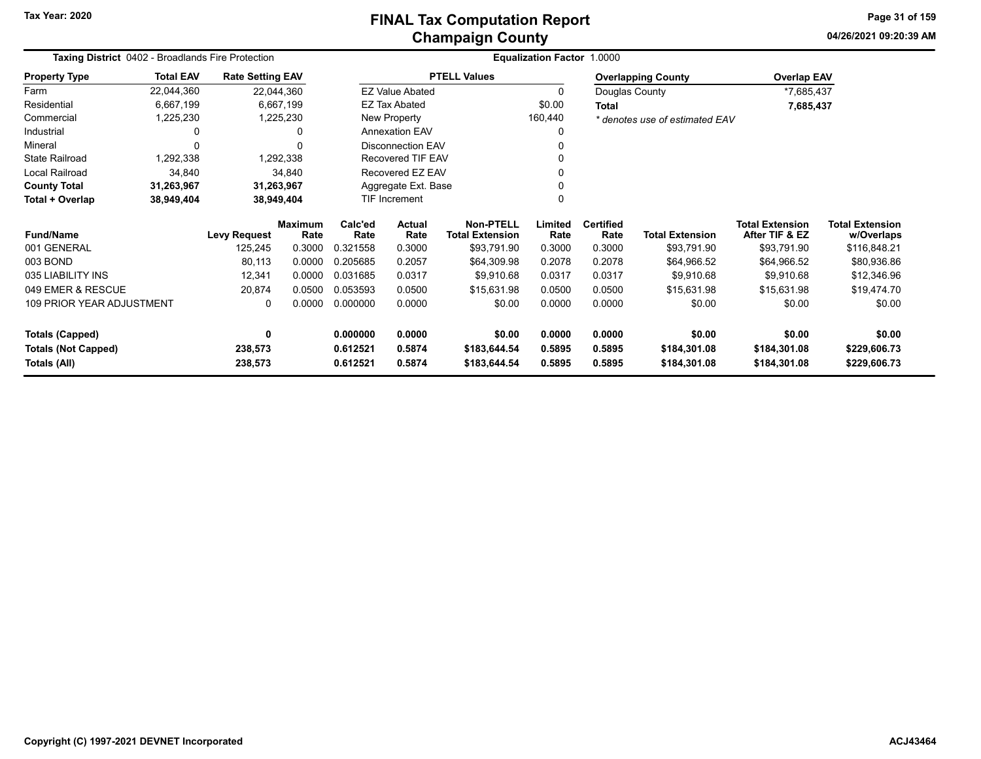**Tax Year: 2020**

# **Champaign County FINAL Tax Computation Report**

**04/26/2021 09:20:39 AM Page 31 of 159**

| <b>Taxing District 0402 - Broadlands Fire Protection</b><br><b>Rate Setting EAV</b> |                          |                     |                        |                 |                        |                                            | <b>Equalization Factor</b> | 1.0000                   |                                |                                          |                                      |
|-------------------------------------------------------------------------------------|--------------------------|---------------------|------------------------|-----------------|------------------------|--------------------------------------------|----------------------------|--------------------------|--------------------------------|------------------------------------------|--------------------------------------|
| <b>Property Type</b>                                                                | <b>Total EAV</b>         |                     |                        |                 |                        | <b>PTELL Values</b>                        |                            |                          | <b>Overlapping County</b>      | <b>Overlap EAV</b>                       |                                      |
| Farm                                                                                | 22,044,360               | 22,044,360          |                        |                 | <b>EZ Value Abated</b> |                                            | 0                          | Douglas County           |                                | *7,685,437                               |                                      |
| Residential                                                                         | 6,667,199                | 6,667,199           |                        |                 | <b>EZ Tax Abated</b>   |                                            | \$0.00                     | <b>Total</b>             |                                | 7,685,437                                |                                      |
| Commercial                                                                          | 1,225,230                | 1,225,230           |                        |                 | New Property           |                                            | 160,440                    |                          | * denotes use of estimated EAV |                                          |                                      |
| Industrial                                                                          |                          |                     | O                      |                 | <b>Annexation EAV</b>  |                                            | 0                          |                          |                                |                                          |                                      |
| Mineral                                                                             |                          |                     | $\Omega$               |                 | Disconnection EAV      |                                            |                            |                          |                                |                                          |                                      |
| <b>State Railroad</b>                                                               | 1,292,338                |                     | 1,292,338              |                 | Recovered TIF EAV      |                                            |                            |                          |                                |                                          |                                      |
| Local Railroad                                                                      | 34,840                   |                     | 34,840                 |                 | Recovered EZ EAV       |                                            |                            |                          |                                |                                          |                                      |
| <b>County Total</b>                                                                 | 31,263,967<br>31,263,967 |                     |                        |                 | Aggregate Ext. Base    |                                            |                            |                          |                                |                                          |                                      |
| Total + Overlap                                                                     | 38,949,404               | 38,949,404          |                        |                 | TIF Increment          |                                            | 0                          |                          |                                |                                          |                                      |
| <b>Fund/Name</b>                                                                    |                          | <b>Levy Request</b> | <b>Maximum</b><br>Rate | Calc'ed<br>Rate | <b>Actual</b><br>Rate  | <b>Non-PTELL</b><br><b>Total Extension</b> | Limited<br>Rate            | <b>Certified</b><br>Rate | <b>Total Extension</b>         | <b>Total Extension</b><br>After TIF & EZ | <b>Total Extension</b><br>w/Overlaps |
| 001 GENERAL                                                                         |                          | 125,245             | 0.3000                 | 0.321558        | 0.3000                 | \$93,791.90                                | 0.3000                     | 0.3000                   | \$93,791.90                    | \$93,791.90                              | \$116,848.21                         |
| 003 BOND                                                                            |                          | 80,113              | 0.0000                 | 0.205685        | 0.2057                 | \$64,309.98                                | 0.2078                     | 0.2078                   | \$64,966.52                    | \$64,966.52                              | \$80,936.86                          |
| 035 LIABILITY INS                                                                   |                          | 12,341              | 0.0000                 | 0.031685        | 0.0317                 | \$9,910.68                                 | 0.0317                     | 0.0317                   | \$9,910.68                     | \$9,910.68                               | \$12,346.96                          |
| 049 EMER & RESCUE                                                                   |                          | 20,874              | 0.0500                 | 0.053593        | 0.0500                 | \$15,631.98                                | 0.0500                     | 0.0500                   | \$15,631.98                    | \$15,631.98                              | \$19,474.70                          |
| <b>109 PRIOR YEAR ADJUSTMENT</b><br>0                                               |                          | 0.0000              | 0.000000               | 0.0000          | \$0.00                 | 0.0000                                     | 0.0000                     | \$0.00                   | \$0.00                         | \$0.00                                   |                                      |
| <b>Totals (Capped)</b>                                                              |                          | $\mathbf{0}$        |                        | 0.000000        | 0.0000                 | \$0.00                                     | 0.0000                     | 0.0000                   | \$0.00                         | \$0.00                                   | \$0.00                               |
| <b>Totals (Not Capped)</b>                                                          |                          | 238,573             |                        | 0.612521        | 0.5874                 | \$183,644.54                               | 0.5895                     | 0.5895                   | \$184,301.08                   | \$184,301.08                             | \$229,606.73                         |
| Totals (All)                                                                        |                          | 238,573             |                        | 0.612521        | 0.5874                 | \$183,644.54                               | 0.5895                     | 0.5895                   | \$184,301.08                   | \$184,301.08                             | \$229,606.73                         |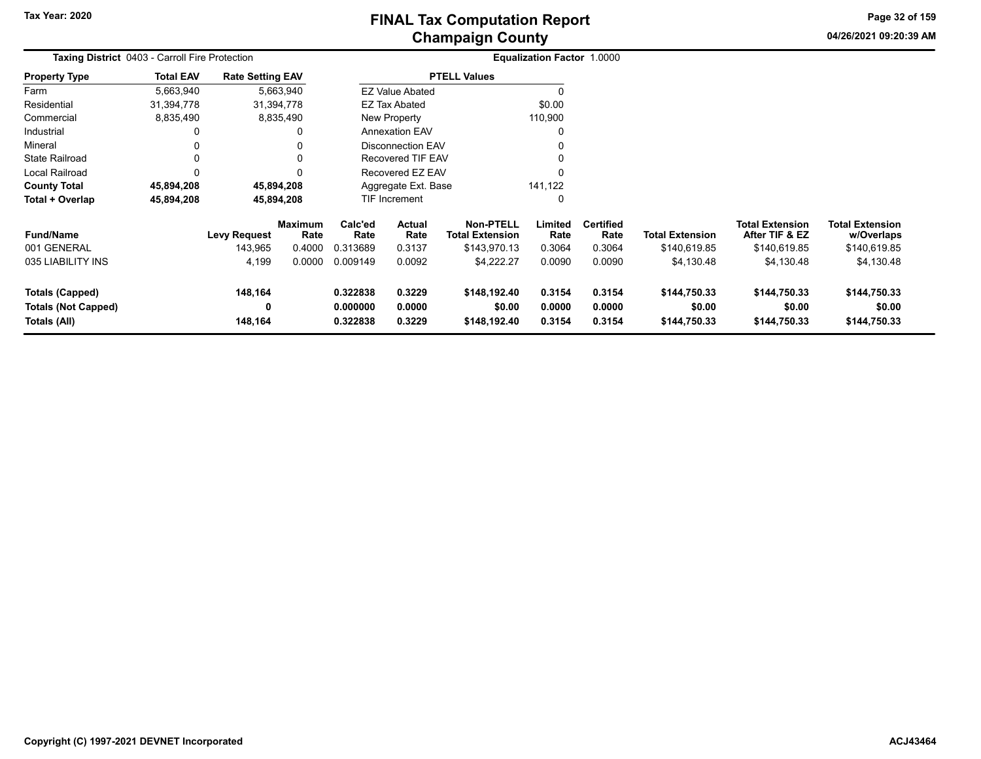**04/26/2021 09:20:39 AMPage 32 of 159**

| <b>Taxing District</b> 0403 - Carroll Fire Protection         |                  |                                         |                                            |                                         |                                           |                                                                          | Equalization Factor 1.0000          |                                              |                                                      |                                                                        |                                                                    |
|---------------------------------------------------------------|------------------|-----------------------------------------|--------------------------------------------|-----------------------------------------|-------------------------------------------|--------------------------------------------------------------------------|-------------------------------------|----------------------------------------------|------------------------------------------------------|------------------------------------------------------------------------|--------------------------------------------------------------------|
| <b>Property Type</b>                                          | <b>Total EAV</b> | <b>Rate Setting EAV</b>                 |                                            |                                         |                                           | <b>PTELL Values</b>                                                      |                                     |                                              |                                                      |                                                                        |                                                                    |
| Farm                                                          | 5,663,940        |                                         | 5,663,940                                  |                                         | <b>EZ Value Abated</b>                    |                                                                          |                                     |                                              |                                                      |                                                                        |                                                                    |
| Residential                                                   | 31,394,778       |                                         | 31,394,778                                 |                                         | EZ Tax Abated                             |                                                                          | \$0.00                              |                                              |                                                      |                                                                        |                                                                    |
| Commercial                                                    | 8,835,490        |                                         | 8,835,490                                  |                                         | New Property                              |                                                                          | 110,900                             |                                              |                                                      |                                                                        |                                                                    |
| Industrial                                                    |                  |                                         |                                            |                                         | <b>Annexation EAV</b>                     |                                                                          | 0                                   |                                              |                                                      |                                                                        |                                                                    |
| Mineral                                                       |                  |                                         |                                            |                                         | <b>Disconnection EAV</b>                  |                                                                          | 0                                   |                                              |                                                      |                                                                        |                                                                    |
| <b>State Railroad</b>                                         |                  |                                         |                                            |                                         | <b>Recovered TIF EAV</b>                  |                                                                          | 0                                   |                                              |                                                      |                                                                        |                                                                    |
| Local Railroad                                                | $\Omega$         |                                         |                                            |                                         | Recovered EZ EAV                          |                                                                          | $\Omega$                            |                                              |                                                      |                                                                        |                                                                    |
| <b>County Total</b>                                           | 45,894,208       |                                         | 45,894,208                                 |                                         | Aggregate Ext. Base                       |                                                                          | 141,122                             |                                              |                                                      |                                                                        |                                                                    |
| Total + Overlap                                               | 45,894,208       |                                         | 45,894,208                                 |                                         | TIF Increment<br>0                        |                                                                          |                                     |                                              |                                                      |                                                                        |                                                                    |
| <b>Fund/Name</b><br>001 GENERAL<br>035 LIABILITY INS          |                  | <b>Levy Request</b><br>143,965<br>4,199 | <b>Maximum</b><br>Rate<br>0.4000<br>0.0000 | Calc'ed<br>Rate<br>0.313689<br>0.009149 | <b>Actual</b><br>Rate<br>0.3137<br>0.0092 | <b>Non-PTELL</b><br><b>Total Extension</b><br>\$143,970.13<br>\$4,222.27 | Limited<br>Rate<br>0.3064<br>0.0090 | <b>Certified</b><br>Rate<br>0.3064<br>0.0090 | <b>Total Extension</b><br>\$140,619.85<br>\$4,130.48 | <b>Total Extension</b><br>After TIF & EZ<br>\$140,619.85<br>\$4,130.48 | <b>Total Extension</b><br>w/Overlaps<br>\$140,619.85<br>\$4,130.48 |
| Totals (Capped)<br><b>Totals (Not Capped)</b><br>Totals (All) |                  | 148,164<br>0<br>148,164                 |                                            | 0.322838<br>0.000000<br>0.322838        | 0.3229<br>0.0000<br>0.3229                | \$148,192.40<br>\$0.00<br>\$148,192.40                                   | 0.3154<br>0.0000<br>0.3154          | 0.3154<br>0.0000<br>0.3154                   | \$144,750.33<br>\$0.00<br>\$144,750.33               | \$144,750.33<br>\$0.00<br>\$144,750.33                                 | \$144,750.33<br>\$0.00<br>\$144,750.33                             |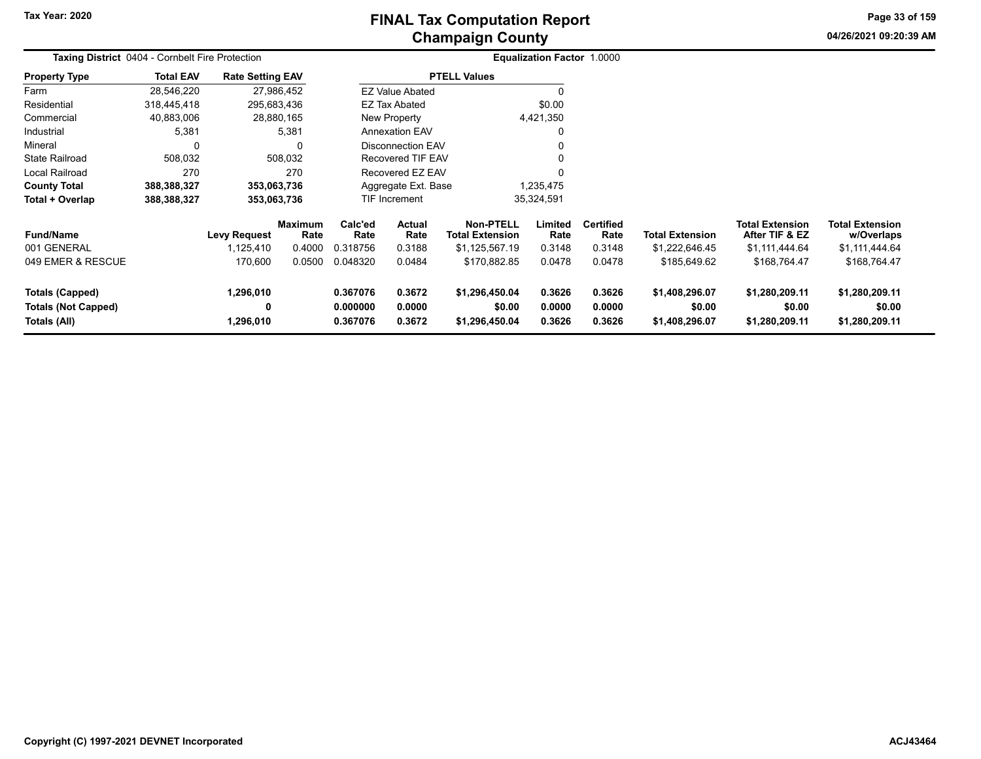**Tax Year: 2020**

# **Champaign County FINAL Tax Computation Report**

**04/26/2021 09:20:39 AMPage 33 of 159**

| Taxing District 0404 - Cornbelt Fire Protection                      |                  |                             |                        |                                  |                            |                                            | <b>Equalization Factor 1.0000</b> |                            |                                            |                                            |                                            |  |
|----------------------------------------------------------------------|------------------|-----------------------------|------------------------|----------------------------------|----------------------------|--------------------------------------------|-----------------------------------|----------------------------|--------------------------------------------|--------------------------------------------|--------------------------------------------|--|
| <b>Property Type</b>                                                 | <b>Total EAV</b> | <b>Rate Setting EAV</b>     |                        |                                  |                            | <b>PTELL Values</b>                        |                                   |                            |                                            |                                            |                                            |  |
| Farm                                                                 | 28,546,220       |                             | 27,986,452             |                                  | <b>EZ Value Abated</b>     |                                            | 0                                 |                            |                                            |                                            |                                            |  |
| Residential                                                          | 318,445,418      | 295,683,436                 |                        |                                  | <b>EZ Tax Abated</b>       |                                            | \$0.00                            |                            |                                            |                                            |                                            |  |
| Commercial                                                           | 40,883,006       |                             | 28,880,165             |                                  | New Property               |                                            | 4,421,350                         |                            |                                            |                                            |                                            |  |
| Industrial                                                           | 5,381            |                             | 5,381                  |                                  | <b>Annexation EAV</b>      |                                            | 0                                 |                            |                                            |                                            |                                            |  |
| Mineral                                                              | 0                |                             |                        |                                  | Disconnection EAV          |                                            | 0                                 |                            |                                            |                                            |                                            |  |
| <b>State Railroad</b>                                                | 508,032          |                             | 508,032                |                                  | Recovered TIF EAV          |                                            | 0                                 |                            |                                            |                                            |                                            |  |
| Local Railroad                                                       | 270              |                             | 270                    |                                  | Recovered EZ EAV           |                                            | $\Omega$                          |                            |                                            |                                            |                                            |  |
| <b>County Total</b>                                                  | 388,388,327      | 353,063,736                 |                        |                                  | Aggregate Ext. Base        |                                            | 1,235,475                         |                            |                                            |                                            |                                            |  |
| Total + Overlap                                                      | 388,388,327      | 353,063,736                 |                        |                                  | TIF Increment              |                                            | 35,324,591                        |                            |                                            |                                            |                                            |  |
| <b>Fund/Name</b>                                                     |                  | <b>Levy Request</b>         | <b>Maximum</b><br>Rate | Calc'ed<br>Rate                  | Actual<br>Rate             | <b>Non-PTELL</b><br><b>Total Extension</b> | Limited<br>Rate                   | <b>Certified</b><br>Rate   | <b>Total Extension</b>                     | <b>Total Extension</b><br>After TIF & EZ   | <b>Total Extension</b><br>w/Overlaps       |  |
| 001 GENERAL                                                          |                  | 1,125,410                   | 0.4000                 | 0.318756                         | 0.3188                     | \$1,125,567.19                             | 0.3148                            | 0.3148                     | \$1,222,646.45                             | \$1,111,444.64                             | \$1,111,444.64                             |  |
| 049 EMER & RESCUE                                                    |                  | 170,600                     | 0.0500                 | 0.048320                         | 0.0484                     | \$170,882.85                               | 0.0478                            | 0.0478                     | \$185,649.62                               | \$168,764.47                               | \$168,764.47                               |  |
| <b>Totals (Capped)</b><br><b>Totals (Not Capped)</b><br>Totals (All) |                  | 1,296,010<br>0<br>1,296,010 |                        | 0.367076<br>0.000000<br>0.367076 | 0.3672<br>0.0000<br>0.3672 | \$1,296,450.04<br>\$0.00<br>\$1,296,450.04 | 0.3626<br>0.0000<br>0.3626        | 0.3626<br>0.0000<br>0.3626 | \$1,408,296.07<br>\$0.00<br>\$1,408,296.07 | \$1,280,209.11<br>\$0.00<br>\$1,280,209.11 | \$1,280,209.11<br>\$0.00<br>\$1,280,209.11 |  |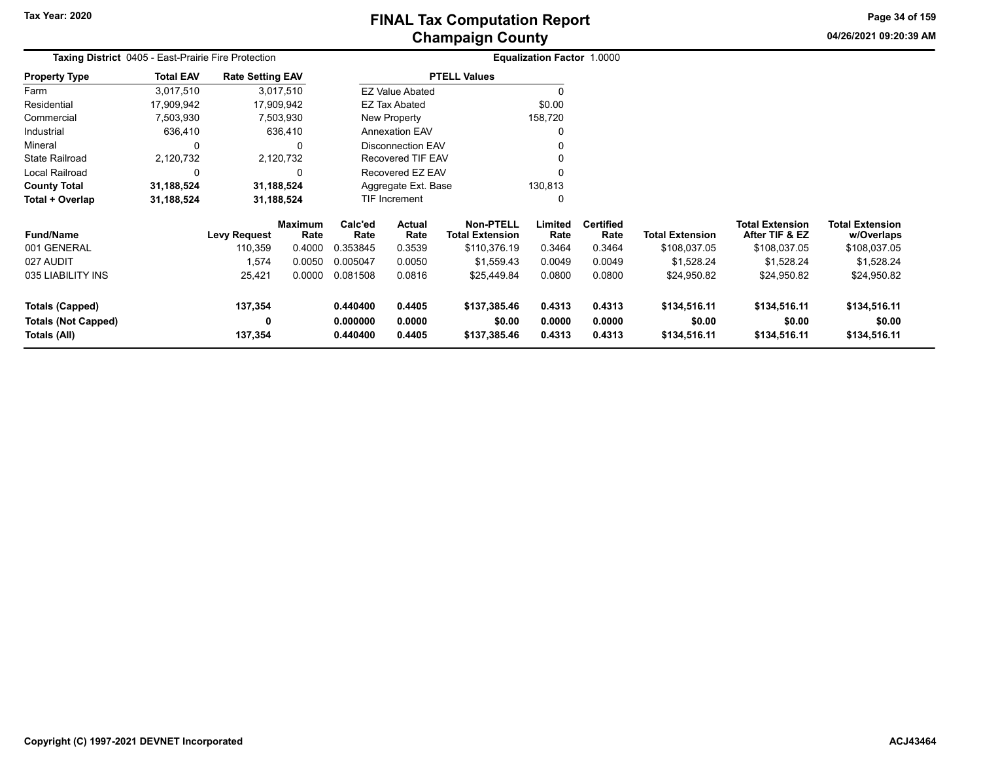**04/26/2021 09:20:39 AMPage 34 of 159**

| Taxing District 0405 - East-Prairie Fire Protection |                  |                         |                 |                                          |                          |                                     | <b>Equalization Factor 1.0000</b> |                          |                        |                                          |                                      |
|-----------------------------------------------------|------------------|-------------------------|-----------------|------------------------------------------|--------------------------|-------------------------------------|-----------------------------------|--------------------------|------------------------|------------------------------------------|--------------------------------------|
| <b>Property Type</b>                                | <b>Total EAV</b> | <b>Rate Setting EAV</b> |                 |                                          |                          | <b>PTELL Values</b>                 |                                   |                          |                        |                                          |                                      |
| Farm                                                | 3,017,510        |                         | 3,017,510       |                                          | <b>EZ Value Abated</b>   |                                     | 0                                 |                          |                        |                                          |                                      |
| Residential                                         | 17,909,942       | 17,909,942              |                 |                                          | <b>EZ Tax Abated</b>     |                                     | \$0.00                            |                          |                        |                                          |                                      |
| Commercial                                          | 7,503,930        |                         | 7,503,930       |                                          | New Property             |                                     | 158,720                           |                          |                        |                                          |                                      |
| Industrial                                          | 636,410          |                         | 636,410         |                                          | <b>Annexation EAV</b>    |                                     | 0                                 |                          |                        |                                          |                                      |
| Mineral                                             |                  |                         | 0               |                                          | Disconnection EAV        |                                     | 0                                 |                          |                        |                                          |                                      |
| State Railroad                                      | 2,120,732        |                         | 2,120,732       |                                          | <b>Recovered TIF EAV</b> |                                     |                                   |                          |                        |                                          |                                      |
| Local Railroad                                      |                  |                         |                 | Recovered EZ EAV                         |                          | U                                   |                                   |                          |                        |                                          |                                      |
| <b>County Total</b>                                 | 31,188,524       | 31,188,524              |                 |                                          | Aggregate Ext. Base      |                                     | 130,813                           |                          |                        |                                          |                                      |
| Total + Overlap                                     | 31,188,524       | 31,188,524              |                 |                                          | TIF Increment<br>0       |                                     |                                   |                          |                        |                                          |                                      |
| <b>Fund/Name</b>                                    |                  | <b>Levy Request</b>     | Maximum<br>Rate | Calc'ed<br>Rate                          | Actual<br>Rate           | Non-PTELL<br><b>Total Extension</b> | Limited<br>Rate                   | <b>Certified</b><br>Rate | <b>Total Extension</b> | <b>Total Extension</b><br>After TIF & EZ | <b>Total Extension</b><br>w/Overlaps |
| 001 GENERAL                                         |                  | 110,359                 | 0.4000          | 0.353845                                 | 0.3539                   | \$110,376.19                        | 0.3464                            | 0.3464                   | \$108,037.05           | \$108,037.05                             | \$108,037.05                         |
| 027 AUDIT                                           |                  | 1,574                   | 0.0050          | 0.005047                                 | 0.0050                   | \$1,559.43                          | 0.0049                            | 0.0049                   | \$1,528.24             | \$1,528.24                               | \$1,528.24                           |
| 035 LIABILITY INS                                   |                  | 25,421                  | 0.0000          | 0.081508                                 | 0.0816                   | \$25,449.84                         | 0.0800                            | 0.0800                   | \$24,950.82            | \$24,950.82                              | \$24,950.82                          |
| Totals (Capped)                                     |                  | 137,354                 |                 | 0.440400                                 | 0.4405                   | \$137,385.46                        | 0.4313                            | 0.4313                   | \$134,516.11           | \$134,516.11                             | \$134,516.11                         |
| <b>Totals (Not Capped)</b><br>Totals (All)          |                  | 0<br>137,354            |                 | 0.000000<br>0.0000<br>0.440400<br>0.4405 |                          | \$0.00<br>\$137,385.46              | 0.0000<br>0.4313                  | 0.0000<br>0.4313         | \$0.00<br>\$134,516.11 | \$0.00<br>\$134,516.11                   | \$0.00<br>\$134,516.11               |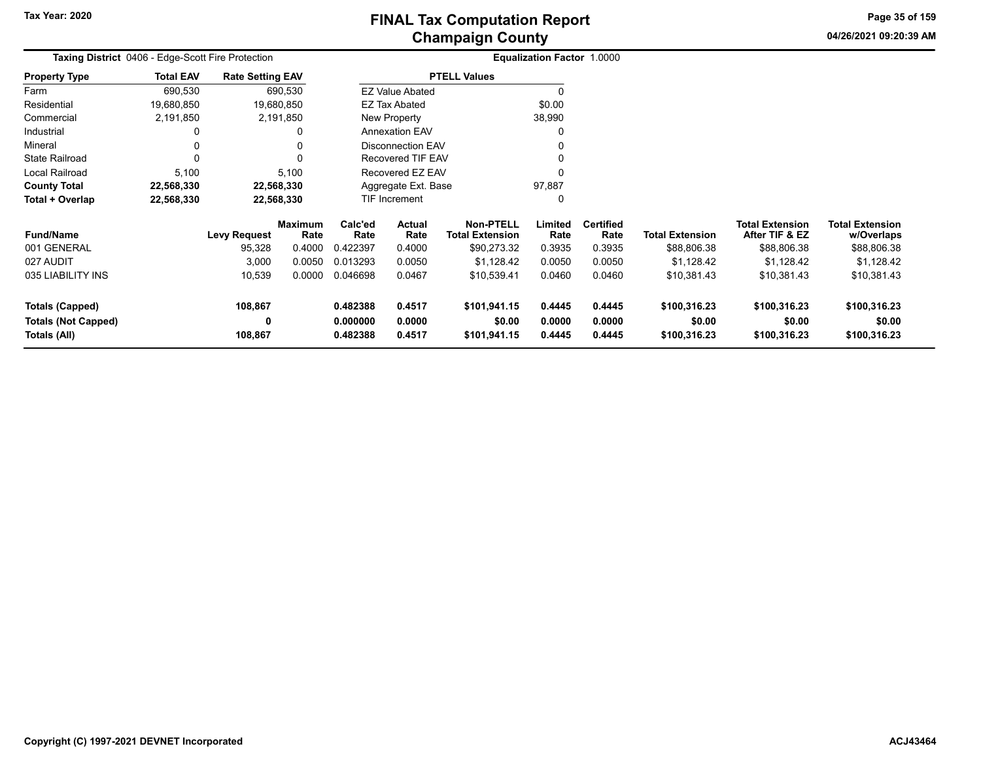**04/26/2021 09:20:39 AM Page 35 of 159**

| Taxing District 0406 - Edge-Scott Fire Protection |                  |                         |                        |                      |                          | <b>Equalization Factor 1.0000</b>          |                  |                          |                        |                                          |                                      |
|---------------------------------------------------|------------------|-------------------------|------------------------|----------------------|--------------------------|--------------------------------------------|------------------|--------------------------|------------------------|------------------------------------------|--------------------------------------|
| <b>Property Type</b>                              | <b>Total EAV</b> | <b>Rate Setting EAV</b> |                        |                      |                          | <b>PTELL Values</b>                        |                  |                          |                        |                                          |                                      |
| Farm                                              | 690,530          |                         | 690,530                |                      | <b>EZ Value Abated</b>   |                                            |                  |                          |                        |                                          |                                      |
| Residential                                       | 19,680,850       |                         | 19,680,850             |                      | EZ Tax Abated            |                                            | \$0.00           |                          |                        |                                          |                                      |
| Commercial                                        | 2,191,850        |                         | 2,191,850              |                      | New Property             |                                            | 38,990           |                          |                        |                                          |                                      |
| Industrial                                        | 0                |                         | 0                      |                      | <b>Annexation EAV</b>    |                                            |                  |                          |                        |                                          |                                      |
| Mineral                                           | 0                |                         |                        |                      | <b>Disconnection EAV</b> |                                            |                  |                          |                        |                                          |                                      |
| <b>State Railroad</b>                             | 0                |                         |                        |                      | Recovered TIF EAV        |                                            |                  |                          |                        |                                          |                                      |
| Local Railroad                                    | 5,100            |                         | 5,100                  |                      | Recovered EZ EAV         |                                            |                  |                          |                        |                                          |                                      |
| <b>County Total</b>                               | 22,568,330       | 22,568,330              |                        |                      | Aggregate Ext. Base      |                                            | 97,887           |                          |                        |                                          |                                      |
| Total + Overlap                                   | 22,568,330       | 22,568,330              |                        |                      | TIF Increment            |                                            |                  |                          |                        |                                          |                                      |
| <b>Fund/Name</b>                                  |                  | <b>Levy Request</b>     | <b>Maximum</b><br>Rate | Calc'ed<br>Rate      | Actual<br>Rate           | <b>Non-PTELL</b><br><b>Total Extension</b> | Limited<br>Rate  | <b>Certified</b><br>Rate | <b>Total Extension</b> | <b>Total Extension</b><br>After TIF & EZ | <b>Total Extension</b><br>w/Overlaps |
| 001 GENERAL                                       |                  | 95,328                  | 0.4000                 | 0.422397             | 0.4000                   | \$90,273.32                                | 0.3935           | 0.3935                   | \$88,806.38            | \$88,806.38                              | \$88,806.38                          |
| 027 AUDIT                                         |                  | 3,000                   | 0.0050                 | 0.013293             | 0.0050                   | \$1,128.42                                 | 0.0050           | 0.0050                   | \$1,128.42             | \$1,128.42                               | \$1,128.42                           |
| 035 LIABILITY INS                                 |                  | 10,539                  | 0.0000                 | 0.046698             | 0.0467                   | \$10,539.41                                | 0.0460           | 0.0460                   | \$10,381.43            | \$10,381.43                              | \$10,381.43                          |
| <b>Totals (Capped)</b><br>Totals (Not Capped)     |                  | 108,867<br>0            |                        | 0.482388<br>0.000000 | 0.4517<br>0.0000         | \$101,941.15<br>\$0.00                     | 0.4445<br>0.0000 | 0.4445<br>0.0000         | \$100,316.23<br>\$0.00 | \$100,316.23<br>\$0.00                   | \$100,316.23<br>\$0.00               |
| Totals (All)                                      |                  | 108,867                 |                        | 0.482388             | 0.4517                   | \$101,941.15                               | 0.4445           | 0.4445                   | \$100,316.23           | \$100,316.23                             | \$100,316.23                         |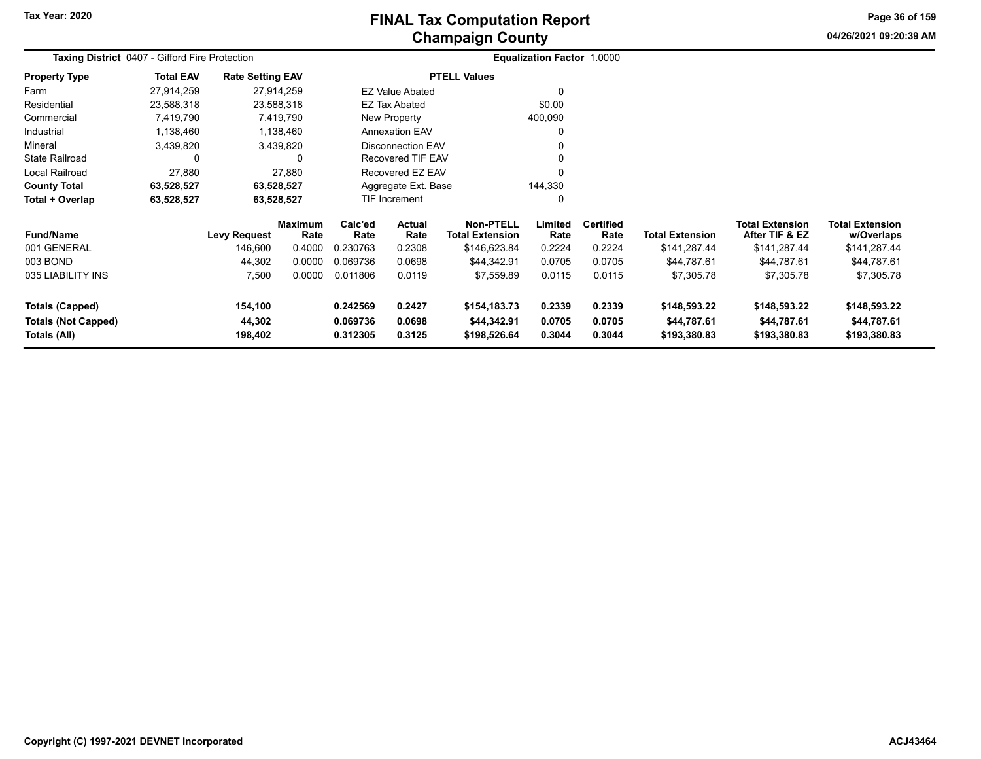**Tax Year: 2020**

# **Champaign County FINAL Tax Computation Report**

**04/26/2021 09:20:39 AMPage 36 of 159**

| <b>Taxing District 0407 - Gifford Fire Protection</b>                |                  |                              |                        |                                  |                            |                                             | Equalization Factor 1.0000 |                            |                                             |                                             |                                             |
|----------------------------------------------------------------------|------------------|------------------------------|------------------------|----------------------------------|----------------------------|---------------------------------------------|----------------------------|----------------------------|---------------------------------------------|---------------------------------------------|---------------------------------------------|
| <b>Property Type</b>                                                 | <b>Total EAV</b> | <b>Rate Setting EAV</b>      |                        |                                  |                            | <b>PTELL Values</b>                         |                            |                            |                                             |                                             |                                             |
| Farm                                                                 | 27,914,259       |                              | 27,914,259             |                                  | <b>EZ Value Abated</b>     |                                             | $\Omega$                   |                            |                                             |                                             |                                             |
| Residential                                                          | 23,588,318       |                              | 23,588,318             |                                  | <b>EZ Tax Abated</b>       |                                             | \$0.00                     |                            |                                             |                                             |                                             |
| Commercial                                                           | 7,419,790        |                              | 7,419,790              |                                  | New Property               |                                             | 400,090                    |                            |                                             |                                             |                                             |
| Industrial                                                           | 1,138,460        |                              | 1,138,460              |                                  | Annexation EAV             |                                             | 0                          |                            |                                             |                                             |                                             |
| Mineral                                                              | 3,439,820        |                              | 3,439,820              |                                  | <b>Disconnection EAV</b>   |                                             | 0                          |                            |                                             |                                             |                                             |
| <b>State Railroad</b>                                                |                  |                              | 0                      |                                  | Recovered TIF EAV          |                                             | $\Omega$                   |                            |                                             |                                             |                                             |
| Local Railroad                                                       | 27,880           |                              | 27,880                 |                                  | Recovered EZ EAV           |                                             | $\Omega$                   |                            |                                             |                                             |                                             |
| <b>County Total</b>                                                  | 63,528,527       |                              | 63,528,527             |                                  | Aggregate Ext. Base        |                                             | 144,330                    |                            |                                             |                                             |                                             |
| Total + Overlap                                                      | 63,528,527       |                              | 63,528,527             |                                  | TIF Increment              |                                             | 0                          |                            |                                             |                                             |                                             |
| <b>Fund/Name</b>                                                     |                  | <b>Levy Request</b>          | <b>Maximum</b><br>Rate | Calc'ed<br>Rate                  | <b>Actual</b><br>Rate      | <b>Non-PTELL</b><br><b>Total Extension</b>  | Limited<br>Rate            | <b>Certified</b><br>Rate   | <b>Total Extension</b>                      | <b>Total Extension</b><br>After TIF & EZ    | <b>Total Extension</b><br>w/Overlaps        |
| 001 GENERAL                                                          |                  | 146,600                      | 0.4000                 | 0.230763                         | 0.2308                     | \$146,623.84                                | 0.2224                     | 0.2224                     | \$141,287.44                                | \$141,287.44                                | \$141,287.44                                |
| 003 BOND                                                             |                  | 44,302                       | 0.0000                 | 0.069736                         | 0.0698                     | \$44,342.91                                 | 0.0705                     | 0.0705                     | \$44,787.61                                 | \$44,787.61                                 | \$44,787.61                                 |
| 035 LIABILITY INS                                                    |                  | 7,500                        | 0.0000                 | 0.011806                         | 0.0119                     | \$7,559.89                                  | 0.0115                     | 0.0115                     | \$7,305.78                                  | \$7,305.78                                  | \$7,305.78                                  |
| <b>Totals (Capped)</b><br><b>Totals (Not Capped)</b><br>Totals (All) |                  | 154,100<br>44,302<br>198,402 |                        | 0.242569<br>0.069736<br>0.312305 | 0.2427<br>0.0698<br>0.3125 | \$154,183.73<br>\$44,342.91<br>\$198,526.64 | 0.2339<br>0.0705<br>0.3044 | 0.2339<br>0.0705<br>0.3044 | \$148,593.22<br>\$44,787.61<br>\$193,380.83 | \$148,593.22<br>\$44,787.61<br>\$193,380.83 | \$148,593.22<br>\$44,787.61<br>\$193,380.83 |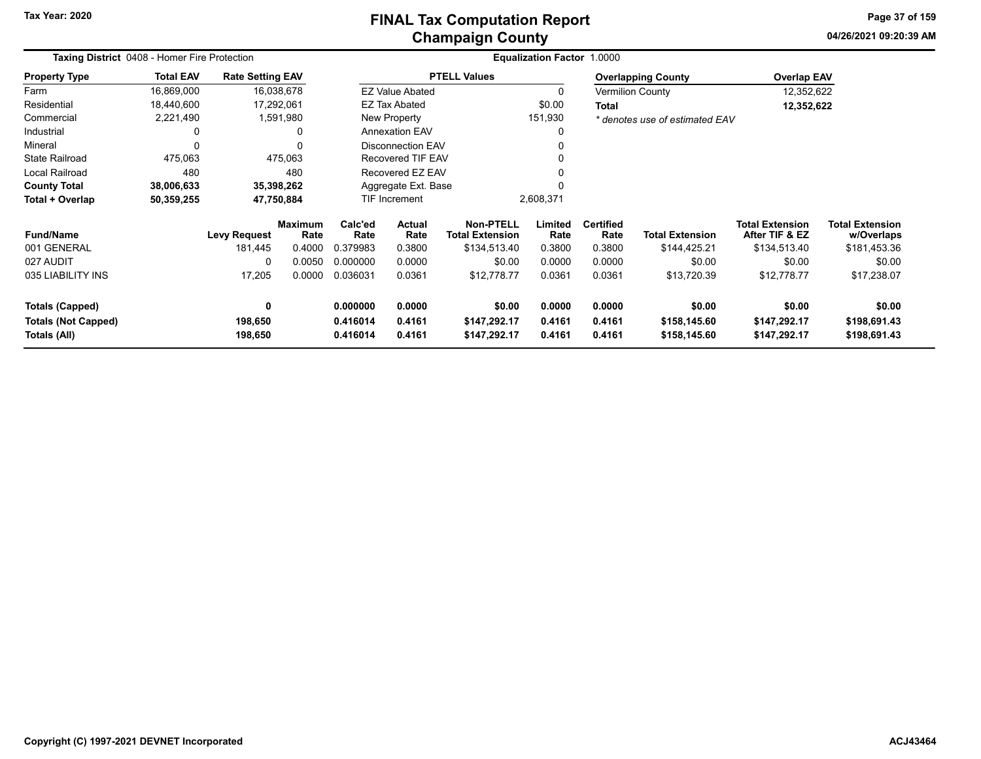# **Champaign County FINAL Tax Computation Report**

**04/26/2021 09:20:39 AMPage 37 of 159**

| <b>Taxing District</b> 0408 - Homer Fire Protection |                  |                         |                        |                                          |                          |                                            | <b>Equalization Factor 1.0000</b> |                          |                                |                                          |                                      |
|-----------------------------------------------------|------------------|-------------------------|------------------------|------------------------------------------|--------------------------|--------------------------------------------|-----------------------------------|--------------------------|--------------------------------|------------------------------------------|--------------------------------------|
| <b>Property Type</b>                                | <b>Total EAV</b> | <b>Rate Setting EAV</b> |                        |                                          |                          | <b>PTELL Values</b>                        |                                   |                          | <b>Overlapping County</b>      | <b>Overlap EAV</b>                       |                                      |
| Farm                                                | 16,869,000       | 16,038,678              |                        |                                          | <b>EZ Value Abated</b>   |                                            |                                   |                          | <b>Vermilion County</b>        | 12,352,622                               |                                      |
| Residential                                         | 18,440,600       | 17,292,061              |                        |                                          | <b>EZ Tax Abated</b>     |                                            | \$0.00                            | <b>Total</b>             |                                | 12,352,622                               |                                      |
| Commercial                                          | 2,221,490        | 1,591,980               |                        |                                          | New Property             |                                            | 151,930                           |                          | * denotes use of estimated EAV |                                          |                                      |
| Industrial                                          | $\Omega$         |                         | 0                      |                                          | <b>Annexation EAV</b>    |                                            |                                   |                          |                                |                                          |                                      |
| Mineral                                             | $\Omega$         |                         | 0                      |                                          | <b>Disconnection EAV</b> |                                            |                                   |                          |                                |                                          |                                      |
| <b>State Railroad</b>                               | 475,063          |                         | 475,063                |                                          | <b>Recovered TIF EAV</b> |                                            |                                   |                          |                                |                                          |                                      |
| Local Railroad                                      | 480              |                         | 480                    | Recovered EZ EAV                         |                          |                                            |                                   |                          |                                |                                          |                                      |
| <b>County Total</b>                                 | 38,006,633       | 35,398,262              |                        |                                          | Aggregate Ext. Base      |                                            |                                   |                          |                                |                                          |                                      |
| Total + Overlap                                     | 50,359,255       | 47,750,884              |                        | TIF Increment<br>2,608,371               |                          |                                            |                                   |                          |                                |                                          |                                      |
| <b>Fund/Name</b>                                    |                  | <b>Levy Request</b>     | <b>Maximum</b><br>Rate | Calc'ed<br><b>Actual</b><br>Rate<br>Rate |                          | <b>Non-PTELL</b><br><b>Total Extension</b> | Limited<br>Rate                   | <b>Certified</b><br>Rate | <b>Total Extension</b>         | <b>Total Extension</b><br>After TIF & EZ | <b>Total Extension</b><br>w/Overlaps |
| 001 GENERAL                                         |                  | 181,445                 | 0.4000                 | 0.379983                                 | 0.3800                   | \$134,513.40                               | 0.3800                            | 0.3800                   | \$144,425.21                   | \$134,513.40                             | \$181,453.36                         |
| 027 AUDIT                                           |                  | 0                       | 0.0050                 | 0.000000                                 | 0.0000                   | \$0.00                                     | 0.0000                            | 0.0000                   | \$0.00                         | \$0.00                                   | \$0.00                               |
| 035 LIABILITY INS                                   |                  | 17,205                  | 0.0000                 | 0.036031                                 | 0.0361                   | \$12,778.77                                | 0.0361                            | 0.0361                   | \$13,720.39                    | \$12,778.77                              | \$17,238.07                          |
| <b>Totals (Capped)</b>                              |                  | 0                       |                        | 0.000000                                 | 0.0000                   | \$0.00                                     | 0.0000                            | 0.0000                   | \$0.00                         | \$0.00                                   | \$0.00                               |
| <b>Totals (Not Capped)</b><br>Totals (All)          |                  | 198,650<br>198,650      |                        | 0.416014<br>0.416014                     | 0.4161<br>0.4161         | \$147,292.17<br>\$147,292.17               | 0.4161<br>0.4161                  | 0.4161<br>0.4161         | \$158,145.60<br>\$158,145.60   | \$147,292.17<br>\$147,292.17             | \$198,691.43<br>\$198,691.43         |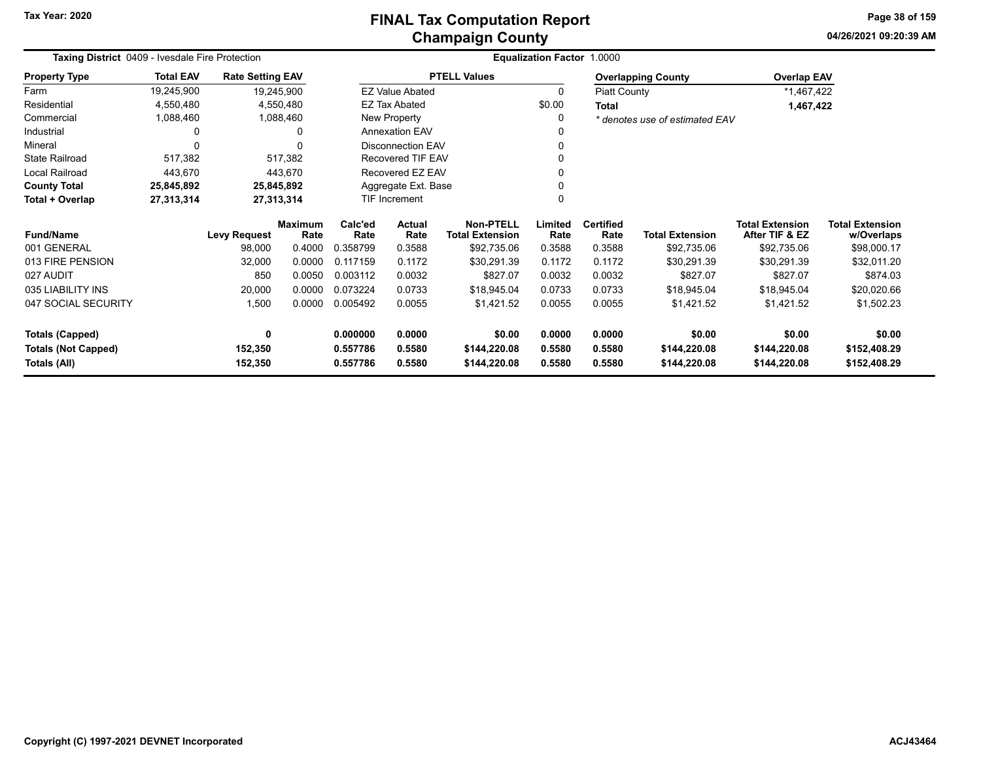**04/26/2021 09:20:39 AM Page 38 of 159**

| Taxing District 0409 - Ivesdale Fire Protection |                  |                         |                        |                 |                          |                                            | <b>Equalization Factor 1.0000</b> |                          |                                |                                          |                                      |
|-------------------------------------------------|------------------|-------------------------|------------------------|-----------------|--------------------------|--------------------------------------------|-----------------------------------|--------------------------|--------------------------------|------------------------------------------|--------------------------------------|
| <b>Property Type</b>                            | <b>Total EAV</b> | <b>Rate Setting EAV</b> |                        |                 |                          | <b>PTELL Values</b>                        |                                   |                          | <b>Overlapping County</b>      | <b>Overlap EAV</b>                       |                                      |
| Farm                                            | 19,245,900       | 19,245,900              |                        |                 | <b>EZ Value Abated</b>   |                                            | 0                                 | Piatt County             |                                | *1,467,422                               |                                      |
| Residential                                     | 4,550,480        |                         | 4,550,480              |                 | <b>EZ Tax Abated</b>     |                                            | \$0.00                            | <b>Total</b>             |                                | 1,467,422                                |                                      |
| Commercial                                      | 1,088,460        |                         | 1,088,460              |                 | <b>New Property</b>      |                                            | 0                                 |                          | * denotes use of estimated EAV |                                          |                                      |
| Industrial                                      |                  |                         | ŋ                      |                 | <b>Annexation EAV</b>    |                                            |                                   |                          |                                |                                          |                                      |
| Mineral                                         |                  |                         | $\Omega$               |                 | <b>Disconnection EAV</b> |                                            |                                   |                          |                                |                                          |                                      |
| <b>State Railroad</b>                           | 517,382          |                         | 517,382                |                 | <b>Recovered TIF EAV</b> |                                            |                                   |                          |                                |                                          |                                      |
| Local Railroad                                  | 443,670          |                         | 443,670                |                 | Recovered EZ EAV         |                                            |                                   |                          |                                |                                          |                                      |
| <b>County Total</b>                             | 25,845,892       | 25,845,892              |                        |                 | Aggregate Ext. Base      |                                            |                                   |                          |                                |                                          |                                      |
| Total + Overlap                                 | 27,313,314       | 27,313,314              |                        |                 | <b>TIF Increment</b>     |                                            |                                   |                          |                                |                                          |                                      |
| <b>Fund/Name</b>                                |                  | <b>Levy Request</b>     | <b>Maximum</b><br>Rate | Calc'ed<br>Rate | <b>Actual</b><br>Rate    | <b>Non-PTELL</b><br><b>Total Extension</b> | Limited<br>Rate                   | <b>Certified</b><br>Rate | <b>Total Extension</b>         | <b>Total Extension</b><br>After TIF & EZ | <b>Total Extension</b><br>w/Overlaps |
| 001 GENERAL                                     |                  | 98,000                  | 0.4000                 | 0.358799        | 0.3588                   | \$92,735.06                                | 0.3588                            | 0.3588                   | \$92,735.06                    | \$92,735.06                              | \$98,000.17                          |
| 013 FIRE PENSION                                |                  | 32,000                  | 0.0000                 | 0.117159        | 0.1172                   | \$30,291.39                                | 0.1172                            | 0.1172                   | \$30,291.39                    | \$30,291.39                              | \$32,011.20                          |
| 027 AUDIT                                       |                  | 850                     | 0.0050                 | 0.003112        | 0.0032                   | \$827.07                                   | 0.0032                            | 0.0032                   | \$827.07                       | \$827.07                                 | \$874.03                             |
| 035 LIABILITY INS                               |                  | 20,000                  | 0.0000                 | 0.073224        | 0.0733                   | \$18,945.04                                | 0.0733                            | 0.0733                   | \$18,945.04                    | \$18,945.04                              | \$20,020.66                          |
| 047 SOCIAL SECURITY                             |                  | 1,500                   | 0.0000                 | 0.005492        | 0.0055                   | \$1,421.52                                 | 0.0055                            | 0.0055                   | \$1,421.52                     | \$1,421.52                               | \$1,502.23                           |
| <b>Totals (Capped)</b>                          |                  | 0                       |                        | 0.000000        | 0.0000                   | \$0.00                                     | 0.0000                            | 0.0000                   | \$0.00                         | \$0.00                                   | \$0.00                               |
| <b>Totals (Not Capped)</b>                      |                  | 152,350                 |                        | 0.557786        | 0.5580                   | \$144,220.08                               | 0.5580                            | 0.5580                   | \$144,220.08                   | \$144,220.08                             | \$152,408.29                         |
| Totals (All)                                    |                  | 152,350                 |                        | 0.557786        | 0.5580                   | \$144,220.08                               | 0.5580                            | 0.5580                   | \$144,220.08                   | \$144,220.08                             | \$152,408.29                         |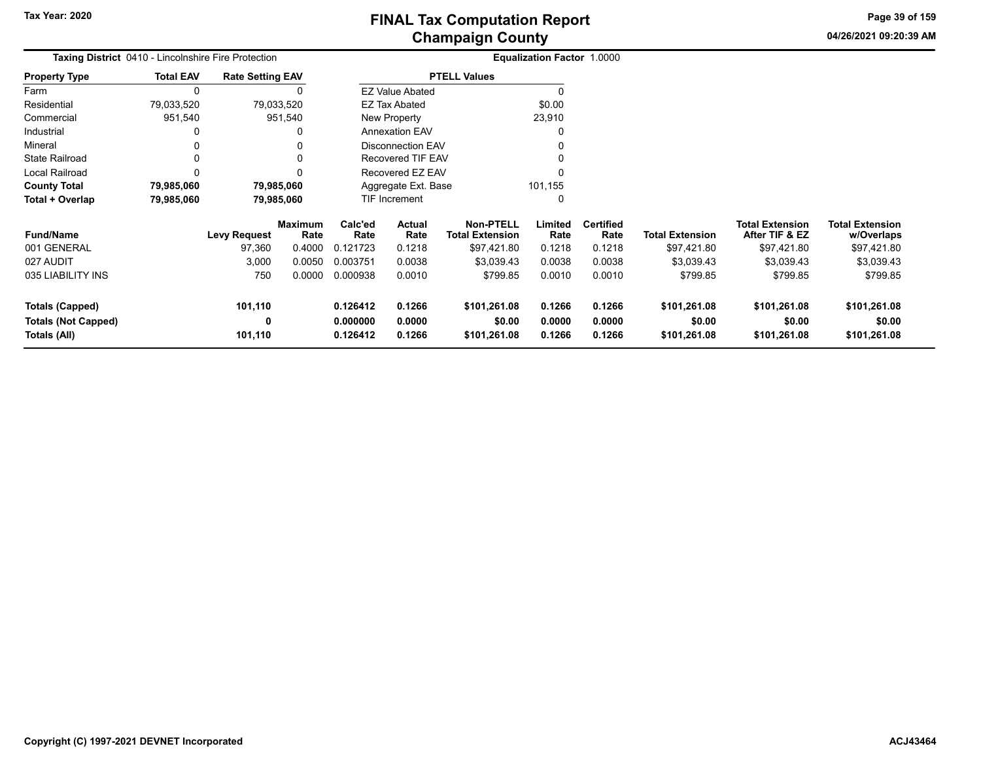**04/26/2021 09:20:39 AM Page 39 of 159**

| <b>Taxing District</b> 0410 - Lincolnshire Fire Protection |                  |                         |                        |                      |                          |                                            | Equalization Factor 1.0000 |                          |                        |                                          |                                      |
|------------------------------------------------------------|------------------|-------------------------|------------------------|----------------------|--------------------------|--------------------------------------------|----------------------------|--------------------------|------------------------|------------------------------------------|--------------------------------------|
| <b>Property Type</b>                                       | <b>Total EAV</b> | <b>Rate Setting EAV</b> |                        |                      |                          | <b>PTELL Values</b>                        |                            |                          |                        |                                          |                                      |
| Farm                                                       | $\mathbf{0}$     |                         | 0                      |                      | <b>EZ Value Abated</b>   |                                            |                            |                          |                        |                                          |                                      |
| Residential                                                | 79,033,520       | 79,033,520              |                        |                      | <b>EZ Tax Abated</b>     |                                            | \$0.00                     |                          |                        |                                          |                                      |
| Commercial                                                 | 951,540          |                         | 951,540                |                      | New Property             |                                            | 23,910                     |                          |                        |                                          |                                      |
| Industrial                                                 |                  |                         | 0                      |                      | <b>Annexation EAV</b>    |                                            |                            |                          |                        |                                          |                                      |
| Mineral                                                    |                  |                         | 0                      |                      | <b>Disconnection EAV</b> |                                            |                            |                          |                        |                                          |                                      |
| <b>State Railroad</b>                                      | <sup>0</sup>     |                         | 0                      |                      | <b>Recovered TIF EAV</b> |                                            |                            |                          |                        |                                          |                                      |
| Local Railroad                                             |                  |                         | $\Omega$               | Recovered EZ EAV     |                          |                                            |                            |                          |                        |                                          |                                      |
| <b>County Total</b>                                        | 79,985,060       | 79,985,060              |                        |                      | Aggregate Ext. Base      |                                            | 101,155                    |                          |                        |                                          |                                      |
| Total + Overlap                                            | 79,985,060       | 79,985,060              |                        | <b>TIF Increment</b> |                          |                                            |                            |                          |                        |                                          |                                      |
| <b>Fund/Name</b>                                           |                  | <b>Levy Request</b>     | <b>Maximum</b><br>Rate | Calc'ed<br>Rate      | Actual<br>Rate           | <b>Non-PTELL</b><br><b>Total Extension</b> | Limited<br>Rate            | <b>Certified</b><br>Rate | <b>Total Extension</b> | <b>Total Extension</b><br>After TIF & EZ | <b>Total Extension</b><br>w/Overlaps |
| 001 GENERAL                                                |                  | 97,360                  | 0.4000                 | 0.121723             | 0.1218                   | \$97,421.80                                | 0.1218                     | 0.1218                   | \$97,421.80            | \$97,421.80                              | \$97,421.80                          |
| 027 AUDIT                                                  |                  | 3,000                   | 0.0050                 | 0.003751             | 0.0038                   | \$3,039.43                                 | 0.0038                     | 0.0038                   | \$3,039.43             | \$3,039.43                               | \$3,039.43                           |
| 035 LIABILITY INS                                          |                  | 750                     | 0.0000                 | 0.000938             | 0.0010                   | \$799.85                                   | 0.0010                     | 0.0010                   | \$799.85               | \$799.85                                 | \$799.85                             |
| <b>Totals (Capped)</b>                                     |                  | 101,110                 |                        | 0.126412             | 0.1266                   | \$101,261.08                               | 0.1266                     | 0.1266                   | \$101,261.08           | \$101,261.08                             | \$101,261.08                         |
| <b>Totals (Not Capped)</b><br>Totals (All)                 |                  | 0<br>101,110            |                        | 0.000000<br>0.126412 | 0.0000<br>0.1266         | \$0.00<br>\$101,261.08                     | 0.0000<br>0.1266           | 0.0000<br>0.1266         | \$0.00<br>\$101,261.08 | \$0.00<br>\$101,261.08                   | \$0.00<br>\$101,261.08               |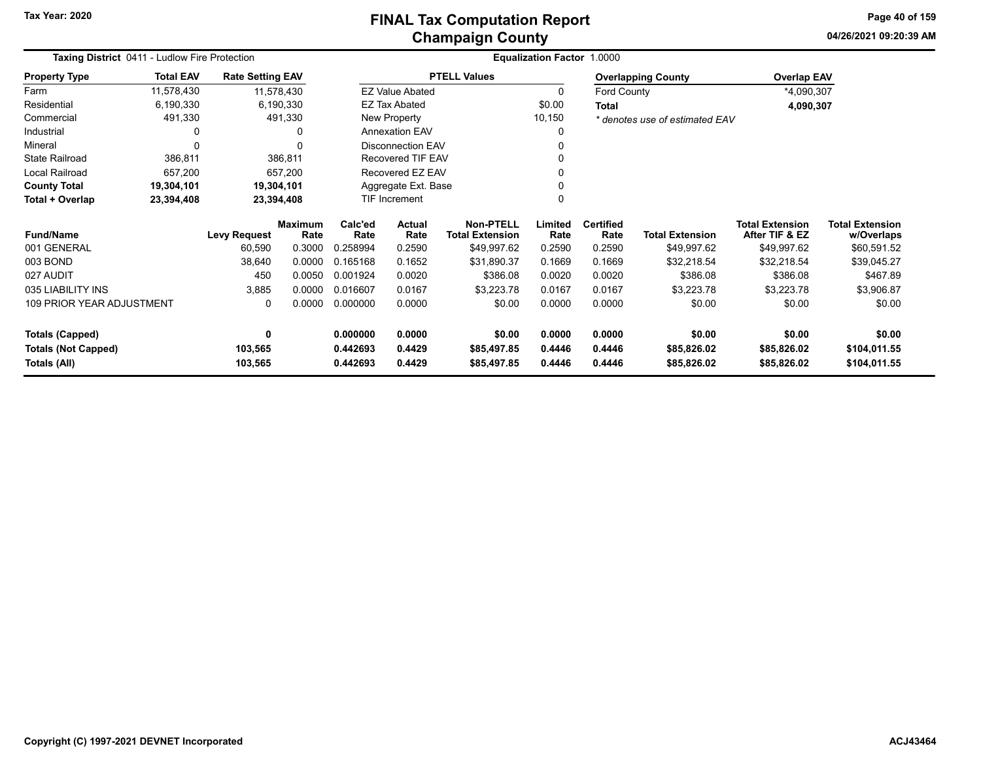**04/26/2021 09:20:39 AMPage 40 of 159**

| Taxing District 0411 - Ludlow Fire Protection |                  |                         |                        |                  |                          |                                     | <b>Equalization Factor 1.0000</b> |                          |                                |                                          |                                      |
|-----------------------------------------------|------------------|-------------------------|------------------------|------------------|--------------------------|-------------------------------------|-----------------------------------|--------------------------|--------------------------------|------------------------------------------|--------------------------------------|
| <b>Property Type</b>                          | <b>Total EAV</b> | <b>Rate Setting EAV</b> |                        |                  |                          | <b>PTELL Values</b>                 |                                   |                          | <b>Overlapping County</b>      | <b>Overlap EAV</b>                       |                                      |
| Farm                                          | 11,578,430       |                         | 11,578,430             |                  | <b>EZ Value Abated</b>   |                                     | $\Omega$                          | <b>Ford County</b>       |                                | *4,090,307                               |                                      |
| Residential                                   | 6,190,330        |                         | 6,190,330              |                  | EZ Tax Abated            |                                     | \$0.00                            | Total                    |                                | 4,090,307                                |                                      |
| Commercial                                    | 491,330          |                         | 491,330                |                  | New Property             |                                     | 10,150                            |                          | * denotes use of estimated EAV |                                          |                                      |
| Industrial                                    | 0                |                         | 0                      |                  | <b>Annexation EAV</b>    |                                     | 0                                 |                          |                                |                                          |                                      |
| Mineral                                       | $\Omega$         |                         | $\Omega$               |                  | <b>Disconnection EAV</b> |                                     |                                   |                          |                                |                                          |                                      |
| <b>State Railroad</b>                         | 386,811          |                         | 386,811                |                  | <b>Recovered TIF EAV</b> |                                     |                                   |                          |                                |                                          |                                      |
| Local Railroad                                | 657,200          |                         | 657,200                | Recovered EZ EAV |                          |                                     |                                   |                          |                                |                                          |                                      |
| <b>County Total</b>                           | 19,304,101       |                         | 19,304,101             |                  | Aggregate Ext. Base      |                                     |                                   |                          |                                |                                          |                                      |
| Total + Overlap                               | 23,394,408       |                         | 23,394,408             |                  | TIF Increment            |                                     |                                   |                          |                                |                                          |                                      |
| <b>Fund/Name</b>                              |                  | <b>Levy Request</b>     | <b>Maximum</b><br>Rate | Calc'ed<br>Rate  | Actual<br>Rate           | Non-PTELL<br><b>Total Extension</b> | Limited<br>Rate                   | <b>Certified</b><br>Rate | <b>Total Extension</b>         | <b>Total Extension</b><br>After TIF & EZ | <b>Total Extension</b><br>w/Overlaps |
| 001 GENERAL                                   |                  | 60,590                  | 0.3000                 | 0.258994         | 0.2590                   | \$49,997.62                         | 0.2590                            | 0.2590                   | \$49,997.62                    | \$49,997.62                              | \$60,591.52                          |
| 003 BOND                                      |                  | 38,640                  | 0.0000                 | 0.165168         | 0.1652                   | \$31,890.37                         | 0.1669                            | 0.1669                   | \$32,218.54                    | \$32,218.54                              | \$39,045.27                          |
| 027 AUDIT                                     |                  | 450                     | 0.0050                 | 0.001924         | 0.0020                   | \$386.08                            | 0.0020                            | 0.0020                   | \$386.08                       | \$386.08                                 | \$467.89                             |
| 035 LIABILITY INS                             |                  | 3,885                   | 0.0000                 | 0.016607         | 0.0167                   | \$3,223.78                          | 0.0167                            | 0.0167                   | \$3,223.78                     | \$3,223.78                               | \$3,906.87                           |
| <b>109 PRIOR YEAR ADJUSTMENT</b>              |                  | 0                       | 0.0000                 | 0.000000         | 0.0000                   | \$0.00                              | 0.0000                            | 0.0000                   | \$0.00                         | \$0.00                                   | \$0.00                               |
| <b>Totals (Capped)</b>                        |                  | 0                       |                        | 0.000000         | 0.0000                   | \$0.00                              | 0.0000                            | 0.0000                   | \$0.00                         | \$0.00                                   | \$0.00                               |
| <b>Totals (Not Capped)</b>                    |                  | 103,565                 |                        | 0.442693         | 0.4429                   | \$85,497.85                         | 0.4446                            | 0.4446                   | \$85,826.02                    | \$85,826.02                              | \$104,011.55                         |
| Totals (All)                                  |                  | 103,565                 |                        | 0.442693         | 0.4429                   | \$85,497.85                         | 0.4446                            | 0.4446                   | \$85,826.02                    | \$85,826.02                              | \$104,011.55                         |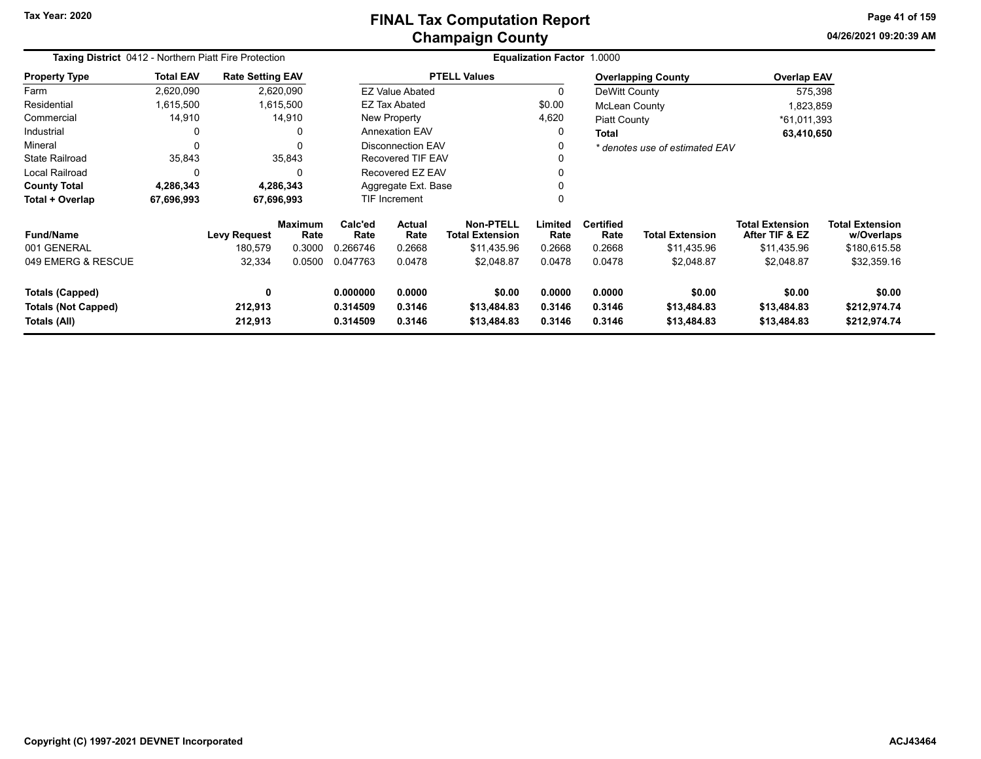**04/26/2021 09:20:39 AMPage 41 of 159**

| Taxing District 0412 - Northern Piatt Fire Protection |                  |                                          |                                            |                                         |                                           |                                                                  | Equalization Factor 1.0000          |                                              |                                                     |                                                                       |                                                                     |
|-------------------------------------------------------|------------------|------------------------------------------|--------------------------------------------|-----------------------------------------|-------------------------------------------|------------------------------------------------------------------|-------------------------------------|----------------------------------------------|-----------------------------------------------------|-----------------------------------------------------------------------|---------------------------------------------------------------------|
| <b>Property Type</b>                                  | <b>Total EAV</b> | <b>Rate Setting EAV</b>                  |                                            |                                         |                                           | <b>PTELL Values</b>                                              |                                     |                                              | <b>Overlapping County</b>                           | <b>Overlap EAV</b>                                                    |                                                                     |
| Farm                                                  | 2,620,090        |                                          | 2,620,090                                  |                                         | <b>EZ Value Abated</b>                    |                                                                  | 0                                   | DeWitt County                                |                                                     | 575,398                                                               |                                                                     |
| Residential                                           | 1,615,500        |                                          | 1,615,500                                  |                                         | EZ Tax Abated                             |                                                                  | \$0.00                              | McLean County                                |                                                     | 1,823,859                                                             |                                                                     |
| Commercial                                            | 14,910           |                                          | 14,910                                     |                                         | New Property                              |                                                                  | 4,620                               | <b>Piatt County</b>                          |                                                     | *61,011,393                                                           |                                                                     |
| Industrial                                            | 0                |                                          | $\Omega$                                   |                                         | <b>Annexation EAV</b>                     |                                                                  | 0                                   | <b>Total</b>                                 |                                                     | 63,410,650                                                            |                                                                     |
| Mineral                                               | $\Omega$         |                                          | 0                                          |                                         | <b>Disconnection EAV</b>                  |                                                                  |                                     |                                              | * denotes use of estimated EAV                      |                                                                       |                                                                     |
| <b>State Railroad</b>                                 | 35,843           |                                          | 35,843                                     | Recovered TIF EAV                       |                                           |                                                                  |                                     |                                              |                                                     |                                                                       |                                                                     |
| Local Railroad                                        | $\Omega$         |                                          | $\Omega$                                   | Recovered EZ EAV                        |                                           |                                                                  |                                     |                                              |                                                     |                                                                       |                                                                     |
| <b>County Total</b>                                   | 4,286,343        |                                          | 4,286,343                                  | Aggregate Ext. Base                     |                                           |                                                                  |                                     |                                              |                                                     |                                                                       |                                                                     |
| Total + Overlap                                       | 67,696,993       |                                          | 67,696,993                                 |                                         | <b>TIF Increment</b>                      |                                                                  |                                     |                                              |                                                     |                                                                       |                                                                     |
| <b>Fund/Name</b><br>001 GENERAL<br>049 EMERG & RESCUE |                  | <b>Levy Request</b><br>180,579<br>32,334 | <b>Maximum</b><br>Rate<br>0.3000<br>0.0500 | Calc'ed<br>Rate<br>0.266746<br>0.047763 | <b>Actual</b><br>Rate<br>0.2668<br>0.0478 | Non-PTELL<br><b>Total Extension</b><br>\$11.435.96<br>\$2,048.87 | Limited<br>Rate<br>0.2668<br>0.0478 | <b>Certified</b><br>Rate<br>0.2668<br>0.0478 | <b>Total Extension</b><br>\$11,435.96<br>\$2,048.87 | <b>Total Extension</b><br>After TIF & EZ<br>\$11,435.96<br>\$2,048.87 | <b>Total Extension</b><br>w/Overlaps<br>\$180,615.58<br>\$32,359.16 |
| Totals (Capped)                                       |                  | $\mathbf{0}$                             |                                            | 0.000000                                | 0.0000                                    | \$0.00                                                           | 0.0000                              | 0.0000                                       | \$0.00                                              | \$0.00                                                                | \$0.00                                                              |
| <b>Totals (Not Capped)</b><br>Totals (All)            |                  | 212,913<br>212,913                       |                                            | 0.314509<br>0.314509                    | 0.3146<br>0.3146                          | \$13,484.83<br>\$13,484.83                                       | 0.3146<br>0.3146                    | 0.3146<br>0.3146                             | \$13,484.83<br>\$13,484.83                          | \$13,484.83<br>\$13,484.83                                            | \$212,974.74<br>\$212,974.74                                        |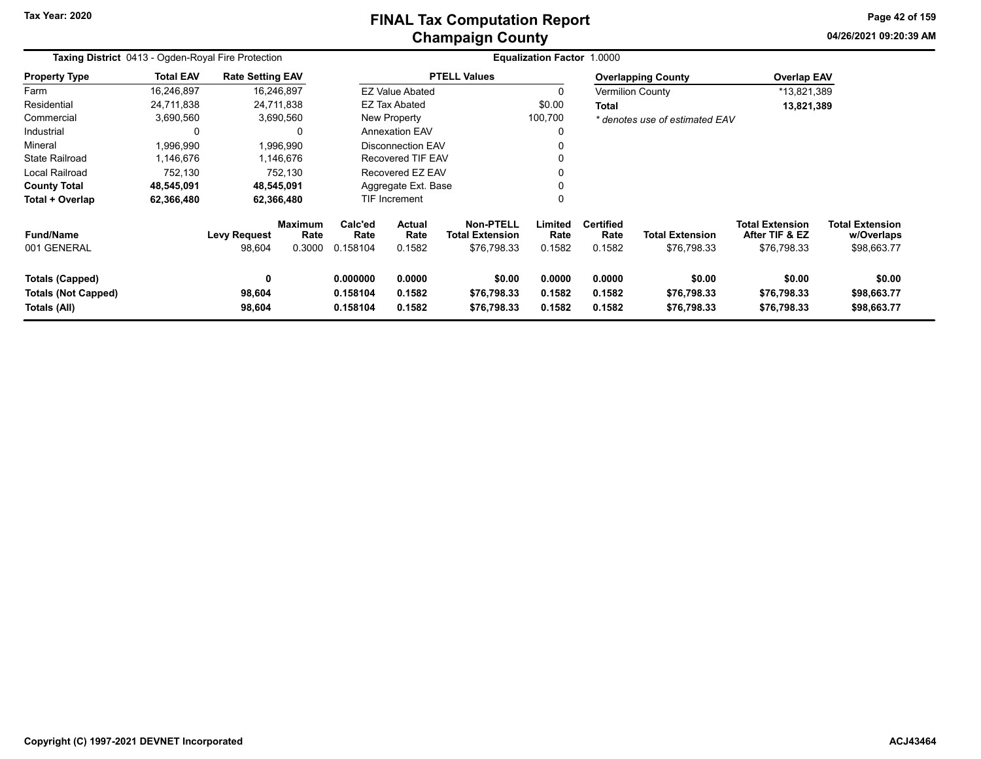#### **Champaign County FINAL Tax Computation Report**

**04/26/2021 09:20:39 AMPage 42 of 159**

| Taxing District 0413 - Ogden-Royal Fire Protection                   |                  |                         |                                  |                                  |                                 |                                                           | <b>Equalization Factor 1.0000</b> |                                    |                                       |                                                         |                                                     |
|----------------------------------------------------------------------|------------------|-------------------------|----------------------------------|----------------------------------|---------------------------------|-----------------------------------------------------------|-----------------------------------|------------------------------------|---------------------------------------|---------------------------------------------------------|-----------------------------------------------------|
| <b>Property Type</b>                                                 | <b>Total EAV</b> | <b>Rate Setting EAV</b> |                                  |                                  |                                 | <b>PTELL Values</b>                                       |                                   |                                    | <b>Overlapping County</b>             | <b>Overlap EAV</b>                                      |                                                     |
| Farm                                                                 | 16,246,897       |                         | 16,246,897                       |                                  | <b>EZ Value Abated</b>          |                                                           | $\Omega$                          |                                    | <b>Vermilion County</b>               | *13,821,389                                             |                                                     |
| Residential                                                          | 24,711,838       |                         | 24,711,838                       |                                  | <b>EZ Tax Abated</b>            |                                                           | \$0.00                            | Total                              |                                       | 13,821,389                                              |                                                     |
| Commercial                                                           | 3,690,560        |                         | 3,690,560                        |                                  | New Property                    |                                                           | 100,700                           |                                    | * denotes use of estimated EAV        |                                                         |                                                     |
| Industrial                                                           | 0                |                         | 0                                |                                  | <b>Annexation EAV</b><br>0      |                                                           |                                   |                                    |                                       |                                                         |                                                     |
| Mineral                                                              | 1,996,990        |                         | 1,996,990                        |                                  | <b>Disconnection EAV</b>        |                                                           |                                   |                                    |                                       |                                                         |                                                     |
| <b>State Railroad</b>                                                | 1,146,676        |                         | 1,146,676                        | <b>Recovered TIF EAV</b>         |                                 |                                                           |                                   |                                    |                                       |                                                         |                                                     |
| Local Railroad                                                       | 752,130          |                         | 752,130                          |                                  | Recovered EZ EAV                |                                                           |                                   |                                    |                                       |                                                         |                                                     |
| <b>County Total</b>                                                  | 48,545,091       |                         | 48,545,091                       |                                  | Aggregate Ext. Base             |                                                           |                                   |                                    |                                       |                                                         |                                                     |
| Total + Overlap                                                      | 62,366,480       |                         | 62,366,480                       |                                  | <b>TIF Increment</b><br>0       |                                                           |                                   |                                    |                                       |                                                         |                                                     |
| <b>Fund/Name</b><br>001 GENERAL                                      |                  | Levy Request<br>98,604  | <b>Maximum</b><br>Rate<br>0.3000 | Calc'ed<br>Rate<br>0.158104      | <b>Actual</b><br>Rate<br>0.1582 | <b>Non-PTELL</b><br><b>Total Extension</b><br>\$76,798.33 | Limited<br>Rate<br>0.1582         | <b>Certified</b><br>Rate<br>0.1582 | <b>Total Extension</b><br>\$76,798.33 | <b>Total Extension</b><br>After TIF & EZ<br>\$76,798.33 | <b>Total Extension</b><br>w/Overlaps<br>\$98,663.77 |
| <b>Totals (Capped)</b><br><b>Totals (Not Capped)</b><br>Totals (All) |                  | 0<br>98,604<br>98,604   |                                  | 0.000000<br>0.158104<br>0.158104 | 0.0000<br>0.1582<br>0.1582      | \$0.00<br>\$76,798.33<br>\$76,798.33                      | 0.0000<br>0.1582<br>0.1582        | 0.0000<br>0.1582<br>0.1582         | \$0.00<br>\$76,798.33<br>\$76,798.33  | \$0.00<br>\$76,798.33<br>\$76,798.33                    | \$0.00<br>\$98,663.77<br>\$98,663.77                |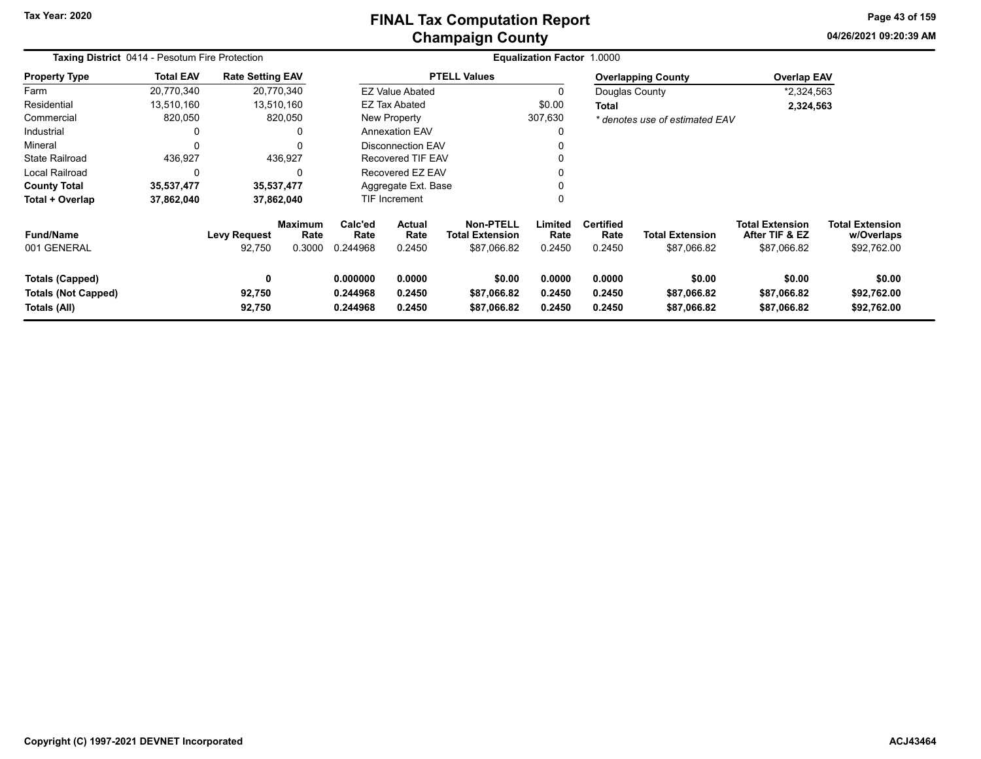# **Champaign County FINAL Tax Computation Report**

**04/26/2021 09:20:39 AMPage 43 of 159**

| <b>Taxing District 0414 - Pesotum Fire Protection</b>         |                  |                               |                                  |                                  |                                 |                                                           | Equalization Factor 1.0000 |                                    |                                      |                                                         |                                                     |
|---------------------------------------------------------------|------------------|-------------------------------|----------------------------------|----------------------------------|---------------------------------|-----------------------------------------------------------|----------------------------|------------------------------------|--------------------------------------|---------------------------------------------------------|-----------------------------------------------------|
| <b>Property Type</b>                                          | <b>Total EAV</b> | <b>Rate Setting EAV</b>       |                                  |                                  |                                 | <b>PTELL Values</b>                                       |                            |                                    | <b>Overlapping County</b>            | <b>Overlap EAV</b>                                      |                                                     |
| Farm                                                          | 20,770,340       |                               | 20,770,340                       |                                  | <b>EZ Value Abated</b>          |                                                           | 0                          | Douglas County                     |                                      | *2,324,563                                              |                                                     |
| Residential                                                   | 13,510,160       |                               | 13,510,160                       |                                  | <b>EZ Tax Abated</b>            |                                                           | \$0.00                     | <b>Total</b>                       |                                      | 2,324,563                                               |                                                     |
| Commercial                                                    | 820,050          |                               | 820,050                          |                                  | New Property                    |                                                           | 307,630                    |                                    | * denotes use of estimated EAV       |                                                         |                                                     |
| Industrial                                                    | 0                |                               |                                  |                                  | <b>Annexation EAV</b>           |                                                           | 0                          |                                    |                                      |                                                         |                                                     |
| Mineral                                                       | $\Omega$         |                               |                                  |                                  | Disconnection EAV               |                                                           |                            |                                    |                                      |                                                         |                                                     |
| <b>State Railroad</b>                                         | 436,927          |                               | 436,927                          |                                  | <b>Recovered TIF EAV</b>        |                                                           | $\Omega$                   |                                    |                                      |                                                         |                                                     |
| <b>Local Railroad</b>                                         | 0                |                               | 0                                |                                  | Recovered EZ EAV                |                                                           | $\mathbf{0}$               |                                    |                                      |                                                         |                                                     |
| <b>County Total</b>                                           | 35,537,477       |                               | 35,537,477                       |                                  | Aggregate Ext. Base             |                                                           | 0                          |                                    |                                      |                                                         |                                                     |
| Total + Overlap                                               | 37,862,040       |                               | 37,862,040                       |                                  | 0<br><b>TIF Increment</b>       |                                                           |                            |                                    |                                      |                                                         |                                                     |
| <b>Fund/Name</b><br>001 GENERAL                               |                  | <b>Levy Request</b><br>92,750 | <b>Maximum</b><br>Rate<br>0.3000 | Calc'ed<br>Rate<br>0.244968      | <b>Actual</b><br>Rate<br>0.2450 | <b>Non-PTELL</b><br><b>Total Extension</b><br>\$87,066.82 | Limited<br>Rate<br>0.2450  | <b>Certified</b><br>Rate<br>0.2450 | Total Extension<br>\$87,066.82       | <b>Total Extension</b><br>After TIF & EZ<br>\$87,066.82 | <b>Total Extension</b><br>w/Overlaps<br>\$92,762.00 |
| Totals (Capped)<br><b>Totals (Not Capped)</b><br>Totals (All) |                  | 0<br>92,750<br>92,750         |                                  | 0.000000<br>0.244968<br>0.244968 | 0.0000<br>0.2450<br>0.2450      | \$0.00<br>\$87,066.82<br>\$87,066.82                      | 0.0000<br>0.2450<br>0.2450 | 0.0000<br>0.2450<br>0.2450         | \$0.00<br>\$87,066.82<br>\$87,066.82 | \$0.00<br>\$87,066.82<br>\$87,066.82                    | \$0.00<br>\$92,762.00<br>\$92,762.00                |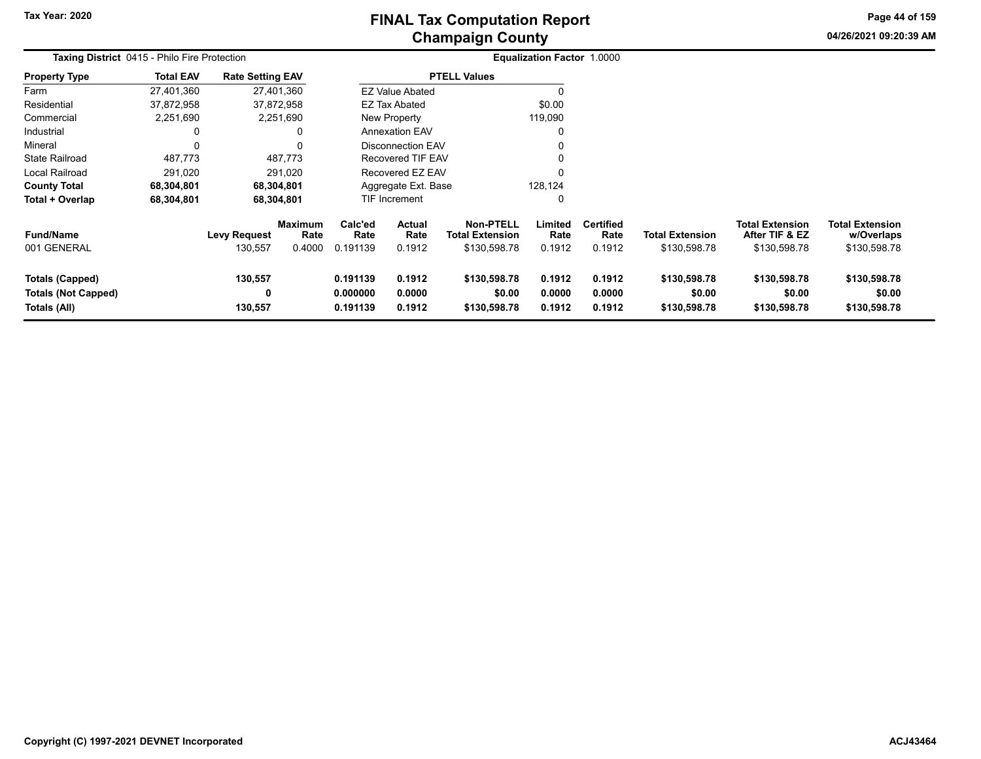# **Champaign County FINAL Tax Computation Report**

**04/26/2021 09:20:39 AMPage 44 of 159**

| <b>Taxing District 0415 - Philo Fire Protection</b>                  |                  |                         |                        |                                  | <b>Equalization Factor 1.0000</b> |                                            |                            |                            |                                        |                                          |                                        |  |
|----------------------------------------------------------------------|------------------|-------------------------|------------------------|----------------------------------|-----------------------------------|--------------------------------------------|----------------------------|----------------------------|----------------------------------------|------------------------------------------|----------------------------------------|--|
| <b>Property Type</b>                                                 | <b>Total EAV</b> | <b>Rate Setting EAV</b> |                        |                                  |                                   | <b>PTELL Values</b>                        |                            |                            |                                        |                                          |                                        |  |
| Farm                                                                 | 27,401,360       |                         | 27,401,360             |                                  | <b>EZ Value Abated</b>            |                                            |                            |                            |                                        |                                          |                                        |  |
| Residential                                                          | 37,872,958       |                         | 37,872,958             |                                  | EZ Tax Abated                     |                                            | \$0.00                     |                            |                                        |                                          |                                        |  |
| Commercial                                                           | 2,251,690        |                         | 2,251,690              |                                  | New Property                      |                                            | 119,090                    |                            |                                        |                                          |                                        |  |
| Industrial                                                           | 0                |                         |                        |                                  | <b>Annexation EAV</b>             |                                            | 0                          |                            |                                        |                                          |                                        |  |
| Mineral                                                              | 0                |                         |                        |                                  | Disconnection EAV                 |                                            | 0                          |                            |                                        |                                          |                                        |  |
| <b>State Railroad</b>                                                | 487,773          |                         | 487,773                |                                  | Recovered TIF EAV                 |                                            |                            |                            |                                        |                                          |                                        |  |
| <b>Local Railroad</b>                                                | 291,020          |                         | 291,020                |                                  | Recovered EZ EAV                  |                                            | 0                          |                            |                                        |                                          |                                        |  |
| <b>County Total</b>                                                  | 68,304,801       |                         | 68,304,801             |                                  | Aggregate Ext. Base               |                                            | 128,124                    |                            |                                        |                                          |                                        |  |
| Total + Overlap                                                      | 68,304,801       |                         | 68,304,801             |                                  | 0<br>TIF Increment                |                                            |                            |                            |                                        |                                          |                                        |  |
| <b>Fund/Name</b>                                                     |                  | <b>Levy Request</b>     | <b>Maximum</b><br>Rate | Calc'ed<br>Rate                  | <b>Actual</b><br>Rate             | <b>Non-PTELL</b><br><b>Total Extension</b> | Limited<br>Rate            | <b>Certified</b><br>Rate   | Total Extension                        | <b>Total Extension</b><br>After TIF & EZ | <b>Total Extension</b><br>w/Overlaps   |  |
| 001 GENERAL                                                          |                  | 130,557                 | 0.4000                 | 0.191139                         | 0.1912                            | \$130,598.78                               | 0.1912                     | 0.1912                     | \$130,598.78                           | \$130,598.78                             | \$130,598.78                           |  |
| <b>Totals (Capped)</b><br><b>Totals (Not Capped)</b><br>Totals (All) |                  | 130,557<br>0<br>130,557 |                        | 0.191139<br>0.000000<br>0.191139 | 0.1912<br>0.0000<br>0.1912        | \$130,598.78<br>\$0.00<br>\$130,598.78     | 0.1912<br>0.0000<br>0.1912 | 0.1912<br>0.0000<br>0.1912 | \$130,598.78<br>\$0.00<br>\$130,598.78 | \$130,598.78<br>\$0.00<br>\$130,598.78   | \$130,598.78<br>\$0.00<br>\$130,598.78 |  |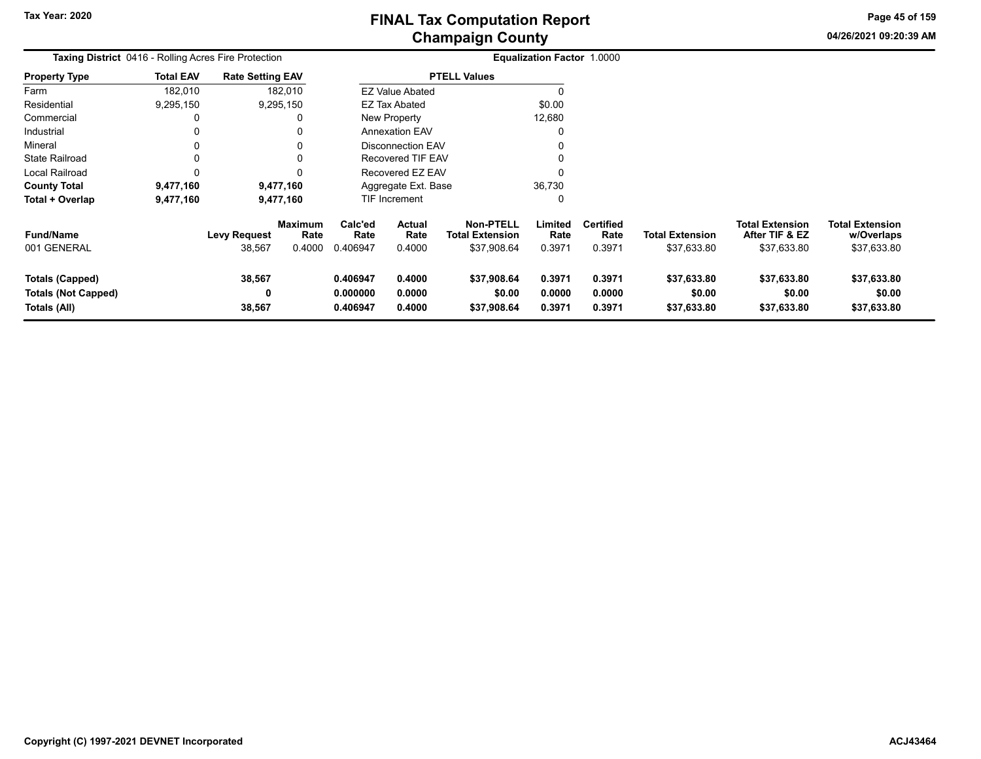**04/26/2021 09:20:39 AMPage 45 of 159**

| <b>Taxing District</b> 0416 - Rolling Acres Fire Protection   |                  |                               |                                  |                                  |                                 |                                                           | Equalization Factor 1.0000 |                                    |                                       |                                                         |                                                     |  |
|---------------------------------------------------------------|------------------|-------------------------------|----------------------------------|----------------------------------|---------------------------------|-----------------------------------------------------------|----------------------------|------------------------------------|---------------------------------------|---------------------------------------------------------|-----------------------------------------------------|--|
| <b>Property Type</b>                                          | <b>Total EAV</b> | <b>Rate Setting EAV</b>       |                                  |                                  |                                 | <b>PTELL Values</b>                                       |                            |                                    |                                       |                                                         |                                                     |  |
| Farm                                                          | 182,010          |                               | 182,010                          |                                  | <b>EZ Value Abated</b>          |                                                           | 0                          |                                    |                                       |                                                         |                                                     |  |
| Residential                                                   | 9,295,150        |                               | 9,295,150                        |                                  | <b>EZ Tax Abated</b>            |                                                           | \$0.00                     |                                    |                                       |                                                         |                                                     |  |
| Commercial                                                    | 0                |                               | 0                                |                                  | New Property                    |                                                           | 12,680                     |                                    |                                       |                                                         |                                                     |  |
| Industrial                                                    | 0                |                               |                                  |                                  | <b>Annexation EAV</b>           |                                                           | 0                          |                                    |                                       |                                                         |                                                     |  |
| Mineral                                                       | 0                |                               |                                  |                                  | <b>Disconnection EAV</b>        |                                                           | 0                          |                                    |                                       |                                                         |                                                     |  |
| <b>State Railroad</b>                                         | 0                |                               |                                  |                                  | Recovered TIF EAV               |                                                           | 0                          |                                    |                                       |                                                         |                                                     |  |
| Local Railroad                                                | 0                |                               |                                  |                                  | Recovered EZ EAV                |                                                           | 0                          |                                    |                                       |                                                         |                                                     |  |
| <b>County Total</b>                                           | 9,477,160        |                               | 9,477,160                        |                                  | Aggregate Ext. Base             |                                                           | 36,730                     |                                    |                                       |                                                         |                                                     |  |
| Total + Overlap                                               | 9,477,160        |                               | 9,477,160                        |                                  | <b>TIF Increment</b>            |                                                           | 0                          |                                    |                                       |                                                         |                                                     |  |
| <b>Fund/Name</b><br>001 GENERAL                               |                  | <b>Levy Request</b><br>38,567 | <b>Maximum</b><br>Rate<br>0.4000 | Calc'ed<br>Rate<br>0.406947      | <b>Actual</b><br>Rate<br>0.4000 | <b>Non-PTELL</b><br><b>Total Extension</b><br>\$37,908.64 | Limited<br>Rate<br>0.3971  | <b>Certified</b><br>Rate<br>0.3971 | <b>Total Extension</b><br>\$37,633.80 | <b>Total Extension</b><br>After TIF & EZ<br>\$37,633.80 | <b>Total Extension</b><br>w/Overlaps<br>\$37,633.80 |  |
| Totals (Capped)<br><b>Totals (Not Capped)</b><br>Totals (All) |                  | 38,567<br>0<br>38,567         |                                  | 0.406947<br>0.000000<br>0.406947 | 0.4000<br>0.0000<br>0.4000      | \$37,908.64<br>\$0.00<br>\$37,908.64                      | 0.3971<br>0.0000<br>0.3971 | 0.3971<br>0.0000<br>0.3971         | \$37,633.80<br>\$0.00<br>\$37,633.80  | \$37,633.80<br>\$0.00<br>\$37,633.80                    | \$37,633.80<br>\$0.00<br>\$37,633.80                |  |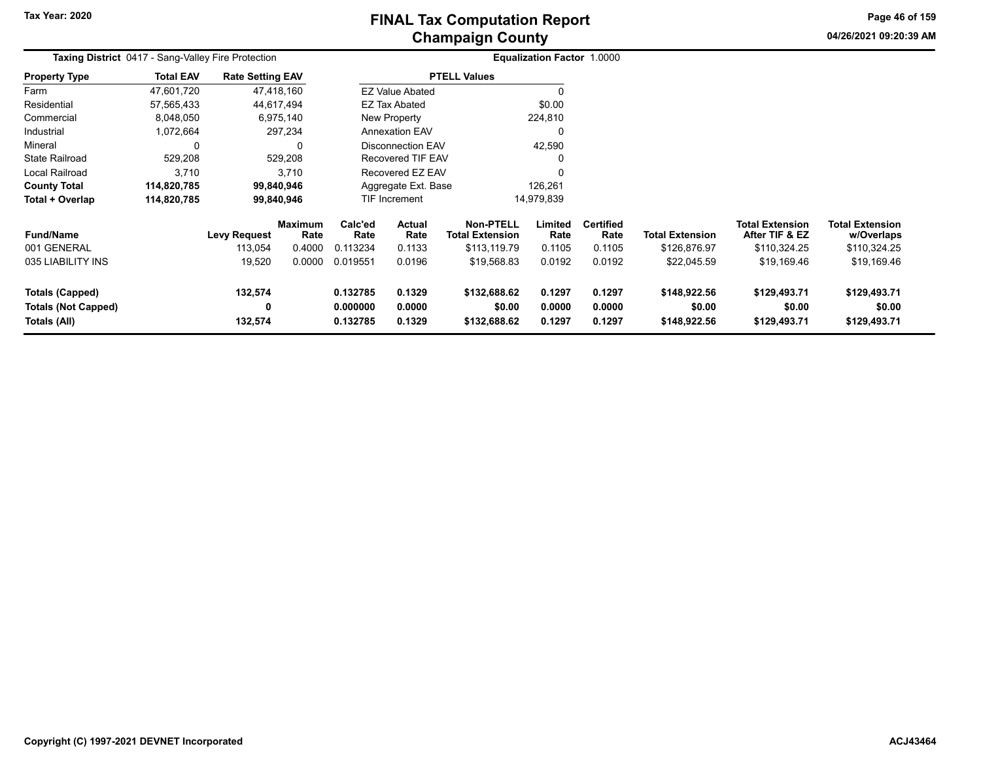# **Champaign County FINAL Tax Computation Report**

**04/26/2021 09:20:39 AMPage 46 of 159**

| Taxing District 0417 - Sang-Valley Fire Protection            |                  |                                |                                  |                                  |                            |                                                            | Equalization Factor 1.0000 |                                    |                                        |                                                          |                                                      |
|---------------------------------------------------------------|------------------|--------------------------------|----------------------------------|----------------------------------|----------------------------|------------------------------------------------------------|----------------------------|------------------------------------|----------------------------------------|----------------------------------------------------------|------------------------------------------------------|
| <b>Property Type</b>                                          | <b>Total EAV</b> | <b>Rate Setting EAV</b>        |                                  |                                  |                            | <b>PTELL Values</b>                                        |                            |                                    |                                        |                                                          |                                                      |
| Farm                                                          | 47,601,720       |                                | 47,418,160                       |                                  | <b>EZ Value Abated</b>     |                                                            | 0                          |                                    |                                        |                                                          |                                                      |
| Residential                                                   | 57,565,433       |                                | 44,617,494                       |                                  | <b>EZ Tax Abated</b>       |                                                            | \$0.00                     |                                    |                                        |                                                          |                                                      |
| Commercial                                                    | 8,048,050        |                                | 6,975,140                        |                                  | New Property               |                                                            | 224,810                    |                                    |                                        |                                                          |                                                      |
| Industrial                                                    | 1,072,664        |                                | 297,234                          |                                  | <b>Annexation EAV</b>      |                                                            | 0                          |                                    |                                        |                                                          |                                                      |
| Mineral                                                       | 0                |                                | 0                                |                                  | <b>Disconnection EAV</b>   |                                                            | 42,590                     |                                    |                                        |                                                          |                                                      |
| <b>State Railroad</b>                                         | 529,208          |                                | 529,208                          |                                  | <b>Recovered TIF EAV</b>   |                                                            | 0                          |                                    |                                        |                                                          |                                                      |
| <b>Local Railroad</b>                                         | 3,710            |                                | 3,710                            |                                  | Recovered EZ EAV           |                                                            | $\Omega$                   |                                    |                                        |                                                          |                                                      |
| <b>County Total</b>                                           | 114,820,785      |                                | 99,840,946                       |                                  | Aggregate Ext. Base        |                                                            | 126,261                    |                                    |                                        |                                                          |                                                      |
| Total + Overlap                                               | 114,820,785      |                                | 99,840,946                       |                                  | <b>TIF Increment</b>       |                                                            | 14,979,839                 |                                    |                                        |                                                          |                                                      |
| <b>Fund/Name</b><br>001 GENERAL                               |                  | <b>Levy Request</b><br>113,054 | <b>Maximum</b><br>Rate<br>0.4000 | Calc'ed<br>Rate<br>0.113234      | Actual<br>Rate<br>0.1133   | <b>Non-PTELL</b><br><b>Total Extension</b><br>\$113,119.79 | Limited<br>Rate<br>0.1105  | <b>Certified</b><br>Rate<br>0.1105 | <b>Total Extension</b><br>\$126,876.97 | <b>Total Extension</b><br>After TIF & EZ<br>\$110,324.25 | <b>Total Extension</b><br>w/Overlaps<br>\$110,324.25 |
| 035 LIABILITY INS                                             |                  | 19,520                         | 0.0000                           | 0.019551                         | 0.0196                     | \$19,568.83                                                | 0.0192                     | 0.0192                             | \$22,045.59                            | \$19,169.46                                              | \$19,169.46                                          |
| Totals (Capped)<br><b>Totals (Not Capped)</b><br>Totals (All) |                  | 132,574<br>0<br>132,574        |                                  | 0.132785<br>0.000000<br>0.132785 | 0.1329<br>0.0000<br>0.1329 | \$132,688.62<br>\$0.00<br>\$132,688.62                     | 0.1297<br>0.0000<br>0.1297 | 0.1297<br>0.0000<br>0.1297         | \$148,922.56<br>\$0.00<br>\$148,922.56 | \$129,493.71<br>\$0.00<br>\$129,493.71                   | \$129,493.71<br>\$0.00<br>\$129,493.71               |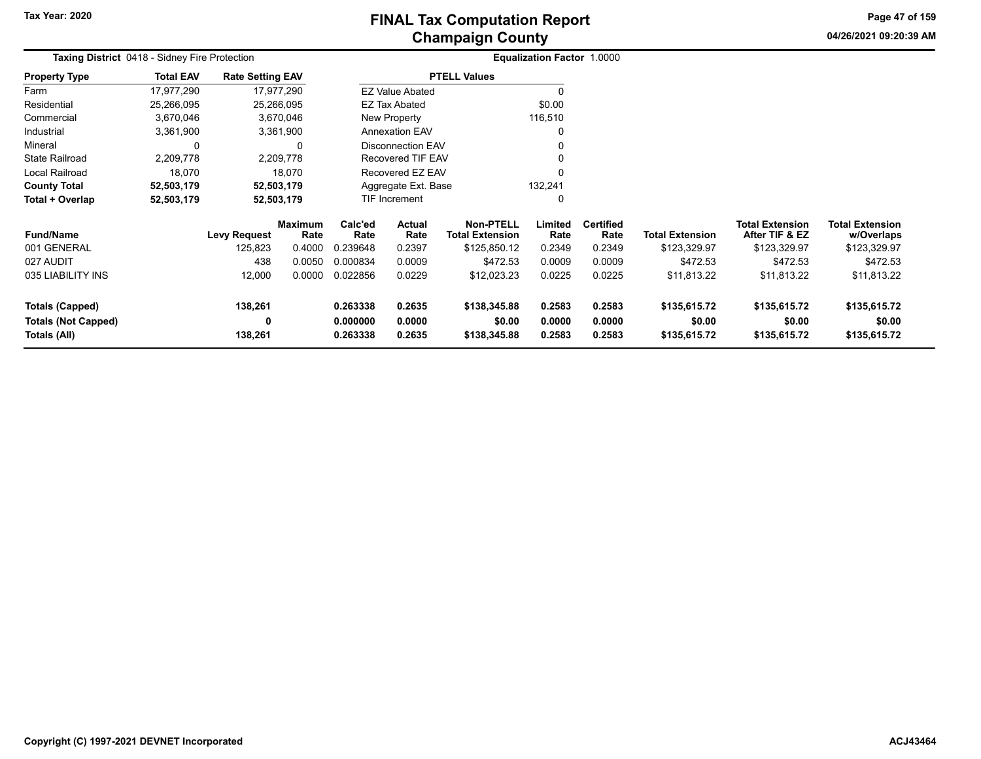# **Champaign County FINAL Tax Computation Report**

**04/26/2021 09:20:39 AMPage 47 of 159**

| Taxing District 0418 - Sidney Fire Protection |                  |                         |                        |                 |                           |                                            | Equalization Factor 1.0000 |                          |                        |                                          |                                      |
|-----------------------------------------------|------------------|-------------------------|------------------------|-----------------|---------------------------|--------------------------------------------|----------------------------|--------------------------|------------------------|------------------------------------------|--------------------------------------|
| <b>Property Type</b>                          | <b>Total EAV</b> | <b>Rate Setting EAV</b> |                        |                 |                           | <b>PTELL Values</b>                        |                            |                          |                        |                                          |                                      |
| Farm                                          | 17,977,290       | 17,977,290              |                        |                 | <b>EZ Value Abated</b>    |                                            | $\Omega$                   |                          |                        |                                          |                                      |
| Residential                                   | 25,266,095       | 25,266,095              |                        |                 | EZ Tax Abated             |                                            | \$0.00                     |                          |                        |                                          |                                      |
| Commercial                                    | 3,670,046        | 3,670,046               |                        |                 | New Property              |                                            | 116,510                    |                          |                        |                                          |                                      |
| Industrial                                    | 3,361,900        | 3,361,900               |                        |                 | <b>Annexation EAV</b>     |                                            | 0                          |                          |                        |                                          |                                      |
| Mineral                                       | 0                |                         | 0                      |                 | <b>Disconnection EAV</b>  |                                            | 0                          |                          |                        |                                          |                                      |
| <b>State Railroad</b>                         | 2,209,778        | 2,209,778               |                        |                 | <b>Recovered TIF EAV</b>  |                                            | 0                          |                          |                        |                                          |                                      |
| Local Railroad                                | 18,070           | 18,070                  |                        |                 | Recovered EZ EAV          |                                            | $\Omega$                   |                          |                        |                                          |                                      |
| <b>County Total</b>                           | 52,503,179       | 52,503,179              |                        |                 | Aggregate Ext. Base       |                                            | 132,241                    |                          |                        |                                          |                                      |
| Total + Overlap                               | 52,503,179       | 52,503,179              |                        |                 | TIF Increment<br>$\Omega$ |                                            |                            |                          |                        |                                          |                                      |
| <b>Fund/Name</b>                              |                  | <b>Levy Request</b>     | <b>Maximum</b><br>Rate | Calc'ed<br>Rate | Actual<br>Rate            | <b>Non-PTELL</b><br><b>Total Extension</b> | Limited<br>Rate            | <b>Certified</b><br>Rate | <b>Total Extension</b> | <b>Total Extension</b><br>After TIF & EZ | <b>Total Extension</b><br>w/Overlaps |
| 001 GENERAL                                   |                  | 125,823                 | 0.4000                 | 0.239648        | 0.2397                    | \$125,850.12                               | 0.2349                     | 0.2349                   | \$123,329.97           | \$123,329.97                             | \$123,329.97                         |
| 027 AUDIT                                     |                  | 438                     | 0.0050                 | 0.000834        | 0.0009                    | \$472.53                                   | 0.0009                     | 0.0009                   | \$472.53               | \$472.53                                 | \$472.53                             |
| 035 LIABILITY INS                             |                  | 12,000                  | 0.0000                 | 0.022856        | 0.0229                    | \$12,023.23                                | 0.0225                     | 0.0225                   | \$11,813.22            | \$11,813.22                              | \$11,813.22                          |
| <b>Totals (Capped)</b>                        |                  | 138,261                 |                        | 0.263338        | 0.2635                    | \$138,345.88                               | 0.2583                     | 0.2583                   | \$135,615.72           | \$135,615.72                             | \$135,615.72                         |
| <b>Totals (Not Capped)</b>                    |                  | 0                       |                        | 0.000000        | 0.0000                    | \$0.00                                     | 0.0000                     | 0.0000                   | \$0.00                 | \$0.00                                   | \$0.00                               |
| Totals (All)                                  |                  | 138,261                 |                        | 0.263338        | 0.2635                    | \$138,345.88                               | 0.2583                     | 0.2583                   | \$135,615.72           | \$135,615.72                             | \$135,615.72                         |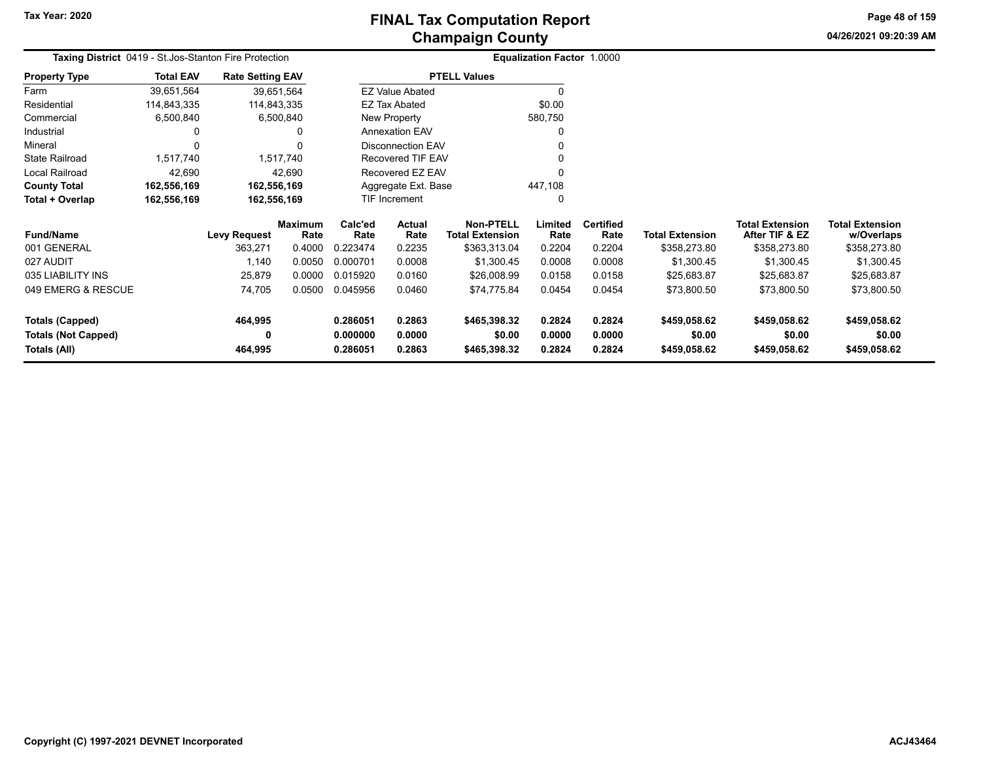**04/26/2021 09:20:39 AM Page 48 of 159**

| Taxing District 0419 - St. Jos-Stanton Fire Protection |                  |                         |                        |                   |                          |                                            | Equalization Factor 1.0000 |                          |                        |                                          |                                      |
|--------------------------------------------------------|------------------|-------------------------|------------------------|-------------------|--------------------------|--------------------------------------------|----------------------------|--------------------------|------------------------|------------------------------------------|--------------------------------------|
| <b>Property Type</b>                                   | <b>Total EAV</b> | <b>Rate Setting EAV</b> |                        |                   |                          | <b>PTELL Values</b>                        |                            |                          |                        |                                          |                                      |
| Farm                                                   | 39,651,564       | 39,651,564              |                        |                   | <b>EZ Value Abated</b>   |                                            | 0                          |                          |                        |                                          |                                      |
| Residential                                            | 114,843,335      | 114,843,335             |                        |                   | EZ Tax Abated            |                                            | \$0.00                     |                          |                        |                                          |                                      |
| Commercial                                             | 6,500,840        |                         | 6,500,840              |                   | <b>New Property</b>      |                                            | 580,750                    |                          |                        |                                          |                                      |
| Industrial                                             |                  |                         | 0                      |                   | <b>Annexation EAV</b>    |                                            |                            |                          |                        |                                          |                                      |
| Mineral                                                |                  |                         |                        |                   | <b>Disconnection EAV</b> |                                            |                            |                          |                        |                                          |                                      |
| <b>State Railroad</b>                                  | 1,517,740        |                         | 1,517,740              | Recovered TIF EAV |                          |                                            |                            |                          |                        |                                          |                                      |
| Local Railroad                                         | 42,690           |                         | 42,690                 | Recovered EZ EAV  |                          |                                            |                            |                          |                        |                                          |                                      |
| <b>County Total</b>                                    | 162,556,169      | 162,556,169             |                        |                   | Aggregate Ext. Base      |                                            | 447,108                    |                          |                        |                                          |                                      |
| Total + Overlap                                        | 162,556,169      | 162,556,169             |                        |                   | <b>TIF Increment</b>     |                                            |                            |                          |                        |                                          |                                      |
| <b>Fund/Name</b>                                       |                  | <b>Levy Request</b>     | <b>Maximum</b><br>Rate | Calc'ed<br>Rate   | Actual<br>Rate           | <b>Non-PTELL</b><br><b>Total Extension</b> | Limited<br>Rate            | <b>Certified</b><br>Rate | <b>Total Extension</b> | <b>Total Extension</b><br>After TIF & EZ | <b>Total Extension</b><br>w/Overlaps |
| 001 GENERAL                                            |                  | 363,271                 | 0.4000                 | 0.223474          | 0.2235                   | \$363,313.04                               | 0.2204                     | 0.2204                   | \$358,273.80           | \$358,273.80                             | \$358,273.80                         |
| 027 AUDIT                                              |                  | 1,140                   | 0.0050                 | 0.000701          | 0.0008                   | \$1,300.45                                 | 0.0008                     | 0.0008                   | \$1,300.45             | \$1,300.45                               | \$1,300.45                           |
| 035 LIABILITY INS                                      |                  | 25,879                  | 0.0000                 | 0.015920          | 0.0160                   | \$26,008.99                                | 0.0158                     | 0.0158                   | \$25,683.87            | \$25,683.87                              | \$25,683.87                          |
| 049 EMERG & RESCUE                                     |                  | 74,705                  | 0.0500                 | 0.045956          | 0.0460                   | \$74,775.84                                | 0.0454                     | 0.0454                   | \$73,800.50            | \$73,800.50                              | \$73,800.50                          |
| <b>Totals (Capped)</b>                                 |                  | 464,995                 |                        | 0.286051          | 0.2863                   | \$465,398.32                               | 0.2824                     | 0.2824                   | \$459,058.62           | \$459,058.62                             | \$459,058.62                         |
| <b>Totals (Not Capped)</b>                             |                  | 0                       |                        | 0.000000          | 0.0000                   | \$0.00                                     | 0.0000                     | 0.0000                   | \$0.00                 | \$0.00                                   | \$0.00                               |
| Totals (All)                                           |                  | 464,995                 |                        | 0.286051          | 0.2863                   | \$465,398.32                               | 0.2824                     | 0.2824                   | \$459,058.62           | \$459,058.62                             | \$459,058.62                         |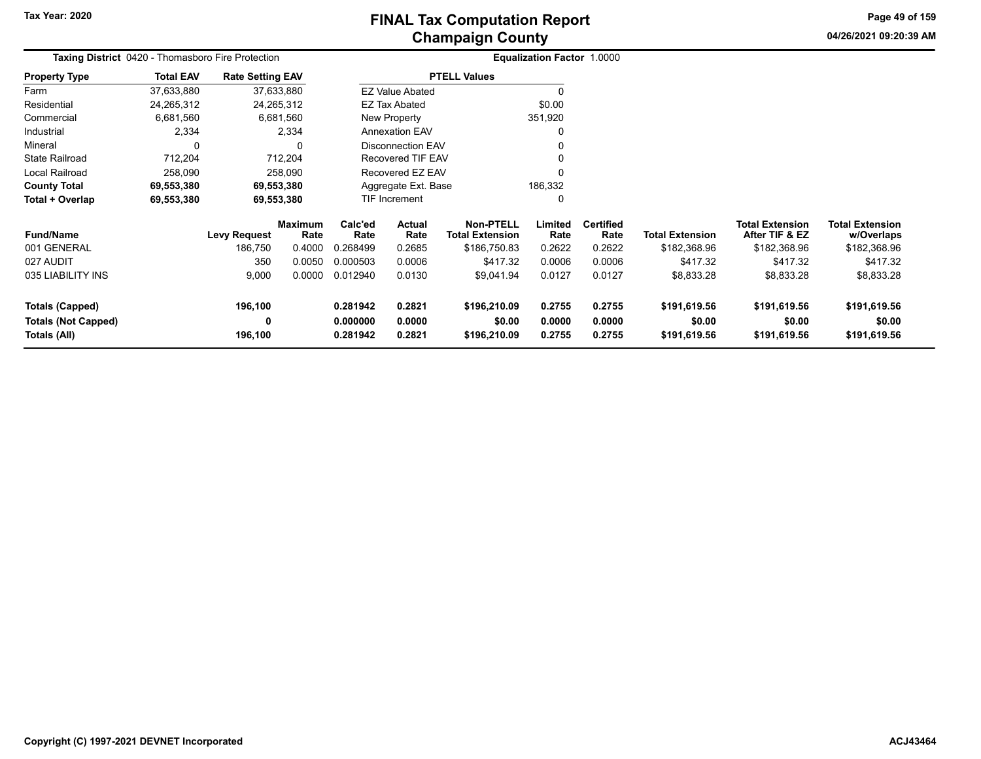**04/26/2021 09:20:39 AMPage 49 of 159**

| Taxing District 0420 - Thomasboro Fire Protection |                  |                         |                        |                                |                          |                                     | Equalization Factor 1.0000 |                          |                        |                                          |                                      |
|---------------------------------------------------|------------------|-------------------------|------------------------|--------------------------------|--------------------------|-------------------------------------|----------------------------|--------------------------|------------------------|------------------------------------------|--------------------------------------|
| <b>Property Type</b>                              | <b>Total EAV</b> | <b>Rate Setting EAV</b> |                        |                                |                          | <b>PTELL Values</b>                 |                            |                          |                        |                                          |                                      |
| Farm                                              | 37,633,880       | 37,633,880              |                        |                                | <b>EZ Value Abated</b>   |                                     | 0                          |                          |                        |                                          |                                      |
| Residential                                       | 24,265,312       | 24,265,312              |                        |                                | <b>EZ Tax Abated</b>     |                                     | \$0.00                     |                          |                        |                                          |                                      |
| Commercial                                        | 6,681,560        | 6,681,560               |                        |                                | New Property             |                                     | 351,920                    |                          |                        |                                          |                                      |
| Industrial                                        | 2,334            |                         | 2,334                  |                                | <b>Annexation EAV</b>    |                                     | 0                          |                          |                        |                                          |                                      |
| Mineral                                           |                  |                         | $\Omega$               |                                | <b>Disconnection EAV</b> |                                     |                            |                          |                        |                                          |                                      |
| <b>State Railroad</b>                             | 712,204          | 712,204                 |                        |                                | Recovered TIF EAV        |                                     |                            |                          |                        |                                          |                                      |
| Local Railroad                                    | 258,090          |                         | 258,090                |                                | Recovered EZ EAV         |                                     | n                          |                          |                        |                                          |                                      |
| <b>County Total</b>                               | 69,553,380       | 69,553,380              |                        | Aggregate Ext. Base<br>186,332 |                          |                                     |                            |                          |                        |                                          |                                      |
| Total + Overlap                                   | 69,553,380       | 69,553,380              |                        |                                | TIF Increment            |                                     | 0                          |                          |                        |                                          |                                      |
| <b>Fund/Name</b>                                  |                  | <b>Levy Request</b>     | <b>Maximum</b><br>Rate | Calc'ed<br>Rate                | Actual<br>Rate           | Non-PTELL<br><b>Total Extension</b> | Limited<br>Rate            | <b>Certified</b><br>Rate | <b>Total Extension</b> | <b>Total Extension</b><br>After TIF & EZ | <b>Total Extension</b><br>w/Overlaps |
| 001 GENERAL                                       |                  | 186,750                 | 0.4000                 | 0.268499                       | 0.2685                   | \$186,750.83                        | 0.2622                     | 0.2622                   | \$182,368.96           | \$182,368.96                             | \$182,368.96                         |
| 027 AUDIT                                         |                  | 350                     | 0.0050                 | 0.000503                       | 0.0006                   | \$417.32                            | 0.0006                     | 0.0006                   | \$417.32               | \$417.32                                 | \$417.32                             |
| 035 LIABILITY INS                                 |                  | 9,000                   | 0.0000                 | 0.012940                       | 0.0130                   | \$9,041.94                          | 0.0127                     | 0.0127                   | \$8,833.28             | \$8,833.28                               | \$8,833.28                           |
| <b>Totals (Capped)</b>                            |                  | 196,100                 |                        | 0.281942                       | 0.2821                   | \$196,210.09                        | 0.2755                     | 0.2755                   | \$191,619.56           | \$191,619.56                             | \$191,619.56                         |
| <b>Totals (Not Capped)</b><br>Totals (All)        |                  | 0<br>196,100            |                        | 0.000000<br>0.281942           | 0.0000<br>0.2821         | \$0.00<br>\$196,210.09              | 0.0000<br>0.2755           | 0.0000<br>0.2755         | \$0.00<br>\$191,619.56 | \$0.00<br>\$191,619.56                   | \$0.00<br>\$191,619.56               |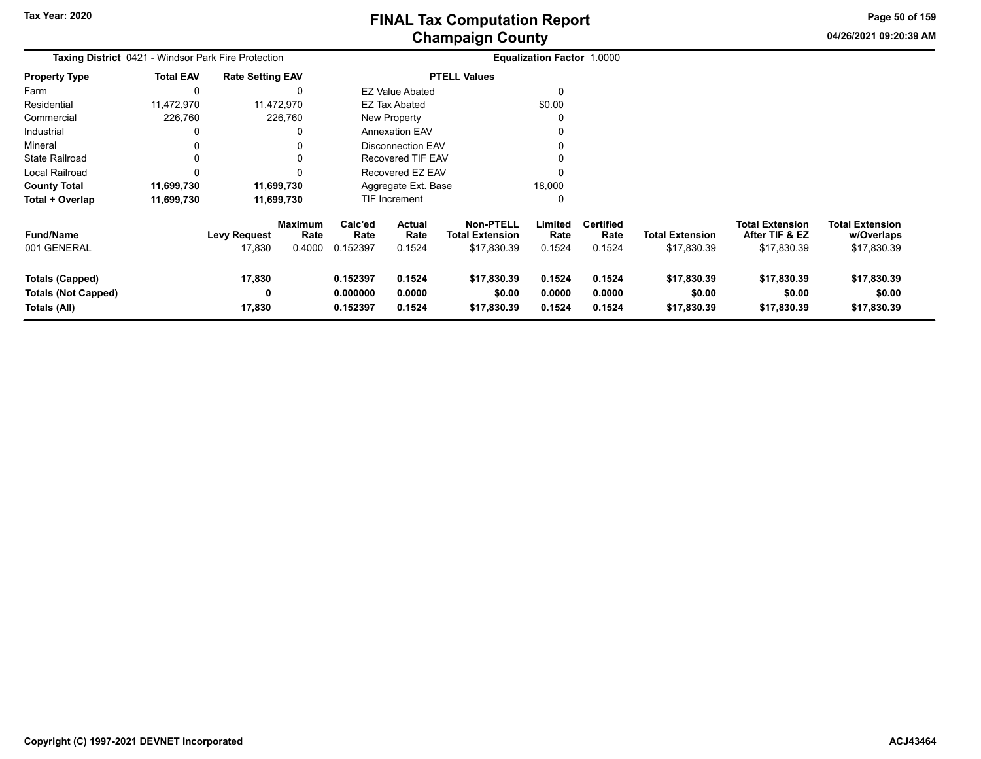**04/26/2021 09:20:39 AM Page 50 of 159**

| <b>Taxing District</b> 0421 - Windsor Park Fire Protection           |                  |                               |                                  | Equalization Factor 1.0000       |                                 |                                                    |                            |                                    |                                      |                                                         |                                                     |
|----------------------------------------------------------------------|------------------|-------------------------------|----------------------------------|----------------------------------|---------------------------------|----------------------------------------------------|----------------------------|------------------------------------|--------------------------------------|---------------------------------------------------------|-----------------------------------------------------|
| <b>Property Type</b>                                                 | <b>Total EAV</b> | <b>Rate Setting EAV</b>       |                                  |                                  |                                 | <b>PTELL Values</b>                                |                            |                                    |                                      |                                                         |                                                     |
| Farm                                                                 |                  |                               |                                  |                                  | <b>EZ Value Abated</b>          |                                                    | 0                          |                                    |                                      |                                                         |                                                     |
| Residential                                                          | 11,472,970       |                               | 11,472,970                       |                                  | EZ Tax Abated                   |                                                    | \$0.00                     |                                    |                                      |                                                         |                                                     |
| Commercial                                                           | 226,760          |                               | 226,760                          |                                  | New Property                    |                                                    | 0                          |                                    |                                      |                                                         |                                                     |
| Industrial                                                           |                  |                               | 0                                |                                  | <b>Annexation EAV</b>           |                                                    | 0                          |                                    |                                      |                                                         |                                                     |
| Mineral                                                              |                  |                               |                                  |                                  | <b>Disconnection EAV</b>        |                                                    | 0                          |                                    |                                      |                                                         |                                                     |
| <b>State Railroad</b>                                                |                  |                               | $\Omega$                         |                                  | <b>Recovered TIF EAV</b>        |                                                    | 0                          |                                    |                                      |                                                         |                                                     |
| Local Railroad                                                       |                  |                               | $\Omega$                         |                                  | Recovered EZ EAV                |                                                    | 0                          |                                    |                                      |                                                         |                                                     |
| <b>County Total</b>                                                  | 11,699,730       |                               | 11,699,730                       |                                  | Aggregate Ext. Base             |                                                    | 18,000                     |                                    |                                      |                                                         |                                                     |
| Total + Overlap                                                      | 11,699,730       |                               | 11,699,730                       |                                  | TIF Increment                   |                                                    | 0                          |                                    |                                      |                                                         |                                                     |
| <b>Fund/Name</b><br>001 GENERAL                                      |                  | <b>Levy Request</b><br>17,830 | <b>Maximum</b><br>Rate<br>0.4000 | Calc'ed<br>Rate<br>0.152397      | <b>Actual</b><br>Rate<br>0.1524 | <b>Non-PTELL</b><br>Total Extension<br>\$17,830.39 | Limited<br>Rate<br>0.1524  | <b>Certified</b><br>Rate<br>0.1524 | Total Extension<br>\$17,830.39       | <b>Total Extension</b><br>After TIF & EZ<br>\$17,830.39 | <b>Total Extension</b><br>w/Overlaps<br>\$17,830.39 |
| <b>Totals (Capped)</b><br><b>Totals (Not Capped)</b><br>Totals (All) |                  | 17,830<br>0<br>17,830         |                                  | 0.152397<br>0.000000<br>0.152397 | 0.1524<br>0.0000<br>0.1524      | \$17,830.39<br>\$0.00<br>\$17,830.39               | 0.1524<br>0.0000<br>0.1524 | 0.1524<br>0.0000<br>0.1524         | \$17,830.39<br>\$0.00<br>\$17,830.39 | \$17,830.39<br>\$0.00<br>\$17,830.39                    | \$17,830.39<br>\$0.00<br>\$17,830.39                |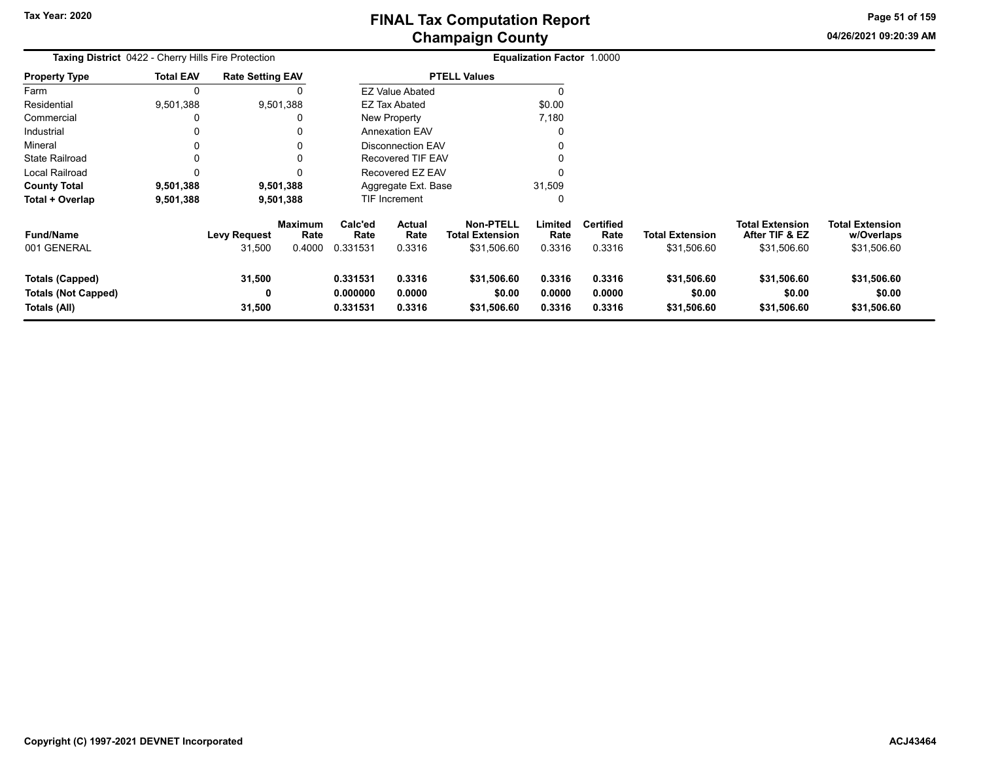**04/26/2021 09:20:39 AM Page 51 of 159**

| <b>Taxing District 0422 - Cherry Hills Fire Protection</b>           | Equalization Factor 1.0000 |                               |                                  |                                  |                                 |                                                           |                            |                                    |                                       |                                                         |                                                     |
|----------------------------------------------------------------------|----------------------------|-------------------------------|----------------------------------|----------------------------------|---------------------------------|-----------------------------------------------------------|----------------------------|------------------------------------|---------------------------------------|---------------------------------------------------------|-----------------------------------------------------|
| Property Type                                                        | <b>Total EAV</b>           | <b>Rate Setting EAV</b>       |                                  |                                  |                                 | <b>PTELL Values</b>                                       |                            |                                    |                                       |                                                         |                                                     |
| Farm                                                                 |                            |                               |                                  |                                  | <b>EZ Value Abated</b>          |                                                           |                            |                                    |                                       |                                                         |                                                     |
| Residential                                                          | 9,501,388                  |                               | 9,501,388                        |                                  | EZ Tax Abated                   |                                                           | \$0.00                     |                                    |                                       |                                                         |                                                     |
| Commercial                                                           |                            |                               |                                  |                                  | <b>New Property</b>             |                                                           | 7,180                      |                                    |                                       |                                                         |                                                     |
| Industrial                                                           |                            |                               |                                  |                                  | <b>Annexation EAV</b>           |                                                           |                            |                                    |                                       |                                                         |                                                     |
| Mineral                                                              |                            |                               |                                  |                                  | <b>Disconnection EAV</b>        |                                                           |                            |                                    |                                       |                                                         |                                                     |
| State Railroad                                                       | O                          |                               | 0                                |                                  | <b>Recovered TIF EAV</b>        |                                                           |                            |                                    |                                       |                                                         |                                                     |
| Local Railroad                                                       |                            |                               | 0                                |                                  | Recovered EZ EAV                |                                                           |                            |                                    |                                       |                                                         |                                                     |
| <b>County Total</b>                                                  | 9,501,388                  |                               | 9,501,388                        |                                  | Aggregate Ext. Base             |                                                           | 31,509                     |                                    |                                       |                                                         |                                                     |
| Total + Overlap                                                      | 9,501,388                  |                               | 9,501,388                        |                                  | TIF Increment                   |                                                           | $\Omega$                   |                                    |                                       |                                                         |                                                     |
| Fund/Name<br>001 GENERAL                                             |                            | <b>Levy Request</b><br>31,500 | <b>Maximum</b><br>Rate<br>0.4000 | Calc'ed<br>Rate<br>0.331531      | <b>Actual</b><br>Rate<br>0.3316 | <b>Non-PTELL</b><br><b>Total Extension</b><br>\$31,506.60 | Limited<br>Rate<br>0.3316  | <b>Certified</b><br>Rate<br>0.3316 | <b>Total Extension</b><br>\$31,506.60 | <b>Total Extension</b><br>After TIF & EZ<br>\$31,506.60 | <b>Total Extension</b><br>w/Overlaps<br>\$31,506.60 |
| <b>Totals (Capped)</b><br><b>Totals (Not Capped)</b><br>Totals (All) |                            | 31,500<br>0<br>31,500         |                                  | 0.331531<br>0.000000<br>0.331531 | 0.3316<br>0.0000<br>0.3316      | \$31,506.60<br>\$0.00<br>\$31,506.60                      | 0.3316<br>0.0000<br>0.3316 | 0.3316<br>0.0000<br>0.3316         | \$31,506.60<br>\$0.00<br>\$31,506.60  | \$31,506.60<br>\$0.00<br>\$31,506.60                    | \$31,506.60<br>\$0.00<br>\$31,506.60                |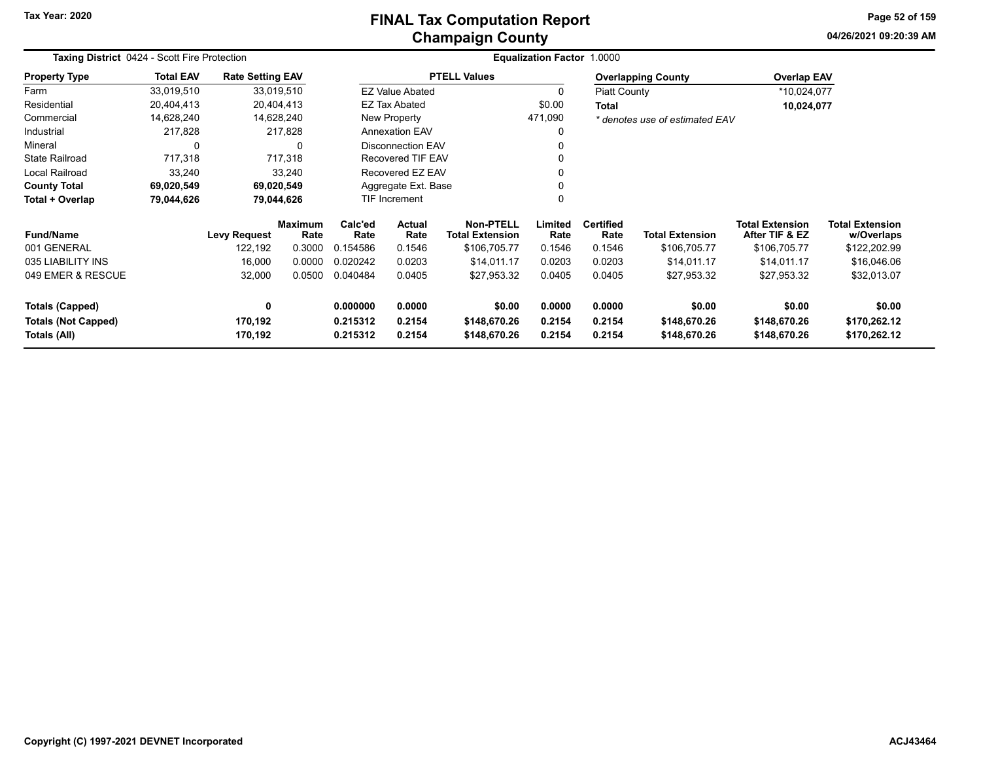#### **Champaign County FINAL Tax Computation Report**

**04/26/2021 09:20:39 AMPage 52 of 159**

| Taxing District 0424 - Scott Fire Protection<br><b>Rate Setting EAV</b> |                  |                     |                        |                      |                          |                                            | Equalization Factor 1.0000 |                          |                                |                                          |                                      |
|-------------------------------------------------------------------------|------------------|---------------------|------------------------|----------------------|--------------------------|--------------------------------------------|----------------------------|--------------------------|--------------------------------|------------------------------------------|--------------------------------------|
| <b>Property Type</b>                                                    | <b>Total EAV</b> |                     |                        |                      |                          | <b>PTELL Values</b>                        |                            |                          | <b>Overlapping County</b>      | <b>Overlap EAV</b>                       |                                      |
| Farm                                                                    | 33,019,510       |                     | 33,019,510             |                      | <b>EZ Value Abated</b>   |                                            | $\Omega$                   | <b>Piatt County</b>      |                                | *10,024,077                              |                                      |
| Residential                                                             | 20,404,413       |                     | 20,404,413             |                      | <b>EZ Tax Abated</b>     |                                            | \$0.00                     | <b>Total</b>             |                                | 10,024,077                               |                                      |
| Commercial                                                              | 14,628,240       |                     | 14,628,240             |                      | New Property             |                                            | 471,090                    |                          | * denotes use of estimated EAV |                                          |                                      |
| Industrial                                                              | 217,828          |                     | 217,828                |                      | <b>Annexation EAV</b>    |                                            |                            |                          |                                |                                          |                                      |
| Mineral                                                                 | 0                |                     | $\Omega$               |                      | <b>Disconnection EAV</b> |                                            |                            |                          |                                |                                          |                                      |
| <b>State Railroad</b>                                                   | 717,318          |                     | 717,318                |                      | <b>Recovered TIF EAV</b> |                                            |                            |                          |                                |                                          |                                      |
| Local Railroad                                                          | 33,240           |                     | 33,240                 |                      | Recovered EZ EAV         |                                            |                            |                          |                                |                                          |                                      |
| <b>County Total</b>                                                     | 69,020,549       |                     | 69,020,549             | Aggregate Ext. Base  |                          |                                            |                            |                          |                                |                                          |                                      |
| Total + Overlap                                                         | 79,044,626       |                     | 79,044,626             | <b>TIF Increment</b> |                          |                                            |                            |                          |                                |                                          |                                      |
| <b>Fund/Name</b>                                                        |                  | <b>Levy Request</b> | <b>Maximum</b><br>Rate | Calc'ed<br>Rate      | Actual<br>Rate           | <b>Non-PTELL</b><br><b>Total Extension</b> | Limited<br>Rate            | <b>Certified</b><br>Rate | <b>Total Extension</b>         | <b>Total Extension</b><br>After TIF & EZ | <b>Total Extension</b><br>w/Overlaps |
| 001 GENERAL                                                             |                  | 122,192             | 0.3000                 | 0.154586             | 0.1546                   | \$106,705.77                               | 0.1546                     | 0.1546                   | \$106,705.77                   | \$106,705.77                             | \$122,202.99                         |
| 035 LIABILITY INS                                                       |                  | 16,000              | 0.0000                 | 0.020242             | 0.0203                   | \$14,011.17                                | 0.0203                     | 0.0203                   | \$14,011.17                    | \$14,011.17                              | \$16,046.06                          |
| 049 EMER & RESCUE                                                       |                  | 32,000              | 0.0500                 | 0.040484             | 0.0405                   | \$27,953.32                                | 0.0405                     | 0.0405                   | \$27,953.32                    | \$27,953.32                              | \$32,013.07                          |
| <b>Totals (Capped)</b>                                                  |                  | $\mathbf 0$         |                        | 0.000000             | 0.0000                   | \$0.00                                     | 0.0000                     | 0.0000                   | \$0.00                         | \$0.00                                   | \$0.00                               |
| <b>Totals (Not Capped)</b><br>Totals (All)                              |                  | 170,192<br>170,192  |                        | 0.215312<br>0.215312 | 0.2154<br>0.2154         | \$148,670.26<br>\$148,670.26               | 0.2154<br>0.2154           | 0.2154<br>0.2154         | \$148,670.26<br>\$148,670.26   | \$148,670.26<br>\$148,670.26             | \$170,262.12<br>\$170,262.12         |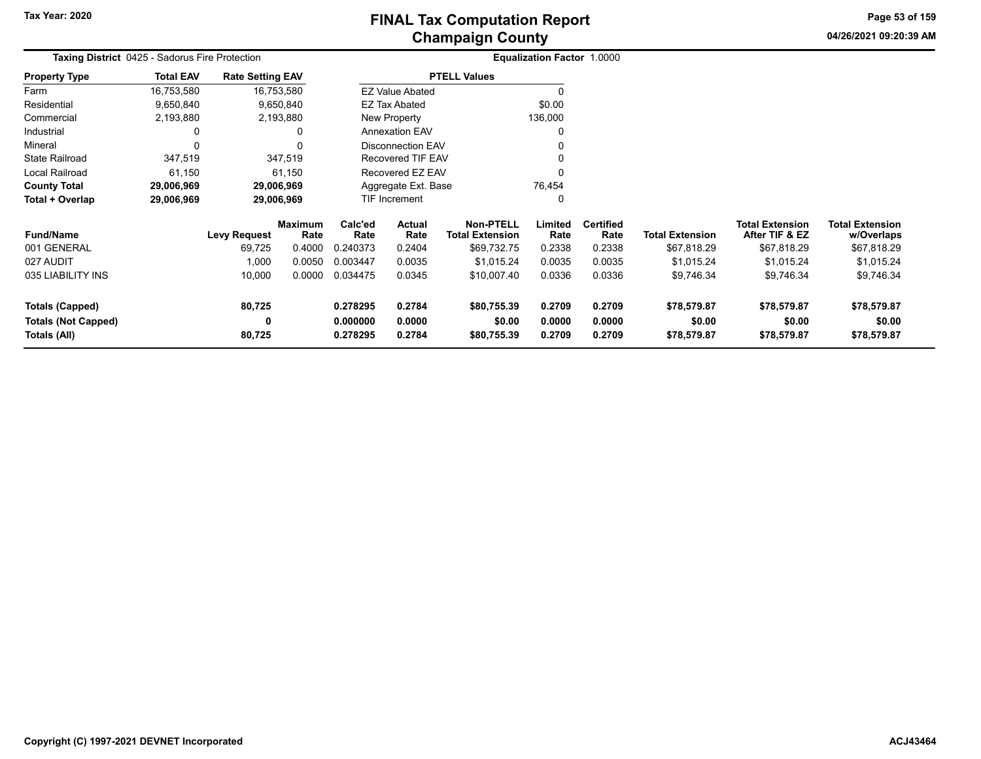**04/26/2021 09:20:39 AM Page 53 of 159**

| <b>Taxing District 0425 - Sadorus Fire Protection</b> |                  |                         |                 |                                | Equalization Factor 1.0000 |                                            |                  |                          |                        |                                          |                                      |
|-------------------------------------------------------|------------------|-------------------------|-----------------|--------------------------------|----------------------------|--------------------------------------------|------------------|--------------------------|------------------------|------------------------------------------|--------------------------------------|
| <b>Property Type</b>                                  | <b>Total EAV</b> | <b>Rate Setting EAV</b> |                 |                                |                            | <b>PTELL Values</b>                        |                  |                          |                        |                                          |                                      |
| Farm                                                  | 16,753,580       |                         | 16,753,580      |                                | <b>EZ Value Abated</b>     |                                            | 0                |                          |                        |                                          |                                      |
| Residential                                           | 9,650,840        |                         | 9,650,840       | \$0.00<br><b>EZ Tax Abated</b> |                            |                                            |                  |                          |                        |                                          |                                      |
| Commercial                                            | 2,193,880        |                         | 2,193,880       | New Property                   |                            |                                            | 136,000          |                          |                        |                                          |                                      |
| Industrial                                            | 0                |                         | 0               | <b>Annexation EAV</b>          |                            |                                            | 0                |                          |                        |                                          |                                      |
| Mineral                                               | 0                |                         | 0               | <b>Disconnection EAV</b>       |                            |                                            |                  |                          |                        |                                          |                                      |
| <b>State Railroad</b>                                 | 347,519          |                         | 347,519         |                                | <b>Recovered TIF EAV</b>   |                                            |                  |                          |                        |                                          |                                      |
| Local Railroad                                        | 61,150           |                         | 61,150          |                                | Recovered EZ EAV           |                                            | 0                |                          |                        |                                          |                                      |
| <b>County Total</b>                                   | 29,006,969       |                         | 29,006,969      |                                | Aggregate Ext. Base        |                                            | 76,454           |                          |                        |                                          |                                      |
| Total + Overlap                                       | 29,006,969       |                         | 29,006,969      |                                | TIF Increment              |                                            | 0                |                          |                        |                                          |                                      |
| <b>Fund/Name</b>                                      |                  | <b>Levy Request</b>     | Maximum<br>Rate | Calc'ed<br>Rate                | Actual<br>Rate             | <b>Non-PTELL</b><br><b>Total Extension</b> | Limited<br>Rate  | <b>Certified</b><br>Rate | <b>Total Extension</b> | <b>Total Extension</b><br>After TIF & EZ | <b>Total Extension</b><br>w/Overlaps |
| 001 GENERAL                                           |                  | 69,725                  | 0.4000          | 0.240373                       | 0.2404                     | \$69,732.75                                | 0.2338           | 0.2338                   | \$67,818.29            | \$67,818.29                              | \$67,818.29                          |
| 027 AUDIT                                             |                  | 1,000                   | 0.0050          | 0.003447                       | 0.0035                     | \$1,015.24                                 | 0.0035           | 0.0035                   | \$1,015.24             | \$1,015.24                               | \$1,015.24                           |
| 035 LIABILITY INS                                     |                  | 10,000                  | 0.0000          | 0.034475                       | 0.0345                     | \$10,007.40                                | 0.0336           | 0.0336                   | \$9,746.34             | \$9,746.34                               | \$9,746.34                           |
| Totals (Capped)                                       |                  | 80,725                  |                 | 0.278295                       | 0.2784                     | \$80,755.39                                | 0.2709           | 0.2709                   | \$78,579.87            | \$78,579.87                              | \$78,579.87                          |
| <b>Totals (Not Capped)</b><br>Totals (All)            |                  | 0<br>80,725             |                 | 0.000000<br>0.278295           | 0.0000<br>0.2784           | \$0.00<br>\$80,755.39                      | 0.0000<br>0.2709 | 0.0000<br>0.2709         | \$0.00<br>\$78,579.87  | \$0.00<br>\$78,579.87                    | \$0.00<br>\$78,579.87                |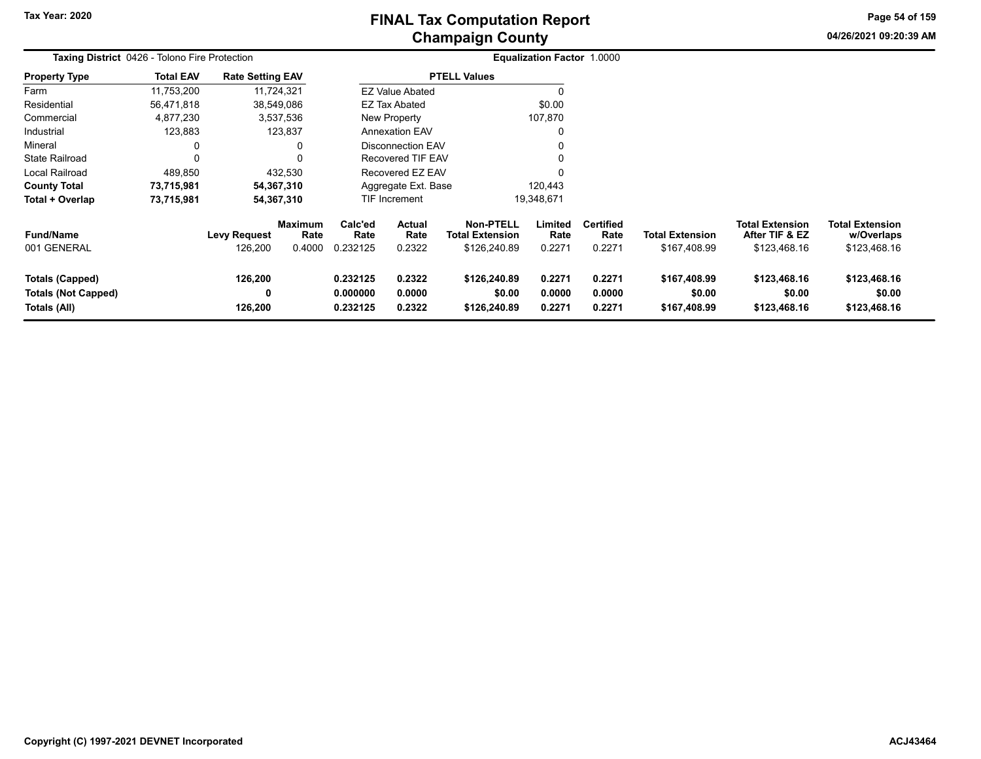**04/26/2021 09:20:39 AMPage 54 of 159**

| Taxing District 0426 - Tolono Fire Protection                 |                  |                                |                                  |                                  |                                 | <b>Equalization Factor 1.0000</b>                          |                            |                                    |                                        |                                                          |                                                      |
|---------------------------------------------------------------|------------------|--------------------------------|----------------------------------|----------------------------------|---------------------------------|------------------------------------------------------------|----------------------------|------------------------------------|----------------------------------------|----------------------------------------------------------|------------------------------------------------------|
| <b>Property Type</b>                                          | <b>Total EAV</b> | <b>Rate Setting EAV</b>        |                                  |                                  |                                 | <b>PTELL Values</b>                                        |                            |                                    |                                        |                                                          |                                                      |
| Farm                                                          | 11,753,200       |                                | 11,724,321                       |                                  | <b>EZ Value Abated</b>          |                                                            |                            |                                    |                                        |                                                          |                                                      |
| Residential                                                   | 56,471,818       |                                | 38,549,086                       |                                  | <b>EZ Tax Abated</b>            |                                                            | \$0.00                     |                                    |                                        |                                                          |                                                      |
| Commercial                                                    | 4,877,230        |                                | 3,537,536                        |                                  | New Property                    |                                                            | 107,870                    |                                    |                                        |                                                          |                                                      |
| Industrial                                                    | 123,883          |                                | 123,837                          |                                  | <b>Annexation EAV</b>           |                                                            |                            |                                    |                                        |                                                          |                                                      |
| Mineral                                                       | $\Omega$         |                                |                                  |                                  | Disconnection EAV               |                                                            |                            |                                    |                                        |                                                          |                                                      |
| <b>State Railroad</b>                                         | $\Omega$         |                                |                                  |                                  | Recovered TIF EAV               |                                                            |                            |                                    |                                        |                                                          |                                                      |
| Local Railroad                                                | 489,850          |                                | 432,530                          |                                  | Recovered EZ EAV                |                                                            |                            |                                    |                                        |                                                          |                                                      |
| <b>County Total</b>                                           | 73,715,981       |                                | 54,367,310                       |                                  | Aggregate Ext. Base             |                                                            | 120,443                    |                                    |                                        |                                                          |                                                      |
| Total + Overlap                                               | 73,715,981       |                                | 54,367,310                       |                                  | <b>TIF Increment</b>            |                                                            | 19,348,671                 |                                    |                                        |                                                          |                                                      |
| <b>Fund/Name</b><br>001 GENERAL                               |                  | <b>Levy Request</b><br>126,200 | <b>Maximum</b><br>Rate<br>0.4000 | Calc'ed<br>Rate<br>0.232125      | <b>Actual</b><br>Rate<br>0.2322 | <b>Non-PTELL</b><br><b>Total Extension</b><br>\$126,240.89 | Limited<br>Rate<br>0.2271  | <b>Certified</b><br>Rate<br>0.2271 | <b>Total Extension</b><br>\$167,408.99 | <b>Total Extension</b><br>After TIF & EZ<br>\$123,468.16 | <b>Total Extension</b><br>w/Overlaps<br>\$123,468.16 |
| Totals (Capped)<br><b>Totals (Not Capped)</b><br>Totals (All) |                  | 126,200<br>0<br>126,200        |                                  | 0.232125<br>0.000000<br>0.232125 | 0.2322<br>0.0000<br>0.2322      | \$126,240.89<br>\$0.00<br>\$126,240.89                     | 0.2271<br>0.0000<br>0.2271 | 0.2271<br>0.0000<br>0.2271         | \$167,408.99<br>\$0.00<br>\$167,408.99 | \$123,468.16<br>\$0.00<br>\$123,468.16                   | \$123,468.16<br>\$0.00<br>\$123,468.16               |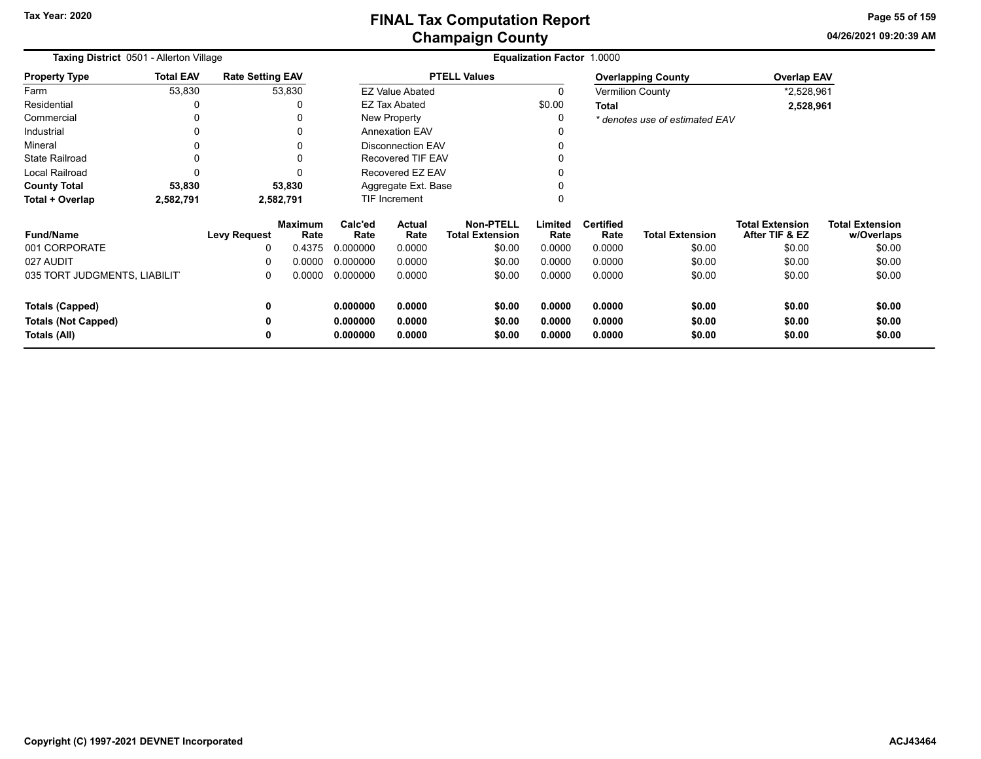**04/26/2021 09:20:39 AMPage 55 of 159**

| <b>Taxing District 0501 - Allerton Village</b> |                  |                         |                        | <b>Equalization Factor 1.0000</b> |                          |                                            |                 |                          |                                |                                          |                                      |  |  |
|------------------------------------------------|------------------|-------------------------|------------------------|-----------------------------------|--------------------------|--------------------------------------------|-----------------|--------------------------|--------------------------------|------------------------------------------|--------------------------------------|--|--|
| <b>Property Type</b>                           | <b>Total EAV</b> | <b>Rate Setting EAV</b> |                        |                                   |                          | <b>PTELL Values</b>                        |                 |                          | <b>Overlapping County</b>      | <b>Overlap EAV</b>                       |                                      |  |  |
| Farm                                           | 53,830           |                         | 53,830                 |                                   | <b>EZ Value Abated</b>   |                                            |                 |                          | <b>Vermilion County</b>        | *2,528,961                               |                                      |  |  |
| Residential                                    |                  |                         |                        |                                   | <b>EZ Tax Abated</b>     |                                            | \$0.00          | <b>Total</b>             |                                | 2,528,961                                |                                      |  |  |
| Commercial                                     |                  |                         |                        |                                   | New Property             |                                            |                 |                          | * denotes use of estimated EAV |                                          |                                      |  |  |
| Industrial                                     | 0                |                         |                        |                                   | <b>Annexation EAV</b>    |                                            |                 |                          |                                |                                          |                                      |  |  |
| Mineral                                        | 0                |                         |                        |                                   | <b>Disconnection EAV</b> |                                            |                 |                          |                                |                                          |                                      |  |  |
| <b>State Railroad</b>                          |                  |                         |                        |                                   | <b>Recovered TIF EAV</b> |                                            |                 |                          |                                |                                          |                                      |  |  |
| Local Railroad                                 | $\Omega$         |                         |                        |                                   | Recovered EZ EAV         |                                            |                 |                          |                                |                                          |                                      |  |  |
| <b>County Total</b>                            | 53,830           |                         | 53,830                 | Aggregate Ext. Base               |                          |                                            |                 |                          |                                |                                          |                                      |  |  |
| Total + Overlap                                | 2,582,791        |                         | 2,582,791              |                                   | TIF Increment            |                                            |                 |                          |                                |                                          |                                      |  |  |
| <b>Fund/Name</b>                               |                  | <b>Levy Request</b>     | <b>Maximum</b><br>Rate | Calc'ed<br>Rate                   | Actual<br>Rate           | <b>Non-PTELL</b><br><b>Total Extension</b> | Limited<br>Rate | <b>Certified</b><br>Rate | <b>Total Extension</b>         | <b>Total Extension</b><br>After TIF & EZ | <b>Total Extension</b><br>w/Overlaps |  |  |
| 001 CORPORATE                                  |                  | 0                       | 0.4375                 | 0.000000                          | 0.0000                   | \$0.00                                     | 0.0000          | 0.0000                   | \$0.00                         | \$0.00                                   | \$0.00                               |  |  |
| 027 AUDIT                                      |                  | 0                       | 0.0000                 | 0.000000                          | 0.0000                   | \$0.00                                     | 0.0000          | 0.0000                   | \$0.00                         | \$0.00                                   | \$0.00                               |  |  |
| 035 TORT JUDGMENTS, LIABILIT                   |                  | 0                       | 0.0000                 | 0.000000                          | 0.0000                   | \$0.00                                     | 0.0000          | 0.0000                   | \$0.00                         | \$0.00                                   | \$0.00                               |  |  |
| <b>Totals (Capped)</b>                         |                  | 0                       |                        | 0.000000                          | 0.0000                   | \$0.00                                     | 0.0000          | 0.0000                   | \$0.00                         | \$0.00                                   | \$0.00                               |  |  |
| <b>Totals (Not Capped)</b>                     |                  | 0                       |                        | 0.000000                          | 0.0000                   | \$0.00                                     | 0.0000          | 0.0000                   | \$0.00                         | \$0.00                                   | \$0.00                               |  |  |
| Totals (All)                                   |                  | 0                       |                        | 0.000000                          | 0.0000                   | \$0.00                                     | 0.0000          | 0.0000                   | \$0.00                         | \$0.00                                   | \$0.00                               |  |  |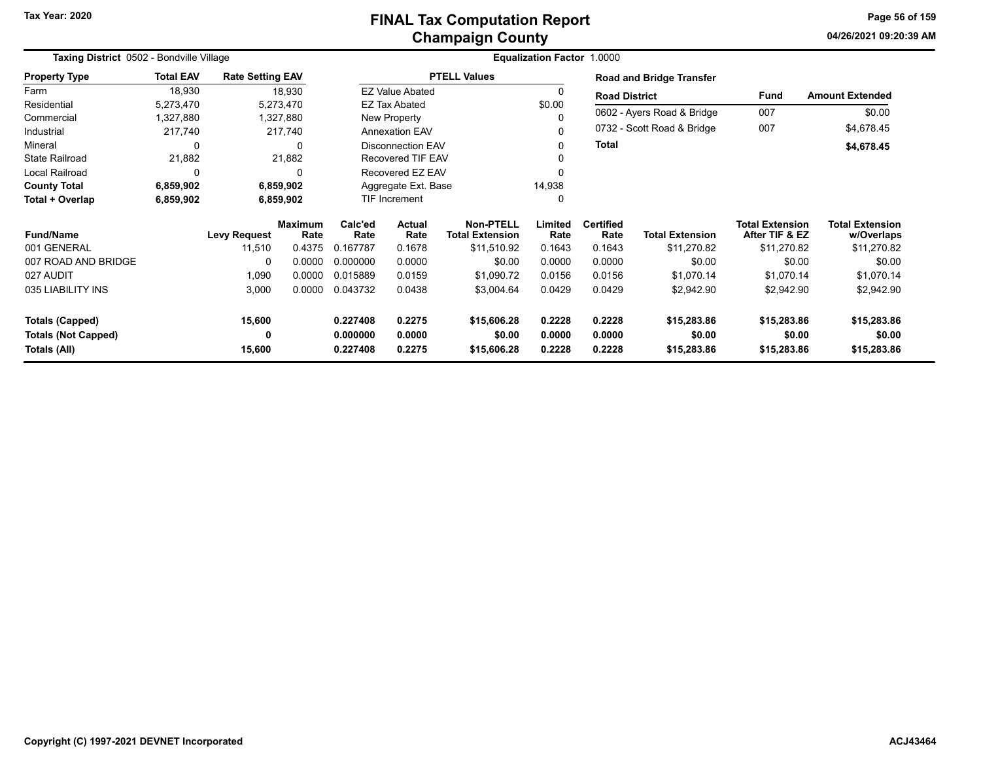**04/26/2021 09:20:39 AMPage 56 of 159**

| Taxing District 0502 - Bondville Village |                  |                         |                        |                 |                          |                                            |                 |                          |                            |                                          |                                      |
|------------------------------------------|------------------|-------------------------|------------------------|-----------------|--------------------------|--------------------------------------------|-----------------|--------------------------|----------------------------|------------------------------------------|--------------------------------------|
| <b>Property Type</b>                     | <b>Total EAV</b> | <b>Rate Setting EAV</b> |                        |                 |                          | <b>PTELL Values</b>                        |                 |                          | Road and Bridge Transfer   |                                          |                                      |
| Farm                                     | 18,930           |                         | 18,930                 |                 | <b>EZ Value Abated</b>   |                                            |                 | <b>Road District</b>     |                            | <b>Fund</b>                              | <b>Amount Extended</b>               |
| Residential                              | 5,273,470        | 5,273,470               |                        |                 | <b>EZ Tax Abated</b>     |                                            | \$0.00          |                          |                            |                                          |                                      |
| Commercial                               | 1,327,880        |                         | 1,327,880              |                 | New Property             |                                            |                 |                          | 0602 - Ayers Road & Bridge | 007                                      | \$0.00                               |
| Industrial                               | 217,740          |                         | 217,740                |                 | <b>Annexation EAV</b>    |                                            |                 |                          | 0732 - Scott Road & Bridge | 007                                      | \$4,678.45                           |
| Mineral                                  | $\Omega$         |                         | $\Omega$               |                 | <b>Disconnection EAV</b> |                                            |                 | Total                    |                            |                                          | \$4,678.45                           |
| <b>State Railroad</b>                    | 21,882           |                         | 21,882                 |                 | <b>Recovered TIF EAV</b> |                                            |                 |                          |                            |                                          |                                      |
| Local Railroad                           | 0                |                         | $\Omega$               |                 | Recovered EZ EAV         |                                            |                 |                          |                            |                                          |                                      |
| <b>County Total</b>                      | 6,859,902        |                         | 6,859,902              |                 | Aggregate Ext. Base      |                                            | 14,938          |                          |                            |                                          |                                      |
| Total + Overlap                          | 6,859,902        |                         | 6,859,902              | TIF Increment   |                          |                                            | 0               |                          |                            |                                          |                                      |
| <b>Fund/Name</b>                         |                  | <b>Levy Request</b>     | <b>Maximum</b><br>Rate | Calc'ed<br>Rate | Actual<br>Rate           | <b>Non-PTELL</b><br><b>Total Extension</b> | Limited<br>Rate | <b>Certified</b><br>Rate | <b>Total Extension</b>     | <b>Total Extension</b><br>After TIF & EZ | <b>Total Extension</b><br>w/Overlaps |
| 001 GENERAL                              |                  | 11,510                  | 0.4375                 | 0.167787        | 0.1678                   | \$11,510.92                                | 0.1643          | 0.1643                   | \$11,270.82                | \$11,270.82                              | \$11,270.82                          |
| 007 ROAD AND BRIDGE                      |                  | 0                       | 0.0000                 | 0.000000        | 0.0000                   | \$0.00                                     | 0.0000          | 0.0000                   | \$0.00                     | \$0.00                                   | \$0.00                               |
| 027 AUDIT                                |                  | 1,090                   | 0.0000                 | 0.015889        | 0.0159                   | \$1,090.72                                 | 0.0156          | 0.0156                   | \$1,070.14                 | \$1,070.14                               | \$1,070.14                           |
| 035 LIABILITY INS                        |                  | 3,000                   | 0.0000                 | 0.043732        | 0.0438                   | \$3,004.64                                 | 0.0429          | 0.0429                   | \$2,942.90                 | \$2,942.90                               | \$2,942.90                           |
| <b>Totals (Capped)</b>                   |                  | 15,600                  |                        | 0.227408        | 0.2275                   | \$15,606.28                                | 0.2228          | 0.2228                   | \$15,283.86                | \$15,283.86                              | \$15,283.86                          |
| <b>Totals (Not Capped)</b>               |                  | 0                       |                        | 0.000000        | 0.0000                   | \$0.00                                     | 0.0000          | 0.0000                   | \$0.00                     | \$0.00                                   | \$0.00                               |
| Totals (All)                             |                  | 15,600                  |                        | 0.227408        | 0.2275                   | \$15,606.28                                | 0.2228          | 0.2228                   | \$15,283.86                | \$15,283.86                              | \$15,283.86                          |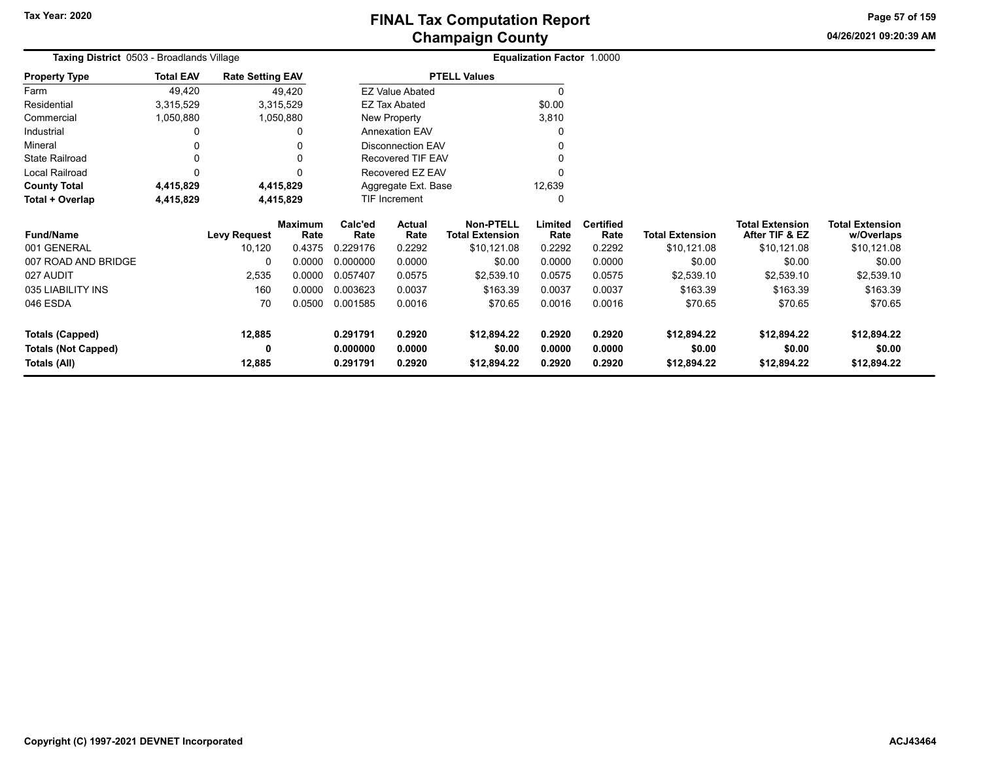**04/26/2021 09:20:39 AM Page 57 of 159**

| Taxing District 0503 - Broadlands Village<br><b>Rate Setting EAV</b> |                  |              |                 |                 |                          |                                            | <b>Equalization Factor 1.0000</b> |                          |                        |                                          |                                      |
|----------------------------------------------------------------------|------------------|--------------|-----------------|-----------------|--------------------------|--------------------------------------------|-----------------------------------|--------------------------|------------------------|------------------------------------------|--------------------------------------|
| Property Type                                                        | <b>Total EAV</b> |              |                 |                 |                          | <b>PTELL Values</b>                        |                                   |                          |                        |                                          |                                      |
| Farm                                                                 | 49,420           |              | 49,420          |                 | <b>EZ Value Abated</b>   |                                            |                                   |                          |                        |                                          |                                      |
| Residential                                                          | 3,315,529        |              | 3,315,529       |                 | EZ Tax Abated            |                                            | \$0.00                            |                          |                        |                                          |                                      |
| Commercial                                                           | 1,050,880        |              | 1,050,880       |                 | New Property             |                                            | 3,810                             |                          |                        |                                          |                                      |
| Industrial                                                           | 0                |              | ი               |                 | <b>Annexation EAV</b>    |                                            |                                   |                          |                        |                                          |                                      |
| Mineral                                                              |                  |              |                 |                 | <b>Disconnection EAV</b> |                                            |                                   |                          |                        |                                          |                                      |
| State Railroad                                                       | 0                |              |                 |                 | Recovered TIF EAV        |                                            |                                   |                          |                        |                                          |                                      |
| Local Railroad                                                       | $\Omega$         |              | ŋ               |                 | Recovered EZ EAV         |                                            |                                   |                          |                        |                                          |                                      |
| <b>County Total</b>                                                  | 4,415,829        |              | 4,415,829       |                 | Aggregate Ext. Base      |                                            | 12,639                            |                          |                        |                                          |                                      |
| Total + Overlap                                                      | 4,415,829        |              | 4,415,829       |                 | <b>TIF Increment</b>     |                                            |                                   |                          |                        |                                          |                                      |
| <b>Fund/Name</b>                                                     |                  | Levy Request | Maximum<br>Rate | Calc'ed<br>Rate | Actual<br>Rate           | <b>Non-PTELL</b><br><b>Total Extension</b> | Limited<br>Rate                   | <b>Certified</b><br>Rate | <b>Total Extension</b> | <b>Total Extension</b><br>After TIF & EZ | <b>Total Extension</b><br>w/Overlaps |
| 001 GENERAL                                                          |                  | 10,120       | 0.4375          | 0.229176        | 0.2292                   | \$10,121.08                                | 0.2292                            | 0.2292                   | \$10,121.08            | \$10,121.08                              | \$10,121.08                          |
| 007 ROAD AND BRIDGE                                                  |                  | 0            | 0.0000          | 0.000000        | 0.0000                   | \$0.00                                     | 0.0000                            | 0.0000                   | \$0.00                 | \$0.00                                   | \$0.00                               |
| 027 AUDIT                                                            |                  | 2,535        | 0.0000          | 0.057407        | 0.0575                   | \$2,539.10                                 | 0.0575                            | 0.0575                   | \$2,539.10             | \$2,539.10                               | \$2,539.10                           |
| 035 LIABILITY INS                                                    |                  | 160          | 0.0000          | 0.003623        | 0.0037                   | \$163.39                                   | 0.0037                            | 0.0037                   | \$163.39               | \$163.39                                 | \$163.39                             |
| 046 ESDA                                                             |                  | 70           | 0.0500          | 0.001585        | 0.0016                   | \$70.65                                    | 0.0016                            | 0.0016                   | \$70.65                | \$70.65                                  | \$70.65                              |
| <b>Totals (Capped)</b>                                               |                  | 12,885       |                 | 0.291791        | 0.2920                   | \$12,894.22                                | 0.2920                            | 0.2920                   | \$12,894.22            | \$12,894.22                              | \$12,894.22                          |
| <b>Totals (Not Capped)</b>                                           |                  | 0            |                 | 0.000000        | 0.0000                   | \$0.00                                     | 0.0000                            | 0.0000                   | \$0.00                 | \$0.00                                   | \$0.00                               |
| Totals (All)                                                         |                  | 12,885       |                 | 0.291791        | 0.2920                   | \$12,894.22                                | 0.2920                            | 0.2920                   | \$12,894.22            | \$12,894.22                              | \$12,894.22                          |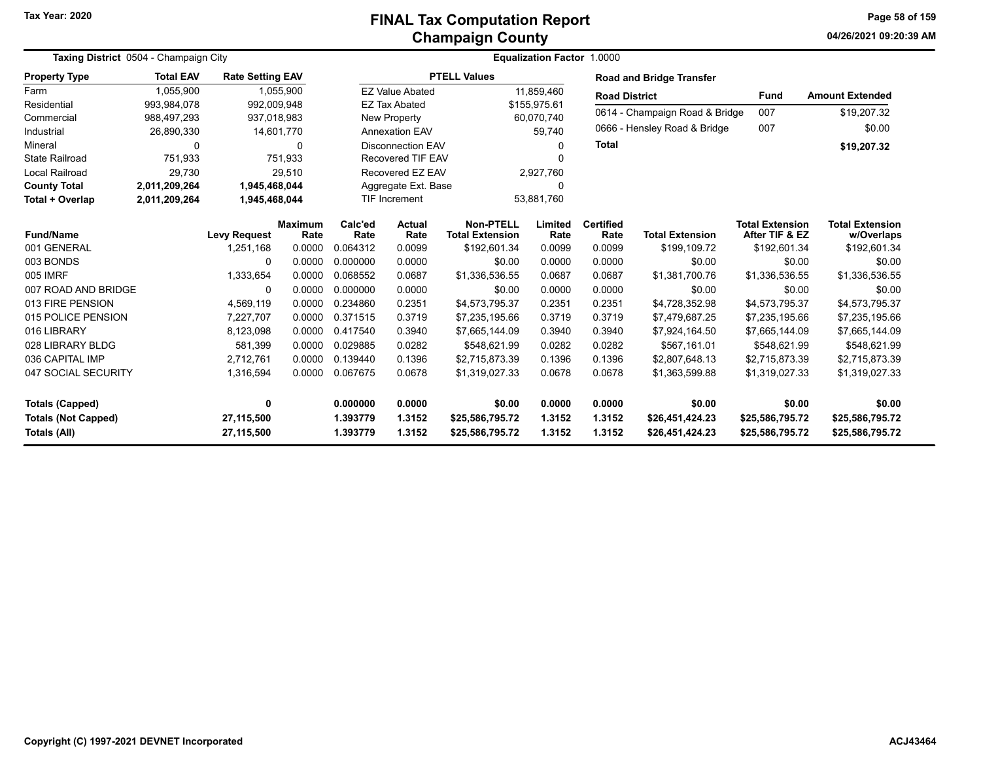# **Champaign County FINAL Tax Computation Report**

**04/26/2021 09:20:39 AMPage 58 of 159**

| Taxing District 0504 - Champaign City             |                  |                                  |                        | Equalization Factor 1.0000 |                          |                                            |                  |                          |                                    |                                          |                                    |
|---------------------------------------------------|------------------|----------------------------------|------------------------|----------------------------|--------------------------|--------------------------------------------|------------------|--------------------------|------------------------------------|------------------------------------------|------------------------------------|
| <b>Property Type</b>                              | <b>Total EAV</b> | <b>Rate Setting EAV</b>          |                        |                            |                          | <b>PTELL Values</b>                        |                  |                          | <b>Road and Bridge Transfer</b>    |                                          |                                    |
| Farm                                              | 1,055,900        |                                  | 1,055,900              |                            | <b>EZ Value Abated</b>   |                                            | 11,859,460       | <b>Road District</b>     |                                    | <b>Fund</b>                              | <b>Amount Extended</b>             |
| Residential                                       | 993,984,078      | 992,009,948                      |                        |                            | <b>EZ Tax Abated</b>     |                                            | \$155,975.61     |                          |                                    |                                          |                                    |
| Commercial                                        | 988,497,293      | 937,018,983                      |                        |                            | New Property             |                                            | 60,070,740       |                          | 0614 - Champaign Road & Bridge     | 007                                      | \$19,207.32                        |
| Industrial                                        | 26,890,330       |                                  | 14,601,770             |                            | <b>Annexation EAV</b>    |                                            | 59.740           |                          | 0666 - Hensley Road & Bridge       | 007                                      | \$0.00                             |
| Mineral                                           | 0                |                                  | 0                      |                            | <b>Disconnection EAV</b> |                                            | $\Omega$         | <b>Total</b>             |                                    |                                          | \$19,207.32                        |
| <b>State Railroad</b>                             | 751,933          |                                  | 751,933                |                            | <b>Recovered TIF EAV</b> |                                            | n                |                          |                                    |                                          |                                    |
| Local Railroad                                    | 29,730           |                                  | 29,510                 |                            | Recovered EZ EAV         |                                            | 2,927,760        |                          |                                    |                                          |                                    |
| <b>County Total</b>                               | 2,011,209,264    | 1,945,468,044                    |                        |                            | Aggregate Ext. Base      |                                            | 0                |                          |                                    |                                          |                                    |
| Total + Overlap                                   | 2,011,209,264    | 1,945,468,044                    |                        |                            | <b>TIF Increment</b>     |                                            | 53,881,760       |                          |                                    |                                          |                                    |
| <b>Fund/Name</b>                                  |                  |                                  | <b>Maximum</b><br>Rate | Calc'ed<br>Rate            | Actual<br>Rate           | <b>Non-PTELL</b><br><b>Total Extension</b> | Limited<br>Rate  | <b>Certified</b><br>Rate | <b>Total Extension</b>             | <b>Total Extension</b><br>After TIF & EZ | <b>Total Extension</b>             |
| 001 GENERAL                                       |                  | <b>Levy Request</b><br>1,251,168 | 0.0000                 | 0.064312                   | 0.0099                   | \$192,601.34                               | 0.0099           | 0.0099                   | \$199,109.72                       | \$192,601.34                             | w/Overlaps<br>\$192,601.34         |
| 003 BONDS                                         |                  | 0                                | 0.0000                 | 0.000000                   | 0.0000                   | \$0.00                                     | 0.0000           | 0.0000                   | \$0.00                             | \$0.00                                   | \$0.00                             |
| 005 IMRF                                          |                  | 1,333,654                        | 0.0000                 | 0.068552                   | 0.0687                   | \$1,336,536.55                             | 0.0687           | 0.0687                   | \$1,381,700.76                     | \$1,336,536.55                           | \$1,336,536.55                     |
| 007 ROAD AND BRIDGE                               |                  | 0                                | 0.0000                 | 0.000000                   | 0.0000                   | \$0.00                                     | 0.0000           | 0.0000                   | \$0.00                             | \$0.00                                   | \$0.00                             |
| 013 FIRE PENSION                                  |                  | 4,569,119                        | 0.0000                 | 0.234860                   | 0.2351                   | \$4,573,795.37                             | 0.2351           | 0.2351                   | \$4,728,352.98                     | \$4,573,795.37                           | \$4,573,795.37                     |
| 015 POLICE PENSION                                |                  | 7,227,707                        | 0.0000                 | 0.371515                   | 0.3719                   | \$7,235,195.66                             | 0.3719           | 0.3719                   | \$7,479,687.25                     | \$7,235,195.66                           | \$7,235,195.66                     |
| 016 LIBRARY                                       |                  | 8,123,098                        | 0.0000                 | 0.417540                   | 0.3940                   | \$7,665,144.09                             | 0.3940           | 0.3940                   | \$7,924,164.50                     | \$7,665,144.09                           | \$7,665,144.09                     |
| 028 LIBRARY BLDG                                  |                  | 581,399                          | 0.0000                 | 0.029885                   | 0.0282                   | \$548,621.99                               | 0.0282           | 0.0282                   | \$567,161.01                       | \$548,621.99                             | \$548,621.99                       |
| 036 CAPITAL IMP                                   |                  | 2,712,761                        | 0.0000                 | 0.139440                   | 0.1396                   | \$2,715,873.39                             | 0.1396           | 0.1396                   | \$2,807,648.13                     | \$2,715,873.39                           | \$2,715,873.39                     |
| 047 SOCIAL SECURITY                               |                  | 1,316,594                        | 0.0000                 | 0.067675                   | 0.0678                   | \$1,319,027.33                             | 0.0678           | 0.0678                   | \$1,363,599.88                     | \$1,319,027.33                           | \$1,319,027.33                     |
|                                                   |                  |                                  |                        |                            |                          |                                            |                  |                          |                                    |                                          |                                    |
| <b>Totals (Capped)</b>                            |                  | $\mathbf 0$                      |                        | 0.000000                   | 0.0000                   | \$0.00                                     | 0.0000           | 0.0000                   | \$0.00                             | \$0.00                                   | \$0.00                             |
| <b>Totals (Not Capped)</b><br><b>Totals (All)</b> |                  | 27,115,500<br>27,115,500         |                        | 1.393779<br>1.393779       | 1.3152<br>1.3152         | \$25,586,795.72<br>\$25,586,795.72         | 1.3152<br>1.3152 | 1.3152<br>1.3152         | \$26,451,424.23<br>\$26,451,424.23 | \$25,586,795.72<br>\$25,586,795.72       | \$25,586,795.72<br>\$25,586,795.72 |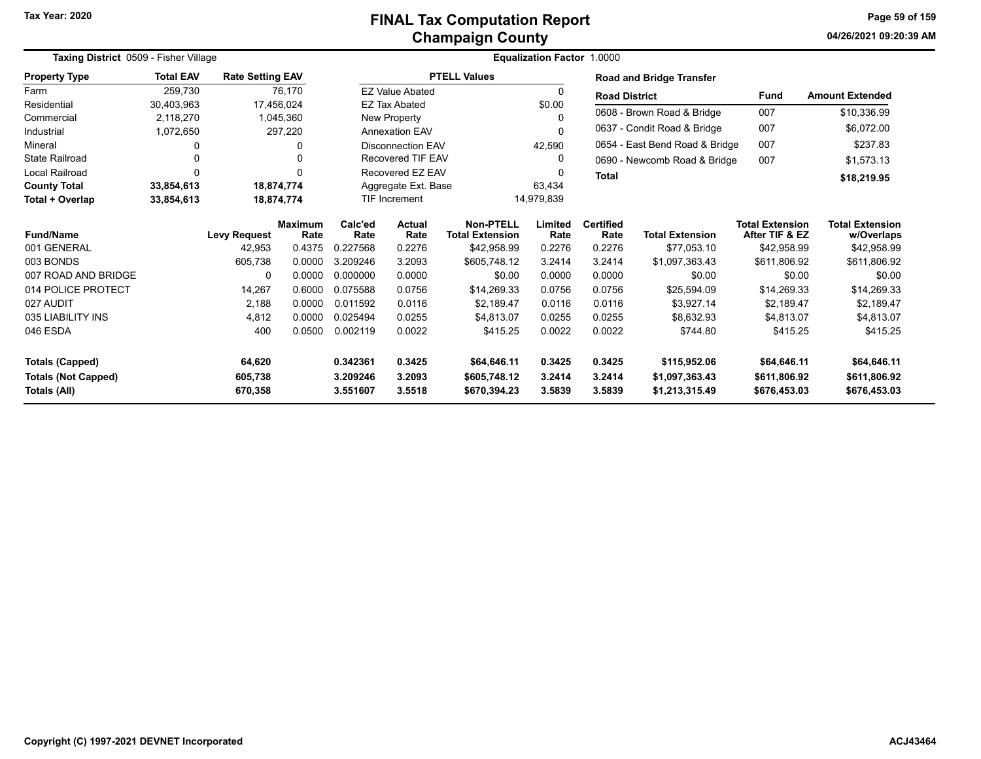# **Champaign County FINAL Tax Computation Report**

**04/26/2021 09:20:39 AM Page 59 of 159**

| Taxing District 0509 - Fisher Village |                  |                         |                        | Equalization Factor 1.0000 |                                    |                                            |                 |                          |                                 |                                          |                                      |
|---------------------------------------|------------------|-------------------------|------------------------|----------------------------|------------------------------------|--------------------------------------------|-----------------|--------------------------|---------------------------------|------------------------------------------|--------------------------------------|
| <b>Property Type</b>                  | <b>Total EAV</b> | <b>Rate Setting EAV</b> |                        |                            |                                    | <b>PTELL Values</b>                        |                 |                          | <b>Road and Bridge Transfer</b> |                                          |                                      |
| Farm                                  | 259,730          |                         | 76,170                 |                            | <b>EZ Value Abated</b>             |                                            | 0               | <b>Road District</b>     |                                 | Fund                                     | <b>Amount Extended</b>               |
| Residential                           | 30,403,963       |                         | 17,456,024             |                            | <b>EZ Tax Abated</b>               |                                            | \$0.00          |                          |                                 |                                          |                                      |
| Commercial                            | 2,118,270        |                         | 1,045,360              |                            | New Property                       |                                            | 0               |                          | 0608 - Brown Road & Bridge      | 007                                      | \$10,336.99                          |
| Industrial                            | 1,072,650        |                         | 297,220                |                            | 0<br><b>Annexation EAV</b>         |                                            |                 |                          | 0637 - Condit Road & Bridge     | 007                                      | \$6,072.00                           |
| Mineral                               |                  |                         | 0                      |                            | 42,590<br><b>Disconnection EAV</b> |                                            |                 |                          | 0654 - East Bend Road & Bridge  | 007                                      | \$237.83                             |
| <b>State Railroad</b>                 |                  |                         | 0                      |                            | <b>Recovered TIF EAV</b>           |                                            | 0               |                          | 0690 - Newcomb Road & Bridge    | 007                                      | \$1,573.13                           |
| <b>Local Railroad</b>                 | $\Omega$         |                         | 0                      |                            | Recovered EZ EAV                   |                                            |                 | <b>Total</b>             |                                 |                                          | \$18,219.95                          |
| <b>County Total</b>                   | 33,854,613       |                         | 18,874,774             |                            | Aggregate Ext. Base                |                                            | 63,434          |                          |                                 |                                          |                                      |
| Total + Overlap                       | 33,854,613       |                         | 18,874,774             |                            | <b>TIF Increment</b>               | 14,979,839                                 |                 |                          |                                 |                                          |                                      |
| <b>Fund/Name</b>                      |                  | <b>Levy Request</b>     | <b>Maximum</b><br>Rate | Calc'ed<br>Rate            | <b>Actual</b><br>Rate              | <b>Non-PTELL</b><br><b>Total Extension</b> | Limited<br>Rate | <b>Certified</b><br>Rate | <b>Total Extension</b>          | <b>Total Extension</b><br>After TIF & EZ | <b>Total Extension</b><br>w/Overlaps |
| 001 GENERAL                           |                  | 42,953                  | 0.4375                 | 0.227568                   | 0.2276                             | \$42,958.99                                | 0.2276          | 0.2276                   | \$77,053.10                     | \$42,958.99                              | \$42,958.99                          |
| 003 BONDS                             |                  | 605,738                 | 0.0000                 | 3.209246                   | 3.2093                             | \$605.748.12                               | 3.2414          | 3.2414                   | \$1,097,363.43                  | \$611.806.92                             | \$611,806.92                         |
| 007 ROAD AND BRIDGE                   |                  | 0                       | 0.0000                 | 0.000000                   | 0.0000                             | \$0.00                                     | 0.0000          | 0.0000                   | \$0.00                          | \$0.00                                   | \$0.00                               |
| 014 POLICE PROTECT                    |                  | 14,267                  | 0.6000                 | 0.075588                   | 0.0756                             | \$14,269.33                                | 0.0756          | 0.0756                   | \$25,594.09                     | \$14,269.33                              | \$14,269.33                          |
| 027 AUDIT                             |                  | 2,188                   | 0.0000                 | 0.011592                   | 0.0116                             | \$2,189.47                                 | 0.0116          | 0.0116                   | \$3,927.14                      | \$2,189.47                               | \$2,189.47                           |
| 035 LIABILITY INS                     |                  | 4,812                   | 0.0000                 | 0.025494                   | 0.0255                             | \$4,813.07                                 | 0.0255          | 0.0255                   | \$8,632.93                      | \$4,813.07                               | \$4,813.07                           |
| 046 ESDA                              |                  | 400                     | 0.0500                 | 0.002119                   | 0.0022                             | \$415.25                                   | 0.0022          | 0.0022                   | \$744.80                        | \$415.25                                 | \$415.25                             |
| <b>Totals (Capped)</b>                |                  | 64,620                  |                        | 0.342361                   | 0.3425                             | \$64,646.11                                | 0.3425          | 0.3425                   | \$115,952.06                    | \$64,646.11                              | \$64,646.11                          |
| <b>Totals (Not Capped)</b>            |                  | 605,738                 |                        | 3.209246                   | 3.2093                             | \$605,748.12                               | 3.2414          | 3.2414                   | \$1,097,363.43                  | \$611,806.92                             | \$611,806.92                         |
| <b>Totals (All)</b>                   |                  | 670,358                 |                        | 3.551607                   | 3.5518                             | \$670,394.23                               | 3.5839          | 3.5839                   | \$1,213,315.49                  | \$676,453.03                             | \$676,453.03                         |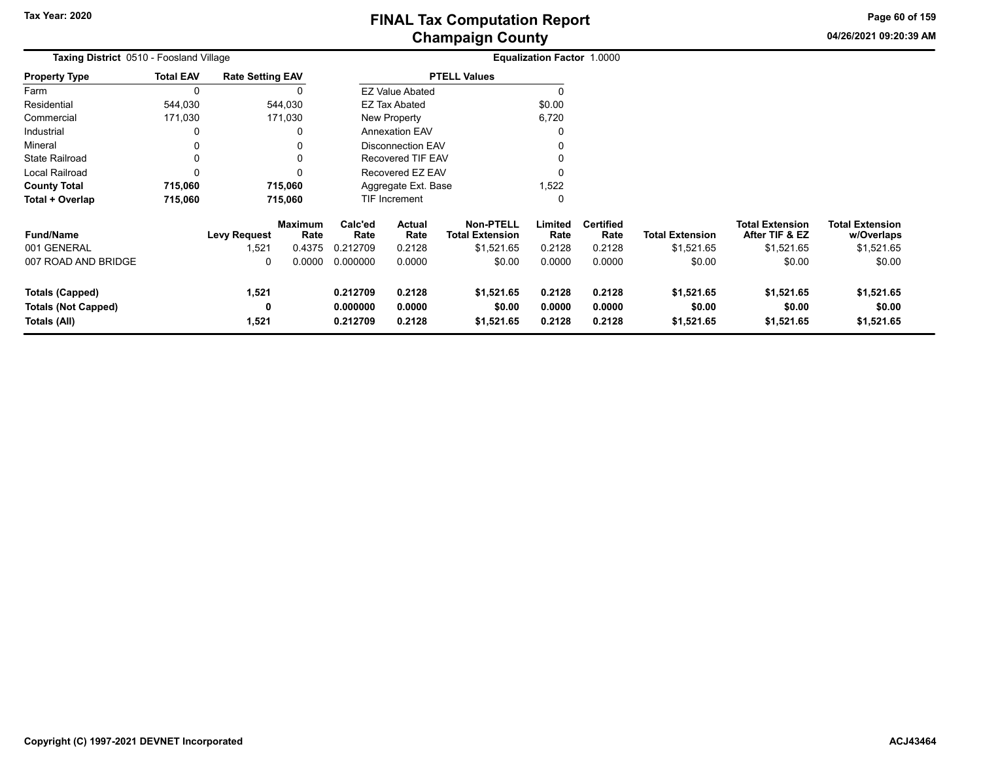**04/26/2021 09:20:39 AM Page 60 of 159**

| Taxing District 0510 - Foosland Village |                  |                         |                        | Equalization Factor 1.0000 |                          |                                            |                 |                          |                        |                                          |                                      |
|-----------------------------------------|------------------|-------------------------|------------------------|----------------------------|--------------------------|--------------------------------------------|-----------------|--------------------------|------------------------|------------------------------------------|--------------------------------------|
| <b>Property Type</b>                    | <b>Total EAV</b> | <b>Rate Setting EAV</b> |                        |                            |                          | <b>PTELL Values</b>                        |                 |                          |                        |                                          |                                      |
| Farm                                    | 0                |                         |                        |                            | <b>EZ Value Abated</b>   |                                            |                 |                          |                        |                                          |                                      |
| Residential                             | 544,030          |                         | 544,030                |                            | EZ Tax Abated            |                                            | \$0.00          |                          |                        |                                          |                                      |
| Commercial                              | 171,030          |                         | 171,030                |                            | New Property             |                                            | 6,720           |                          |                        |                                          |                                      |
| Industrial                              | 0                |                         | 0                      |                            | <b>Annexation EAV</b>    |                                            |                 |                          |                        |                                          |                                      |
| Mineral                                 | 0                |                         |                        |                            | <b>Disconnection EAV</b> |                                            |                 |                          |                        |                                          |                                      |
| <b>State Railroad</b>                   | 0                |                         |                        |                            | Recovered TIF EAV        |                                            |                 |                          |                        |                                          |                                      |
| Local Railroad                          | $\Omega$         |                         |                        |                            | Recovered EZ EAV         |                                            |                 |                          |                        |                                          |                                      |
| <b>County Total</b>                     | 715,060          |                         | 715,060                | Aggregate Ext. Base        |                          |                                            | 1,522           |                          |                        |                                          |                                      |
| Total + Overlap                         | 715,060          |                         | 715,060                |                            | TIF Increment            |                                            |                 |                          |                        |                                          |                                      |
| <b>Fund/Name</b>                        |                  | <b>Levy Request</b>     | <b>Maximum</b><br>Rate | Calc'ed<br>Rate            | <b>Actual</b><br>Rate    | <b>Non-PTELL</b><br><b>Total Extension</b> | Limited<br>Rate | <b>Certified</b><br>Rate | <b>Total Extension</b> | <b>Total Extension</b><br>After TIF & EZ | <b>Total Extension</b><br>w/Overlaps |
| 001 GENERAL                             |                  | 1,521                   | 0.4375                 | 0.212709                   | 0.2128                   | \$1,521.65                                 | 0.2128          | 0.2128                   | \$1,521.65             | \$1,521.65                               | \$1,521.65                           |
| 007 ROAD AND BRIDGE                     |                  | 0                       | 0.0000                 | 0.000000                   | 0.0000                   | \$0.00                                     | 0.0000          | 0.0000                   | \$0.00                 | \$0.00                                   | \$0.00                               |
| <b>Totals (Capped)</b>                  |                  | 1,521                   |                        | 0.212709                   | 0.2128                   | \$1,521.65                                 | 0.2128          | 0.2128                   | \$1,521.65             | \$1,521.65                               | \$1,521.65                           |
| <b>Totals (Not Capped)</b>              |                  | 0                       |                        | 0.000000                   | 0.0000                   | \$0.00                                     | 0.0000          | 0.0000                   | \$0.00                 | \$0.00                                   | \$0.00                               |
| Totals (All)                            |                  | 1,521                   |                        | 0.212709                   | 0.2128                   | \$1,521.65                                 | 0.2128          | 0.2128                   | \$1,521.65             | \$1,521.65                               | \$1,521.65                           |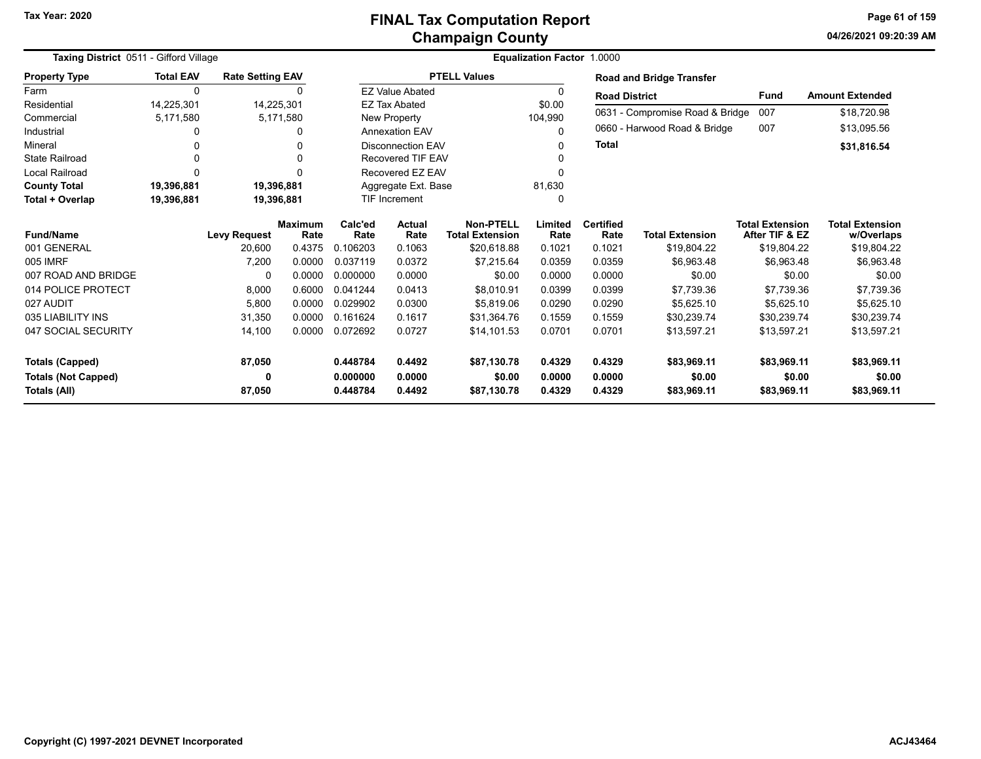**04/26/2021 09:20:39 AM Page 61 of 159**

| Taxing District 0511 - Gifford Village |                  |                         |                | Equalization Factor 1.0000 |                          |                        |         |                      |                                 |                        |                        |
|----------------------------------------|------------------|-------------------------|----------------|----------------------------|--------------------------|------------------------|---------|----------------------|---------------------------------|------------------------|------------------------|
| <b>Property Type</b>                   | <b>Total EAV</b> | <b>Rate Setting EAV</b> |                |                            |                          | <b>PTELL Values</b>    |         |                      | <b>Road and Bridge Transfer</b> |                        |                        |
| Farm                                   | 0                |                         | 0              |                            | <b>EZ Value Abated</b>   |                        | 0       | <b>Road District</b> |                                 | <b>Fund</b>            | <b>Amount Extended</b> |
| Residential                            | 14,225,301       |                         | 14,225,301     |                            | <b>EZ Tax Abated</b>     |                        | \$0.00  |                      |                                 |                        |                        |
| Commercial                             | 5,171,580        |                         | 5,171,580      |                            | New Property             |                        | 104,990 |                      | 0631 - Compromise Road & Bridge | 007                    | \$18,720.98            |
| Industrial                             |                  |                         | n              |                            | <b>Annexation EAV</b>    |                        | 0       |                      | 0660 - Harwood Road & Bridge    | 007                    | \$13,095.56            |
| Mineral                                |                  |                         |                |                            | <b>Disconnection EAV</b> |                        | 0       | <b>Total</b>         |                                 |                        | \$31,816.54            |
| <b>State Railroad</b>                  |                  |                         | 0              |                            | Recovered TIF EAV        |                        | 0       |                      |                                 |                        |                        |
| Local Railroad                         | $\Omega$         |                         | 0              |                            | Recovered EZ EAV         |                        | 0       |                      |                                 |                        |                        |
| <b>County Total</b>                    | 19,396,881       |                         | 19,396,881     |                            | Aggregate Ext. Base      |                        | 81,630  |                      |                                 |                        |                        |
| Total + Overlap                        | 19,396,881       |                         | 19,396,881     | TIF Increment              |                          |                        | 0       |                      |                                 |                        |                        |
|                                        |                  |                         | <b>Maximum</b> | Calc'ed<br>Actual          |                          | <b>Non-PTELL</b>       | Limited | <b>Certified</b>     |                                 | <b>Total Extension</b> | <b>Total Extension</b> |
| <b>Fund/Name</b>                       |                  | <b>Levy Request</b>     | Rate           | Rate                       | Rate                     | <b>Total Extension</b> | Rate    | Rate                 | <b>Total Extension</b>          | After TIF & EZ         | w/Overlaps             |
| 001 GENERAL                            |                  | 20,600                  | 0.4375         | 0.106203                   | 0.1063                   | \$20,618.88            | 0.1021  | 0.1021               | \$19,804.22                     | \$19,804.22            | \$19,804.22            |
| 005 IMRF                               |                  | 7,200                   | 0.0000         | 0.037119                   | 0.0372                   | \$7.215.64             | 0.0359  | 0.0359               | \$6,963.48                      | \$6,963.48             | \$6,963.48             |
| 007 ROAD AND BRIDGE                    |                  |                         | 0.0000         | 0.000000                   | 0.0000                   | \$0.00                 | 0.0000  | 0.0000               | \$0.00                          | \$0.00                 | \$0.00                 |
| 014 POLICE PROTECT                     |                  | 8,000                   | 0.6000         | 0.041244                   | 0.0413                   | \$8,010.91             | 0.0399  | 0.0399               | \$7,739.36                      | \$7,739.36             | \$7,739.36             |
| 027 AUDIT                              |                  | 5.800                   | 0.0000         | 0.029902                   | 0.0300                   | \$5.819.06             | 0.0290  | 0.0290               | \$5.625.10                      | \$5.625.10             | \$5,625.10             |
| 035 LIABILITY INS                      |                  | 31,350                  | 0.0000         | 0.161624                   | 0.1617                   | \$31,364.76            | 0.1559  | 0.1559               | \$30,239.74                     | \$30,239.74            | \$30,239.74            |
| 047 SOCIAL SECURITY                    |                  | 14,100                  | 0.0000         | 0.072692                   | 0.0727                   | \$14,101.53            | 0.0701  | 0.0701               | \$13,597.21                     | \$13,597.21            | \$13,597.21            |
|                                        |                  |                         |                |                            |                          |                        |         |                      |                                 |                        |                        |
| <b>Totals (Capped)</b>                 |                  | 87,050                  |                | 0.448784                   | 0.4492                   | \$87,130.78            | 0.4329  | 0.4329               | \$83,969.11                     | \$83,969.11            | \$83,969.11            |
| <b>Totals (Not Capped)</b>             |                  |                         |                | 0.000000                   | 0.0000                   | \$0.00                 | 0.0000  | 0.0000               | \$0.00                          | \$0.00                 | \$0.00                 |
| Totals (All)                           |                  | 87,050                  |                | 0.448784                   | 0.4492                   | \$87,130.78            | 0.4329  | 0.4329               | \$83,969.11                     | \$83,969.11            | \$83,969.11            |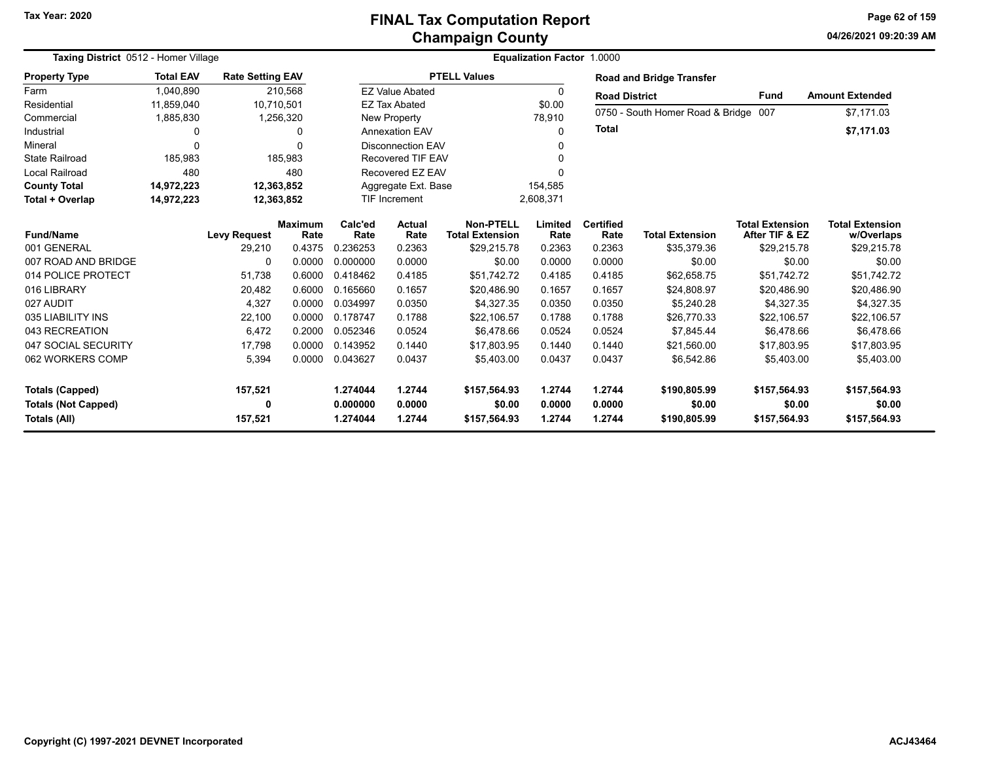# **Champaign County FINAL Tax Computation Report**

**04/26/2021 09:20:39 AMPage 62 of 159**

| Taxing District 0512 - Homer Village |                  |                         |                        | <b>Equalization Factor 1.0000</b> |                                |                                            |                 |                          |                                      |                                          |                                      |
|--------------------------------------|------------------|-------------------------|------------------------|-----------------------------------|--------------------------------|--------------------------------------------|-----------------|--------------------------|--------------------------------------|------------------------------------------|--------------------------------------|
| <b>Property Type</b>                 | <b>Total EAV</b> | <b>Rate Setting EAV</b> |                        |                                   |                                | <b>PTELL Values</b>                        |                 |                          | <b>Road and Bridge Transfer</b>      |                                          |                                      |
| Farm                                 | 1,040,890        |                         | 210,568                |                                   | <b>EZ Value Abated</b>         |                                            | 0               | <b>Road District</b>     |                                      | <b>Fund</b>                              | <b>Amount Extended</b>               |
| Residential                          | 11,859,040       |                         | 10,710,501             |                                   | <b>EZ Tax Abated</b>           |                                            | \$0.00          |                          |                                      |                                          |                                      |
| Commercial                           | 1,885,830        |                         | 1,256,320              |                                   | New Property                   |                                            | 78,910          |                          | 0750 - South Homer Road & Bridge 007 |                                          | \$7,171.03                           |
| Industrial                           | O                |                         | 0                      |                                   | <b>Annexation EAV</b>          |                                            | 0               | <b>Total</b>             |                                      |                                          | \$7,171.03                           |
| Mineral                              | $\Omega$         |                         | 0                      |                                   | <b>Disconnection EAV</b>       |                                            | 0               |                          |                                      |                                          |                                      |
| <b>State Railroad</b>                | 185,983          |                         | 185,983                |                                   | <b>Recovered TIF EAV</b>       |                                            | U               |                          |                                      |                                          |                                      |
| <b>Local Railroad</b>                | 480              |                         | 480                    |                                   | Recovered EZ EAV               |                                            | 0               |                          |                                      |                                          |                                      |
| <b>County Total</b>                  | 14,972,223       |                         | 12,363,852             |                                   | Aggregate Ext. Base<br>154,585 |                                            |                 |                          |                                      |                                          |                                      |
| Total + Overlap                      | 14,972,223       |                         | 12,363,852             |                                   | <b>TIF Increment</b>           |                                            | 2,608,371       |                          |                                      |                                          |                                      |
| <b>Fund/Name</b>                     |                  | <b>Levy Request</b>     | <b>Maximum</b><br>Rate | Calc'ed<br>Rate                   | <b>Actual</b><br>Rate          | <b>Non-PTELL</b><br><b>Total Extension</b> | Limited<br>Rate | <b>Certified</b><br>Rate | <b>Total Extension</b>               | <b>Total Extension</b><br>After TIF & EZ | <b>Total Extension</b><br>w/Overlaps |
| 001 GENERAL                          |                  | 29,210                  | 0.4375                 | 0.236253                          | 0.2363                         | \$29,215.78                                | 0.2363          | 0.2363                   | \$35,379.36                          | \$29,215.78                              | \$29,215.78                          |
| 007 ROAD AND BRIDGE                  |                  | 0                       | 0.0000                 | 0.000000                          | 0.0000                         | \$0.00                                     | 0.0000          | 0.0000                   | \$0.00                               | \$0.00                                   | \$0.00                               |
| 014 POLICE PROTECT                   |                  | 51,738                  | 0.6000                 | 0.418462                          | 0.4185                         | \$51.742.72                                | 0.4185          | 0.4185                   | \$62,658.75                          | \$51.742.72                              | \$51,742.72                          |
| 016 LIBRARY                          |                  | 20,482                  | 0.6000                 | 0.165660                          | 0.1657                         | \$20,486.90                                | 0.1657          | 0.1657                   | \$24,808.97                          | \$20,486.90                              | \$20,486.90                          |
| 027 AUDIT                            |                  | 4,327                   | 0.0000                 | 0.034997                          | 0.0350                         | \$4,327.35                                 | 0.0350          | 0.0350                   | \$5,240.28                           | \$4,327.35                               | \$4,327.35                           |
| 035 LIABILITY INS                    |                  | 22,100                  | 0.0000                 | 0.178747                          | 0.1788                         | \$22,106.57                                | 0.1788          | 0.1788                   | \$26,770.33                          | \$22,106.57                              | \$22,106.57                          |
| 043 RECREATION                       |                  | 6.472                   | 0.2000                 | 0.052346                          | 0.0524                         | \$6,478.66                                 | 0.0524          | 0.0524                   | \$7.845.44                           | \$6,478.66                               | \$6,478.66                           |
| 047 SOCIAL SECURITY                  |                  | 17,798                  | 0.0000                 | 0.143952                          | 0.1440                         | \$17,803.95                                | 0.1440          | 0.1440                   | \$21,560.00                          | \$17,803.95                              | \$17,803.95                          |
| 062 WORKERS COMP                     |                  | 5,394                   | 0.0000                 | 0.043627                          | 0.0437                         | \$5,403.00                                 | 0.0437          | 0.0437                   | \$6,542.86                           | \$5,403.00                               | \$5,403.00                           |
| <b>Totals (Capped)</b>               |                  | 157,521                 |                        | 1.274044                          | 1.2744                         | \$157,564.93                               | 1.2744          | 1.2744                   | \$190,805.99                         | \$157,564.93                             | \$157,564.93                         |
| <b>Totals (Not Capped)</b>           |                  | 0                       |                        | 0.000000                          | 0.0000                         | \$0.00                                     | 0.0000          | 0.0000                   | \$0.00                               | \$0.00                                   | \$0.00                               |
| <b>Totals (All)</b>                  |                  | 157,521                 |                        | 1.274044                          | 1.2744                         | \$157,564.93                               | 1.2744          | 1.2744                   | \$190,805.99                         | \$157,564.93                             | \$157,564.93                         |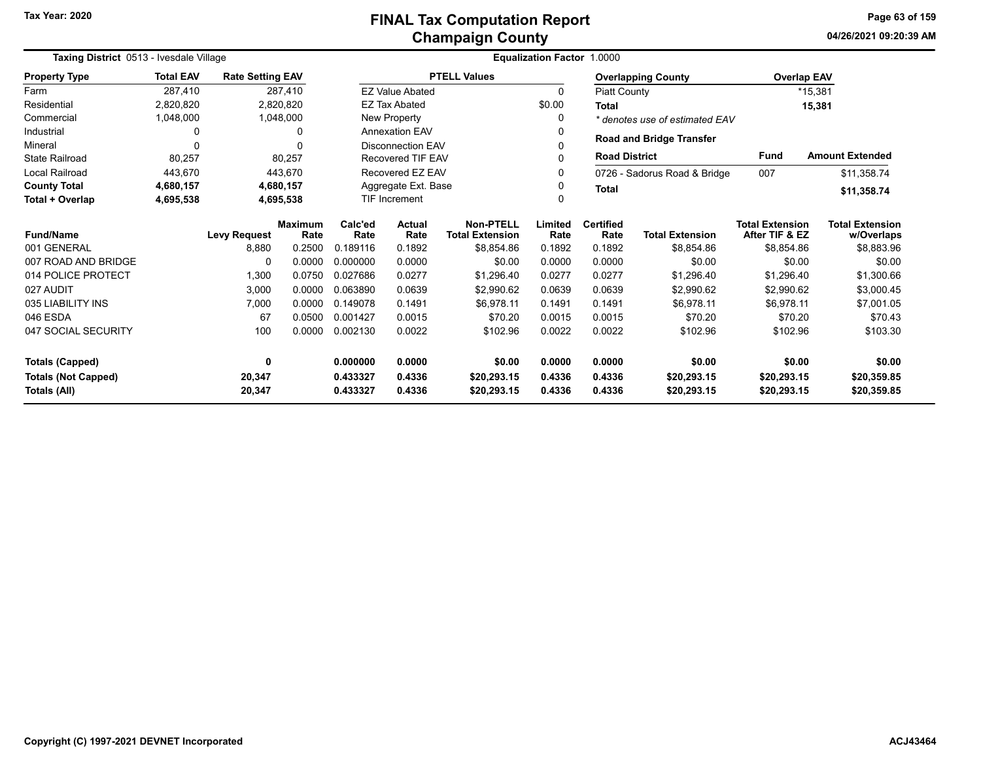#### **Champaign County FINAL Tax Computation Report**

**04/26/2021 09:20:39 AM Page 63 of 159**

|                            | Taxing District 0513 - Ivesdale Village<br><b>Total EAV</b><br><b>Rate Setting EAV</b> |                     |                        |                      |                          |                                            | Equalization Factor 1.0000 |                          |                                 |                                          |                                      |
|----------------------------|----------------------------------------------------------------------------------------|---------------------|------------------------|----------------------|--------------------------|--------------------------------------------|----------------------------|--------------------------|---------------------------------|------------------------------------------|--------------------------------------|
| <b>Property Type</b>       |                                                                                        |                     |                        |                      |                          | <b>PTELL Values</b>                        |                            |                          | <b>Overlapping County</b>       | <b>Overlap EAV</b>                       |                                      |
| Farm                       | 287.410                                                                                |                     | 287,410                |                      | <b>EZ Value Abated</b>   |                                            | 0                          | <b>Piatt County</b>      |                                 |                                          | *15,381                              |
| Residential                | 2,820,820                                                                              |                     | 2,820,820              |                      | <b>EZ Tax Abated</b>     |                                            | \$0.00                     | Total                    |                                 |                                          | 15,381                               |
| Commercial                 | 1,048,000                                                                              |                     | 1,048,000              |                      | New Property             |                                            | 0                          |                          | * denotes use of estimated EAV  |                                          |                                      |
| Industrial                 | 0                                                                                      |                     | 0                      |                      | <b>Annexation EAV</b>    |                                            | 0                          |                          |                                 |                                          |                                      |
| Mineral                    | $\Omega$                                                                               |                     | O                      |                      | <b>Disconnection EAV</b> |                                            | 0                          |                          | <b>Road and Bridge Transfer</b> |                                          |                                      |
| <b>State Railroad</b>      | 80,257                                                                                 |                     | 80,257                 |                      | <b>Recovered TIF EAV</b> |                                            | 0                          | <b>Road District</b>     |                                 | <b>Fund</b>                              | <b>Amount Extended</b>               |
| <b>Local Railroad</b>      | 443,670                                                                                |                     | 443.670                |                      | Recovered EZ EAV         |                                            | 0                          |                          | 0726 - Sadorus Road & Bridge    | 007                                      | \$11,358.74                          |
| <b>County Total</b>        | 4,680,157                                                                              |                     | 4,680,157              |                      | Aggregate Ext. Base      |                                            | 0                          | <b>Total</b>             |                                 |                                          | \$11,358.74                          |
| Total + Overlap            | 4,695,538                                                                              |                     | 4,695,538              | <b>TIF Increment</b> |                          |                                            | 0                          |                          |                                 |                                          |                                      |
| <b>Fund/Name</b>           |                                                                                        | <b>Levy Request</b> | <b>Maximum</b><br>Rate | Calc'ed<br>Rate      | Actual<br>Rate           | <b>Non-PTELL</b><br><b>Total Extension</b> | Limited<br>Rate            | <b>Certified</b><br>Rate | <b>Total Extension</b>          | <b>Total Extension</b><br>After TIF & EZ | <b>Total Extension</b><br>w/Overlaps |
| 001 GENERAL                |                                                                                        | 8,880               | 0.2500                 | 0.189116             | 0.1892                   | \$8.854.86                                 | 0.1892                     | 0.1892                   | \$8.854.86                      | \$8,854.86                               | \$8,883.96                           |
| 007 ROAD AND BRIDGE        |                                                                                        | 0                   | 0.0000                 | 0.000000             | 0.0000                   | \$0.00                                     | 0.0000                     | 0.0000                   | \$0.00                          | \$0.00                                   | \$0.00                               |
| 014 POLICE PROTECT         |                                                                                        | 1,300               | 0.0750                 | 0.027686             | 0.0277                   | \$1,296.40                                 | 0.0277                     | 0.0277                   | \$1,296.40                      | \$1,296.40                               | \$1,300.66                           |
| 027 AUDIT                  |                                                                                        | 3,000               | 0.0000                 | 0.063890             | 0.0639                   | \$2,990.62                                 | 0.0639                     | 0.0639                   | \$2,990.62                      | \$2,990.62                               | \$3,000.45                           |
| 035 LIABILITY INS          |                                                                                        | 7,000               | 0.0000                 | 0.149078             | 0.1491                   | \$6.978.11                                 | 0.1491                     | 0.1491                   | \$6,978.11                      | \$6,978.11                               | \$7,001.05                           |
| 046 ESDA                   |                                                                                        | 67                  | 0.0500                 | 0.001427             | 0.0015                   | \$70.20                                    | 0.0015                     | 0.0015                   | \$70.20                         | \$70.20                                  | \$70.43                              |
| 047 SOCIAL SECURITY        |                                                                                        | 100                 | 0.0000                 | 0.002130             | 0.0022                   | \$102.96                                   | 0.0022                     | 0.0022                   | \$102.96                        | \$102.96                                 | \$103.30                             |
| <b>Totals (Capped)</b>     |                                                                                        | 0                   |                        | 0.000000             | 0.0000                   | \$0.00                                     | 0.0000                     | 0.0000                   | \$0.00                          | \$0.00                                   | \$0.00                               |
| <b>Totals (Not Capped)</b> |                                                                                        | 20,347              |                        | 0.433327             | 0.4336                   | \$20,293.15                                | 0.4336                     | 0.4336                   | \$20,293.15                     | \$20,293.15                              | \$20,359.85                          |
| Totals (All)               |                                                                                        | 20,347              |                        | 0.433327             | 0.4336                   | \$20,293.15                                | 0.4336                     | 0.4336                   | \$20,293.15                     | \$20,293.15                              | \$20,359.85                          |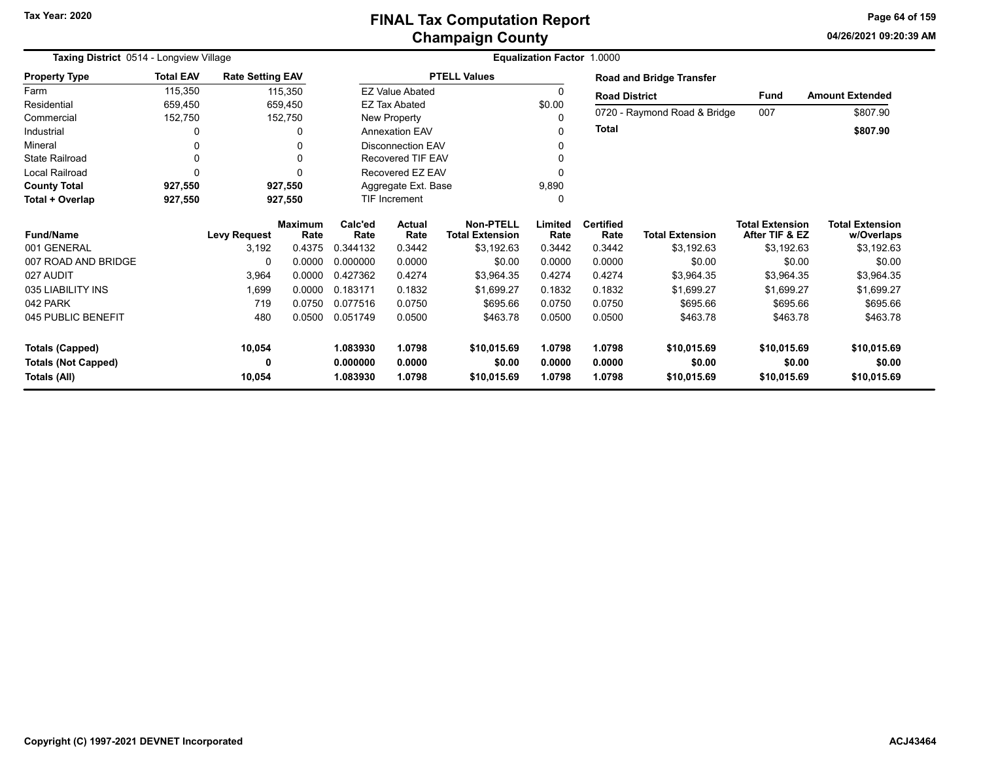#### **Champaign County FINAL Tax Computation Report**

**04/26/2021 09:20:39 AM Page 64 of 159**

| Taxing District 0514 - Longview Village |                  |                         |                        |                 |                          |                                            | Equalization Factor 1.0000 |                          |                                 |                                          |                                      |
|-----------------------------------------|------------------|-------------------------|------------------------|-----------------|--------------------------|--------------------------------------------|----------------------------|--------------------------|---------------------------------|------------------------------------------|--------------------------------------|
| <b>Property Type</b>                    | <b>Total EAV</b> | <b>Rate Setting EAV</b> |                        |                 |                          | <b>PTELL Values</b>                        |                            |                          | <b>Road and Bridge Transfer</b> |                                          |                                      |
| Farm                                    | 115,350          |                         | 115,350                |                 | <b>EZ Value Abated</b>   |                                            | 0                          | <b>Road District</b>     |                                 | <b>Fund</b>                              | <b>Amount Extended</b>               |
| Residential                             | 659,450          |                         | 659,450                |                 | <b>EZ Tax Abated</b>     |                                            | \$0.00                     |                          |                                 |                                          |                                      |
| Commercial                              | 152,750          |                         | 152,750                |                 | New Property             |                                            | $\Omega$                   |                          | 0720 - Raymond Road & Bridge    | 007                                      | \$807.90                             |
| Industrial                              | 0                |                         | 0                      |                 | <b>Annexation EAV</b>    |                                            | ∩                          | <b>Total</b>             |                                 |                                          | \$807.90                             |
| Mineral                                 | 0                |                         | U                      |                 | <b>Disconnection EAV</b> |                                            |                            |                          |                                 |                                          |                                      |
| <b>State Railroad</b>                   | 0                |                         | U                      |                 | <b>Recovered TIF EAV</b> |                                            |                            |                          |                                 |                                          |                                      |
| Local Railroad                          | O                |                         | ŋ                      |                 | Recovered EZ EAV         |                                            |                            |                          |                                 |                                          |                                      |
| <b>County Total</b>                     | 927,550          |                         | 927,550                |                 | Aggregate Ext. Base      |                                            | 9,890                      |                          |                                 |                                          |                                      |
| Total + Overlap                         | 927,550          |                         | 927,550                |                 | <b>TIF Increment</b>     |                                            | 0                          |                          |                                 |                                          |                                      |
| <b>Fund/Name</b>                        |                  | <b>Levy Request</b>     | <b>Maximum</b><br>Rate | Calc'ed<br>Rate | Actual<br>Rate           | <b>Non-PTELL</b><br><b>Total Extension</b> | Limited<br>Rate            | <b>Certified</b><br>Rate | <b>Total Extension</b>          | <b>Total Extension</b><br>After TIF & EZ | <b>Total Extension</b><br>w/Overlaps |
| 001 GENERAL                             |                  | 3,192                   | 0.4375                 | 0.344132        | 0.3442                   | \$3,192.63                                 | 0.3442                     | 0.3442                   | \$3,192.63                      | \$3,192.63                               | \$3,192.63                           |
| 007 ROAD AND BRIDGE                     |                  | 0                       | 0.0000                 | 0.000000        | 0.0000                   | \$0.00                                     | 0.0000                     | 0.0000                   | \$0.00                          | \$0.00                                   | \$0.00                               |
| 027 AUDIT                               |                  | 3,964                   | 0.0000                 | 0.427362        | 0.4274                   | \$3,964.35                                 | 0.4274                     | 0.4274                   | \$3,964.35                      | \$3,964.35                               | \$3,964.35                           |
| 035 LIABILITY INS                       |                  | 1,699                   | 0.0000                 | 0.183171        | 0.1832                   | \$1.699.27                                 | 0.1832                     | 0.1832                   | \$1.699.27                      | \$1,699.27                               | \$1,699.27                           |
| 042 PARK                                |                  | 719                     | 0.0750                 | 0.077516        | 0.0750                   | \$695.66                                   | 0.0750                     | 0.0750                   | \$695.66                        | \$695.66                                 | \$695.66                             |
| 045 PUBLIC BENEFIT                      |                  | 480                     | 0.0500                 | 0.051749        | 0.0500                   | \$463.78                                   | 0.0500                     | 0.0500                   | \$463.78                        | \$463.78                                 | \$463.78                             |
| <b>Totals (Capped)</b>                  |                  | 10,054                  |                        | 1.083930        | 1.0798                   | \$10,015.69                                | 1.0798                     | 1.0798                   | \$10,015.69                     | \$10,015.69                              | \$10,015.69                          |
| <b>Totals (Not Capped)</b>              |                  | 0                       |                        | 0.000000        | 0.0000                   | \$0.00                                     | 0.0000                     | 0.0000                   | \$0.00                          | \$0.00                                   | \$0.00                               |
| Totals (All)                            |                  | 10,054                  |                        | 1.083930        | 1.0798                   | \$10,015.69                                | 1.0798                     | 1.0798                   | \$10,015.69                     | \$10,015.69                              | \$10,015.69                          |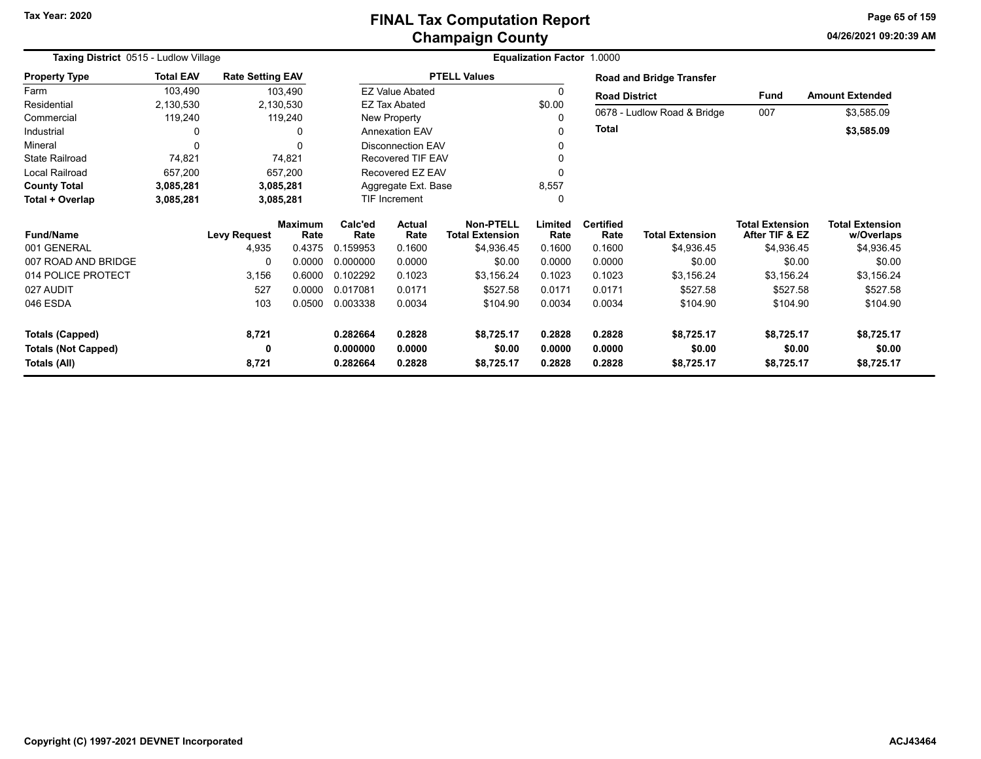**04/26/2021 09:20:39 AMPage 65 of 159**

| Taxing District 0515 - Ludlow Village | <b>Equalization Factor 1.0000</b> |                         |                        |                      |                          |                                            |                 |                          |                                 |                                          |                                      |
|---------------------------------------|-----------------------------------|-------------------------|------------------------|----------------------|--------------------------|--------------------------------------------|-----------------|--------------------------|---------------------------------|------------------------------------------|--------------------------------------|
| <b>Property Type</b>                  | <b>Total EAV</b>                  | <b>Rate Setting EAV</b> |                        |                      |                          | <b>PTELL Values</b>                        |                 |                          | <b>Road and Bridge Transfer</b> |                                          |                                      |
| Farm                                  | 103,490                           |                         | 103,490                |                      | <b>EZ Value Abated</b>   |                                            | 0               | <b>Road District</b>     |                                 | Fund                                     | <b>Amount Extended</b>               |
| Residential                           | 2,130,530                         |                         | 2,130,530              |                      | <b>EZ Tax Abated</b>     |                                            | \$0.00          |                          |                                 | 007                                      |                                      |
| Commercial                            | 119,240                           |                         | 119,240                |                      | New Property             |                                            | $\Omega$        |                          | 0678 - Ludlow Road & Bridge     |                                          | \$3,585.09                           |
| Industrial                            | 0                                 |                         | 0                      |                      | <b>Annexation EAV</b>    |                                            | 0               | Total                    |                                 |                                          | \$3,585.09                           |
| Mineral                               | $\Omega$                          |                         | $\Omega$               |                      | <b>Disconnection EAV</b> |                                            |                 |                          |                                 |                                          |                                      |
| <b>State Railroad</b>                 | 74,821                            |                         | 74,821                 |                      | Recovered TIF EAV        |                                            |                 |                          |                                 |                                          |                                      |
| <b>Local Railroad</b>                 | 657,200                           |                         | 657,200                |                      | Recovered EZ EAV         |                                            |                 |                          |                                 |                                          |                                      |
| <b>County Total</b>                   | 3,085,281                         |                         | 3,085,281              |                      | Aggregate Ext. Base      |                                            | 8,557           |                          |                                 |                                          |                                      |
| Total + Overlap                       | 3,085,281                         | 3,085,281               |                        | <b>TIF Increment</b> |                          |                                            | 0               |                          |                                 |                                          |                                      |
| <b>Fund/Name</b>                      |                                   | <b>Levy Request</b>     | <b>Maximum</b><br>Rate | Calc'ed<br>Rate      | <b>Actual</b><br>Rate    | <b>Non-PTELL</b><br><b>Total Extension</b> | Limited<br>Rate | <b>Certified</b><br>Rate | <b>Total Extension</b>          | <b>Total Extension</b><br>After TIF & EZ | <b>Total Extension</b><br>w/Overlaps |
| 001 GENERAL                           |                                   | 4,935                   | 0.4375                 | 0.159953             | 0.1600                   | \$4,936.45                                 | 0.1600          | 0.1600                   | \$4,936.45                      | \$4,936.45                               | \$4,936.45                           |
| 007 ROAD AND BRIDGE                   |                                   | $\Omega$                | 0.0000                 | 0.000000             | 0.0000                   | \$0.00                                     | 0.0000          | 0.0000                   | \$0.00                          | \$0.00                                   | \$0.00                               |
| 014 POLICE PROTECT                    |                                   | 3,156                   | 0.6000                 | 0.102292             | 0.1023                   | \$3,156.24                                 | 0.1023          | 0.1023                   | \$3,156.24                      | \$3,156.24                               | \$3,156.24                           |
| 027 AUDIT                             |                                   | 527                     | 0.0000                 | 0.017081             | 0.0171                   | \$527.58                                   | 0.0171          | 0.0171                   | \$527.58                        | \$527.58                                 | \$527.58                             |
| 046 ESDA                              |                                   | 103                     | 0.0500                 | 0.003338             | 0.0034                   | \$104.90                                   | 0.0034          | 0.0034                   | \$104.90                        | \$104.90                                 | \$104.90                             |
| <b>Totals (Capped)</b>                |                                   | 8,721                   |                        | 0.282664             | 0.2828                   | \$8,725.17                                 | 0.2828          | 0.2828                   | \$8,725.17                      | \$8,725.17                               | \$8,725.17                           |
| <b>Totals (Not Capped)</b>            |                                   | 0                       |                        | 0.000000             | 0.0000                   | \$0.00                                     | 0.0000          | 0.0000                   | \$0.00                          | \$0.00                                   | \$0.00                               |
| Totals (All)                          |                                   | 8,721                   |                        | 0.282664             | 0.2828                   | \$8,725.17                                 | 0.2828          | 0.2828                   | \$8,725.17                      | \$8,725.17                               | \$8,725.17                           |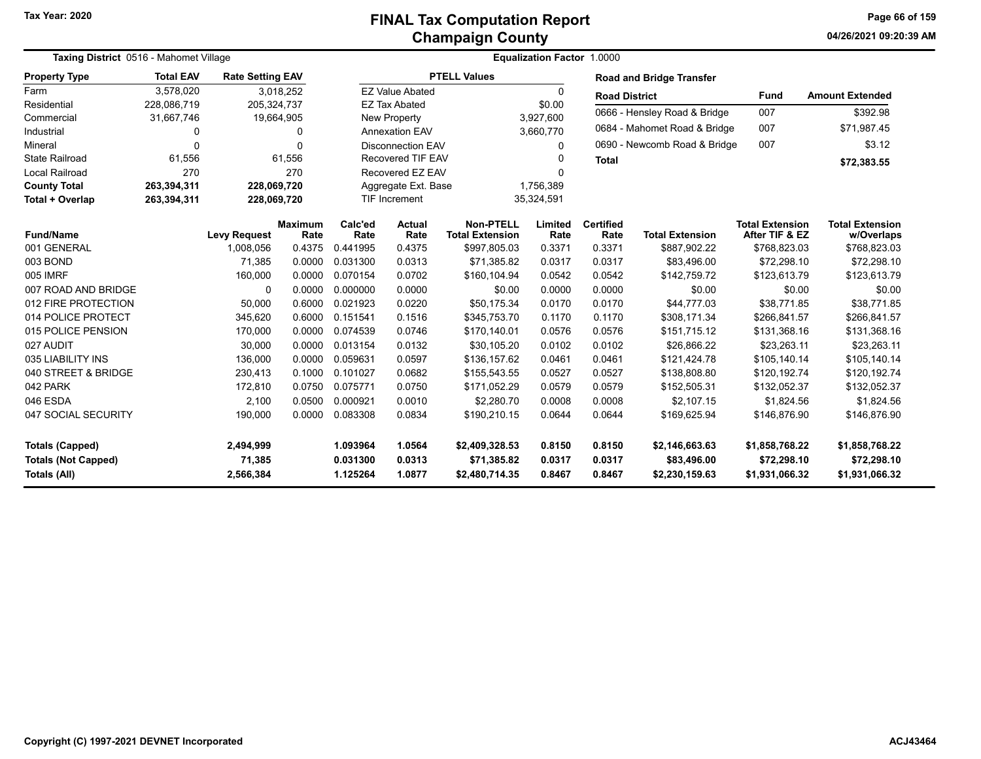# **Champaign County FINAL Tax Computation Report**

**04/26/2021 09:20:39 AM Page 66 of 159**

| Taxing District 0516 - Mahomet Village |                  |                         |                        |                 |                                  |                                            | Equalization Factor 1.0000 |                          |                                 |                                          |                                      |
|----------------------------------------|------------------|-------------------------|------------------------|-----------------|----------------------------------|--------------------------------------------|----------------------------|--------------------------|---------------------------------|------------------------------------------|--------------------------------------|
| <b>Property Type</b>                   | <b>Total EAV</b> | <b>Rate Setting EAV</b> |                        |                 |                                  | <b>PTELL Values</b>                        |                            |                          | <b>Road and Bridge Transfer</b> |                                          |                                      |
| Farm                                   | 3,578,020        |                         | 3,018,252              |                 | <b>EZ Value Abated</b>           |                                            | 0                          | <b>Road District</b>     |                                 | <b>Fund</b>                              | <b>Amount Extended</b>               |
| Residential                            | 228,086,719      | 205,324,737             |                        |                 | <b>EZ Tax Abated</b>             |                                            | \$0.00                     |                          | 0666 - Hensley Road & Bridge    | 007                                      | \$392.98                             |
| Commercial                             | 31,667,746       | 19,664,905              |                        |                 | New Property<br>3,927,600        |                                            |                            |                          |                                 |                                          |                                      |
| Industrial                             | 0                |                         | 0                      |                 | Annexation EAV                   |                                            | 3,660,770                  |                          | 0684 - Mahomet Road & Bridge    | 007                                      | \$71,987.45                          |
| Mineral                                | $\Omega$         |                         | $\Omega$               |                 | <b>Disconnection EAV</b>         |                                            | 0                          |                          | 0690 - Newcomb Road & Bridge    | 007                                      | \$3.12                               |
| <b>State Railroad</b>                  | 61,556           |                         | 61,556                 |                 | <b>Recovered TIF EAV</b>         |                                            | O                          | <b>Total</b>             |                                 |                                          | \$72,383.55                          |
| Local Railroad                         | 270              |                         | 270                    |                 | Recovered EZ EAV                 |                                            | 0                          |                          |                                 |                                          |                                      |
| <b>County Total</b>                    | 263,394,311      | 228,069,720             |                        |                 | Aggregate Ext. Base<br>1,756,389 |                                            |                            |                          |                                 |                                          |                                      |
| Total + Overlap                        | 263,394,311      | 228,069,720             |                        |                 | TIF Increment                    |                                            | 35,324,591                 |                          |                                 |                                          |                                      |
| <b>Fund/Name</b>                       |                  | <b>Levy Request</b>     | <b>Maximum</b><br>Rate | Calc'ed<br>Rate | <b>Actual</b><br>Rate            | <b>Non-PTELL</b><br><b>Total Extension</b> | Limited<br>Rate            | <b>Certified</b><br>Rate | <b>Total Extension</b>          | <b>Total Extension</b><br>After TIF & EZ | <b>Total Extension</b><br>w/Overlaps |
| 001 GENERAL                            |                  | 1,008,056               | 0.4375                 | 0.441995        | 0.4375                           | \$997,805.03                               | 0.3371                     | 0.3371                   | \$887,902.22                    | \$768,823.03                             | \$768,823.03                         |
| 003 BOND                               |                  | 71,385                  | 0.0000                 | 0.031300        | 0.0313                           | \$71,385.82                                | 0.0317                     | 0.0317                   | \$83,496.00                     | \$72,298.10                              | \$72,298.10                          |
| 005 IMRF                               |                  | 160,000                 | 0.0000                 | 0.070154        | 0.0702                           | \$160,104.94                               | 0.0542                     | 0.0542                   | \$142,759.72                    | \$123,613.79                             | \$123,613.79                         |
| 007 ROAD AND BRIDGE                    |                  | $\Omega$                | 0.0000                 | 0.000000        | 0.0000                           | \$0.00                                     | 0.0000                     | 0.0000                   | \$0.00                          | \$0.00                                   | \$0.00                               |
| 012 FIRE PROTECTION                    |                  | 50,000                  | 0.6000                 | 0.021923        | 0.0220                           | \$50,175.34                                | 0.0170                     | 0.0170                   | \$44,777.03                     | \$38,771.85                              | \$38,771.85                          |
| 014 POLICE PROTECT                     |                  | 345,620                 | 0.6000                 | 0.151541        | 0.1516                           | \$345,753.70                               | 0.1170                     | 0.1170                   | \$308,171.34                    | \$266,841.57                             | \$266,841.57                         |
| 015 POLICE PENSION                     |                  | 170,000                 | 0.0000                 | 0.074539        | 0.0746                           | \$170,140.01                               | 0.0576                     | 0.0576                   | \$151,715.12                    | \$131,368.16                             | \$131,368.16                         |
| 027 AUDIT                              |                  | 30,000                  | 0.0000                 | 0.013154        | 0.0132                           | \$30,105.20                                | 0.0102                     | 0.0102                   | \$26,866.22                     | \$23,263.11                              | \$23,263.11                          |
| 035 LIABILITY INS                      |                  | 136,000                 | 0.0000                 | 0.059631        | 0.0597                           | \$136,157.62                               | 0.0461                     | 0.0461                   | \$121,424.78                    | \$105,140.14                             | \$105,140.14                         |
| 040 STREET & BRIDGE                    |                  | 230,413                 | 0.1000                 | 0.101027        | 0.0682                           | \$155,543.55                               | 0.0527                     | 0.0527                   | \$138,808.80                    | \$120,192.74                             | \$120,192.74                         |
| 042 PARK                               |                  | 172,810                 | 0.0750                 | 0.075771        | 0.0750                           | \$171,052.29                               | 0.0579                     | 0.0579                   | \$152,505.31                    | \$132,052.37                             | \$132,052.37                         |
| 046 ESDA                               |                  | 2,100                   | 0.0500                 | 0.000921        | 0.0010                           | \$2,280.70                                 | 0.0008                     | 0.0008                   | \$2,107.15                      | \$1,824.56                               | \$1,824.56                           |
| 047 SOCIAL SECURITY                    |                  | 190,000                 | 0.0000                 | 0.083308        | 0.0834                           | \$190,210.15                               | 0.0644                     | 0.0644                   | \$169,625.94                    | \$146,876.90                             | \$146,876.90                         |
| <b>Totals (Capped)</b>                 |                  | 2,494,999               |                        | 1.093964        | 1.0564                           | \$2,409,328.53                             | 0.8150                     | 0.8150                   | \$2,146,663.63                  | \$1,858,768.22                           | \$1,858,768.22                       |
| <b>Totals (Not Capped)</b>             |                  | 71,385                  |                        | 0.031300        | 0.0313                           | \$71,385.82                                | 0.0317                     | 0.0317                   | \$83,496.00                     | \$72,298.10                              | \$72,298.10                          |
| Totals (All)                           |                  | 2,566,384               |                        | 1.125264        | 1.0877                           | \$2,480,714.35                             | 0.8467                     | 0.8467                   | \$2,230,159.63                  | \$1,931,066.32                           | \$1,931,066.32                       |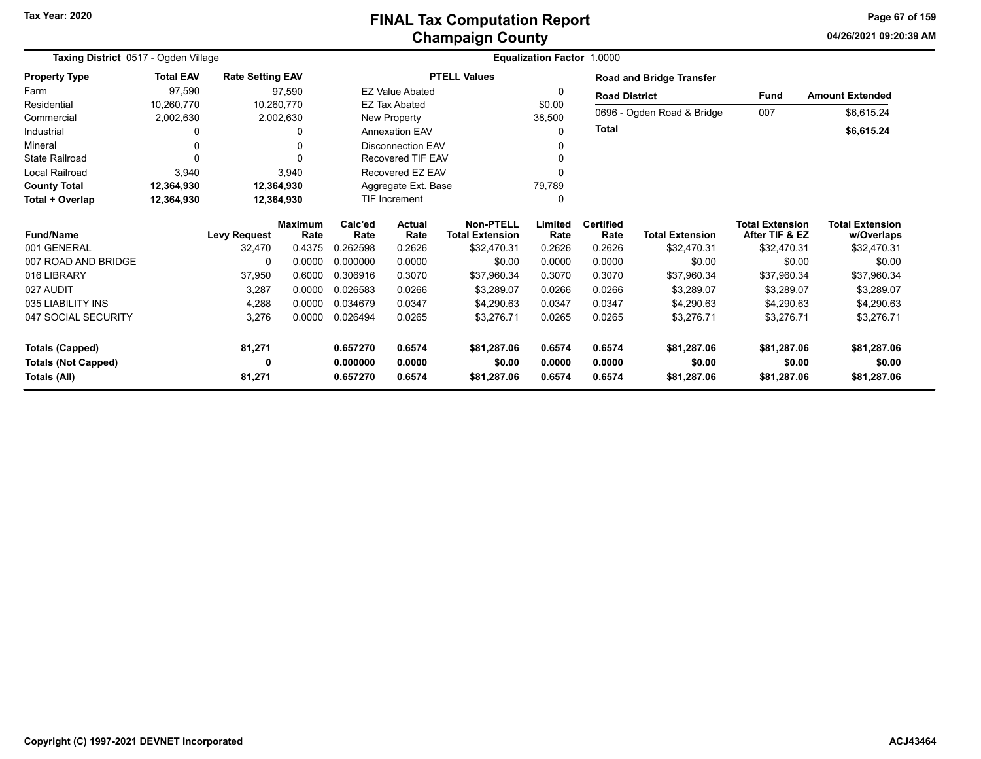#### **Champaign County FINAL Tax Computation Report**

**04/26/2021 09:20:39 AM Page 67 of 159**

| Taxing District 0517 - Ogden Village |                         |                         |                        |                 |                                      | Equalization Factor 1.0000                 |                  |                          |                            |                                          |                                      |
|--------------------------------------|-------------------------|-------------------------|------------------------|-----------------|--------------------------------------|--------------------------------------------|------------------|--------------------------|----------------------------|------------------------------------------|--------------------------------------|
| <b>Property Type</b>                 | <b>Total EAV</b>        | <b>Rate Setting EAV</b> |                        |                 |                                      | <b>PTELL Values</b>                        |                  |                          | Road and Bridge Transfer   |                                          |                                      |
| Farm                                 | 97,590                  |                         | 97,590                 |                 | <b>EZ Value Abated</b>               |                                            | 0                | <b>Road District</b>     |                            | <b>Fund</b>                              | <b>Amount Extended</b>               |
| Residential<br>Commercial            | 10,260,770<br>2,002,630 | 10,260,770              | 2,002,630              |                 | <b>EZ Tax Abated</b><br>New Property |                                            | \$0.00<br>38,500 |                          | 0696 - Ogden Road & Bridge | 007                                      | \$6,615.24                           |
| Industrial                           | 0                       |                         | O                      |                 | <b>Annexation EAV</b>                |                                            | 0                | <b>Total</b>             |                            |                                          | \$6,615.24                           |
| Mineral                              | 0                       |                         |                        |                 | <b>Disconnection EAV</b>             |                                            | 0                |                          |                            |                                          |                                      |
| <b>State Railroad</b>                | 0                       |                         |                        |                 | <b>Recovered TIF EAV</b>             |                                            |                  |                          |                            |                                          |                                      |
| <b>Local Railroad</b>                | 3,940                   |                         | 3,940                  |                 | Recovered EZ EAV                     |                                            | $\Omega$         |                          |                            |                                          |                                      |
| <b>County Total</b>                  | 12,364,930              | 12,364,930              |                        |                 | Aggregate Ext. Base                  |                                            | 79,789           |                          |                            |                                          |                                      |
| Total + Overlap                      | 12,364,930              | 12,364,930              |                        |                 | <b>TIF Increment</b>                 |                                            | 0                |                          |                            |                                          |                                      |
| <b>Fund/Name</b>                     |                         | <b>Levy Request</b>     | <b>Maximum</b><br>Rate | Calc'ed<br>Rate | <b>Actual</b><br>Rate                | <b>Non-PTELL</b><br><b>Total Extension</b> | Limited<br>Rate  | <b>Certified</b><br>Rate | <b>Total Extension</b>     | <b>Total Extension</b><br>After TIF & EZ | <b>Total Extension</b><br>w/Overlaps |
| 001 GENERAL                          |                         | 32,470                  | 0.4375                 | 0.262598        | 0.2626                               | \$32,470.31                                | 0.2626           | 0.2626                   | \$32,470.31                | \$32,470.31                              | \$32,470.31                          |
| 007 ROAD AND BRIDGE                  |                         |                         | 0.0000                 | 0.000000        | 0.0000                               | \$0.00                                     | 0.0000           | 0.0000                   | \$0.00                     | \$0.00                                   | \$0.00                               |
| 016 LIBRARY                          |                         | 37,950                  | 0.6000                 | 0.306916        | 0.3070                               | \$37,960.34                                | 0.3070           | 0.3070                   | \$37,960.34                | \$37,960.34                              | \$37,960.34                          |
| 027 AUDIT                            |                         | 3,287                   | 0.0000                 | 0.026583        | 0.0266                               | \$3,289.07                                 | 0.0266           | 0.0266                   | \$3,289.07                 | \$3,289.07                               | \$3,289.07                           |
| 035 LIABILITY INS                    |                         | 4,288                   | 0.0000                 | 0.034679        | 0.0347                               | \$4.290.63                                 | 0.0347           | 0.0347                   | \$4,290.63                 | \$4,290.63                               | \$4,290.63                           |
| 047 SOCIAL SECURITY                  |                         | 3,276                   | 0.0000                 | 0.026494        | 0.0265                               | \$3,276.71                                 | 0.0265           | 0.0265                   | \$3,276.71                 | \$3,276.71                               | \$3,276.71                           |
| <b>Totals (Capped)</b>               |                         | 81,271                  |                        | 0.657270        | 0.6574                               | \$81,287.06                                | 0.6574           | 0.6574                   | \$81,287.06                | \$81,287.06                              | \$81,287.06                          |
| <b>Totals (Not Capped)</b>           |                         |                         |                        | 0.000000        | 0.0000                               | \$0.00                                     | 0.0000           | 0.0000                   | \$0.00                     | \$0.00                                   | \$0.00                               |
| Totals (All)                         |                         | 81,271                  |                        | 0.657270        | 0.6574                               | \$81,287.06                                | 0.6574           | 0.6574                   | \$81,287.06                | \$81,287.06                              | \$81,287.06                          |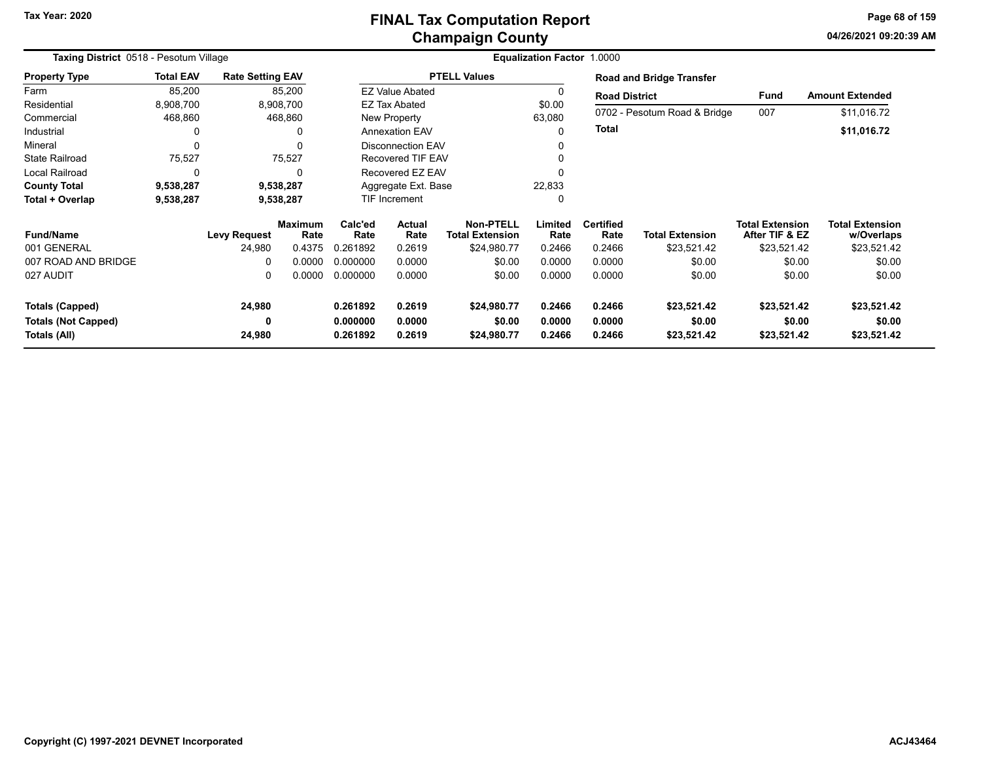# **Champaign County FINAL Tax Computation Report**

**04/26/2021 09:20:39 AMPage 68 of 159**

| Taxing District 0518 - Pesotum Village |                  |                         |                        | <b>Equalization Factor 1.0000</b> |                                                                     |                     |                 |                          |                              |                                          |                                      |  |  |
|----------------------------------------|------------------|-------------------------|------------------------|-----------------------------------|---------------------------------------------------------------------|---------------------|-----------------|--------------------------|------------------------------|------------------------------------------|--------------------------------------|--|--|
| <b>Property Type</b>                   | <b>Total EAV</b> | <b>Rate Setting EAV</b> |                        |                                   |                                                                     | <b>PTELL Values</b> |                 |                          | Road and Bridge Transfer     |                                          |                                      |  |  |
| Farm                                   | 85,200           |                         | 85,200                 |                                   | <b>EZ Value Abated</b>                                              |                     |                 | <b>Road District</b>     |                              | <b>Fund</b>                              | <b>Amount Extended</b>               |  |  |
| Residential                            | 8,908,700        |                         | 8,908,700              |                                   | <b>EZ Tax Abated</b>                                                |                     | \$0.00          |                          |                              |                                          |                                      |  |  |
| Commercial                             | 468,860          |                         | 468,860                |                                   | New Property                                                        |                     | 63,080          |                          | 0702 - Pesotum Road & Bridge | 007                                      | \$11,016.72                          |  |  |
| Industrial                             | $\Omega$         |                         | $\Omega$               |                                   | Annexation EAV                                                      |                     |                 | <b>Total</b>             |                              |                                          | \$11,016.72                          |  |  |
| Mineral                                | $\Omega$         |                         | $\Omega$               |                                   | <b>Disconnection EAV</b>                                            |                     |                 |                          |                              |                                          |                                      |  |  |
| <b>State Railroad</b>                  | 75,527           |                         | 75,527                 |                                   | <b>Recovered TIF EAV</b>                                            |                     |                 |                          |                              |                                          |                                      |  |  |
| Local Railroad                         | $\Omega$         |                         | $\Omega$               | Recovered EZ EAV                  |                                                                     |                     |                 |                          |                              |                                          |                                      |  |  |
| <b>County Total</b>                    | 9,538,287        |                         | 9,538,287              |                                   | Aggregate Ext. Base                                                 |                     | 22,833          |                          |                              |                                          |                                      |  |  |
| Total + Overlap                        | 9,538,287        |                         | 9,538,287              | TIF Increment                     |                                                                     |                     |                 |                          |                              |                                          |                                      |  |  |
| <b>Fund/Name</b>                       |                  | <b>Levy Request</b>     | <b>Maximum</b><br>Rate | Calc'ed<br>Rate                   | <b>Non-PTELL</b><br><b>Actual</b><br>Rate<br><b>Total Extension</b> |                     | Limited<br>Rate | <b>Certified</b><br>Rate | <b>Total Extension</b>       | <b>Total Extension</b><br>After TIF & EZ | <b>Total Extension</b><br>w/Overlaps |  |  |
| 001 GENERAL                            |                  | 24,980                  | 0.4375                 | 0.261892                          | 0.2619                                                              | \$24,980.77         | 0.2466          | 0.2466                   | \$23,521.42                  | \$23,521.42                              | \$23,521.42                          |  |  |
| 007 ROAD AND BRIDGE                    |                  | 0                       | 0.0000                 | 0.000000                          | 0.0000                                                              | \$0.00              | 0.0000          | 0.0000                   | \$0.00                       | \$0.00                                   | \$0.00                               |  |  |
| 027 AUDIT                              |                  | 0                       | 0.0000                 | 0.000000                          | 0.0000                                                              | \$0.00              | 0.0000          | 0.0000                   | \$0.00                       | \$0.00                                   | \$0.00                               |  |  |
| <b>Totals (Capped)</b>                 |                  | 24,980                  |                        | 0.261892                          | 0.2619                                                              | \$24,980.77         | 0.2466          | 0.2466                   | \$23,521.42                  | \$23,521.42                              | \$23,521.42                          |  |  |
| <b>Totals (Not Capped)</b>             |                  | 0                       |                        | 0.000000                          | 0.0000                                                              | \$0.00              | 0.0000          | 0.0000                   | \$0.00                       | \$0.00                                   | \$0.00                               |  |  |
| Totals (All)                           |                  | 24,980                  |                        | 0.261892                          | 0.2619                                                              | \$24,980.77         | 0.2466          | 0.2466                   | \$23,521.42                  | \$23,521.42                              | \$23,521.42                          |  |  |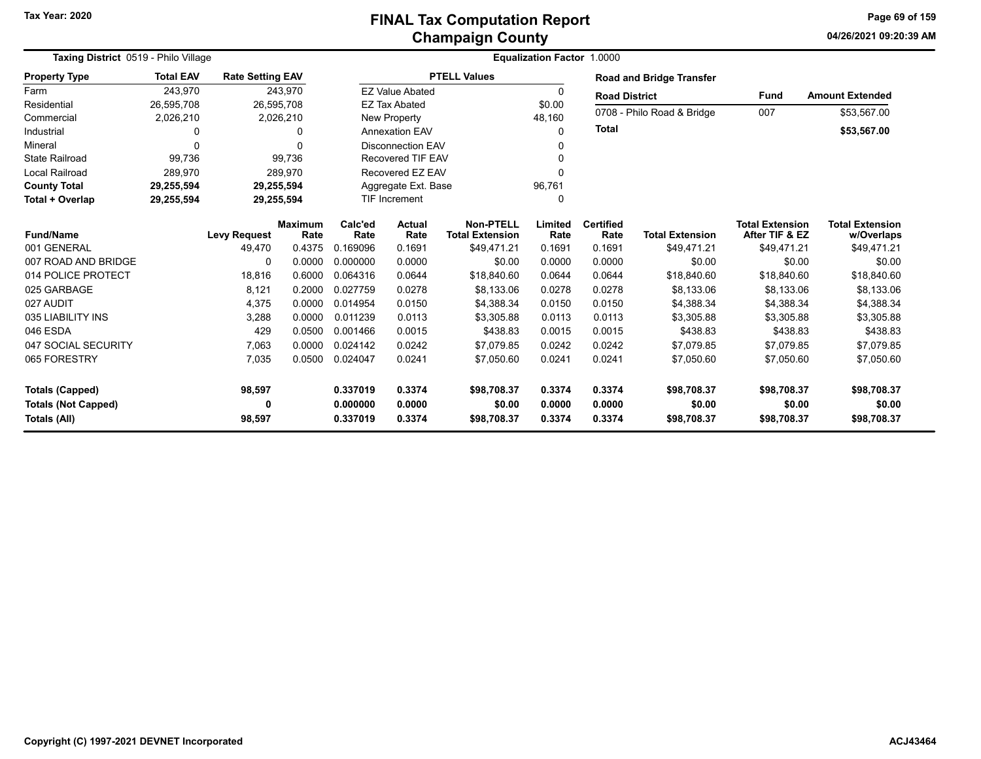#### **Champaign County FINAL Tax Computation Report**

**04/26/2021 09:20:39 AM Page 69 of 159**

| Taxing District 0519 - Philo Village |                  |                         |                        |                      | <b>Equalization Factor 1.0000</b> |                                     |                 |                          |                            |                                          |                                      |
|--------------------------------------|------------------|-------------------------|------------------------|----------------------|-----------------------------------|-------------------------------------|-----------------|--------------------------|----------------------------|------------------------------------------|--------------------------------------|
| <b>Property Type</b>                 | <b>Total EAV</b> | <b>Rate Setting EAV</b> |                        |                      |                                   | <b>PTELL Values</b>                 |                 |                          | Road and Bridge Transfer   |                                          |                                      |
| Farm                                 | 243,970          |                         | 243,970                |                      | <b>EZ Value Abated</b>            |                                     | 0               | <b>Road District</b>     |                            | <b>Fund</b>                              | <b>Amount Extended</b>               |
| Residential                          | 26,595,708       |                         | 26,595,708             |                      | <b>EZ Tax Abated</b>              |                                     | \$0.00          |                          |                            |                                          |                                      |
| Commercial                           | 2,026,210        |                         | 2,026,210              |                      | <b>New Property</b>               |                                     | 48,160          |                          | 0708 - Philo Road & Bridge | 007                                      | \$53,567.00                          |
| Industrial                           | $\Omega$         |                         | 0                      |                      | <b>Annexation EAV</b>             |                                     | $\Omega$        | <b>Total</b>             |                            |                                          | \$53,567.00                          |
| Mineral                              | $\Omega$         |                         |                        |                      | <b>Disconnection EAV</b>          |                                     | ŋ               |                          |                            |                                          |                                      |
| <b>State Railroad</b>                | 99,736           |                         | 99,736                 |                      | <b>Recovered TIF EAV</b>          |                                     | U               |                          |                            |                                          |                                      |
| <b>Local Railroad</b>                | 289,970          |                         | 289,970                |                      | Recovered EZ EAV                  |                                     | $\Omega$        |                          |                            |                                          |                                      |
| <b>County Total</b>                  | 29,255,594       |                         | 29,255,594             |                      | Aggregate Ext. Base               |                                     | 96,761          |                          |                            |                                          |                                      |
| Total + Overlap                      | 29,255,594       |                         | 29,255,594             | <b>TIF Increment</b> |                                   |                                     | 0               |                          |                            |                                          |                                      |
| Fund/Name                            |                  | <b>Levy Request</b>     | <b>Maximum</b><br>Rate | Calc'ed<br>Rate      | Actual<br>Rate                    | Non-PTELL<br><b>Total Extension</b> | Limited<br>Rate | <b>Certified</b><br>Rate | <b>Total Extension</b>     | <b>Total Extension</b><br>After TIF & EZ | <b>Total Extension</b><br>w/Overlaps |
| 001 GENERAL                          |                  | 49,470                  | 0.4375                 | 0.169096             | 0.1691                            | \$49.471.21                         | 0.1691          | 0.1691                   | \$49,471.21                | \$49,471.21                              | \$49,471.21                          |
| 007 ROAD AND BRIDGE                  |                  | 0                       | 0.0000                 | 0.000000             | 0.0000                            | \$0.00                              | 0.0000          | 0.0000                   | \$0.00                     | \$0.00                                   | \$0.00                               |
| 014 POLICE PROTECT                   |                  | 18,816                  | 0.6000                 | 0.064316             | 0.0644                            | \$18,840.60                         | 0.0644          | 0.0644                   | \$18,840.60                | \$18,840.60                              | \$18,840.60                          |
| 025 GARBAGE                          |                  | 8,121                   | 0.2000                 | 0.027759             | 0.0278                            | \$8,133.06                          | 0.0278          | 0.0278                   | \$8,133.06                 | \$8.133.06                               | \$8,133.06                           |
| 027 AUDIT                            |                  | 4,375                   | 0.0000                 | 0.014954             | 0.0150                            | \$4,388.34                          | 0.0150          | 0.0150                   | \$4,388.34                 | \$4,388.34                               | \$4,388.34                           |
| 035 LIABILITY INS                    |                  | 3,288                   | 0.0000                 | 0.011239             | 0.0113                            | \$3,305.88                          | 0.0113          | 0.0113                   | \$3,305.88                 | \$3,305.88                               | \$3,305.88                           |
| 046 ESDA                             |                  | 429                     | 0.0500                 | 0.001466             | 0.0015                            | \$438.83                            | 0.0015          | 0.0015                   | \$438.83                   | \$438.83                                 | \$438.83                             |
| 047 SOCIAL SECURITY                  |                  | 7,063                   | 0.0000                 | 0.024142             | 0.0242                            | \$7,079.85                          | 0.0242          | 0.0242                   | \$7,079.85                 | \$7,079.85                               | \$7,079.85                           |
| 065 FORESTRY                         |                  | 7,035                   | 0.0500                 | 0.024047             | 0.0241                            | \$7,050.60                          | 0.0241          | 0.0241                   | \$7,050.60                 | \$7,050.60                               | \$7,050.60                           |
| <b>Totals (Capped)</b>               |                  | 98,597                  |                        | 0.337019             | 0.3374                            | \$98.708.37                         | 0.3374          | 0.3374                   | \$98,708.37                | \$98,708.37                              | \$98,708.37                          |
| <b>Totals (Not Capped)</b>           |                  | 0                       |                        | 0.000000             | 0.0000                            | \$0.00                              | 0.0000          | 0.0000                   | \$0.00                     | \$0.00                                   | \$0.00                               |
| Totals (All)                         |                  | 98,597                  |                        | 0.337019             | 0.3374                            | \$98,708.37                         | 0.3374          | 0.3374                   | \$98,708.37                | \$98,708.37                              | \$98,708.37                          |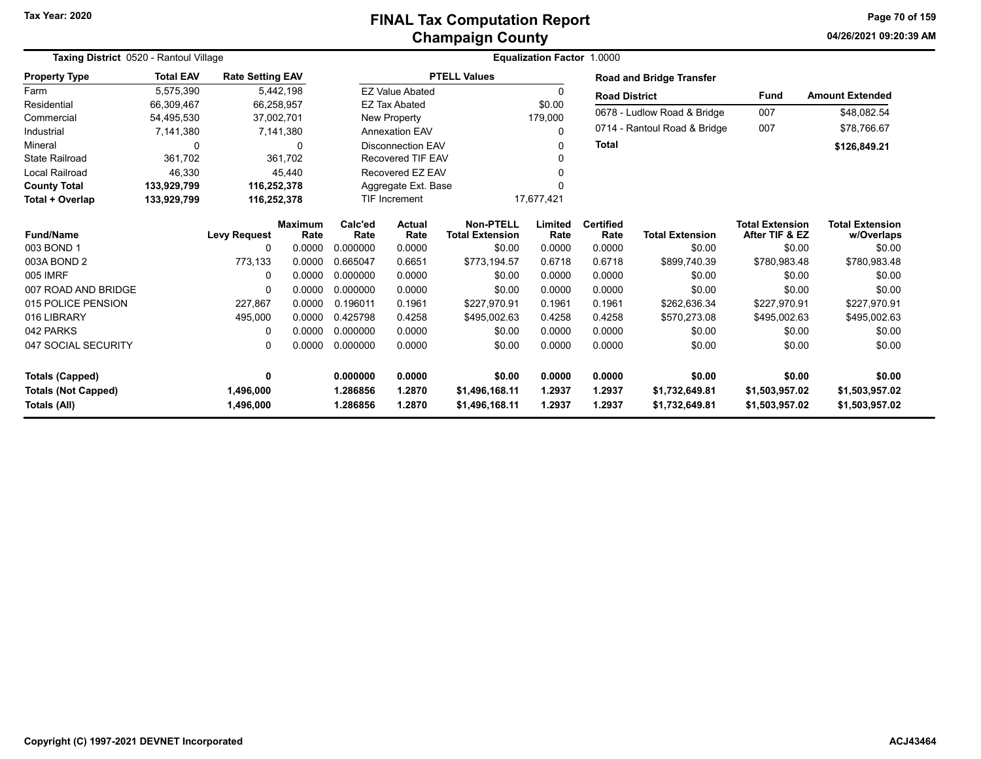# **Champaign County FINAL Tax Computation Report**

**04/26/2021 09:20:39 AM Page 70 of 159**

|                                            | Taxing District 0520 - Rantoul Village |                         |                        |                      |                                    |                                            | <b>Equalization Factor 1.0000</b> |                          |                                  |                                          |                                      |  |  |
|--------------------------------------------|----------------------------------------|-------------------------|------------------------|----------------------|------------------------------------|--------------------------------------------|-----------------------------------|--------------------------|----------------------------------|------------------------------------------|--------------------------------------|--|--|
| <b>Property Type</b>                       | <b>Total EAV</b>                       | <b>Rate Setting EAV</b> |                        |                      |                                    | <b>PTELL Values</b>                        |                                   |                          | <b>Road and Bridge Transfer</b>  |                                          |                                      |  |  |
| Farm                                       | 5,575,390                              |                         | 5,442,198              |                      | <b>EZ Value Abated</b>             |                                            | 0                                 | <b>Road District</b>     |                                  | <b>Fund</b>                              | <b>Amount Extended</b>               |  |  |
| Residential                                | 66,309,467                             |                         | 66,258,957             |                      | <b>EZ Tax Abated</b>               |                                            | \$0.00                            |                          |                                  | 007                                      |                                      |  |  |
| Commercial                                 | 54,495,530                             |                         | 37,002,701             |                      | <b>New Property</b>                |                                            | 179,000                           |                          | 0678 - Ludlow Road & Bridge      |                                          | \$48,082.54                          |  |  |
| Industrial                                 | 7,141,380                              |                         | 7,141,380              |                      | <b>Annexation EAV</b>              |                                            | 0                                 |                          | 0714 - Rantoul Road & Bridge     | 007                                      | \$78,766.67                          |  |  |
| Mineral                                    | $\mathbf 0$                            |                         | 0                      |                      | <b>Disconnection EAV</b>           |                                            | 0                                 | <b>Total</b>             |                                  |                                          | \$126,849.21                         |  |  |
| <b>State Railroad</b>                      | 361,702                                |                         | 361.702                |                      | <b>Recovered TIF EAV</b>           |                                            |                                   |                          |                                  |                                          |                                      |  |  |
| Local Railroad                             | 46,330                                 |                         | 45,440                 |                      | Recovered EZ EAV                   |                                            |                                   |                          |                                  |                                          |                                      |  |  |
| <b>County Total</b>                        | 133,929,799                            |                         | 116,252,378            |                      | Aggregate Ext. Base                |                                            |                                   |                          |                                  |                                          |                                      |  |  |
| Total + Overlap                            | 133,929,799                            |                         | 116,252,378            |                      | 17,677,421<br><b>TIF Increment</b> |                                            |                                   |                          |                                  |                                          |                                      |  |  |
| <b>Fund/Name</b>                           |                                        | <b>Levy Request</b>     | <b>Maximum</b><br>Rate | Calc'ed<br>Rate      | Actual<br>Rate                     | <b>Non-PTELL</b><br><b>Total Extension</b> | Limited<br>Rate                   | <b>Certified</b><br>Rate | <b>Total Extension</b>           | <b>Total Extension</b><br>After TIF & EZ | <b>Total Extension</b><br>w/Overlaps |  |  |
| 003 BOND 1                                 |                                        | $\Omega$                | 0.0000                 | 0.000000             | 0.0000                             | \$0.00                                     | 0.0000                            | 0.0000                   | \$0.00                           | \$0.00                                   | \$0.00                               |  |  |
| 003A BOND 2                                |                                        | 773,133                 | 0.0000                 | 0.665047             | 0.6651                             | \$773,194.57                               | 0.6718                            | 0.6718                   | \$899.740.39                     | \$780.983.48                             | \$780,983.48                         |  |  |
| 005 IMRF                                   |                                        | -0                      | 0.0000                 | 0.000000             | 0.0000                             | \$0.00                                     | 0.0000                            | 0.0000                   | \$0.00                           | \$0.00                                   | \$0.00                               |  |  |
| 007 ROAD AND BRIDGE                        |                                        | $\Omega$                | 0.0000                 | 0.000000             | 0.0000                             | \$0.00                                     | 0.0000                            | 0.0000                   | \$0.00                           | \$0.00                                   | \$0.00                               |  |  |
| 015 POLICE PENSION                         |                                        | 227,867                 | 0.0000                 | 0.196011             | 0.1961                             | \$227,970.91                               | 0.1961                            | 0.1961                   | \$262,636.34                     | \$227,970.91                             | \$227,970.91                         |  |  |
| 016 LIBRARY                                |                                        | 495,000                 | 0.0000                 | 0.425798             | 0.4258                             | \$495,002.63                               | 0.4258                            | 0.4258                   | \$570,273.08                     | \$495,002.63                             | \$495,002.63                         |  |  |
| 042 PARKS                                  |                                        | $\Omega$                | 0.0000                 | 0.000000             | 0.0000                             | \$0.00                                     | 0.0000                            | 0.0000                   | \$0.00                           | \$0.00                                   | \$0.00                               |  |  |
| 047 SOCIAL SECURITY                        |                                        | 0                       | 0.0000                 | 0.000000             | 0.0000                             | \$0.00                                     | 0.0000                            | 0.0000                   | \$0.00                           | \$0.00                                   | \$0.00                               |  |  |
| <b>Totals (Capped)</b>                     |                                        | 0                       |                        | 0.000000             | 0.0000                             | \$0.00                                     | 0.0000                            | 0.0000                   | \$0.00                           | \$0.00                                   | \$0.00                               |  |  |
| <b>Totals (Not Capped)</b><br>Totals (All) |                                        | 1,496,000<br>1,496,000  |                        | 1.286856<br>1.286856 | 1.2870<br>1.2870                   | \$1,496,168.11<br>\$1,496,168.11           | 1.2937<br>1.2937                  | 1.2937<br>1.2937         | \$1,732,649.81<br>\$1,732,649.81 | \$1,503,957.02<br>\$1,503,957.02         | \$1,503,957.02<br>\$1,503,957.02     |  |  |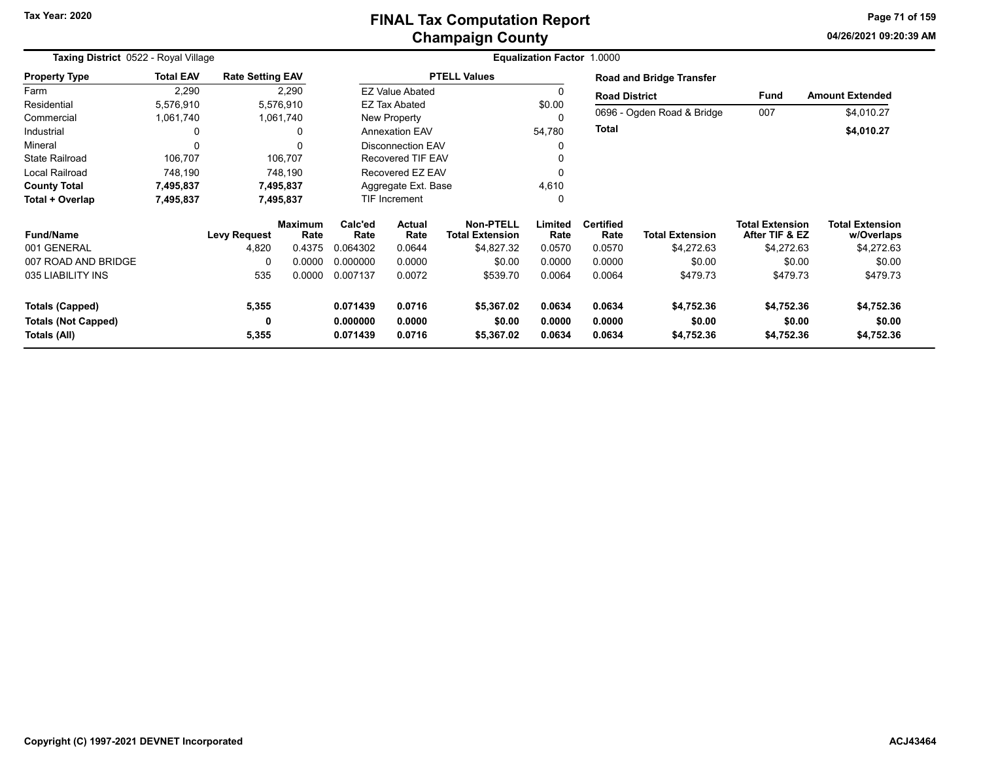#### **Champaign County FINAL Tax Computation Report**

**04/26/2021 09:20:39 AMPage 71 of 159**

| Taxing District 0522 - Royal Village |                  |                         |                        | <b>Equalization Factor 1.0000</b> |                                 |                                            |                 |                          |                            |                                          |                                      |  |
|--------------------------------------|------------------|-------------------------|------------------------|-----------------------------------|---------------------------------|--------------------------------------------|-----------------|--------------------------|----------------------------|------------------------------------------|--------------------------------------|--|
| <b>Property Type</b>                 | <b>Total EAV</b> | <b>Rate Setting EAV</b> |                        |                                   |                                 | <b>PTELL Values</b>                        |                 |                          | Road and Bridge Transfer   |                                          |                                      |  |
| Farm                                 | 2,290            |                         | 2,290                  |                                   | <b>EZ Value Abated</b>          |                                            |                 | <b>Road District</b>     |                            | <b>Fund</b>                              | <b>Amount Extended</b>               |  |
| Residential                          | 5,576,910        |                         | 5,576,910              |                                   | <b>EZ Tax Abated</b>            |                                            | \$0.00          |                          |                            |                                          |                                      |  |
| Commercial                           | 1,061,740        |                         | 1,061,740              |                                   | New Property                    |                                            | 0               |                          | 0696 - Ogden Road & Bridge | 007                                      | \$4,010.27                           |  |
| Industrial                           |                  |                         | 0                      |                                   | 54,780<br><b>Annexation EAV</b> |                                            |                 | Total                    |                            |                                          | \$4,010.27                           |  |
| Mineral                              | $\Omega$         |                         | $\Omega$               |                                   | <b>Disconnection EAV</b>        |                                            |                 |                          |                            |                                          |                                      |  |
| <b>State Railroad</b>                | 106,707          |                         | 106,707                |                                   | <b>Recovered TIF EAV</b>        |                                            |                 |                          |                            |                                          |                                      |  |
| Local Railroad                       | 748,190          |                         | 748,190                |                                   | Recovered EZ EAV                |                                            |                 |                          |                            |                                          |                                      |  |
| <b>County Total</b>                  | 7,495,837        |                         | 7,495,837              |                                   | Aggregate Ext. Base             |                                            |                 |                          |                            |                                          |                                      |  |
| Total + Overlap                      | 7,495,837        |                         | 7,495,837              |                                   | <b>TIF Increment</b>            |                                            | 0               |                          |                            |                                          |                                      |  |
| <b>Fund/Name</b>                     |                  | <b>Levy Request</b>     | <b>Maximum</b><br>Rate | Calc'ed<br>Rate                   | Actual<br>Rate                  | <b>Non-PTELL</b><br><b>Total Extension</b> | Limited<br>Rate | <b>Certified</b><br>Rate | <b>Total Extension</b>     | <b>Total Extension</b><br>After TIF & EZ | <b>Total Extension</b><br>w/Overlaps |  |
| 001 GENERAL                          |                  | 4,820                   | 0.4375                 | 0.064302                          | 0.0644                          | \$4,827.32                                 | 0.0570          | 0.0570                   | \$4,272.63                 | \$4,272.63                               | \$4,272.63                           |  |
| 007 ROAD AND BRIDGE                  |                  | 0                       | 0.0000                 | 0.000000                          | 0.0000                          | \$0.00                                     | 0.0000          | 0.0000                   | \$0.00                     | \$0.00                                   | \$0.00                               |  |
| 035 LIABILITY INS                    |                  | 535                     | 0.0000                 | 0.007137                          | 0.0072                          | \$539.70                                   | 0.0064          | 0.0064                   | \$479.73                   | \$479.73                                 | \$479.73                             |  |
| <b>Totals (Capped)</b>               |                  | 5,355                   |                        | 0.071439                          | 0.0716                          | \$5,367.02                                 | 0.0634          | 0.0634                   | \$4,752.36                 | \$4,752.36                               | \$4,752.36                           |  |
| <b>Totals (Not Capped)</b>           |                  | 0                       |                        | 0.000000                          | 0.0000                          | \$0.00                                     | 0.0000          | 0.0000                   | \$0.00                     | \$0.00                                   | \$0.00                               |  |
| Totals (All)                         |                  | 5,355                   |                        | 0.071439                          | 0.0716                          | \$5,367.02                                 | 0.0634          | 0.0634                   | \$4,752.36                 | \$4,752.36                               | \$4,752.36                           |  |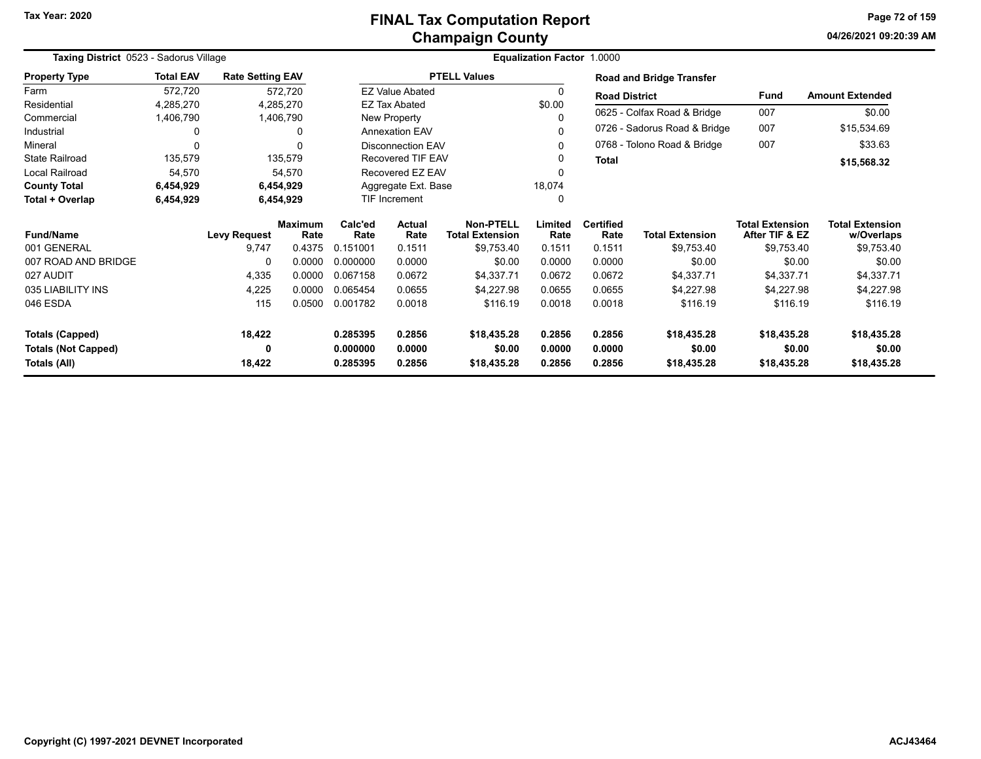**04/26/2021 09:20:39 AMPage 72 of 159**

|                            | Taxing District 0523 - Sadorus Village<br><b>Equalization Factor</b> |                         |                        |                 |                          |                                            |                 |                          |                                 |                                          |                                      |
|----------------------------|----------------------------------------------------------------------|-------------------------|------------------------|-----------------|--------------------------|--------------------------------------------|-----------------|--------------------------|---------------------------------|------------------------------------------|--------------------------------------|
| <b>Property Type</b>       | <b>Total EAV</b>                                                     | <b>Rate Setting EAV</b> |                        |                 |                          | <b>PTELL Values</b>                        |                 |                          | <b>Road and Bridge Transfer</b> |                                          |                                      |
| Farm                       | 572,720                                                              |                         | 572,720                |                 | <b>EZ Value Abated</b>   |                                            | 0               | <b>Road District</b>     |                                 | <b>Fund</b>                              | <b>Amount Extended</b>               |
| Residential                | 4,285,270                                                            |                         | 4,285,270              |                 | <b>EZ Tax Abated</b>     |                                            | \$0.00          |                          |                                 |                                          | \$0.00                               |
| Commercial                 | 1,406,790                                                            |                         | 1,406,790              |                 | New Property             |                                            |                 |                          | 0625 - Colfax Road & Bridge     | 007                                      |                                      |
| Industrial                 | 0                                                                    |                         | 0                      |                 | <b>Annexation EAV</b>    |                                            |                 |                          | 0726 - Sadorus Road & Bridge    | 007                                      | \$15,534.69                          |
| Mineral                    | $\Omega$                                                             |                         | $\Omega$               |                 | <b>Disconnection EAV</b> |                                            | 0               |                          | 0768 - Tolono Road & Bridge     | 007                                      | \$33.63                              |
| <b>State Railroad</b>      | 135,579                                                              |                         | 135,579                |                 | <b>Recovered TIF EAV</b> |                                            |                 | <b>Total</b>             |                                 |                                          | \$15,568.32                          |
| Local Railroad             | 54,570                                                               |                         | 54,570                 |                 | Recovered EZ EAV         |                                            |                 |                          |                                 |                                          |                                      |
| <b>County Total</b>        | 6,454,929                                                            |                         | 6,454,929              |                 | Aggregate Ext. Base      |                                            | 18,074          |                          |                                 |                                          |                                      |
| Total + Overlap            | 6,454,929                                                            |                         | 6,454,929              |                 | TIF Increment            |                                            |                 |                          |                                 |                                          |                                      |
| <b>Fund/Name</b>           |                                                                      | <b>Levy Request</b>     | <b>Maximum</b><br>Rate | Calc'ed<br>Rate | <b>Actual</b><br>Rate    | <b>Non-PTELL</b><br><b>Total Extension</b> | Limited<br>Rate | <b>Certified</b><br>Rate | <b>Total Extension</b>          | <b>Total Extension</b><br>After TIF & EZ | <b>Total Extension</b><br>w/Overlaps |
| 001 GENERAL                |                                                                      | 9,747                   | 0.4375                 | 0.151001        | 0.1511                   | \$9,753.40                                 | 0.1511          | 0.1511                   | \$9,753.40                      | \$9,753.40                               | \$9,753.40                           |
| 007 ROAD AND BRIDGE        |                                                                      | 0                       | 0.0000                 | 0.000000        | 0.0000                   | \$0.00                                     | 0.0000          | 0.0000                   | \$0.00                          | \$0.00                                   | \$0.00                               |
| 027 AUDIT                  |                                                                      | 4,335                   | 0.0000                 | 0.067158        | 0.0672                   | \$4,337.71                                 | 0.0672          | 0.0672                   | \$4,337.71                      | \$4,337.71                               | \$4,337.71                           |
| 035 LIABILITY INS          |                                                                      | 4,225                   | 0.0000                 | 0.065454        | 0.0655                   | \$4,227.98                                 | 0.0655          | 0.0655                   | \$4,227.98                      | \$4,227.98                               | \$4,227.98                           |
| 046 ESDA                   |                                                                      | 115                     | 0.0500                 | 0.001782        | 0.0018                   | \$116.19                                   | 0.0018          | 0.0018                   | \$116.19                        | \$116.19                                 | \$116.19                             |
| <b>Totals (Capped)</b>     |                                                                      | 18,422                  |                        | 0.285395        | 0.2856                   | \$18,435.28                                | 0.2856          | 0.2856                   | \$18,435.28                     | \$18,435.28                              | \$18,435.28                          |
| <b>Totals (Not Capped)</b> |                                                                      | 0                       |                        | 0.000000        | 0.0000                   | \$0.00                                     | 0.0000          | 0.0000                   | \$0.00                          | \$0.00                                   | \$0.00                               |
| Totals (All)               |                                                                      | 18,422                  |                        | 0.285395        | 0.2856                   | \$18,435.28                                | 0.2856          | 0.2856                   | \$18,435.28                     | \$18,435.28                              | \$18,435.28                          |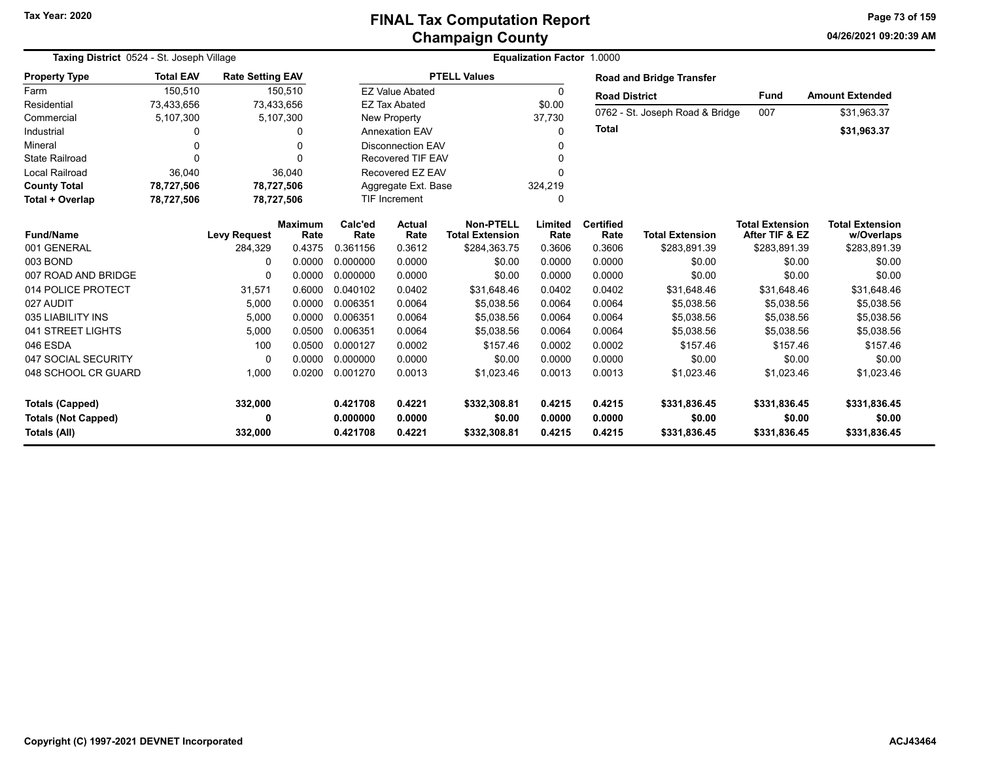**04/26/2021 09:20:39 AMPage 73 of 159**

| Taxing District 0524 - St. Joseph Village |                  |                         |                |          |                          |                        | Equalization Factor 1,0000 |                      |                                 |                        |                        |
|-------------------------------------------|------------------|-------------------------|----------------|----------|--------------------------|------------------------|----------------------------|----------------------|---------------------------------|------------------------|------------------------|
| <b>Property Type</b>                      | <b>Total EAV</b> | <b>Rate Setting EAV</b> |                |          |                          | <b>PTELL Values</b>    |                            |                      | <b>Road and Bridge Transfer</b> |                        |                        |
| Farm                                      | 150,510          |                         | 150,510        |          | <b>EZ Value Abated</b>   |                        | $\Omega$                   | <b>Road District</b> |                                 | <b>Fund</b>            | <b>Amount Extended</b> |
| Residential                               | 73,433,656       | 73,433,656              |                |          | <b>EZ Tax Abated</b>     |                        | \$0.00                     |                      |                                 |                        |                        |
| Commercial                                | 5,107,300        |                         | 5,107,300      |          | New Property             |                        | 37,730                     |                      | 0762 - St. Joseph Road & Bridge | 007                    | \$31,963.37            |
| Industrial                                | 0                |                         | $\Omega$       |          | <b>Annexation EAV</b>    |                        | $\Omega$                   | <b>Total</b>         |                                 |                        | \$31,963.37            |
| Mineral                                   | 0                |                         |                |          | <b>Disconnection EAV</b> |                        | n                          |                      |                                 |                        |                        |
| <b>State Railroad</b>                     | ŋ                |                         |                |          | <b>Recovered TIF EAV</b> |                        | $\Omega$                   |                      |                                 |                        |                        |
| <b>Local Railroad</b>                     | 36,040           |                         | 36,040         |          | Recovered EZ EAV         |                        | O                          |                      |                                 |                        |                        |
| <b>County Total</b>                       | 78,727,506       | 78,727,506              |                |          | Aggregate Ext. Base      |                        | 324,219                    |                      |                                 |                        |                        |
| Total + Overlap                           | 78,727,506       | 78,727,506              |                |          | <b>TIF Increment</b>     |                        | $\Omega$                   |                      |                                 |                        |                        |
|                                           |                  |                         | <b>Maximum</b> | Calc'ed  | <b>Actual</b>            | <b>Non-PTELL</b>       | Limited                    | <b>Certified</b>     |                                 | <b>Total Extension</b> | <b>Total Extension</b> |
| <b>Fund/Name</b>                          |                  | <b>Levy Request</b>     | Rate           | Rate     | Rate                     | <b>Total Extension</b> | Rate                       | Rate                 | <b>Total Extension</b>          | After TIF & EZ         | w/Overlaps             |
| 001 GENERAL                               |                  | 284,329                 | 0.4375         | 0.361156 | 0.3612                   | \$284,363.75           | 0.3606                     | 0.3606               | \$283,891.39                    | \$283,891.39           | \$283,891.39           |
| 003 BOND                                  |                  | 0                       | 0.0000         | 0.000000 | 0.0000                   | \$0.00                 | 0.0000                     | 0.0000               | \$0.00                          | \$0.00                 | \$0.00                 |
| 007 ROAD AND BRIDGE                       |                  | $\Omega$                | 0.0000         | 0.000000 | 0.0000                   | \$0.00                 | 0.0000                     | 0.0000               | \$0.00                          | \$0.00                 | \$0.00                 |
| 014 POLICE PROTECT                        |                  | 31,571                  | 0.6000         | 0.040102 | 0.0402                   | \$31,648.46            | 0.0402                     | 0.0402               | \$31,648.46                     | \$31,648.46            | \$31,648.46            |
| 027 AUDIT                                 |                  | 5.000                   | 0.0000         | 0.006351 | 0.0064                   | \$5.038.56             | 0.0064                     | 0.0064               | \$5.038.56                      | \$5,038.56             | \$5,038.56             |
| 035 LIABILITY INS                         |                  | 5,000                   | 0.0000         | 0.006351 | 0.0064                   | \$5,038.56             | 0.0064                     | 0.0064               | \$5,038.56                      | \$5,038.56             | \$5,038.56             |
| 041 STREET LIGHTS                         |                  | 5,000                   | 0.0500         | 0.006351 | 0.0064                   | \$5,038.56             | 0.0064                     | 0.0064               | \$5,038.56                      | \$5,038.56             | \$5,038.56             |
| 046 ESDA                                  |                  | 100                     | 0.0500         | 0.000127 | 0.0002                   | \$157.46               | 0.0002                     | 0.0002               | \$157.46                        | \$157.46               | \$157.46               |
| 047 SOCIAL SECURITY                       |                  | $\Omega$                | 0.0000         | 0.000000 | 0.0000                   | \$0.00                 | 0.0000                     | 0.0000               | \$0.00                          | \$0.00                 | \$0.00                 |
| 048 SCHOOL CR GUARD                       |                  | 1,000                   | 0.0200         | 0.001270 | 0.0013                   | \$1,023.46             | 0.0013                     | 0.0013               | \$1,023.46                      | \$1,023.46             | \$1,023.46             |
| <b>Totals (Capped)</b>                    |                  | 332,000                 |                | 0.421708 | 0.4221                   | \$332,308.81           | 0.4215                     | 0.4215               | \$331,836.45                    | \$331,836.45           | \$331,836.45           |
| <b>Totals (Not Capped)</b>                |                  | 0                       |                | 0.000000 | 0.0000                   | \$0.00                 | 0.0000                     | 0.0000               | \$0.00                          | \$0.00                 | \$0.00                 |
| <b>Totals (All)</b>                       |                  | 332,000                 |                | 0.421708 | 0.4221                   | \$332,308.81           | 0.4215                     | 0.4215               | \$331,836.45                    | \$331,836.45           | \$331,836.45           |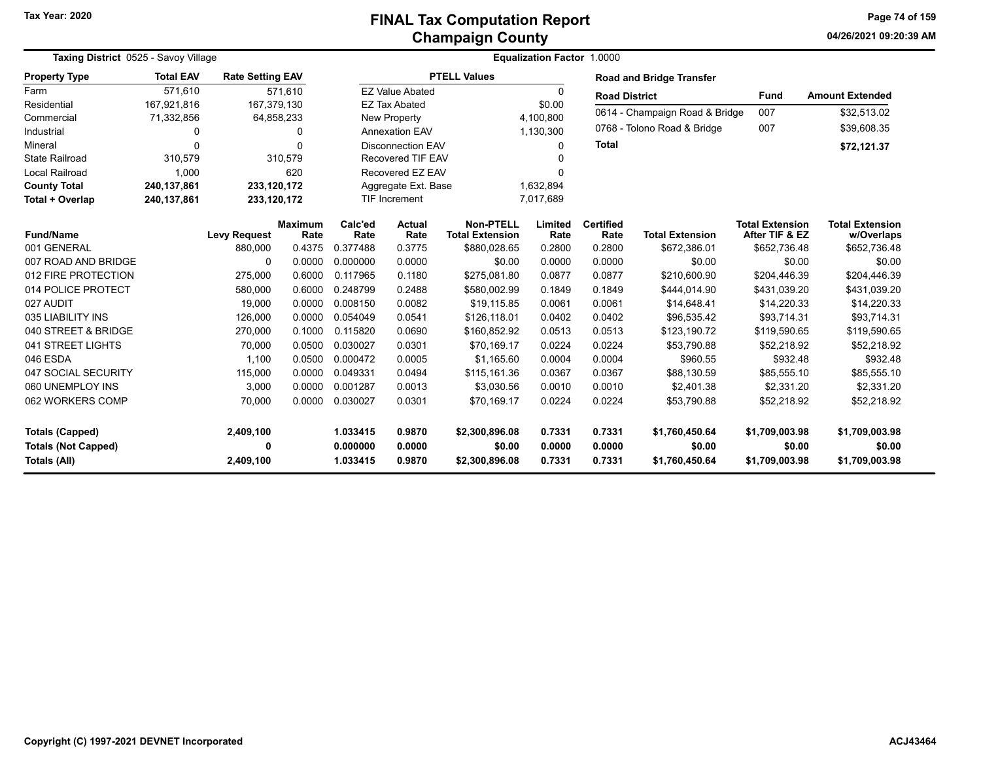**04/26/2021 09:20:39 AMPage 74 of 159**

| Taxing District 0525 - Savoy Village              |                  |                         |                        | Equalization Factor 1.0000 |                                   |                                            |                  |                                |                                 |                                          |                                      |  |
|---------------------------------------------------|------------------|-------------------------|------------------------|----------------------------|-----------------------------------|--------------------------------------------|------------------|--------------------------------|---------------------------------|------------------------------------------|--------------------------------------|--|
| <b>Property Type</b>                              | <b>Total EAV</b> | <b>Rate Setting EAV</b> |                        |                            |                                   | <b>PTELL Values</b>                        |                  |                                | <b>Road and Bridge Transfer</b> |                                          |                                      |  |
| Farm                                              | 571,610          |                         | 571,610                |                            | <b>EZ Value Abated</b>            |                                            | 0                | <b>Road District</b>           |                                 | <b>Fund</b>                              | <b>Amount Extended</b>               |  |
| Residential                                       | 167,921,816      | 167,379,130             |                        |                            | <b>EZ Tax Abated</b>              |                                            | \$0.00           |                                |                                 |                                          |                                      |  |
| Commercial                                        | 71,332,856       |                         | 64,858,233             |                            | <b>New Property</b><br>4,100,800  |                                            |                  | 0614 - Champaign Road & Bridge | 007                             | \$32,513.02                              |                                      |  |
| Industrial                                        | 0                |                         | 0                      |                            | <b>Annexation EAV</b>             |                                            | 1,130,300        |                                | 0768 - Tolono Road & Bridge     | 007                                      | \$39,608.35                          |  |
| Mineral                                           | $\Omega$         |                         | $\Omega$               |                            | <b>Disconnection EAV</b><br>0     |                                            |                  | <b>Total</b>                   |                                 |                                          | \$72,121.37                          |  |
| <b>State Railroad</b>                             | 310,579          |                         | 310,579                |                            | <b>Recovered TIF EAV</b><br>U     |                                            |                  |                                |                                 |                                          |                                      |  |
| <b>Local Railroad</b>                             | 1,000            |                         | 620                    |                            | Recovered EZ EAV<br>U             |                                            |                  |                                |                                 |                                          |                                      |  |
| <b>County Total</b>                               | 240,137,861      | 233,120,172             |                        |                            | 1,632,894<br>Aggregate Ext. Base  |                                            |                  |                                |                                 |                                          |                                      |  |
| Total + Overlap                                   | 240,137,861      | 233,120,172             |                        |                            | 7,017,689<br><b>TIF Increment</b> |                                            |                  |                                |                                 |                                          |                                      |  |
| <b>Fund/Name</b>                                  |                  | <b>Levy Request</b>     | <b>Maximum</b><br>Rate | Calc'ed<br>Rate            | <b>Actual</b><br>Rate             | <b>Non-PTELL</b><br><b>Total Extension</b> | Limited<br>Rate  | <b>Certified</b><br>Rate       | <b>Total Extension</b>          | <b>Total Extension</b><br>After TIF & EZ | <b>Total Extension</b><br>w/Overlaps |  |
| 001 GENERAL                                       |                  | 880.000                 | 0.4375                 | 0.377488                   | 0.3775                            | \$880.028.65                               | 0.2800           | 0.2800                         | \$672.386.01                    | \$652.736.48                             | \$652.736.48                         |  |
| 007 ROAD AND BRIDGE                               |                  | $\Omega$                | 0.0000                 | 0.000000                   | 0.0000                            | \$0.00                                     | 0.0000           | 0.0000                         | \$0.00                          | \$0.00                                   | \$0.00                               |  |
| 012 FIRE PROTECTION                               |                  | 275,000                 | 0.6000                 | 0.117965                   | 0.1180                            | \$275,081.80                               | 0.0877           | 0.0877                         | \$210,600.90                    | \$204,446.39                             | \$204,446.39                         |  |
| 014 POLICE PROTECT                                |                  | 580,000                 | 0.6000                 | 0.248799                   | 0.2488                            | \$580,002.99                               | 0.1849           | 0.1849                         | \$444,014.90                    | \$431,039.20                             | \$431,039.20                         |  |
| 027 AUDIT                                         |                  | 19,000                  | 0.0000                 | 0.008150                   | 0.0082                            | \$19,115.85                                | 0.0061           | 0.0061                         | \$14,648.41                     | \$14,220.33                              | \$14,220.33                          |  |
| 035 LIABILITY INS                                 |                  | 126,000                 | 0.0000                 | 0.054049                   | 0.0541                            | \$126,118.01                               | 0.0402           | 0.0402                         | \$96,535.42                     | \$93,714.31                              | \$93,714.31                          |  |
| 040 STREET & BRIDGE                               |                  | 270,000                 | 0.1000                 | 0.115820                   | 0.0690                            | \$160,852.92                               | 0.0513           | 0.0513                         | \$123,190.72                    | \$119,590.65                             | \$119,590.65                         |  |
| 041 STREET LIGHTS                                 |                  | 70,000                  | 0.0500                 | 0.030027                   | 0.0301                            | \$70,169.17                                | 0.0224           | 0.0224                         | \$53,790.88                     | \$52,218.92                              | \$52,218.92                          |  |
| 046 ESDA                                          |                  | 1,100                   | 0.0500                 | 0.000472                   | 0.0005                            | \$1,165.60                                 | 0.0004           | 0.0004                         | \$960.55                        | \$932.48                                 | \$932.48                             |  |
| 047 SOCIAL SECURITY                               |                  | 115,000                 | 0.0000                 | 0.049331                   | 0.0494                            | \$115,161.36                               | 0.0367           | 0.0367                         | \$88,130.59                     | \$85,555.10                              | \$85,555.10                          |  |
| 060 UNEMPLOY INS                                  |                  | 3,000                   | 0.0000                 | 0.001287                   | 0.0013                            | \$3,030.56                                 | 0.0010           | 0.0010                         | \$2,401.38                      | \$2,331.20                               | \$2,331.20                           |  |
| 062 WORKERS COMP                                  |                  | 70,000                  | 0.0000                 | 0.030027                   | 0.0301                            | \$70.169.17                                | 0.0224           | 0.0224                         | \$53.790.88                     | \$52,218.92                              | \$52,218.92                          |  |
| <b>Totals (Capped)</b>                            |                  | 2,409,100               |                        | 1.033415                   | 0.9870                            | \$2,300,896.08                             | 0.7331           | 0.7331                         | \$1,760,450.64                  | \$1,709,003.98                           | \$1,709,003.98                       |  |
| <b>Totals (Not Capped)</b><br><b>Totals (All)</b> |                  | 0<br>2,409,100          |                        | 0.000000<br>1.033415       | 0.0000<br>0.9870                  | \$0.00<br>\$2,300,896.08                   | 0.0000<br>0.7331 | 0.0000<br>0.7331               | \$0.00<br>\$1,760,450.64        | \$0.00<br>\$1,709,003.98                 | \$0.00<br>\$1,709,003.98             |  |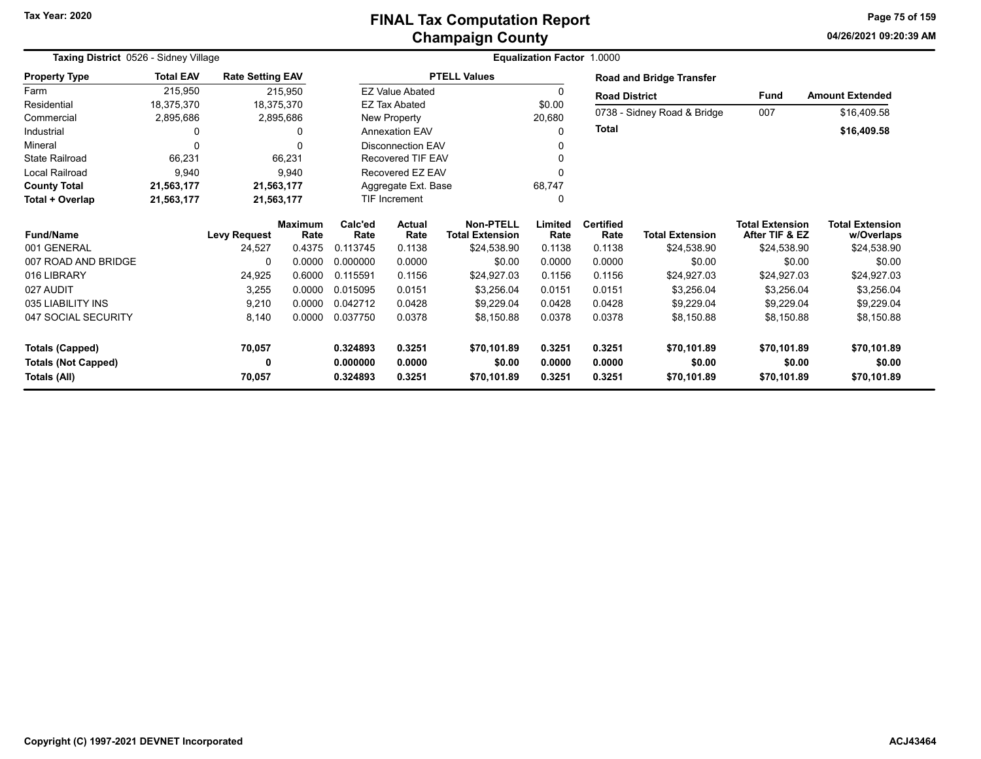## **Champaign County FINAL Tax Computation Report**

**04/26/2021 09:20:39 AM Page 75 of 159**

| <b>Taxing District 0526 - Sidney Village</b> |                  |                         |                        |                 |                          | Equalization Factor 1.0000                 |                 |                          |                             |                                          |                                      |
|----------------------------------------------|------------------|-------------------------|------------------------|-----------------|--------------------------|--------------------------------------------|-----------------|--------------------------|-----------------------------|------------------------------------------|--------------------------------------|
| <b>Property Type</b>                         | <b>Total EAV</b> | <b>Rate Setting EAV</b> |                        |                 |                          | <b>PTELL Values</b>                        |                 |                          | Road and Bridge Transfer    |                                          |                                      |
| Farm                                         | 215,950          |                         | 215,950                |                 | <b>EZ Value Abated</b>   |                                            | 0               | <b>Road District</b>     |                             | <b>Fund</b>                              | <b>Amount Extended</b>               |
| Residential                                  | 18,375,370       | 18,375,370              |                        |                 | <b>EZ Tax Abated</b>     |                                            | \$0.00          |                          | 0738 - Sidney Road & Bridge | 007                                      | \$16,409.58                          |
| Commercial                                   | 2,895,686        |                         | 2,895,686              |                 | New Property             |                                            | 20,680          |                          |                             |                                          |                                      |
| Industrial                                   | 0                |                         | 0                      |                 | <b>Annexation EAV</b>    |                                            | $\Omega$        | <b>Total</b>             |                             |                                          | \$16,409.58                          |
| Mineral                                      | 0                |                         | 0                      |                 | <b>Disconnection EAV</b> |                                            | 0               |                          |                             |                                          |                                      |
| <b>State Railroad</b>                        | 66,231           |                         | 66,231                 |                 | Recovered TIF EAV        |                                            |                 |                          |                             |                                          |                                      |
| Local Railroad                               | 9,940            |                         | 9,940                  |                 | Recovered EZ EAV         |                                            | 0               |                          |                             |                                          |                                      |
| <b>County Total</b>                          | 21,563,177       | 21,563,177              |                        |                 | Aggregate Ext. Base      |                                            | 68,747          |                          |                             |                                          |                                      |
| Total + Overlap                              | 21,563,177       | 21,563,177              |                        |                 | <b>TIF Increment</b>     |                                            | 0               |                          |                             |                                          |                                      |
| <b>Fund/Name</b>                             |                  | <b>Levy Request</b>     | <b>Maximum</b><br>Rate | Calc'ed<br>Rate | Actual<br>Rate           | <b>Non-PTELL</b><br><b>Total Extension</b> | Limited<br>Rate | <b>Certified</b><br>Rate | <b>Total Extension</b>      | <b>Total Extension</b><br>After TIF & EZ | <b>Total Extension</b><br>w/Overlaps |
| 001 GENERAL                                  |                  | 24,527                  | 0.4375                 | 0.113745        | 0.1138                   | \$24.538.90                                | 0.1138          | 0.1138                   | \$24,538.90                 | \$24,538.90                              | \$24,538.90                          |
| 007 ROAD AND BRIDGE                          |                  | O                       | 0.0000                 | 0.000000        | 0.0000                   | \$0.00                                     | 0.0000          | 0.0000                   | \$0.00                      | \$0.00                                   | \$0.00                               |
| 016 LIBRARY                                  |                  | 24,925                  | 0.6000                 | 0.115591        | 0.1156                   | \$24,927.03                                | 0.1156          | 0.1156                   | \$24,927.03                 | \$24,927.03                              | \$24,927.03                          |
| 027 AUDIT                                    |                  | 3,255                   | 0.0000                 | 0.015095        | 0.0151                   | \$3,256.04                                 | 0.0151          | 0.0151                   | \$3,256.04                  | \$3,256.04                               | \$3,256.04                           |
| 035 LIABILITY INS                            |                  | 9,210                   | 0.0000                 | 0.042712        | 0.0428                   | \$9,229.04                                 | 0.0428          | 0.0428                   | \$9,229.04                  | \$9,229.04                               | \$9,229.04                           |
| 047 SOCIAL SECURITY                          |                  | 8,140                   | 0.0000                 | 0.037750        | 0.0378                   | \$8,150.88                                 | 0.0378          | 0.0378                   | \$8,150.88                  | \$8,150.88                               | \$8,150.88                           |
| <b>Totals (Capped)</b>                       |                  | 70,057                  |                        | 0.324893        | 0.3251                   | \$70,101.89                                | 0.3251          | 0.3251                   | \$70,101.89                 | \$70,101.89                              | \$70,101.89                          |
| <b>Totals (Not Capped)</b>                   |                  | 0                       |                        | 0.000000        | 0.0000                   | \$0.00                                     | 0.0000          | 0.0000                   | \$0.00                      | \$0.00                                   | \$0.00                               |
| Totals (All)                                 |                  | 70,057                  |                        | 0.324893        | 0.3251                   | \$70,101.89                                | 0.3251          | 0.3251                   | \$70,101.89                 | \$70,101.89                              | \$70,101.89                          |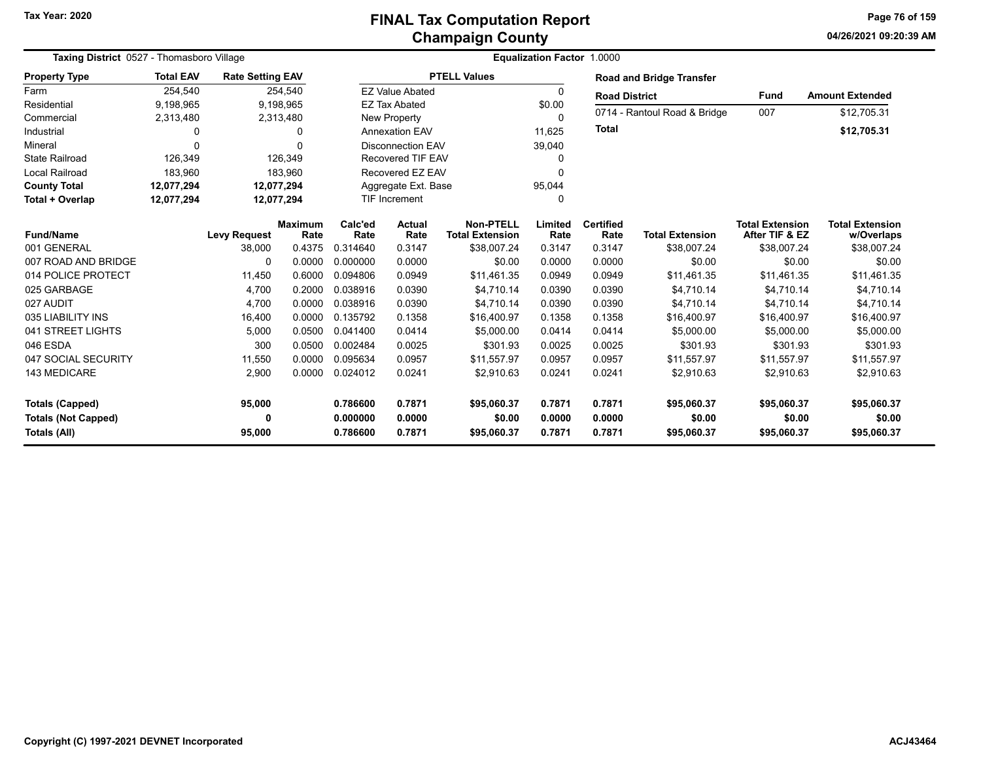| Taxing District 0527 - Thomasboro Village |                  |                         |                        |                          |                        | <b>Equalization Factor 1.0000</b>          |                 |                          |                                 |                                          |                                      |
|-------------------------------------------|------------------|-------------------------|------------------------|--------------------------|------------------------|--------------------------------------------|-----------------|--------------------------|---------------------------------|------------------------------------------|--------------------------------------|
| <b>Property Type</b>                      | <b>Total EAV</b> | <b>Rate Setting EAV</b> |                        |                          |                        | <b>PTELL Values</b>                        |                 |                          | <b>Road and Bridge Transfer</b> |                                          |                                      |
| Farm                                      | 254,540          |                         | 254,540                |                          | <b>EZ Value Abated</b> |                                            | 0               | <b>Road District</b>     |                                 | <b>Fund</b>                              | <b>Amount Extended</b>               |
| Residential                               | 9,198,965        | 9,198,965               |                        |                          | <b>EZ Tax Abated</b>   |                                            | \$0.00          |                          |                                 |                                          |                                      |
| Commercial                                | 2,313,480        | 2,313,480               |                        |                          | <b>New Property</b>    |                                            | 0               |                          | 0714 - Rantoul Road & Bridge    | 007                                      | \$12,705.31                          |
| Industrial                                | $\Omega$         |                         | 0                      | <b>Annexation EAV</b>    |                        |                                            | 11,625          | <b>Total</b>             |                                 |                                          | \$12,705.31                          |
| Mineral                                   | $\Omega$         |                         | 0                      | <b>Disconnection EAV</b> |                        |                                            | 39,040          |                          |                                 |                                          |                                      |
| <b>State Railroad</b>                     | 126,349          |                         | 126,349                | <b>Recovered TIF EAV</b> |                        |                                            | 0               |                          |                                 |                                          |                                      |
| <b>Local Railroad</b>                     | 183,960          |                         | 183,960                | Recovered EZ EAV         |                        |                                            | 0               |                          |                                 |                                          |                                      |
| <b>County Total</b>                       | 12,077,294       | 12,077,294              |                        | Aggregate Ext. Base      |                        |                                            | 95,044          |                          |                                 |                                          |                                      |
| Total + Overlap                           | 12,077,294       | 12,077,294              |                        |                          | <b>TIF Increment</b>   |                                            | 0               |                          |                                 |                                          |                                      |
| <b>Fund/Name</b>                          |                  | <b>Levy Request</b>     | <b>Maximum</b><br>Rate | Calc'ed<br>Rate          | <b>Actual</b><br>Rate  | <b>Non-PTELL</b><br><b>Total Extension</b> | Limited<br>Rate | <b>Certified</b><br>Rate | <b>Total Extension</b>          | <b>Total Extension</b><br>After TIF & EZ | <b>Total Extension</b><br>w/Overlaps |
| 001 GENERAL                               |                  | 38,000                  | 0.4375                 | 0.314640                 | 0.3147                 | \$38,007.24                                | 0.3147          | 0.3147                   | \$38,007.24                     | \$38,007.24                              | \$38,007.24                          |
| 007 ROAD AND BRIDGE                       |                  | 0                       | 0.0000                 | 0.000000                 | 0.0000                 | \$0.00                                     | 0.0000          | 0.0000                   | \$0.00                          | \$0.00                                   | \$0.00                               |
| 014 POLICE PROTECT                        |                  | 11,450                  | 0.6000                 | 0.094806                 | 0.0949                 | \$11,461.35                                | 0.0949          | 0.0949                   | \$11,461.35                     | \$11,461.35                              | \$11,461.35                          |
| 025 GARBAGE                               |                  | 4,700                   | 0.2000                 | 0.038916                 | 0.0390                 | \$4.710.14                                 | 0.0390          | 0.0390                   | \$4,710.14                      | \$4.710.14                               | \$4,710.14                           |
| 027 AUDIT                                 |                  | 4,700                   | 0.0000                 | 0.038916                 | 0.0390                 | \$4,710.14                                 | 0.0390          | 0.0390                   | \$4,710.14                      | \$4,710.14                               | \$4,710.14                           |
| 035 LIABILITY INS                         |                  | 16,400                  | 0.0000                 | 0.135792                 | 0.1358                 | \$16,400.97                                | 0.1358          | 0.1358                   | \$16,400.97                     | \$16,400.97                              | \$16,400.97                          |
| 041 STREET LIGHTS                         |                  | 5.000                   | 0.0500                 | 0.041400                 | 0.0414                 | \$5,000.00                                 | 0.0414          | 0.0414                   | \$5,000.00                      | \$5,000.00                               | \$5,000.00                           |
| 046 ESDA                                  |                  | 300                     | 0.0500                 | 0.002484                 | 0.0025                 | \$301.93                                   | 0.0025          | 0.0025                   | \$301.93                        | \$301.93                                 | \$301.93                             |
| 047 SOCIAL SECURITY                       |                  | 11,550                  | 0.0000                 | 0.095634                 | 0.0957                 | \$11,557.97                                | 0.0957          | 0.0957                   | \$11,557.97                     | \$11,557.97                              | \$11,557.97                          |
| 143 MEDICARE                              |                  | 2,900                   | 0.0000                 | 0.024012                 | 0.0241                 | \$2,910.63                                 | 0.0241          | 0.0241                   | \$2,910.63                      | \$2,910.63                               | \$2,910.63                           |
| <b>Totals (Capped)</b>                    |                  | 95,000                  |                        | 0.786600                 | 0.7871                 | \$95,060.37                                | 0.7871          | 0.7871                   | \$95,060.37                     | \$95,060.37                              | \$95,060.37                          |
| <b>Totals (Not Capped)</b>                |                  | 0                       |                        | 0.000000                 | 0.0000                 | \$0.00                                     | 0.0000          | 0.0000                   | \$0.00                          | \$0.00                                   | \$0.00                               |
| <b>Totals (All)</b>                       |                  | 95,000                  |                        | 0.786600                 | 0.7871                 | \$95,060.37                                | 0.7871          | 0.7871                   | \$95,060.37                     | \$95,060.37                              | \$95,060.37                          |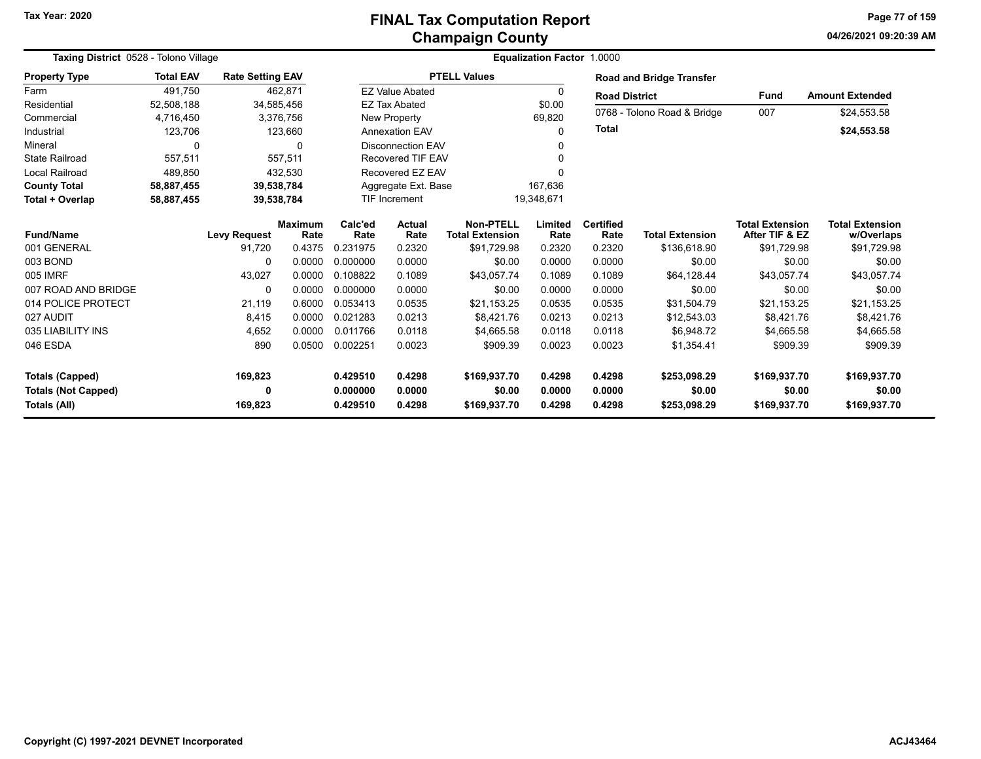## **Champaign County FINAL Tax Computation Report**

**04/26/2021 09:20:39 AMPage 77 of 159**

| Taxing District 0528 - Tolono Village |                  |                         |                        |                 | <b>Equalization Factor 1.0000</b> |                                            |                 |                          |                                 |                                          |                                      |  |
|---------------------------------------|------------------|-------------------------|------------------------|-----------------|-----------------------------------|--------------------------------------------|-----------------|--------------------------|---------------------------------|------------------------------------------|--------------------------------------|--|
| <b>Property Type</b>                  | <b>Total EAV</b> | <b>Rate Setting EAV</b> |                        |                 |                                   | <b>PTELL Values</b>                        |                 |                          | <b>Road and Bridge Transfer</b> |                                          |                                      |  |
| Farm                                  | 491,750          |                         | 462,871                |                 | <b>EZ Value Abated</b>            |                                            | 0               | <b>Road District</b>     |                                 | <b>Fund</b>                              | <b>Amount Extended</b>               |  |
| Residential                           | 52,508,188       |                         | 34,585,456             |                 | <b>EZ Tax Abated</b>              |                                            | \$0.00          |                          | 0768 - Tolono Road & Bridge     | 007                                      | \$24,553.58                          |  |
| Commercial                            | 4,716,450        |                         | 3,376,756              |                 | <b>New Property</b>               |                                            | 69,820          |                          |                                 |                                          |                                      |  |
| Industrial                            | 123,706          |                         | 123,660                |                 | <b>Annexation EAV</b>             |                                            | 0               | <b>Total</b>             |                                 |                                          | \$24,553.58                          |  |
| Mineral                               | 0                |                         | 0                      |                 | <b>Disconnection EAV</b>          |                                            |                 |                          |                                 |                                          |                                      |  |
| <b>State Railroad</b>                 | 557,511          |                         | 557,511                |                 | <b>Recovered TIF EAV</b>          |                                            |                 |                          |                                 |                                          |                                      |  |
| <b>Local Railroad</b>                 | 489,850          |                         | 432,530                |                 | Recovered EZ EAV                  |                                            | U               |                          |                                 |                                          |                                      |  |
| <b>County Total</b>                   | 58,887,455       |                         | 39,538,784             |                 | Aggregate Ext. Base               |                                            | 167,636         |                          |                                 |                                          |                                      |  |
| Total + Overlap                       | 58,887,455       |                         | 39,538,784             |                 | <b>TIF Increment</b>              |                                            | 19,348,671      |                          |                                 |                                          |                                      |  |
| <b>Fund/Name</b>                      |                  | <b>Levy Request</b>     | <b>Maximum</b><br>Rate | Calc'ed<br>Rate | Actual<br>Rate                    | <b>Non-PTELL</b><br><b>Total Extension</b> | Limited<br>Rate | <b>Certified</b><br>Rate | <b>Total Extension</b>          | <b>Total Extension</b><br>After TIF & EZ | <b>Total Extension</b><br>w/Overlaps |  |
| 001 GENERAL                           |                  | 91,720                  | 0.4375                 | 0.231975        | 0.2320                            | \$91,729.98                                | 0.2320          | 0.2320                   | \$136,618.90                    | \$91,729.98                              | \$91,729.98                          |  |
| 003 BOND                              |                  | 0                       | 0.0000                 | 0.000000        | 0.0000                            | \$0.00                                     | 0.0000          | 0.0000                   | \$0.00                          | \$0.00                                   | \$0.00                               |  |
| 005 IMRF                              |                  | 43,027                  | 0.0000                 | 0.108822        | 0.1089                            | \$43,057.74                                | 0.1089          | 0.1089                   | \$64,128.44                     | \$43,057.74                              | \$43,057.74                          |  |
| 007 ROAD AND BRIDGE                   |                  | 0                       | 0.0000                 | 0.000000        | 0.0000                            | \$0.00                                     | 0.0000          | 0.0000                   | \$0.00                          | \$0.00                                   | \$0.00                               |  |
| 014 POLICE PROTECT                    |                  | 21.119                  | 0.6000                 | 0.053413        | 0.0535                            | \$21,153.25                                | 0.0535          | 0.0535                   | \$31,504.79                     | \$21.153.25                              | \$21,153.25                          |  |
| 027 AUDIT                             |                  | 8,415                   | 0.0000                 | 0.021283        | 0.0213                            | \$8,421.76                                 | 0.0213          | 0.0213                   | \$12,543.03                     | \$8,421.76                               | \$8,421.76                           |  |
| 035 LIABILITY INS                     |                  | 4,652                   | 0.0000                 | 0.011766        | 0.0118                            | \$4,665.58                                 | 0.0118          | 0.0118                   | \$6,948.72                      | \$4,665.58                               | \$4,665.58                           |  |
| 046 ESDA                              |                  | 890                     | 0.0500                 | 0.002251        | 0.0023                            | \$909.39                                   | 0.0023          | 0.0023                   | \$1,354.41                      | \$909.39                                 | \$909.39                             |  |
|                                       |                  |                         |                        | 0.429510        | 0.4298                            | \$169,937.70                               | 0.4298          | 0.4298                   | \$253,098.29                    | \$169,937.70                             | \$169,937.70                         |  |
| <b>Totals (Capped)</b>                |                  | 169,823                 |                        |                 |                                   |                                            |                 |                          |                                 |                                          |                                      |  |
| <b>Totals (Not Capped)</b>            |                  | 0                       |                        | 0.000000        | 0.0000                            | \$0.00                                     | 0.0000          | 0.0000                   | \$0.00                          | \$0.00                                   | \$0.00                               |  |
| Totals (All)                          |                  | 169,823                 |                        | 0.429510        | 0.4298                            | \$169,937.70                               | 0.4298          | 0.4298                   | \$253,098.29                    | \$169,937.70                             | \$169,937.70                         |  |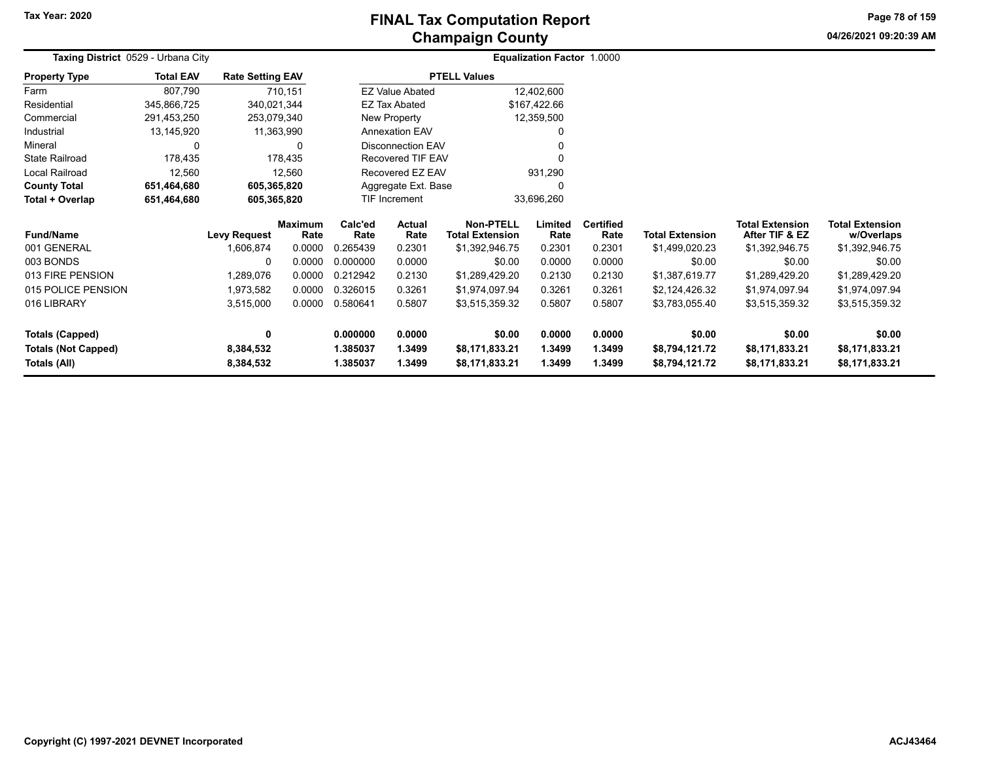**04/26/2021 09:20:39 AM Page 78 of 159**

| Taxing District 0529 - Urbana City |                  |                         |                        |                       |                          |                                            | Equalization Factor 1.0000 |                          |                        |                                          |                                      |
|------------------------------------|------------------|-------------------------|------------------------|-----------------------|--------------------------|--------------------------------------------|----------------------------|--------------------------|------------------------|------------------------------------------|--------------------------------------|
| <b>Property Type</b>               | <b>Total EAV</b> | <b>Rate Setting EAV</b> |                        |                       |                          | <b>PTELL Values</b>                        |                            |                          |                        |                                          |                                      |
| Farm                               | 807,790          |                         | 710,151                |                       | <b>EZ Value Abated</b>   |                                            | 12,402,600                 |                          |                        |                                          |                                      |
| Residential                        | 345,866,725      | 340,021,344             |                        |                       | <b>EZ Tax Abated</b>     |                                            | \$167,422.66               |                          |                        |                                          |                                      |
| Commercial                         | 291,453,250      | 253,079,340             |                        | New Property          |                          |                                            | 12,359,500                 |                          |                        |                                          |                                      |
| Industrial                         | 13,145,920       | 11,363,990              |                        | <b>Annexation EAV</b> |                          |                                            |                            |                          |                        |                                          |                                      |
| Mineral                            | 0                |                         | <sup>0</sup>           |                       | <b>Disconnection EAV</b> |                                            |                            |                          |                        |                                          |                                      |
| <b>State Railroad</b>              | 178,435          |                         | 178,435                |                       | <b>Recovered TIF EAV</b> |                                            |                            |                          |                        |                                          |                                      |
| Local Railroad                     | 12,560           |                         | 12,560                 |                       | Recovered EZ EAV         |                                            | 931,290                    |                          |                        |                                          |                                      |
| <b>County Total</b>                | 651,464,680      | 605,365,820             |                        |                       | Aggregate Ext. Base      |                                            | O                          |                          |                        |                                          |                                      |
| Total + Overlap                    | 651,464,680      | 605,365,820             |                        |                       | <b>TIF Increment</b>     |                                            | 33,696,260                 |                          |                        |                                          |                                      |
| <b>Fund/Name</b>                   |                  | Levy Request            | <b>Maximum</b><br>Rate | Calc'ed<br>Rate       | <b>Actual</b><br>Rate    | <b>Non-PTELL</b><br><b>Total Extension</b> | Limited<br>Rate            | <b>Certified</b><br>Rate | <b>Total Extension</b> | <b>Total Extension</b><br>After TIF & EZ | <b>Total Extension</b><br>w/Overlaps |
| 001 GENERAL                        |                  | 1,606,874               | 0.0000                 | 0.265439              | 0.2301                   | \$1,392,946.75                             | 0.2301                     | 0.2301                   | \$1,499,020.23         | \$1,392,946.75                           | \$1,392,946.75                       |
| 003 BONDS                          |                  | $\Omega$                | 0.0000                 | 0.000000              | 0.0000                   | \$0.00                                     | 0.0000                     | 0.0000                   | \$0.00                 | \$0.00                                   | \$0.00                               |
| 013 FIRE PENSION                   |                  | 1,289,076               | 0.0000                 | 0.212942              | 0.2130                   | \$1,289,429.20                             | 0.2130                     | 0.2130                   | \$1,387,619.77         | \$1,289,429.20                           | \$1,289,429.20                       |
| 015 POLICE PENSION                 |                  | 1,973,582               | 0.0000                 | 0.326015              | 0.3261                   | \$1,974,097.94                             | 0.3261                     | 0.3261                   | \$2,124,426.32         | \$1,974,097.94                           | \$1,974,097.94                       |
| 016 LIBRARY                        |                  | 3,515,000               | 0.0000                 | 0.580641              | 0.5807                   | \$3,515,359.32                             | 0.5807                     | 0.5807                   | \$3,783,055.40         | \$3,515,359.32                           | \$3,515,359.32                       |
| <b>Totals (Capped)</b>             |                  | 0                       |                        | 0.000000              | 0.0000                   | \$0.00                                     | 0.0000                     | 0.0000                   | \$0.00                 | \$0.00                                   | \$0.00                               |
| <b>Totals (Not Capped)</b>         |                  | 8,384,532               |                        | 1.385037              | 1.3499                   | \$8,171,833.21                             | 1.3499                     | 1.3499                   | \$8,794,121.72         | \$8,171,833.21                           | \$8,171,833.21                       |
| Totals (All)                       |                  | 8,384,532               |                        | 1.385037              | 1.3499                   | \$8,171,833.21                             | 1.3499                     | 1.3499                   | \$8,794,121.72         | \$8,171,833.21                           | \$8,171,833.21                       |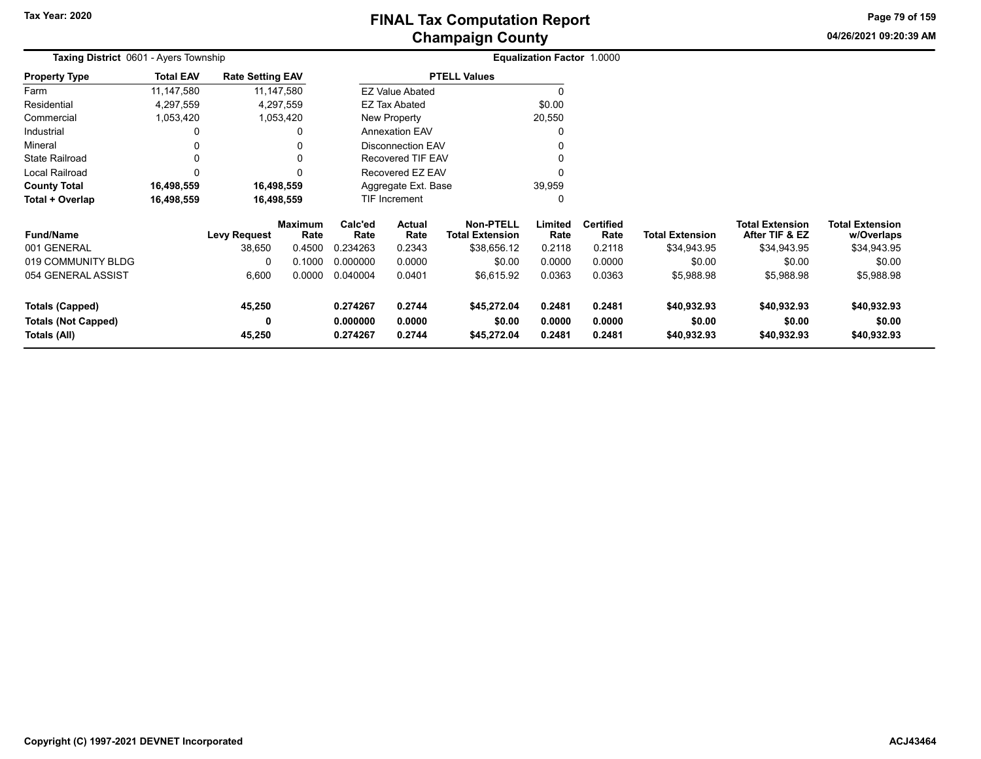**04/26/2021 09:20:39 AM Page 79 of 159**

| Taxing District 0601 - Ayers Township |                  |                         |                 |                               |                          |                                            | <b>Equalization Factor 1.0000</b> |                          |                        |                                          |                                      |
|---------------------------------------|------------------|-------------------------|-----------------|-------------------------------|--------------------------|--------------------------------------------|-----------------------------------|--------------------------|------------------------|------------------------------------------|--------------------------------------|
| <b>Property Type</b>                  | <b>Total EAV</b> | <b>Rate Setting EAV</b> |                 |                               |                          | <b>PTELL Values</b>                        |                                   |                          |                        |                                          |                                      |
| Farm                                  | 11,147,580       |                         | 11,147,580      |                               | <b>EZ Value Abated</b>   |                                            |                                   |                          |                        |                                          |                                      |
| Residential                           | 4,297,559        |                         | 4,297,559       |                               | <b>EZ Tax Abated</b>     |                                            | \$0.00                            |                          |                        |                                          |                                      |
| Commercial                            | 1,053,420        |                         | 1,053,420       |                               | New Property             |                                            | 20,550                            |                          |                        |                                          |                                      |
| Industrial                            |                  |                         | 0               |                               | <b>Annexation EAV</b>    |                                            |                                   |                          |                        |                                          |                                      |
| Mineral                               |                  |                         |                 |                               | <b>Disconnection EAV</b> |                                            |                                   |                          |                        |                                          |                                      |
| State Railroad                        |                  |                         |                 | <b>Recovered TIF EAV</b>      |                          |                                            |                                   |                          |                        |                                          |                                      |
| Local Railroad                        |                  |                         |                 |                               | Recovered EZ EAV         |                                            |                                   |                          |                        |                                          |                                      |
| <b>County Total</b>                   | 16,498,559       |                         | 16,498,559      | 39,959<br>Aggregate Ext. Base |                          |                                            |                                   |                          |                        |                                          |                                      |
| Total + Overlap                       | 16,498,559       |                         | 16,498,559      |                               | TIF Increment            |                                            | <sup>0</sup>                      |                          |                        |                                          |                                      |
| <b>Fund/Name</b>                      |                  | <b>Levy Request</b>     | Maximum<br>Rate | Calc'ed<br>Rate               | Actual<br>Rate           | <b>Non-PTELL</b><br><b>Total Extension</b> | Limited<br>Rate                   | <b>Certified</b><br>Rate | <b>Total Extension</b> | <b>Total Extension</b><br>After TIF & EZ | <b>Total Extension</b><br>w/Overlaps |
| 001 GENERAL                           |                  | 38,650                  | 0.4500          | 0.234263                      | 0.2343                   | \$38,656.12                                | 0.2118                            | 0.2118                   | \$34,943.95            | \$34,943.95                              | \$34,943.95                          |
| 019 COMMUNITY BLDG                    |                  | 0                       | 0.1000          | 0.000000                      | 0.0000                   | \$0.00                                     | 0.0000                            | 0.0000                   | \$0.00                 | \$0.00                                   | \$0.00                               |
| 054 GENERAL ASSIST                    |                  | 6,600                   | 0.0000          | 0.040004                      | 0.0401                   | \$6,615.92                                 | 0.0363                            | 0.0363                   | \$5,988.98             | \$5,988.98                               | \$5,988.98                           |
| Totals (Capped)                       |                  | 45,250                  |                 | 0.274267                      | 0.2744                   | \$45,272.04                                | 0.2481                            | 0.2481                   | \$40,932.93            | \$40,932.93                              | \$40,932.93                          |
| <b>Totals (Not Capped)</b>            |                  | 0                       |                 | 0.000000                      | 0.0000                   | \$0.00                                     | 0.0000                            | 0.0000                   | \$0.00                 | \$0.00                                   | \$0.00                               |
| Totals (All)                          |                  | 45,250                  |                 | 0.274267                      | 0.2744                   | \$45,272.04                                | 0.2481                            | 0.2481                   | \$40,932.93            | \$40,932.93                              | \$40,932.93                          |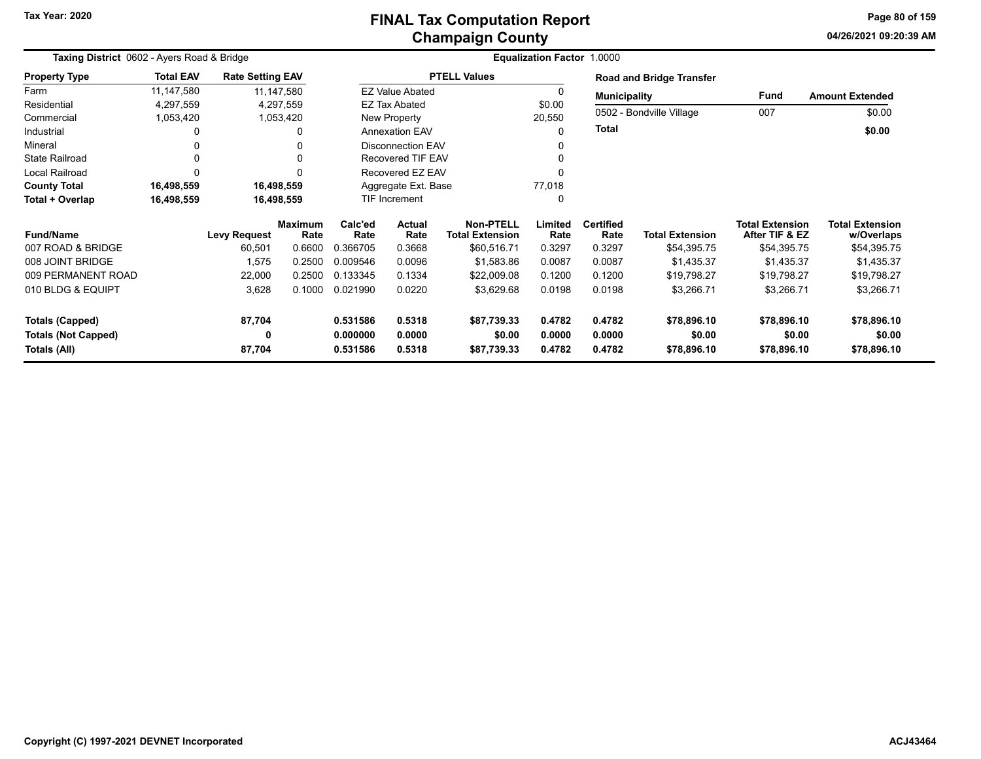# **Champaign County FINAL Tax Computation Report**

**04/26/2021 09:20:39 AMPage 80 of 159**

| Taxing District 0602 - Ayers Road & Bridge |                  |                         |                        |                      |                          |                                            | Equalization Factor 1.0000 |                          |                                 |                                          |                                      |  |  |
|--------------------------------------------|------------------|-------------------------|------------------------|----------------------|--------------------------|--------------------------------------------|----------------------------|--------------------------|---------------------------------|------------------------------------------|--------------------------------------|--|--|
| <b>Property Type</b>                       | <b>Total EAV</b> | <b>Rate Setting EAV</b> |                        |                      |                          | <b>PTELL Values</b>                        |                            |                          | <b>Road and Bridge Transfer</b> |                                          |                                      |  |  |
| Farm                                       | 11,147,580       |                         | 11,147,580             |                      | <b>EZ Value Abated</b>   |                                            | 0                          | <b>Municipality</b>      |                                 | <b>Fund</b>                              | <b>Amount Extended</b>               |  |  |
| Residential                                | 4,297,559        |                         | 4,297,559              |                      | <b>EZ Tax Abated</b>     |                                            | \$0.00                     |                          |                                 |                                          |                                      |  |  |
| Commercial                                 | 1,053,420        |                         | 1,053,420              |                      | <b>New Property</b>      |                                            | 20,550                     |                          | 0502 - Bondville Village        | 007                                      | \$0.00                               |  |  |
| Industrial                                 | 0                |                         | 0                      |                      | <b>Annexation EAV</b>    |                                            | 0                          | <b>Total</b>             |                                 |                                          | \$0.00                               |  |  |
| Mineral                                    |                  |                         | <sup>0</sup>           |                      | <b>Disconnection EAV</b> |                                            |                            |                          |                                 |                                          |                                      |  |  |
| <b>State Railroad</b>                      | 0                |                         | 0                      |                      | Recovered TIF EAV        |                                            | 0                          |                          |                                 |                                          |                                      |  |  |
| <b>Local Railroad</b>                      | 0                |                         | $\mathbf{0}$           |                      | Recovered EZ EAV         |                                            |                            |                          |                                 |                                          |                                      |  |  |
| <b>County Total</b>                        | 16,498,559       |                         | 16,498,559             |                      | Aggregate Ext. Base      |                                            | 77,018                     |                          |                                 |                                          |                                      |  |  |
| Total + Overlap                            | 16,498,559       |                         | 16,498,559             |                      | TIF Increment            |                                            | 0                          |                          |                                 |                                          |                                      |  |  |
| <b>Fund/Name</b>                           |                  | <b>Levy Request</b>     | <b>Maximum</b><br>Rate | Calc'ed<br>Rate      | Actual<br>Rate           | <b>Non-PTELL</b><br><b>Total Extension</b> | Limited<br>Rate            | <b>Certified</b><br>Rate | <b>Total Extension</b>          | <b>Total Extension</b><br>After TIF & EZ | <b>Total Extension</b><br>w/Overlaps |  |  |
| 007 ROAD & BRIDGE                          |                  | 60,501                  | 0.6600                 | 0.366705             | 0.3668                   | \$60,516.71                                | 0.3297                     | 0.3297                   | \$54,395.75                     | \$54,395.75                              | \$54,395.75                          |  |  |
| 008 JOINT BRIDGE                           |                  | 1,575                   | 0.2500                 | 0.009546             | 0.0096                   | \$1,583.86                                 | 0.0087                     | 0.0087                   | \$1,435.37                      | \$1,435.37                               | \$1,435.37                           |  |  |
| 009 PERMANENT ROAD                         |                  | 22,000                  | 0.2500                 | 0.133345             | 0.1334                   | \$22,009.08                                | 0.1200                     | 0.1200                   | \$19,798.27                     | \$19,798.27                              | \$19,798.27                          |  |  |
| 010 BLDG & EQUIPT                          |                  | 3,628                   | 0.1000                 | 0.021990             | 0.0220                   | \$3,629.68                                 | 0.0198                     | 0.0198                   | \$3,266.71                      | \$3,266.71                               | \$3,266.71                           |  |  |
| <b>Totals (Capped)</b>                     |                  | 87,704                  |                        | 0.531586             | 0.5318                   | \$87,739.33                                | 0.4782                     | 0.4782                   | \$78,896.10                     | \$78,896.10                              | \$78,896.10                          |  |  |
| <b>Totals (Not Capped)</b><br>Totals (All) |                  | 0<br>87,704             |                        | 0.000000<br>0.531586 | 0.0000<br>0.5318         | \$0.00<br>\$87,739.33                      | 0.0000<br>0.4782           | 0.0000<br>0.4782         | \$0.00<br>\$78,896.10           | \$0.00<br>\$78,896.10                    | \$0.00<br>\$78,896.10                |  |  |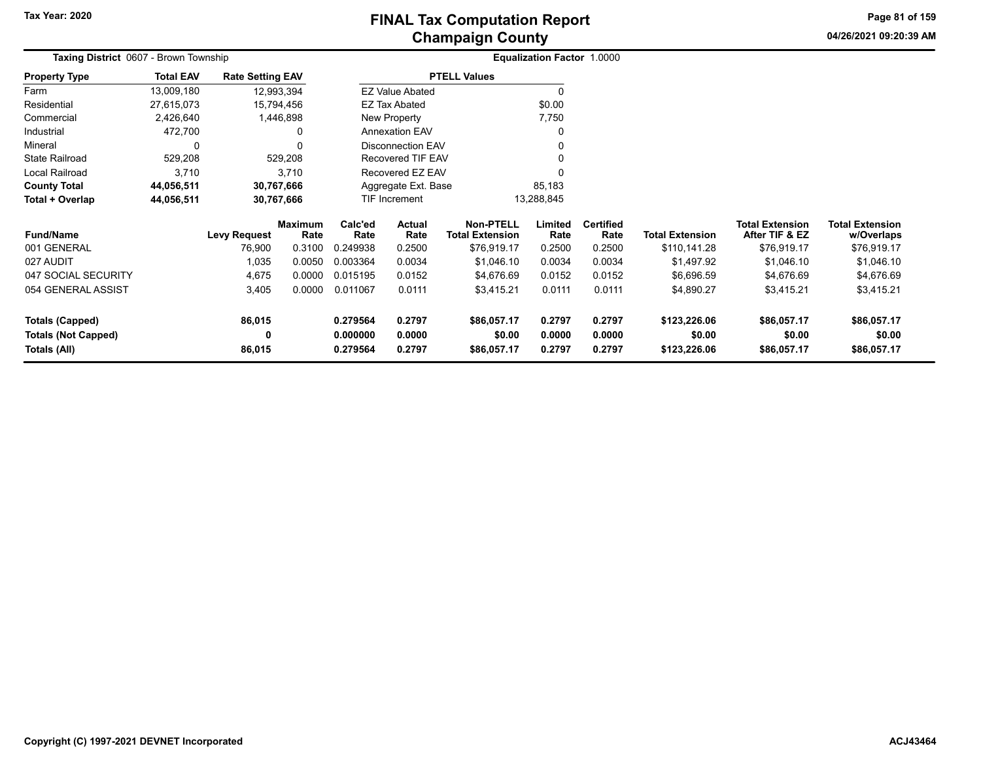**04/26/2021 09:20:39 AM Page 81 of 159**

| Taxing District 0607 - Brown Township      |                  |                         |                 |                                    |                          |                                            | <b>Equalization Factor 1.0000</b> |                          |                        |                                          |                                      |
|--------------------------------------------|------------------|-------------------------|-----------------|------------------------------------|--------------------------|--------------------------------------------|-----------------------------------|--------------------------|------------------------|------------------------------------------|--------------------------------------|
| <b>Property Type</b>                       | <b>Total EAV</b> | <b>Rate Setting EAV</b> |                 |                                    |                          | <b>PTELL Values</b>                        |                                   |                          |                        |                                          |                                      |
| Farm                                       | 13,009,180       | 12,993,394              |                 |                                    | <b>EZ Value Abated</b>   |                                            |                                   |                          |                        |                                          |                                      |
| Residential                                | 27,615,073       | 15,794,456              |                 |                                    | <b>EZ Tax Abated</b>     |                                            | \$0.00                            |                          |                        |                                          |                                      |
| Commercial                                 | 2,426,640        |                         | 1,446,898       |                                    | New Property             |                                            | 7,750                             |                          |                        |                                          |                                      |
| Industrial                                 | 472,700          |                         | 0               | <b>Annexation EAV</b>              |                          |                                            |                                   |                          |                        |                                          |                                      |
| Mineral                                    | 0                |                         | U               |                                    | <b>Disconnection EAV</b> |                                            |                                   |                          |                        |                                          |                                      |
| <b>State Railroad</b>                      | 529,208          |                         | 529,208         |                                    | Recovered TIF EAV        |                                            |                                   |                          |                        |                                          |                                      |
| Local Railroad                             | 3,710            |                         | 3,710           |                                    | Recovered EZ EAV         |                                            |                                   |                          |                        |                                          |                                      |
| <b>County Total</b>                        | 44,056,511       | 30,767,666              |                 | Aggregate Ext. Base<br>85,183      |                          |                                            |                                   |                          |                        |                                          |                                      |
| Total + Overlap                            | 44,056,511       | 30,767,666              |                 | <b>TIF Increment</b><br>13,288,845 |                          |                                            |                                   |                          |                        |                                          |                                      |
| <b>Fund/Name</b>                           |                  | <b>Levy Request</b>     | Maximum<br>Rate | Calc'ed<br>Rate                    | <b>Actual</b><br>Rate    | <b>Non-PTELL</b><br><b>Total Extension</b> | Limited<br>Rate                   | <b>Certified</b><br>Rate | <b>Total Extension</b> | <b>Total Extension</b><br>After TIF & EZ | <b>Total Extension</b><br>w/Overlaps |
| 001 GENERAL                                |                  | 76,900                  | 0.3100          | 0.249938                           | 0.2500                   | \$76,919.17                                | 0.2500                            | 0.2500                   | \$110,141.28           | \$76,919.17                              | \$76,919.17                          |
| 027 AUDIT                                  |                  | 1,035                   | 0.0050          | 0.003364                           | 0.0034                   | \$1,046.10                                 | 0.0034                            | 0.0034                   | \$1,497.92             | \$1,046.10                               | \$1,046.10                           |
| 047 SOCIAL SECURITY                        |                  | 4,675                   | 0.0000          | 0.015195                           | 0.0152                   | \$4,676.69                                 | 0.0152                            | 0.0152                   | \$6,696.59             | \$4,676.69                               | \$4,676.69                           |
| 054 GENERAL ASSIST                         |                  | 3,405                   | 0.0000          | 0.011067                           | 0.0111                   | \$3,415.21                                 | 0.0111                            | 0.0111                   | \$4,890.27             | \$3,415.21                               | \$3,415.21                           |
| <b>Totals (Capped)</b>                     |                  | 86,015                  |                 | 0.279564                           | 0.2797                   | \$86,057.17                                | 0.2797                            | 0.2797                   | \$123,226.06           | \$86,057.17                              | \$86,057.17                          |
| <b>Totals (Not Capped)</b><br>Totals (All) |                  | 0<br>86,015             |                 | 0.000000<br>0.279564               | 0.0000<br>0.2797         | \$0.00<br>\$86,057.17                      | 0.0000<br>0.2797                  | 0.0000<br>0.2797         | \$0.00<br>\$123,226.06 | \$0.00<br>\$86,057.17                    | \$0.00<br>\$86,057.17                |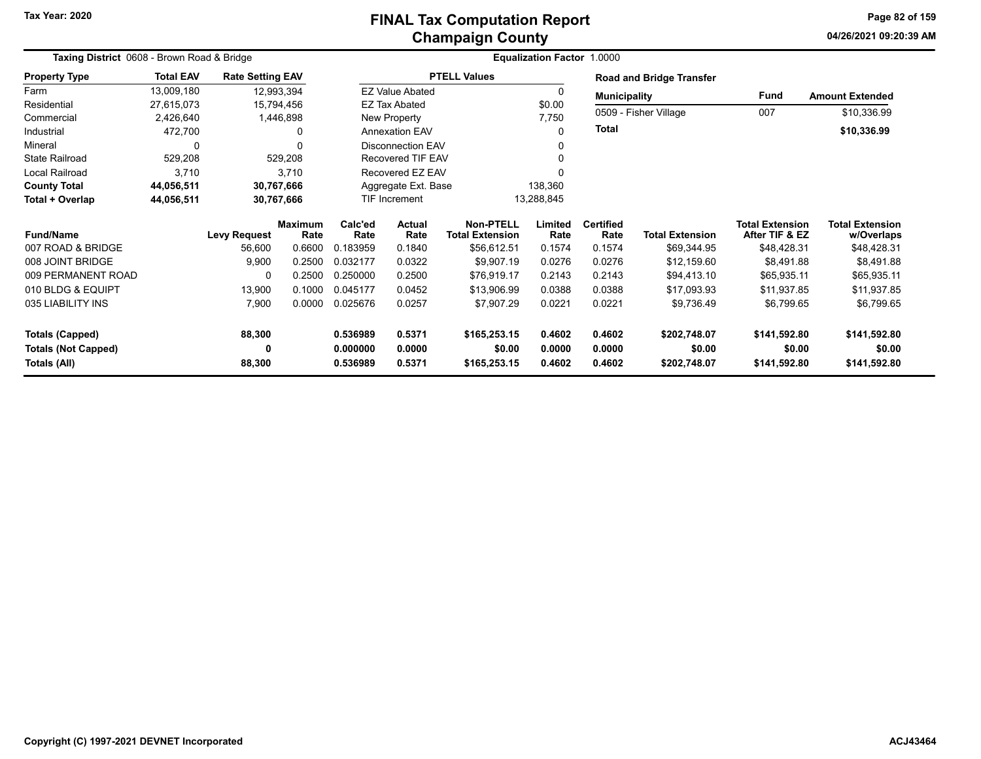**04/26/2021 09:20:39 AMPage 82 of 159**

|                            | Taxing District 0608 - Brown Road & Bridge<br><b>Total EAV</b><br><b>Rate Setting EAV</b> |                     |                        |                                |                             |                                            | <b>Equalization Factor 1.0000</b> |                          |                                 |                                          |                                      |
|----------------------------|-------------------------------------------------------------------------------------------|---------------------|------------------------|--------------------------------|-----------------------------|--------------------------------------------|-----------------------------------|--------------------------|---------------------------------|------------------------------------------|--------------------------------------|
| <b>Property Type</b>       |                                                                                           |                     |                        |                                |                             | <b>PTELL Values</b>                        |                                   |                          | <b>Road and Bridge Transfer</b> |                                          |                                      |
| Farm                       | 13,009,180                                                                                | 12,993,394          |                        |                                | <b>EZ Value Abated</b>      |                                            | $\Omega$                          | <b>Municipality</b>      |                                 | <b>Fund</b>                              | <b>Amount Extended</b>               |
| Residential                | 27,615,073                                                                                | 15,794,456          |                        |                                | <b>EZ Tax Abated</b>        |                                            | \$0.00                            |                          |                                 |                                          |                                      |
| Commercial                 | 2,426,640                                                                                 |                     | 1,446,898              | New Property                   |                             |                                            | 7,750                             | 0509 - Fisher Village    |                                 | 007                                      | \$10,336.99                          |
| Industrial                 | 472,700                                                                                   |                     | 0                      |                                | <b>Annexation EAV</b>       |                                            | $\Omega$                          | <b>Total</b>             |                                 |                                          | \$10,336.99                          |
| Mineral                    |                                                                                           |                     | $\Omega$               |                                | <b>Disconnection EAV</b>    |                                            | $\Omega$                          |                          |                                 |                                          |                                      |
| <b>State Railroad</b>      | 529,208                                                                                   |                     | 529,208                |                                | <b>Recovered TIF EAV</b>    |                                            | 0                                 |                          |                                 |                                          |                                      |
| Local Railroad             | 3,710                                                                                     |                     | 3.710                  |                                | Recovered EZ EAV            |                                            |                                   |                          |                                 |                                          |                                      |
| <b>County Total</b>        | 44,056,511                                                                                | 30,767,666          |                        | 138,360<br>Aggregate Ext. Base |                             |                                            |                                   |                          |                                 |                                          |                                      |
| Total + Overlap            | 44,056,511                                                                                | 30,767,666          |                        |                                | TIF Increment<br>13,288,845 |                                            |                                   |                          |                                 |                                          |                                      |
| <b>Fund/Name</b>           |                                                                                           | <b>Levy Request</b> | <b>Maximum</b><br>Rate | Calc'ed<br>Rate                | <b>Actual</b><br>Rate       | <b>Non-PTELL</b><br><b>Total Extension</b> | Limited<br>Rate                   | <b>Certified</b><br>Rate | <b>Total Extension</b>          | <b>Total Extension</b><br>After TIF & EZ | <b>Total Extension</b><br>w/Overlaps |
| 007 ROAD & BRIDGE          |                                                                                           | 56,600              | 0.6600                 | 0.183959                       | 0.1840                      | \$56,612.51                                | 0.1574                            | 0.1574                   | \$69,344.95                     | \$48,428.31                              | \$48,428.31                          |
| 008 JOINT BRIDGE           |                                                                                           | 9,900               | 0.2500                 | 0.032177                       | 0.0322                      | \$9,907.19                                 | 0.0276                            | 0.0276                   | \$12,159.60                     | \$8,491.88                               | \$8,491.88                           |
| 009 PERMANENT ROAD         |                                                                                           | $\Omega$            | 0.2500                 | 0.250000                       | 0.2500                      | \$76,919.17                                | 0.2143                            | 0.2143                   | \$94,413.10                     | \$65,935.11                              | \$65,935.11                          |
| 010 BLDG & EQUIPT          |                                                                                           | 13,900              | 0.1000                 | 0.045177                       | 0.0452                      | \$13,906.99                                | 0.0388                            | 0.0388                   | \$17,093.93                     | \$11,937.85                              | \$11,937.85                          |
| 035 LIABILITY INS          |                                                                                           | 7,900               | 0.0000                 | 0.025676                       | 0.0257                      | \$7,907.29                                 | 0.0221                            | 0.0221                   | \$9,736.49                      | \$6,799.65                               | \$6,799.65                           |
| <b>Totals (Capped)</b>     |                                                                                           | 88,300              |                        | 0.536989                       | 0.5371                      | \$165,253.15                               | 0.4602                            | 0.4602                   | \$202,748.07                    | \$141,592.80                             | \$141,592.80                         |
| <b>Totals (Not Capped)</b> |                                                                                           | 0                   |                        | 0.000000                       | 0.0000                      | \$0.00                                     | 0.0000                            | 0.0000                   | \$0.00                          | \$0.00                                   | \$0.00                               |
| Totals (All)               |                                                                                           | 88,300              |                        | 0.536989                       | 0.5371                      | \$165,253.15                               | 0.4602                            | 0.4602                   | \$202,748.07                    | \$141,592.80                             | \$141,592.80                         |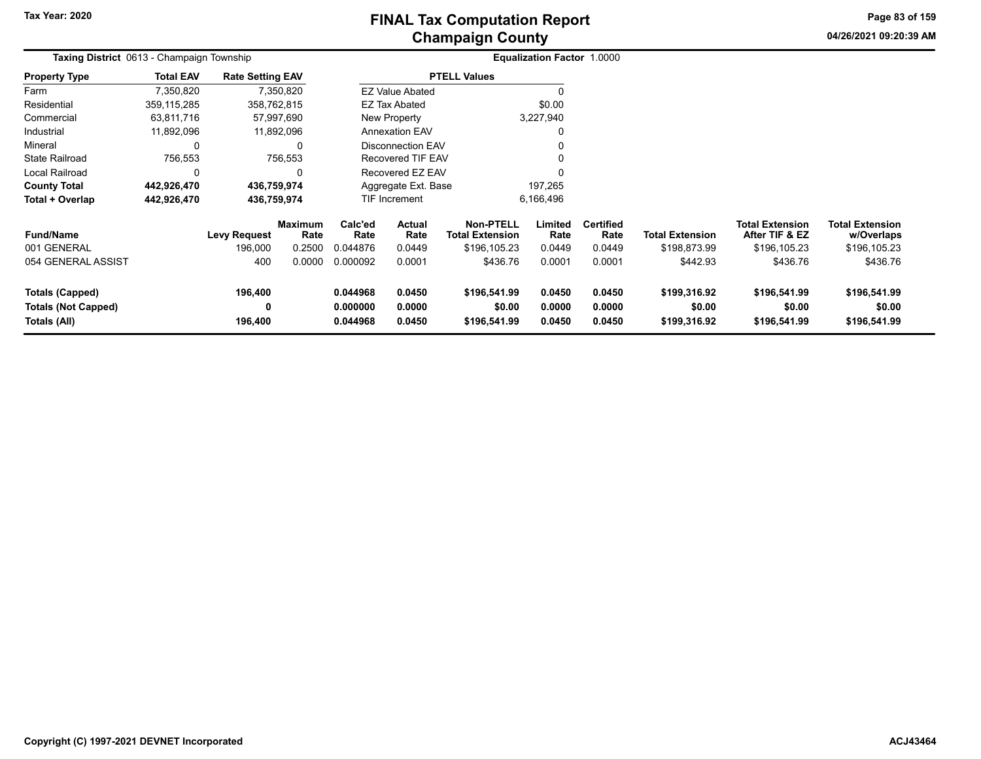# **Champaign County FINAL Tax Computation Report**

**04/26/2021 09:20:39 AMPage 83 of 159**

|                                                               | Taxing District 0613 - Champaign Township |                                |                                  |                                  |                                   |                                                            | Equalization Factor 1.0000 |                                    |                                        |                                                          |                                                      |  |
|---------------------------------------------------------------|-------------------------------------------|--------------------------------|----------------------------------|----------------------------------|-----------------------------------|------------------------------------------------------------|----------------------------|------------------------------------|----------------------------------------|----------------------------------------------------------|------------------------------------------------------|--|
| <b>Property Type</b>                                          | <b>Total EAV</b>                          | <b>Rate Setting EAV</b>        |                                  |                                  |                                   | <b>PTELL Values</b>                                        |                            |                                    |                                        |                                                          |                                                      |  |
| Farm                                                          | 7,350,820                                 |                                | 7,350,820                        |                                  | <b>EZ Value Abated</b>            |                                                            |                            |                                    |                                        |                                                          |                                                      |  |
| Residential                                                   | 359, 115, 285                             | 358,762,815                    |                                  |                                  | <b>EZ Tax Abated</b>              |                                                            | \$0.00                     |                                    |                                        |                                                          |                                                      |  |
| Commercial                                                    | 63,811,716                                |                                | 57,997,690                       |                                  | New Property                      |                                                            | 3,227,940                  |                                    |                                        |                                                          |                                                      |  |
| Industrial                                                    | 11,892,096                                |                                | 11,892,096                       |                                  | <b>Annexation EAV</b>             |                                                            | 0                          |                                    |                                        |                                                          |                                                      |  |
| Mineral                                                       | 0                                         |                                | 0                                |                                  | <b>Disconnection EAV</b>          |                                                            | 0                          |                                    |                                        |                                                          |                                                      |  |
| State Railroad                                                | 756,553                                   |                                | 756,553                          |                                  | Recovered TIF EAV                 |                                                            |                            |                                    |                                        |                                                          |                                                      |  |
| Local Railroad                                                | 0                                         |                                |                                  |                                  | Recovered EZ EAV                  |                                                            | $\Omega$                   |                                    |                                        |                                                          |                                                      |  |
| <b>County Total</b>                                           | 442,926,470                               | 436,759,974                    |                                  |                                  | Aggregate Ext. Base               |                                                            | 197,265                    |                                    |                                        |                                                          |                                                      |  |
| Total + Overlap                                               | 442,926,470                               | 436,759,974                    |                                  |                                  | <b>TIF Increment</b><br>6,166,496 |                                                            |                            |                                    |                                        |                                                          |                                                      |  |
| <b>Fund/Name</b><br>001 GENERAL                               |                                           | <b>Levy Request</b><br>196,000 | <b>Maximum</b><br>Rate<br>0.2500 | Calc'ed<br>Rate<br>0.044876      | Actual<br>Rate<br>0.0449          | <b>Non-PTELL</b><br><b>Total Extension</b><br>\$196,105.23 | Limited<br>Rate<br>0.0449  | <b>Certified</b><br>Rate<br>0.0449 | <b>Total Extension</b><br>\$198,873.99 | <b>Total Extension</b><br>After TIF & EZ<br>\$196,105.23 | <b>Total Extension</b><br>w/Overlaps<br>\$196,105.23 |  |
| 054 GENERAL ASSIST                                            |                                           | 400                            | 0.0000                           | 0.000092                         | 0.0001                            | \$436.76                                                   | 0.0001                     | 0.0001                             | \$442.93                               | \$436.76                                                 | \$436.76                                             |  |
| Totals (Capped)<br><b>Totals (Not Capped)</b><br>Totals (All) |                                           | 196,400<br>0<br>196,400        |                                  | 0.044968<br>0.000000<br>0.044968 | 0.0450<br>0.0000<br>0.0450        | \$196,541.99<br>\$0.00<br>\$196,541.99                     | 0.0450<br>0.0000<br>0.0450 | 0.0450<br>0.0000<br>0.0450         | \$199,316.92<br>\$0.00<br>\$199,316.92 | \$196,541.99<br>\$0.00<br>\$196,541.99                   | \$196,541.99<br>\$0.00<br>\$196,541.99               |  |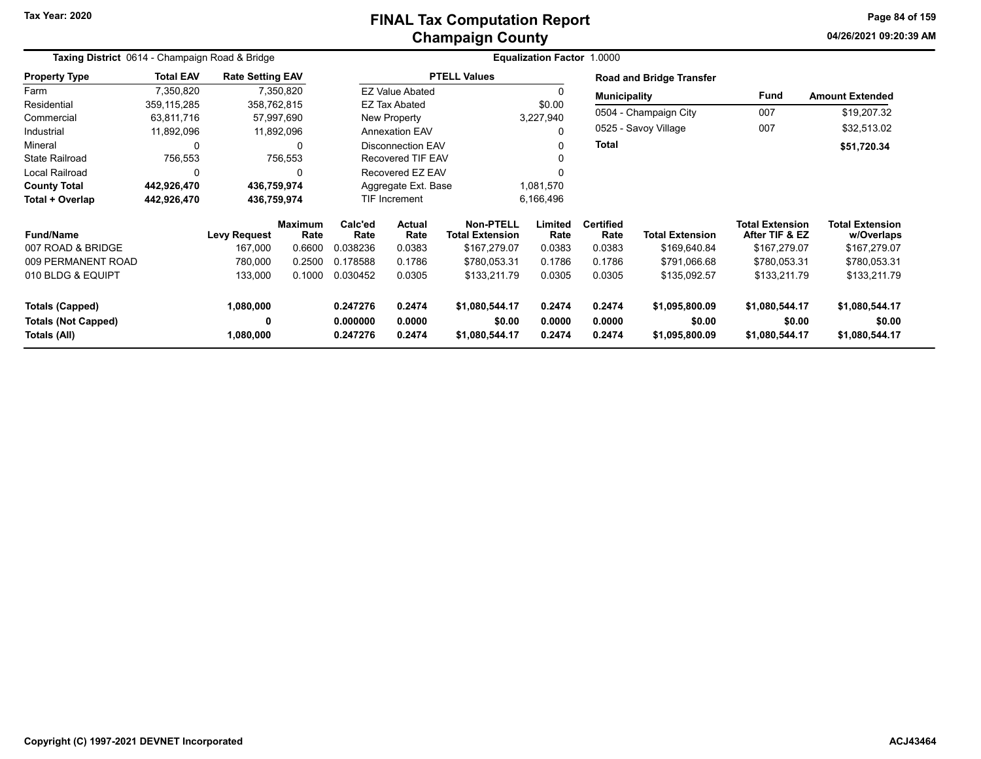# **Champaign County FINAL Tax Computation Report**

**04/26/2021 09:20:39 AMPage 84 of 159**

| Taxing District 0614 - Champaign Road & Bridge |                  |                         |                        |                                                |                                                 |                     | <b>Equalization Factor 1.0000</b> |                          |                                 |                                          |                                      |
|------------------------------------------------|------------------|-------------------------|------------------------|------------------------------------------------|-------------------------------------------------|---------------------|-----------------------------------|--------------------------|---------------------------------|------------------------------------------|--------------------------------------|
| <b>Property Type</b>                           | <b>Total EAV</b> | <b>Rate Setting EAV</b> |                        |                                                |                                                 | <b>PTELL Values</b> |                                   |                          | <b>Road and Bridge Transfer</b> |                                          |                                      |
| Farm                                           | 7,350,820        |                         | 7,350,820              |                                                | <b>EZ Value Abated</b>                          |                     | $\Omega$                          | <b>Municipality</b>      |                                 | Fund                                     | <b>Amount Extended</b>               |
| Residential                                    | 359,115,285      |                         | 358,762,815            |                                                | <b>EZ Tax Abated</b>                            |                     | \$0.00                            |                          |                                 |                                          |                                      |
| Commercial                                     | 63,811,716       |                         | 57,997,690             |                                                | New Property<br>3,227,940                       |                     |                                   | 0504 - Champaign City    | 007                             | \$19,207.32                              |                                      |
| Industrial                                     | 11,892,096       |                         | 11,892,096             |                                                | <b>Annexation EAV</b><br>0                      |                     |                                   | 0525 - Savoy Village     | 007                             | \$32,513.02                              |                                      |
| Mineral                                        | 0                |                         | 0                      | <b>Disconnection EAV</b><br>0                  |                                                 | Total               |                                   |                          | \$51,720.34                     |                                          |                                      |
| <b>State Railroad</b>                          | 756,553          |                         | 756,553                |                                                | <b>Recovered TIF EAV</b><br>0                   |                     |                                   |                          |                                 |                                          |                                      |
| Local Railroad                                 | 0                |                         | 0                      |                                                | Recovered EZ EAV                                |                     |                                   |                          |                                 |                                          |                                      |
| <b>County Total</b>                            | 442,926,470      | 436,759,974             |                        |                                                | Aggregate Ext. Base                             |                     |                                   |                          |                                 |                                          |                                      |
| Total + Overlap                                | 442,926,470      | 436,759,974             |                        | 1,081,570<br>6,166,496<br><b>TIF Increment</b> |                                                 |                     |                                   |                          |                                 |                                          |                                      |
| <b>Fund/Name</b>                               |                  | <b>Levy Request</b>     | <b>Maximum</b><br>Rate | Calc'ed<br>Rate                                | <b>Actual</b><br><b>Total Extension</b><br>Rate |                     | Limited<br>Rate                   | <b>Certified</b><br>Rate | <b>Total Extension</b>          | <b>Total Extension</b><br>After TIF & EZ | <b>Total Extension</b><br>w/Overlaps |
| 007 ROAD & BRIDGE                              |                  | 167,000                 | 0.6600                 | 0.038236                                       | 0.0383                                          | \$167,279.07        | 0.0383                            | 0.0383                   | \$169,640.84                    | \$167,279.07                             | \$167,279.07                         |
| 009 PERMANENT ROAD                             |                  | 780,000                 | 0.2500                 | 0.178588                                       | 0.1786                                          | \$780,053.31        | 0.1786                            | 0.1786                   | \$791,066.68                    | \$780,053.31                             | \$780,053.31                         |
| 010 BLDG & EQUIPT                              |                  | 133,000                 | 0.1000                 | 0.030452                                       | 0.0305                                          | \$133,211.79        | 0.0305                            | 0.0305                   | \$135,092.57                    | \$133,211.79                             | \$133,211.79                         |
| <b>Totals (Capped)</b>                         |                  | 1,080,000               |                        | 0.247276                                       | 0.2474                                          | \$1,080,544.17      | 0.2474                            | 0.2474                   | \$1,095,800.09                  | \$1,080,544.17                           | \$1,080,544.17                       |
| <b>Totals (Not Capped)</b>                     |                  | 0                       |                        | 0.000000                                       | 0.0000                                          | \$0.00              | 0.0000                            | 0.0000                   | \$0.00                          | \$0.00                                   | \$0.00                               |
| Totals (All)                                   |                  | 1,080,000               |                        | 0.247276                                       | 0.2474                                          | \$1,080,544.17      | 0.2474                            | 0.2474                   | \$1,095,800.09                  | \$1,080,544.17                           | \$1,080,544.17                       |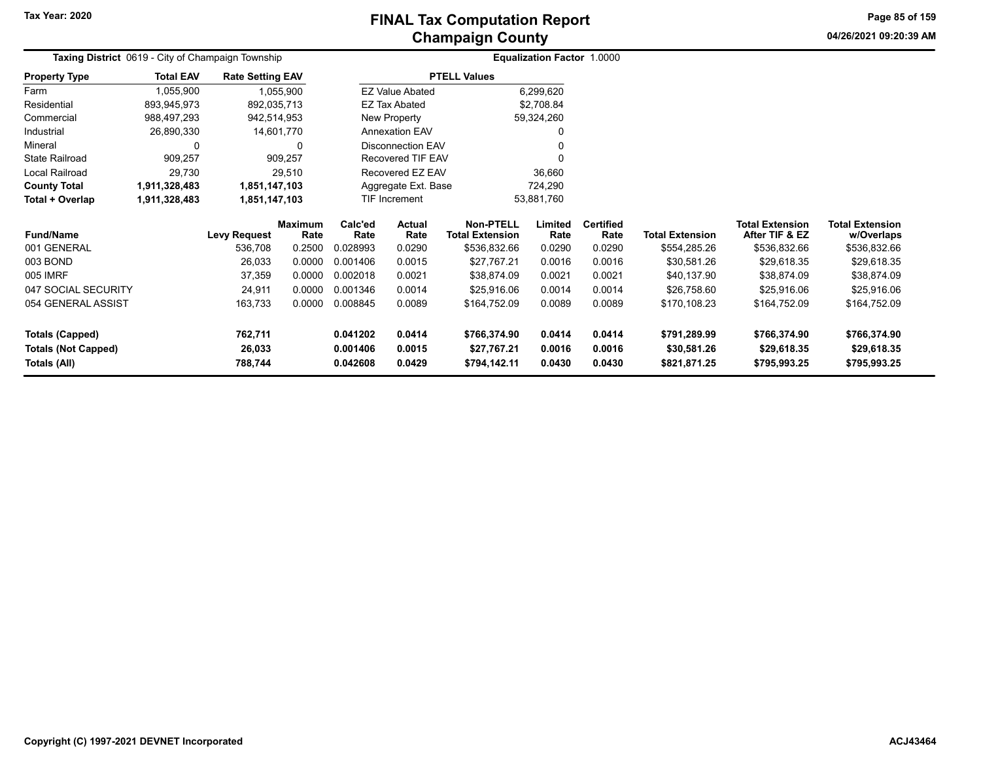# **Champaign County FINAL Tax Computation Report**

**04/26/2021 09:20:39 AM Page 85 of 159**

|                            | <b>Taxing District</b> 0619 - City of Champaign Township |                         |                        |                                          |                          |                                            | Equalization Factor 1.0000 |                          |                        |                                          |                                      |
|----------------------------|----------------------------------------------------------|-------------------------|------------------------|------------------------------------------|--------------------------|--------------------------------------------|----------------------------|--------------------------|------------------------|------------------------------------------|--------------------------------------|
| <b>Property Type</b>       | <b>Total EAV</b>                                         | <b>Rate Setting EAV</b> |                        |                                          |                          | <b>PTELL Values</b>                        |                            |                          |                        |                                          |                                      |
| Farm                       | 1,055,900                                                | 1,055,900               |                        |                                          | <b>EZ Value Abated</b>   |                                            | 6,299,620                  |                          |                        |                                          |                                      |
| Residential                | 893,945,973                                              | 892,035,713             |                        |                                          | <b>EZ Tax Abated</b>     |                                            | \$2,708.84                 |                          |                        |                                          |                                      |
| Commercial                 | 988,497,293                                              | 942,514,953             |                        |                                          | New Property             |                                            | 59,324,260                 |                          |                        |                                          |                                      |
| Industrial                 | 26,890,330                                               | 14,601,770              |                        | <b>Annexation EAV</b>                    |                          |                                            | 0                          |                          |                        |                                          |                                      |
| Mineral                    | 0                                                        |                         | 0                      |                                          | <b>Disconnection EAV</b> |                                            | 0                          |                          |                        |                                          |                                      |
| <b>State Railroad</b>      | 909,257                                                  |                         | 909,257                |                                          | Recovered TIF EAV        |                                            | 0                          |                          |                        |                                          |                                      |
| <b>Local Railroad</b>      | 29,730                                                   |                         | 29,510                 |                                          | Recovered EZ EAV         |                                            | 36,660                     |                          |                        |                                          |                                      |
| <b>County Total</b>        | 1,911,328,483                                            | 1,851,147,103           |                        |                                          | Aggregate Ext. Base      |                                            | 724,290                    |                          |                        |                                          |                                      |
| Total + Overlap            | 1,911,328,483                                            | 1,851,147,103           |                        |                                          | <b>TIF Increment</b>     |                                            | 53,881,760                 |                          |                        |                                          |                                      |
| <b>Fund/Name</b>           |                                                          | <b>Levy Request</b>     | <b>Maximum</b><br>Rate | Calc'ed<br><b>Actual</b><br>Rate<br>Rate |                          | <b>Non-PTELL</b><br><b>Total Extension</b> | Limited<br>Rate            | <b>Certified</b><br>Rate | <b>Total Extension</b> | <b>Total Extension</b><br>After TIF & EZ | <b>Total Extension</b><br>w/Overlaps |
| 001 GENERAL                |                                                          | 536,708                 | 0.2500                 | 0.028993                                 | 0.0290                   | \$536,832.66                               | 0.0290                     | 0.0290                   | \$554,285.26           | \$536,832.66                             | \$536,832.66                         |
| 003 BOND                   |                                                          | 26,033                  | 0.0000                 | 0.001406                                 | 0.0015                   | \$27,767.21                                | 0.0016                     | 0.0016                   | \$30,581.26            | \$29,618.35                              | \$29,618.35                          |
| 005 IMRF                   |                                                          | 37,359                  | 0.0000                 | 0.002018                                 | 0.0021                   | \$38,874.09                                | 0.0021                     | 0.0021                   | \$40,137.90            | \$38,874.09                              | \$38,874.09                          |
| 047 SOCIAL SECURITY        |                                                          | 24,911                  | 0.0000                 | 0.001346                                 | 0.0014                   | \$25,916.06                                | 0.0014                     | 0.0014                   | \$26,758.60            | \$25,916.06                              | \$25,916.06                          |
| 054 GENERAL ASSIST         |                                                          | 163,733                 | 0.0000                 | 0.008845<br>0.0089                       |                          | \$164,752.09                               | 0.0089                     | 0.0089                   | \$170,108.23           | \$164,752.09                             | \$164,752.09                         |
| Totals (Capped)            |                                                          | 762,711                 |                        | 0.041202                                 | 0.0414                   | \$766,374.90                               | 0.0414                     | 0.0414                   | \$791,289.99           | \$766,374.90                             | \$766,374.90                         |
| <b>Totals (Not Capped)</b> |                                                          | 26,033                  |                        | 0.001406                                 | 0.0015                   | \$27,767.21                                | 0.0016                     | 0.0016                   | \$30,581.26            | \$29,618.35                              | \$29,618.35                          |
| Totals (All)               | 788,744<br>0.042608                                      |                         | 0.0429                 | \$794,142.11                             | 0.0430                   | 0.0430                                     | \$821,871.25               | \$795,993.25             | \$795,993.25           |                                          |                                      |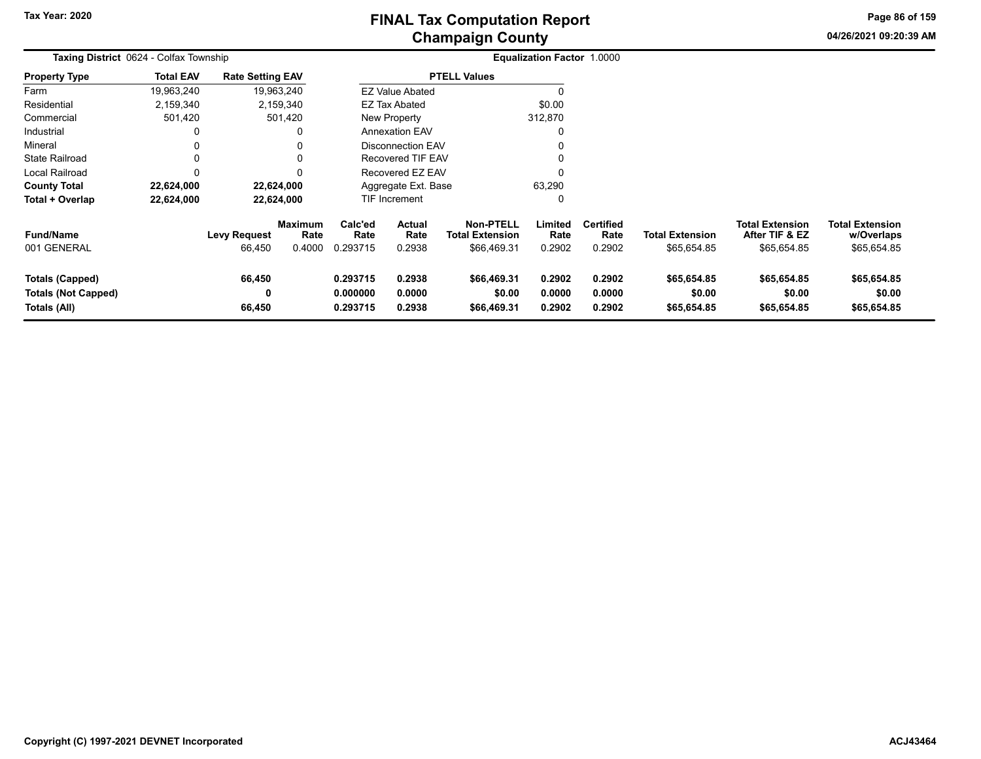# **Champaign County FINAL Tax Computation Report**

**04/26/2021 09:20:39 AMPage 86 of 159**

|                                                                      | Taxing District 0624 - Colfax Township |                               |                                  |                                  |                            |                                                           | <b>Equalization Factor 1.0000</b> |                                    |                                       |                                                         |                                                     |  |
|----------------------------------------------------------------------|----------------------------------------|-------------------------------|----------------------------------|----------------------------------|----------------------------|-----------------------------------------------------------|-----------------------------------|------------------------------------|---------------------------------------|---------------------------------------------------------|-----------------------------------------------------|--|
| <b>Property Type</b>                                                 | <b>Total EAV</b>                       | <b>Rate Setting EAV</b>       |                                  |                                  |                            | <b>PTELL Values</b>                                       |                                   |                                    |                                       |                                                         |                                                     |  |
| Farm                                                                 | 19,963,240                             |                               | 19,963,240                       |                                  | <b>EZ Value Abated</b>     |                                                           |                                   |                                    |                                       |                                                         |                                                     |  |
| Residential                                                          | 2,159,340                              |                               | 2,159,340                        |                                  | <b>EZ Tax Abated</b>       |                                                           | \$0.00                            |                                    |                                       |                                                         |                                                     |  |
| Commercial                                                           | 501,420                                |                               | 501,420                          |                                  | New Property               |                                                           | 312,870                           |                                    |                                       |                                                         |                                                     |  |
| Industrial                                                           | 0                                      |                               | 0                                |                                  | <b>Annexation EAV</b>      |                                                           | 0                                 |                                    |                                       |                                                         |                                                     |  |
| Mineral                                                              | 0                                      |                               | 0                                |                                  | <b>Disconnection EAV</b>   |                                                           | 0                                 |                                    |                                       |                                                         |                                                     |  |
| <b>State Railroad</b>                                                | 0                                      |                               |                                  |                                  | <b>Recovered TIF EAV</b>   |                                                           | 0                                 |                                    |                                       |                                                         |                                                     |  |
| Local Railroad                                                       | 0                                      |                               | 0                                |                                  | Recovered EZ EAV           |                                                           | 0                                 |                                    |                                       |                                                         |                                                     |  |
| <b>County Total</b>                                                  | 22,624,000                             |                               | 22,624,000                       |                                  | Aggregate Ext. Base        |                                                           | 63,290                            |                                    |                                       |                                                         |                                                     |  |
| Total + Overlap                                                      | 22,624,000                             |                               | 22,624,000                       |                                  | TIF Increment              |                                                           | 0                                 |                                    |                                       |                                                         |                                                     |  |
| <b>Fund/Name</b><br>001 GENERAL                                      |                                        | <b>Levy Request</b><br>66,450 | <b>Maximum</b><br>Rate<br>0.4000 | Calc'ed<br>Rate<br>0.293715      | Actual<br>Rate<br>0.2938   | <b>Non-PTELL</b><br><b>Total Extension</b><br>\$66,469.31 | Limited<br>Rate<br>0.2902         | <b>Certified</b><br>Rate<br>0.2902 | <b>Total Extension</b><br>\$65,654.85 | <b>Total Extension</b><br>After TIF & EZ<br>\$65,654.85 | <b>Total Extension</b><br>w/Overlaps<br>\$65,654.85 |  |
| <b>Totals (Capped)</b><br><b>Totals (Not Capped)</b><br>Totals (All) |                                        | 66,450<br>0<br>66,450         |                                  | 0.293715<br>0.000000<br>0.293715 | 0.2938<br>0.0000<br>0.2938 | \$66,469.31<br>\$0.00<br>\$66,469.31                      | 0.2902<br>0.0000<br>0.2902        | 0.2902<br>0.0000<br>0.2902         | \$65,654.85<br>\$0.00<br>\$65,654.85  | \$65,654.85<br>\$0.00<br>\$65,654.85                    | \$65,654.85<br>\$0.00<br>\$65,654.85                |  |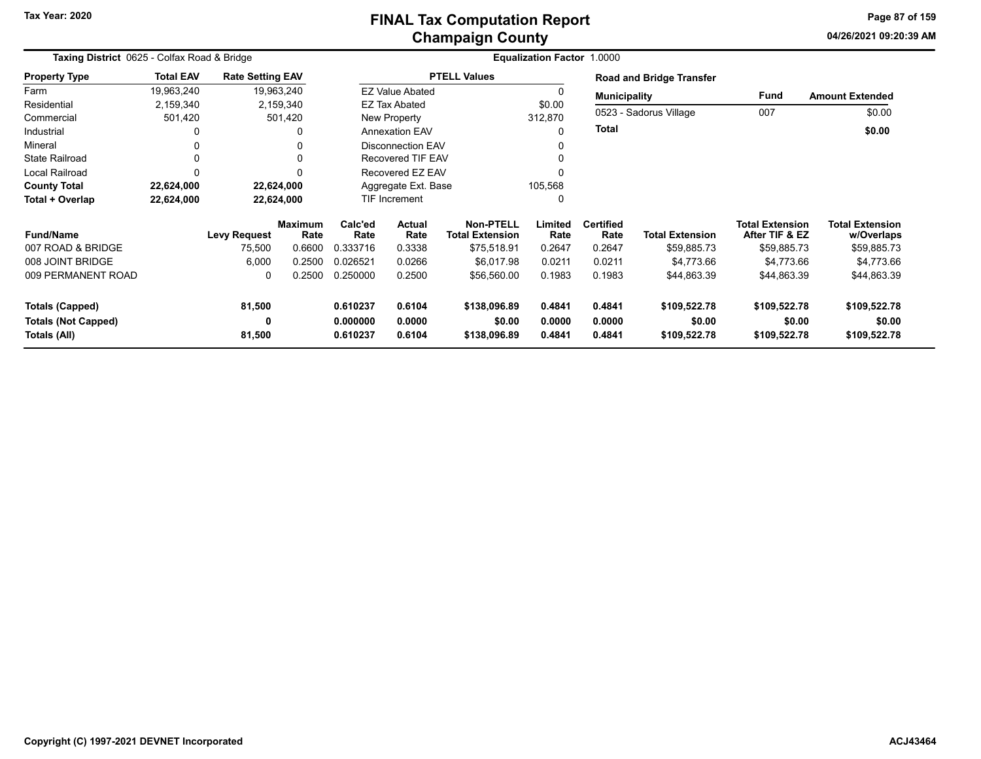# **Champaign County FINAL Tax Computation Report**

**04/26/2021 09:20:39 AMPage 87 of 159**

÷

| Taxing District 0625 - Colfax Road & Bridge |                  |                         |                        |                    |                                          |                     | <b>Equalization Factor 1.0000</b> |                          |                                 |                                          |                                      |
|---------------------------------------------|------------------|-------------------------|------------------------|--------------------|------------------------------------------|---------------------|-----------------------------------|--------------------------|---------------------------------|------------------------------------------|--------------------------------------|
| <b>Property Type</b>                        | <b>Total EAV</b> | <b>Rate Setting EAV</b> |                        |                    |                                          | <b>PTELL Values</b> |                                   |                          | <b>Road and Bridge Transfer</b> |                                          |                                      |
| Farm                                        | 19,963,240       |                         | 19,963,240             |                    | <b>EZ Value Abated</b>                   |                     | 0                                 | <b>Municipality</b>      |                                 | Fund                                     | <b>Amount Extended</b>               |
| Residential                                 | 2,159,340        |                         | 2,159,340              |                    | <b>EZ Tax Abated</b>                     |                     | \$0.00                            |                          |                                 |                                          |                                      |
| Commercial                                  | 501,420          |                         | 501,420                |                    | New Property                             |                     | 312,870                           |                          | 0523 - Sadorus Village          | 007                                      | \$0.00                               |
| Industrial                                  |                  |                         |                        |                    | <b>Annexation EAV</b>                    |                     | $\Omega$                          | <b>Total</b>             |                                 |                                          | \$0.00                               |
| Mineral                                     |                  |                         |                        |                    | <b>Disconnection EAV</b>                 |                     |                                   |                          |                                 |                                          |                                      |
| <b>State Railroad</b>                       |                  |                         |                        |                    | <b>Recovered TIF EAV</b>                 |                     |                                   |                          |                                 |                                          |                                      |
| <b>Local Railroad</b>                       |                  |                         | ŋ                      |                    | Recovered EZ EAV                         |                     | $\Omega$                          |                          |                                 |                                          |                                      |
| <b>County Total</b>                         | 22,624,000       |                         | 22,624,000             |                    | Aggregate Ext. Base                      |                     | 105,568                           |                          |                                 |                                          |                                      |
| Total + Overlap                             | 22,624,000       |                         | 22,624,000             |                    | TIF Increment                            |                     | 0                                 |                          |                                 |                                          |                                      |
| <b>Fund/Name</b>                            |                  | <b>Levy Request</b>     | <b>Maximum</b><br>Rate | Calc'ed<br>Rate    | Actual<br>Rate<br><b>Total Extension</b> |                     | Limited<br>Rate                   | <b>Certified</b><br>Rate | <b>Total Extension</b>          | <b>Total Extension</b><br>After TIF & EZ | <b>Total Extension</b><br>w/Overlaps |
| 007 ROAD & BRIDGE                           |                  | 75,500                  | 0.6600                 | 0.333716           | 0.3338                                   | \$75,518.91         | 0.2647                            | 0.2647                   | \$59,885.73                     | \$59,885.73                              | \$59,885.73                          |
| 008 JOINT BRIDGE                            |                  | 6,000                   | 0.2500                 | 0.026521           | 0.0266                                   | \$6,017.98          | 0.0211                            | 0.0211                   | \$4,773.66                      | \$4,773.66                               | \$4,773.66                           |
| 009 PERMANENT ROAD                          |                  | 0                       | 0.2500                 | 0.250000           | 0.2500                                   | \$56,560.00         | 0.1983                            | 0.1983                   | \$44,863.39                     | \$44,863.39                              | \$44,863.39                          |
| <b>Totals (Capped)</b>                      |                  | 81,500                  |                        | 0.610237<br>0.6104 |                                          | \$138,096.89        | 0.4841                            | 0.4841                   | \$109,522.78                    | \$109,522.78                             | \$109,522.78                         |
| <b>Totals (Not Capped)</b>                  |                  | 0                       |                        | 0.000000<br>0.0000 |                                          | \$0.00              | 0.0000                            | 0.0000                   | \$0.00                          | \$0.00                                   | \$0.00                               |
| Totals (All)                                |                  | 81,500                  |                        | 0.6104<br>0.610237 |                                          | \$138,096.89        | 0.4841                            | 0.4841                   | \$109,522.78                    | \$109,522.78                             | \$109,522.78                         |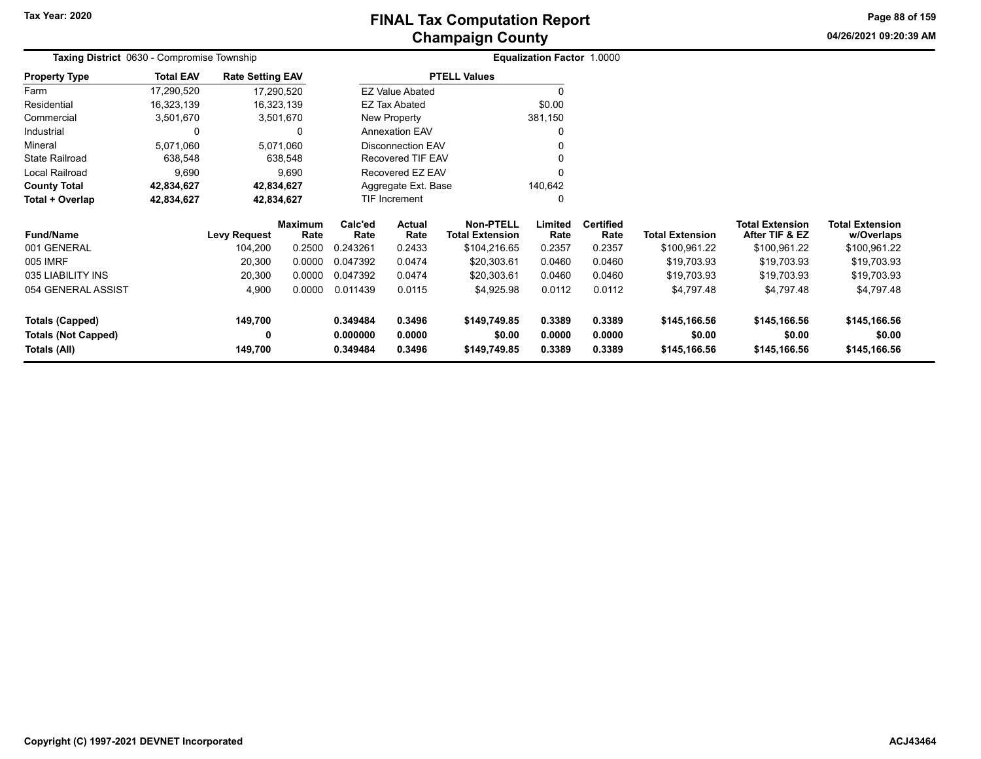**04/26/2021 09:20:39 AMPage 88 of 159**

|                            | <b>Taxing District</b> 0630 - Compromise Township |                         |                        |                    |                          |                                            | <b>Equalization Factor 1.0000</b> |                          |                        |                                          |                               |  |
|----------------------------|---------------------------------------------------|-------------------------|------------------------|--------------------|--------------------------|--------------------------------------------|-----------------------------------|--------------------------|------------------------|------------------------------------------|-------------------------------|--|
| <b>Property Type</b>       | <b>Total EAV</b>                                  | <b>Rate Setting EAV</b> |                        |                    |                          | <b>PTELL Values</b>                        |                                   |                          |                        |                                          |                               |  |
| Farm                       | 17,290,520                                        | 17,290,520              |                        |                    | <b>EZ Value Abated</b>   |                                            |                                   |                          |                        |                                          |                               |  |
| Residential                | 16,323,139                                        | 16,323,139              |                        |                    | <b>EZ Tax Abated</b>     |                                            | \$0.00                            |                          |                        |                                          |                               |  |
| Commercial                 | 3,501,670                                         |                         | 3,501,670              |                    | New Property             |                                            | 381,150                           |                          |                        |                                          |                               |  |
| Industrial                 | $\Omega$                                          |                         | 0                      |                    | <b>Annexation EAV</b>    |                                            |                                   |                          |                        |                                          |                               |  |
| Mineral                    | 5,071,060                                         |                         | 5,071,060              |                    | <b>Disconnection EAV</b> |                                            |                                   |                          |                        |                                          |                               |  |
| <b>State Railroad</b>      | 638,548                                           |                         | 638,548                |                    | <b>Recovered TIF EAV</b> |                                            |                                   |                          |                        |                                          |                               |  |
| Local Railroad             | 9,690                                             |                         | 9,690                  |                    | Recovered EZ EAV         |                                            |                                   |                          |                        |                                          |                               |  |
| <b>County Total</b>        | 42,834,627                                        | 42,834,627              |                        |                    | Aggregate Ext. Base      |                                            | 140,642                           |                          |                        |                                          |                               |  |
| Total + Overlap            | 42,834,627                                        | 42,834,627              |                        |                    | TIF Increment            |                                            |                                   |                          |                        |                                          |                               |  |
| <b>Fund/Name</b>           |                                                   | <b>Levy Request</b>     | <b>Maximum</b><br>Rate | Calc'ed<br>Rate    | Actual<br>Rate           | <b>Non-PTELL</b><br><b>Total Extension</b> | Limited<br>Rate                   | <b>Certified</b><br>Rate | <b>Total Extension</b> | <b>Total Extension</b><br>After TIF & EZ | Total Extension<br>w/Overlaps |  |
| 001 GENERAL                |                                                   | 104,200                 | 0.2500                 | 0.243261           | 0.2433                   | \$104,216.65                               | 0.2357                            | 0.2357                   | \$100,961.22           | \$100,961.22                             | \$100,961.22                  |  |
| 005 IMRF                   |                                                   | 20,300                  | 0.0000                 | 0.047392           | 0.0474                   | \$20,303.61                                | 0.0460                            | 0.0460                   | \$19,703.93            | \$19,703.93                              | \$19,703.93                   |  |
| 035 LIABILITY INS          |                                                   | 20,300                  | 0.0000                 | 0.047392           | 0.0474                   | \$20,303.61                                | 0.0460                            | 0.0460                   | \$19,703.93            | \$19,703.93                              | \$19,703.93                   |  |
| 054 GENERAL ASSIST         |                                                   | 4,900                   | 0.0000                 | 0.011439           | 0.0115                   | \$4,925.98                                 | 0.0112                            | 0.0112                   | \$4,797.48             | \$4,797.48                               | \$4,797.48                    |  |
| <b>Totals (Capped)</b>     |                                                   | 149,700                 |                        | 0.3496<br>0.349484 |                          | \$149,749.85                               | 0.3389                            | 0.3389                   | \$145,166.56           | \$145,166.56                             | \$145,166.56                  |  |
| <b>Totals (Not Capped)</b> |                                                   | 0                       |                        | 0.000000           | 0.0000                   | \$0.00                                     | 0.0000                            | 0.0000                   | \$0.00                 | \$0.00                                   | \$0.00                        |  |
| Totals (All)               |                                                   | 149,700                 |                        | 0.349484           | 0.3496                   | \$149,749.85                               | 0.3389                            | 0.3389                   | \$145,166.56           | \$145,166.56                             | \$145,166.56                  |  |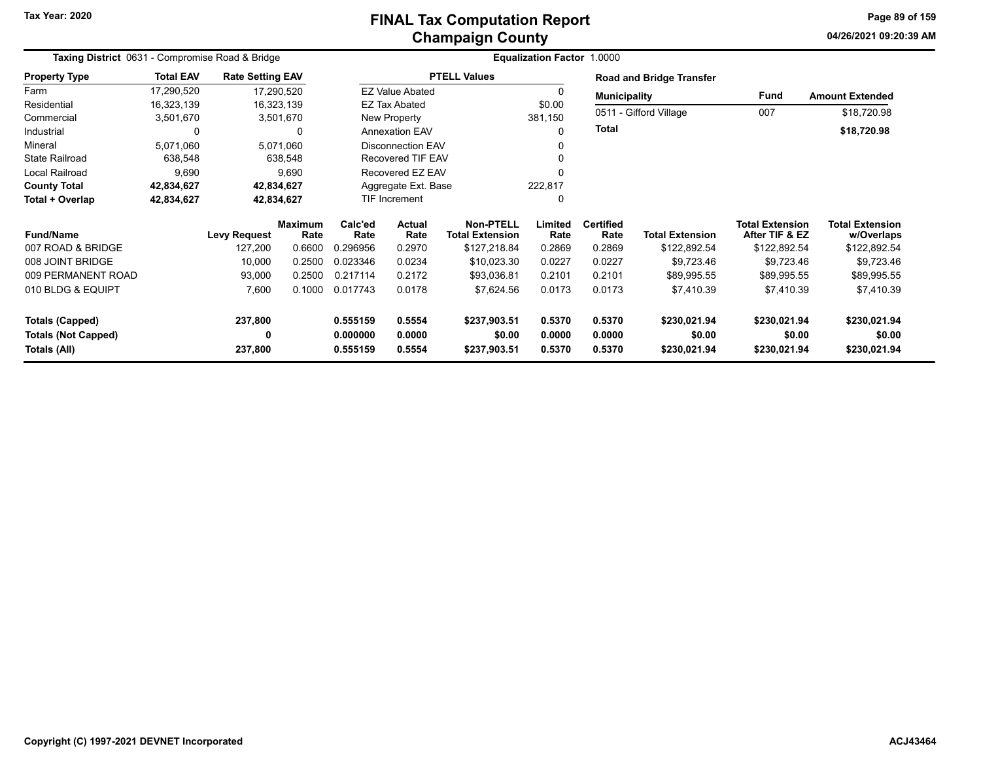# **Champaign County FINAL Tax Computation Report**

**04/26/2021 09:20:39 AMPage 89 of 159**

|                            | Taxing District 0631 - Compromise Road & Bridge |                         |                           |          |                          |                        | <b>Equalization Factor 1.0000</b> |                     |                                 |                        |                        |
|----------------------------|-------------------------------------------------|-------------------------|---------------------------|----------|--------------------------|------------------------|-----------------------------------|---------------------|---------------------------------|------------------------|------------------------|
| <b>Property Type</b>       | <b>Total EAV</b>                                | <b>Rate Setting EAV</b> |                           |          |                          | <b>PTELL Values</b>    |                                   |                     | <b>Road and Bridge Transfer</b> |                        |                        |
| Farm                       | 17,290,520                                      | 17,290,520              |                           |          | <b>EZ Value Abated</b>   |                        |                                   | <b>Municipality</b> |                                 | Fund                   | <b>Amount Extended</b> |
| Residential                | 16,323,139                                      | 16,323,139              |                           |          | <b>EZ Tax Abated</b>     |                        | \$0.00                            |                     |                                 |                        |                        |
| Commercial                 | 3,501,670                                       | 3,501,670               |                           |          | New Property             |                        | 381,150                           |                     | 0511 - Gifford Village          | 007                    | \$18,720.98            |
| Industrial                 | 0                                               |                         | 0                         |          | <b>Annexation EAV</b>    |                        | 0                                 | <b>Total</b>        |                                 |                        | \$18,720.98            |
| Mineral                    | 5,071,060                                       | 5,071,060               |                           |          | <b>Disconnection EAV</b> |                        |                                   |                     |                                 |                        |                        |
| <b>State Railroad</b>      | 638,548                                         |                         | 638,548                   |          | Recovered TIF EAV        |                        |                                   |                     |                                 |                        |                        |
| Local Railroad             | 9,690                                           |                         | 9,690                     |          | Recovered EZ EAV         |                        |                                   |                     |                                 |                        |                        |
| <b>County Total</b>        | 42,834,627                                      |                         | 42,834,627                |          | Aggregate Ext. Base      |                        | 222,817                           |                     |                                 |                        |                        |
| Total + Overlap            | 42,834,627                                      |                         | 42,834,627                |          | <b>TIF Increment</b>     |                        | 0                                 |                     |                                 |                        |                        |
|                            |                                                 |                         | Calc'ed<br><b>Maximum</b> |          | Actual                   | Non-PTELL              | Limited                           | <b>Certified</b>    |                                 | <b>Total Extension</b> | <b>Total Extension</b> |
| <b>Fund/Name</b>           |                                                 | <b>Levy Request</b>     | Rate                      | Rate     | Rate                     | <b>Total Extension</b> | Rate                              | Rate                | <b>Total Extension</b>          | After TIF & EZ         | w/Overlaps             |
| 007 ROAD & BRIDGE          |                                                 | 127,200                 | 0.6600                    | 0.296956 | 0.2970                   | \$127,218.84           | 0.2869                            | 0.2869              | \$122,892.54                    | \$122,892.54           | \$122,892.54           |
| 008 JOINT BRIDGE           |                                                 | 10,000                  | 0.2500                    | 0.023346 | 0.0234                   | \$10,023.30            | 0.0227                            | 0.0227              | \$9,723.46                      | \$9,723.46             | \$9,723.46             |
| 009 PERMANENT ROAD         |                                                 | 93,000                  | 0.2500                    | 0.217114 | 0.2172                   | \$93,036.81            | 0.2101                            | 0.2101              | \$89,995.55                     | \$89,995.55            | \$89,995.55            |
| 010 BLDG & EQUIPT          |                                                 | 7,600                   | 0.1000                    | 0.017743 | 0.0178                   | \$7,624.56             | 0.0173                            | 0.0173              | \$7,410.39                      | \$7,410.39             | \$7,410.39             |
| Totals (Capped)            |                                                 | 237,800                 |                           | 0.555159 | 0.5554                   | \$237,903.51           | 0.5370                            | 0.5370              | \$230,021.94                    | \$230,021.94           | \$230,021.94           |
| <b>Totals (Not Capped)</b> |                                                 | 0                       |                           | 0.000000 | 0.0000                   | \$0.00                 | 0.0000                            | 0.0000              | \$0.00                          | \$0.00                 | \$0.00                 |
| Totals (All)               |                                                 | 237,800                 |                           | 0.555159 | 0.5554                   | \$237,903.51           | 0.5370                            | 0.5370              | \$230,021.94                    | \$230,021.94           | \$230,021.94           |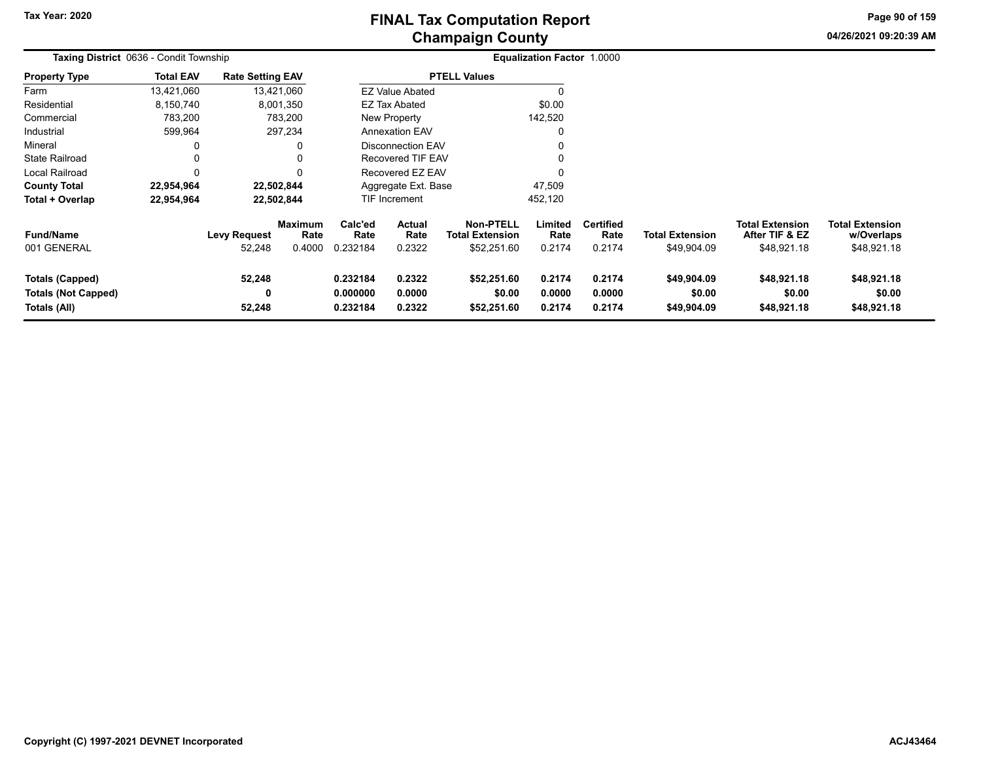**04/26/2021 09:20:39 AMPage 90 of 159**

|                                                                      | <b>Taxing District 0636 - Condit Township</b> |                               |                                  |                                  |                            |                                                           | <b>Equalization Factor 1.0000</b> |                                    |                                       |                                                         |                                                     |  |
|----------------------------------------------------------------------|-----------------------------------------------|-------------------------------|----------------------------------|----------------------------------|----------------------------|-----------------------------------------------------------|-----------------------------------|------------------------------------|---------------------------------------|---------------------------------------------------------|-----------------------------------------------------|--|
| <b>Property Type</b>                                                 | <b>Total EAV</b>                              | <b>Rate Setting EAV</b>       |                                  |                                  |                            | <b>PTELL Values</b>                                       |                                   |                                    |                                       |                                                         |                                                     |  |
| Farm                                                                 | 13,421,060                                    |                               | 13,421,060                       |                                  | <b>EZ Value Abated</b>     |                                                           |                                   |                                    |                                       |                                                         |                                                     |  |
| Residential                                                          | 8,150,740                                     |                               | 8,001,350                        |                                  | EZ Tax Abated              |                                                           | \$0.00                            |                                    |                                       |                                                         |                                                     |  |
| Commercial                                                           | 783,200                                       |                               | 783,200                          | New Property                     |                            |                                                           | 142,520                           |                                    |                                       |                                                         |                                                     |  |
| Industrial                                                           | 599,964                                       |                               | 297,234                          |                                  | <b>Annexation EAV</b>      |                                                           | 0                                 |                                    |                                       |                                                         |                                                     |  |
| Mineral                                                              |                                               |                               | 0                                | <b>Disconnection EAV</b>         |                            |                                                           | 0                                 |                                    |                                       |                                                         |                                                     |  |
| <b>State Railroad</b>                                                |                                               |                               | 0                                | <b>Recovered TIF EAV</b>         |                            |                                                           |                                   |                                    |                                       |                                                         |                                                     |  |
| Local Railroad                                                       | $\Omega$                                      |                               | $\Omega$                         |                                  | Recovered EZ EAV           |                                                           | $\Omega$                          |                                    |                                       |                                                         |                                                     |  |
| <b>County Total</b>                                                  | 22,954,964                                    |                               | 22,502,844                       |                                  | Aggregate Ext. Base        |                                                           | 47,509                            |                                    |                                       |                                                         |                                                     |  |
| Total + Overlap                                                      | 22,954,964                                    |                               | 22,502,844                       |                                  | <b>TIF Increment</b>       |                                                           | 452,120                           |                                    |                                       |                                                         |                                                     |  |
| <b>Fund/Name</b><br>001 GENERAL                                      |                                               | <b>Levy Request</b><br>52,248 | <b>Maximum</b><br>Rate<br>0.4000 | Calc'ed<br>Rate<br>0.232184      | Actual<br>Rate<br>0.2322   | <b>Non-PTELL</b><br><b>Total Extension</b><br>\$52,251.60 | Limited<br>Rate<br>0.2174         | <b>Certified</b><br>Rate<br>0.2174 | <b>Total Extension</b><br>\$49,904.09 | <b>Total Extension</b><br>After TIF & EZ<br>\$48,921.18 | <b>Total Extension</b><br>w/Overlaps<br>\$48,921.18 |  |
| <b>Totals (Capped)</b><br><b>Totals (Not Capped)</b><br>Totals (All) |                                               | 52,248<br>0<br>52,248         |                                  | 0.232184<br>0.000000<br>0.232184 | 0.2322<br>0.0000<br>0.2322 | \$52,251.60<br>\$0.00<br>\$52,251.60                      | 0.2174<br>0.0000<br>0.2174        | 0.2174<br>0.0000<br>0.2174         | \$49,904.09<br>\$0.00<br>\$49,904.09  | \$48,921.18<br>\$0.00<br>\$48,921.18                    | \$48,921.18<br>\$0.00<br>\$48,921.18                |  |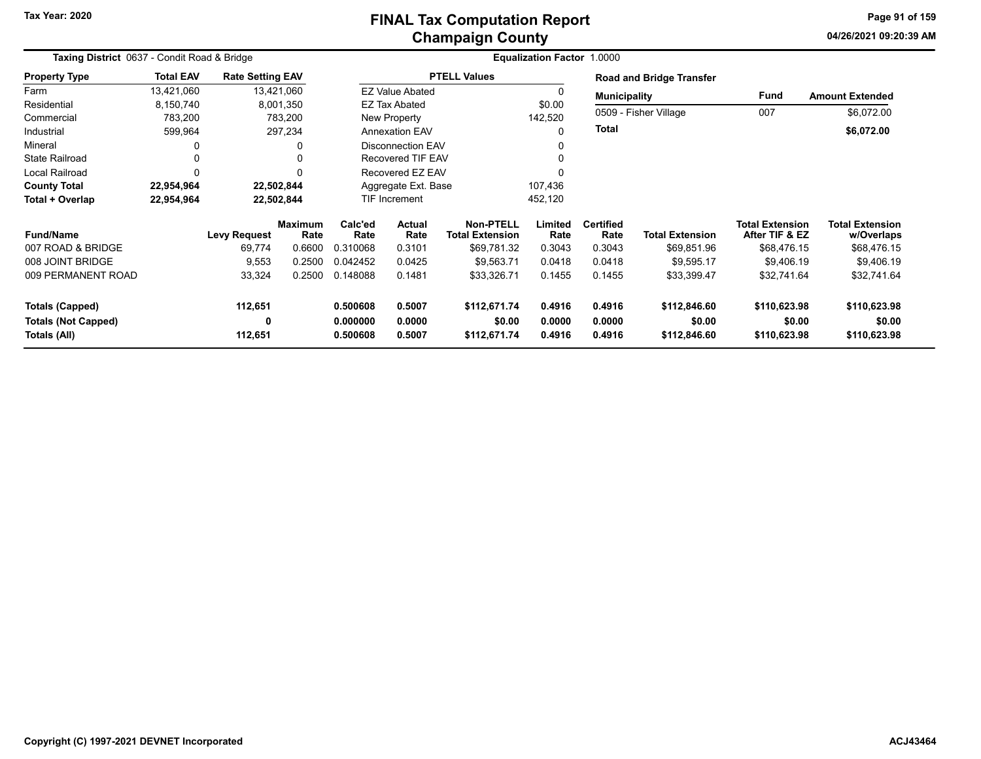# **Champaign County FINAL Tax Computation Report**

**04/26/2021 09:20:39 AMPage 91 of 159**

| Taxing District 0637 - Condit Road & Bridge |                  |                         |                        |                    | Equalization Factor 1.0000                      |                     |                 |                          |                                 |                                          |                                      |
|---------------------------------------------|------------------|-------------------------|------------------------|--------------------|-------------------------------------------------|---------------------|-----------------|--------------------------|---------------------------------|------------------------------------------|--------------------------------------|
| <b>Property Type</b>                        | <b>Total EAV</b> | <b>Rate Setting EAV</b> |                        |                    |                                                 | <b>PTELL Values</b> |                 |                          | <b>Road and Bridge Transfer</b> |                                          |                                      |
| Farm                                        | 13,421,060       |                         | 13,421,060             |                    | <b>EZ Value Abated</b>                          |                     | $\Omega$        | <b>Municipality</b>      |                                 | Fund                                     | <b>Amount Extended</b>               |
| Residential                                 | 8,150,740        |                         | 8,001,350              |                    | EZ Tax Abated                                   |                     | \$0.00          |                          |                                 |                                          |                                      |
| Commercial                                  | 783,200          |                         | 783,200                |                    | New Property                                    |                     | 142,520         |                          | 0509 - Fisher Village           | 007                                      | \$6,072.00                           |
| Industrial                                  | 599,964          |                         | 297,234                |                    | <b>Annexation EAV</b>                           |                     | O               | <b>Total</b>             |                                 |                                          | \$6,072.00                           |
| Mineral                                     |                  |                         | 0                      |                    | <b>Disconnection EAV</b>                        |                     | 0               |                          |                                 |                                          |                                      |
| <b>State Railroad</b>                       | 0                |                         | 0                      |                    | Recovered TIF EAV                               |                     | $\Omega$        |                          |                                 |                                          |                                      |
| Local Railroad                              |                  |                         | $\Omega$               |                    | Recovered EZ EAV                                |                     | n               |                          |                                 |                                          |                                      |
| <b>County Total</b>                         | 22,954,964       |                         | 22,502,844             |                    | Aggregate Ext. Base                             |                     | 107,436         |                          |                                 |                                          |                                      |
| Total + Overlap                             | 22,954,964       |                         | 22,502,844             |                    | <b>TIF Increment</b>                            |                     | 452,120         |                          |                                 |                                          |                                      |
| <b>Fund/Name</b>                            |                  | <b>Levy Request</b>     | <b>Maximum</b><br>Rate | Calc'ed<br>Rate    | <b>Actual</b><br><b>Total Extension</b><br>Rate |                     | Limited<br>Rate | <b>Certified</b><br>Rate | <b>Total Extension</b>          | <b>Total Extension</b><br>After TIF & EZ | <b>Total Extension</b><br>w/Overlaps |
| 007 ROAD & BRIDGE                           |                  | 69,774                  | 0.6600                 | 0.310068           | 0.3101                                          | \$69,781.32         | 0.3043          | 0.3043                   | \$69,851.96                     | \$68,476.15                              | \$68,476.15                          |
| 008 JOINT BRIDGE                            |                  | 9,553                   | 0.2500                 | 0.042452           | 0.0425                                          | \$9,563.71          | 0.0418          | 0.0418                   | \$9,595.17                      | \$9,406.19                               | \$9,406.19                           |
| 009 PERMANENT ROAD                          |                  | 33,324                  | 0.2500                 | 0.148088           | 0.1481                                          | \$33,326.71         | 0.1455          | 0.1455                   | \$33,399.47                     | \$32,741.64                              | \$32,741.64                          |
| <b>Totals (Capped)</b>                      |                  | 112,651                 |                        | 0.500608<br>0.5007 |                                                 | \$112,671.74        | 0.4916          | 0.4916                   | \$112,846.60                    | \$110,623.98                             | \$110,623.98                         |
| <b>Totals (Not Capped)</b>                  |                  | 0                       |                        | 0.000000           | 0.0000                                          | \$0.00              | 0.0000          | 0.0000                   | \$0.00                          | \$0.00                                   | \$0.00                               |
| Totals (All)                                |                  | 112,651                 |                        | 0.500608           | 0.5007                                          | \$112,671.74        | 0.4916          | 0.4916                   | \$112,846.60                    | \$110,623.98                             | \$110,623.98                         |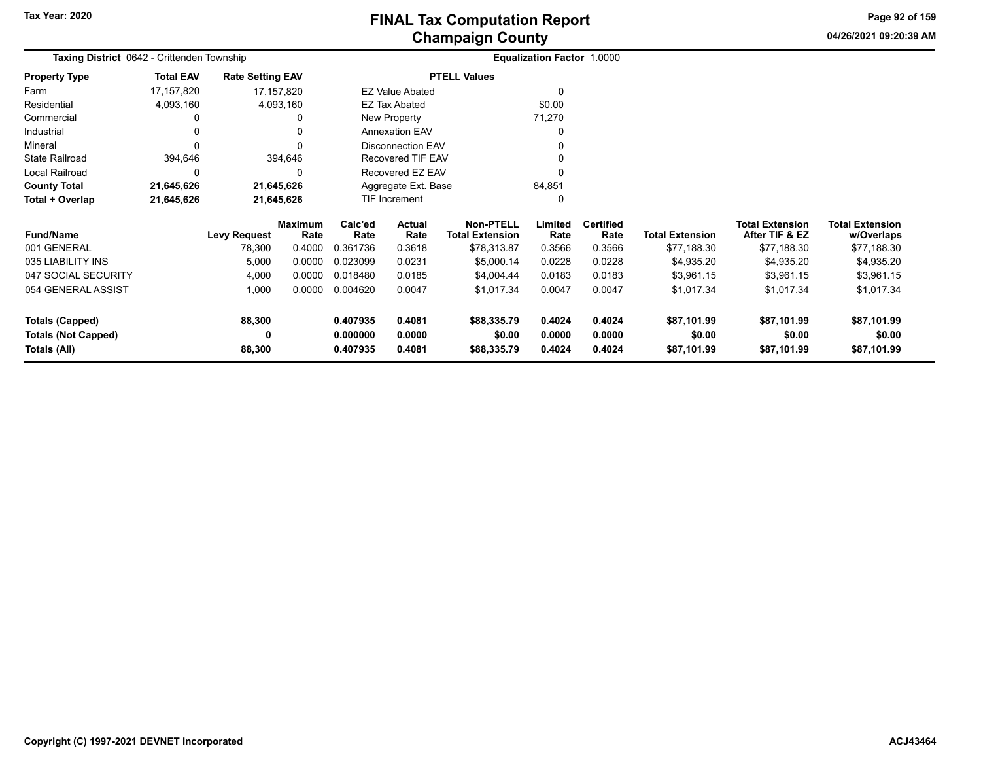**04/26/2021 09:20:39 AM Page 92 of 159**

| Taxing District 0642 - Crittenden Township<br><b>Property Type</b> |                       |                     |                                                                                                                     |                            |                                                               |                                                                                                                                                                            |                            |                                      |                                      |                                      |
|--------------------------------------------------------------------|-----------------------|---------------------|---------------------------------------------------------------------------------------------------------------------|----------------------------|---------------------------------------------------------------|----------------------------------------------------------------------------------------------------------------------------------------------------------------------------|----------------------------|--------------------------------------|--------------------------------------|--------------------------------------|
| <b>Total EAV</b>                                                   |                       |                     |                                                                                                                     |                            |                                                               |                                                                                                                                                                            |                            |                                      |                                      |                                      |
| 17, 157, 820                                                       |                       |                     |                                                                                                                     |                            |                                                               |                                                                                                                                                                            |                            |                                      |                                      |                                      |
| 4,093,160                                                          |                       |                     |                                                                                                                     |                            |                                                               | \$0.00                                                                                                                                                                     |                            |                                      |                                      |                                      |
|                                                                    |                       | 0                   |                                                                                                                     |                            |                                                               | 71,270                                                                                                                                                                     |                            |                                      |                                      |                                      |
|                                                                    |                       | 0                   | <b>Annexation EAV</b>                                                                                               |                            |                                                               | 0                                                                                                                                                                          |                            |                                      |                                      |                                      |
|                                                                    |                       | $\Omega$            |                                                                                                                     |                            |                                                               |                                                                                                                                                                            |                            |                                      |                                      |                                      |
| 394,646                                                            |                       |                     |                                                                                                                     |                            |                                                               | $\Omega$                                                                                                                                                                   |                            |                                      |                                      |                                      |
| 0                                                                  |                       | 0                   |                                                                                                                     |                            |                                                               |                                                                                                                                                                            |                            |                                      |                                      |                                      |
| 21,645,626                                                         |                       |                     |                                                                                                                     |                            |                                                               | 84,851                                                                                                                                                                     |                            |                                      |                                      |                                      |
| 21,645,626                                                         |                       |                     |                                                                                                                     |                            |                                                               | 0                                                                                                                                                                          |                            |                                      |                                      |                                      |
|                                                                    |                       |                     | Calc'ed                                                                                                             | <b>Actual</b>              | <b>Non-PTELL</b>                                              | Limited                                                                                                                                                                    | <b>Certified</b>           |                                      | <b>Total Extension</b>               | <b>Total Extension</b><br>w/Overlaps |
|                                                                    | 78,300                | 0.4000              | 0.361736                                                                                                            | 0.3618                     | \$78,313.87                                                   | 0.3566                                                                                                                                                                     | 0.3566                     | \$77,188.30                          | \$77,188.30                          | \$77,188.30                          |
|                                                                    | 5,000                 | 0.0000              | 0.023099                                                                                                            | 0.0231                     | \$5,000.14                                                    | 0.0228                                                                                                                                                                     | 0.0228                     | \$4,935.20                           | \$4,935.20                           | \$4,935.20                           |
|                                                                    | 4,000                 | 0.0000              | 0.018480                                                                                                            | 0.0185                     | \$4,004.44                                                    | 0.0183                                                                                                                                                                     | 0.0183                     | \$3,961.15                           | \$3,961.15                           | \$3,961.15                           |
|                                                                    | 1,000                 | 0.0000              | 0.004620                                                                                                            | 0.0047                     | \$1,017.34                                                    | 0.0047                                                                                                                                                                     | 0.0047                     | \$1,017.34                           | \$1,017.34                           | \$1,017.34                           |
|                                                                    | 88,300<br>0<br>88,300 |                     | 0.407935<br>0.000000<br>0.407935                                                                                    | 0.4081<br>0.0000<br>0.4081 | \$88,335.79<br>\$0.00<br>\$88,335.79                          | 0.4024<br>0.0000<br>0.4024                                                                                                                                                 | 0.4024<br>0.0000<br>0.4024 | \$87,101.99<br>\$0.00<br>\$87,101.99 | \$87,101.99<br>\$0.00<br>\$87,101.99 | \$87,101.99<br>\$0.00<br>\$87,101.99 |
|                                                                    |                       | <b>Levy Request</b> | <b>Rate Setting EAV</b><br>17,157,820<br>4,093,160<br>394,646<br>21,645,626<br>21,645,626<br><b>Maximum</b><br>Rate | Rate                       | EZ Tax Abated<br>New Property<br><b>TIF Increment</b><br>Rate | <b>PTELL Values</b><br><b>EZ Value Abated</b><br><b>Disconnection EAV</b><br><b>Recovered TIF EAV</b><br>Recovered EZ EAV<br>Aggregate Ext. Base<br><b>Total Extension</b> | Rate                       | Equalization Factor 1.0000<br>Rate   | <b>Total Extension</b>               | After TIF & EZ                       |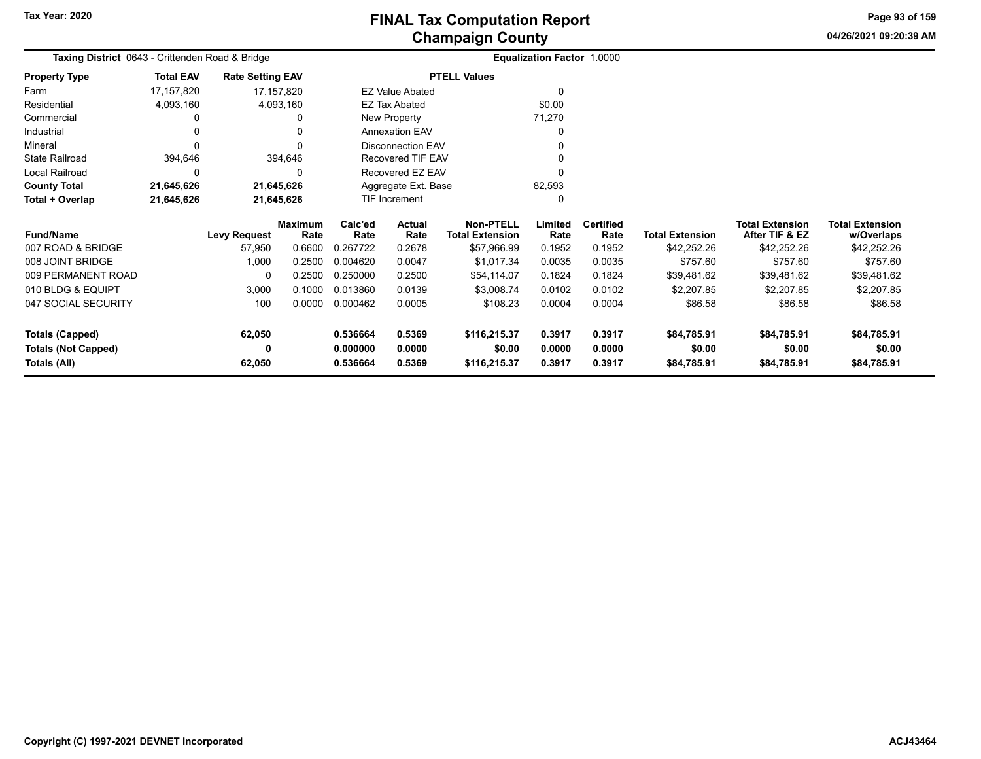**04/26/2021 09:20:39 AM Page 93 of 159**

| Taxing District 0643 - Crittenden Road & Bridge |                  |                         |                        |                                   |                          |                                            | <b>Equalization Factor 1.0000</b> |                          |                        |                                          |                                      |
|-------------------------------------------------|------------------|-------------------------|------------------------|-----------------------------------|--------------------------|--------------------------------------------|-----------------------------------|--------------------------|------------------------|------------------------------------------|--------------------------------------|
| <b>Property Type</b>                            | <b>Total EAV</b> | <b>Rate Setting EAV</b> |                        |                                   |                          | <b>PTELL Values</b>                        |                                   |                          |                        |                                          |                                      |
| Farm                                            | 17, 157, 820     |                         | 17,157,820             |                                   | <b>EZ Value Abated</b>   |                                            | $\Omega$                          |                          |                        |                                          |                                      |
| Residential                                     | 4,093,160        |                         | 4,093,160              |                                   | <b>EZ Tax Abated</b>     |                                            | \$0.00                            |                          |                        |                                          |                                      |
| Commercial                                      |                  |                         | 0                      |                                   | New Property             |                                            | 71,270                            |                          |                        |                                          |                                      |
| Industrial                                      |                  |                         | 0                      |                                   | <b>Annexation EAV</b>    |                                            |                                   |                          |                        |                                          |                                      |
| Mineral                                         |                  |                         | $\Omega$               |                                   | <b>Disconnection EAV</b> |                                            | 0                                 |                          |                        |                                          |                                      |
| <b>State Railroad</b>                           | 394,646          |                         | 394,646                |                                   | <b>Recovered TIF EAV</b> |                                            |                                   |                          |                        |                                          |                                      |
| Local Railroad                                  | $\Omega$         |                         | 0                      |                                   | Recovered EZ EAV         |                                            |                                   |                          |                        |                                          |                                      |
| <b>County Total</b>                             | 21,645,626       |                         | 21,645,626             |                                   | Aggregate Ext. Base      |                                            | 82,593                            |                          |                        |                                          |                                      |
| Total + Overlap                                 | 21,645,626       |                         | 21,645,626             |                                   | <b>TIF Increment</b>     |                                            | 0                                 |                          |                        |                                          |                                      |
| <b>Fund/Name</b>                                |                  | <b>Levy Request</b>     | <b>Maximum</b><br>Rate | Calc'ed<br>Actual<br>Rate<br>Rate |                          | <b>Non-PTELL</b><br><b>Total Extension</b> | Limited<br>Rate                   | <b>Certified</b><br>Rate | <b>Total Extension</b> | <b>Total Extension</b><br>After TIF & EZ | <b>Total Extension</b><br>w/Overlaps |
| 007 ROAD & BRIDGE                               |                  | 57,950                  | 0.6600                 | 0.267722                          | 0.2678                   | \$57,966.99                                | 0.1952                            | 0.1952                   | \$42,252.26            | \$42,252.26                              | \$42,252.26                          |
| 008 JOINT BRIDGE                                |                  | 1,000                   | 0.2500                 | 0.004620                          | 0.0047                   | \$1,017.34                                 | 0.0035                            | 0.0035                   | \$757.60               | \$757.60                                 | \$757.60                             |
| 009 PERMANENT ROAD                              |                  | 0                       | 0.2500                 | 0.250000                          | 0.2500                   | \$54,114.07                                | 0.1824                            | 0.1824                   | \$39,481.62            | \$39,481.62                              | \$39,481.62                          |
| 010 BLDG & EQUIPT                               |                  | 3,000                   | 0.1000                 | 0.013860                          | 0.0139                   | \$3,008.74                                 | 0.0102                            | 0.0102                   | \$2,207.85             | \$2,207.85                               | \$2,207.85                           |
| 047 SOCIAL SECURITY                             |                  | 100                     | 0.0000                 | 0.000462                          | 0.0005                   | \$108.23                                   | 0.0004                            | 0.0004                   | \$86.58                | \$86.58                                  | \$86.58                              |
| <b>Totals (Capped)</b>                          |                  | 62,050                  |                        | 0.536664                          | 0.5369                   | \$116,215.37                               | 0.3917                            | 0.3917                   | \$84,785.91            | \$84,785.91                              | \$84,785.91                          |
| <b>Totals (Not Capped)</b>                      |                  | 0                       |                        | 0.000000                          | 0.0000                   | \$0.00                                     | 0.0000                            | 0.0000                   | \$0.00                 | \$0.00                                   | \$0.00                               |
| Totals (All)                                    |                  | 62,050                  |                        | 0.536664                          | 0.5369                   | \$116,215.37                               | 0.3917                            | 0.3917                   | \$84,785.91            | \$84,785.91                              | \$84,785.91                          |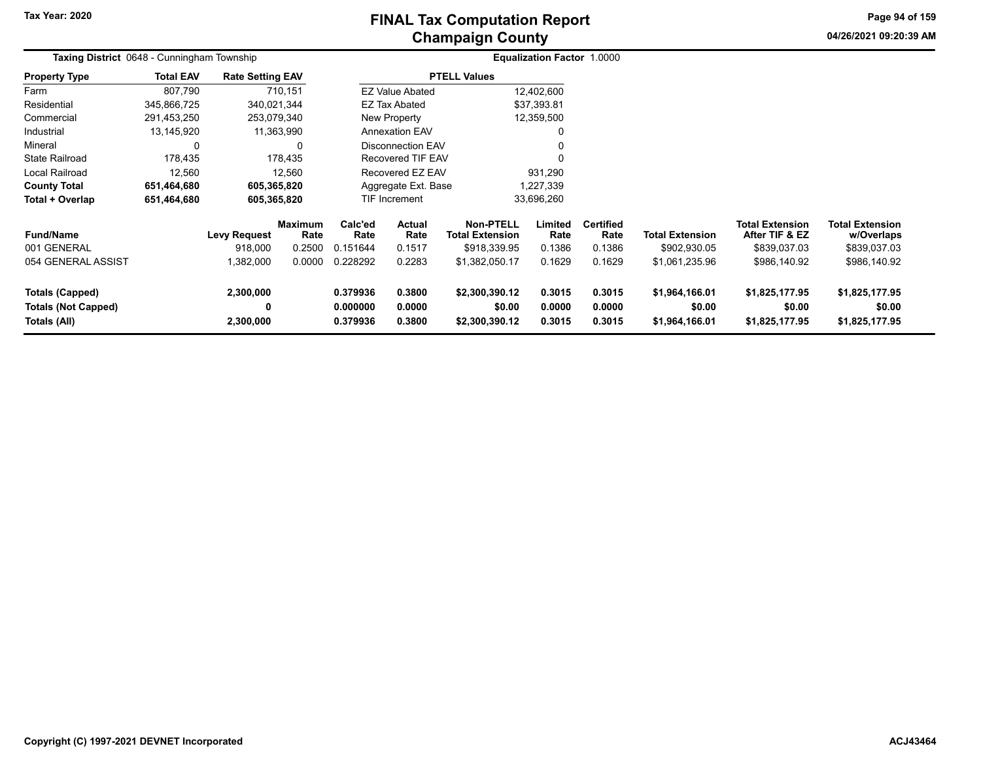**04/26/2021 09:20:39 AMPage 94 of 159**

|                                                                      | <b>Taxing District</b> 0648 - Cunningham Township |                                            |                                            |                                         |                                           |                                                                              | Equalization Factor 1.0000          |                                              |                                                          |                                                                          |                                                                      |  |
|----------------------------------------------------------------------|---------------------------------------------------|--------------------------------------------|--------------------------------------------|-----------------------------------------|-------------------------------------------|------------------------------------------------------------------------------|-------------------------------------|----------------------------------------------|----------------------------------------------------------|--------------------------------------------------------------------------|----------------------------------------------------------------------|--|
| <b>Property Type</b>                                                 | <b>Total EAV</b>                                  | <b>Rate Setting EAV</b>                    |                                            |                                         |                                           | <b>PTELL Values</b>                                                          |                                     |                                              |                                                          |                                                                          |                                                                      |  |
| Farm                                                                 | 807,790                                           |                                            | 710,151                                    |                                         | <b>EZ Value Abated</b>                    |                                                                              | 12,402,600                          |                                              |                                                          |                                                                          |                                                                      |  |
| Residential                                                          | 345,866,725                                       | 340,021,344                                |                                            |                                         | <b>EZ Tax Abated</b>                      |                                                                              | \$37,393.81                         |                                              |                                                          |                                                                          |                                                                      |  |
| Commercial                                                           | 291,453,250                                       | 253,079,340                                |                                            |                                         | New Property                              |                                                                              | 12,359,500                          |                                              |                                                          |                                                                          |                                                                      |  |
| Industrial                                                           | 13,145,920                                        | 11,363,990                                 |                                            |                                         | <b>Annexation EAV</b>                     |                                                                              | 0                                   |                                              |                                                          |                                                                          |                                                                      |  |
| Mineral                                                              | $\Omega$                                          |                                            | 0                                          |                                         | <b>Disconnection EAV</b>                  |                                                                              | 0                                   |                                              |                                                          |                                                                          |                                                                      |  |
| <b>State Railroad</b>                                                | 178,435                                           |                                            | 178,435                                    |                                         | <b>Recovered TIF EAV</b>                  |                                                                              | $\mathbf{0}$                        |                                              |                                                          |                                                                          |                                                                      |  |
| Local Railroad                                                       | 12,560                                            |                                            | 12,560                                     |                                         | Recovered EZ EAV                          |                                                                              | 931,290                             |                                              |                                                          |                                                                          |                                                                      |  |
| <b>County Total</b>                                                  | 651,464,680                                       | 605,365,820                                |                                            |                                         | Aggregate Ext. Base                       |                                                                              | 1,227,339                           |                                              |                                                          |                                                                          |                                                                      |  |
| Total + Overlap                                                      | 651,464,680                                       | 605,365,820                                |                                            |                                         | <b>TIF Increment</b>                      |                                                                              | 33,696,260                          |                                              |                                                          |                                                                          |                                                                      |  |
| <b>Fund/Name</b><br>001 GENERAL<br>054 GENERAL ASSIST                |                                                   | <b>Levy Request</b><br>918,000<br>,382,000 | <b>Maximum</b><br>Rate<br>0.2500<br>0.0000 | Calc'ed<br>Rate<br>0.151644<br>0.228292 | <b>Actual</b><br>Rate<br>0.1517<br>0.2283 | <b>Non-PTELL</b><br><b>Total Extension</b><br>\$918,339.95<br>\$1,382,050.17 | Limited<br>Rate<br>0.1386<br>0.1629 | <b>Certified</b><br>Rate<br>0.1386<br>0.1629 | <b>Total Extension</b><br>\$902,930.05<br>\$1,061,235.96 | <b>Total Extension</b><br>After TIF & EZ<br>\$839,037.03<br>\$986,140.92 | <b>Total Extension</b><br>w/Overlaps<br>\$839,037.03<br>\$986,140.92 |  |
| <b>Totals (Capped)</b><br><b>Totals (Not Capped)</b><br>Totals (All) |                                                   | 2,300,000<br>0<br>2,300,000                |                                            | 0.379936<br>0.000000<br>0.379936        | 0.3800<br>0.0000<br>0.3800                | \$2,300,390.12<br>\$0.00<br>\$2,300,390.12                                   | 0.3015<br>0.0000<br>0.3015          | 0.3015<br>0.0000<br>0.3015                   | \$1,964,166.01<br>\$0.00<br>\$1,964,166.01               | \$1,825,177.95<br>\$0.00<br>\$1,825,177.95                               | \$1,825,177.95<br>\$0.00<br>\$1,825,177.95                           |  |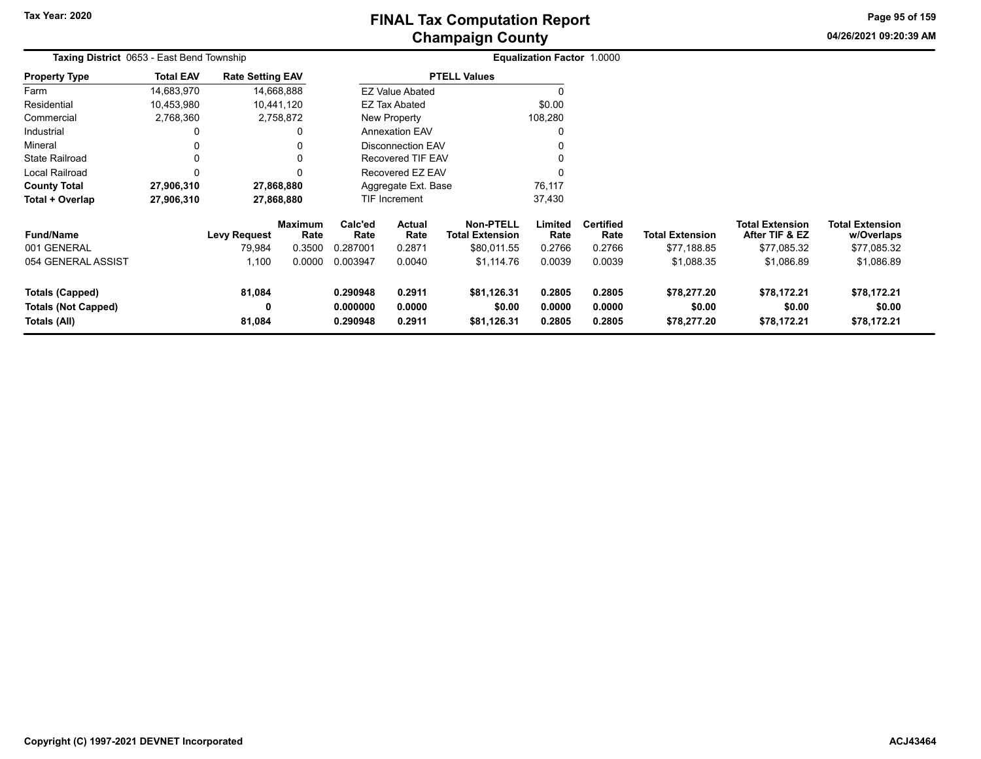# **Champaign County FINAL Tax Computation Report**

**04/26/2021 09:20:39 AMPage 95 of 159**

|                                                                      | Taxing District 0653 - East Bend Township |                         |                        |                                  |                                          |                                      | Equalization Factor 1.0000 |                            |                                      |                                          |                                      |
|----------------------------------------------------------------------|-------------------------------------------|-------------------------|------------------------|----------------------------------|------------------------------------------|--------------------------------------|----------------------------|----------------------------|--------------------------------------|------------------------------------------|--------------------------------------|
| <b>Property Type</b>                                                 | <b>Total EAV</b>                          | <b>Rate Setting EAV</b> |                        |                                  |                                          | <b>PTELL Values</b>                  |                            |                            |                                      |                                          |                                      |
| Farm                                                                 | 14,683,970                                |                         | 14,668,888             |                                  | <b>EZ Value Abated</b>                   |                                      | $\Omega$                   |                            |                                      |                                          |                                      |
| Residential                                                          | 10,453,980                                |                         | 10,441,120             |                                  | <b>EZ Tax Abated</b>                     |                                      | \$0.00                     |                            |                                      |                                          |                                      |
| Commercial                                                           | 2,768,360                                 |                         | 2,758,872              |                                  | New Property                             |                                      | 108,280                    |                            |                                      |                                          |                                      |
| Industrial                                                           |                                           |                         | 0                      |                                  | <b>Annexation EAV</b>                    |                                      | 0                          |                            |                                      |                                          |                                      |
| Mineral                                                              |                                           |                         | 0                      |                                  | <b>Disconnection EAV</b>                 |                                      | 0                          |                            |                                      |                                          |                                      |
| <b>State Railroad</b>                                                |                                           |                         | 0                      |                                  | <b>Recovered TIF EAV</b>                 |                                      | 0                          |                            |                                      |                                          |                                      |
| <b>Local Railroad</b>                                                | $\Omega$                                  |                         | $\Omega$               |                                  | Recovered EZ EAV                         |                                      | $\Omega$                   |                            |                                      |                                          |                                      |
| <b>County Total</b>                                                  | 27,906,310                                |                         | 27,868,880             |                                  | Aggregate Ext. Base                      |                                      | 76,117                     |                            |                                      |                                          |                                      |
| Total + Overlap                                                      | 27,906,310                                |                         | 27,868,880             |                                  | <b>TIF Increment</b>                     |                                      | 37,430                     |                            |                                      |                                          |                                      |
| <b>Fund/Name</b>                                                     |                                           | <b>Levy Request</b>     | <b>Maximum</b><br>Rate | Calc'ed<br>Rate                  | Actual<br><b>Total Extension</b><br>Rate |                                      | Limited<br>Rate            | <b>Certified</b><br>Rate   | <b>Total Extension</b>               | <b>Total Extension</b><br>After TIF & EZ | <b>Total Extension</b><br>w/Overlaps |
| 001 GENERAL                                                          |                                           | 79,984                  | 0.3500                 | 0.287001                         | 0.2871                                   | \$80,011.55                          | 0.2766                     | 0.2766                     | \$77,188.85                          | \$77,085.32                              | \$77,085.32                          |
| 054 GENERAL ASSIST                                                   |                                           | 1,100                   | 0.0000                 | 0.003947                         | 0.0040                                   | \$1,114.76                           | 0.0039                     | 0.0039                     | \$1,088.35                           | \$1,086.89                               | \$1,086.89                           |
| <b>Totals (Capped)</b><br><b>Totals (Not Capped)</b><br>Totals (All) |                                           | 81,084<br>0<br>81,084   |                        | 0.290948<br>0.000000<br>0.290948 | 0.2911<br>0.0000<br>0.2911               | \$81,126.31<br>\$0.00<br>\$81,126.31 | 0.2805<br>0.0000<br>0.2805 | 0.2805<br>0.0000<br>0.2805 | \$78,277.20<br>\$0.00<br>\$78,277.20 | \$78,172.21<br>\$0.00<br>\$78,172.21     | \$78,172.21<br>\$0.00<br>\$78,172.21 |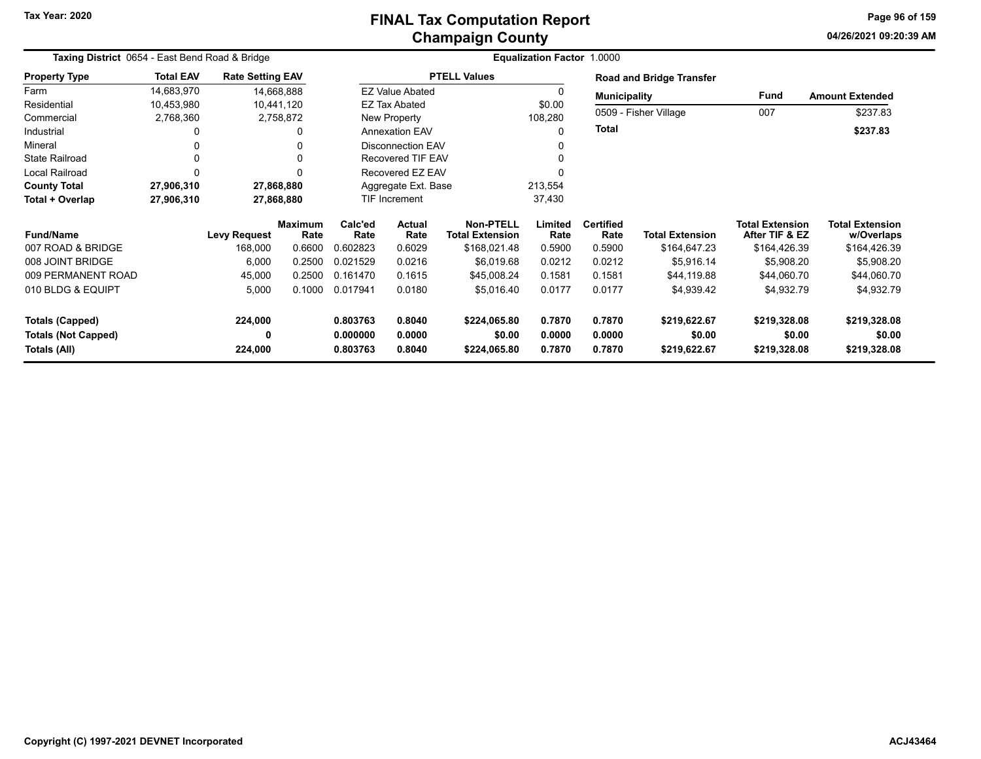# **Champaign County FINAL Tax Computation Report**

**04/26/2021 09:20:39 AMPage 96 of 159**

| Taxing District 0654 - East Bend Road & Bridge |                  |                         |                        |                  |                          |                                            | <b>Equalization Factor 1.0000</b> |                          |                                 |                                          |                                      |
|------------------------------------------------|------------------|-------------------------|------------------------|------------------|--------------------------|--------------------------------------------|-----------------------------------|--------------------------|---------------------------------|------------------------------------------|--------------------------------------|
| <b>Property Type</b>                           | <b>Total EAV</b> | <b>Rate Setting EAV</b> |                        |                  |                          | <b>PTELL Values</b>                        |                                   |                          | <b>Road and Bridge Transfer</b> |                                          |                                      |
| Farm                                           | 14,683,970       | 14,668,888              |                        |                  | <b>EZ Value Abated</b>   |                                            | 0                                 | <b>Municipality</b>      |                                 | Fund                                     | <b>Amount Extended</b>               |
| Residential                                    | 10,453,980       | 10,441,120              |                        |                  | <b>EZ Tax Abated</b>     |                                            | \$0.00                            |                          |                                 | 007                                      |                                      |
| Commercial                                     | 2,768,360        |                         | 2,758,872              |                  | New Property             |                                            | 108,280                           |                          | 0509 - Fisher Village           |                                          | \$237.83                             |
| Industrial                                     |                  |                         | 0                      |                  | <b>Annexation EAV</b>    |                                            | 0                                 | <b>Total</b>             |                                 |                                          | \$237.83                             |
| Mineral                                        |                  |                         |                        |                  | <b>Disconnection EAV</b> |                                            |                                   |                          |                                 |                                          |                                      |
| <b>State Railroad</b>                          |                  |                         | $\Omega$               |                  | <b>Recovered TIF EAV</b> |                                            |                                   |                          |                                 |                                          |                                      |
| Local Railroad                                 |                  |                         |                        |                  | Recovered EZ EAV         |                                            |                                   |                          |                                 |                                          |                                      |
| <b>County Total</b>                            | 27,906,310       | 27,868,880              |                        |                  | Aggregate Ext. Base      |                                            | 213,554                           |                          |                                 |                                          |                                      |
| Total + Overlap                                | 27,906,310       | 27,868,880              |                        |                  | <b>TIF Increment</b>     |                                            | 37,430                            |                          |                                 |                                          |                                      |
| <b>Fund/Name</b>                               |                  | <b>Levy Request</b>     | <b>Maximum</b><br>Rate |                  | <b>Actual</b><br>Rate    | <b>Non-PTELL</b><br><b>Total Extension</b> | Limited<br>Rate                   | <b>Certified</b><br>Rate | <b>Total Extension</b>          | <b>Total Extension</b><br>After TIF & EZ | <b>Total Extension</b><br>w/Overlaps |
| 007 ROAD & BRIDGE                              |                  | 168,000                 | 0.6600                 | Rate<br>0.602823 | 0.6029                   | \$168,021.48                               | 0.5900                            | 0.5900                   | \$164,647.23                    | \$164,426.39                             | \$164,426.39                         |
| 008 JOINT BRIDGE                               |                  | 6,000                   | 0.2500                 | 0.021529         | 0.0216                   | \$6,019.68                                 | 0.0212                            | 0.0212                   | \$5,916.14                      | \$5,908.20                               | \$5,908.20                           |
| 009 PERMANENT ROAD                             |                  | 45,000                  | 0.2500                 | 0.161470         | 0.1615                   | \$45,008.24                                | 0.1581                            | 0.1581                   | \$44,119.88                     | \$44,060.70                              | \$44,060.70                          |
| 010 BLDG & EQUIPT                              |                  | 5,000                   | 0.1000                 | 0.017941         | 0.0180                   | \$5,016.40                                 | 0.0177                            | 0.0177                   | \$4,939.42                      | \$4,932.79                               | \$4,932.79                           |
| <b>Totals (Capped)</b>                         |                  | 224,000                 |                        | 0.803763         | 0.8040                   | \$224,065.80                               | 0.7870                            | 0.7870                   | \$219,622.67                    | \$219,328.08                             | \$219,328.08                         |
| <b>Totals (Not Capped)</b><br>Totals (All)     | 0<br>224,000     |                         | 0.000000<br>0.803763   | 0.0000<br>0.8040 | \$0.00<br>\$224,065.80   | 0.0000<br>0.7870                           | 0.0000<br>0.7870                  | \$0.00<br>\$219,622.67   | \$0.00<br>\$219,328.08          | \$0.00<br>\$219,328.08                   |                                      |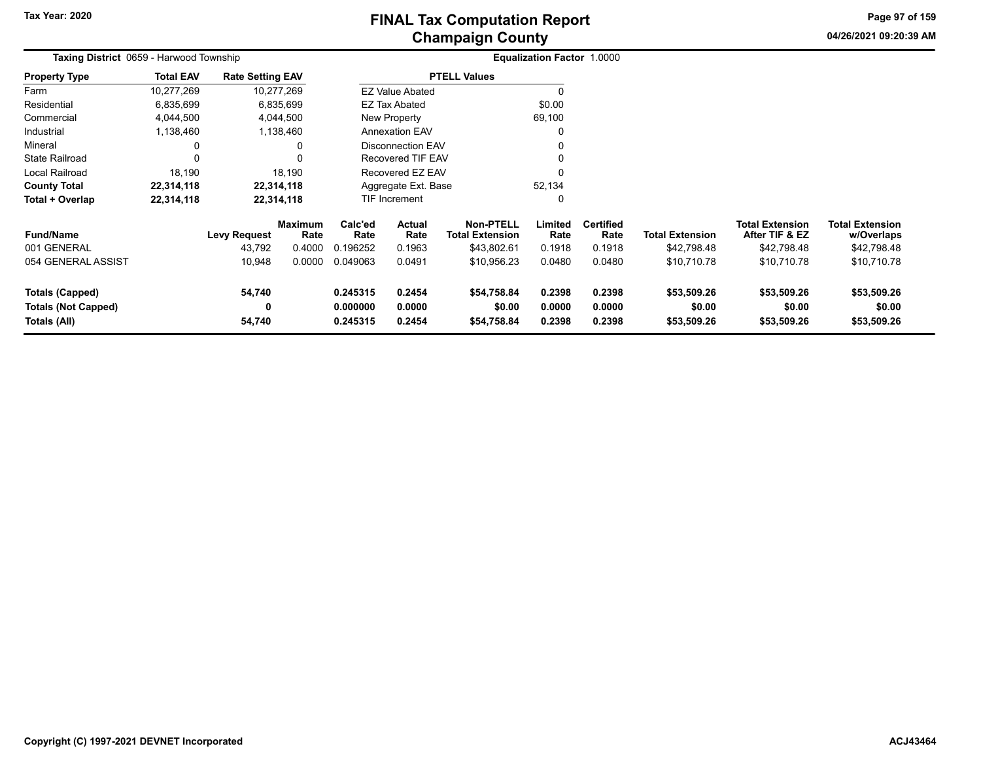**04/26/2021 09:20:39 AMPage 97 of 159**

|                            | <b>Taxing District 0659 - Harwood Township</b> |                         |                 |                 |                                                      |                                            | Equalization Factor 1.0000 |                          |                        |                                          |                                      |
|----------------------------|------------------------------------------------|-------------------------|-----------------|-----------------|------------------------------------------------------|--------------------------------------------|----------------------------|--------------------------|------------------------|------------------------------------------|--------------------------------------|
| <b>Property Type</b>       | <b>Total EAV</b>                               | <b>Rate Setting EAV</b> |                 |                 |                                                      | <b>PTELL Values</b>                        |                            |                          |                        |                                          |                                      |
| Farm                       | 10,277,269                                     | 10,277,269              |                 |                 | <b>EZ Value Abated</b>                               |                                            |                            |                          |                        |                                          |                                      |
| Residential                | 6,835,699                                      | 6,835,699               |                 |                 | EZ Tax Abated                                        |                                            | \$0.00                     |                          |                        |                                          |                                      |
| Commercial                 | 4,044,500                                      | 4,044,500               |                 |                 | New Property                                         |                                            | 69,100                     |                          |                        |                                          |                                      |
| Industrial                 | 1,138,460                                      | 1,138,460               |                 |                 | <b>Annexation EAV</b>                                |                                            |                            |                          |                        |                                          |                                      |
| Mineral                    | 0                                              |                         | 0               |                 | <b>Disconnection EAV</b><br><b>Recovered TIF EAV</b> |                                            |                            |                          |                        |                                          |                                      |
| <b>State Railroad</b>      |                                                |                         | 0               |                 |                                                      |                                            |                            |                          |                        |                                          |                                      |
| Local Railroad             | 18,190                                         |                         | 18,190          |                 | Recovered EZ EAV                                     |                                            |                            |                          |                        |                                          |                                      |
| <b>County Total</b>        | 22,314,118                                     | 22,314,118              |                 |                 | Aggregate Ext. Base<br>52,134                        |                                            |                            |                          |                        |                                          |                                      |
| Total + Overlap            | 22,314,118                                     | 22,314,118              |                 |                 | TIF Increment                                        |                                            |                            |                          |                        |                                          |                                      |
| <b>Fund/Name</b>           |                                                | <b>Levy Request</b>     | Maximum<br>Rate | Calc'ed<br>Rate | Actual<br>Rate                                       | <b>Non-PTELL</b><br><b>Total Extension</b> | Limited<br>Rate            | <b>Certified</b><br>Rate | <b>Total Extension</b> | <b>Total Extension</b><br>After TIF & EZ | <b>Total Extension</b><br>w/Overlaps |
| 001 GENERAL                |                                                | 43,792                  | 0.4000          | 0.196252        | 0.1963                                               | \$43,802.61                                | 0.1918                     | 0.1918                   | \$42,798.48            | \$42,798.48                              | \$42,798.48                          |
| 054 GENERAL ASSIST         |                                                | 10,948                  | 0.0000          | 0.049063        | 0.0491                                               | \$10,956.23                                | 0.0480                     | 0.0480                   | \$10,710.78            | \$10,710.78                              | \$10,710.78                          |
| <b>Totals (Capped)</b>     |                                                | 54,740                  |                 | 0.245315        | 0.2454                                               | \$54,758.84                                | 0.2398                     | 0.2398                   | \$53,509.26            | \$53,509.26                              | \$53,509.26                          |
| <b>Totals (Not Capped)</b> |                                                | 0                       |                 | 0.000000        | 0.0000                                               | \$0.00                                     | 0.0000                     | 0.0000                   | \$0.00                 | \$0.00                                   | \$0.00                               |
| Totals (All)               |                                                | 54,740                  |                 | 0.245315        | 0.2454                                               | \$54,758.84                                | 0.2398                     | 0.2398                   | \$53,509.26            | \$53,509.26                              | \$53,509.26                          |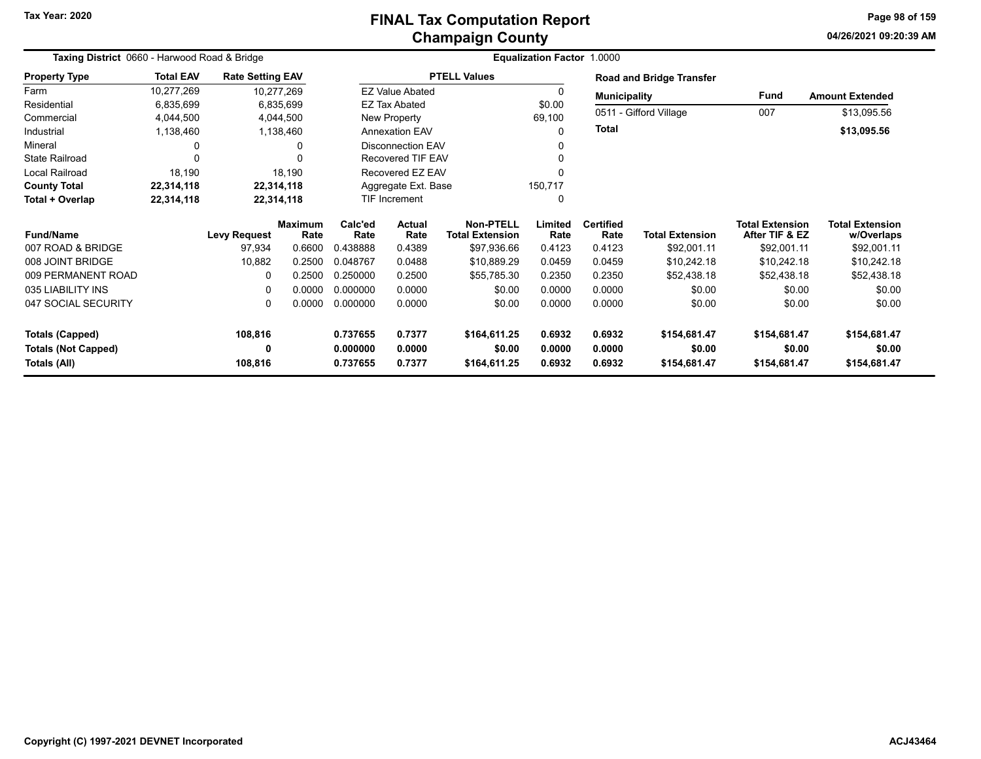# **Champaign County FINAL Tax Computation Report**

**04/26/2021 09:20:39 AMPage 98 of 159**

| <b>Taxing District 0660 - Harwood Road &amp; Bridge</b> |                  |                         |                        |                 |                          |                                            | <b>Equalization Factor 1.0000</b> |                          |                                 |                                          |                                      |
|---------------------------------------------------------|------------------|-------------------------|------------------------|-----------------|--------------------------|--------------------------------------------|-----------------------------------|--------------------------|---------------------------------|------------------------------------------|--------------------------------------|
| <b>Property Type</b>                                    | <b>Total EAV</b> | <b>Rate Setting EAV</b> |                        |                 |                          | <b>PTELL Values</b>                        |                                   |                          | <b>Road and Bridge Transfer</b> |                                          |                                      |
| Farm                                                    | 10,277,269       | 10,277,269              |                        |                 | <b>EZ Value Abated</b>   |                                            | 0                                 | <b>Municipality</b>      |                                 | Fund                                     | <b>Amount Extended</b>               |
| Residential                                             | 6,835,699        |                         | 6,835,699              |                 | <b>EZ Tax Abated</b>     |                                            | \$0.00                            |                          |                                 |                                          |                                      |
| Commercial                                              | 4,044,500        |                         | 4,044,500              |                 | New Property             |                                            | 69,100                            |                          | 0511 - Gifford Village          | 007                                      | \$13,095.56                          |
| Industrial                                              | 1,138,460        |                         | 1,138,460              |                 | <b>Annexation EAV</b>    |                                            |                                   | Total                    |                                 |                                          | \$13,095.56                          |
| Mineral                                                 | 0                |                         | 0                      |                 | <b>Disconnection EAV</b> |                                            |                                   |                          |                                 |                                          |                                      |
| <b>State Railroad</b>                                   | $\mathbf{0}$     |                         |                        |                 | <b>Recovered TIF EAV</b> |                                            |                                   |                          |                                 |                                          |                                      |
| <b>Local Railroad</b>                                   | 18,190           |                         | 18,190                 |                 | Recovered EZ EAV         |                                            |                                   |                          |                                 |                                          |                                      |
| <b>County Total</b>                                     | 22,314,118       | 22,314,118              |                        |                 | Aggregate Ext. Base      |                                            | 150,717                           |                          |                                 |                                          |                                      |
| Total + Overlap                                         | 22,314,118       | 22,314,118              |                        |                 | TIF Increment            |                                            | 0                                 |                          |                                 |                                          |                                      |
| <b>Fund/Name</b>                                        |                  | <b>Levy Request</b>     | <b>Maximum</b><br>Rate | Calc'ed<br>Rate | <b>Actual</b><br>Rate    | <b>Non-PTELL</b><br><b>Total Extension</b> | Limited<br>Rate                   | <b>Certified</b><br>Rate | <b>Total Extension</b>          | <b>Total Extension</b><br>After TIF & EZ | <b>Total Extension</b><br>w/Overlaps |
| 007 ROAD & BRIDGE                                       |                  | 97,934                  | 0.6600                 | 0.438888        | 0.4389                   | \$97,936.66                                | 0.4123                            | 0.4123                   | \$92,001.11                     | \$92,001.11                              | \$92,001.11                          |
| 008 JOINT BRIDGE                                        |                  | 10,882                  | 0.2500                 | 0.048767        | 0.0488                   | \$10,889.29                                | 0.0459                            | 0.0459                   | \$10,242.18                     | \$10,242.18                              | \$10,242.18                          |
| 009 PERMANENT ROAD                                      |                  | $\Omega$                | 0.2500                 | 0.250000        | 0.2500                   | \$55,785.30                                | 0.2350                            | 0.2350                   | \$52,438.18                     | \$52,438.18                              | \$52,438.18                          |
| 035 LIABILITY INS                                       |                  | 0                       | 0.0000                 | 0.000000        | 0.0000                   | \$0.00                                     | 0.0000                            | 0.0000                   | \$0.00                          | \$0.00                                   | \$0.00                               |
| 047 SOCIAL SECURITY                                     |                  | 0                       | 0.0000                 | 0.000000        | 0.0000                   | \$0.00                                     | 0.0000                            | 0.0000                   | \$0.00                          | \$0.00                                   | \$0.00                               |
| <b>Totals (Capped)</b>                                  |                  | 108,816                 |                        | 0.737655        | 0.7377                   | \$164,611.25                               | 0.6932                            | 0.6932                   | \$154,681.47                    | \$154,681.47                             | \$154,681.47                         |
| <b>Totals (Not Capped)</b>                              |                  | 0                       |                        | 0.000000        | 0.0000                   | \$0.00                                     | 0.0000                            | 0.0000                   | \$0.00                          | \$0.00                                   | \$0.00                               |
| Totals (All)                                            |                  | 108,816                 |                        | 0.737655        | 0.7377                   | \$164,611.25                               | 0.6932                            | 0.6932                   | \$154,681.47                    | \$154,681.47                             | \$154,681.47                         |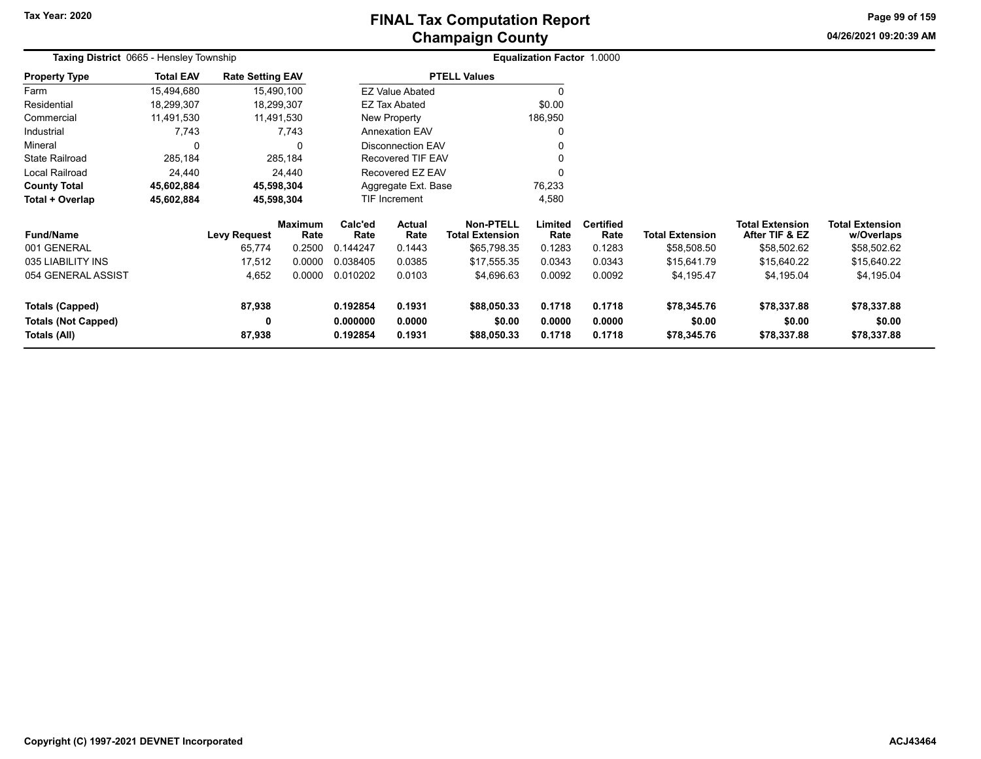**04/26/2021 09:20:39 AMPage 99 of 159**

| Taxing District 0665 - Hensley Township |                  |                         |                        |                     |                          |                                            | <b>Equalization Factor 1.0000</b> |                          |                        |                                          |                                      |
|-----------------------------------------|------------------|-------------------------|------------------------|---------------------|--------------------------|--------------------------------------------|-----------------------------------|--------------------------|------------------------|------------------------------------------|--------------------------------------|
| <b>Property Type</b>                    | <b>Total EAV</b> | <b>Rate Setting EAV</b> |                        |                     |                          | <b>PTELL Values</b>                        |                                   |                          |                        |                                          |                                      |
| Farm                                    | 15,494,680       |                         | 15,490,100             |                     | <b>EZ Value Abated</b>   |                                            | 0                                 |                          |                        |                                          |                                      |
| Residential                             | 18,299,307       | 18,299,307              |                        |                     | EZ Tax Abated            |                                            | \$0.00                            |                          |                        |                                          |                                      |
| Commercial                              | 11,491,530       | 11,491,530              |                        |                     | New Property             |                                            | 186,950                           |                          |                        |                                          |                                      |
| Industrial                              | 7,743            |                         | 7,743                  |                     | <b>Annexation EAV</b>    |                                            | 0                                 |                          |                        |                                          |                                      |
| Mineral                                 | $\Omega$         |                         | $\Omega$               |                     | <b>Disconnection EAV</b> |                                            | 0                                 |                          |                        |                                          |                                      |
| <b>State Railroad</b>                   | 285,184          |                         | 285,184                |                     | <b>Recovered TIF EAV</b> |                                            | 0                                 |                          |                        |                                          |                                      |
| Local Railroad                          | 24,440           |                         | 24,440                 |                     | Recovered EZ EAV         |                                            | 0                                 |                          |                        |                                          |                                      |
| <b>County Total</b>                     | 45,602,884       | 45,598,304              |                        | Aggregate Ext. Base |                          |                                            | 76,233                            |                          |                        |                                          |                                      |
| Total + Overlap                         | 45,602,884       | 45,598,304              |                        |                     | <b>TIF Increment</b>     |                                            | 4,580                             |                          |                        |                                          |                                      |
| <b>Fund/Name</b>                        |                  | <b>Levy Request</b>     | <b>Maximum</b><br>Rate | Calc'ed<br>Rate     | Actual<br>Rate           | <b>Non-PTELL</b><br><b>Total Extension</b> | Limited<br>Rate                   | <b>Certified</b><br>Rate | <b>Total Extension</b> | <b>Total Extension</b><br>After TIF & EZ | <b>Total Extension</b><br>w/Overlaps |
| 001 GENERAL                             |                  | 65,774                  | 0.2500                 | 0.144247            | 0.1443                   | \$65,798.35                                | 0.1283                            | 0.1283                   | \$58,508.50            | \$58,502.62                              | \$58,502.62                          |
| 035 LIABILITY INS                       |                  | 17,512                  | 0.0000                 | 0.038405            | 0.0385                   | \$17,555.35                                | 0.0343                            | 0.0343                   | \$15,641.79            | \$15,640.22                              | \$15,640.22                          |
| 054 GENERAL ASSIST                      |                  | 4,652                   | 0.0000                 | 0.010202            | 0.0103                   | \$4,696.63                                 | 0.0092                            | 0.0092                   | \$4,195.47             | \$4,195.04                               | \$4,195.04                           |
| Totals (Capped)                         |                  | 87,938                  |                        | 0.192854            | 0.1931                   | \$88,050.33                                | 0.1718                            | 0.1718                   | \$78,345.76            | \$78,337.88                              | \$78,337.88                          |
| <b>Totals (Not Capped)</b>              |                  | 0                       |                        | 0.000000            | 0.0000                   | \$0.00                                     | 0.0000                            | 0.0000                   | \$0.00                 | \$0.00                                   | \$0.00                               |
| Totals (All)                            |                  | 87,938                  |                        | 0.192854            | 0.1931                   | \$88,050.33                                | 0.1718                            | 0.1718                   | \$78,345.76            | \$78,337.88                              | \$78,337.88                          |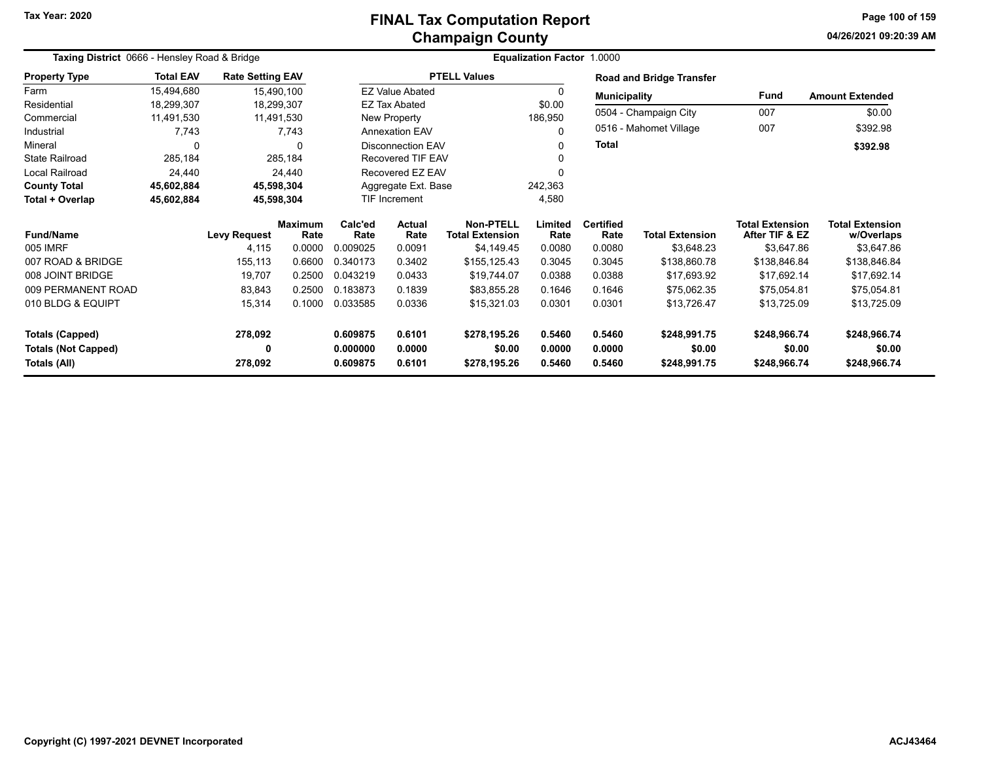## **Champaign County FINAL Tax Computation Report**

**04/26/2021 09:20:39 AM Page 100 of 159**

| Taxing District 0666 - Hensley Road & Bridge |                  |                         |                        |                 |                        |                                            | Equalization Factor 1.0000 |                          |                                 |                                          |                                      |
|----------------------------------------------|------------------|-------------------------|------------------------|-----------------|------------------------|--------------------------------------------|----------------------------|--------------------------|---------------------------------|------------------------------------------|--------------------------------------|
| <b>Property Type</b>                         | <b>Total EAV</b> | <b>Rate Setting EAV</b> |                        |                 |                        | <b>PTELL Values</b>                        |                            |                          | <b>Road and Bridge Transfer</b> |                                          |                                      |
| Farm                                         | 15,494,680       |                         | 15,490,100             |                 | <b>EZ Value Abated</b> |                                            | 0                          | <b>Municipality</b>      |                                 | <b>Fund</b>                              | <b>Amount Extended</b>               |
| Residential                                  | 18,299,307       |                         | 18,299,307             |                 | <b>EZ Tax Abated</b>   |                                            | \$0.00                     |                          |                                 |                                          |                                      |
| Commercial                                   | 11,491,530       |                         | 11,491,530             |                 | New Property           |                                            | 186,950                    |                          | 0504 - Champaign City           | 007                                      | \$0.00                               |
| Industrial                                   | 7,743            |                         | 7,743                  |                 | <b>Annexation EAV</b>  |                                            | 0                          |                          | 0516 - Mahomet Village          | 007                                      | \$392.98                             |
| Mineral                                      | $\Omega$         |                         | <sup>0</sup>           |                 | Disconnection EAV      |                                            | 0                          | <b>Total</b>             |                                 |                                          | \$392.98                             |
| <b>State Railroad</b>                        | 285,184          |                         | 285,184                |                 | Recovered TIF EAV      |                                            | $\Omega$                   |                          |                                 |                                          |                                      |
| <b>Local Railroad</b>                        | 24,440           |                         | 24,440                 |                 | Recovered EZ EAV       |                                            | $\Omega$                   |                          |                                 |                                          |                                      |
| <b>County Total</b>                          | 45,602,884       |                         | 45,598,304             |                 | Aggregate Ext. Base    |                                            | 242,363                    |                          |                                 |                                          |                                      |
| Total + Overlap                              | 45,602,884       |                         | 45,598,304             |                 | TIF Increment          |                                            | 4,580                      |                          |                                 |                                          |                                      |
| <b>Fund/Name</b>                             |                  | <b>Levy Request</b>     | <b>Maximum</b><br>Rate | Calc'ed<br>Rate | <b>Actual</b><br>Rate  | <b>Non-PTELL</b><br><b>Total Extension</b> | Limited<br>Rate            | <b>Certified</b><br>Rate | <b>Total Extension</b>          | <b>Total Extension</b><br>After TIF & EZ | <b>Total Extension</b><br>w/Overlaps |
| 005 IMRF                                     |                  | 4,115                   | 0.0000                 | 0.009025        | 0.0091                 | \$4,149.45                                 | 0.0080                     | 0.0080                   | \$3,648.23                      | \$3,647.86                               | \$3,647.86                           |
| 007 ROAD & BRIDGE                            |                  | 155,113                 | 0.6600                 | 0.340173        | 0.3402                 | \$155,125.43                               | 0.3045                     | 0.3045                   | \$138,860.78                    | \$138,846.84                             | \$138,846.84                         |
| 008 JOINT BRIDGE                             |                  | 19,707                  | 0.2500                 | 0.043219        | 0.0433                 | \$19,744.07                                | 0.0388                     | 0.0388                   | \$17,693.92                     | \$17,692.14                              | \$17,692.14                          |
| 009 PERMANENT ROAD                           |                  | 83,843                  | 0.2500                 | 0.183873        | 0.1839                 | \$83,855.28                                | 0.1646                     | 0.1646                   | \$75,062.35                     | \$75,054.81                              | \$75,054.81                          |
| 010 BLDG & EQUIPT                            |                  | 15,314                  | 0.1000                 | 0.033585        | 0.0336                 | \$15,321.03                                | 0.0301                     | 0.0301                   | \$13,726.47                     | \$13,725.09                              | \$13,725.09                          |
| <b>Totals (Capped)</b>                       |                  | 278,092                 |                        | 0.609875        | 0.6101                 | \$278,195.26                               | 0.5460                     | 0.5460                   | \$248,991.75                    | \$248,966.74                             | \$248,966.74                         |
| <b>Totals (Not Capped)</b>                   |                  | 0                       |                        | 0.000000        | 0.0000                 | \$0.00                                     | 0.0000                     | 0.0000                   | \$0.00                          | \$0.00                                   | \$0.00                               |
| Totals (All)                                 |                  | 278,092                 |                        | 0.609875        | 0.6101                 | \$278,195.26                               | 0.5460                     | 0.5460                   | \$248,991.75                    | \$248,966.74                             | \$248,966.74                         |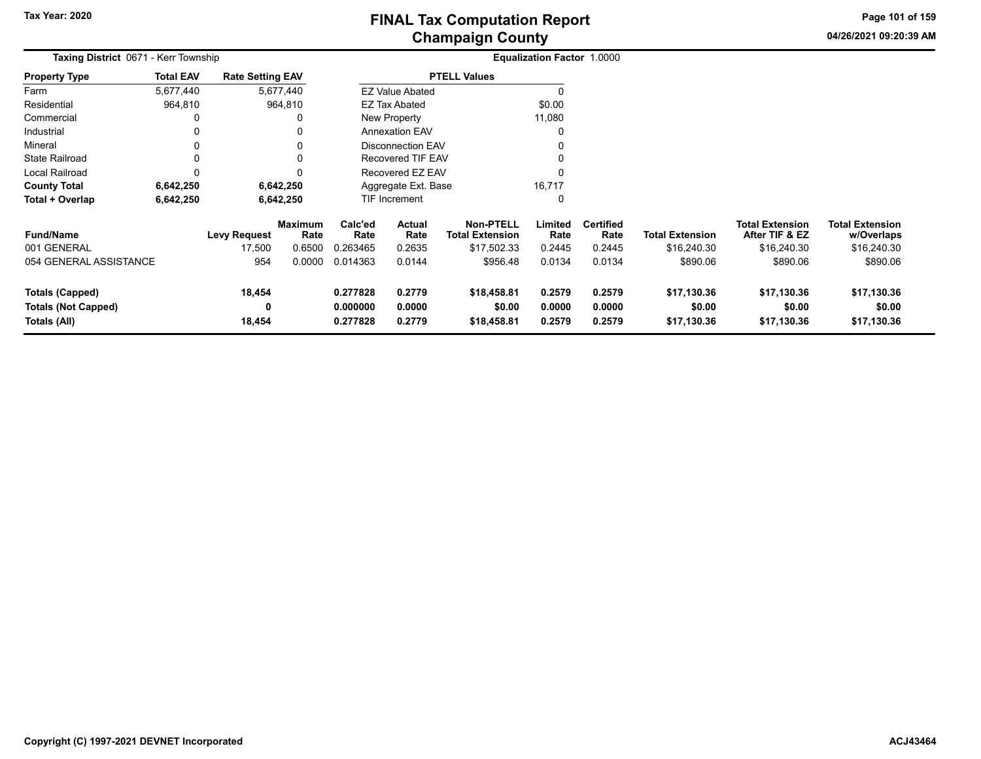**04/26/2021 09:20:39 AM Page 101 of 159**

| Taxing District 0671 - Kerr Township                                 |                  |                         |                        |                                  |                               |                                            | Equalization Factor 1.0000 |                            |                                      |                                          |                                      |  |
|----------------------------------------------------------------------|------------------|-------------------------|------------------------|----------------------------------|-------------------------------|--------------------------------------------|----------------------------|----------------------------|--------------------------------------|------------------------------------------|--------------------------------------|--|
| <b>Property Type</b>                                                 | <b>Total EAV</b> | <b>Rate Setting EAV</b> |                        |                                  |                               | <b>PTELL Values</b>                        |                            |                            |                                      |                                          |                                      |  |
| Farm                                                                 | 5,677,440        |                         | 5,677,440              |                                  | <b>EZ Value Abated</b>        |                                            |                            |                            |                                      |                                          |                                      |  |
| Residential                                                          | 964,810          |                         | 964,810                |                                  | EZ Tax Abated                 |                                            | \$0.00                     |                            |                                      |                                          |                                      |  |
| Commercial                                                           | 0                |                         |                        |                                  | New Property                  |                                            | 11,080                     |                            |                                      |                                          |                                      |  |
| Industrial                                                           | 0                |                         |                        |                                  | <b>Annexation EAV</b>         |                                            |                            |                            |                                      |                                          |                                      |  |
| Mineral                                                              | 0                |                         |                        |                                  | <b>Disconnection EAV</b>      |                                            |                            |                            |                                      |                                          |                                      |  |
| <b>State Railroad</b>                                                | 0                |                         |                        |                                  | <b>Recovered TIF EAV</b>      |                                            |                            |                            |                                      |                                          |                                      |  |
| Local Railroad                                                       | $\Omega$         |                         |                        |                                  | Recovered EZ EAV              |                                            |                            |                            |                                      |                                          |                                      |  |
| <b>County Total</b>                                                  | 6,642,250        |                         | 6,642,250              |                                  | 16,717<br>Aggregate Ext. Base |                                            |                            |                            |                                      |                                          |                                      |  |
| Total + Overlap                                                      | 6,642,250        |                         | 6,642,250              |                                  | TIF Increment                 |                                            | 0                          |                            |                                      |                                          |                                      |  |
| <b>Fund/Name</b>                                                     |                  | <b>Levy Request</b>     | <b>Maximum</b><br>Rate | Calc'ed<br>Rate                  | Actual<br>Rate                | <b>Non-PTELL</b><br><b>Total Extension</b> | Limited<br>Rate            | <b>Certified</b><br>Rate   | <b>Total Extension</b>               | <b>Total Extension</b><br>After TIF & EZ | <b>Total Extension</b><br>w/Overlaps |  |
| 001 GENERAL                                                          |                  | 17,500                  | 0.6500                 | 0.263465                         | 0.2635                        | \$17,502.33                                | 0.2445                     | 0.2445                     | \$16,240.30                          | \$16,240.30                              | \$16,240.30                          |  |
| 054 GENERAL ASSISTANCE                                               |                  | 954                     | 0.0000                 | 0.014363                         | 0.0144                        | \$956.48                                   | 0.0134                     | 0.0134                     | \$890.06                             | \$890.06                                 | \$890.06                             |  |
| <b>Totals (Capped)</b><br><b>Totals (Not Capped)</b><br>Totals (All) |                  | 18,454<br>0<br>18,454   |                        | 0.277828<br>0.000000<br>0.277828 | 0.2779<br>0.0000<br>0.2779    | \$18,458.81<br>\$0.00<br>\$18,458.81       | 0.2579<br>0.0000<br>0.2579 | 0.2579<br>0.0000<br>0.2579 | \$17,130.36<br>\$0.00<br>\$17,130.36 | \$17,130.36<br>\$0.00<br>\$17,130.36     | \$17,130.36<br>\$0.00<br>\$17,130.36 |  |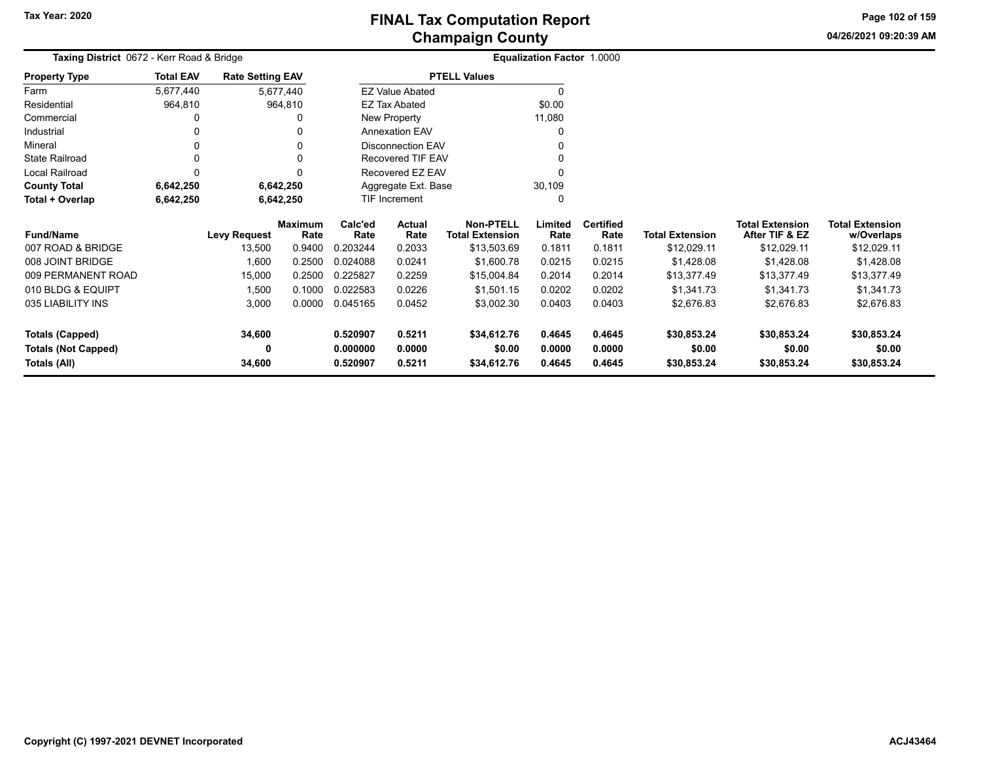**04/26/2021 09:20:39 AM Page 102 of 159**

| Taxing District 0672 - Kerr Road & Bridge |                  |                         |                        |                 | <b>Equalization Factor 1.0000</b> |                                            |                 |                          |                        |                                          |                                      |
|-------------------------------------------|------------------|-------------------------|------------------------|-----------------|-----------------------------------|--------------------------------------------|-----------------|--------------------------|------------------------|------------------------------------------|--------------------------------------|
| <b>Property Type</b>                      | <b>Total EAV</b> | <b>Rate Setting EAV</b> |                        |                 |                                   | <b>PTELL Values</b>                        |                 |                          |                        |                                          |                                      |
| Farm                                      | 5,677,440        |                         | 5,677,440              |                 | <b>EZ Value Abated</b>            |                                            |                 |                          |                        |                                          |                                      |
| Residential                               | 964,810          |                         | 964,810                |                 | EZ Tax Abated                     |                                            | \$0.00          |                          |                        |                                          |                                      |
| Commercial                                |                  |                         |                        |                 | New Property                      |                                            | 11,080          |                          |                        |                                          |                                      |
| Industrial                                |                  |                         |                        |                 | <b>Annexation EAV</b>             |                                            |                 |                          |                        |                                          |                                      |
| Mineral                                   |                  |                         |                        |                 | <b>Disconnection EAV</b>          |                                            |                 |                          |                        |                                          |                                      |
| <b>State Railroad</b>                     |                  |                         |                        |                 | Recovered TIF EAV                 |                                            |                 |                          |                        |                                          |                                      |
| <b>Local Railroad</b>                     | 0                |                         |                        |                 | Recovered EZ EAV                  |                                            |                 |                          |                        |                                          |                                      |
| <b>County Total</b>                       | 6,642,250        |                         | 6,642,250              |                 | Aggregate Ext. Base               |                                            | 30,109          |                          |                        |                                          |                                      |
| Total + Overlap                           | 6,642,250        |                         | 6,642,250              |                 | TIF Increment                     |                                            |                 |                          |                        |                                          |                                      |
| <b>Fund/Name</b>                          |                  | <b>Levy Request</b>     | <b>Maximum</b><br>Rate | Calc'ed<br>Rate | Actual<br>Rate                    | <b>Non-PTELL</b><br><b>Total Extension</b> | Limited<br>Rate | <b>Certified</b><br>Rate | <b>Total Extension</b> | <b>Total Extension</b><br>After TIF & EZ | <b>Total Extension</b><br>w/Overlaps |
| 007 ROAD & BRIDGE                         |                  | 13,500                  | 0.9400                 | 0.203244        | 0.2033                            | \$13,503.69                                | 0.1811          | 0.1811                   | \$12,029.11            | \$12,029.11                              | \$12,029.11                          |
| 008 JOINT BRIDGE                          |                  | 1,600                   | 0.2500                 | 0.024088        | 0.0241                            | \$1,600.78                                 | 0.0215          | 0.0215                   | \$1,428.08             | \$1,428.08                               | \$1,428.08                           |
| 009 PERMANENT ROAD                        |                  | 15,000                  | 0.2500                 | 0.225827        | 0.2259                            | \$15,004.84                                | 0.2014          | 0.2014                   | \$13,377.49            | \$13,377.49                              | \$13,377.49                          |
| 010 BLDG & EQUIPT                         |                  | 1,500                   | 0.1000                 | 0.022583        | 0.0226                            | \$1,501.15                                 | 0.0202          | 0.0202                   | \$1,341.73             | \$1,341.73                               | \$1,341.73                           |
| 035 LIABILITY INS                         |                  | 3,000                   | 0.0000                 | 0.045165        | 0.0452                            | \$3,002.30                                 | 0.0403          | 0.0403                   | \$2,676.83             | \$2,676.83                               | \$2,676.83                           |
| <b>Totals (Capped)</b>                    |                  | 34,600                  |                        | 0.520907        | 0.5211                            | \$34,612.76                                | 0.4645          | 0.4645                   | \$30,853.24            | \$30,853.24                              | \$30,853.24                          |
| <b>Totals (Not Capped)</b>                |                  | 0                       |                        | 0.000000        | 0.0000                            | \$0.00                                     | 0.0000          | 0.0000                   | \$0.00                 | \$0.00                                   | \$0.00                               |
| Totals (All)                              |                  | 34,600                  |                        | 0.520907        | 0.5211                            | \$34,612.76                                | 0.4645          | 0.4645                   | \$30,853.24            | \$30,853.24                              | \$30,853.24                          |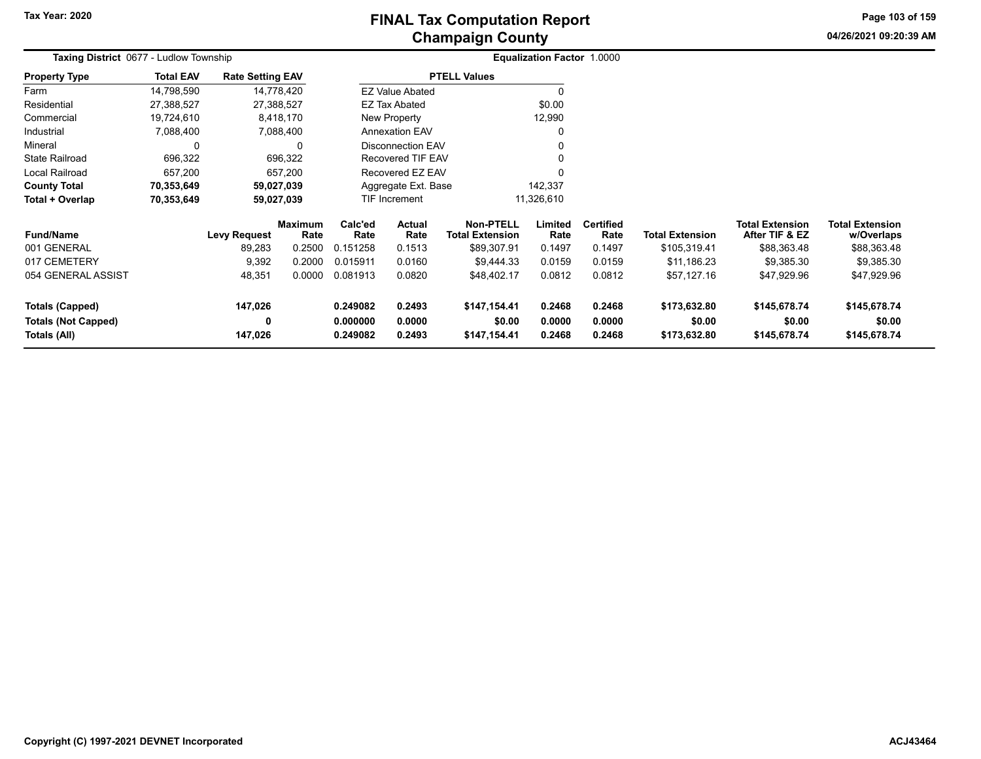# **Champaign County FINAL Tax Computation Report**

**04/26/2021 09:20:39 AM**

**Page 103 of 159**

| <b>Taxing District 0677 - Ludlow Township</b> |                  |                         |                        |                      |                                |                                            | Equalization Factor 1.0000 |                          |                        |                                          |                                      |
|-----------------------------------------------|------------------|-------------------------|------------------------|----------------------|--------------------------------|--------------------------------------------|----------------------------|--------------------------|------------------------|------------------------------------------|--------------------------------------|
| <b>Property Type</b>                          | <b>Total EAV</b> | <b>Rate Setting EAV</b> |                        |                      |                                | <b>PTELL Values</b>                        |                            |                          |                        |                                          |                                      |
| Farm                                          | 14,798,590       |                         | 14,778,420             |                      | <b>EZ Value Abated</b>         |                                            |                            |                          |                        |                                          |                                      |
| Residential                                   | 27,388,527       |                         | 27,388,527             |                      | EZ Tax Abated                  |                                            | \$0.00                     |                          |                        |                                          |                                      |
| Commercial                                    | 19,724,610       |                         | 8,418,170              |                      | New Property                   |                                            | 12,990                     |                          |                        |                                          |                                      |
| Industrial                                    | 7,088,400        |                         | 7,088,400              |                      | <b>Annexation EAV</b>          |                                            |                            |                          |                        |                                          |                                      |
| Mineral                                       | 0                |                         | 0                      |                      | <b>Disconnection EAV</b>       |                                            |                            |                          |                        |                                          |                                      |
| <b>State Railroad</b>                         | 696,322          |                         | 696,322                |                      | <b>Recovered TIF EAV</b>       |                                            |                            |                          |                        |                                          |                                      |
| Local Railroad                                | 657,200          |                         | 657,200                |                      | Recovered EZ EAV               |                                            |                            |                          |                        |                                          |                                      |
| <b>County Total</b>                           | 70,353,649       |                         | 59,027,039             |                      | 142,337<br>Aggregate Ext. Base |                                            |                            |                          |                        |                                          |                                      |
| Total + Overlap                               | 70,353,649       |                         | 59,027,039             |                      | TIF Increment                  |                                            | 11,326,610                 |                          |                        |                                          |                                      |
| <b>Fund/Name</b>                              |                  | <b>Levy Request</b>     | <b>Maximum</b><br>Rate | Calc'ed<br>Rate      | <b>Actual</b><br>Rate          | <b>Non-PTELL</b><br><b>Total Extension</b> | Limited<br>Rate            | <b>Certified</b><br>Rate | <b>Total Extension</b> | <b>Total Extension</b><br>After TIF & EZ | <b>Total Extension</b><br>w/Overlaps |
| 001 GENERAL                                   |                  | 89,283                  | 0.2500                 | 0.151258             | 0.1513                         | \$89,307.91                                | 0.1497                     | 0.1497                   | \$105,319.41           | \$88,363.48                              | \$88,363.48                          |
| 017 CEMETERY                                  |                  | 9,392                   | 0.2000                 | 0.015911             | 0.0160                         | \$9,444.33                                 | 0.0159                     | 0.0159                   | \$11,186.23            | \$9,385.30                               | \$9,385.30                           |
| 054 GENERAL ASSIST                            |                  | 48,351                  | 0.0000                 | 0.081913             | 0.0820                         | \$48,402.17                                | 0.0812                     | 0.0812                   | \$57,127.16            | \$47,929.96                              | \$47,929.96                          |
| Totals (Capped)                               |                  | 147,026                 |                        | 0.249082             | 0.2493                         | \$147,154.41                               | 0.2468                     | 0.2468                   | \$173,632.80           | \$145,678.74                             | \$145,678.74                         |
| <b>Totals (Not Capped)</b><br>Totals (All)    |                  | 0<br>147,026            |                        | 0.000000<br>0.249082 | 0.0000<br>0.2493               | \$0.00<br>\$147,154.41                     | 0.0000<br>0.2468           | 0.0000<br>0.2468         | \$0.00<br>\$173,632.80 | \$0.00<br>\$145,678.74                   | \$0.00<br>\$145,678.74               |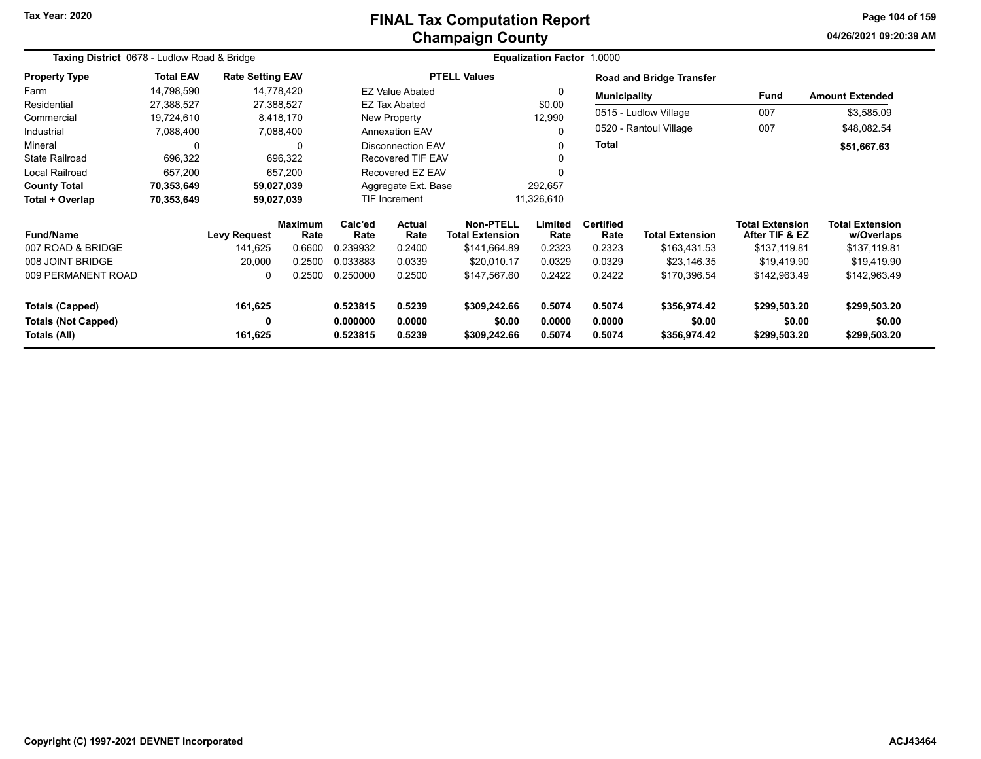## **Champaign County FINAL Tax Computation Report**

**04/26/2021 09:20:39 AMPage 104 of 159**

|                                            | Taxing District 0678 - Ludlow Road & Bridge<br><b>Rate Setting EAV</b> |                     |                        |                                    |                        |                                            | Equalization Factor 1.0000 |                          |                                 |                                          |                                      |
|--------------------------------------------|------------------------------------------------------------------------|---------------------|------------------------|------------------------------------|------------------------|--------------------------------------------|----------------------------|--------------------------|---------------------------------|------------------------------------------|--------------------------------------|
| <b>Property Type</b>                       | <b>Total EAV</b>                                                       |                     |                        |                                    |                        | <b>PTELL Values</b>                        |                            |                          | <b>Road and Bridge Transfer</b> |                                          |                                      |
| Farm                                       | 14,798,590                                                             | 14,778,420          |                        |                                    | <b>EZ Value Abated</b> |                                            | $\Omega$                   | <b>Municipality</b>      |                                 | Fund                                     | <b>Amount Extended</b>               |
| Residential                                | 27,388,527                                                             | 27,388,527          |                        |                                    | <b>EZ Tax Abated</b>   |                                            | \$0.00                     |                          |                                 |                                          |                                      |
| Commercial                                 | 19,724,610                                                             |                     | 8,418,170              |                                    | New Property           |                                            | 12,990                     |                          | 0515 - Ludlow Village           | 007                                      | \$3,585.09                           |
| Industrial                                 | 7,088,400                                                              |                     | 7,088,400              |                                    | <b>Annexation EAV</b>  |                                            |                            | 0520 - Rantoul Village   | 007                             | \$48,082.54                              |                                      |
| Mineral                                    | 0                                                                      |                     | 0                      | Disconnection EAV                  |                        |                                            |                            | <b>Total</b>             |                                 |                                          | \$51,667.63                          |
| <b>State Railroad</b>                      | 696,322                                                                |                     | 696,322                |                                    | Recovered TIF EAV      |                                            |                            |                          |                                 |                                          |                                      |
| <b>Local Railroad</b>                      | 657,200                                                                |                     | 657,200                |                                    | Recovered EZ EAV       |                                            |                            |                          |                                 |                                          |                                      |
| <b>County Total</b>                        | 70,353,649                                                             | 59,027,039          |                        | Aggregate Ext. Base                |                        |                                            | 292,657                    |                          |                                 |                                          |                                      |
| Total + Overlap                            | 70,353,649                                                             | 59,027,039          |                        | <b>TIF Increment</b><br>11,326,610 |                        |                                            |                            |                          |                                 |                                          |                                      |
| <b>Fund/Name</b>                           |                                                                        | <b>Levy Request</b> | <b>Maximum</b><br>Rate | Calc'ed<br>Rate                    | <b>Actual</b><br>Rate  | <b>Non-PTELL</b><br><b>Total Extension</b> | Limited<br>Rate            | <b>Certified</b><br>Rate | <b>Total Extension</b>          | <b>Total Extension</b><br>After TIF & EZ | <b>Total Extension</b><br>w/Overlaps |
| 007 ROAD & BRIDGE                          |                                                                        | 141,625             | 0.6600                 | 0.239932                           | 0.2400                 | \$141,664.89                               | 0.2323                     | 0.2323                   | \$163,431.53                    | \$137,119.81                             | \$137,119.81                         |
| 008 JOINT BRIDGE                           |                                                                        | 20,000              | 0.2500                 | 0.033883                           | 0.0339                 | \$20,010.17                                | 0.0329                     | 0.0329                   | \$23,146.35                     | \$19,419.90                              | \$19,419.90                          |
| 009 PERMANENT ROAD                         |                                                                        | $\mathbf{0}$        | 0.2500                 | 0.250000                           | 0.2500                 | \$147,567.60                               | 0.2422                     | 0.2422                   | \$170,396.54                    | \$142,963.49                             | \$142,963.49                         |
| Totals (Capped)                            |                                                                        | 161,625             |                        | 0.523815                           | 0.5239                 | \$309,242.66                               | 0.5074                     | 0.5074                   | \$356,974.42                    | \$299.503.20                             | \$299,503.20                         |
| <b>Totals (Not Capped)</b><br>Totals (All) |                                                                        | 0<br>161,625        |                        | 0.000000<br>0.523815               | 0.0000<br>0.5239       | \$0.00<br>\$309,242.66                     | 0.0000<br>0.5074           | 0.0000<br>0.5074         | \$0.00<br>\$356,974.42          | \$0.00<br>\$299,503.20                   | \$0.00<br>\$299,503.20               |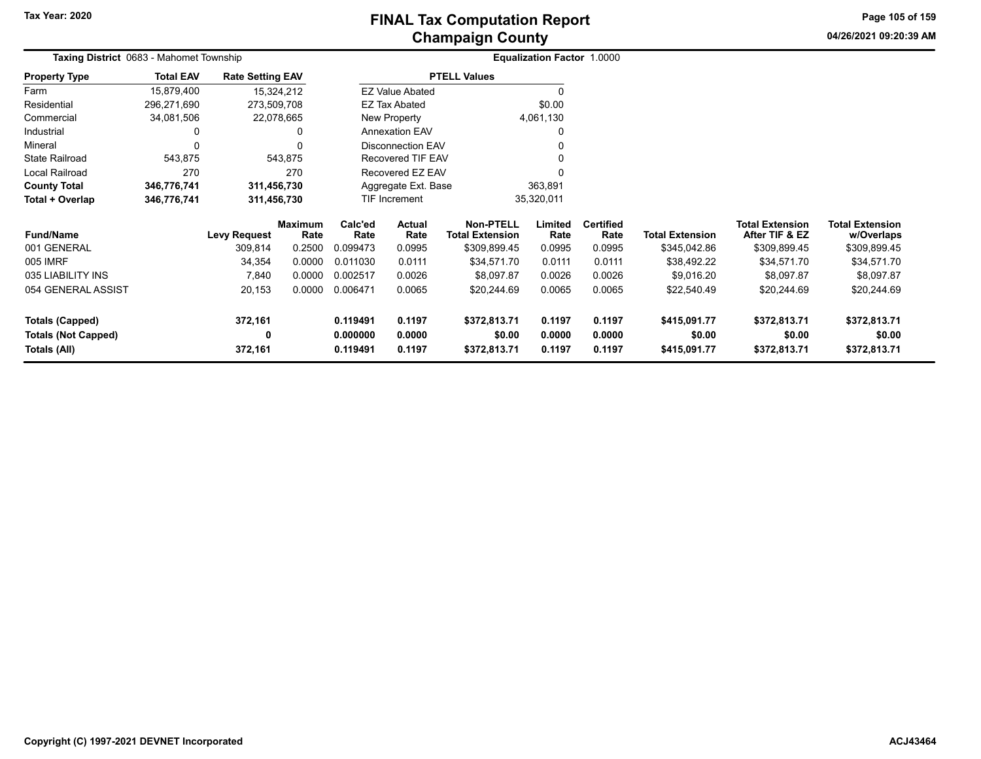# **Champaign County FINAL Tax Computation Report**

**04/26/2021 09:20:39 AM Page 105 of 159**

| Taxing District 0683 - Mahomet Township |                  |                         |                        |                                               | <b>Equalization Factor 1.0000</b> |                                            |                 |                          |                 |                                          |                                      |
|-----------------------------------------|------------------|-------------------------|------------------------|-----------------------------------------------|-----------------------------------|--------------------------------------------|-----------------|--------------------------|-----------------|------------------------------------------|--------------------------------------|
| <b>Property Type</b>                    | <b>Total EAV</b> | <b>Rate Setting EAV</b> |                        | <b>PTELL Values</b><br><b>EZ Value Abated</b> |                                   |                                            |                 |                          |                 |                                          |                                      |
| Farm                                    | 15,879,400       |                         | 15,324,212             |                                               |                                   |                                            |                 |                          |                 |                                          |                                      |
| Residential                             | 296,271,690      | 273,509,708             |                        |                                               | EZ Tax Abated                     |                                            | \$0.00          |                          |                 |                                          |                                      |
| Commercial                              | 34,081,506       |                         | 22,078,665             |                                               | New Property                      |                                            | 4,061,130       |                          |                 |                                          |                                      |
| Industrial                              |                  |                         | 0                      |                                               | Annexation EAV                    |                                            |                 |                          |                 |                                          |                                      |
| Mineral                                 | 0                |                         | $\Omega$               |                                               | <b>Disconnection EAV</b>          |                                            |                 |                          |                 |                                          |                                      |
| State Railroad                          | 543,875          |                         | 543,875                |                                               | Recovered TIF EAV                 |                                            |                 |                          |                 |                                          |                                      |
| Local Railroad                          | 270              |                         | 270                    |                                               | Recovered EZ EAV                  |                                            |                 |                          |                 |                                          |                                      |
| <b>County Total</b>                     | 346,776,741      | 311,456,730             |                        |                                               | Aggregate Ext. Base               |                                            | 363,891         |                          |                 |                                          |                                      |
| Total + Overlap                         | 346,776,741      | 311,456,730             |                        |                                               | TIF Increment                     |                                            | 35,320,011      |                          |                 |                                          |                                      |
| <b>Fund/Name</b>                        |                  | <b>Levy Request</b>     | <b>Maximum</b><br>Rate | Calc'ed<br>Rate                               | Actual<br>Rate                    | <b>Non-PTELL</b><br><b>Total Extension</b> | Limited<br>Rate | <b>Certified</b><br>Rate | Total Extension | <b>Total Extension</b><br>After TIF & EZ | <b>Total Extension</b><br>w/Overlaps |
| 001 GENERAL                             |                  | 309,814                 | 0.2500                 | 0.099473                                      | 0.0995                            | \$309,899.45                               | 0.0995          | 0.0995                   | \$345,042.86    | \$309,899.45                             | \$309,899.45                         |
| 005 IMRF                                |                  | 34,354                  | 0.0000                 | 0.011030                                      | 0.0111                            | \$34,571.70                                | 0.0111          | 0.0111                   | \$38,492.22     | \$34,571.70                              | \$34,571.70                          |
| 035 LIABILITY INS                       |                  | 7,840                   | 0.0000                 | 0.002517                                      | 0.0026                            | \$8,097.87                                 | 0.0026          | 0.0026                   | \$9,016.20      | \$8,097.87                               | \$8,097.87                           |
| 054 GENERAL ASSIST                      |                  | 20,153                  | 0.0000                 | 0.006471                                      | 0.0065                            | \$20,244.69                                | 0.0065          | 0.0065                   | \$22,540.49     | \$20,244.69                              | \$20,244.69                          |
| Totals (Capped)                         |                  | 372,161                 |                        | 0.119491                                      | 0.1197                            | \$372,813.71                               | 0.1197          | 0.1197                   | \$415,091.77    | \$372,813.71                             | \$372,813.71                         |
| <b>Totals (Not Capped)</b>              |                  | 0                       |                        | 0.000000                                      | 0.0000                            | \$0.00                                     | 0.0000          | 0.0000                   | \$0.00          | \$0.00                                   | \$0.00                               |
| Totals (All)                            |                  | 372,161                 |                        | 0.119491                                      | 0.1197                            | \$372,813.71                               | 0.1197          | 0.1197                   | \$415,091.77    | \$372,813.71                             | \$372,813.71                         |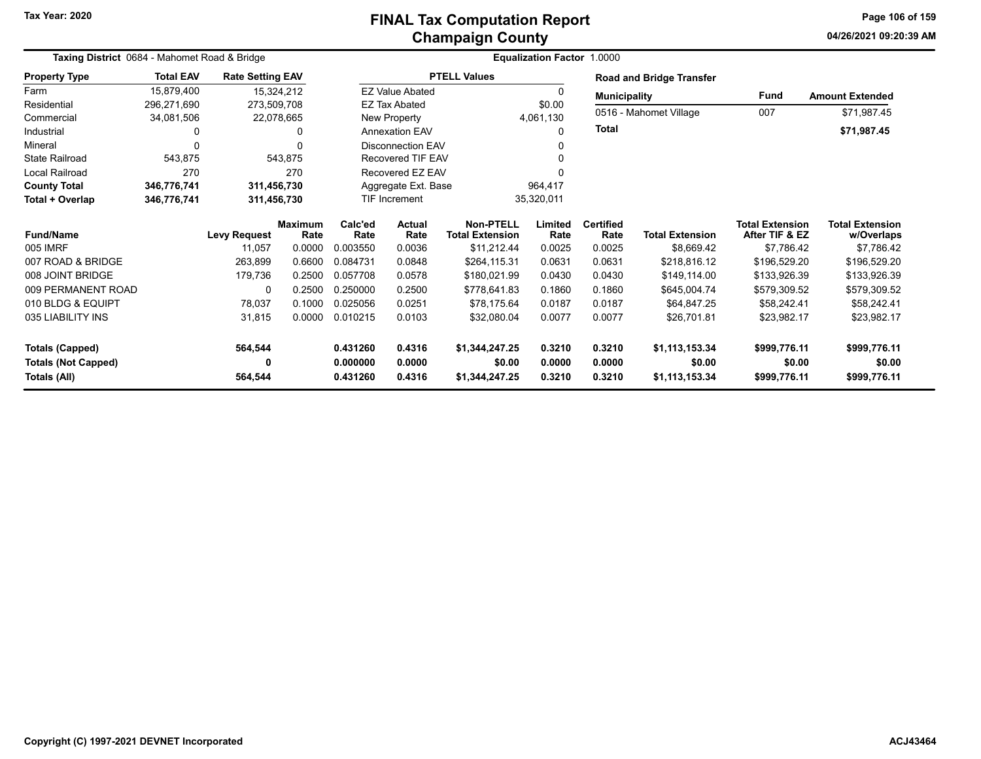## **Champaign County FINAL Tax Computation Report**

**04/26/2021 09:20:39 AM Page 106 of 159**

|                            | Taxing District 0684 - Mahomet Road & Bridge<br><b>Total EAV</b><br><b>Rate Setting EAV</b><br>15,879,400<br>15,324,212<br>296,271,690<br>273,509,708<br>34,081,506<br>22,078,665<br>0<br>0<br>543,875<br>543,875<br>270<br>270<br>346,776,741<br>311,456,730<br>346,776,741<br>311,456,730 |                     |                        |                 |                                    | <b>Equalization Factor 1.0000</b>   |                 |                          |                                 |                                          |                                      |
|----------------------------|---------------------------------------------------------------------------------------------------------------------------------------------------------------------------------------------------------------------------------------------------------------------------------------------|---------------------|------------------------|-----------------|------------------------------------|-------------------------------------|-----------------|--------------------------|---------------------------------|------------------------------------------|--------------------------------------|
| <b>Property Type</b>       |                                                                                                                                                                                                                                                                                             |                     |                        |                 |                                    | <b>PTELL Values</b>                 |                 |                          | <b>Road and Bridge Transfer</b> |                                          |                                      |
| Farm                       |                                                                                                                                                                                                                                                                                             |                     |                        |                 | <b>EZ Value Abated</b>             |                                     |                 | <b>Municipality</b>      |                                 | <b>Fund</b>                              | <b>Amount Extended</b>               |
| Residential                |                                                                                                                                                                                                                                                                                             |                     |                        |                 | <b>EZ Tax Abated</b>               |                                     | \$0.00          |                          |                                 |                                          |                                      |
| Commercial                 |                                                                                                                                                                                                                                                                                             |                     |                        |                 | New Property                       |                                     | 4,061,130       |                          | 0516 - Mahomet Village          | 007                                      | \$71,987.45                          |
| Industrial                 |                                                                                                                                                                                                                                                                                             |                     |                        |                 | <b>Annexation EAV</b>              |                                     | $\Omega$        | <b>Total</b>             |                                 |                                          | \$71,987.45                          |
| Mineral                    |                                                                                                                                                                                                                                                                                             |                     |                        |                 | <b>Disconnection EAV</b>           |                                     |                 |                          |                                 |                                          |                                      |
| <b>State Railroad</b>      |                                                                                                                                                                                                                                                                                             |                     |                        |                 | Recovered TIF EAV                  |                                     |                 |                          |                                 |                                          |                                      |
| Local Railroad             |                                                                                                                                                                                                                                                                                             |                     |                        |                 | Recovered EZ EAV                   |                                     |                 |                          |                                 |                                          |                                      |
| <b>County Total</b>        |                                                                                                                                                                                                                                                                                             |                     |                        |                 | Aggregate Ext. Base                |                                     | 964,417         |                          |                                 |                                          |                                      |
| Total + Overlap            |                                                                                                                                                                                                                                                                                             |                     |                        |                 | <b>TIF Increment</b><br>35,320,011 |                                     |                 |                          |                                 |                                          |                                      |
| <b>Fund/Name</b>           |                                                                                                                                                                                                                                                                                             | <b>Levy Request</b> | <b>Maximum</b><br>Rate | Calc'ed<br>Rate | <b>Actual</b><br>Rate              | Non-PTELL<br><b>Total Extension</b> | Limited<br>Rate | <b>Certified</b><br>Rate | <b>Total Extension</b>          | <b>Total Extension</b><br>After TIF & EZ | <b>Total Extension</b><br>w/Overlaps |
| 005 IMRF                   |                                                                                                                                                                                                                                                                                             | 11,057              | 0.0000                 | 0.003550        | 0.0036                             | \$11,212.44                         | 0.0025          | 0.0025                   | \$8.669.42                      | \$7,786.42                               | \$7,786.42                           |
| 007 ROAD & BRIDGE          |                                                                                                                                                                                                                                                                                             | 263,899             | 0.6600                 | 0.084731        | 0.0848                             | \$264,115.31                        | 0.0631          | 0.0631                   | \$218,816.12                    | \$196,529.20                             | \$196,529.20                         |
| 008 JOINT BRIDGE           |                                                                                                                                                                                                                                                                                             | 179,736             | 0.2500                 | 0.057708        | 0.0578                             | \$180,021.99                        | 0.0430          | 0.0430                   | \$149,114.00                    | \$133,926.39                             | \$133,926.39                         |
| 009 PERMANENT ROAD         |                                                                                                                                                                                                                                                                                             | 0                   | 0.2500                 | 0.250000        | 0.2500                             | \$778,641.83                        | 0.1860          | 0.1860                   | \$645,004.74                    | \$579,309.52                             | \$579,309.52                         |
| 010 BLDG & EQUIPT          |                                                                                                                                                                                                                                                                                             | 78,037              | 0.1000                 | 0.025056        | 0.0251                             | \$78.175.64                         | 0.0187          | 0.0187                   | \$64,847.25                     | \$58,242.41                              | \$58,242.41                          |
| 035 LIABILITY INS          |                                                                                                                                                                                                                                                                                             | 31,815              | 0.0000                 | 0.010215        | 0.0103                             | \$32,080.04                         | 0.0077          | 0.0077                   | \$26,701.81                     | \$23,982.17                              | \$23,982.17                          |
| <b>Totals (Capped)</b>     |                                                                                                                                                                                                                                                                                             | 564,544             |                        | 0.431260        | 0.4316                             | \$1,344,247.25                      | 0.3210          | 0.3210                   | \$1,113,153.34                  | \$999,776.11                             | \$999,776.11                         |
| <b>Totals (Not Capped)</b> |                                                                                                                                                                                                                                                                                             | 0                   |                        | 0.000000        | 0.0000                             | \$0.00                              | 0.0000          | 0.0000                   | \$0.00                          | \$0.00                                   | \$0.00                               |
| Totals (All)               |                                                                                                                                                                                                                                                                                             | 564,544             |                        | 0.431260        | 0.4316                             | \$1,344,247.25                      | 0.3210          | 0.3210                   | \$1,113,153.34                  | \$999,776.11                             | \$999,776.11                         |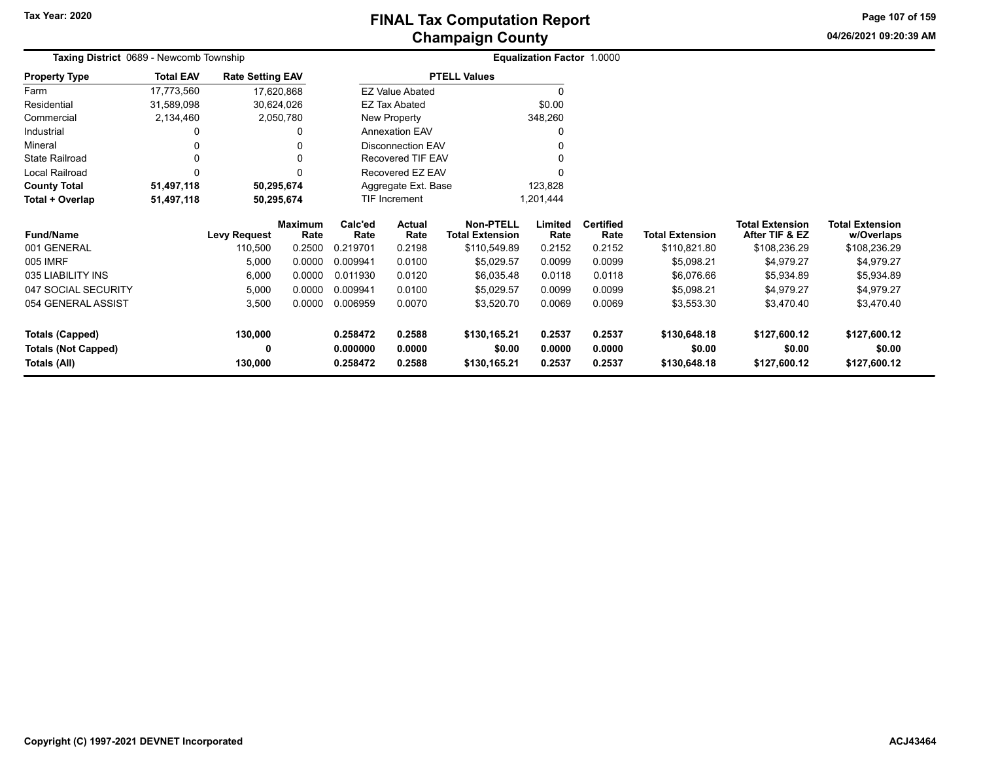# **Champaign County FINAL Tax Computation Report**

**04/26/2021 09:20:39 AM Page 107 of 159**

|                            | Taxing District 0689 - Newcomb Township<br><b>Total EAV</b><br><b>Rate Setting EAV</b><br>17,773,560<br>17,620,868<br>30,624,026<br>31,589,098 |                     |                        |                 |                          |                                            | <b>Equalization Factor 1.0000</b> |                          |                        |                                          |                                      |
|----------------------------|------------------------------------------------------------------------------------------------------------------------------------------------|---------------------|------------------------|-----------------|--------------------------|--------------------------------------------|-----------------------------------|--------------------------|------------------------|------------------------------------------|--------------------------------------|
| <b>Property Type</b>       |                                                                                                                                                |                     |                        |                 |                          | <b>PTELL Values</b>                        |                                   |                          |                        |                                          |                                      |
| Farm                       |                                                                                                                                                |                     |                        |                 | <b>EZ Value Abated</b>   |                                            | 0                                 |                          |                        |                                          |                                      |
| Residential                |                                                                                                                                                |                     |                        |                 | <b>EZ Tax Abated</b>     |                                            | \$0.00                            |                          |                        |                                          |                                      |
| Commercial                 | 2,134,460                                                                                                                                      |                     | 2,050,780              |                 | New Property             |                                            | 348,260                           |                          |                        |                                          |                                      |
| Industrial                 |                                                                                                                                                |                     |                        |                 | <b>Annexation EAV</b>    |                                            | 0                                 |                          |                        |                                          |                                      |
| Mineral                    | 0                                                                                                                                              |                     |                        |                 | <b>Disconnection EAV</b> |                                            | 0                                 |                          |                        |                                          |                                      |
| <b>State Railroad</b>      | $\Omega$                                                                                                                                       |                     |                        |                 | Recovered TIF EAV        |                                            | 0                                 |                          |                        |                                          |                                      |
| Local Railroad             | C                                                                                                                                              |                     |                        |                 | Recovered EZ EAV         |                                            |                                   |                          |                        |                                          |                                      |
| <b>County Total</b>        | 51,497,118                                                                                                                                     |                     | 50,295,674             |                 | Aggregate Ext. Base      |                                            | 123,828                           |                          |                        |                                          |                                      |
| Total + Overlap            | 51,497,118                                                                                                                                     |                     | 50,295,674             |                 | TIF Increment            |                                            | 1,201,444                         |                          |                        |                                          |                                      |
| <b>Fund/Name</b>           |                                                                                                                                                | <b>Levy Request</b> | <b>Maximum</b><br>Rate | Calc'ed<br>Rate | Actual<br>Rate           | <b>Non-PTELL</b><br><b>Total Extension</b> | Limited<br>Rate                   | <b>Certified</b><br>Rate | <b>Total Extension</b> | <b>Total Extension</b><br>After TIF & EZ | <b>Total Extension</b><br>w/Overlaps |
| 001 GENERAL                |                                                                                                                                                | 110,500             | 0.2500                 | 0.219701        | 0.2198                   | \$110,549.89                               | 0.2152                            | 0.2152                   | \$110,821.80           | \$108,236.29                             | \$108,236.29                         |
| 005 IMRF                   |                                                                                                                                                | 5,000               | 0.0000                 | 0.009941        | 0.0100                   | \$5,029.57                                 | 0.0099                            | 0.0099                   | \$5,098.21             | \$4,979.27                               | \$4,979.27                           |
| 035 LIABILITY INS          |                                                                                                                                                | 6,000               | 0.0000                 | 0.011930        | 0.0120                   | \$6,035.48                                 | 0.0118                            | 0.0118                   | \$6,076.66             | \$5,934.89                               | \$5,934.89                           |
| 047 SOCIAL SECURITY        |                                                                                                                                                | 5,000               | 0.0000                 | 0.009941        | 0.0100                   | \$5,029.57                                 | 0.0099                            | 0.0099                   | \$5,098.21             | \$4,979.27                               | \$4,979.27                           |
| 054 GENERAL ASSIST         |                                                                                                                                                | 3,500               | 0.0000                 | 0.006959        | 0.0070                   | \$3,520.70                                 | 0.0069                            | 0.0069                   | \$3,553.30             | \$3,470.40                               | \$3,470.40                           |
| <b>Totals (Capped)</b>     |                                                                                                                                                | 130,000             |                        | 0.258472        | 0.2588                   | \$130,165.21                               | 0.2537                            | 0.2537                   | \$130,648.18           | \$127,600.12                             | \$127,600.12                         |
| <b>Totals (Not Capped)</b> |                                                                                                                                                | 0                   |                        | 0.000000        | 0.0000                   | \$0.00                                     | 0.0000                            | 0.0000                   | \$0.00                 | \$0.00                                   | \$0.00                               |
| Totals (All)               |                                                                                                                                                | 130,000             |                        | 0.258472        | 0.2588                   | \$130,165.21                               | 0.2537                            | 0.2537                   | \$130,648.18           | \$127,600.12                             | \$127,600.12                         |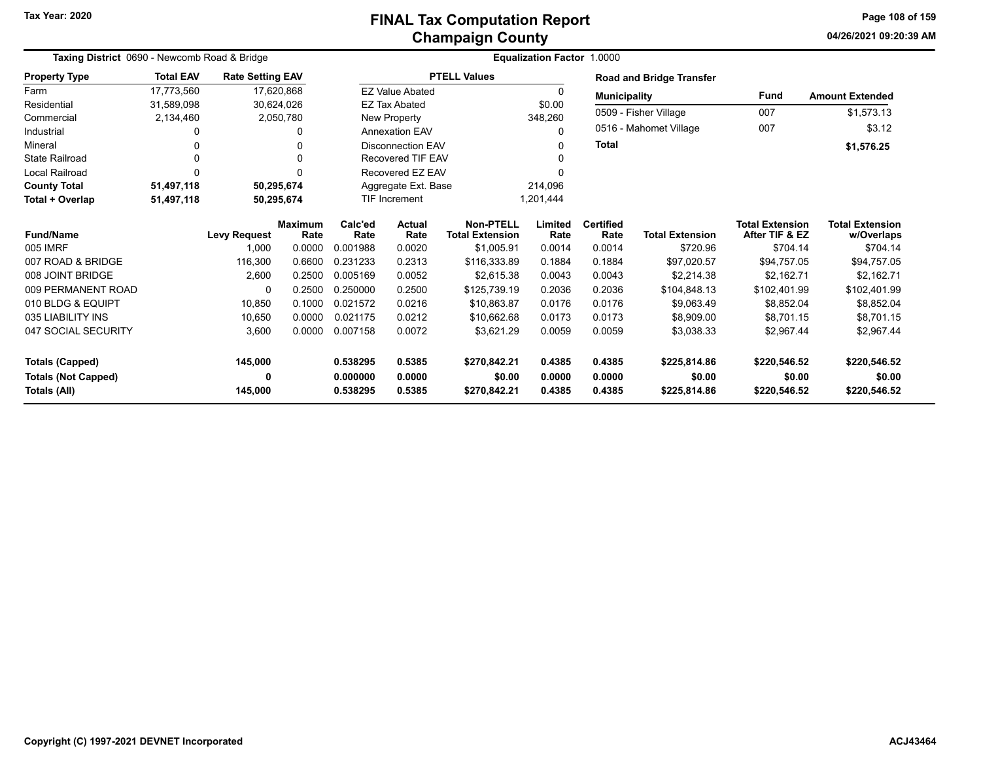## **Champaign County FINAL Tax Computation Report**

**04/26/2021 09:20:39 AM Page 108 of 159**

|                            | Taxing District 0690 - Newcomb Road & Bridge<br><b>Total EAV</b><br><b>Rate Setting EAV</b><br>17,620,868 |                     |                        |                 |                          |                                     | Equalization Factor 1.0000 |                          |                                 |                                          |                                      |
|----------------------------|-----------------------------------------------------------------------------------------------------------|---------------------|------------------------|-----------------|--------------------------|-------------------------------------|----------------------------|--------------------------|---------------------------------|------------------------------------------|--------------------------------------|
| <b>Property Type</b>       |                                                                                                           |                     |                        |                 |                          | <b>PTELL Values</b>                 |                            |                          | <b>Road and Bridge Transfer</b> |                                          |                                      |
| Farm                       | 17,773,560                                                                                                |                     |                        |                 | <b>EZ Value Abated</b>   |                                     | $\Omega$                   | <b>Municipality</b>      |                                 | Fund                                     | <b>Amount Extended</b>               |
| Residential                | 31,589,098                                                                                                |                     | 30,624,026             |                 | <b>EZ Tax Abated</b>     |                                     | \$0.00                     |                          |                                 |                                          |                                      |
| Commercial                 | 2,134,460                                                                                                 |                     | 2,050,780              |                 | New Property             |                                     | 348,260                    |                          | 0509 - Fisher Village           | 007                                      | \$1,573.13                           |
| Industrial                 | 0                                                                                                         |                     | 0                      |                 | <b>Annexation EAV</b>    |                                     | 0                          |                          | 0516 - Mahomet Village          | 007                                      | \$3.12                               |
| Mineral                    |                                                                                                           |                     | 0                      |                 | <b>Disconnection EAV</b> |                                     | 0                          | <b>Total</b>             |                                 |                                          | \$1,576.25                           |
| <b>State Railroad</b>      |                                                                                                           |                     | 0                      |                 | <b>Recovered TIF EAV</b> |                                     |                            |                          |                                 |                                          |                                      |
| <b>Local Railroad</b>      | $\Omega$                                                                                                  |                     | 0                      |                 | Recovered EZ EAV         |                                     |                            |                          |                                 |                                          |                                      |
| <b>County Total</b>        | 51,497,118                                                                                                |                     | 50,295,674             |                 | Aggregate Ext. Base      |                                     | 214,096                    |                          |                                 |                                          |                                      |
| Total + Overlap            | 51,497,118                                                                                                |                     | 50,295,674             |                 | TIF Increment            |                                     | 1,201,444                  |                          |                                 |                                          |                                      |
| <b>Fund/Name</b>           |                                                                                                           | <b>Levy Request</b> | <b>Maximum</b><br>Rate | Calc'ed<br>Rate | <b>Actual</b><br>Rate    | Non-PTELL<br><b>Total Extension</b> | Limited<br>Rate            | <b>Certified</b><br>Rate | <b>Total Extension</b>          | <b>Total Extension</b><br>After TIF & EZ | <b>Total Extension</b><br>w/Overlaps |
| 005 IMRF                   |                                                                                                           | 1,000               | 0.0000                 | 0.001988        | 0.0020                   | \$1,005.91                          | 0.0014                     | 0.0014                   | \$720.96                        | \$704.14                                 | \$704.14                             |
| 007 ROAD & BRIDGE          |                                                                                                           | 116,300             | 0.6600                 | 0.231233        | 0.2313                   | \$116,333.89                        | 0.1884                     | 0.1884                   | \$97,020.57                     | \$94,757.05                              | \$94,757.05                          |
| 008 JOINT BRIDGE           |                                                                                                           | 2,600               | 0.2500                 | 0.005169        | 0.0052                   | \$2,615.38                          | 0.0043                     | 0.0043                   | \$2,214.38                      | \$2,162.71                               | \$2,162.71                           |
| 009 PERMANENT ROAD         |                                                                                                           | $\Omega$            | 0.2500                 | 0.250000        | 0.2500                   | \$125,739.19                        | 0.2036                     | 0.2036                   | \$104,848.13                    | \$102,401.99                             | \$102,401.99                         |
| 010 BLDG & EQUIPT          |                                                                                                           | 10,850              | 0.1000                 | 0.021572        | 0.0216                   | \$10,863.87                         | 0.0176                     | 0.0176                   | \$9.063.49                      | \$8.852.04                               | \$8,852.04                           |
| 035 LIABILITY INS          |                                                                                                           | 10,650              | 0.0000                 | 0.021175        | 0.0212                   | \$10,662.68                         | 0.0173                     | 0.0173                   | \$8,909.00                      | \$8,701.15                               | \$8,701.15                           |
| 047 SOCIAL SECURITY        |                                                                                                           | 3,600               | 0.0000                 | 0.007158        | 0.0072                   | \$3.621.29                          | 0.0059                     | 0.0059                   | \$3,038.33                      | \$2,967.44                               | \$2,967.44                           |
| <b>Totals (Capped)</b>     |                                                                                                           | 145,000             |                        | 0.538295        | 0.5385                   | \$270.842.21                        | 0.4385                     | 0.4385                   | \$225,814.86                    | \$220,546.52                             | \$220,546.52                         |
| <b>Totals (Not Capped)</b> |                                                                                                           | 0                   |                        | 0.000000        | 0.0000                   | \$0.00                              | 0.0000                     | 0.0000                   | \$0.00                          | \$0.00                                   | \$0.00                               |
| Totals (All)               |                                                                                                           | 145,000             |                        | 0.538295        | 0.5385                   | \$270,842.21                        | 0.4385                     | 0.4385                   | \$225,814.86                    | \$220,546.52                             | \$220,546.52                         |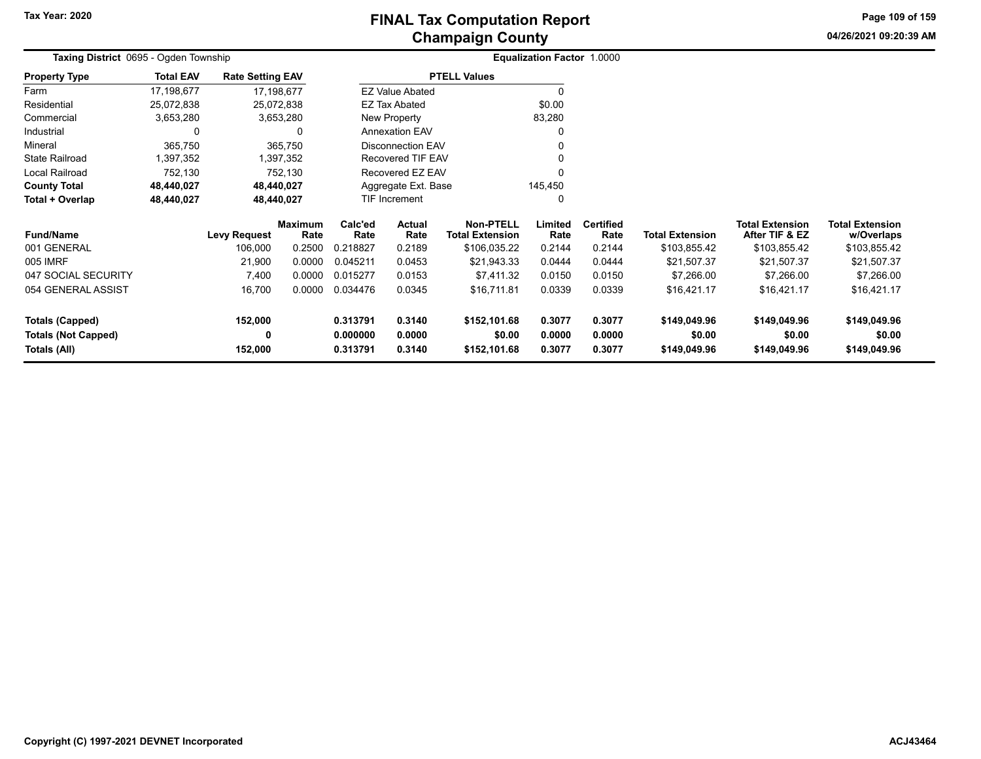**04/26/2021 09:20:39 AMPage 109 of 159**

| Taxing District 0695 - Ogden Township |                  |                         |                |                          |                        |                        | <b>Equalization Factor 1.0000</b> |                  |                        |                        |                        |
|---------------------------------------|------------------|-------------------------|----------------|--------------------------|------------------------|------------------------|-----------------------------------|------------------|------------------------|------------------------|------------------------|
| <b>Property Type</b>                  | <b>Total EAV</b> | <b>Rate Setting EAV</b> |                |                          |                        | <b>PTELL Values</b>    |                                   |                  |                        |                        |                        |
| Farm                                  | 17,198,677       | 17,198,677              |                |                          | <b>EZ Value Abated</b> |                        | O                                 |                  |                        |                        |                        |
| Residential                           | 25,072,838       | 25,072,838              |                |                          | <b>EZ Tax Abated</b>   |                        | \$0.00                            |                  |                        |                        |                        |
| Commercial                            | 3,653,280        | 3,653,280               |                |                          | New Property           |                        | 83,280                            |                  |                        |                        |                        |
| Industrial                            | 0                |                         | 0              |                          | <b>Annexation EAV</b>  |                        | 0                                 |                  |                        |                        |                        |
| Mineral                               | 365,750          |                         | 365,750        | <b>Disconnection EAV</b> |                        |                        |                                   |                  |                        |                        |                        |
| <b>State Railroad</b>                 | 1,397,352        |                         | 1,397,352      |                          | Recovered TIF EAV      |                        |                                   |                  |                        |                        |                        |
| Local Railroad                        | 752,130          |                         | 752,130        | Recovered EZ EAV         |                        |                        |                                   |                  |                        |                        |                        |
| <b>County Total</b>                   | 48,440,027       | 48,440,027              |                |                          | Aggregate Ext. Base    |                        | 145,450                           |                  |                        |                        |                        |
| Total + Overlap                       | 48,440,027       | 48,440,027              |                | <b>TIF Increment</b>     |                        |                        | 0                                 |                  |                        |                        |                        |
|                                       |                  |                         | <b>Maximum</b> | Calc'ed<br><b>Actual</b> |                        | <b>Non-PTELL</b>       | Limited                           | <b>Certified</b> |                        | <b>Total Extension</b> | <b>Total Extension</b> |
| <b>Fund/Name</b>                      |                  | <b>Levy Request</b>     | Rate           | Rate                     | Rate                   | <b>Total Extension</b> | Rate                              | Rate             | <b>Total Extension</b> | After TIF & EZ         | w/Overlaps             |
| 001 GENERAL                           |                  | 106,000                 | 0.2500         | 0.218827                 | 0.2189                 | \$106,035.22           | 0.2144                            | 0.2144           | \$103,855.42           | \$103,855.42           | \$103,855.42           |
| 005 IMRF                              |                  | 21,900                  | 0.0000         | 0.045211                 | 0.0453                 | \$21,943.33            | 0.0444                            | 0.0444           | \$21,507.37            | \$21,507.37            | \$21,507.37            |
| 047 SOCIAL SECURITY                   |                  | 7,400                   | 0.0000         | 0.015277                 | 0.0153                 | \$7,411.32             | 0.0150                            | 0.0150           | \$7,266.00             | \$7,266.00             | \$7,266.00             |
| 054 GENERAL ASSIST                    |                  | 16,700                  | 0.0000         | 0.034476                 | 0.0345                 | \$16,711.81            | 0.0339                            | 0.0339           | \$16,421.17            | \$16,421.17            | \$16,421.17            |
| <b>Totals (Capped)</b>                |                  | 152,000                 |                | 0.313791                 | 0.3140                 | \$152,101.68           | 0.3077                            | 0.3077           | \$149,049.96           | \$149,049.96           | \$149,049.96           |
| <b>Totals (Not Capped)</b>            |                  | 0                       |                | 0.000000                 | 0.0000                 | \$0.00                 | 0.0000                            | 0.0000           | \$0.00                 | \$0.00                 | \$0.00                 |
| <b>Totals (All)</b>                   |                  | 152,000                 |                | 0.313791                 | 0.3140                 | \$152,101.68           | 0.3077                            | 0.3077           | \$149,049.96           | \$149,049.96           | \$149,049.96           |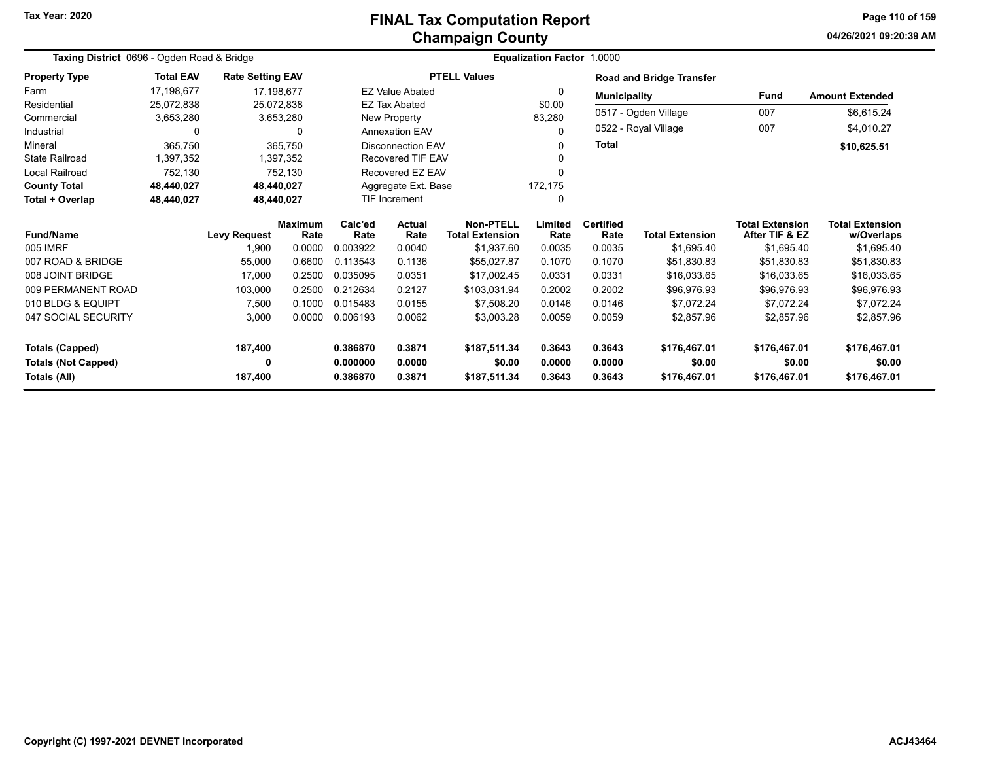# **Champaign County FINAL Tax Computation Report**

**04/26/2021 09:20:39 AM Page 110 of 159**

|                            | Taxing District 0696 - Ogden Road & Bridge |                         |                        |                  |                          | Equalization Factor 1.0000                 |                 |                          |                                 |                                          |                                      |
|----------------------------|--------------------------------------------|-------------------------|------------------------|------------------|--------------------------|--------------------------------------------|-----------------|--------------------------|---------------------------------|------------------------------------------|--------------------------------------|
| <b>Property Type</b>       | <b>Total EAV</b>                           | <b>Rate Setting EAV</b> |                        |                  |                          | <b>PTELL Values</b>                        |                 |                          | <b>Road and Bridge Transfer</b> |                                          |                                      |
| Farm                       | 17.198.677                                 |                         | 17,198,677             |                  | <b>EZ Value Abated</b>   |                                            | 0               | <b>Municipality</b>      |                                 | Fund                                     | <b>Amount Extended</b>               |
| Residential                | 25,072,838                                 |                         | 25,072,838             |                  | <b>EZ Tax Abated</b>     |                                            | \$0.00          |                          |                                 |                                          |                                      |
| Commercial                 | 3,653,280                                  |                         | 3,653,280              |                  | New Property             |                                            | 83,280          |                          | 0517 - Ogden Village            | 007                                      | \$6,615.24                           |
| Industrial                 | $\Omega$                                   |                         | 0                      |                  | <b>Annexation EAV</b>    |                                            | 0               |                          | 0522 - Royal Village            | 007                                      | \$4,010.27                           |
| Mineral                    | 365,750                                    |                         | 365,750                |                  | <b>Disconnection EAV</b> |                                            |                 | <b>Total</b>             |                                 |                                          | \$10,625.51                          |
| <b>State Railroad</b>      | 1,397,352                                  |                         | 1,397,352              |                  | Recovered TIF EAV        |                                            |                 |                          |                                 |                                          |                                      |
| <b>Local Railroad</b>      | 752,130                                    |                         | 752,130                |                  | Recovered EZ EAV         |                                            |                 |                          |                                 |                                          |                                      |
| <b>County Total</b>        | 48,440,027                                 |                         | 48.440.027             |                  | Aggregate Ext. Base      |                                            | 172,175         |                          |                                 |                                          |                                      |
| Total + Overlap            | 48,440,027                                 |                         | 48,440,027             |                  | TIF Increment            |                                            | $\Omega$        |                          |                                 |                                          |                                      |
| <b>Fund/Name</b>           |                                            | <b>Levy Request</b>     | <b>Maximum</b><br>Rate |                  | <b>Actual</b><br>Rate    | <b>Non-PTELL</b><br><b>Total Extension</b> | Limited<br>Rate | <b>Certified</b><br>Rate | <b>Total Extension</b>          | <b>Total Extension</b><br>After TIF & EZ | <b>Total Extension</b><br>w/Overlaps |
| 005 IMRF                   |                                            | 1,900                   | 0.0000                 | Rate<br>0.003922 | 0.0040                   | \$1,937.60                                 | 0.0035          | 0.0035                   | \$1,695.40                      | \$1,695.40                               | \$1,695.40                           |
| 007 ROAD & BRIDGE          |                                            | 55,000                  | 0.6600                 | 0.113543         | 0.1136                   | \$55,027.87                                | 0.1070          | 0.1070                   | \$51,830.83                     | \$51,830.83                              | \$51,830.83                          |
| 008 JOINT BRIDGE           |                                            | 17,000                  | 0.2500                 | 0.035095         | 0.0351                   | \$17.002.45                                | 0.0331          | 0.0331                   | \$16.033.65                     | \$16.033.65                              | \$16,033.65                          |
| 009 PERMANENT ROAD         |                                            | 103,000                 | 0.2500                 | 0.212634         | 0.2127                   | \$103,031.94                               | 0.2002          | 0.2002                   | \$96,976.93                     | \$96,976.93                              | \$96,976.93                          |
| 010 BLDG & EQUIPT          |                                            | 7,500                   | 0.1000                 | 0.015483         | 0.0155                   | \$7.508.20                                 | 0.0146          | 0.0146                   | \$7,072.24                      | \$7.072.24                               | \$7.072.24                           |
| 047 SOCIAL SECURITY        |                                            | 3,000                   | 0.0000                 | 0.006193         | 0.0062                   | \$3,003.28                                 | 0.0059          | 0.0059                   | \$2,857.96                      | \$2,857.96                               | \$2,857.96                           |
| <b>Totals (Capped)</b>     |                                            | 187,400                 |                        | 0.386870         | 0.3871                   | \$187,511.34                               | 0.3643          | 0.3643                   | \$176,467.01                    | \$176,467.01                             | \$176,467.01                         |
| <b>Totals (Not Capped)</b> |                                            | 0                       |                        | 0.000000         | 0.0000                   | \$0.00                                     | 0.0000          | 0.0000                   | \$0.00                          | \$0.00                                   | \$0.00                               |
| Totals (All)               |                                            | 187,400                 |                        | 0.386870         | 0.3871                   | \$187,511.34                               | 0.3643          | 0.3643                   | \$176,467.01                    | \$176,467.01                             | \$176,467.01                         |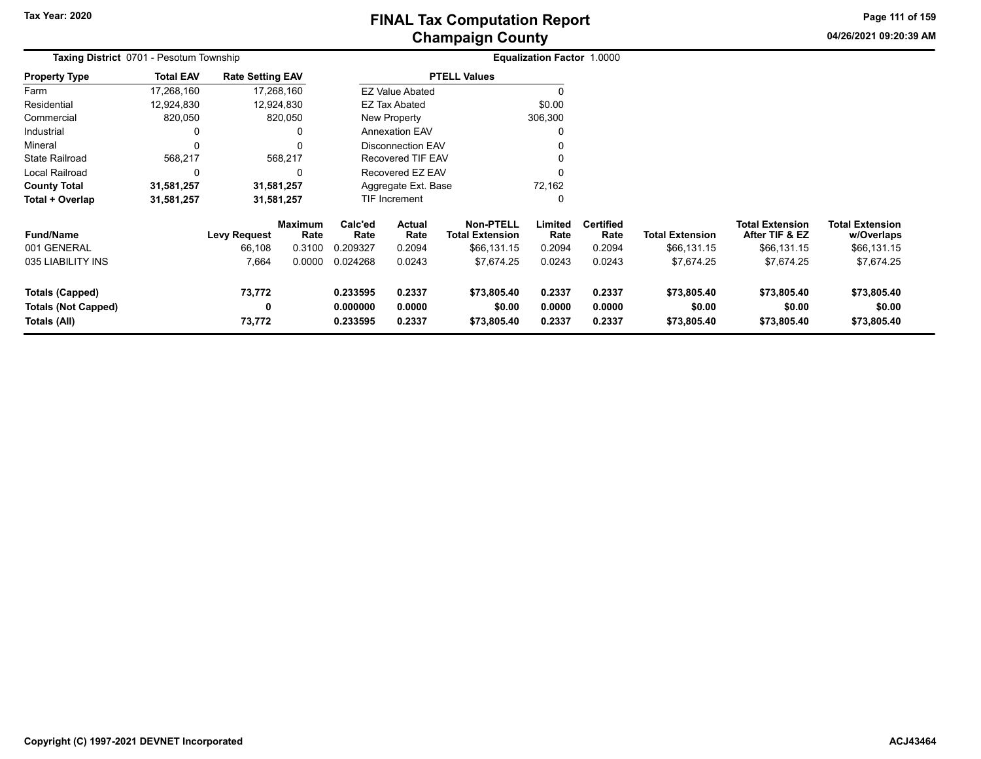**04/26/2021 09:20:39 AMPage 111 of 159**

| Taxing District 0701 - Pesotum Township                              |                  |                         |                        |                                  | Equalization Factor 1.0000 |                                            |                            |                            |                                      |                                          |                                      |  |
|----------------------------------------------------------------------|------------------|-------------------------|------------------------|----------------------------------|----------------------------|--------------------------------------------|----------------------------|----------------------------|--------------------------------------|------------------------------------------|--------------------------------------|--|
| <b>Property Type</b>                                                 | <b>Total EAV</b> | <b>Rate Setting EAV</b> |                        |                                  |                            | <b>PTELL Values</b>                        |                            |                            |                                      |                                          |                                      |  |
| Farm                                                                 | 17,268,160       | 17,268,160              |                        |                                  | <b>EZ Value Abated</b>     |                                            |                            |                            |                                      |                                          |                                      |  |
| Residential                                                          | 12,924,830       | 12,924,830              |                        |                                  | <b>EZ Tax Abated</b>       |                                            | \$0.00                     |                            |                                      |                                          |                                      |  |
| Commercial                                                           | 820,050          |                         | 820,050                |                                  | New Property               |                                            | 306,300                    |                            |                                      |                                          |                                      |  |
| Industrial                                                           |                  |                         | 0                      |                                  | <b>Annexation EAV</b>      |                                            | 0                          |                            |                                      |                                          |                                      |  |
| Mineral                                                              | $\Omega$         |                         | 0                      |                                  | <b>Disconnection EAV</b>   |                                            | 0                          |                            |                                      |                                          |                                      |  |
| <b>State Railroad</b>                                                | 568,217          |                         | 568,217                |                                  | Recovered TIF EAV          |                                            |                            |                            |                                      |                                          |                                      |  |
| Local Railroad                                                       | $\Omega$         |                         | $\Omega$               |                                  | Recovered EZ EAV           |                                            | 0                          |                            |                                      |                                          |                                      |  |
| <b>County Total</b>                                                  | 31,581,257       | 31,581,257              |                        |                                  | Aggregate Ext. Base        |                                            | 72,162                     |                            |                                      |                                          |                                      |  |
| Total + Overlap                                                      | 31,581,257       | 31,581,257              |                        |                                  | TIF Increment<br>0         |                                            |                            |                            |                                      |                                          |                                      |  |
| <b>Fund/Name</b>                                                     |                  | <b>Levy Request</b>     | <b>Maximum</b><br>Rate | Calc'ed<br>Rate                  | Actual<br>Rate             | <b>Non-PTELL</b><br><b>Total Extension</b> | Limited<br>Rate            | <b>Certified</b><br>Rate   | <b>Total Extension</b>               | <b>Total Extension</b><br>After TIF & EZ | <b>Total Extension</b><br>w/Overlaps |  |
| 001 GENERAL                                                          |                  | 66,108                  | 0.3100                 | 0.209327                         | 0.2094                     | \$66,131.15                                | 0.2094                     | 0.2094                     | \$66,131.15                          | \$66,131.15                              | \$66,131.15                          |  |
| 035 LIABILITY INS                                                    |                  | 7,664                   | 0.0000                 | 0.024268                         | 0.0243                     | \$7,674.25                                 | 0.0243                     | 0.0243                     | \$7,674.25                           | \$7,674.25                               | \$7,674.25                           |  |
| <b>Totals (Capped)</b><br><b>Totals (Not Capped)</b><br>Totals (All) |                  | 73,772<br>0<br>73,772   |                        | 0.233595<br>0.000000<br>0.233595 | 0.2337<br>0.0000<br>0.2337 | \$73,805.40<br>\$0.00<br>\$73,805.40       | 0.2337<br>0.0000<br>0.2337 | 0.2337<br>0.0000<br>0.2337 | \$73,805.40<br>\$0.00<br>\$73,805.40 | \$73,805.40<br>\$0.00<br>\$73,805.40     | \$73,805.40<br>\$0.00<br>\$73,805.40 |  |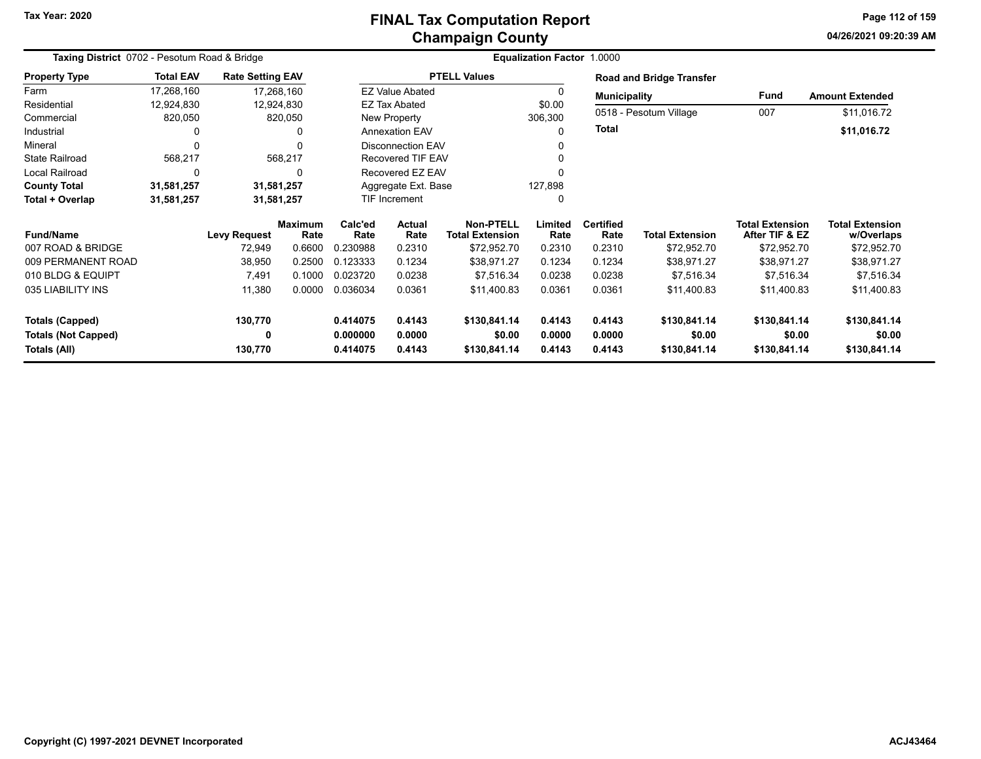# **Champaign County FINAL Tax Computation Report**

**04/26/2021 09:20:39 AMPage 112 of 159**

| Taxing District 0702 - Pesotum Road & Bridge | Equalization Factor 1.0000 |                         |                |          |                          |                        |         |                     |                                 |                        |                        |
|----------------------------------------------|----------------------------|-------------------------|----------------|----------|--------------------------|------------------------|---------|---------------------|---------------------------------|------------------------|------------------------|
| <b>Property Type</b>                         | <b>Total EAV</b>           | <b>Rate Setting EAV</b> |                |          |                          | <b>PTELL Values</b>    |         |                     | <b>Road and Bridge Transfer</b> |                        |                        |
| Farm                                         | 17,268,160                 | 17,268,160              |                |          | <b>EZ Value Abated</b>   |                        |         | <b>Municipality</b> |                                 | Fund                   | <b>Amount Extended</b> |
| Residential                                  | 12,924,830                 | 12,924,830              |                |          | EZ Tax Abated            |                        | \$0.00  |                     |                                 |                        |                        |
| Commercial                                   | 820,050                    |                         | 820,050        |          | New Property             |                        | 306,300 |                     | 0518 - Pesotum Village          | 007                    | \$11,016.72            |
| Industrial                                   |                            |                         | 0              |          | <b>Annexation EAV</b>    |                        | 0       | <b>Total</b>        |                                 |                        | \$11,016.72            |
| Mineral                                      |                            |                         | ∩              |          | <b>Disconnection EAV</b> |                        |         |                     |                                 |                        |                        |
| <b>State Railroad</b>                        | 568,217                    |                         | 568,217        |          | <b>Recovered TIF EAV</b> |                        | ი       |                     |                                 |                        |                        |
| Local Railroad                               | 0                          |                         | 0              |          | Recovered EZ EAV         |                        |         |                     |                                 |                        |                        |
| <b>County Total</b>                          | 31,581,257                 | 31,581,257              |                |          | Aggregate Ext. Base      |                        | 127,898 |                     |                                 |                        |                        |
| Total + Overlap                              | 31,581,257                 | 31,581,257              |                |          | TIF Increment            |                        | 0       |                     |                                 |                        |                        |
|                                              |                            |                         | <b>Maximum</b> | Calc'ed  | <b>Actual</b>            | <b>Non-PTELL</b>       | Limited | <b>Certified</b>    |                                 | <b>Total Extension</b> | <b>Total Extension</b> |
| <b>Fund/Name</b>                             |                            | <b>Levy Request</b>     | Rate           | Rate     | Rate                     | <b>Total Extension</b> | Rate    | Rate                | <b>Total Extension</b>          | After TIF & EZ         | w/Overlaps             |
| 007 ROAD & BRIDGE                            |                            | 72,949                  | 0.6600         | 0.230988 | 0.2310                   | \$72,952.70            | 0.2310  | 0.2310              | \$72,952.70                     | \$72,952.70            | \$72,952.70            |
| 009 PERMANENT ROAD                           |                            | 38,950                  | 0.2500         | 0.123333 | 0.1234                   | \$38,971.27            | 0.1234  | 0.1234              | \$38,971.27                     | \$38,971.27            | \$38,971.27            |
| 010 BLDG & EQUIPT                            |                            | 7,491                   | 0.1000         | 0.023720 | 0.0238                   | \$7,516.34             | 0.0238  | 0.0238              | \$7,516.34                      | \$7,516.34             | \$7,516.34             |
| 035 LIABILITY INS                            |                            | 11,380                  | 0.0000         | 0.036034 | 0.0361                   | \$11,400.83            | 0.0361  | 0.0361              | \$11,400.83                     | \$11,400.83            | \$11,400.83            |
| <b>Totals (Capped)</b>                       |                            | 130,770                 |                | 0.414075 | 0.4143                   | \$130,841.14           | 0.4143  | 0.4143              | \$130,841.14                    | \$130,841.14           | \$130,841.14           |
| <b>Totals (Not Capped)</b>                   |                            | 0                       |                | 0.000000 | 0.0000                   | \$0.00                 | 0.0000  | 0.0000              | \$0.00                          | \$0.00                 | \$0.00                 |
| Totals (All)                                 |                            | 130,770                 |                | 0.414075 | 0.4143                   | \$130,841.14           | 0.4143  | 0.4143              | \$130,841.14                    | \$130,841.14           | \$130,841.14           |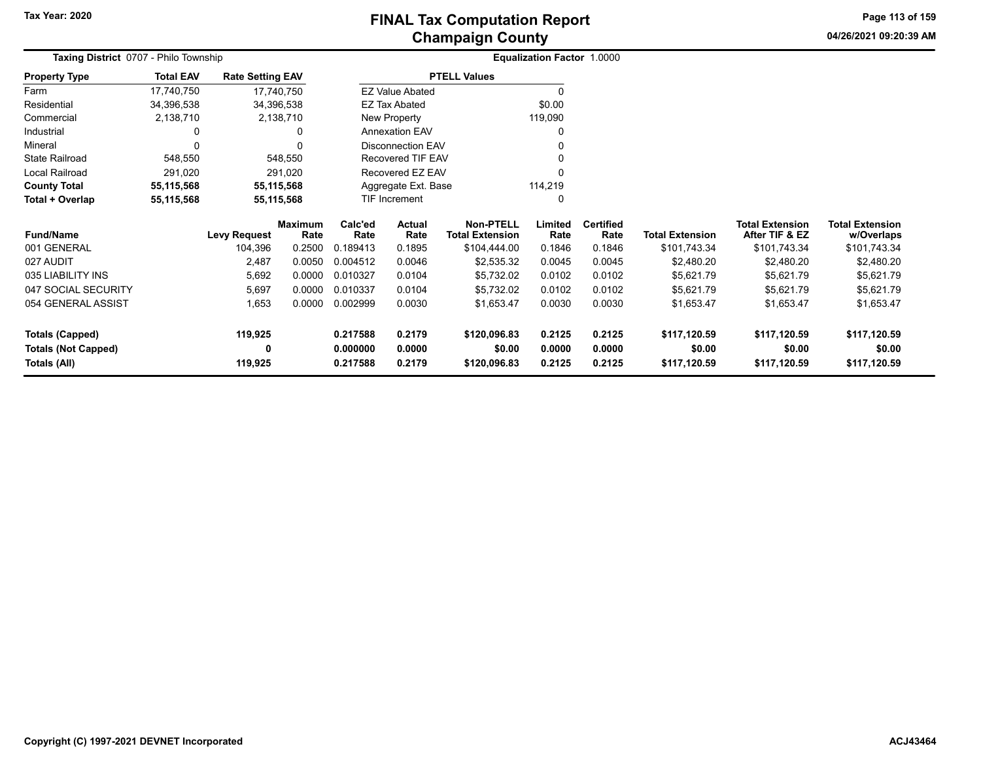# **Champaign County FINAL Tax Computation Report**

**04/26/2021 09:20:39 AM Page 113 of 159**

| Taxing District 0707 - Philo Township |                  |                         |                |                          |                                |                        | <b>Equalization Factor 1.0000</b> |                  |                        |                        |                        |
|---------------------------------------|------------------|-------------------------|----------------|--------------------------|--------------------------------|------------------------|-----------------------------------|------------------|------------------------|------------------------|------------------------|
| <b>Property Type</b>                  | <b>Total EAV</b> | <b>Rate Setting EAV</b> |                |                          |                                | <b>PTELL Values</b>    |                                   |                  |                        |                        |                        |
| Farm                                  | 17,740,750       | 17,740,750              |                |                          | <b>EZ Value Abated</b>         |                        | $\Omega$                          |                  |                        |                        |                        |
| Residential                           | 34,396,538       | 34,396,538              |                |                          | <b>EZ Tax Abated</b>           |                        | \$0.00                            |                  |                        |                        |                        |
| Commercial                            | 2,138,710        |                         | 2,138,710      |                          | New Property                   |                        | 119,090                           |                  |                        |                        |                        |
| Industrial                            |                  |                         |                | <b>Annexation EAV</b>    |                                |                        | $\Omega$                          |                  |                        |                        |                        |
| Mineral                               | $\Omega$         |                         |                | <b>Disconnection EAV</b> |                                |                        |                                   |                  |                        |                        |                        |
| <b>State Railroad</b>                 | 548,550          |                         | 548,550        | Recovered TIF EAV        |                                |                        |                                   |                  |                        |                        |                        |
| Local Railroad                        | 291,020          |                         | 291,020        | Recovered EZ EAV         |                                |                        |                                   |                  |                        |                        |                        |
| <b>County Total</b>                   | 55,115,568       | 55,115,568              |                |                          | Aggregate Ext. Base<br>114,219 |                        |                                   |                  |                        |                        |                        |
| Total + Overlap                       | 55,115,568       | 55,115,568              |                |                          | TIF Increment                  | $\Omega$               |                                   |                  |                        |                        |                        |
|                                       |                  |                         | <b>Maximum</b> | Calc'ed<br>Actual        |                                | <b>Non-PTELL</b>       | Limited                           | <b>Certified</b> |                        | <b>Total Extension</b> | <b>Total Extension</b> |
| <b>Fund/Name</b>                      |                  | Levy Request            | Rate           | Rate                     | Rate                           | <b>Total Extension</b> | Rate                              | Rate             | <b>Total Extension</b> | After TIF & EZ         | w/Overlaps             |
| 001 GENERAL                           |                  | 104,396                 | 0.2500         | 0.189413                 | 0.1895                         | \$104,444.00           | 0.1846                            | 0.1846           | \$101,743.34           | \$101,743.34           | \$101,743.34           |
| 027 AUDIT                             |                  | 2,487                   | 0.0050         | 0.004512                 | 0.0046                         | \$2,535.32             | 0.0045                            | 0.0045           | \$2,480.20             | \$2,480.20             | \$2,480.20             |
| 035 LIABILITY INS                     |                  | 5,692                   | 0.0000         | 0.010327                 | 0.0104                         | \$5,732.02             | 0.0102                            | 0.0102           | \$5,621.79             | \$5,621.79             | \$5,621.79             |
| 047 SOCIAL SECURITY                   |                  | 5,697                   | 0.0000         | 0.010337                 | 0.0104                         | \$5,732.02             | 0.0102                            | 0.0102           | \$5,621.79             | \$5,621.79             | \$5,621.79             |
| 054 GENERAL ASSIST                    |                  | 1,653                   | 0.0000         | 0.002999                 | 0.0030                         | \$1,653.47             | 0.0030                            | 0.0030           | \$1,653.47             | \$1,653.47             | \$1,653.47             |
| <b>Totals (Capped)</b>                |                  | 119,925                 |                | 0.217588                 | 0.2179                         | \$120,096.83           | 0.2125                            | 0.2125           | \$117,120.59           | \$117,120.59           | \$117,120.59           |
| <b>Totals (Not Capped)</b>            |                  | 0                       |                | 0.000000                 | 0.0000                         | \$0.00                 | 0.0000                            | 0.0000           | \$0.00                 | \$0.00                 | \$0.00                 |
| Totals (All)                          |                  | 119,925                 |                | 0.217588                 | 0.2179<br>\$120,096.83         |                        | 0.2125                            | 0.2125           | \$117,120.59           | \$117,120.59           | \$117,120.59           |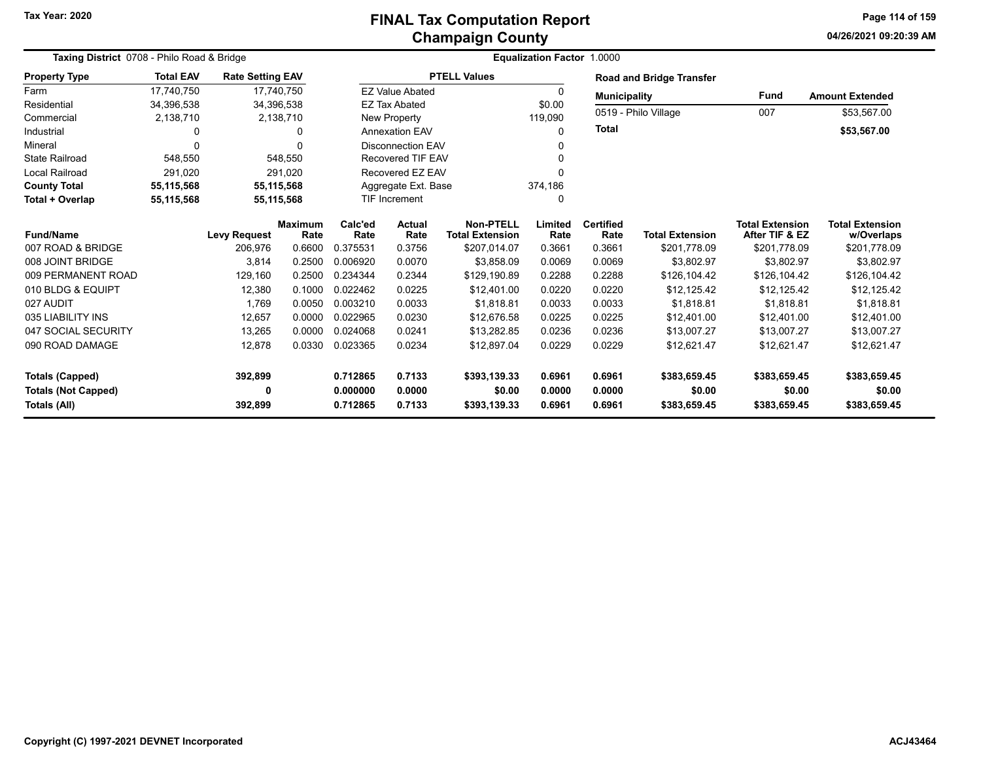#### **Champaign County FINAL Tax Computation Report**

**04/26/2021 09:20:39 AM Page 114 of 159**

| Taxing District 0708 - Philo Road & Bridge |                  |                         |                | Equalization Factor 1.0000 |                                  |                        |          |                     |                                 |                        |                        |  |
|--------------------------------------------|------------------|-------------------------|----------------|----------------------------|----------------------------------|------------------------|----------|---------------------|---------------------------------|------------------------|------------------------|--|
| <b>Property Type</b>                       | <b>Total EAV</b> | <b>Rate Setting EAV</b> |                |                            |                                  | <b>PTELL Values</b>    |          |                     | <b>Road and Bridge Transfer</b> |                        |                        |  |
| Farm                                       | 17.740.750       |                         | 17,740,750     |                            | <b>EZ Value Abated</b>           |                        | $\Omega$ | <b>Municipality</b> |                                 | <b>Fund</b>            | <b>Amount Extended</b> |  |
| Residential                                | 34,396,538       |                         | 34,396,538     |                            | <b>EZ Tax Abated</b>             |                        | \$0.00   |                     | 0519 - Philo Village            | 007                    |                        |  |
| Commercial                                 | 2,138,710        |                         | 2,138,710      |                            | <b>New Property</b>              |                        | 119,090  |                     |                                 |                        | \$53,567.00            |  |
| Industrial                                 | 0                |                         | 0              |                            | <b>Annexation EAV</b>            |                        | U        | <b>Total</b>        |                                 |                        | \$53,567.00            |  |
| Mineral                                    | O                |                         | O              | <b>Disconnection EAV</b>   |                                  |                        |          |                     |                                 |                        |                        |  |
| State Railroad                             | 548,550          |                         | 548,550        | Recovered TIF EAV          |                                  |                        |          |                     |                                 |                        |                        |  |
| <b>Local Railroad</b>                      | 291.020          |                         | 291.020        | Recovered EZ EAV           |                                  |                        |          |                     |                                 |                        |                        |  |
| <b>County Total</b>                        | 55,115,568       |                         | 55,115,568     | Aggregate Ext. Base        |                                  |                        | 374,186  |                     |                                 |                        |                        |  |
| Total + Overlap                            | 55,115,568       |                         | 55,115,568     | <b>TIF Increment</b>       |                                  |                        |          |                     |                                 |                        |                        |  |
|                                            |                  |                         | <b>Maximum</b> | Calc'ed<br>Actual          |                                  | <b>Non-PTELL</b>       | Limited  | <b>Certified</b>    |                                 | <b>Total Extension</b> | <b>Total Extension</b> |  |
| <b>Fund/Name</b>                           |                  | <b>Levy Request</b>     | Rate           | Rate                       | Rate                             | <b>Total Extension</b> | Rate     | Rate                | <b>Total Extension</b>          | After TIF & EZ         | w/Overlaps             |  |
| 007 ROAD & BRIDGE                          |                  | 206,976                 | 0.6600         | 0.375531                   | 0.3756                           | \$207,014.07           | 0.3661   | 0.3661              | \$201,778.09                    | \$201,778.09           | \$201,778.09           |  |
| 008 JOINT BRIDGE                           |                  | 3,814                   | 0.2500         | 0.006920                   | 0.0070                           | \$3,858.09             | 0.0069   | 0.0069              | \$3,802.97                      | \$3,802.97             | \$3,802.97             |  |
| 009 PERMANENT ROAD                         |                  | 129,160                 | 0.2500         | 0.234344                   | 0.2344                           | \$129,190.89           | 0.2288   | 0.2288              | \$126,104.42                    | \$126,104.42           | \$126,104.42           |  |
| 010 BLDG & EQUIPT                          |                  | 12,380                  | 0.1000         | 0.022462                   | 0.0225                           | \$12,401.00            | 0.0220   | 0.0220              | \$12,125.42                     | \$12,125.42            | \$12,125.42            |  |
| 027 AUDIT                                  |                  | 1,769                   | 0.0050         | 0.003210                   | 0.0033                           | \$1,818.81             | 0.0033   | 0.0033              | \$1,818.81                      | \$1,818.81             | \$1,818.81             |  |
| 035 LIABILITY INS                          |                  | 12,657                  | 0.0000         | 0.022965                   | 0.0230                           | \$12,676.58            | 0.0225   | 0.0225              | \$12,401.00                     | \$12,401.00            | \$12,401.00            |  |
| 047 SOCIAL SECURITY                        |                  | 13,265                  | 0.0000         | 0.024068                   | 0.0241                           | \$13,282.85            | 0.0236   | 0.0236              | \$13,007.27                     | \$13,007.27            | \$13,007.27            |  |
| 090 ROAD DAMAGE                            |                  | 12,878                  | 0.0330         | 0.023365                   | 0.0234                           | \$12,897.04            | 0.0229   | 0.0229              | \$12,621.47                     | \$12,621.47            | \$12,621.47            |  |
| <b>Totals (Capped)</b>                     |                  | 392,899                 |                | 0.712865                   | 0.7133                           | \$393,139.33           | 0.6961   | 0.6961              | \$383,659.45                    | \$383,659.45           | \$383,659.45           |  |
| <b>Totals (Not Capped)</b>                 |                  | 0                       |                | 0.000000                   | 0.0000                           | \$0.00                 | 0.0000   | 0.0000              | \$0.00                          | \$0.00                 | \$0.00                 |  |
| Totals (All)                               |                  | 392,899                 |                | 0.712865                   | 0.7133<br>\$393,139.33<br>0.6961 |                        |          | 0.6961              | \$383,659.45                    | \$383,659.45           | \$383,659.45           |  |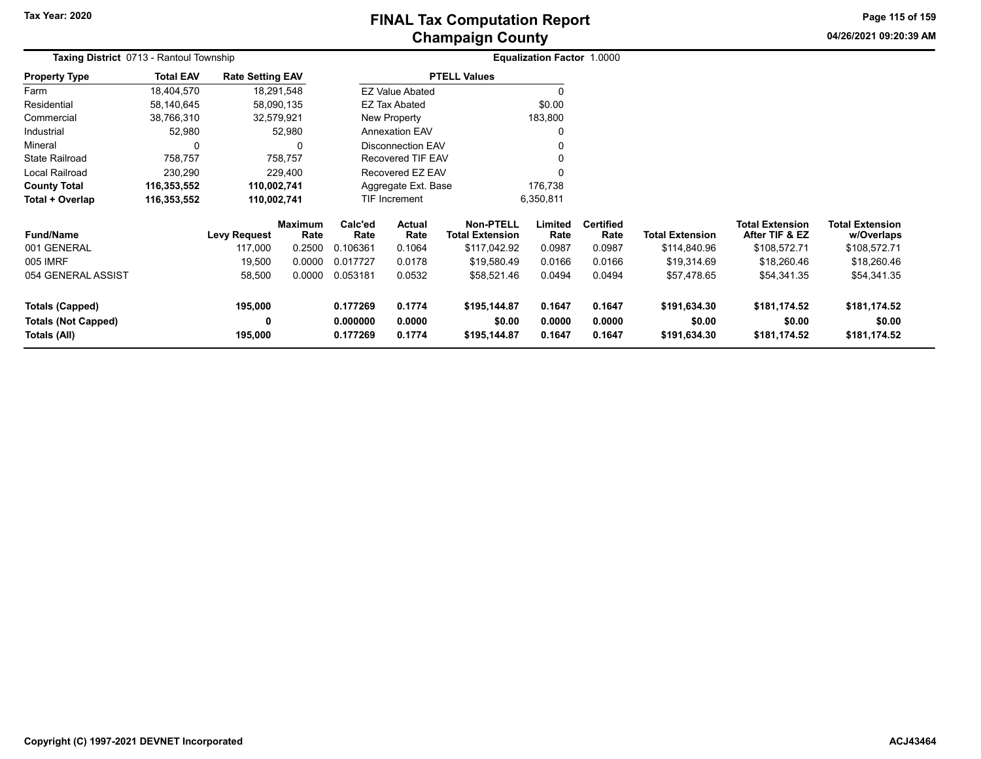# **Champaign County FINAL Tax Computation Report**

**04/26/2021 09:20:39 AMPage 115 of 159**

| <b>Taxing District 0713 - Rantoul Township</b> |                  |                         |                        |                                    |                        |                                            | <b>Equalization Factor 1.0000</b> |                          |                        |                                          |                                      |
|------------------------------------------------|------------------|-------------------------|------------------------|------------------------------------|------------------------|--------------------------------------------|-----------------------------------|--------------------------|------------------------|------------------------------------------|--------------------------------------|
| <b>Property Type</b>                           | <b>Total EAV</b> | <b>Rate Setting EAV</b> |                        |                                    |                        | <b>PTELL Values</b>                        |                                   |                          |                        |                                          |                                      |
| Farm                                           | 18,404,570       | 18,291,548              |                        |                                    | <b>EZ Value Abated</b> |                                            |                                   |                          |                        |                                          |                                      |
| Residential                                    | 58,140,645       | 58,090,135              |                        |                                    | EZ Tax Abated          |                                            | \$0.00                            |                          |                        |                                          |                                      |
| Commercial                                     | 38,766,310       | 32,579,921              |                        |                                    | New Property           |                                            | 183,800                           |                          |                        |                                          |                                      |
| Industrial                                     | 52,980           |                         | 52,980                 |                                    | <b>Annexation EAV</b>  |                                            |                                   |                          |                        |                                          |                                      |
| Mineral                                        | 0                |                         | 0                      | <b>Disconnection EAV</b>           |                        |                                            |                                   |                          |                        |                                          |                                      |
| <b>State Railroad</b>                          | 758,757          |                         | 758,757                | Recovered TIF EAV                  |                        |                                            |                                   |                          |                        |                                          |                                      |
| Local Railroad                                 | 230,290          |                         | 229,400                |                                    | Recovered EZ EAV       |                                            |                                   |                          |                        |                                          |                                      |
| <b>County Total</b>                            | 116,353,552      | 110,002,741             |                        |                                    | Aggregate Ext. Base    |                                            | 176,738                           |                          |                        |                                          |                                      |
| Total + Overlap                                | 116,353,552      | 110,002,741             |                        | TIF Increment                      |                        |                                            | 6,350,811                         |                          |                        |                                          |                                      |
| <b>Fund/Name</b>                               |                  | <b>Levy Request</b>     | <b>Maximum</b><br>Rate | Calc'ed<br>Rate                    | <b>Actual</b><br>Rate  | <b>Non-PTELL</b><br><b>Total Extension</b> | Limited<br>Rate                   | <b>Certified</b><br>Rate | <b>Total Extension</b> | <b>Total Extension</b><br>After TIF & EZ | <b>Total Extension</b><br>w/Overlaps |
| 001 GENERAL                                    |                  | 117,000                 | 0.2500                 | 0.106361                           | 0.1064                 | \$117,042.92                               | 0.0987                            | 0.0987                   | \$114,840.96           | \$108,572.71                             | \$108,572.71                         |
| 005 IMRF                                       |                  | 19,500                  | 0.0000                 | 0.017727                           | 0.0178                 | \$19,580.49                                | 0.0166                            | 0.0166                   | \$19,314.69            | \$18,260.46                              | \$18,260.46                          |
| 054 GENERAL ASSIST                             |                  | 58,500                  | 0.0000                 | 0.053181                           | 0.0532                 | \$58,521.46                                | 0.0494                            | 0.0494                   | \$57,478.65            | \$54,341.35                              | \$54,341.35                          |
| Totals (Capped)                                |                  | 195,000                 |                        | 0.177269                           | 0.1774                 | \$195,144.87                               | 0.1647                            | 0.1647                   | \$191,634.30           | \$181,174.52                             | \$181,174.52                         |
| <b>Totals (Not Capped)</b>                     |                  | 0                       |                        | 0.000000                           | 0.0000                 | \$0.00                                     | 0.0000                            | 0.0000                   | \$0.00                 | \$0.00                                   | \$0.00                               |
| Totals (All)                                   |                  | 195,000                 |                        | 0.177269<br>0.1774<br>\$195,144.87 |                        |                                            | 0.1647                            | 0.1647                   | \$191,634.30           | \$181,174.52                             | \$181,174.52                         |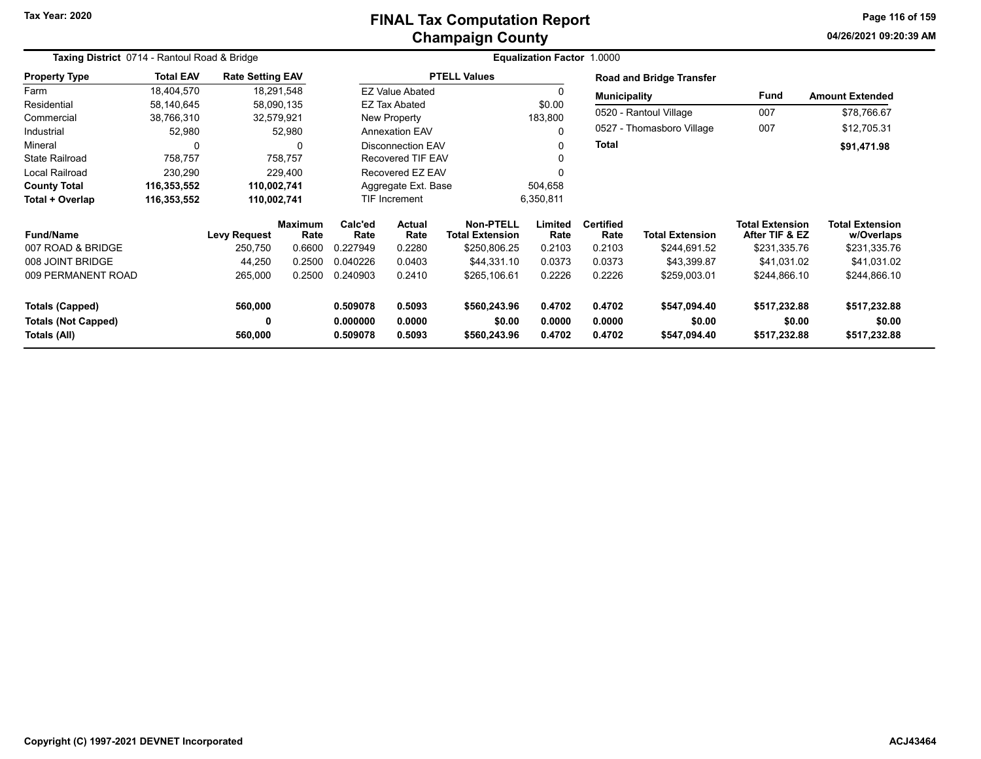# **Champaign County FINAL Tax Computation Report**

**04/26/2021 09:20:39 AMPage 116 of 159**

| Taxing District 0714 - Rantoul Road & Bridge |                  |                         | <b>Equalization Factor 1.0000</b> |                      |                          |                                            |                  |                          |                                 |                                          |                                      |
|----------------------------------------------|------------------|-------------------------|-----------------------------------|----------------------|--------------------------|--------------------------------------------|------------------|--------------------------|---------------------------------|------------------------------------------|--------------------------------------|
| <b>Property Type</b>                         | <b>Total EAV</b> | <b>Rate Setting EAV</b> |                                   |                      |                          | <b>PTELL Values</b>                        |                  |                          | <b>Road and Bridge Transfer</b> |                                          |                                      |
| Farm                                         | 18,404,570       | 18,291,548              |                                   |                      | <b>EZ Value Abated</b>   |                                            |                  | <b>Municipality</b>      |                                 | Fund                                     | <b>Amount Extended</b>               |
| Residential                                  | 58,140,645       | 58,090,135              |                                   |                      | EZ Tax Abated            |                                            | \$0.00           |                          |                                 |                                          |                                      |
| Commercial                                   | 38,766,310       | 32,579,921              |                                   |                      | New Property             |                                            | 183,800          |                          | 0520 - Rantoul Village          | 007                                      | \$78,766.67                          |
| Industrial                                   | 52,980           |                         | 52,980                            |                      | <b>Annexation EAV</b>    |                                            |                  |                          | 0527 - Thomasboro Village       | 007                                      | \$12,705.31                          |
| Mineral                                      | $\Omega$         |                         | 0                                 |                      | <b>Disconnection EAV</b> |                                            |                  | <b>Total</b>             |                                 |                                          | \$91,471.98                          |
| <b>State Railroad</b>                        | 758,757          |                         | 758,757                           |                      | Recovered TIF EAV        |                                            |                  |                          |                                 |                                          |                                      |
| <b>Local Railroad</b>                        | 230,290          |                         | 229.400                           |                      | Recovered EZ EAV         |                                            |                  |                          |                                 |                                          |                                      |
| <b>County Total</b>                          | 116,353,552      | 110,002,741             |                                   |                      | Aggregate Ext. Base      |                                            | 504,658          |                          |                                 |                                          |                                      |
| Total + Overlap                              | 116,353,552      | 110,002,741             |                                   |                      | TIF Increment            |                                            | 6,350,811        |                          |                                 |                                          |                                      |
| <b>Fund/Name</b>                             |                  | <b>Levy Request</b>     | <b>Maximum</b><br>Rate            | Calc'ed<br>Rate      | Actual<br>Rate           | <b>Non-PTELL</b><br><b>Total Extension</b> | Limited<br>Rate  | <b>Certified</b><br>Rate | <b>Total Extension</b>          | <b>Total Extension</b><br>After TIF & EZ | <b>Total Extension</b><br>w/Overlaps |
| 007 ROAD & BRIDGE                            |                  | 250,750                 | 0.6600                            | 0.227949             | 0.2280                   | \$250,806.25                               | 0.2103           | 0.2103                   | \$244,691.52                    | \$231,335.76                             | \$231,335.76                         |
| 008 JOINT BRIDGE                             |                  | 44,250                  | 0.2500                            | 0.040226             | 0.0403                   | \$44,331.10                                | 0.0373           | 0.0373                   | \$43,399.87                     | \$41,031.02                              | \$41,031.02                          |
| 009 PERMANENT ROAD                           |                  | 265,000                 | 0.2500                            | 0.240903             | 0.2410                   | \$265,106.61                               | 0.2226           | 0.2226                   | \$259,003.01                    | \$244,866.10                             | \$244,866.10                         |
| <b>Totals (Capped)</b>                       |                  | 560,000                 |                                   | 0.509078             | 0.5093                   | \$560,243.96                               | 0.4702           | 0.4702                   | \$547,094.40                    | \$517,232.88                             | \$517,232.88                         |
| <b>Totals (Not Capped)</b><br>Totals (All)   |                  | 0<br>560,000            |                                   | 0.000000<br>0.509078 | 0.0000<br>0.5093         | \$0.00<br>\$560,243.96                     | 0.0000<br>0.4702 | 0.0000<br>0.4702         | \$0.00<br>\$547,094.40          | \$0.00<br>\$517,232.88                   | \$0.00<br>\$517,232.88               |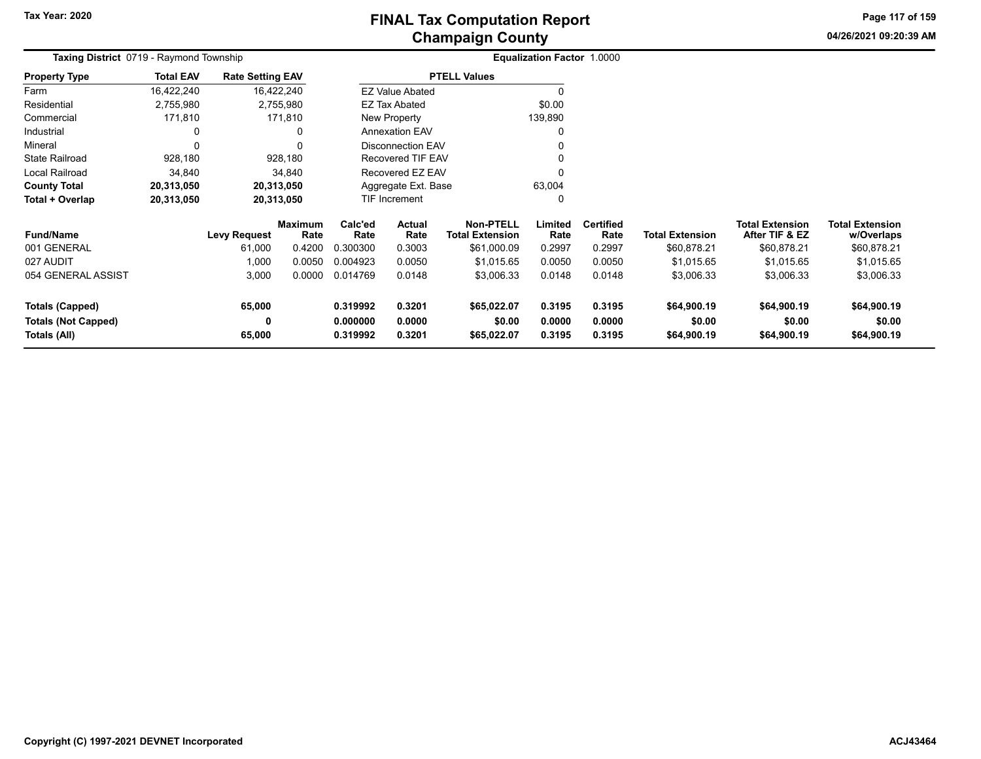**04/26/2021 09:20:39 AM Page 117 of 159**

| Taxing District 0719 - Raymond Township    |                  |                         | Equalization Factor 1.0000 |                      |                                                 |                       |                  |                          |                        |                                          |                                      |
|--------------------------------------------|------------------|-------------------------|----------------------------|----------------------|-------------------------------------------------|-----------------------|------------------|--------------------------|------------------------|------------------------------------------|--------------------------------------|
| <b>Property Type</b>                       | <b>Total EAV</b> | <b>Rate Setting EAV</b> |                            |                      |                                                 | <b>PTELL Values</b>   |                  |                          |                        |                                          |                                      |
| Farm                                       | 16,422,240       |                         | 16,422,240                 |                      | <b>EZ Value Abated</b>                          |                       |                  |                          |                        |                                          |                                      |
| Residential                                | 2,755,980        |                         | 2,755,980                  |                      | EZ Tax Abated                                   |                       | \$0.00           |                          |                        |                                          |                                      |
| Commercial                                 | 171,810          |                         | 171,810                    |                      | New Property                                    |                       | 139,890          |                          |                        |                                          |                                      |
| Industrial                                 | 0                |                         | 0                          |                      | <b>Annexation EAV</b>                           |                       |                  |                          |                        |                                          |                                      |
| Mineral                                    | 0                |                         | 0                          |                      | <b>Disconnection EAV</b>                        |                       |                  |                          |                        |                                          |                                      |
| <b>State Railroad</b>                      | 928,180          |                         | 928,180                    |                      | Recovered TIF EAV                               |                       |                  |                          |                        |                                          |                                      |
| <b>Local Railroad</b>                      | 34,840           |                         | 34,840                     |                      | Recovered EZ EAV                                |                       | $\Omega$         |                          |                        |                                          |                                      |
| <b>County Total</b>                        | 20,313,050       |                         | 20,313,050                 | Aggregate Ext. Base  |                                                 |                       | 63,004           |                          |                        |                                          |                                      |
| Total + Overlap                            | 20,313,050       |                         | 20,313,050                 |                      | TIF Increment                                   |                       | $\Omega$         |                          |                        |                                          |                                      |
| <b>Fund/Name</b>                           |                  | <b>Levy Request</b>     | <b>Maximum</b><br>Rate     | Calc'ed<br>Rate      | <b>Actual</b><br>Rate<br><b>Total Extension</b> |                       | Limited<br>Rate  | <b>Certified</b><br>Rate | <b>Total Extension</b> | <b>Total Extension</b><br>After TIF & EZ | <b>Total Extension</b><br>w/Overlaps |
| 001 GENERAL                                |                  | 61,000                  | 0.4200                     | 0.300300             | 0.3003                                          | \$61,000.09           | 0.2997           | 0.2997                   | \$60,878.21            | \$60,878.21                              | \$60,878.21                          |
| 027 AUDIT                                  |                  | 1,000                   | 0.0050                     | 0.004923             | 0.0050                                          | \$1,015.65            | 0.0050           | 0.0050                   | \$1,015.65             | \$1,015.65                               | \$1,015.65                           |
| 054 GENERAL ASSIST                         |                  | 3,000                   | 0.0000                     | 0.014769             | 0.0148                                          | \$3,006.33            | 0.0148           | 0.0148                   | \$3,006.33             | \$3,006.33                               | \$3,006.33                           |
| <b>Totals (Capped)</b>                     |                  | 65,000                  |                            | 0.319992             | 0.3201                                          | \$65,022.07           | 0.3195           | 0.3195                   | \$64,900.19            | \$64,900.19                              | \$64,900.19                          |
| <b>Totals (Not Capped)</b><br>Totals (All) |                  | 0<br>65,000             |                            | 0.000000<br>0.319992 | 0.0000<br>0.3201                                | \$0.00<br>\$65,022.07 | 0.0000<br>0.3195 | 0.0000<br>0.3195         | \$0.00<br>\$64,900.19  | \$0.00<br>\$64,900.19                    | \$0.00<br>\$64,900.19                |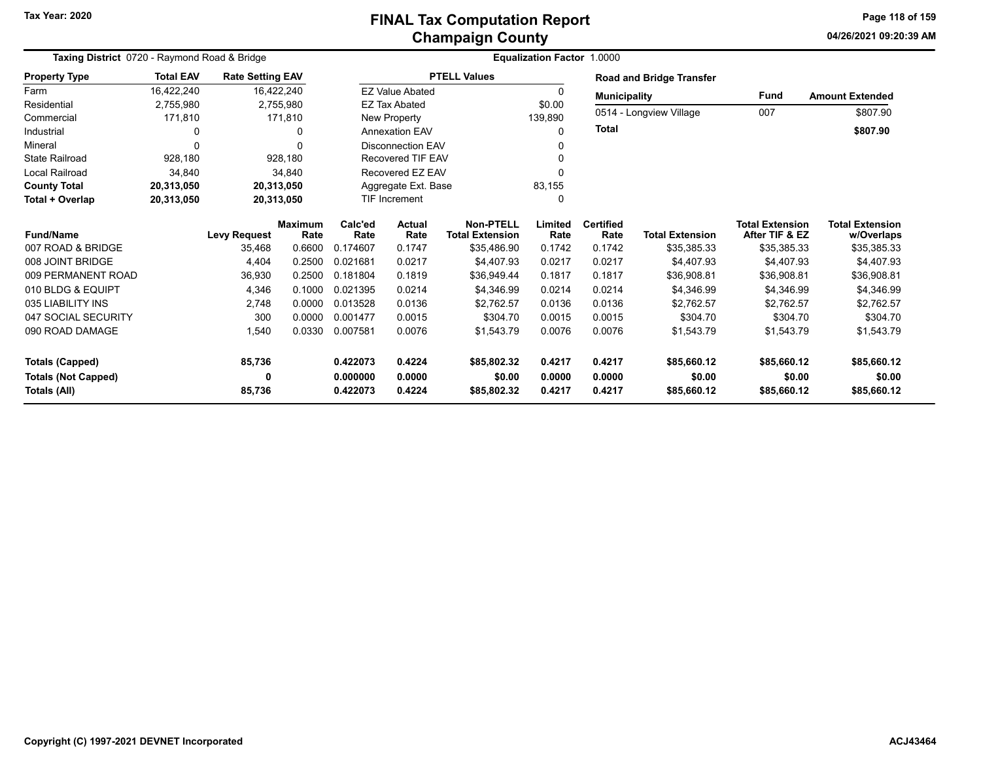**04/26/2021 09:20:39 AMPage 118 of 159**

| Taxing District 0720 - Raymond Road & Bridge |                  |                         |                |                   | Equalization Factor 1.0000 |                        |          |                     |                                 |                        |                        |  |
|----------------------------------------------|------------------|-------------------------|----------------|-------------------|----------------------------|------------------------|----------|---------------------|---------------------------------|------------------------|------------------------|--|
| <b>Property Type</b>                         | <b>Total EAV</b> | <b>Rate Setting EAV</b> |                |                   |                            | <b>PTELL Values</b>    |          |                     | <b>Road and Bridge Transfer</b> |                        |                        |  |
| Farm                                         | 16,422,240       |                         | 16,422,240     |                   | <b>EZ Value Abated</b>     |                        | 0        | <b>Municipality</b> |                                 | <b>Fund</b>            | <b>Amount Extended</b> |  |
| Residential                                  | 2,755,980        |                         | 2,755,980      |                   | <b>EZ Tax Abated</b>       |                        | \$0.00   |                     |                                 |                        |                        |  |
| Commercial                                   | 171,810          |                         | 171,810        |                   | New Property               |                        | 139,890  |                     | 0514 - Longview Village         | 007                    | \$807.90               |  |
| Industrial                                   | 0                |                         | n              |                   | <b>Annexation EAV</b>      |                        | $\Omega$ | <b>Total</b>        |                                 |                        | \$807.90               |  |
| Mineral                                      | $\Omega$         |                         |                |                   | Disconnection FAV          |                        | 0        |                     |                                 |                        |                        |  |
| <b>State Railroad</b>                        | 928,180          |                         | 928,180        | Recovered TIF EAV |                            |                        | 0        |                     |                                 |                        |                        |  |
| Local Railroad                               | 34,840           |                         | 34,840         |                   | Recovered EZ EAV           |                        | 0        |                     |                                 |                        |                        |  |
| <b>County Total</b>                          | 20,313,050       | 20,313,050              |                |                   | Aggregate Ext. Base        |                        | 83,155   |                     |                                 |                        |                        |  |
| Total + Overlap                              | 20,313,050       | 20,313,050              |                |                   | <b>TIF Increment</b>       |                        | $\Omega$ |                     |                                 |                        |                        |  |
|                                              |                  |                         | <b>Maximum</b> | Calc'ed           | Actual                     | <b>Non-PTELL</b>       | Limited  | <b>Certified</b>    |                                 | <b>Total Extension</b> | <b>Total Extension</b> |  |
| <b>Fund/Name</b>                             |                  | <b>Levy Request</b>     | Rate           | Rate              | Rate                       | <b>Total Extension</b> | Rate     | Rate                | <b>Total Extension</b>          | After TIF & EZ         | w/Overlaps             |  |
| 007 ROAD & BRIDGE                            |                  | 35,468                  | 0.6600         | 0.174607          | 0.1747                     | \$35,486.90            | 0.1742   | 0.1742              | \$35,385.33                     | \$35,385.33            | \$35,385.33            |  |
| 008 JOINT BRIDGE                             |                  | 4,404                   | 0.2500         | 0.021681          | 0.0217                     | \$4,407.93             | 0.0217   | 0.0217              | \$4,407.93                      | \$4,407.93             | \$4,407.93             |  |
| 009 PERMANENT ROAD                           |                  | 36,930                  | 0.2500         | 0.181804          | 0.1819                     | \$36,949.44            | 0.1817   | 0.1817              | \$36.908.81                     | \$36,908.81            | \$36,908.81            |  |
| 010 BLDG & EQUIPT                            |                  | 4,346                   | 0.1000         | 0.021395          | 0.0214                     | \$4,346.99             | 0.0214   | 0.0214              | \$4,346.99                      | \$4,346.99             | \$4,346.99             |  |
| 035 LIABILITY INS                            |                  | 2,748                   | 0.0000         | 0.013528          | 0.0136                     | \$2,762.57             | 0.0136   | 0.0136              | \$2,762.57                      | \$2,762.57             | \$2,762.57             |  |
| 047 SOCIAL SECURITY                          |                  | 300                     | 0.0000         | 0.001477          | 0.0015                     | \$304.70               | 0.0015   | 0.0015              | \$304.70                        | \$304.70               | \$304.70               |  |
| 090 ROAD DAMAGE                              |                  | 1,540                   | 0.0330         | 0.007581          | 0.0076                     | \$1,543.79             | 0.0076   | 0.0076              | \$1,543.79                      | \$1,543.79             | \$1,543.79             |  |
| <b>Totals (Capped)</b>                       |                  | 85,736                  |                | 0.422073          | 0.4224                     | \$85,802.32            | 0.4217   | 0.4217              | \$85,660.12                     | \$85,660.12            | \$85,660.12            |  |
| <b>Totals (Not Capped)</b>                   |                  | 0                       |                | 0.000000          | 0.0000                     | \$0.00                 | 0.0000   | 0.0000              | \$0.00                          | \$0.00                 | \$0.00                 |  |
| Totals (All)                                 |                  | 85,736                  |                | 0.422073          | 0.4224                     | \$85,802.32            | 0.4217   | 0.4217              | \$85,660.12                     | \$85,660.12            | \$85,660.12            |  |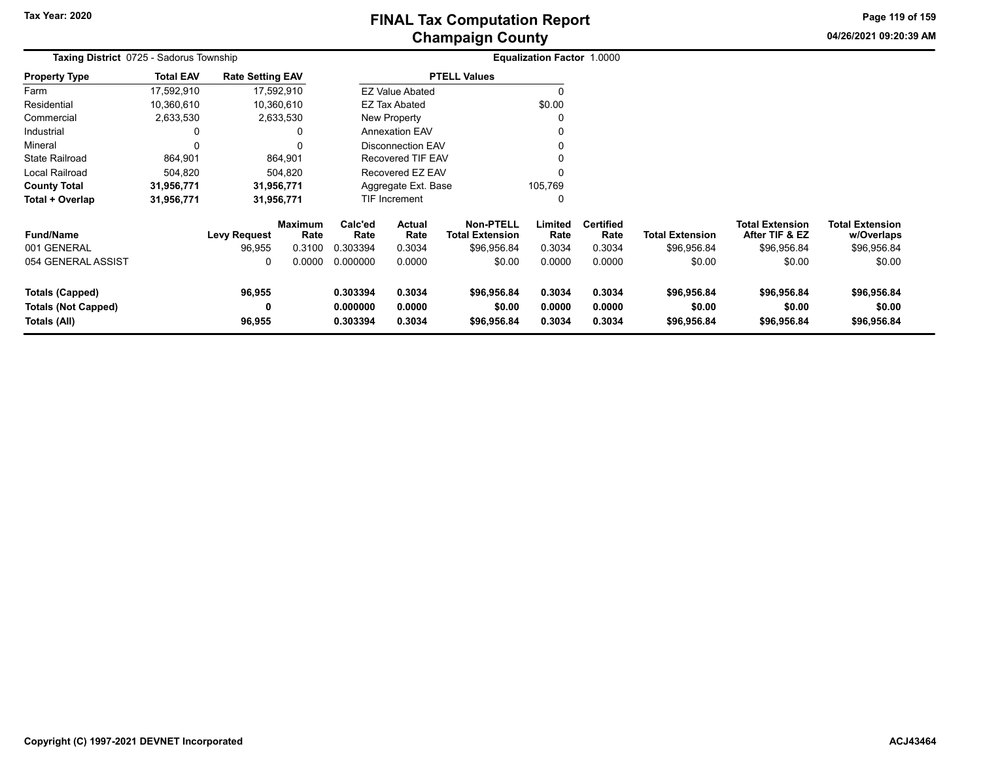**04/26/2021 09:20:39 AMPage 119 of 159**

| Taxing District 0725 - Sadorus Township                              |                  |                               |                                  | Equalization Factor 1.0000       |                                 |                                                           |                            |                                    |                                       |                                                         |                                                     |  |
|----------------------------------------------------------------------|------------------|-------------------------------|----------------------------------|----------------------------------|---------------------------------|-----------------------------------------------------------|----------------------------|------------------------------------|---------------------------------------|---------------------------------------------------------|-----------------------------------------------------|--|
| <b>Property Type</b>                                                 | <b>Total EAV</b> | <b>Rate Setting EAV</b>       |                                  |                                  |                                 | <b>PTELL Values</b>                                       |                            |                                    |                                       |                                                         |                                                     |  |
| Farm                                                                 | 17,592,910       |                               | 17,592,910                       |                                  | <b>EZ Value Abated</b>          |                                                           | O                          |                                    |                                       |                                                         |                                                     |  |
| Residential                                                          | 10,360,610       |                               | 10,360,610                       |                                  | EZ Tax Abated                   |                                                           | \$0.00                     |                                    |                                       |                                                         |                                                     |  |
| Commercial                                                           | 2,633,530        |                               | 2,633,530                        |                                  | New Property                    |                                                           | 0                          |                                    |                                       |                                                         |                                                     |  |
| Industrial                                                           | 0                |                               | 0                                |                                  | <b>Annexation EAV</b>           |                                                           | 0                          |                                    |                                       |                                                         |                                                     |  |
| Mineral                                                              | 0                |                               | 0                                |                                  | <b>Disconnection EAV</b>        |                                                           | 0                          |                                    |                                       |                                                         |                                                     |  |
| <b>State Railroad</b>                                                | 864,901          |                               | 864,901                          |                                  | <b>Recovered TIF EAV</b>        |                                                           |                            |                                    |                                       |                                                         |                                                     |  |
| Local Railroad                                                       | 504,820          |                               | 504.820                          |                                  | Recovered EZ EAV                |                                                           | 0                          |                                    |                                       |                                                         |                                                     |  |
| <b>County Total</b>                                                  | 31,956,771       |                               | 31,956,771                       |                                  | Aggregate Ext. Base             |                                                           | 105,769                    |                                    |                                       |                                                         |                                                     |  |
| Total + Overlap                                                      | 31,956,771       |                               | 31,956,771                       |                                  | <b>TIF Increment</b>            |                                                           | 0                          |                                    |                                       |                                                         |                                                     |  |
| <b>Fund/Name</b><br>001 GENERAL                                      |                  | <b>Levy Request</b><br>96,955 | <b>Maximum</b><br>Rate<br>0.3100 | Calc'ed<br>Rate<br>0.303394      | <b>Actual</b><br>Rate<br>0.3034 | <b>Non-PTELL</b><br><b>Total Extension</b><br>\$96,956.84 | Limited<br>Rate<br>0.3034  | <b>Certified</b><br>Rate<br>0.3034 | <b>Total Extension</b><br>\$96,956.84 | <b>Total Extension</b><br>After TIF & EZ<br>\$96,956.84 | <b>Total Extension</b><br>w/Overlaps<br>\$96,956.84 |  |
| 054 GENERAL ASSIST                                                   |                  | 0                             | 0.0000                           | 0.000000                         | 0.0000                          | \$0.00                                                    | 0.0000                     | 0.0000                             | \$0.00                                | \$0.00                                                  | \$0.00                                              |  |
| <b>Totals (Capped)</b><br><b>Totals (Not Capped)</b><br>Totals (All) |                  | 96,955<br>0<br>96,955         |                                  | 0.303394<br>0.000000<br>0.303394 | 0.3034<br>0.0000<br>0.3034      | \$96,956.84<br>\$0.00<br>\$96,956.84                      | 0.3034<br>0.0000<br>0.3034 | 0.3034<br>0.0000<br>0.3034         | \$96,956.84<br>\$0.00<br>\$96,956.84  | \$96,956.84<br>\$0.00<br>\$96,956.84                    | \$96,956.84<br>\$0.00<br>\$96,956.84                |  |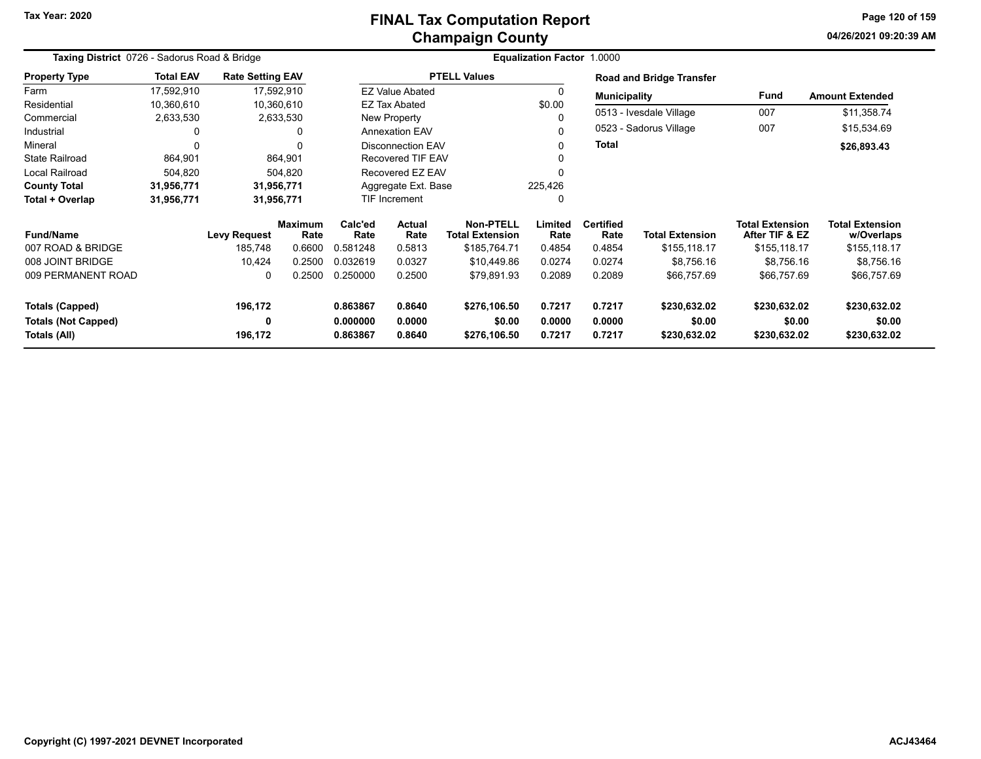# **Champaign County FINAL Tax Computation Report**

**04/26/2021 09:20:39 AMPage 120 of 159**

| Taxing District 0726 - Sadorus Road & Bridge |                  |                         |                        |                 |                          |                                            | <b>Equalization Factor 1.0000</b> |                          |                                 |                                          |                                      |
|----------------------------------------------|------------------|-------------------------|------------------------|-----------------|--------------------------|--------------------------------------------|-----------------------------------|--------------------------|---------------------------------|------------------------------------------|--------------------------------------|
| <b>Property Type</b>                         | <b>Total EAV</b> | <b>Rate Setting EAV</b> |                        |                 |                          | <b>PTELL Values</b>                        |                                   |                          | <b>Road and Bridge Transfer</b> |                                          |                                      |
| Farm                                         | 17,592,910       |                         | 17,592,910             |                 | <b>EZ Value Abated</b>   |                                            | $\Omega$                          | <b>Municipality</b>      |                                 | Fund                                     | <b>Amount Extended</b>               |
| Residential                                  | 10,360,610       |                         | 10,360,610             |                 | EZ Tax Abated            |                                            | \$0.00                            |                          |                                 |                                          |                                      |
| Commercial                                   | 2,633,530        |                         | 2,633,530              |                 | New Property             |                                            | 0                                 |                          | 0513 - Ivesdale Village         | 007                                      | \$11,358.74                          |
| Industrial                                   | 0                |                         |                        |                 | <b>Annexation EAV</b>    |                                            | $\Omega$                          |                          | 0523 - Sadorus Village          | 007                                      | \$15,534.69                          |
| Mineral                                      | 0                |                         |                        |                 | <b>Disconnection EAV</b> |                                            | 0                                 | Total                    |                                 |                                          | \$26,893.43                          |
| <b>State Railroad</b>                        | 864,901          |                         | 864,901                |                 | <b>Recovered TIF EAV</b> |                                            |                                   |                          |                                 |                                          |                                      |
| Local Railroad                               | 504,820          |                         | 504,820                |                 | Recovered EZ EAV         |                                            | $\Omega$                          |                          |                                 |                                          |                                      |
| <b>County Total</b>                          | 31,956,771       |                         | 31,956,771             |                 | Aggregate Ext. Base      |                                            | 225,426                           |                          |                                 |                                          |                                      |
| Total + Overlap                              | 31,956,771       |                         | 31,956,771             |                 | <b>TIF Increment</b>     |                                            | 0                                 |                          |                                 |                                          |                                      |
| <b>Fund/Name</b>                             |                  | <b>Levy Request</b>     | <b>Maximum</b><br>Rate | Calc'ed<br>Rate | <b>Actual</b><br>Rate    | <b>Non-PTELL</b><br><b>Total Extension</b> | Limited<br>Rate                   | <b>Certified</b><br>Rate | <b>Total Extension</b>          | <b>Total Extension</b><br>After TIF & EZ | <b>Total Extension</b><br>w/Overlaps |
| 007 ROAD & BRIDGE                            |                  | 185,748                 | 0.6600                 | 0.581248        | 0.5813                   | \$185,764.71                               | 0.4854                            | 0.4854                   | \$155,118.17                    | \$155,118.17                             | \$155,118.17                         |
| 008 JOINT BRIDGE                             |                  | 10,424                  | 0.2500                 | 0.032619        | 0.0327                   | \$10,449.86                                | 0.0274                            | 0.0274                   | \$8,756.16                      | \$8,756.16                               | \$8,756.16                           |
| 009 PERMANENT ROAD                           |                  | 0                       | 0.2500                 | 0.250000        | 0.2500                   | \$79,891.93                                | 0.2089                            | 0.2089                   | \$66,757.69                     | \$66,757.69                              | \$66,757.69                          |
| <b>Totals (Capped)</b>                       |                  | 196,172                 |                        | 0.863867        | 0.8640                   | \$276,106.50                               | 0.7217                            | 0.7217                   | \$230,632.02                    | \$230,632.02                             | \$230,632.02                         |
| <b>Totals (Not Capped)</b>                   |                  | 0                       |                        | 0.000000        | 0.0000                   | \$0.00                                     | 0.0000                            | 0.0000                   | \$0.00                          | \$0.00                                   | \$0.00                               |
| Totals (All)                                 |                  | 196,172                 |                        | 0.863867        | 0.8640                   | \$276,106.50                               | 0.7217                            | 0.7217                   | \$230,632.02                    | \$230,632.02                             | \$230,632.02                         |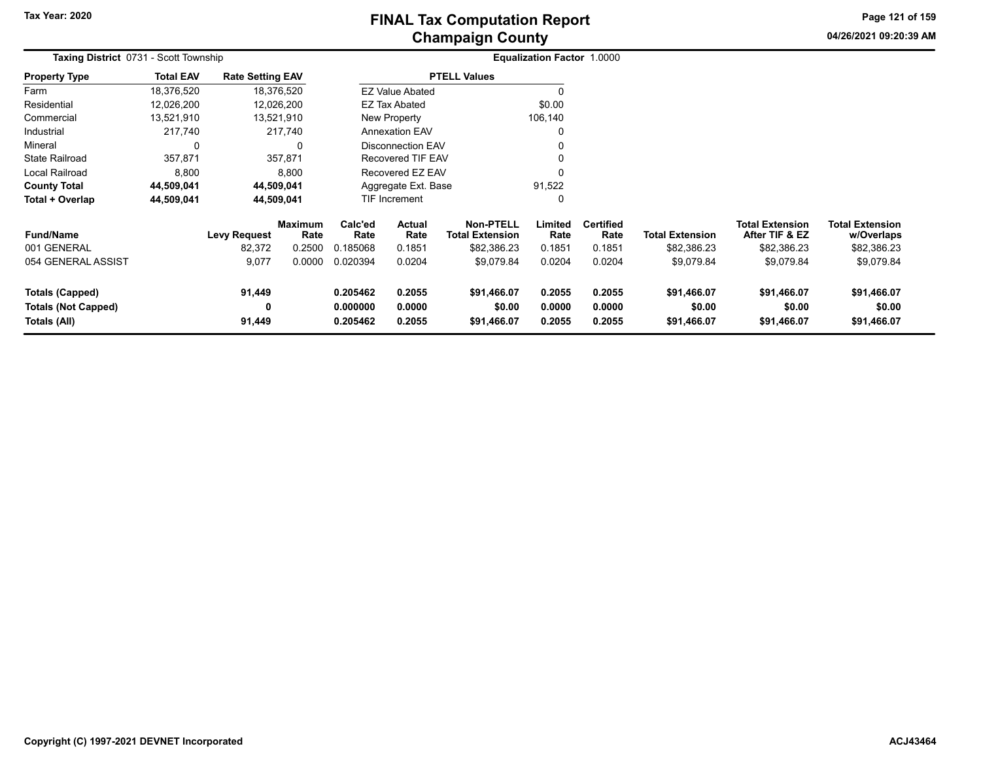**04/26/2021 09:20:39 AMPage 121 of 159**

| <b>Taxing District 0731 - Scott Township</b>                         |                  |                         |                        |                                  |                            |                                            | Equalization Factor 1.0000 |                            |                                      |                                          |                                      |  |
|----------------------------------------------------------------------|------------------|-------------------------|------------------------|----------------------------------|----------------------------|--------------------------------------------|----------------------------|----------------------------|--------------------------------------|------------------------------------------|--------------------------------------|--|
| <b>Property Type</b>                                                 | <b>Total EAV</b> | <b>Rate Setting EAV</b> |                        |                                  |                            | <b>PTELL Values</b>                        |                            |                            |                                      |                                          |                                      |  |
| Farm                                                                 | 18,376,520       |                         | 18,376,520             |                                  | <b>EZ Value Abated</b>     |                                            |                            |                            |                                      |                                          |                                      |  |
| Residential                                                          | 12,026,200       |                         | 12,026,200             |                                  | EZ Tax Abated              |                                            | \$0.00                     |                            |                                      |                                          |                                      |  |
| Commercial                                                           | 13,521,910       |                         | 13,521,910             |                                  | New Property               |                                            | 106,140                    |                            |                                      |                                          |                                      |  |
| Industrial                                                           | 217,740          |                         | 217,740                |                                  | <b>Annexation EAV</b>      |                                            |                            |                            |                                      |                                          |                                      |  |
| Mineral                                                              | 0                |                         |                        | <b>Disconnection EAV</b>         |                            |                                            |                            |                            |                                      |                                          |                                      |  |
| <b>State Railroad</b>                                                | 357,871          |                         | 357,871                |                                  | Recovered TIF EAV          |                                            |                            |                            |                                      |                                          |                                      |  |
| Local Railroad                                                       | 8,800            |                         | 8,800                  |                                  | Recovered EZ EAV           |                                            |                            |                            |                                      |                                          |                                      |  |
| <b>County Total</b>                                                  | 44,509,041       |                         | 44,509,041             |                                  | Aggregate Ext. Base        |                                            | 91,522                     |                            |                                      |                                          |                                      |  |
| Total + Overlap                                                      | 44,509,041       |                         | 44,509,041             |                                  | <b>TIF Increment</b>       |                                            | $\Omega$                   |                            |                                      |                                          |                                      |  |
| <b>Fund/Name</b>                                                     |                  | <b>Levy Request</b>     | <b>Maximum</b><br>Rate | Calc'ed<br>Rate                  | <b>Actual</b><br>Rate      | <b>Non-PTELL</b><br><b>Total Extension</b> | Limited<br>Rate            | <b>Certified</b><br>Rate   | Total Extension                      | <b>Total Extension</b><br>After TIF & EZ | <b>Total Extension</b><br>w/Overlaps |  |
| 001 GENERAL                                                          |                  | 82,372                  | 0.2500                 | 0.185068                         | 0.1851                     | \$82,386.23                                | 0.1851                     | 0.1851                     | \$82,386.23                          | \$82,386.23                              | \$82,386.23                          |  |
| 054 GENERAL ASSIST                                                   |                  | 9,077                   | 0.0000                 | 0.020394                         | 0.0204                     | \$9,079.84                                 | 0.0204                     | 0.0204                     | \$9,079.84                           | \$9,079.84                               | \$9,079.84                           |  |
| <b>Totals (Capped)</b><br><b>Totals (Not Capped)</b><br>Totals (All) |                  | 91,449<br>0<br>91,449   |                        | 0.205462<br>0.000000<br>0.205462 | 0.2055<br>0.0000<br>0.2055 | \$91,466.07<br>\$0.00<br>\$91,466.07       | 0.2055<br>0.0000<br>0.2055 | 0.2055<br>0.0000<br>0.2055 | \$91,466.07<br>\$0.00<br>\$91,466.07 | \$91,466.07<br>\$0.00<br>\$91,466.07     | \$91,466.07<br>\$0.00<br>\$91,466.07 |  |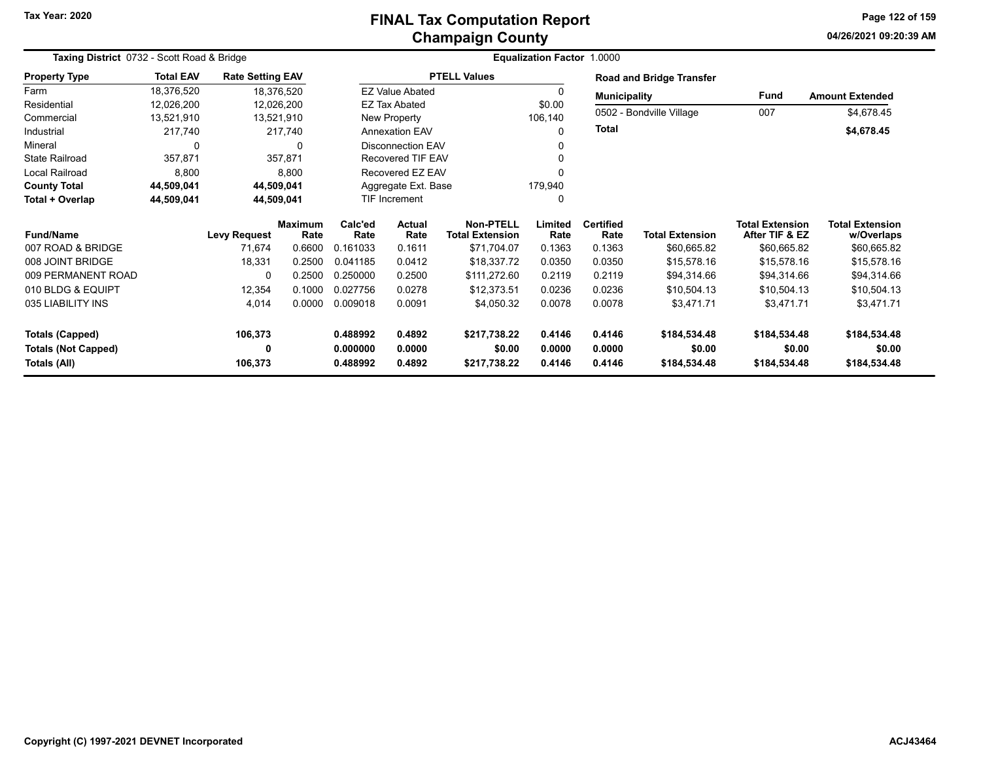# **Champaign County FINAL Tax Computation Report**

**04/26/2021 09:20:39 AM Page 122 of 159**

| Taxing District 0732 - Scott Road & Bridge | Equalization Factor 1.0000 |                         |                        |                 |                          |                                            |                 |                          |                                 |                                          |                                      |
|--------------------------------------------|----------------------------|-------------------------|------------------------|-----------------|--------------------------|--------------------------------------------|-----------------|--------------------------|---------------------------------|------------------------------------------|--------------------------------------|
| <b>Property Type</b>                       | <b>Total EAV</b>           | <b>Rate Setting EAV</b> |                        |                 |                          | <b>PTELL Values</b>                        |                 |                          | <b>Road and Bridge Transfer</b> |                                          |                                      |
| Farm                                       | 18,376,520                 | 18,376,520              |                        |                 | <b>EZ Value Abated</b>   |                                            | 0               | <b>Municipality</b>      |                                 | <b>Fund</b>                              | <b>Amount Extended</b>               |
| Residential                                | 12,026,200                 | 12,026,200              |                        |                 | <b>EZ Tax Abated</b>     |                                            | \$0.00          |                          |                                 |                                          |                                      |
| Commercial                                 | 13,521,910                 | 13,521,910              |                        |                 | New Property             |                                            | 106,140         |                          | 0502 - Bondville Village        | 007                                      | \$4,678.45                           |
| Industrial                                 | 217,740                    |                         | 217,740                |                 | <b>Annexation EAV</b>    |                                            | U               | <b>Total</b>             |                                 |                                          | \$4,678.45                           |
| Mineral                                    |                            |                         | 0                      |                 | <b>Disconnection EAV</b> |                                            | 0               |                          |                                 |                                          |                                      |
| <b>State Railroad</b>                      | 357,871                    |                         | 357,871                |                 | <b>Recovered TIF EAV</b> |                                            |                 |                          |                                 |                                          |                                      |
| Local Railroad                             | 8,800                      |                         | 8,800                  |                 | Recovered EZ EAV         |                                            |                 |                          |                                 |                                          |                                      |
| <b>County Total</b>                        | 44,509,041                 | 44,509,041              |                        |                 | Aggregate Ext. Base      |                                            | 179,940         |                          |                                 |                                          |                                      |
| Total + Overlap                            | 44,509,041                 | 44,509,041              |                        |                 | <b>TIF Increment</b>     |                                            | 0               |                          |                                 |                                          |                                      |
| <b>Fund/Name</b>                           |                            | <b>Levy Request</b>     | <b>Maximum</b><br>Rate | Calc'ed<br>Rate | <b>Actual</b><br>Rate    | <b>Non-PTELL</b><br><b>Total Extension</b> | Limited<br>Rate | <b>Certified</b><br>Rate | <b>Total Extension</b>          | <b>Total Extension</b><br>After TIF & EZ | <b>Total Extension</b><br>w/Overlaps |
| 007 ROAD & BRIDGE                          |                            | 71.674                  | 0.6600                 | 0.161033        | 0.1611                   | \$71,704.07                                | 0.1363          | 0.1363                   | \$60,665.82                     | \$60,665.82                              | \$60,665.82                          |
| 008 JOINT BRIDGE                           |                            | 18,331                  | 0.2500                 | 0.041185        | 0.0412                   | \$18,337.72                                | 0.0350          | 0.0350                   | \$15,578.16                     | \$15,578.16                              | \$15,578.16                          |
| 009 PERMANENT ROAD                         |                            | O                       | 0.2500                 | 0.250000        | 0.2500                   | \$111,272.60                               | 0.2119          | 0.2119                   | \$94,314.66                     | \$94,314.66                              | \$94,314.66                          |
| 010 BLDG & EQUIPT                          |                            | 12,354                  | 0.1000                 | 0.027756        | 0.0278                   | \$12,373.51                                | 0.0236          | 0.0236                   | \$10,504.13                     | \$10,504.13                              | \$10,504.13                          |
| 035 LIABILITY INS                          |                            | 4,014                   | 0.0000                 | 0.009018        | 0.0091                   | \$4,050.32                                 | 0.0078          | 0.0078                   | \$3,471.71                      | \$3,471.71                               | \$3,471.71                           |
| Totals (Capped)                            |                            | 106,373                 |                        | 0.488992        | 0.4892                   | \$217,738.22                               | 0.4146          | 0.4146                   | \$184,534.48                    | \$184,534.48                             | \$184,534.48                         |
| <b>Totals (Not Capped)</b>                 |                            | 0                       |                        | 0.000000        | 0.0000                   | \$0.00                                     | 0.0000          | 0.0000                   | \$0.00                          | \$0.00                                   | \$0.00                               |
| Totals (All)                               |                            | 106,373                 |                        | 0.488992        | 0.4892                   | \$217,738.22                               | 0.4146          | 0.4146                   | \$184,534.48                    | \$184,534.48                             | \$184,534.48                         |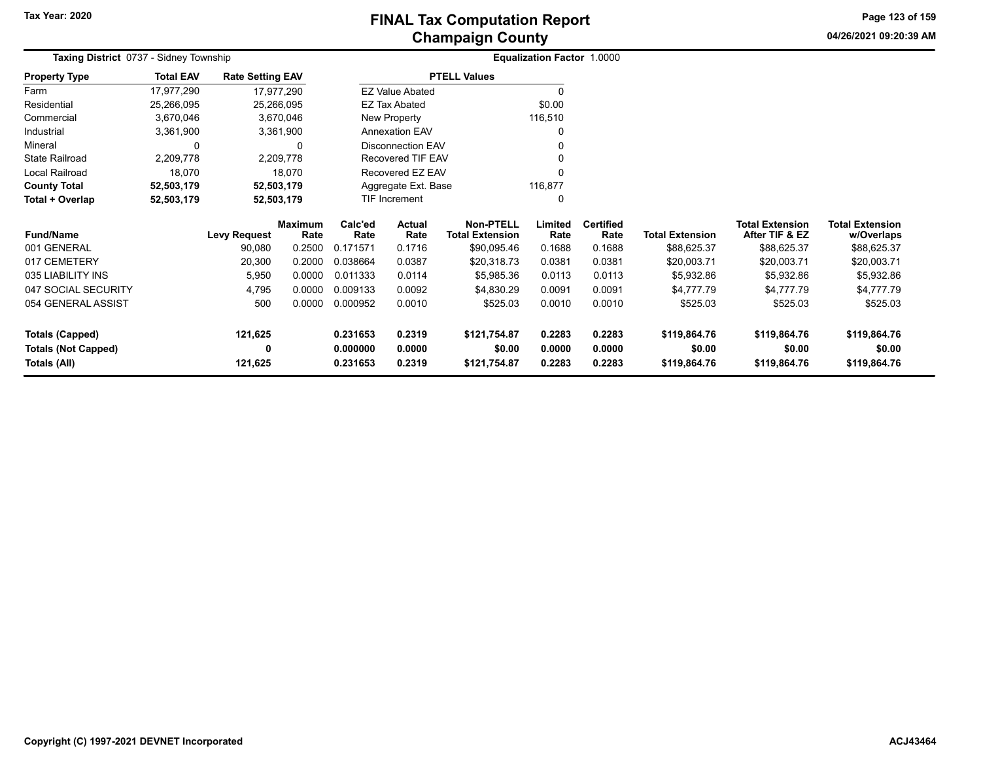# **Champaign County FINAL Tax Computation Report**

**04/26/2021 09:20:39 AM**

**Page 123 of 159**

| <b>Taxing District 0737 - Sidney Township</b> |                  |                         |                        | <b>Equalization Factor 1.0000</b> |                          |                                            |                 |                          |                        |                                          |                                      |
|-----------------------------------------------|------------------|-------------------------|------------------------|-----------------------------------|--------------------------|--------------------------------------------|-----------------|--------------------------|------------------------|------------------------------------------|--------------------------------------|
| <b>Property Type</b>                          | <b>Total EAV</b> | <b>Rate Setting EAV</b> |                        |                                   |                          | <b>PTELL Values</b>                        |                 |                          |                        |                                          |                                      |
| Farm                                          | 17,977,290       |                         | 17,977,290             |                                   | <b>EZ Value Abated</b>   |                                            |                 |                          |                        |                                          |                                      |
| Residential                                   | 25,266,095       |                         | 25,266,095             |                                   | <b>EZ Tax Abated</b>     |                                            | \$0.00          |                          |                        |                                          |                                      |
| Commercial                                    | 3,670,046        |                         | 3,670,046              |                                   | New Property             |                                            | 116,510         |                          |                        |                                          |                                      |
| Industrial                                    | 3,361,900        |                         | 3,361,900              |                                   | <b>Annexation EAV</b>    |                                            |                 |                          |                        |                                          |                                      |
| Mineral                                       | C                |                         | 0                      | <b>Disconnection EAV</b>          |                          |                                            |                 |                          |                        |                                          |                                      |
| <b>State Railroad</b>                         | 2,209,778        |                         | 2,209,778              |                                   | <b>Recovered TIF EAV</b> |                                            |                 |                          |                        |                                          |                                      |
| Local Railroad                                | 18,070           |                         | 18,070                 |                                   | Recovered EZ EAV         |                                            |                 |                          |                        |                                          |                                      |
| <b>County Total</b>                           | 52,503,179       |                         | 52,503,179             |                                   | Aggregate Ext. Base      |                                            | 116,877         |                          |                        |                                          |                                      |
| Total + Overlap                               | 52,503,179       |                         | 52,503,179             |                                   | TIF Increment            |                                            | <sup>0</sup>    |                          |                        |                                          |                                      |
| <b>Fund/Name</b>                              |                  | <b>Levy Request</b>     | <b>Maximum</b><br>Rate | Calc'ed<br>Rate                   | <b>Actual</b><br>Rate    | <b>Non-PTELL</b><br><b>Total Extension</b> | Limited<br>Rate | <b>Certified</b><br>Rate | <b>Total Extension</b> | <b>Total Extension</b><br>After TIF & EZ | <b>Total Extension</b><br>w/Overlaps |
| 001 GENERAL                                   |                  | 90,080                  | 0.2500                 | 0.171571                          | 0.1716                   | \$90,095.46                                | 0.1688          | 0.1688                   | \$88,625.37            | \$88,625.37                              | \$88,625.37                          |
| 017 CEMETERY                                  |                  | 20,300                  | 0.2000                 | 0.038664                          | 0.0387                   | \$20,318.73                                | 0.0381          | 0.0381                   | \$20,003.71            | \$20,003.71                              | \$20,003.71                          |
| 035 LIABILITY INS                             |                  | 5,950                   | 0.0000                 | 0.011333                          | 0.0114                   | \$5,985.36                                 | 0.0113          | 0.0113                   | \$5,932.86             | \$5,932.86                               | \$5,932.86                           |
| 047 SOCIAL SECURITY                           |                  | 4,795                   | 0.0000                 | 0.009133                          | 0.0092                   | \$4,830.29                                 | 0.0091          | 0.0091                   | \$4,777.79             | \$4,777.79                               | \$4,777.79                           |
| 054 GENERAL ASSIST                            |                  | 500                     | 0.0000                 | 0.000952                          | 0.0010                   | \$525.03                                   | 0.0010          | 0.0010                   | \$525.03               | \$525.03                                 | \$525.03                             |
| <b>Totals (Capped)</b>                        |                  | 121,625                 |                        | 0.231653                          | 0.2319                   | \$121,754.87                               | 0.2283          | 0.2283                   | \$119,864.76           | \$119,864.76                             | \$119,864.76                         |
| <b>Totals (Not Capped)</b>                    |                  | 0                       |                        | 0.000000                          | 0.0000                   | \$0.00                                     | 0.0000          | 0.0000                   | \$0.00                 | \$0.00                                   | \$0.00                               |
| Totals (All)                                  |                  | 121,625                 |                        | 0.231653                          | 0.2319                   | \$121,754.87                               | 0.2283          | 0.2283                   | \$119,864.76           | \$119,864.76                             | \$119,864.76                         |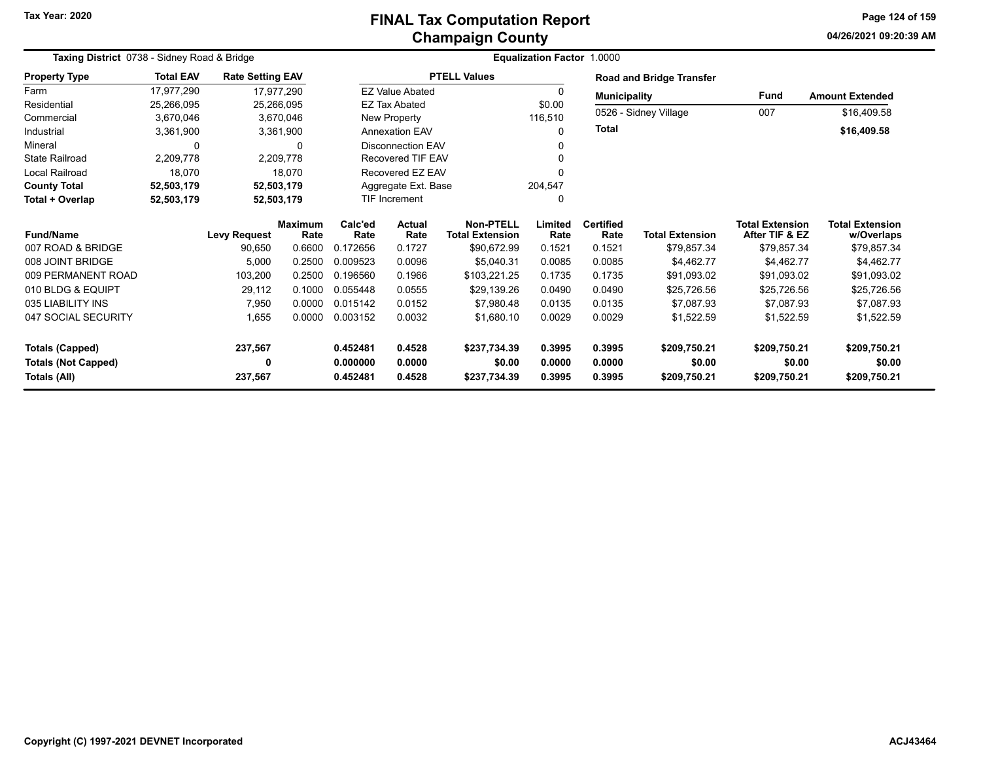#### **Champaign County FINAL Tax Computation Report**

**04/26/2021 09:20:39 AM Page 124 of 159**

| Taxing District 0738 - Sidney Road & Bridge |                  |                         |                        |                 |                          | <b>Equalization Factor 1.0000</b>          |                 |                          |                                 |                                          |                                      |
|---------------------------------------------|------------------|-------------------------|------------------------|-----------------|--------------------------|--------------------------------------------|-----------------|--------------------------|---------------------------------|------------------------------------------|--------------------------------------|
| <b>Property Type</b>                        | <b>Total EAV</b> | <b>Rate Setting EAV</b> |                        |                 |                          | <b>PTELL Values</b>                        |                 |                          | <b>Road and Bridge Transfer</b> |                                          |                                      |
| Farm                                        | 17,977,290       |                         | 17,977,290             |                 | <b>EZ Value Abated</b>   |                                            | $\Omega$        | <b>Municipality</b>      |                                 | <b>Fund</b>                              | <b>Amount Extended</b>               |
| Residential                                 | 25,266,095       |                         | 25,266,095             |                 | <b>EZ Tax Abated</b>     |                                            | \$0.00          |                          |                                 |                                          |                                      |
| Commercial                                  | 3,670,046        |                         | 3,670,046              |                 | New Property             |                                            | 116,510         |                          | 0526 - Sidney Village           | 007                                      | \$16,409.58                          |
| Industrial                                  | 3,361,900        |                         | 3,361,900              |                 | <b>Annexation EAV</b>    |                                            | $\Omega$        | Total                    |                                 |                                          | \$16,409.58                          |
| Mineral                                     | 0                |                         | 0                      |                 | <b>Disconnection EAV</b> |                                            |                 |                          |                                 |                                          |                                      |
| <b>State Railroad</b>                       | 2,209,778        |                         | 2,209,778              |                 | <b>Recovered TIF EAV</b> |                                            |                 |                          |                                 |                                          |                                      |
| Local Railroad                              | 18,070           |                         | 18,070                 |                 | Recovered EZ EAV         |                                            |                 |                          |                                 |                                          |                                      |
| <b>County Total</b>                         | 52,503,179       |                         | 52,503,179             |                 | Aggregate Ext. Base      |                                            | 204,547         |                          |                                 |                                          |                                      |
| Total + Overlap                             | 52,503,179       |                         | 52,503,179             |                 | TIF Increment            |                                            | 0               |                          |                                 |                                          |                                      |
| <b>Fund/Name</b>                            |                  | <b>Levy Request</b>     | <b>Maximum</b><br>Rate | Calc'ed<br>Rate | <b>Actual</b><br>Rate    | <b>Non-PTELL</b><br><b>Total Extension</b> | Limited<br>Rate | <b>Certified</b><br>Rate | <b>Total Extension</b>          | <b>Total Extension</b><br>After TIF & EZ | <b>Total Extension</b><br>w/Overlaps |
| 007 ROAD & BRIDGE                           |                  | 90,650                  | 0.6600                 | 0.172656        | 0.1727                   | \$90,672.99                                | 0.1521          | 0.1521                   | \$79,857.34                     | \$79,857.34                              | \$79,857.34                          |
| 008 JOINT BRIDGE                            |                  | 5,000                   | 0.2500                 | 0.009523        | 0.0096                   | \$5,040.31                                 | 0.0085          | 0.0085                   | \$4,462.77                      | \$4,462.77                               | \$4,462.77                           |
| 009 PERMANENT ROAD                          |                  | 103,200                 | 0.2500                 | 0.196560        | 0.1966                   | \$103,221.25                               | 0.1735          | 0.1735                   | \$91,093.02                     | \$91,093.02                              | \$91,093.02                          |
| 010 BLDG & EQUIPT                           |                  | 29,112                  | 0.1000                 | 0.055448        | 0.0555                   | \$29,139.26                                | 0.0490          | 0.0490                   | \$25,726.56                     | \$25,726.56                              | \$25,726.56                          |
| 035 LIABILITY INS                           |                  | 7,950                   | 0.0000                 | 0.015142        | 0.0152                   | \$7,980.48                                 | 0.0135          | 0.0135                   | \$7,087.93                      | \$7.087.93                               | \$7,087.93                           |
| 047 SOCIAL SECURITY                         |                  | 1,655                   | 0.0000                 | 0.003152        | 0.0032                   | \$1,680.10                                 | 0.0029          | 0.0029                   | \$1,522.59                      | \$1,522.59                               | \$1,522.59                           |
| <b>Totals (Capped)</b>                      |                  | 237,567                 |                        | 0.452481        | 0.4528                   | \$237,734.39                               | 0.3995          | 0.3995                   | \$209,750.21                    | \$209,750.21                             | \$209,750.21                         |
| <b>Totals (Not Capped)</b>                  |                  | 0                       |                        | 0.000000        | 0.0000                   | \$0.00                                     | 0.0000          | 0.0000                   | \$0.00                          | \$0.00                                   | \$0.00                               |
| Totals (All)                                |                  | 237,567                 |                        | 0.452481        | 0.4528                   | \$237,734.39                               | 0.3995          | 0.3995                   | \$209,750.21                    | \$209,750.21                             | \$209,750.21                         |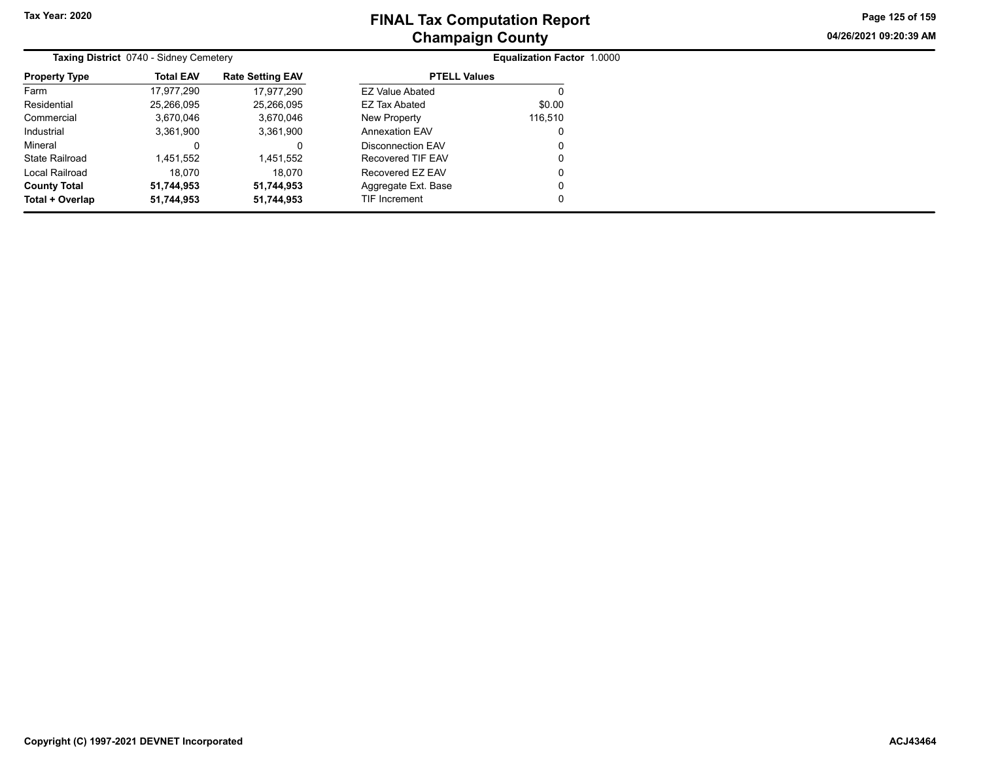**04/26/2021 09:20:39 AM Page 125 of 159**

|                      | <b>Taxing District 0740 - Sidney Cemetery</b> |                         | <b>Equalization Factor 1.0000</b> |         |  |  |  |
|----------------------|-----------------------------------------------|-------------------------|-----------------------------------|---------|--|--|--|
| <b>Property Type</b> | <b>Total EAV</b>                              | <b>Rate Setting EAV</b> | <b>PTELL Values</b>               |         |  |  |  |
| Farm                 | 17.977.290                                    | 17.977.290              | <b>EZ Value Abated</b>            |         |  |  |  |
| Residential          | 25,266,095                                    | 25,266,095              | EZ Tax Abated                     | \$0.00  |  |  |  |
| Commercial           | 3,670,046                                     | 3,670,046               | New Property                      | 116,510 |  |  |  |
| Industrial           | 3,361,900                                     | 3,361,900               | <b>Annexation EAV</b>             | 0       |  |  |  |
| Mineral              |                                               | 0                       | Disconnection EAV                 | 0       |  |  |  |
| State Railroad       | l.451.552                                     | 1.451.552               | Recovered TIF EAV                 | 0       |  |  |  |
| Local Railroad       | 18.070                                        | 18.070                  | Recovered EZ EAV                  | 0       |  |  |  |
| <b>County Total</b>  | 51,744,953                                    | 51,744,953              | Aggregate Ext. Base               | 0       |  |  |  |
| Total + Overlap      | 51.744.953                                    | 51.744.953              | TIF Increment                     | 0       |  |  |  |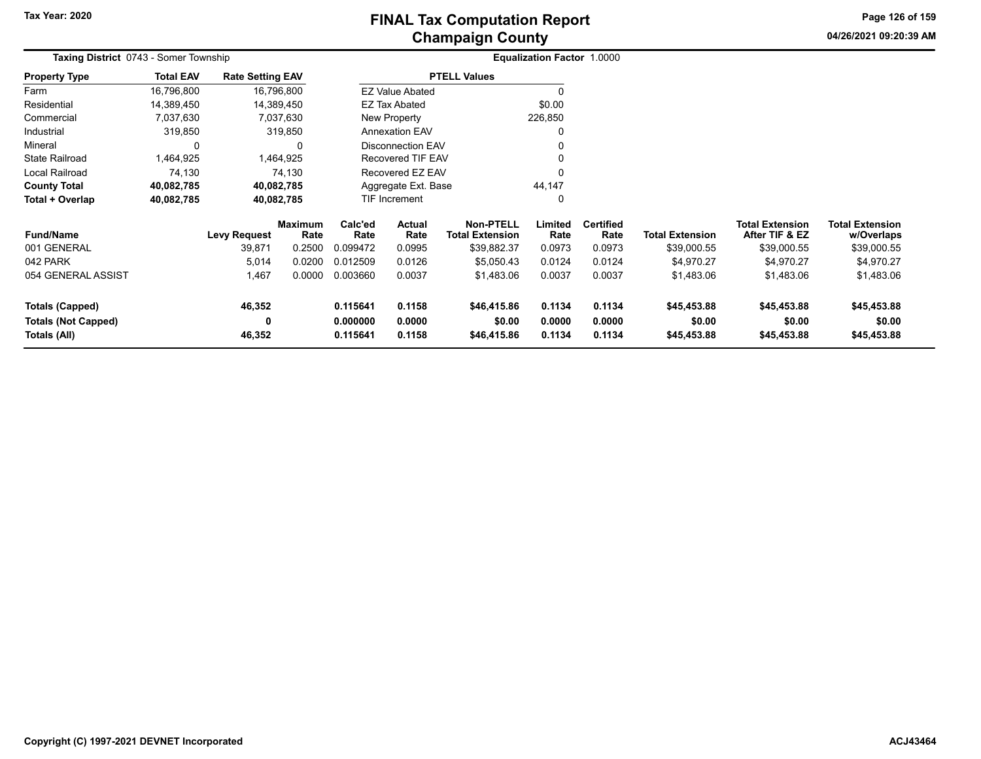**04/26/2021 09:20:39 AM Page 126 of 159**

| Taxing District 0743 - Somer Township |                  |                         |                        |                 |                        |                                     | Equalization Factor 1.0000 |                          |                        |                                          |                                      |
|---------------------------------------|------------------|-------------------------|------------------------|-----------------|------------------------|-------------------------------------|----------------------------|--------------------------|------------------------|------------------------------------------|--------------------------------------|
| <b>Property Type</b>                  | <b>Total EAV</b> | <b>Rate Setting EAV</b> |                        |                 |                        | <b>PTELL Values</b>                 |                            |                          |                        |                                          |                                      |
| Farm                                  | 16,796,800       |                         | 16,796,800             |                 | <b>EZ Value Abated</b> |                                     | O                          |                          |                        |                                          |                                      |
| Residential                           | 14,389,450       |                         | 14,389,450             |                 | <b>EZ Tax Abated</b>   |                                     | \$0.00                     |                          |                        |                                          |                                      |
| Commercial                            | 7,037,630        |                         | 7,037,630              |                 | New Property           |                                     | 226,850                    |                          |                        |                                          |                                      |
| Industrial                            | 319,850          |                         | 319,850                |                 | <b>Annexation EAV</b>  |                                     | 0                          |                          |                        |                                          |                                      |
| Mineral                               | 0                |                         | 0                      |                 | Disconnection EAV      |                                     | 0                          |                          |                        |                                          |                                      |
| <b>State Railroad</b>                 | 1,464,925        |                         | 1,464,925              |                 | Recovered TIF EAV      |                                     |                            |                          |                        |                                          |                                      |
| Local Railroad                        | 74,130           |                         | 74,130                 |                 | Recovered EZ EAV       |                                     | $\Omega$                   |                          |                        |                                          |                                      |
| <b>County Total</b>                   | 40,082,785       |                         | 40,082,785             |                 | Aggregate Ext. Base    |                                     | 44,147                     |                          |                        |                                          |                                      |
| Total + Overlap                       | 40,082,785       |                         | 40,082,785             |                 | TIF Increment          |                                     | 0                          |                          |                        |                                          |                                      |
| <b>Fund/Name</b>                      |                  | <b>Levy Request</b>     | <b>Maximum</b><br>Rate | Calc'ed<br>Rate | Actual<br>Rate         | Non-PTELL<br><b>Total Extension</b> | Limited<br>Rate            | <b>Certified</b><br>Rate | <b>Total Extension</b> | <b>Total Extension</b><br>After TIF & EZ | <b>Total Extension</b><br>w/Overlaps |
| 001 GENERAL                           |                  | 39,871                  | 0.2500                 | 0.099472        | 0.0995                 | \$39,882.37                         | 0.0973                     | 0.0973                   | \$39,000.55            | \$39,000.55                              | \$39,000.55                          |
| 042 PARK                              |                  | 5,014                   | 0.0200                 | 0.012509        | 0.0126                 | \$5,050.43                          | 0.0124                     | 0.0124                   | \$4,970.27             | \$4,970.27                               | \$4,970.27                           |
| 054 GENERAL ASSIST                    |                  | 1,467                   | 0.0000                 | 0.003660        | 0.0037                 | \$1,483.06                          | 0.0037                     | 0.0037                   | \$1,483.06             | \$1,483.06                               | \$1,483.06                           |
| <b>Totals (Capped)</b>                |                  | 46,352                  |                        | 0.115641        | 0.1158                 | \$46,415.86                         | 0.1134                     | 0.1134                   | \$45,453.88            | \$45,453.88                              | \$45,453.88                          |
| <b>Totals (Not Capped)</b>            |                  | 0                       |                        | 0.000000        | 0.0000                 | \$0.00                              | 0.0000                     | 0.0000                   | \$0.00                 | \$0.00                                   | \$0.00                               |
| Totals (All)                          |                  | 46,352                  |                        | 0.115641        | 0.1158                 | \$46,415.86                         | 0.1134                     | 0.1134                   | \$45,453.88            | \$45,453.88                              | \$45,453.88                          |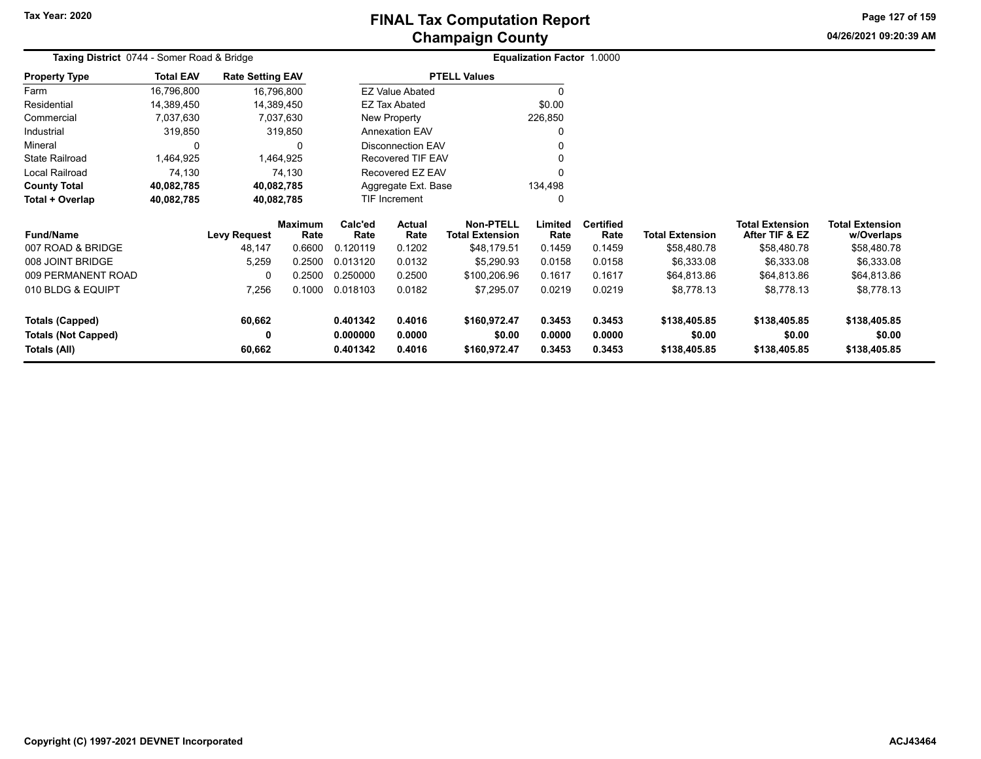# **Champaign County FINAL Tax Computation Report**

**04/26/2021 09:20:39 AMPage 127 of 159**

| Taxing District 0744 - Somer Road & Bridge |                  |                         |                        |                 | <b>Equalization Factor 1.0000</b> |                                     |                 |                          |                        |                                          |                                      |
|--------------------------------------------|------------------|-------------------------|------------------------|-----------------|-----------------------------------|-------------------------------------|-----------------|--------------------------|------------------------|------------------------------------------|--------------------------------------|
| <b>Property Type</b>                       | <b>Total EAV</b> | <b>Rate Setting EAV</b> |                        |                 |                                   | <b>PTELL Values</b>                 |                 |                          |                        |                                          |                                      |
| Farm                                       | 16,796,800       | 16,796,800              |                        |                 | <b>EZ Value Abated</b>            |                                     | 0               |                          |                        |                                          |                                      |
| Residential                                | 14,389,450       | 14,389,450              |                        |                 | EZ Tax Abated                     |                                     | \$0.00          |                          |                        |                                          |                                      |
| Commercial                                 | 7,037,630        | 7,037,630               |                        |                 | New Property                      |                                     | 226,850         |                          |                        |                                          |                                      |
| Industrial                                 | 319,850          | 319,850                 |                        |                 | <b>Annexation EAV</b>             |                                     | 0               |                          |                        |                                          |                                      |
| Mineral                                    | 0                |                         |                        |                 | <b>Disconnection EAV</b>          |                                     | 0               |                          |                        |                                          |                                      |
| <b>State Railroad</b>                      | 1,464,925        | 1,464,925               |                        |                 | <b>Recovered TIF EAV</b>          |                                     | 0               |                          |                        |                                          |                                      |
| Local Railroad                             | 74,130           | 74,130                  |                        |                 | Recovered EZ EAV                  |                                     | 0               |                          |                        |                                          |                                      |
| <b>County Total</b>                        | 40,082,785       | 40,082,785              |                        |                 | Aggregate Ext. Base               |                                     | 134,498         |                          |                        |                                          |                                      |
| Total + Overlap                            | 40,082,785       | 40,082,785              |                        |                 | TIF Increment                     |                                     | 0               |                          |                        |                                          |                                      |
| <b>Fund/Name</b>                           |                  | <b>Levy Request</b>     | <b>Maximum</b><br>Rate | Calc'ed<br>Rate | Actual<br>Rate                    | Non-PTELL<br><b>Total Extension</b> | Limited<br>Rate | <b>Certified</b><br>Rate | <b>Total Extension</b> | <b>Total Extension</b><br>After TIF & EZ | <b>Total Extension</b><br>w/Overlaps |
| 007 ROAD & BRIDGE                          |                  | 48,147                  | 0.6600                 | 0.120119        | 0.1202                            | \$48,179.51                         | 0.1459          | 0.1459                   | \$58,480.78            | \$58,480.78                              | \$58,480.78                          |
| 008 JOINT BRIDGE                           |                  | 5,259                   | 0.2500                 | 0.013120        | 0.0132                            | \$5,290.93                          | 0.0158          | 0.0158                   | \$6,333.08             | \$6,333.08                               | \$6,333.08                           |
| 009 PERMANENT ROAD                         |                  | $\Omega$                | 0.2500                 | 0.250000        | 0.2500                            | \$100,206.96                        | 0.1617          | 0.1617                   | \$64,813.86            | \$64,813.86                              | \$64,813.86                          |
| 010 BLDG & EQUIPT                          |                  | 7,256                   | 0.1000                 | 0.018103        | 0.0182                            | \$7,295.07                          | 0.0219          | 0.0219                   | \$8,778.13             | \$8,778.13                               | \$8,778.13                           |
| <b>Totals (Capped)</b>                     |                  | 60,662                  |                        | 0.401342        | 0.4016                            | \$160,972.47                        | 0.3453          | 0.3453                   | \$138,405.85           | \$138,405.85                             | \$138,405.85                         |
| <b>Totals (Not Capped)</b>                 |                  | 0                       |                        | 0.000000        | 0.0000                            | \$0.00                              | 0.0000          | 0.0000                   | \$0.00                 | \$0.00                                   | \$0.00                               |
| <b>Totals (All)</b>                        |                  | 60,662                  |                        | 0.401342        | 0.4016                            | \$160,972.47                        | 0.3453          | 0.3453                   | \$138,405.85           | \$138,405.85                             | \$138,405.85                         |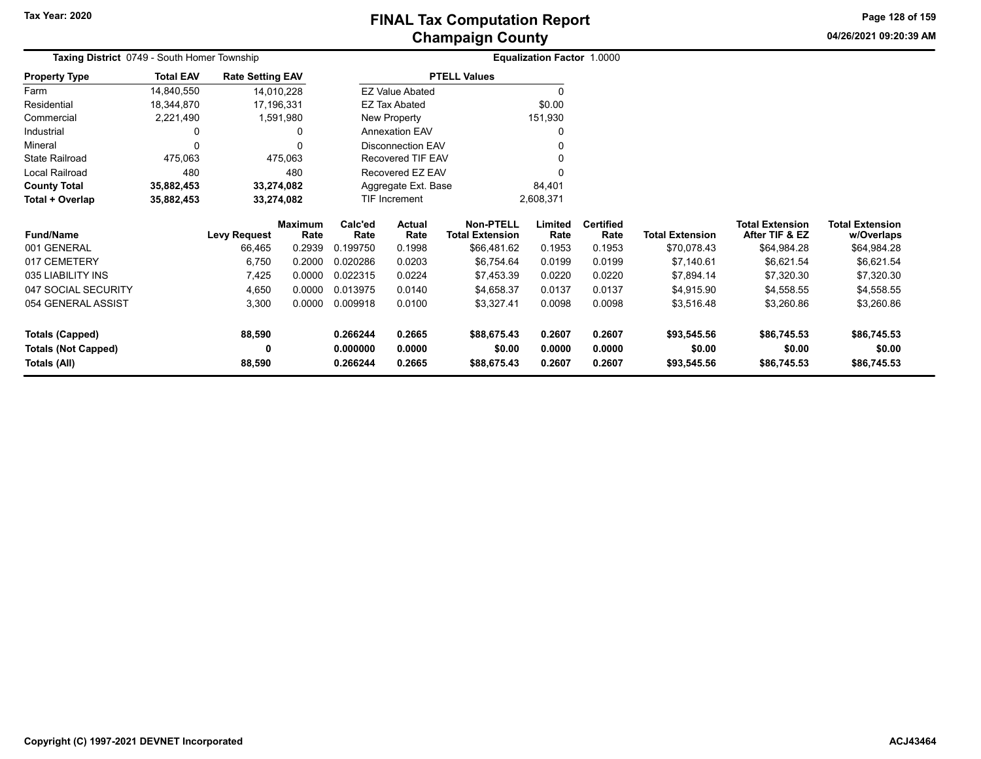**04/26/2021 09:20:39 AM Page 128 of 159**

| Taxing District 0749 - South Homer Township |                  |                         |                        | <b>Equalization Factor 1.0000</b> |                          |                                     |                 |                          |                        |                                          |                                      |
|---------------------------------------------|------------------|-------------------------|------------------------|-----------------------------------|--------------------------|-------------------------------------|-----------------|--------------------------|------------------------|------------------------------------------|--------------------------------------|
| <b>Property Type</b>                        | <b>Total EAV</b> | <b>Rate Setting EAV</b> |                        |                                   |                          | <b>PTELL Values</b>                 |                 |                          |                        |                                          |                                      |
| Farm                                        | 14,840,550       | 14,010,228              |                        |                                   | <b>EZ Value Abated</b>   |                                     |                 |                          |                        |                                          |                                      |
| Residential                                 | 18,344,870       | 17,196,331              |                        |                                   | <b>EZ Tax Abated</b>     |                                     | \$0.00          |                          |                        |                                          |                                      |
| Commercial                                  | 2,221,490        | 1,591,980               |                        |                                   | New Property             |                                     | 151,930         |                          |                        |                                          |                                      |
| Industrial                                  |                  |                         |                        |                                   | <b>Annexation EAV</b>    |                                     |                 |                          |                        |                                          |                                      |
| Mineral                                     |                  |                         |                        |                                   | <b>Disconnection EAV</b> |                                     |                 |                          |                        |                                          |                                      |
| <b>State Railroad</b>                       | 475,063          |                         | 475,063                |                                   | Recovered TIF EAV        |                                     |                 |                          |                        |                                          |                                      |
| Local Railroad                              | 480              |                         | 480                    |                                   | Recovered EZ EAV         |                                     |                 |                          |                        |                                          |                                      |
| <b>County Total</b>                         | 35,882,453       | 33,274,082              |                        |                                   | Aggregate Ext. Base      |                                     | 84,401          |                          |                        |                                          |                                      |
| Total + Overlap                             | 35,882,453       | 33,274,082              |                        |                                   | <b>TIF Increment</b>     |                                     | 2,608,371       |                          |                        |                                          |                                      |
| <b>Fund/Name</b>                            |                  | <b>Levy Request</b>     | <b>Maximum</b><br>Rate | Calc'ed<br>Rate                   | Actual<br>Rate           | Non-PTELL<br><b>Total Extension</b> | Limited<br>Rate | <b>Certified</b><br>Rate | <b>Total Extension</b> | <b>Total Extension</b><br>After TIF & EZ | <b>Total Extension</b><br>w/Overlaps |
| 001 GENERAL                                 |                  | 66,465                  | 0.2939                 | 0.199750                          | 0.1998                   | \$66,481.62                         | 0.1953          | 0.1953                   | \$70,078.43            | \$64,984.28                              | \$64,984.28                          |
| 017 CEMETERY                                |                  | 6,750                   | 0.2000                 | 0.020286                          | 0.0203                   | \$6,754.64                          | 0.0199          | 0.0199                   | \$7,140.61             | \$6,621.54                               | \$6,621.54                           |
| 035 LIABILITY INS                           |                  | 7,425                   | 0.0000                 | 0.022315                          | 0.0224                   | \$7,453.39                          | 0.0220          | 0.0220                   | \$7,894.14             | \$7,320.30                               | \$7,320.30                           |
| 047 SOCIAL SECURITY                         |                  | 4,650                   | 0.0000                 | 0.013975                          | 0.0140                   | \$4,658.37                          | 0.0137          | 0.0137                   | \$4,915.90             | \$4,558.55                               | \$4,558.55                           |
| 054 GENERAL ASSIST                          |                  | 3,300                   | 0.0000                 | 0.009918                          | 0.0100                   | \$3,327.41                          | 0.0098          | 0.0098                   | \$3,516.48             | \$3,260.86                               | \$3,260.86                           |
| <b>Totals (Capped)</b>                      |                  | 88,590                  |                        | 0.266244                          | 0.2665                   | \$88,675.43                         | 0.2607          | 0.2607                   | \$93,545.56            | \$86,745.53                              | \$86,745.53                          |
| <b>Totals (Not Capped)</b>                  |                  | 0                       |                        | 0.000000                          | 0.0000                   | \$0.00                              | 0.0000          | 0.0000                   | \$0.00                 | \$0.00                                   | \$0.00                               |
| Totals (All)                                |                  | 88,590                  |                        | 0.266244                          | 0.2665                   | \$88,675.43                         | 0.2607          | 0.2607                   | \$93,545.56            | \$86,745.53                              | \$86,745.53                          |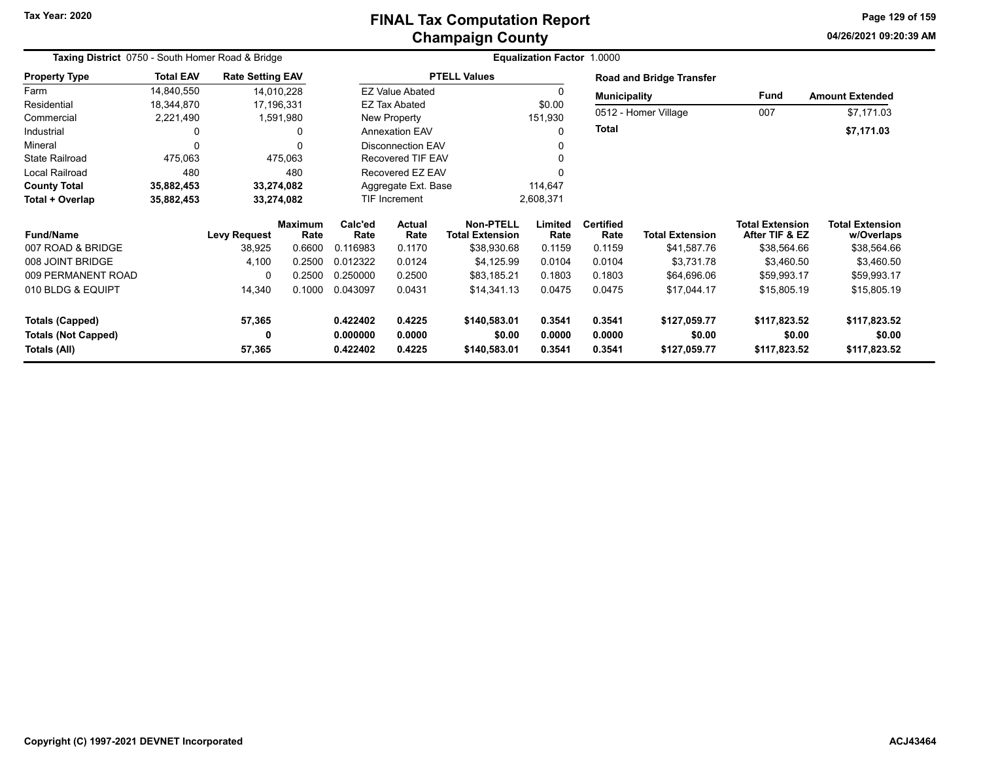#### **Champaign County FINAL Tax Computation Report**

**04/26/2021 09:20:39 AMPage 129 of 159**

| Taxing District 0750 - South Homer Road & Bridge |                  |                         |                        |                 | Equalization Factor 1.0000 |                                            |                 |                          |                                 |                                          |                                      |  |  |
|--------------------------------------------------|------------------|-------------------------|------------------------|-----------------|----------------------------|--------------------------------------------|-----------------|--------------------------|---------------------------------|------------------------------------------|--------------------------------------|--|--|
| <b>Property Type</b>                             | <b>Total EAV</b> | <b>Rate Setting EAV</b> |                        |                 |                            | <b>PTELL Values</b>                        |                 |                          | <b>Road and Bridge Transfer</b> |                                          |                                      |  |  |
| Farm                                             | 14,840,550       | 14,010,228              |                        |                 | <b>EZ Value Abated</b>     |                                            |                 | <b>Municipality</b>      |                                 | <b>Fund</b>                              | <b>Amount Extended</b>               |  |  |
| Residential                                      | 18,344,870       | 17,196,331              |                        |                 | <b>EZ Tax Abated</b>       |                                            | \$0.00          |                          |                                 |                                          |                                      |  |  |
| Commercial                                       | 2,221,490        | 1,591,980               |                        |                 | New Property               |                                            | 151,930         |                          | 0512 - Homer Village            | 007                                      | \$7,171.03                           |  |  |
| Industrial                                       | 0                |                         | 0                      |                 | <b>Annexation EAV</b>      |                                            |                 | <b>Total</b>             |                                 |                                          | \$7,171.03                           |  |  |
| Mineral                                          | 0                |                         | $\Omega$               |                 | <b>Disconnection EAV</b>   |                                            |                 |                          |                                 |                                          |                                      |  |  |
| <b>State Railroad</b>                            | 475,063          |                         | 475,063                |                 | Recovered TIF EAV          |                                            |                 |                          |                                 |                                          |                                      |  |  |
| <b>Local Railroad</b>                            | 480              |                         | 480                    |                 | Recovered EZ EAV           |                                            |                 |                          |                                 |                                          |                                      |  |  |
| <b>County Total</b>                              | 35,882,453       | 33,274,082              |                        |                 | Aggregate Ext. Base        |                                            | 114,647         |                          |                                 |                                          |                                      |  |  |
| Total + Overlap                                  | 35,882,453       | 33,274,082              |                        |                 | TIF Increment              |                                            | 2,608,371       |                          |                                 |                                          |                                      |  |  |
| <b>Fund/Name</b>                                 |                  | <b>Levy Request</b>     | <b>Maximum</b><br>Rate | Calc'ed<br>Rate | <b>Actual</b><br>Rate      | <b>Non-PTELL</b><br><b>Total Extension</b> | Limited<br>Rate | <b>Certified</b><br>Rate | <b>Total Extension</b>          | <b>Total Extension</b><br>After TIF & EZ | <b>Total Extension</b><br>w/Overlaps |  |  |
| 007 ROAD & BRIDGE                                |                  | 38,925                  | 0.6600                 | 0.116983        | 0.1170                     | \$38,930.68                                | 0.1159          | 0.1159                   | \$41,587.76                     | \$38,564.66                              | \$38,564.66                          |  |  |
| 008 JOINT BRIDGE                                 |                  | 4,100                   | 0.2500                 | 0.012322        | 0.0124                     | \$4,125.99                                 | 0.0104          | 0.0104                   | \$3,731.78                      | \$3,460.50                               | \$3,460.50                           |  |  |
| 009 PERMANENT ROAD                               |                  | 0                       | 0.2500                 | 0.250000        | 0.2500                     | \$83,185.21                                | 0.1803          | 0.1803                   | \$64,696.06                     | \$59,993.17                              | \$59,993.17                          |  |  |
| 010 BLDG & EQUIPT                                |                  | 14,340                  | 0.1000                 | 0.043097        | 0.0431                     | \$14,341.13                                | 0.0475          | 0.0475                   | \$17,044.17                     | \$15,805.19                              | \$15,805.19                          |  |  |
| <b>Totals (Capped)</b>                           |                  | 57,365                  |                        | 0.422402        | 0.4225                     | \$140,583.01                               | 0.3541          | 0.3541                   | \$127,059.77                    | \$117,823.52                             | \$117,823.52                         |  |  |
| <b>Totals (Not Capped)</b>                       |                  | 0                       |                        | 0.000000        | 0.0000                     | \$0.00                                     | 0.0000          | 0.0000                   | \$0.00                          | \$0.00                                   | \$0.00                               |  |  |
| Totals (All)                                     |                  | 57,365                  |                        | 0.422402        | 0.4225                     | \$140,583.01                               | 0.3541          | 0.3541                   | \$127,059.77                    | \$117,823.52                             | \$117,823.52                         |  |  |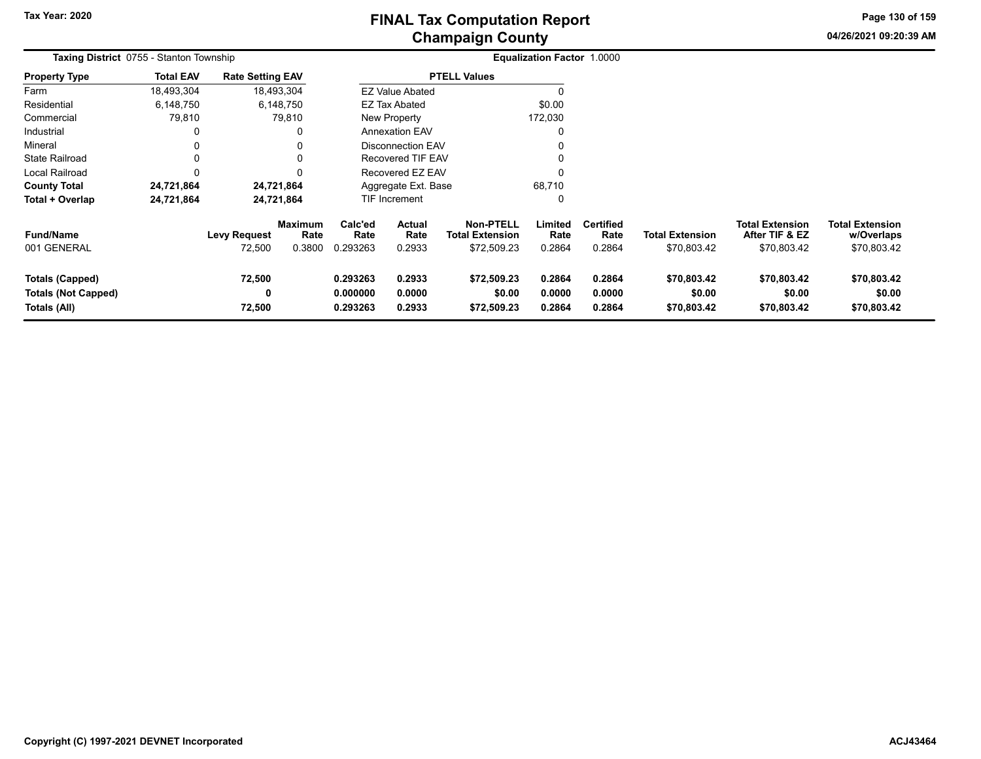**04/26/2021 09:20:39 AMPage 130 of 159**

| <b>Taxing District</b> 0755 - Stanton Township                       |                  |                               |                                  |                                  | <b>Equalization Factor 1.0000</b> |                                                    |                            |                                    |                                       |                                                         |                                                     |  |
|----------------------------------------------------------------------|------------------|-------------------------------|----------------------------------|----------------------------------|-----------------------------------|----------------------------------------------------|----------------------------|------------------------------------|---------------------------------------|---------------------------------------------------------|-----------------------------------------------------|--|
| <b>Property Type</b>                                                 | <b>Total EAV</b> | <b>Rate Setting EAV</b>       |                                  |                                  |                                   | <b>PTELL Values</b>                                |                            |                                    |                                       |                                                         |                                                     |  |
| Farm                                                                 | 18,493,304       |                               | 18,493,304                       |                                  | <b>EZ Value Abated</b>            |                                                    |                            |                                    |                                       |                                                         |                                                     |  |
| Residential                                                          | 6,148,750        |                               | 6,148,750                        |                                  | <b>EZ Tax Abated</b>              |                                                    | \$0.00                     |                                    |                                       |                                                         |                                                     |  |
| Commercial                                                           | 79,810           |                               | 79,810                           |                                  | New Property                      |                                                    | 172,030                    |                                    |                                       |                                                         |                                                     |  |
| Industrial                                                           | 0                |                               |                                  |                                  | <b>Annexation EAV</b>             |                                                    | 0                          |                                    |                                       |                                                         |                                                     |  |
| Mineral                                                              | 0                |                               |                                  |                                  | <b>Disconnection EAV</b>          |                                                    |                            |                                    |                                       |                                                         |                                                     |  |
| <b>State Railroad</b>                                                | 0                |                               |                                  |                                  | Recovered TIF EAV                 |                                                    | 0                          |                                    |                                       |                                                         |                                                     |  |
| Local Railroad                                                       | 0                |                               |                                  |                                  | Recovered EZ EAV                  |                                                    |                            |                                    |                                       |                                                         |                                                     |  |
| <b>County Total</b>                                                  | 24,721,864       |                               | 24,721,864                       |                                  | Aggregate Ext. Base               |                                                    | 68,710                     |                                    |                                       |                                                         |                                                     |  |
| Total + Overlap                                                      | 24,721,864       |                               | 24,721,864                       |                                  | TIF Increment                     |                                                    | 0                          |                                    |                                       |                                                         |                                                     |  |
| <b>Fund/Name</b><br>001 GENERAL                                      |                  | <b>Levy Request</b><br>72,500 | <b>Maximum</b><br>Rate<br>0.3800 | Calc'ed<br>Rate<br>0.293263      | Actual<br>Rate<br>0.2933          | Non-PTELL<br><b>Total Extension</b><br>\$72,509.23 | Limited<br>Rate<br>0.2864  | <b>Certified</b><br>Rate<br>0.2864 | <b>Total Extension</b><br>\$70,803.42 | <b>Total Extension</b><br>After TIF & EZ<br>\$70,803.42 | <b>Total Extension</b><br>w/Overlaps<br>\$70,803.42 |  |
| <b>Totals (Capped)</b><br><b>Totals (Not Capped)</b><br>Totals (All) |                  | 72,500<br>0<br>72,500         |                                  | 0.293263<br>0.000000<br>0.293263 | 0.2933<br>0.0000<br>0.2933        | \$72,509.23<br>\$0.00<br>\$72,509.23               | 0.2864<br>0.0000<br>0.2864 | 0.2864<br>0.0000<br>0.2864         | \$70,803.42<br>\$0.00<br>\$70,803.42  | \$70,803.42<br>\$0.00<br>\$70,803.42                    | \$70,803.42<br>\$0.00<br>\$70,803.42                |  |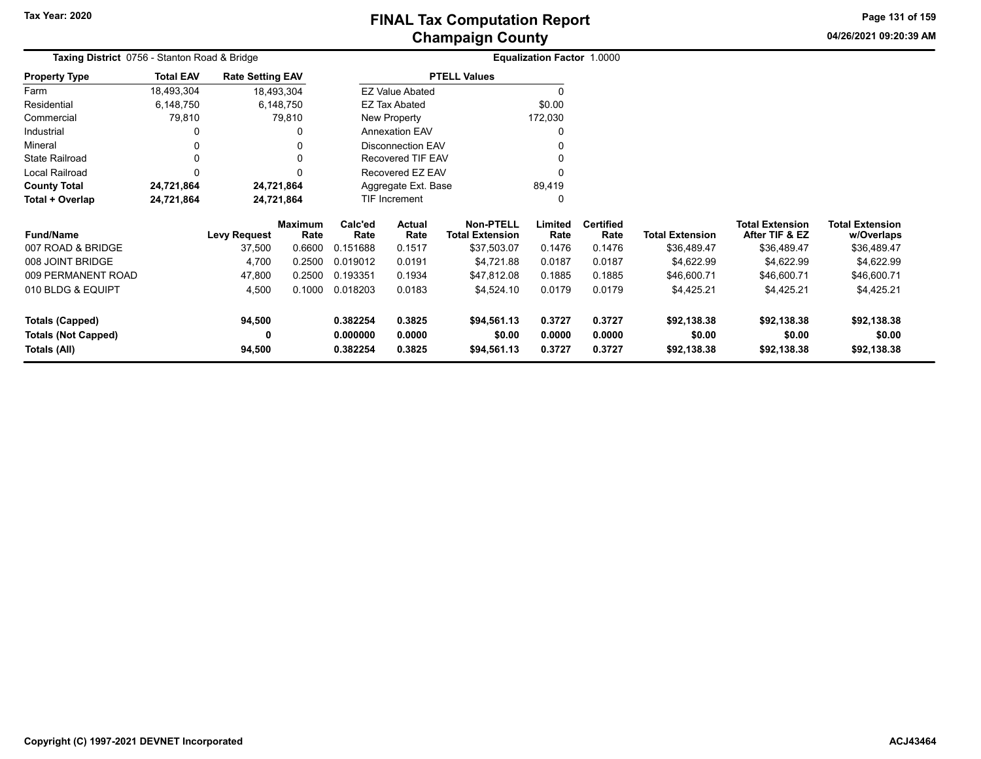**04/26/2021 09:20:39 AM Page 131 of 159**

| Taxing District 0756 - Stanton Road & Bridge |                  |                         |                        |                 |                        |                                            | Equalization Factor 1.0000 |                          |                        |                                          |                                      |
|----------------------------------------------|------------------|-------------------------|------------------------|-----------------|------------------------|--------------------------------------------|----------------------------|--------------------------|------------------------|------------------------------------------|--------------------------------------|
| <b>Property Type</b>                         | <b>Total EAV</b> | <b>Rate Setting EAV</b> |                        |                 |                        | <b>PTELL Values</b>                        |                            |                          |                        |                                          |                                      |
| Farm                                         | 18,493,304       | 18,493,304              |                        |                 | <b>EZ Value Abated</b> |                                            |                            |                          |                        |                                          |                                      |
| Residential                                  | 6,148,750        | 6,148,750               |                        |                 | <b>EZ Tax Abated</b>   |                                            | \$0.00                     |                          |                        |                                          |                                      |
| Commercial                                   | 79,810           |                         | 79,810                 |                 | New Property           |                                            | 172,030                    |                          |                        |                                          |                                      |
| Industrial                                   | 0                |                         | 0                      |                 | <b>Annexation EAV</b>  |                                            |                            |                          |                        |                                          |                                      |
| Mineral                                      | 0                |                         |                        |                 | Disconnection EAV      |                                            |                            |                          |                        |                                          |                                      |
| <b>State Railroad</b>                        | 0                |                         |                        |                 | Recovered TIF EAV      |                                            |                            |                          |                        |                                          |                                      |
| Local Railroad                               | 0                |                         |                        |                 | Recovered EZ EAV       |                                            |                            |                          |                        |                                          |                                      |
| <b>County Total</b>                          | 24,721,864       | 24,721,864              |                        |                 | Aggregate Ext. Base    |                                            | 89,419                     |                          |                        |                                          |                                      |
| Total + Overlap                              | 24,721,864       | 24,721,864              |                        |                 | <b>TIF Increment</b>   |                                            |                            |                          |                        |                                          |                                      |
| <b>Fund/Name</b>                             |                  | <b>Levy Request</b>     | <b>Maximum</b><br>Rate | Calc'ed<br>Rate | <b>Actual</b><br>Rate  | <b>Non-PTELL</b><br><b>Total Extension</b> | Limited<br>Rate            | <b>Certified</b><br>Rate | <b>Total Extension</b> | <b>Total Extension</b><br>After TIF & EZ | <b>Total Extension</b><br>w/Overlaps |
| 007 ROAD & BRIDGE                            |                  | 37,500                  | 0.6600                 | 0.151688        | 0.1517                 | \$37,503.07                                | 0.1476                     | 0.1476                   | \$36,489.47            | \$36,489.47                              | \$36,489.47                          |
| 008 JOINT BRIDGE                             |                  | 4,700                   | 0.2500                 | 0.019012        | 0.0191                 | \$4,721.88                                 | 0.0187                     | 0.0187                   | \$4,622.99             | \$4,622.99                               | \$4,622.99                           |
| 009 PERMANENT ROAD                           |                  | 47,800                  | 0.2500                 | 0.193351        | 0.1934                 | \$47,812.08                                | 0.1885                     | 0.1885                   | \$46,600.71            | \$46,600.71                              | \$46,600.71                          |
| 010 BLDG & EQUIPT                            |                  | 4,500                   | 0.1000                 | 0.018203        | 0.0183                 | \$4,524.10                                 | 0.0179                     | 0.0179                   | \$4,425.21             | \$4,425.21                               | \$4,425.21                           |
| <b>Totals (Capped)</b>                       |                  | 94,500                  |                        | 0.382254        | 0.3825                 | \$94,561.13                                | 0.3727                     | 0.3727                   | \$92,138.38            | \$92,138.38                              | \$92,138.38                          |
| <b>Totals (Not Capped)</b>                   |                  | 0                       |                        | 0.000000        | 0.0000                 | \$0.00                                     | 0.0000                     | 0.0000                   | \$0.00                 | \$0.00                                   | \$0.00                               |
| Totals (All)                                 |                  | 94,500                  |                        | 0.382254        | 0.3825                 | \$94,561.13                                | 0.3727                     | 0.3727                   | \$92,138.38            | \$92,138.38                              | \$92,138.38                          |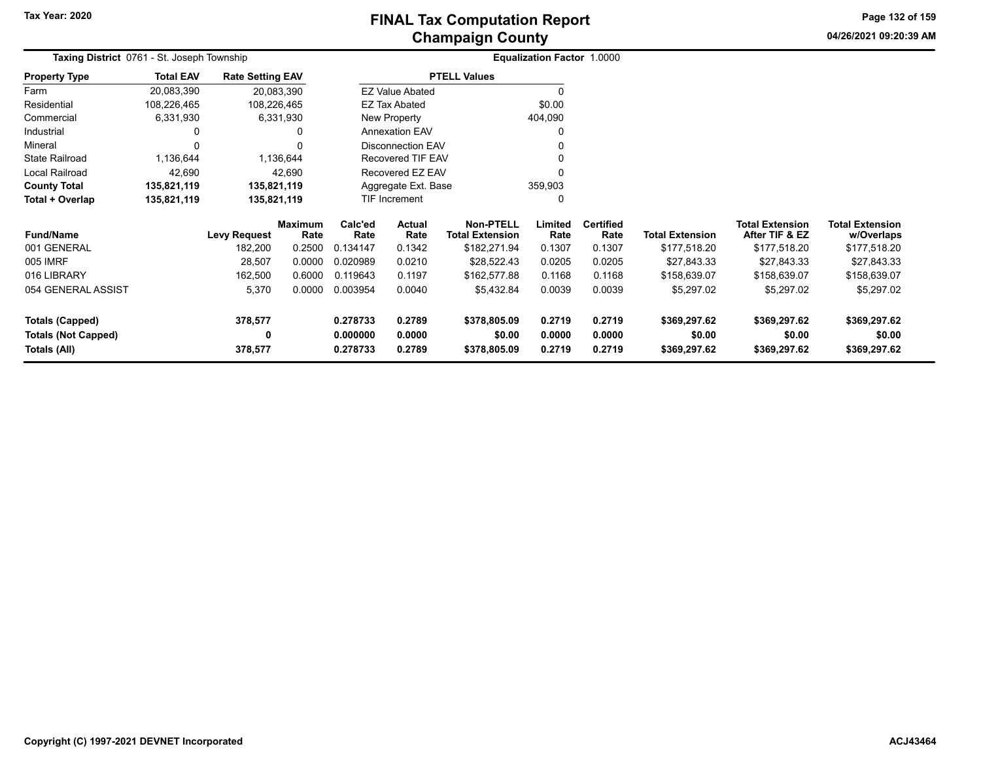**04/26/2021 09:20:39 AMPage 132 of 159**

| Taxing District 0761 - St. Joseph Township |                  |                         |                        |                      |                          |                                            | <b>Equalization Factor 1.0000</b> |                          |                        |                                          |                                      |
|--------------------------------------------|------------------|-------------------------|------------------------|----------------------|--------------------------|--------------------------------------------|-----------------------------------|--------------------------|------------------------|------------------------------------------|--------------------------------------|
| <b>Property Type</b>                       | <b>Total EAV</b> | <b>Rate Setting EAV</b> |                        |                      |                          | <b>PTELL Values</b>                        |                                   |                          |                        |                                          |                                      |
| Farm                                       | 20,083,390       | 20,083,390              |                        |                      | <b>EZ Value Abated</b>   |                                            | 0                                 |                          |                        |                                          |                                      |
| Residential                                | 108,226,465      | 108,226,465             |                        |                      | <b>EZ Tax Abated</b>     |                                            | \$0.00                            |                          |                        |                                          |                                      |
| Commercial                                 | 6,331,930        | 6,331,930               |                        |                      | New Property             |                                            | 404,090                           |                          |                        |                                          |                                      |
| Industrial                                 |                  |                         | 0                      |                      | <b>Annexation EAV</b>    |                                            | 0                                 |                          |                        |                                          |                                      |
| Mineral                                    |                  |                         |                        |                      | <b>Disconnection EAV</b> |                                            |                                   |                          |                        |                                          |                                      |
| <b>State Railroad</b>                      | 1,136,644        |                         | ,136,644               |                      | Recovered TIF EAV        |                                            | 0                                 |                          |                        |                                          |                                      |
| Local Railroad                             | 42,690           |                         | 42,690                 |                      | Recovered EZ EAV         |                                            |                                   |                          |                        |                                          |                                      |
| <b>County Total</b>                        | 135,821,119      | 135,821,119             |                        |                      | Aggregate Ext. Base      |                                            | 359,903                           |                          |                        |                                          |                                      |
| Total + Overlap                            | 135,821,119      | 135,821,119             |                        | TIF Increment<br>0   |                          |                                            |                                   |                          |                        |                                          |                                      |
| <b>Fund/Name</b>                           |                  | Levy Request            | <b>Maximum</b><br>Rate | Calc'ed<br>Rate      | <b>Actual</b><br>Rate    | <b>Non-PTELL</b><br><b>Total Extension</b> | Limited<br>Rate                   | <b>Certified</b><br>Rate | <b>Total Extension</b> | <b>Total Extension</b><br>After TIF & EZ | <b>Total Extension</b><br>w/Overlaps |
| 001 GENERAL                                |                  | 182,200                 | 0.2500                 | 0.134147             | 0.1342                   | \$182,271.94                               | 0.1307                            | 0.1307                   | \$177,518.20           | \$177,518.20                             | \$177,518.20                         |
| 005 IMRF                                   |                  | 28,507                  | 0.0000                 | 0.020989             | 0.0210                   | \$28,522.43                                | 0.0205                            | 0.0205                   | \$27,843.33            | \$27,843.33                              | \$27,843.33                          |
| 016 LIBRARY                                |                  | 162,500                 | 0.6000                 | 0.119643             | 0.1197                   | \$162,577.88                               | 0.1168                            | 0.1168                   | \$158,639.07           | \$158,639.07                             | \$158,639.07                         |
| 054 GENERAL ASSIST                         |                  | 5,370                   | 0.0000                 | 0.003954             | 0.0040                   | \$5,432.84                                 | 0.0039                            | 0.0039                   | \$5,297.02             | \$5,297.02                               | \$5,297.02                           |
| Totals (Capped)                            |                  | 378,577                 |                        | 0.278733             | 0.2789                   | \$378,805.09                               | 0.2719                            | 0.2719                   | \$369,297.62           | \$369,297.62                             | \$369,297.62                         |
| <b>Totals (Not Capped)</b><br>Totals (All) |                  | 0<br>378,577            |                        | 0.000000<br>0.278733 | 0.0000<br>0.2789         | \$0.00<br>\$378,805.09                     | 0.0000<br>0.2719                  | 0.0000<br>0.2719         | \$0.00<br>\$369,297.62 | \$0.00<br>\$369,297.62                   | \$0.00<br>\$369,297.62               |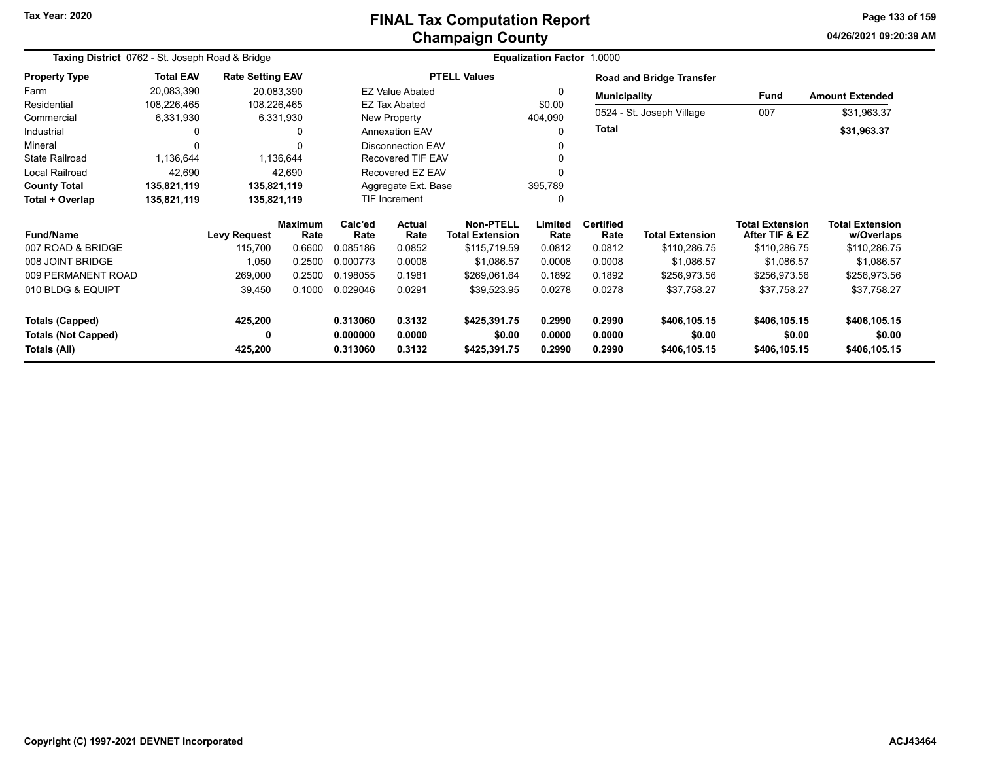#### **Champaign County FINAL Tax Computation Report**

**04/26/2021 09:20:39 AMPage 133 of 159**

| Taxing District 0762 - St. Joseph Road & Bridge      |                  |                         |                        |                      |                          |                                     | Equalization Factor 1.0000 |                          |                                 |                                          |                                      |
|------------------------------------------------------|------------------|-------------------------|------------------------|----------------------|--------------------------|-------------------------------------|----------------------------|--------------------------|---------------------------------|------------------------------------------|--------------------------------------|
| <b>Property Type</b>                                 | <b>Total EAV</b> | <b>Rate Setting EAV</b> |                        |                      |                          | <b>PTELL Values</b>                 |                            |                          | <b>Road and Bridge Transfer</b> |                                          |                                      |
| Farm                                                 | 20,083,390       |                         | 20,083,390             |                      | <b>EZ Value Abated</b>   |                                     |                            | <b>Municipality</b>      |                                 | Fund                                     | <b>Amount Extended</b>               |
| Residential                                          | 108,226,465      | 108,226,465             |                        |                      | <b>EZ Tax Abated</b>     |                                     | \$0.00                     |                          |                                 |                                          |                                      |
| Commercial                                           | 6,331,930        |                         | 6,331,930              |                      | New Property             |                                     | 404,090                    |                          | 0524 - St. Joseph Village       | 007                                      | \$31,963.37                          |
| Industrial                                           | 0                |                         |                        |                      | <b>Annexation EAV</b>    |                                     |                            | <b>Total</b>             |                                 |                                          | \$31,963.37                          |
| Mineral                                              | 0                |                         |                        |                      | <b>Disconnection EAV</b> |                                     |                            |                          |                                 |                                          |                                      |
| <b>State Railroad</b>                                | 1,136,644        |                         | 1,136,644              |                      | <b>Recovered TIF EAV</b> |                                     |                            |                          |                                 |                                          |                                      |
| <b>Local Railroad</b>                                | 42,690           |                         | 42,690                 |                      | Recovered EZ EAV         |                                     |                            |                          |                                 |                                          |                                      |
| <b>County Total</b>                                  | 135,821,119      | 135,821,119             |                        |                      | Aggregate Ext. Base      |                                     | 395,789                    |                          |                                 |                                          |                                      |
| Total + Overlap                                      | 135,821,119      | 135,821,119             |                        |                      | <b>TIF Increment</b>     |                                     |                            |                          |                                 |                                          |                                      |
| <b>Fund/Name</b>                                     |                  | <b>Levy Request</b>     | <b>Maximum</b><br>Rate | Calc'ed<br>Rate      | <b>Actual</b><br>Rate    | Non-PTELL<br><b>Total Extension</b> | Limited<br>Rate            | <b>Certified</b><br>Rate | <b>Total Extension</b>          | <b>Total Extension</b><br>After TIF & EZ | <b>Total Extension</b><br>w/Overlaps |
| 007 ROAD & BRIDGE                                    |                  | 115,700                 | 0.6600                 | 0.085186             | 0.0852                   | \$115,719.59                        | 0.0812                     | 0.0812                   | \$110,286.75                    | \$110,286.75                             | \$110,286.75                         |
| 008 JOINT BRIDGE                                     |                  | 1,050                   | 0.2500                 | 0.000773             | 0.0008                   | \$1,086.57                          | 0.0008                     | 0.0008                   | \$1,086.57                      | \$1,086.57                               | \$1,086.57                           |
| 009 PERMANENT ROAD                                   |                  | 269,000                 | 0.2500                 | 0.198055             | 0.1981                   | \$269,061.64                        | 0.1892                     | 0.1892                   | \$256,973.56                    | \$256,973.56                             | \$256,973.56                         |
| 010 BLDG & EQUIPT                                    |                  | 39,450                  | 0.1000                 | 0.029046             | 0.0291                   | \$39,523.95                         | 0.0278                     | 0.0278                   | \$37,758.27                     | \$37,758.27                              | \$37,758.27                          |
| <b>Totals (Capped)</b><br><b>Totals (Not Capped)</b> |                  | 425,200<br>0            |                        | 0.313060<br>0.000000 | 0.3132<br>0.0000         | \$425,391.75<br>\$0.00              | 0.2990<br>0.0000           | 0.2990<br>0.0000         | \$406,105.15<br>\$0.00          | \$406,105.15<br>\$0.00                   | \$406,105.15<br>\$0.00               |
| Totals (All)                                         |                  | 425,200                 |                        | 0.313060             | 0.3132                   | \$425,391.75                        | 0.2990                     | 0.2990                   | \$406,105.15                    | \$406,105.15                             | \$406,105.15                         |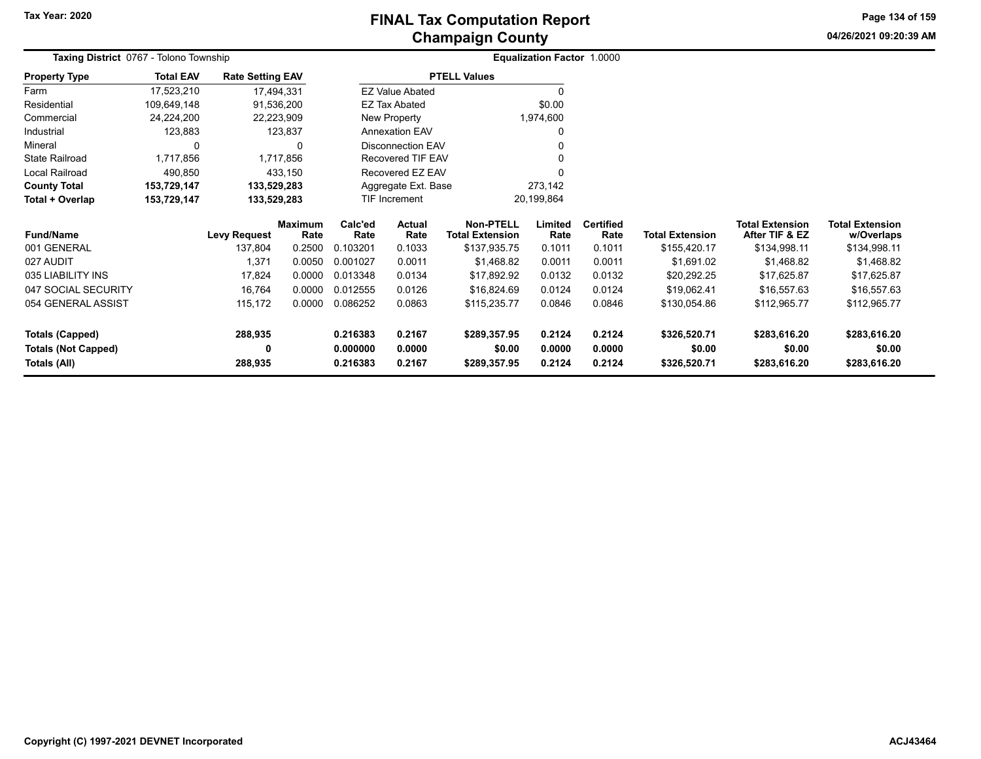**04/26/2021 09:20:39 AMPage 134 of 159**

| Taxing District 0767 - Tolono Township |                  |                         |                        |                          |                             |                                            | Equalization Factor 1.0000 |                          |                        |                                   |                                      |
|----------------------------------------|------------------|-------------------------|------------------------|--------------------------|-----------------------------|--------------------------------------------|----------------------------|--------------------------|------------------------|-----------------------------------|--------------------------------------|
| <b>Property Type</b>                   | <b>Total EAV</b> | <b>Rate Setting EAV</b> |                        |                          |                             | <b>PTELL Values</b>                        |                            |                          |                        |                                   |                                      |
| Farm                                   | 17,523,210       | 17,494,331              |                        |                          | <b>EZ Value Abated</b>      |                                            | O                          |                          |                        |                                   |                                      |
| Residential                            | 109,649,148      | 91,536,200              |                        |                          | EZ Tax Abated               |                                            | \$0.00                     |                          |                        |                                   |                                      |
| Commercial                             | 24,224,200       | 22,223,909              |                        |                          | New Property                |                                            | 1,974,600                  |                          |                        |                                   |                                      |
| Industrial                             | 123,883          |                         | 123,837                |                          | <b>Annexation EAV</b>       |                                            | 0                          |                          |                        |                                   |                                      |
| Mineral                                | 0                |                         | 0                      | <b>Disconnection EAV</b> |                             |                                            | U                          |                          |                        |                                   |                                      |
| <b>State Railroad</b>                  | 1,717,856        | 1,717,856               |                        | Recovered TIF EAV        |                             |                                            | 0                          |                          |                        |                                   |                                      |
| Local Railroad                         | 490,850          |                         | 433,150                | Recovered EZ EAV         |                             |                                            |                            |                          |                        |                                   |                                      |
| <b>County Total</b>                    | 153,729,147      | 133,529,283             |                        | Aggregate Ext. Base      |                             |                                            | 273,142                    |                          |                        |                                   |                                      |
| Total + Overlap                        | 153,729,147      | 133,529,283             |                        |                          | TIF Increment<br>20,199,864 |                                            |                            |                          |                        |                                   |                                      |
| <b>Fund/Name</b>                       |                  | <b>Levy Request</b>     | <b>Maximum</b><br>Rate | Calc'ed<br>Rate          | <b>Actual</b><br>Rate       | <b>Non-PTELL</b><br><b>Total Extension</b> | Limited<br>Rate            | <b>Certified</b><br>Rate | <b>Total Extension</b> | Total Extension<br>After TIF & EZ | <b>Total Extension</b><br>w/Overlaps |
| 001 GENERAL                            |                  | 137,804                 | 0.2500                 | 0.103201                 | 0.1033                      | \$137,935.75                               | 0.1011                     | 0.1011                   | \$155,420.17           | \$134,998.11                      | \$134,998.11                         |
| 027 AUDIT                              |                  | 1,371                   | 0.0050                 | 0.001027                 | 0.0011                      | \$1,468.82                                 | 0.0011                     | 0.0011                   | \$1,691.02             | \$1,468.82                        | \$1,468.82                           |
| 035 LIABILITY INS                      |                  | 17,824                  | 0.0000                 | 0.013348                 | 0.0134                      | \$17,892.92                                | 0.0132                     | 0.0132                   | \$20,292.25            | \$17,625.87                       | \$17,625.87                          |
| 047 SOCIAL SECURITY                    |                  | 16,764                  | 0.0000                 | 0.012555                 | 0.0126                      | \$16,824.69                                | 0.0124                     | 0.0124                   | \$19,062.41            | \$16,557.63                       | \$16,557.63                          |
| 054 GENERAL ASSIST                     |                  | 115,172                 | 0.0000                 | 0.086252                 | 0.0863                      | \$115,235.77                               | 0.0846                     | 0.0846                   | \$130,054.86           | \$112,965.77                      | \$112,965.77                         |
| <b>Totals (Capped)</b>                 |                  | 288,935                 |                        | 0.216383                 | 0.2167                      | \$289,357.95                               | 0.2124                     | 0.2124                   | \$326,520.71           | \$283,616.20                      | \$283,616.20                         |
| <b>Totals (Not Capped)</b>             |                  | 0                       |                        | 0.000000                 | 0.0000                      | \$0.00                                     | 0.0000                     | 0.0000                   | \$0.00                 | \$0.00                            | \$0.00                               |
| Totals (All)                           |                  | 288,935                 |                        | 0.216383                 | 0.2167<br>\$289,357.95      |                                            | 0.2124                     | 0.2124                   | \$326,520.71           | \$283,616.20                      | \$283,616.20                         |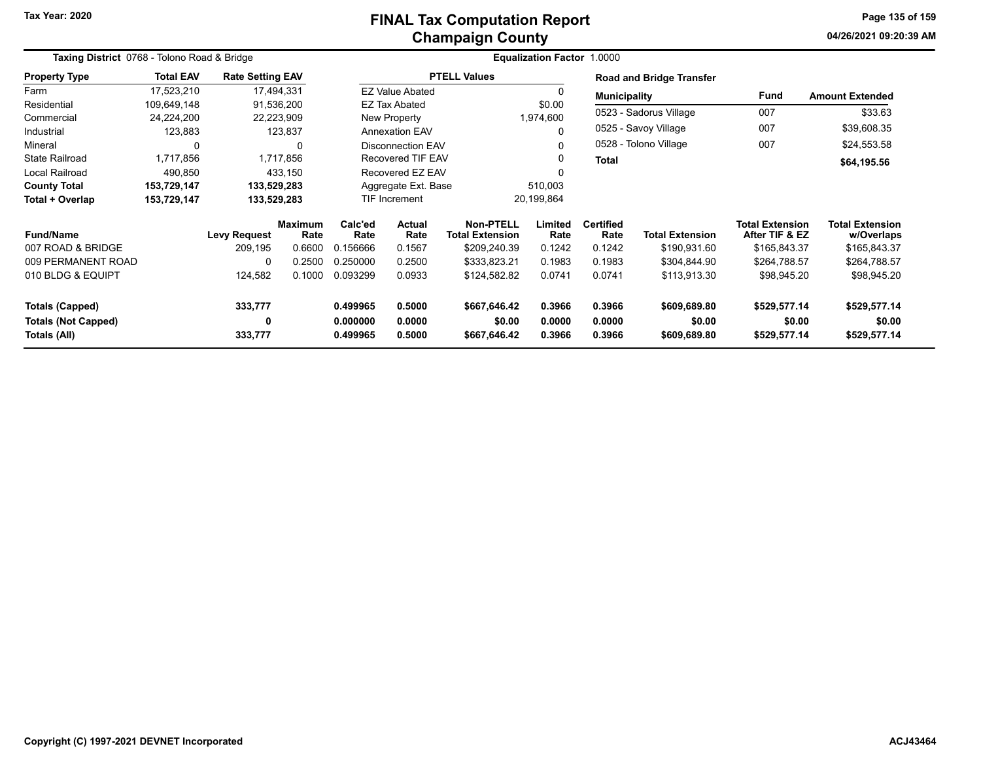#### **Champaign County FINAL Tax Computation Report**

**04/26/2021 09:20:39 AMPage 135 of 159**

| Taxing District 0768 - Tolono Road & Bridge |                  |                         |                        | Equalization Factor 1.0000 |                          |                              |                 |                          |                                 |                                          |                                      |  |
|---------------------------------------------|------------------|-------------------------|------------------------|----------------------------|--------------------------|------------------------------|-----------------|--------------------------|---------------------------------|------------------------------------------|--------------------------------------|--|
| <b>Property Type</b>                        | <b>Total EAV</b> | <b>Rate Setting EAV</b> |                        |                            |                          | <b>PTELL Values</b>          |                 |                          | <b>Road and Bridge Transfer</b> |                                          |                                      |  |
| Farm                                        | 17,523,210       |                         | 17,494,331             |                            | <b>EZ Value Abated</b>   |                              | $\Omega$        | <b>Municipality</b>      |                                 | Fund                                     | <b>Amount Extended</b>               |  |
| Residential                                 | 109,649,148      |                         | 91,536,200             |                            | EZ Tax Abated            |                              | \$0.00          |                          |                                 |                                          |                                      |  |
| Commercial                                  | 24,224,200       |                         | 22,223,909             |                            | New Property             |                              | 1,974,600       |                          | 0523 - Sadorus Village          | 007                                      | \$33.63                              |  |
| Industrial                                  | 123,883          |                         | 123,837                |                            | <b>Annexation EAV</b>    |                              | 0               |                          | 0525 - Savoy Village            | 007                                      | \$39,608.35                          |  |
| Mineral                                     | 0                |                         | 0                      |                            | <b>Disconnection EAV</b> |                              | $\Omega$        |                          | 0528 - Tolono Village           | 007                                      | \$24,553.58                          |  |
| <b>State Railroad</b>                       | 1,717,856        |                         | 1,717,856              |                            | <b>Recovered TIF EAV</b> |                              | 0               | Total                    |                                 |                                          | \$64,195.56                          |  |
| <b>Local Railroad</b>                       | 490,850          |                         | 433,150                |                            | Recovered EZ EAV         |                              | 0               |                          |                                 |                                          |                                      |  |
| <b>County Total</b>                         | 153,729,147      | 133,529,283             |                        | Aggregate Ext. Base        |                          |                              | 510,003         |                          |                                 |                                          |                                      |  |
| Total + Overlap                             | 153,729,147      | 133,529,283             |                        |                            | <b>TIF Increment</b>     |                              | 20,199,864      |                          |                                 |                                          |                                      |  |
| <b>Fund/Name</b>                            |                  | <b>Levy Request</b>     | <b>Maximum</b><br>Rate | Calc'ed<br>Rate            | <b>Actual</b><br>Rate    | Non-PTELL<br>Total Extension | Limited<br>Rate | <b>Certified</b><br>Rate | <b>Total Extension</b>          | <b>Total Extension</b><br>After TIF & EZ | <b>Total Extension</b><br>w/Overlaps |  |
| 007 ROAD & BRIDGE                           |                  | 209,195                 | 0.6600                 | 0.156666                   | 0.1567                   | \$209,240.39                 | 0.1242          | 0.1242                   | \$190,931.60                    | \$165,843.37                             | \$165,843.37                         |  |
| 009 PERMANENT ROAD                          |                  | 0                       | 0.2500                 | 0.250000                   | 0.2500                   | \$333,823.21                 | 0.1983          | 0.1983                   | \$304,844.90                    | \$264,788.57                             | \$264,788.57                         |  |
| 010 BLDG & EQUIPT                           |                  | 124,582                 | 0.1000                 | 0.093299                   | 0.0933                   | \$124,582.82                 | 0.0741          | 0.0741                   | \$113,913.30                    | \$98,945.20                              | \$98,945.20                          |  |
| <b>Totals (Capped)</b>                      |                  | 333,777                 |                        | 0.499965                   | 0.5000                   | \$667,646.42                 | 0.3966          | 0.3966                   | \$609,689.80                    | \$529,577.14                             | \$529,577.14                         |  |
| <b>Totals (Not Capped)</b>                  |                  | 0                       |                        | 0.000000                   | 0.0000                   | \$0.00                       | 0.0000          | 0.0000                   | \$0.00                          | \$0.00                                   | \$0.00                               |  |
| Totals (All)                                |                  | 333,777                 |                        | 0.499965                   | 0.5000                   | \$667,646.42                 | 0.3966          | 0.3966                   | \$609,689.80                    | \$529,577.14                             | \$529,577.14                         |  |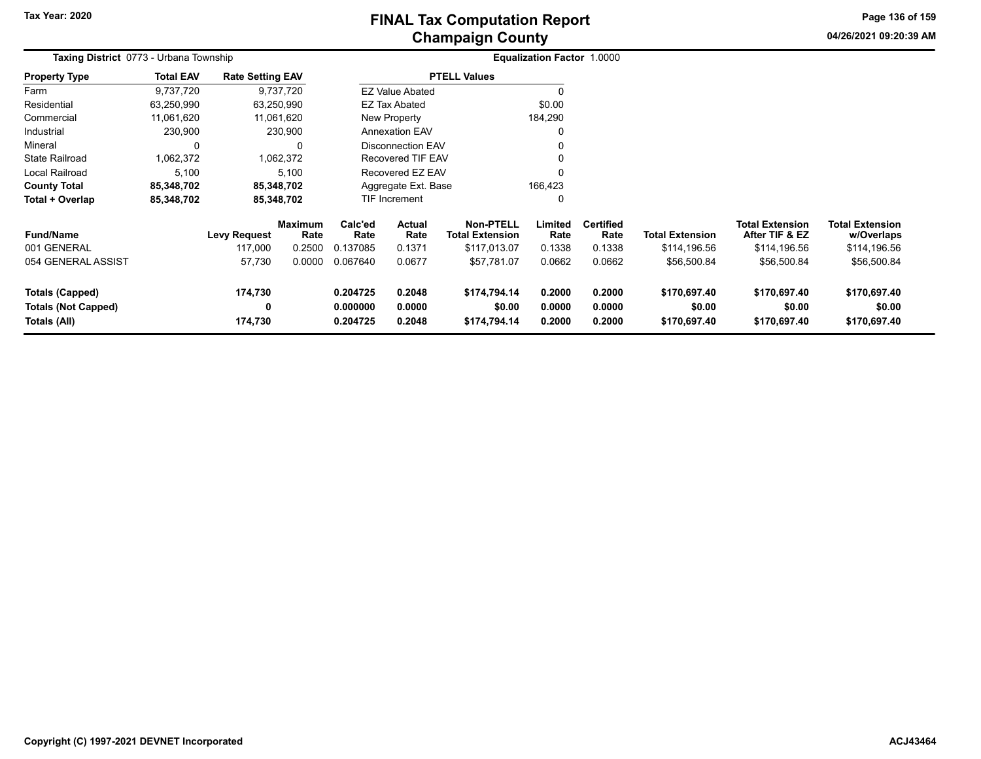# **Champaign County FINAL Tax Computation Report**

**04/26/2021 09:20:39 AMPage 136 of 159**

| <b>Taxing District</b> 0773 - Urbana Township                        |                  |                         |                        |                                  |                            |                                            | <b>Equalization Factor 1.0000</b> |                            |                                        |                                          |                                        |  |
|----------------------------------------------------------------------|------------------|-------------------------|------------------------|----------------------------------|----------------------------|--------------------------------------------|-----------------------------------|----------------------------|----------------------------------------|------------------------------------------|----------------------------------------|--|
| <b>Property Type</b>                                                 | <b>Total EAV</b> | <b>Rate Setting EAV</b> |                        |                                  |                            | <b>PTELL Values</b>                        |                                   |                            |                                        |                                          |                                        |  |
| Farm                                                                 | 9,737,720        |                         | 9,737,720              |                                  | <b>EZ Value Abated</b>     |                                            |                                   |                            |                                        |                                          |                                        |  |
| Residential                                                          | 63,250,990       |                         | 63,250,990             |                                  | EZ Tax Abated              |                                            | \$0.00                            |                            |                                        |                                          |                                        |  |
| Commercial                                                           | 11,061,620       |                         | 11,061,620             |                                  | <b>New Property</b>        |                                            | 184,290                           |                            |                                        |                                          |                                        |  |
| Industrial                                                           | 230,900          |                         | 230,900                |                                  | <b>Annexation EAV</b>      |                                            |                                   |                            |                                        |                                          |                                        |  |
| Mineral                                                              | 0                |                         | 0                      |                                  | <b>Disconnection EAV</b>   |                                            |                                   |                            |                                        |                                          |                                        |  |
| <b>State Railroad</b>                                                | 1,062,372        |                         | 1,062,372              |                                  | Recovered TIF EAV          |                                            |                                   |                            |                                        |                                          |                                        |  |
| Local Railroad                                                       | 5,100            |                         | 5,100                  |                                  | Recovered EZ EAV           |                                            | $\mathbf{0}$                      |                            |                                        |                                          |                                        |  |
| <b>County Total</b>                                                  | 85,348,702       |                         | 85,348,702             |                                  | Aggregate Ext. Base        |                                            | 166,423                           |                            |                                        |                                          |                                        |  |
| Total + Overlap                                                      | 85,348,702       |                         | 85,348,702             |                                  | TIF Increment              |                                            | 0                                 |                            |                                        |                                          |                                        |  |
| <b>Fund/Name</b>                                                     |                  | <b>Levy Request</b>     | <b>Maximum</b><br>Rate | Calc'ed<br>Rate                  | <b>Actual</b><br>Rate      | <b>Non-PTELL</b><br><b>Total Extension</b> | Limited<br>Rate                   | <b>Certified</b><br>Rate   | <b>Total Extension</b>                 | <b>Total Extension</b><br>After TIF & EZ | <b>Total Extension</b><br>w/Overlaps   |  |
| 001 GENERAL                                                          |                  | 117,000                 | 0.2500                 | 0.137085                         | 0.1371                     | \$117,013.07                               | 0.1338                            | 0.1338                     | \$114,196.56                           | \$114,196.56                             | \$114,196.56                           |  |
| 054 GENERAL ASSIST                                                   |                  | 57,730                  | 0.0000                 | 0.067640                         | 0.0677                     | \$57,781.07                                | 0.0662                            | 0.0662                     | \$56,500.84                            | \$56,500.84                              | \$56,500.84                            |  |
| <b>Totals (Capped)</b><br><b>Totals (Not Capped)</b><br>Totals (All) |                  | 174,730<br>0<br>174,730 |                        | 0.204725<br>0.000000<br>0.204725 | 0.2048<br>0.0000<br>0.2048 | \$174,794.14<br>\$0.00<br>\$174,794.14     | 0.2000<br>0.0000<br>0.2000        | 0.2000<br>0.0000<br>0.2000 | \$170,697.40<br>\$0.00<br>\$170,697.40 | \$170,697.40<br>\$0.00<br>\$170,697.40   | \$170,697.40<br>\$0.00<br>\$170,697.40 |  |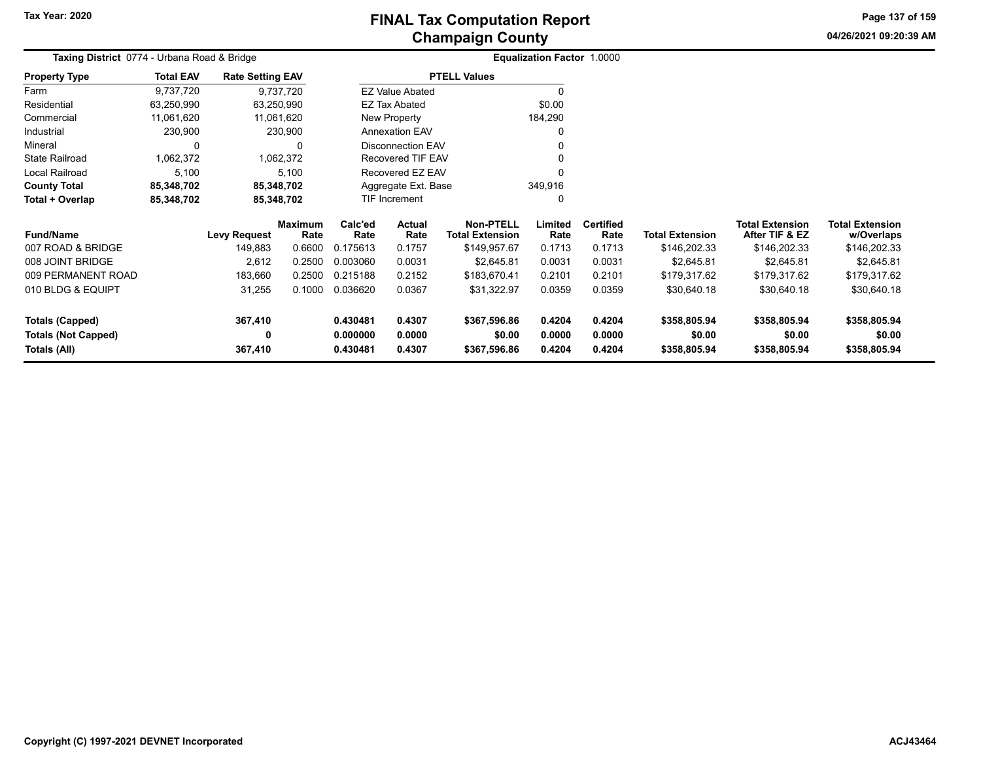**04/26/2021 09:20:39 AMPage 137 of 159**

| Taxing District 0774 - Urbana Road & Bridge |                  |                         |                        |                                          |                          |                                            | <b>Equalization Factor 1.0000</b> |                          |                        |                                          |                                      |
|---------------------------------------------|------------------|-------------------------|------------------------|------------------------------------------|--------------------------|--------------------------------------------|-----------------------------------|--------------------------|------------------------|------------------------------------------|--------------------------------------|
| <b>Property Type</b>                        | <b>Total EAV</b> | <b>Rate Setting EAV</b> |                        |                                          |                          | <b>PTELL Values</b>                        |                                   |                          |                        |                                          |                                      |
| Farm                                        | 9,737,720        | 9,737,720               |                        |                                          | <b>EZ Value Abated</b>   |                                            |                                   |                          |                        |                                          |                                      |
| Residential                                 | 63,250,990       | 63,250,990              |                        |                                          | <b>EZ Tax Abated</b>     |                                            | \$0.00                            |                          |                        |                                          |                                      |
| Commercial                                  | 11,061,620       | 11,061,620              |                        |                                          | New Property             |                                            | 184,290                           |                          |                        |                                          |                                      |
| Industrial                                  | 230,900          |                         | 230,900                |                                          | <b>Annexation EAV</b>    |                                            |                                   |                          |                        |                                          |                                      |
| Mineral                                     | 0                |                         | 0                      |                                          | <b>Disconnection EAV</b> |                                            |                                   |                          |                        |                                          |                                      |
| <b>State Railroad</b>                       | 1,062,372        | 1,062,372               |                        |                                          | Recovered TIF EAV        |                                            |                                   |                          |                        |                                          |                                      |
| Local Railroad                              | 5,100            |                         | 5,100                  | Recovered EZ EAV                         |                          |                                            |                                   |                          |                        |                                          |                                      |
| <b>County Total</b>                         | 85,348,702       | 85,348,702              |                        |                                          | Aggregate Ext. Base      |                                            | 349,916                           |                          |                        |                                          |                                      |
| Total + Overlap                             | 85,348,702       | 85,348,702              |                        | <b>TIF Increment</b>                     |                          |                                            | 0                                 |                          |                        |                                          |                                      |
| <b>Fund/Name</b>                            |                  | <b>Levy Request</b>     | <b>Maximum</b><br>Rate | Calc'ed<br><b>Actual</b><br>Rate<br>Rate |                          | <b>Non-PTELL</b><br><b>Total Extension</b> | Limited<br>Rate                   | <b>Certified</b><br>Rate | <b>Total Extension</b> | <b>Total Extension</b><br>After TIF & EZ | <b>Total Extension</b><br>w/Overlaps |
| 007 ROAD & BRIDGE                           |                  | 149,883                 | 0.6600                 | 0.175613                                 | 0.1757                   | \$149,957.67                               | 0.1713                            | 0.1713                   | \$146,202.33           | \$146,202.33                             | \$146,202.33                         |
| 008 JOINT BRIDGE                            |                  | 2,612                   | 0.2500                 | 0.003060                                 | 0.0031                   | \$2,645.81                                 | 0.0031                            | 0.0031                   | \$2,645.81             | \$2,645.81                               | \$2,645.81                           |
| 009 PERMANENT ROAD                          |                  | 183,660                 | 0.2500                 | 0.215188                                 | 0.2152                   | \$183,670.41                               | 0.2101                            | 0.2101                   | \$179,317.62           | \$179,317.62                             | \$179,317.62                         |
| 010 BLDG & EQUIPT                           |                  | 31,255                  | 0.1000                 | 0.036620                                 | 0.0367                   | \$31,322.97                                | 0.0359                            | 0.0359                   | \$30,640.18            | \$30,640.18                              | \$30,640.18                          |
| <b>Totals (Capped)</b>                      |                  | 367,410                 |                        | 0.430481                                 | 0.4307                   | \$367,596.86                               | 0.4204                            | 0.4204                   | \$358,805.94           | \$358,805.94                             | \$358,805.94                         |
| <b>Totals (Not Capped)</b><br>Totals (All)  |                  | $\mathbf 0$<br>367,410  |                        | 0.000000<br>0.430481                     | 0.0000<br>0.4307         | \$0.00<br>\$367,596.86                     | 0.0000<br>0.4204                  | 0.0000<br>0.4204         | \$0.00<br>\$358,805.94 | \$0.00<br>\$358,805.94                   | \$0.00<br>\$358,805.94               |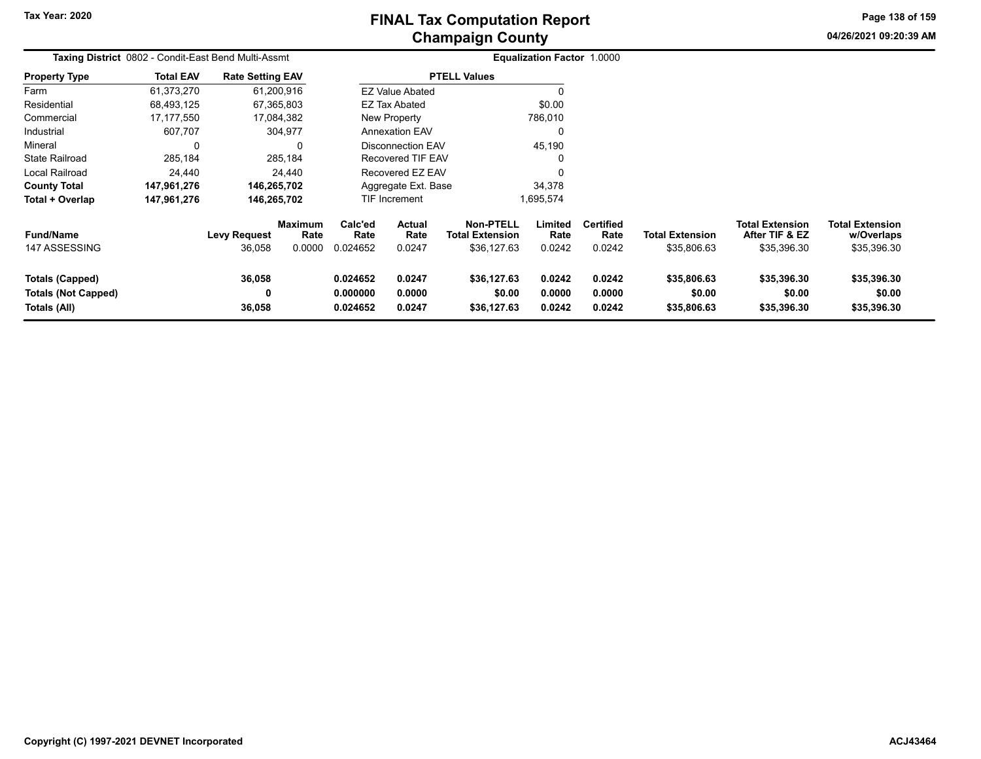**Page 138 of 159**

**04/26/2021 09:20:39 AM**

| Taxing District 0802 - Condit-East Bend Multi-Assmt                  |                  |                               |                           |                                  |                            |                                                           | <b>Equalization Factor 1.0000</b> |                                    |                                       |                                                         |                                                     |
|----------------------------------------------------------------------|------------------|-------------------------------|---------------------------|----------------------------------|----------------------------|-----------------------------------------------------------|-----------------------------------|------------------------------------|---------------------------------------|---------------------------------------------------------|-----------------------------------------------------|
| <b>Property Type</b>                                                 | <b>Total EAV</b> | <b>Rate Setting EAV</b>       |                           |                                  |                            | <b>PTELL Values</b>                                       |                                   |                                    |                                       |                                                         |                                                     |
| Farm                                                                 | 61,373,270       |                               | 61,200,916                |                                  | <b>EZ Value Abated</b>     |                                                           |                                   |                                    |                                       |                                                         |                                                     |
| Residential                                                          | 68,493,125       |                               | 67,365,803                |                                  | EZ Tax Abated              |                                                           | \$0.00                            |                                    |                                       |                                                         |                                                     |
| Commercial                                                           | 17,177,550       |                               | 17,084,382                |                                  | New Property               |                                                           | 786,010                           |                                    |                                       |                                                         |                                                     |
| Industrial                                                           | 607,707          |                               | 304,977                   |                                  | <b>Annexation EAV</b>      |                                                           | 0                                 |                                    |                                       |                                                         |                                                     |
| Mineral                                                              |                  |                               | 0                         |                                  | <b>Disconnection EAV</b>   |                                                           | 45,190                            |                                    |                                       |                                                         |                                                     |
| <b>State Railroad</b>                                                | 285,184          |                               | 285,184                   |                                  | Recovered TIF EAV          |                                                           |                                   |                                    |                                       |                                                         |                                                     |
| Local Railroad                                                       | 24,440           |                               | 24,440                    |                                  | Recovered EZ EAV           |                                                           |                                   |                                    |                                       |                                                         |                                                     |
| <b>County Total</b>                                                  | 147,961,276      |                               | 146,265,702               |                                  | Aggregate Ext. Base        |                                                           | 34,378                            |                                    |                                       |                                                         |                                                     |
| Total + Overlap                                                      | 147,961,276      | 146,265,702                   |                           |                                  | <b>TIF Increment</b>       |                                                           | 1,695,574                         |                                    |                                       |                                                         |                                                     |
| <b>Fund/Name</b><br>147 ASSESSING                                    |                  | <b>Levy Request</b><br>36,058 | Maximum<br>Rate<br>0.0000 | Calc'ed<br>Rate<br>0.024652      | Actual<br>Rate<br>0.0247   | <b>Non-PTELL</b><br><b>Total Extension</b><br>\$36,127.63 | Limited<br>Rate<br>0.0242         | <b>Certified</b><br>Rate<br>0.0242 | <b>Total Extension</b><br>\$35,806.63 | <b>Total Extension</b><br>After TIF & EZ<br>\$35,396.30 | <b>Total Extension</b><br>w/Overlaps<br>\$35,396.30 |
| <b>Totals (Capped)</b><br><b>Totals (Not Capped)</b><br>Totals (All) |                  | 36,058<br>0<br>36,058         |                           | 0.024652<br>0.000000<br>0.024652 | 0.0247<br>0.0000<br>0.0247 | \$36,127.63<br>\$0.00<br>\$36,127.63                      | 0.0242<br>0.0000<br>0.0242        | 0.0242<br>0.0000<br>0.0242         | \$35,806.63<br>\$0.00<br>\$35,806.63  | \$35,396.30<br>\$0.00<br>\$35,396.30                    | \$35,396.30<br>\$0.00<br>\$35,396.30                |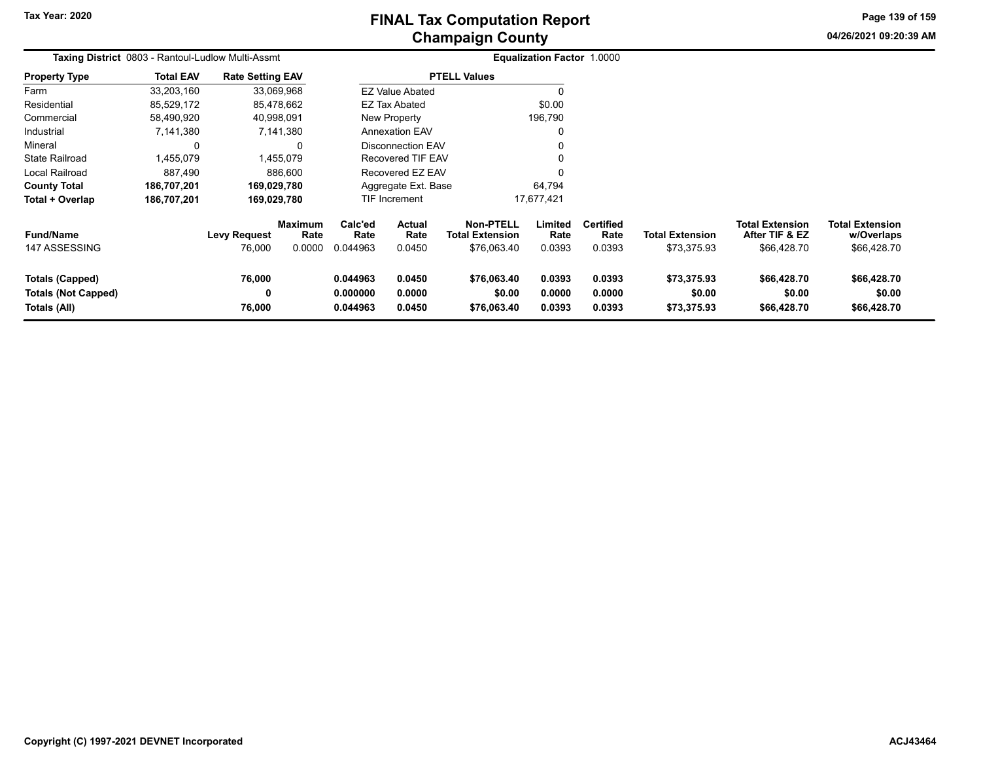# **Champaign County FINAL Tax Computation Report**

**04/26/2021 09:20:39 AM Page 139 of 159**

| Taxing District 0803 - Rantoul-Ludlow Multi-Assmt                    |                  |                               |                           | Equalization Factor 1.0000       |                            |                                                           |                            |                                    |                                       |                                                         |                                                     |
|----------------------------------------------------------------------|------------------|-------------------------------|---------------------------|----------------------------------|----------------------------|-----------------------------------------------------------|----------------------------|------------------------------------|---------------------------------------|---------------------------------------------------------|-----------------------------------------------------|
| <b>Property Type</b>                                                 | <b>Total EAV</b> | <b>Rate Setting EAV</b>       |                           |                                  |                            | <b>PTELL Values</b>                                       |                            |                                    |                                       |                                                         |                                                     |
| Farm                                                                 | 33,203,160       |                               | 33,069,968                |                                  | <b>EZ Value Abated</b>     |                                                           |                            |                                    |                                       |                                                         |                                                     |
| Residential                                                          | 85,529,172       |                               | 85,478,662                |                                  | <b>EZ Tax Abated</b>       |                                                           | \$0.00                     |                                    |                                       |                                                         |                                                     |
| Commercial                                                           | 58,490,920       |                               | 40,998,091                |                                  | New Property               |                                                           | 196,790                    |                                    |                                       |                                                         |                                                     |
| Industrial                                                           | 7,141,380        |                               | 7,141,380                 |                                  | <b>Annexation EAV</b>      |                                                           |                            |                                    |                                       |                                                         |                                                     |
| Mineral                                                              |                  |                               | $\Omega$                  |                                  | Disconnection EAV          |                                                           |                            |                                    |                                       |                                                         |                                                     |
| <b>State Railroad</b>                                                | 1,455,079        |                               | 1,455,079                 |                                  | Recovered TIF EAV          |                                                           |                            |                                    |                                       |                                                         |                                                     |
| Local Railroad                                                       | 887,490          |                               | 886.600                   |                                  | Recovered EZ EAV           |                                                           |                            |                                    |                                       |                                                         |                                                     |
| <b>County Total</b>                                                  | 186,707,201      |                               | 169,029,780               |                                  | Aggregate Ext. Base        |                                                           | 64,794                     |                                    |                                       |                                                         |                                                     |
| Total + Overlap                                                      | 186,707,201      |                               | 169,029,780               |                                  | TIF Increment              |                                                           | 17,677,421                 |                                    |                                       |                                                         |                                                     |
| <b>Fund/Name</b><br>147 ASSESSING                                    |                  | <b>Levy Request</b><br>76,000 | Maximum<br>Rate<br>0.0000 | Calc'ed<br>Rate<br>0.044963      | Actual<br>Rate<br>0.0450   | <b>Non-PTELL</b><br><b>Total Extension</b><br>\$76,063.40 | Limited<br>Rate<br>0.0393  | <b>Certified</b><br>Rate<br>0.0393 | <b>Total Extension</b><br>\$73,375.93 | <b>Total Extension</b><br>After TIF & EZ<br>\$66,428.70 | <b>Total Extension</b><br>w/Overlaps<br>\$66,428.70 |
| <b>Totals (Capped)</b><br><b>Totals (Not Capped)</b><br>Totals (All) |                  | 76,000<br>0<br>76,000         |                           | 0.044963<br>0.000000<br>0.044963 | 0.0450<br>0.0000<br>0.0450 | \$76,063.40<br>\$0.00<br>\$76,063.40                      | 0.0393<br>0.0000<br>0.0393 | 0.0393<br>0.0000<br>0.0393         | \$73,375.93<br>\$0.00<br>\$73,375.93  | \$66,428.70<br>\$0.00<br>\$66,428.70                    | \$66,428.70<br>\$0.00<br>\$66,428.70                |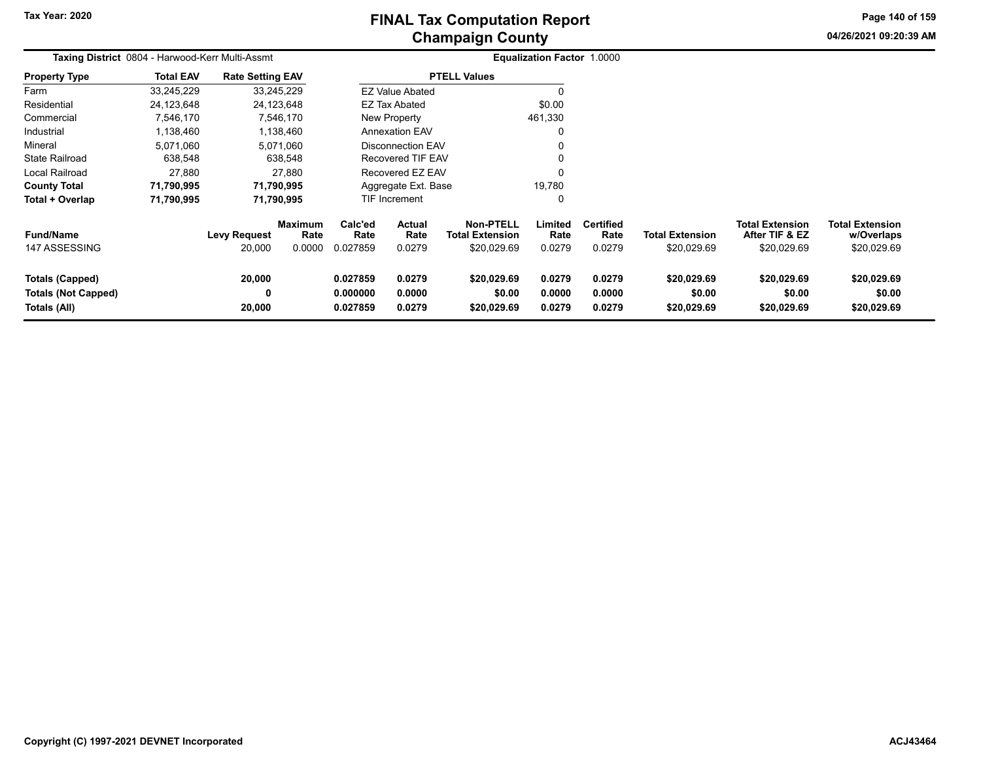# **Champaign County FINAL Tax Computation Report**

**04/26/2021 09:20:39 AMPage 140 of 159**

|                                                                      | Taxing District 0804 - Harwood-Kerr Multi-Assmt |                               |                                  |                                  |                            |                                                           | Equalization Factor 1.0000 |                                    |                                       |                                                         |                                                     |  |
|----------------------------------------------------------------------|-------------------------------------------------|-------------------------------|----------------------------------|----------------------------------|----------------------------|-----------------------------------------------------------|----------------------------|------------------------------------|---------------------------------------|---------------------------------------------------------|-----------------------------------------------------|--|
| <b>Property Type</b>                                                 | <b>Total EAV</b>                                | <b>Rate Setting EAV</b>       |                                  |                                  |                            | <b>PTELL Values</b>                                       |                            |                                    |                                       |                                                         |                                                     |  |
| Farm                                                                 | 33,245,229                                      | 33,245,229                    |                                  |                                  | <b>EZ Value Abated</b>     |                                                           | 0                          |                                    |                                       |                                                         |                                                     |  |
| Residential                                                          | 24,123,648                                      | 24,123,648                    |                                  |                                  | EZ Tax Abated              |                                                           | \$0.00                     |                                    |                                       |                                                         |                                                     |  |
| Commercial                                                           | 7,546,170                                       | 7,546,170                     |                                  |                                  | New Property               |                                                           | 461,330                    |                                    |                                       |                                                         |                                                     |  |
| Industrial                                                           | 1,138,460                                       | 1,138,460                     |                                  |                                  | <b>Annexation EAV</b>      |                                                           | 0                          |                                    |                                       |                                                         |                                                     |  |
| Mineral                                                              | 5,071,060                                       | 5,071,060                     |                                  |                                  | <b>Disconnection EAV</b>   |                                                           | 0                          |                                    |                                       |                                                         |                                                     |  |
| <b>State Railroad</b>                                                | 638,548                                         |                               | 638,548                          |                                  | Recovered TIF EAV          |                                                           | $\mathbf{0}$               |                                    |                                       |                                                         |                                                     |  |
| Local Railroad                                                       | 27,880                                          |                               | 27,880                           |                                  | Recovered EZ EAV           |                                                           | 0                          |                                    |                                       |                                                         |                                                     |  |
| <b>County Total</b>                                                  | 71,790,995                                      | 71,790,995                    |                                  |                                  | Aggregate Ext. Base        |                                                           | 19,780                     |                                    |                                       |                                                         |                                                     |  |
| Total + Overlap                                                      | 71,790,995                                      | 71,790,995                    |                                  |                                  | <b>TIF Increment</b>       |                                                           | 0                          |                                    |                                       |                                                         |                                                     |  |
| <b>Fund/Name</b><br>147 ASSESSING                                    |                                                 | <b>Levy Request</b><br>20,000 | <b>Maximum</b><br>Rate<br>0.0000 | Calc'ed<br>Rate<br>0.027859      | Actual<br>Rate<br>0.0279   | <b>Non-PTELL</b><br><b>Total Extension</b><br>\$20,029.69 | Limited<br>Rate<br>0.0279  | <b>Certified</b><br>Rate<br>0.0279 | <b>Total Extension</b><br>\$20,029.69 | <b>Total Extension</b><br>After TIF & EZ<br>\$20,029.69 | <b>Total Extension</b><br>w/Overlaps<br>\$20,029.69 |  |
| <b>Totals (Capped)</b><br><b>Totals (Not Capped)</b><br>Totals (All) |                                                 | 20,000<br>0<br>20,000         |                                  | 0.027859<br>0.000000<br>0.027859 | 0.0279<br>0.0000<br>0.0279 | \$20,029.69<br>\$0.00<br>\$20,029.69                      | 0.0279<br>0.0000<br>0.0279 | 0.0279<br>0.0000<br>0.0279         | \$20,029.69<br>\$0.00<br>\$20,029.69  | \$20,029.69<br>\$0.00<br>\$20,029.69                    | \$20,029.69<br>\$0.00<br>\$20,029.69                |  |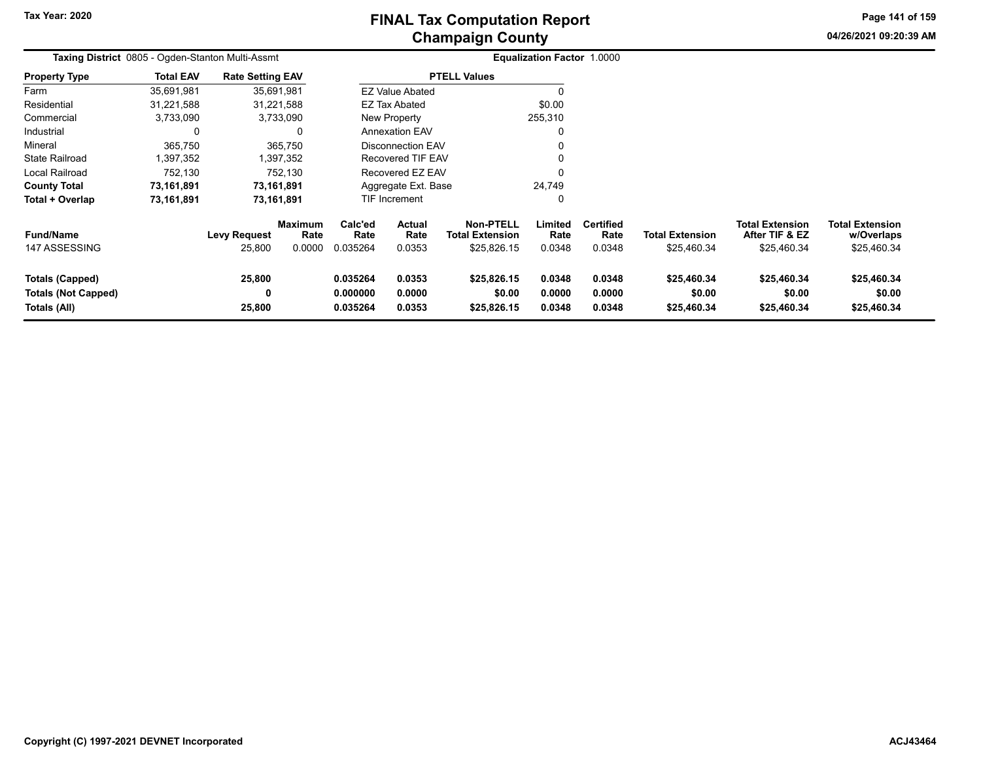# **Champaign County FINAL Tax Computation Report**

**Page 141 of 159**

**04/26/2021 09:20:39 AM**

| Taxing District 0805 - Ogden-Stanton Multi-Assmt |                  |                         |                 |                 |                          |                                     | Equalization Factor 1.0000 |                          |                        |                                          |                                      |
|--------------------------------------------------|------------------|-------------------------|-----------------|-----------------|--------------------------|-------------------------------------|----------------------------|--------------------------|------------------------|------------------------------------------|--------------------------------------|
| <b>Property Type</b>                             | <b>Total EAV</b> | <b>Rate Setting EAV</b> |                 |                 |                          | <b>PTELL Values</b>                 |                            |                          |                        |                                          |                                      |
| Farm                                             | 35,691,981       |                         | 35,691,981      |                 | <b>EZ Value Abated</b>   |                                     |                            |                          |                        |                                          |                                      |
| Residential                                      | 31,221,588       |                         | 31,221,588      |                 | <b>EZ Tax Abated</b>     |                                     | \$0.00                     |                          |                        |                                          |                                      |
| Commercial                                       | 3,733,090        |                         | 3,733,090       |                 | New Property             |                                     | 255,310                    |                          |                        |                                          |                                      |
| Industrial                                       |                  |                         | <sup>0</sup>    |                 | <b>Annexation EAV</b>    |                                     |                            |                          |                        |                                          |                                      |
| Mineral                                          | 365,750          |                         | 365,750         |                 | <b>Disconnection EAV</b> |                                     |                            |                          |                        |                                          |                                      |
| <b>State Railroad</b>                            | 1,397,352        |                         | 1,397,352       |                 | Recovered TIF EAV        |                                     |                            |                          |                        |                                          |                                      |
| Local Railroad                                   | 752,130          |                         | 752,130         |                 | Recovered EZ EAV         |                                     |                            |                          |                        |                                          |                                      |
| <b>County Total</b>                              | 73,161,891       |                         | 73,161,891      |                 | Aggregate Ext. Base      |                                     | 24,749                     |                          |                        |                                          |                                      |
| Total + Overlap                                  | 73,161,891       |                         | 73,161,891      |                 | TIF Increment            |                                     |                            |                          |                        |                                          |                                      |
| <b>Fund/Name</b>                                 |                  | <b>Levy Request</b>     | Maximum<br>Rate | Calc'ed<br>Rate | Actual<br>Rate           | Non-PTELL<br><b>Total Extension</b> | Limited<br>Rate            | <b>Certified</b><br>Rate | <b>Total Extension</b> | <b>Total Extension</b><br>After TIF & EZ | <b>Total Extension</b><br>w/Overlaps |
| 147 ASSESSING                                    |                  | 25,800                  | 0.0000          | 0.035264        | 0.0353                   | \$25,826.15                         | 0.0348                     | 0.0348                   | \$25,460.34            | \$25,460.34                              | \$25,460.34                          |
| Totals (Capped)                                  |                  | 25,800                  |                 | 0.035264        | 0.0353                   | \$25,826.15                         | 0.0348                     | 0.0348                   | \$25,460.34            | \$25,460.34                              | \$25,460.34                          |
| <b>Totals (Not Capped)</b>                       |                  | 0                       |                 | 0.000000        | 0.0000                   | \$0.00                              | 0.0000                     | 0.0000                   | \$0.00                 | \$0.00                                   | \$0.00                               |
| Totals (All)                                     |                  | 25,800                  |                 | 0.035264        | 0.0353                   | \$25,826.15                         | 0.0348                     | 0.0348                   | \$25,460.34            | \$25,460.34                              | \$25,460.34                          |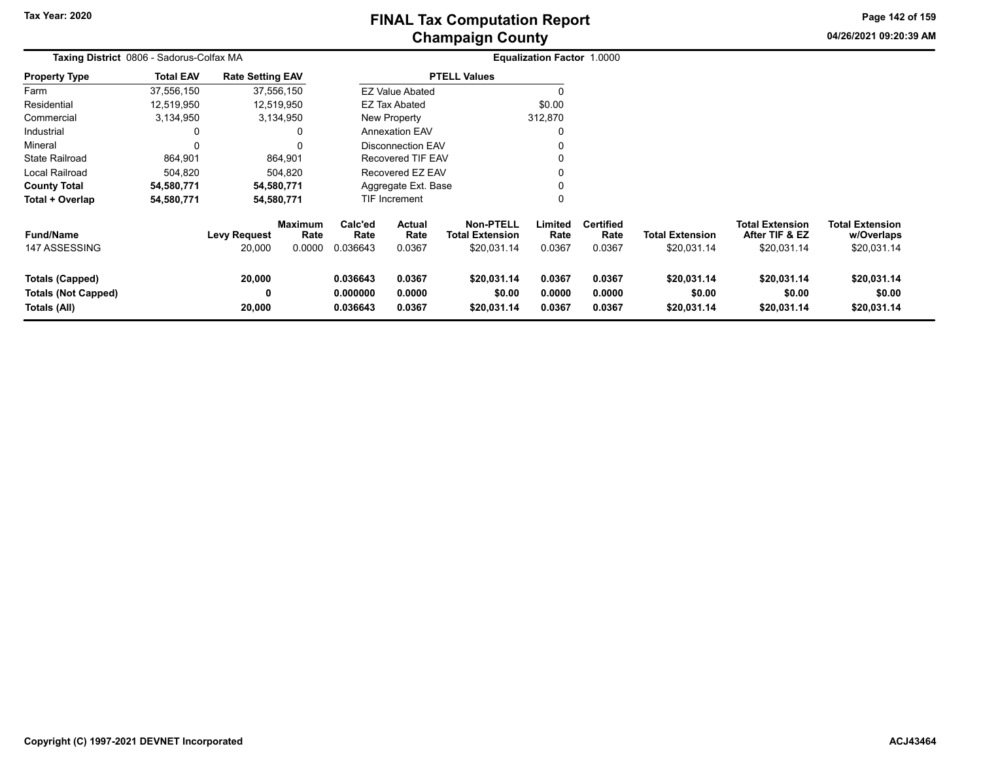# **Champaign County FINAL Tax Computation Report**

**04/26/2021 09:20:39 AMPage 142 of 159**

| Taxing District 0806 - Sadorus-Colfax MA                      |                  | <b>Equalization Factor 1.0000</b> |                                  |                                  |                                 |                                                           |                            |                                    |                                       |                                                  |                                                     |
|---------------------------------------------------------------|------------------|-----------------------------------|----------------------------------|----------------------------------|---------------------------------|-----------------------------------------------------------|----------------------------|------------------------------------|---------------------------------------|--------------------------------------------------|-----------------------------------------------------|
| <b>Property Type</b>                                          | <b>Total EAV</b> | <b>Rate Setting EAV</b>           |                                  |                                  |                                 | <b>PTELL Values</b>                                       |                            |                                    |                                       |                                                  |                                                     |
| Farm                                                          | 37,556,150       |                                   | 37,556,150                       |                                  | <b>EZ Value Abated</b>          |                                                           |                            |                                    |                                       |                                                  |                                                     |
| Residential                                                   | 12,519,950       |                                   | 12,519,950                       |                                  | EZ Tax Abated                   |                                                           | \$0.00                     |                                    |                                       |                                                  |                                                     |
| Commercial                                                    | 3,134,950        |                                   | 3,134,950                        |                                  | New Property                    |                                                           | 312,870                    |                                    |                                       |                                                  |                                                     |
| Industrial                                                    | 0                |                                   |                                  |                                  | <b>Annexation EAV</b>           |                                                           | 0                          |                                    |                                       |                                                  |                                                     |
| Mineral                                                       | $\Omega$         |                                   |                                  |                                  | Disconnection EAV               |                                                           | $\mathbf{0}$               |                                    |                                       |                                                  |                                                     |
| <b>State Railroad</b>                                         | 864,901          |                                   | 864,901                          |                                  | Recovered TIF EAV               |                                                           | 0                          |                                    |                                       |                                                  |                                                     |
| Local Railroad                                                | 504,820          |                                   | 504,820                          |                                  | Recovered EZ EAV                |                                                           | 0                          |                                    |                                       |                                                  |                                                     |
| <b>County Total</b>                                           | 54,580,771       |                                   | 54,580,771                       |                                  | Aggregate Ext. Base             |                                                           | 0                          |                                    |                                       |                                                  |                                                     |
| Total + Overlap                                               | 54,580,771       |                                   | 54,580,771                       |                                  | TIF Increment                   |                                                           | 0                          |                                    |                                       |                                                  |                                                     |
| <b>Fund/Name</b><br>147 ASSESSING                             |                  | <b>Levy Request</b><br>20,000     | <b>Maximum</b><br>Rate<br>0.0000 | Calc'ed<br>Rate<br>0.036643      | <b>Actual</b><br>Rate<br>0.0367 | <b>Non-PTELL</b><br><b>Total Extension</b><br>\$20,031.14 | Limited<br>Rate<br>0.0367  | <b>Certified</b><br>Rate<br>0.0367 | <b>Total Extension</b><br>\$20,031.14 | Total Extension<br>After TIF & EZ<br>\$20,031.14 | <b>Total Extension</b><br>w/Overlaps<br>\$20,031.14 |
| Totals (Capped)<br><b>Totals (Not Capped)</b><br>Totals (All) |                  | 20,000<br>0<br>20,000             |                                  | 0.036643<br>0.000000<br>0.036643 | 0.0367<br>0.0000<br>0.0367      | \$20,031.14<br>\$0.00<br>\$20,031.14                      | 0.0367<br>0.0000<br>0.0367 | 0.0367<br>0.0000<br>0.0367         | \$20,031.14<br>\$0.00<br>\$20,031.14  | \$20,031.14<br>\$0.00<br>\$20,031.14             | \$20,031.14<br>\$0.00<br>\$20,031.14                |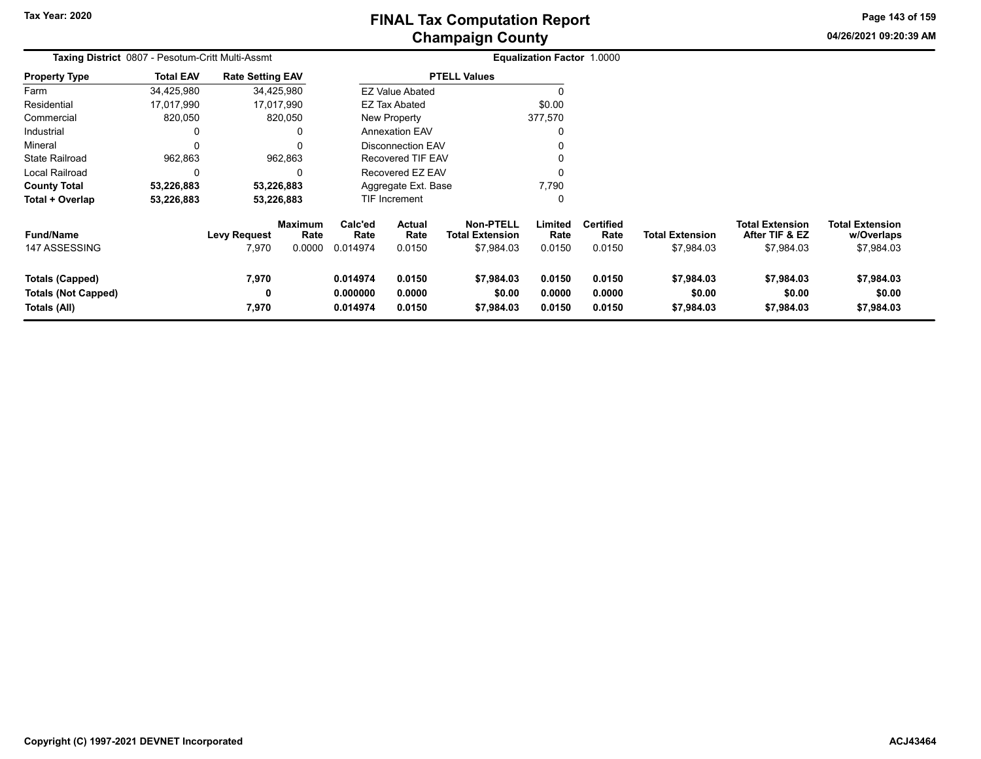**Page 143 of 159**

**04/26/2021 09:20:39 AM**

| Taxing District 0807 - Pesotum-Critt Multi-Assmt                     |                  |                         |                                  |                                  |                            |                                                          | <b>Equalization Factor 1.0000</b> |                                    |                                      |                                                        |                                                    |
|----------------------------------------------------------------------|------------------|-------------------------|----------------------------------|----------------------------------|----------------------------|----------------------------------------------------------|-----------------------------------|------------------------------------|--------------------------------------|--------------------------------------------------------|----------------------------------------------------|
| <b>Property Type</b>                                                 | <b>Total EAV</b> | <b>Rate Setting EAV</b> |                                  |                                  |                            | <b>PTELL Values</b>                                      |                                   |                                    |                                      |                                                        |                                                    |
| Farm                                                                 | 34,425,980       |                         | 34,425,980                       |                                  | <b>EZ Value Abated</b>     |                                                          |                                   |                                    |                                      |                                                        |                                                    |
| Residential                                                          | 17,017,990       |                         | 17,017,990                       |                                  | EZ Tax Abated              |                                                          | \$0.00                            |                                    |                                      |                                                        |                                                    |
| Commercial                                                           | 820,050          |                         | 820,050                          |                                  | New Property               |                                                          | 377,570                           |                                    |                                      |                                                        |                                                    |
| Industrial                                                           | 0                |                         | $\Omega$                         |                                  | <b>Annexation EAV</b>      |                                                          |                                   |                                    |                                      |                                                        |                                                    |
| Mineral                                                              | $\Omega$         |                         | O                                |                                  | <b>Disconnection EAV</b>   |                                                          |                                   |                                    |                                      |                                                        |                                                    |
| <b>State Railroad</b>                                                | 962,863          |                         | 962,863                          |                                  | Recovered TIF EAV          |                                                          |                                   |                                    |                                      |                                                        |                                                    |
| Local Railroad                                                       | 0                |                         | 0                                |                                  | Recovered EZ EAV           |                                                          |                                   |                                    |                                      |                                                        |                                                    |
| <b>County Total</b>                                                  | 53,226,883       |                         | 53,226,883                       |                                  | Aggregate Ext. Base        |                                                          | 7,790                             |                                    |                                      |                                                        |                                                    |
| Total + Overlap                                                      | 53,226,883       |                         | 53,226,883                       |                                  | <b>TIF Increment</b>       |                                                          |                                   |                                    |                                      |                                                        |                                                    |
| <b>Fund/Name</b><br>147 ASSESSING                                    |                  | Levy Request<br>7,970   | <b>Maximum</b><br>Rate<br>0.0000 | Calc'ed<br>Rate<br>0.014974      | Actual<br>Rate<br>0.0150   | <b>Non-PTELL</b><br><b>Total Extension</b><br>\$7,984.03 | Limited<br>Rate<br>0.0150         | <b>Certified</b><br>Rate<br>0.0150 | <b>Total Extension</b><br>\$7,984.03 | <b>Total Extension</b><br>After TIF & EZ<br>\$7,984.03 | <b>Total Extension</b><br>w/Overlaps<br>\$7,984.03 |
| <b>Totals (Capped)</b><br><b>Totals (Not Capped)</b><br>Totals (All) |                  | 7,970<br>0<br>7,970     |                                  | 0.014974<br>0.000000<br>0.014974 | 0.0150<br>0.0000<br>0.0150 | \$7,984.03<br>\$0.00<br>\$7,984.03                       | 0.0150<br>0.0000<br>0.0150        | 0.0150<br>0.0000<br>0.0150         | \$7,984.03<br>\$0.00<br>\$7,984.03   | \$7,984.03<br>\$0.00<br>\$7,984.03                     | \$7,984.03<br>\$0.00<br>\$7,984.03                 |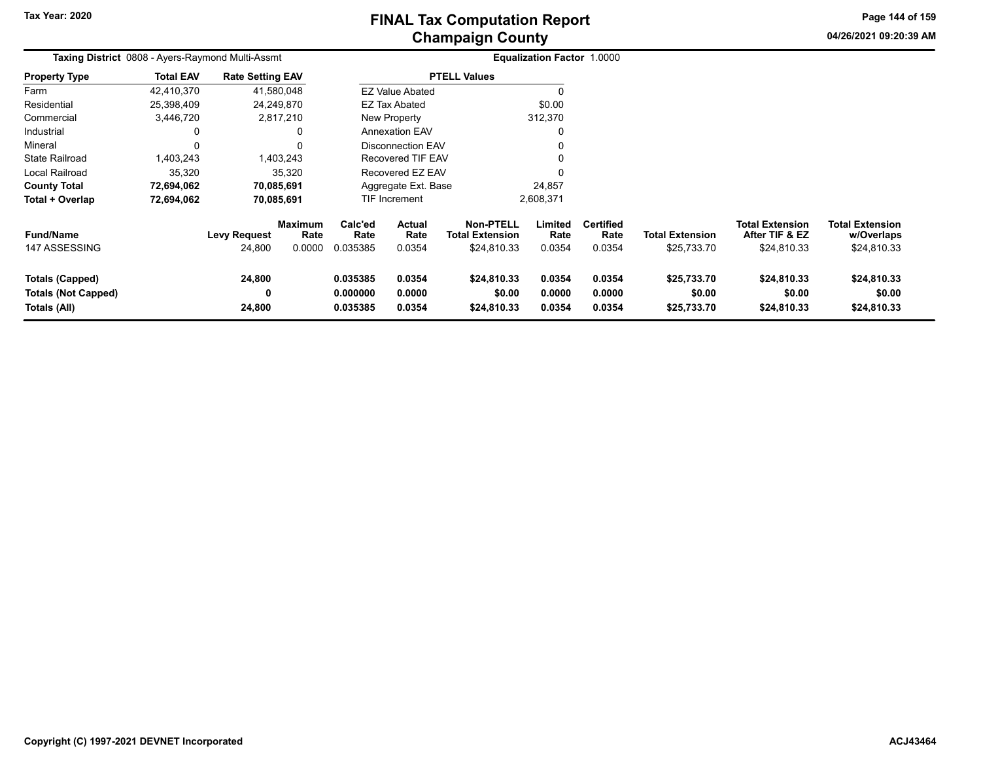# **Champaign County FINAL Tax Computation Report**

**04/26/2021 09:20:39 AM Page 144 of 159**

| Taxing District 0808 - Ayers-Raymond Multi-Assmt                     |                  |                               |                                  |                                  |                                 |                                                           | <b>Equalization Factor 1.0000</b> |                                    |                                       |                                                         |                                                     |
|----------------------------------------------------------------------|------------------|-------------------------------|----------------------------------|----------------------------------|---------------------------------|-----------------------------------------------------------|-----------------------------------|------------------------------------|---------------------------------------|---------------------------------------------------------|-----------------------------------------------------|
| <b>Property Type</b>                                                 | <b>Total EAV</b> | <b>Rate Setting EAV</b>       |                                  |                                  |                                 | <b>PTELL Values</b>                                       |                                   |                                    |                                       |                                                         |                                                     |
| Farm                                                                 | 42,410,370       |                               | 41,580,048                       |                                  | <b>EZ Value Abated</b>          |                                                           |                                   |                                    |                                       |                                                         |                                                     |
| Residential                                                          | 25,398,409       |                               | 24,249,870                       |                                  | EZ Tax Abated                   |                                                           | \$0.00                            |                                    |                                       |                                                         |                                                     |
| Commercial                                                           | 3,446,720        |                               | 2,817,210                        |                                  | New Property                    |                                                           | 312,370                           |                                    |                                       |                                                         |                                                     |
| Industrial                                                           |                  |                               |                                  |                                  | <b>Annexation EAV</b>           |                                                           | $\Omega$                          |                                    |                                       |                                                         |                                                     |
| Mineral                                                              |                  |                               |                                  |                                  | Disconnection EAV               |                                                           |                                   |                                    |                                       |                                                         |                                                     |
| <b>State Railroad</b>                                                | 1,403,243        |                               | 1.403.243                        |                                  | <b>Recovered TIF EAV</b>        |                                                           |                                   |                                    |                                       |                                                         |                                                     |
| Local Railroad                                                       | 35,320           |                               | 35.320                           |                                  | Recovered EZ EAV                |                                                           | $\Omega$                          |                                    |                                       |                                                         |                                                     |
| <b>County Total</b>                                                  | 72,694,062       |                               | 70,085,691                       |                                  | Aggregate Ext. Base             |                                                           | 24,857                            |                                    |                                       |                                                         |                                                     |
| Total + Overlap                                                      | 72,694,062       |                               | 70,085,691                       |                                  | <b>TIF Increment</b>            |                                                           | 2,608,371                         |                                    |                                       |                                                         |                                                     |
| <b>Fund/Name</b><br>147 ASSESSING                                    |                  | <b>Levy Request</b><br>24,800 | <b>Maximum</b><br>Rate<br>0.0000 | Calc'ed<br>Rate<br>0.035385      | <b>Actual</b><br>Rate<br>0.0354 | <b>Non-PTELL</b><br><b>Total Extension</b><br>\$24,810.33 | Limited<br>Rate<br>0.0354         | <b>Certified</b><br>Rate<br>0.0354 | <b>Total Extension</b><br>\$25,733.70 | <b>Total Extension</b><br>After TIF & EZ<br>\$24,810.33 | <b>Total Extension</b><br>w/Overlaps<br>\$24,810.33 |
| <b>Totals (Capped)</b><br><b>Totals (Not Capped)</b><br>Totals (All) |                  | 24,800<br>0<br>24,800         |                                  | 0.035385<br>0.000000<br>0.035385 | 0.0354<br>0.0000<br>0.0354      | \$24,810.33<br>\$0.00<br>\$24,810.33                      | 0.0354<br>0.0000<br>0.0354        | 0.0354<br>0.0000<br>0.0354         | \$25,733.70<br>\$0.00<br>\$25,733.70  | \$24,810.33<br>\$0.00<br>\$24,810.33                    | \$24,810.33<br>\$0.00<br>\$24,810.33                |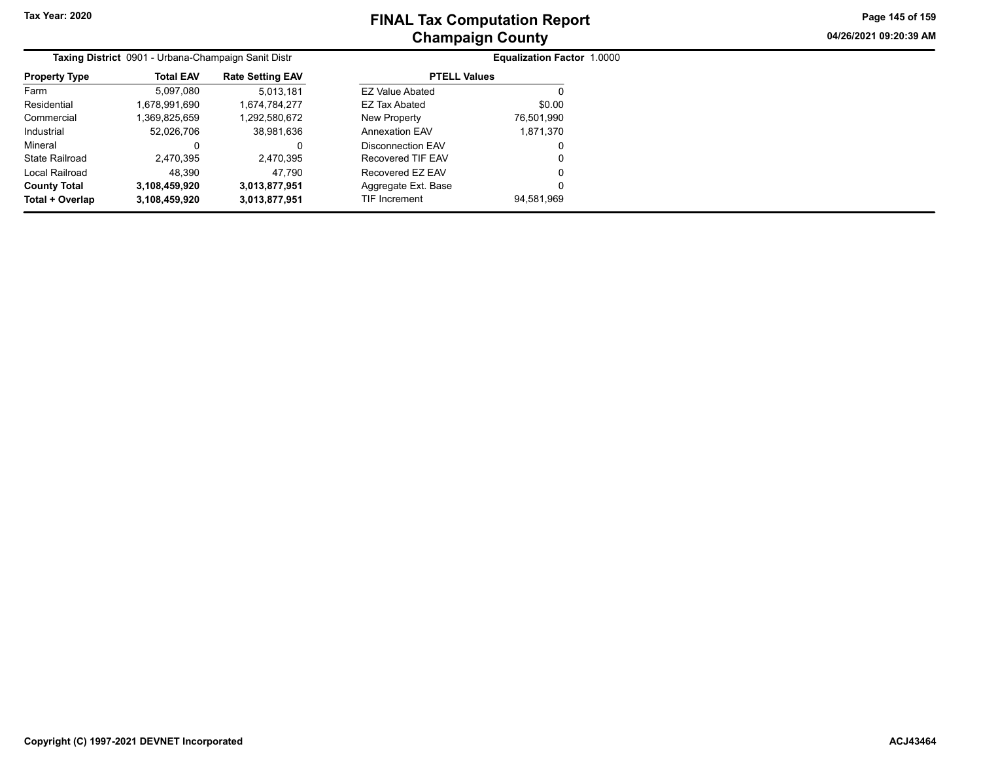**04/26/2021 09:20:39 AM Page 145 of 159**

|                       | Taxing District 0901 - Urbana-Champaign Sanit Distr |                         |                        | <b>Equalization Factor 1.0000</b> |
|-----------------------|-----------------------------------------------------|-------------------------|------------------------|-----------------------------------|
| <b>Property Type</b>  | <b>Total EAV</b>                                    | <b>Rate Setting EAV</b> | <b>PTELL Values</b>    |                                   |
| Farm                  | 5,097,080                                           | 5,013,181               | <b>EZ Value Abated</b> | O                                 |
| Residential           | 1,678,991,690                                       | 1,674,784,277           | EZ Tax Abated          | \$0.00                            |
| Commercial            | 1,369,825,659                                       | 1,292,580,672           | New Property           | 76,501,990                        |
| Industrial            | 52,026,706                                          | 38,981,636              | <b>Annexation EAV</b>  | 1,871,370                         |
| Mineral               | 0                                                   | 0                       | Disconnection EAV      | 0                                 |
| <b>State Railroad</b> | 2,470,395                                           | 2.470.395               | Recovered TIF EAV      | 0                                 |
| Local Railroad        | 48.390                                              | 47.790                  | Recovered EZ EAV       | 0                                 |
| <b>County Total</b>   | 3,108,459,920                                       | 3,013,877,951           | Aggregate Ext. Base    | 0                                 |
| Total + Overlap       | 3,108,459,920                                       | 3,013,877,951           | <b>TIF Increment</b>   | 94,581,969                        |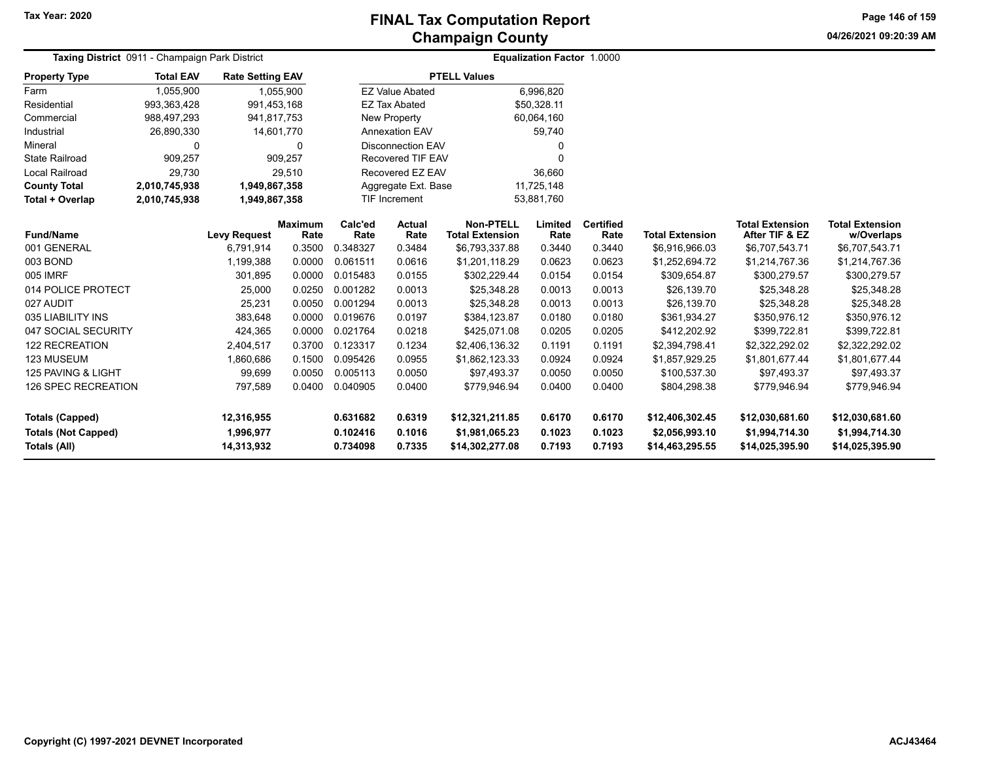**04/26/2021 09:20:39 AMPage 146 of 159**

| Taxing District 0911 - Champaign Park District |                  |                         |                |          |                          |                        | <b>Equalization Factor 1.0000</b> |                  |                        |                        |                        |
|------------------------------------------------|------------------|-------------------------|----------------|----------|--------------------------|------------------------|-----------------------------------|------------------|------------------------|------------------------|------------------------|
| <b>Property Type</b>                           | <b>Total EAV</b> | <b>Rate Setting EAV</b> |                |          |                          | <b>PTELL Values</b>    |                                   |                  |                        |                        |                        |
| Farm                                           | 1,055,900        |                         | 1,055,900      |          | <b>EZ Value Abated</b>   |                        | 6,996,820                         |                  |                        |                        |                        |
| Residential                                    | 993,363,428      | 991,453,168             |                |          | <b>EZ Tax Abated</b>     |                        | \$50,328.11                       |                  |                        |                        |                        |
| Commercial                                     | 988,497,293      | 941,817,753             |                |          | <b>New Property</b>      |                        | 60,064,160                        |                  |                        |                        |                        |
| Industrial                                     | 26,890,330       | 14,601,770              |                |          | <b>Annexation EAV</b>    |                        | 59,740                            |                  |                        |                        |                        |
| Mineral                                        | 0                |                         | 0              |          | <b>Disconnection EAV</b> |                        | 0                                 |                  |                        |                        |                        |
| <b>State Railroad</b>                          | 909,257          |                         | 909,257        |          | <b>Recovered TIF EAV</b> |                        | $\Omega$                          |                  |                        |                        |                        |
| Local Railroad                                 | 29,730           |                         | 29,510         |          | Recovered EZ EAV         |                        | 36,660                            |                  |                        |                        |                        |
| <b>County Total</b>                            | 2,010,745,938    | 1,949,867,358           |                |          | Aggregate Ext. Base      |                        | 11,725,148                        |                  |                        |                        |                        |
| Total + Overlap                                | 2,010,745,938    | 1,949,867,358           |                |          | <b>TIF Increment</b>     |                        | 53,881,760                        |                  |                        |                        |                        |
|                                                |                  |                         | <b>Maximum</b> | Calc'ed  | Actual                   | <b>Non-PTELL</b>       | Limited                           | <b>Certified</b> |                        | <b>Total Extension</b> | <b>Total Extension</b> |
| <b>Fund/Name</b>                               |                  | <b>Levy Request</b>     | Rate           | Rate     | Rate                     | <b>Total Extension</b> | Rate                              | Rate             | <b>Total Extension</b> | After TIF & EZ         | w/Overlaps             |
| 001 GENERAL                                    |                  | 6,791,914               | 0.3500         | 0.348327 | 0.3484                   | \$6,793,337.88         | 0.3440                            | 0.3440           | \$6,916,966.03         | \$6,707,543.71         | \$6,707,543.71         |
| 003 BOND                                       |                  | 1,199,388               | 0.0000         | 0.061511 | 0.0616                   | \$1,201,118.29         | 0.0623                            | 0.0623           | \$1,252,694.72         | \$1,214,767.36         | \$1,214,767.36         |
| 005 IMRF                                       |                  | 301,895                 | 0.0000         | 0.015483 | 0.0155                   | \$302,229.44           | 0.0154                            | 0.0154           | \$309,654.87           | \$300,279.57           | \$300,279.57           |
| 014 POLICE PROTECT                             |                  | 25,000                  | 0.0250         | 0.001282 | 0.0013                   | \$25,348.28            | 0.0013                            | 0.0013           | \$26,139.70            | \$25,348.28            | \$25,348.28            |
| 027 AUDIT                                      |                  | 25,231                  | 0.0050         | 0.001294 | 0.0013                   | \$25,348.28            | 0.0013                            | 0.0013           | \$26,139.70            | \$25,348.28            | \$25,348.28            |
| 035 LIABILITY INS                              |                  | 383,648                 | 0.0000         | 0.019676 | 0.0197                   | \$384,123.87           | 0.0180                            | 0.0180           | \$361,934.27           | \$350,976.12           | \$350,976.12           |
| 047 SOCIAL SECURITY                            |                  | 424,365                 | 0.0000         | 0.021764 | 0.0218                   | \$425,071.08           | 0.0205                            | 0.0205           | \$412,202.92           | \$399,722.81           | \$399,722.81           |
| 122 RECREATION                                 |                  | 2,404,517               | 0.3700         | 0.123317 | 0.1234                   | \$2,406,136.32         | 0.1191                            | 0.1191           | \$2,394,798.41         | \$2,322,292.02         | \$2,322,292.02         |
| 123 MUSEUM                                     |                  | 1,860,686               | 0.1500         | 0.095426 | 0.0955                   | \$1,862,123.33         | 0.0924                            | 0.0924           | \$1,857,929.25         | \$1,801,677.44         | \$1,801,677.44         |
| 125 PAVING & LIGHT                             |                  | 99,699                  | 0.0050         | 0.005113 | 0.0050                   | \$97,493.37            | 0.0050                            | 0.0050           | \$100,537.30           | \$97,493.37            | \$97,493.37            |
| 126 SPEC RECREATION                            |                  | 797,589                 | 0.0400         | 0.040905 | 0.0400                   | \$779,946.94           | 0.0400                            | 0.0400           | \$804,298.38           | \$779,946.94           | \$779,946.94           |
| <b>Totals (Capped)</b>                         |                  | 12,316,955              |                | 0.631682 | 0.6319                   | \$12,321,211.85        | 0.6170                            | 0.6170           | \$12,406,302.45        | \$12,030,681.60        | \$12,030,681.60        |
| <b>Totals (Not Capped)</b>                     |                  | 1,996,977               |                | 0.102416 | 0.1016                   | \$1,981,065.23         | 0.1023                            | 0.1023           | \$2,056,993.10         | \$1,994,714.30         | \$1,994,714.30         |
| Totals (All)                                   |                  | 14,313,932              |                | 0.734098 | 0.7335                   | \$14,302,277.08        | 0.7193                            | 0.7193           | \$14,463,295.55        | \$14,025,395.90        | \$14,025,395.90        |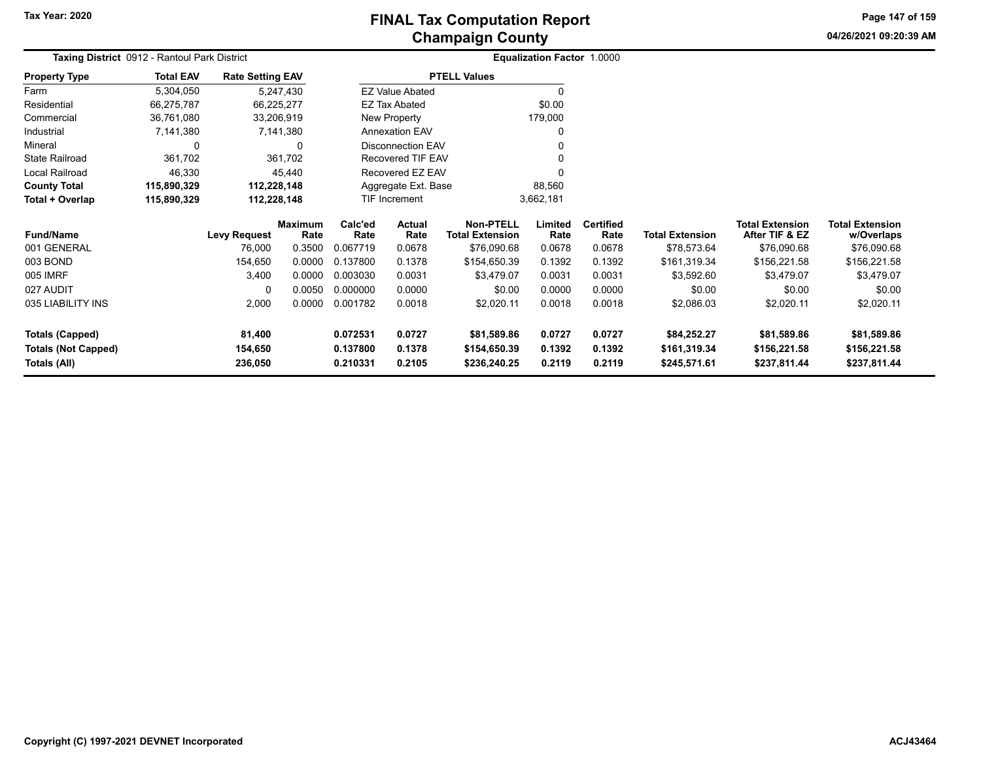## **Champaign County FINAL Tax Computation Report**

**04/26/2021 09:20:39 AMPage 147 of 159**

| Taxing District 0912 - Rantoul Park District |                  |                         | <b>Equalization Factor 1.0000</b> |           |  |  |
|----------------------------------------------|------------------|-------------------------|-----------------------------------|-----------|--|--|
| <b>Property Type</b>                         | <b>Total EAV</b> | <b>Rate Setting EAV</b> | <b>PTELL Values</b>               |           |  |  |
| Farm                                         | 5.304.050        | 5,247,430               | <b>EZ Value Abated</b>            | 0         |  |  |
| Residential                                  | 66,275,787       | 66.225.277              | EZ Tax Abated                     | \$0.00    |  |  |
| Commercial                                   | 36,761,080       | 33,206,919              | New Property                      | 179,000   |  |  |
| Industrial                                   | 7.141.380        | 7.141.380               | <b>Annexation EAV</b>             | 0         |  |  |
| Mineral                                      |                  | $\Omega$                | Disconnection EAV                 | 0         |  |  |
| <b>State Railroad</b>                        | 361,702          | 361,702                 | Recovered TIF EAV                 | 0         |  |  |
| Local Railroad                               | 46.330           | 45.440                  | Recovered EZ EAV                  | 0         |  |  |
| <b>County Total</b>                          | 115.890.329      | 112.228.148             | Aggregate Ext. Base               | 88,560    |  |  |
| Total + Overlap                              | 115.890.329      | 112,228,148             | <b>TIF Increment</b>              | 3,662,181 |  |  |

| <b>Fund/Name</b>           | Levy Request | <b>Maximum</b><br>Rate | Calc'ed<br>Rate | Actual<br>Rate | Non-PTELL<br><b>Total Extension</b> | Limited<br>Rate | <b>Certified</b><br>Rate | <b>Total Extension</b> | <b>Total Extension</b><br>After TIF & EZ | <b>Total Extension</b><br>w/Overlaps |
|----------------------------|--------------|------------------------|-----------------|----------------|-------------------------------------|-----------------|--------------------------|------------------------|------------------------------------------|--------------------------------------|
| 001 GENERAL                | 76,000       | 0.3500                 | 0.067719        | 0.0678         | \$76,090.68                         | 0.0678          | 0.0678                   | \$78,573.64            | \$76,090.68                              | \$76,090.68                          |
| 003 BOND                   | 154.650      | 0.0000                 | 0.137800        | 0.1378         | \$154,650.39                        | 0.1392          | 0.1392                   | \$161,319.34           | \$156,221.58                             | \$156,221.58                         |
| 005 IMRF                   | 3,400        | 0.0000                 | 0.003030        | 0.0031         | \$3,479.07                          | 0.0031          | 0.0031                   | \$3,592.60             | \$3.479.07                               | \$3,479.07                           |
| 027 AUDIT                  | 0            | 0.0050                 | 0.000000        | 0.0000         | \$0.00                              | 0.0000          | 0.0000                   | \$0.00                 | \$0.00                                   | \$0.00                               |
| 035 LIABILITY INS          | 2.000        | 0.0000                 | 0.001782        | 0.0018         | \$2,020.11                          | 0.0018          | 0.0018                   | \$2,086.03             | \$2.020.11                               | \$2,020.11                           |
| Totals (Capped)            | 81.400       |                        | 0.072531        | 0.0727         | \$81.589.86                         | 0.0727          | 0.0727                   | \$84.252.27            | \$81,589.86                              | \$81,589.86                          |
| <b>Totals (Not Capped)</b> | 154.650      |                        | 0.137800        | 0.1378         | \$154,650.39                        | 0.1392          | 0.1392                   | \$161.319.34           | \$156,221.58                             | \$156,221.58                         |
| Totals (All)               | 236,050      |                        | 0.210331        | 0.2105         | \$236,240.25                        | 0.2119          | 0.2119                   | \$245,571.61           | \$237,811.44                             | \$237,811.44                         |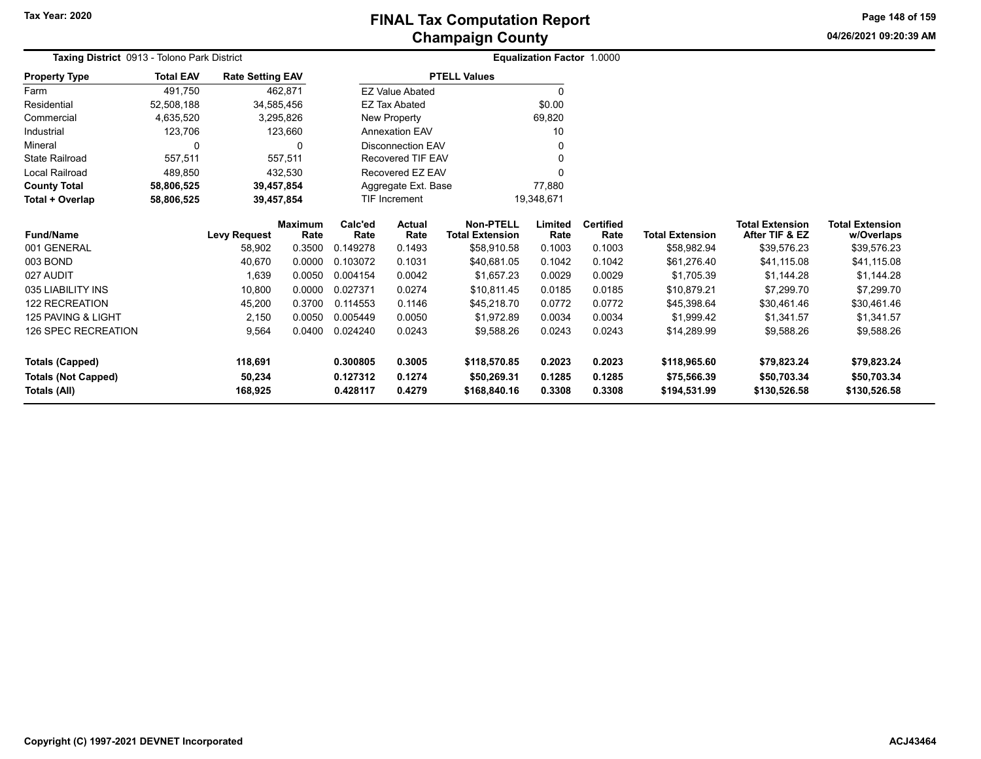**04/26/2021 09:20:39 AM**

**Page 148 of 159**

| Taxing District 0913 - Tolono Park District |                  |                         |                        |                               |                          |                                     | Equalization Factor 1.0000 |                          |                             |                                          |                                      |
|---------------------------------------------|------------------|-------------------------|------------------------|-------------------------------|--------------------------|-------------------------------------|----------------------------|--------------------------|-----------------------------|------------------------------------------|--------------------------------------|
| <b>Property Type</b>                        | <b>Total EAV</b> | <b>Rate Setting EAV</b> |                        |                               |                          | <b>PTELL Values</b>                 |                            |                          |                             |                                          |                                      |
| Farm                                        | 491,750          |                         | 462,871                |                               | <b>EZ Value Abated</b>   |                                     | $\Omega$                   |                          |                             |                                          |                                      |
| Residential                                 | 52,508,188       |                         | 34,585,456             |                               | <b>EZ Tax Abated</b>     |                                     | \$0.00                     |                          |                             |                                          |                                      |
| Commercial                                  | 4,635,520        |                         | 3,295,826              |                               | New Property             |                                     | 69,820                     |                          |                             |                                          |                                      |
| Industrial                                  | 123,706          |                         | 123,660                |                               | <b>Annexation EAV</b>    |                                     | 10                         |                          |                             |                                          |                                      |
| Mineral                                     | $\mathbf{0}$     |                         | 0                      |                               | <b>Disconnection EAV</b> |                                     | $\Omega$                   |                          |                             |                                          |                                      |
| State Railroad                              | 557,511          |                         | 557,511                |                               | Recovered TIF EAV        |                                     |                            |                          |                             |                                          |                                      |
| <b>Local Railroad</b>                       | 489,850          |                         | 432,530                |                               | Recovered EZ EAV         |                                     |                            |                          |                             |                                          |                                      |
| <b>County Total</b>                         | 58,806,525       |                         | 39,457,854             | 77,880<br>Aggregate Ext. Base |                          |                                     |                            |                          |                             |                                          |                                      |
| Total + Overlap                             | 58,806,525       |                         | 39,457,854             |                               | TIF Increment            | 19,348,671                          |                            |                          |                             |                                          |                                      |
| <b>Fund/Name</b>                            |                  | <b>Levy Request</b>     | <b>Maximum</b><br>Rate | Calc'ed<br>Rate               | <b>Actual</b><br>Rate    | Non-PTELL<br><b>Total Extension</b> | Limited<br>Rate            | <b>Certified</b><br>Rate | <b>Total Extension</b>      | <b>Total Extension</b><br>After TIF & EZ | <b>Total Extension</b><br>w/Overlaps |
| 001 GENERAL                                 |                  | 58,902                  | 0.3500                 | 0.149278                      | 0.1493                   | \$58,910.58                         | 0.1003                     | 0.1003                   | \$58,982.94                 | \$39,576.23                              | \$39,576.23                          |
| 003 BOND                                    |                  | 40,670                  | 0.0000                 | 0.103072                      | 0.1031                   | \$40,681.05                         | 0.1042                     | 0.1042                   | \$61,276.40                 | \$41,115.08                              | \$41,115.08                          |
| 027 AUDIT                                   |                  | 1,639                   | 0.0050                 | 0.004154                      | 0.0042                   | \$1,657.23                          | 0.0029                     | 0.0029                   | \$1,705.39                  | \$1,144.28                               | \$1,144.28                           |
| 035 LIABILITY INS                           |                  | 10,800                  | 0.0000                 | 0.027371                      | 0.0274                   | \$10,811.45                         | 0.0185                     | 0.0185                   | \$10,879.21                 | \$7,299.70                               | \$7,299.70                           |
| <b>122 RECREATION</b>                       |                  | 45,200                  | 0.3700                 | 0.114553                      | 0.1146                   | \$45,218.70                         | 0.0772                     | 0.0772                   | \$45,398.64                 | \$30,461.46                              | \$30,461.46                          |
| 125 PAVING & LIGHT                          |                  | 2,150                   | 0.0050                 | 0.005449                      | 0.0050                   | \$1,972.89                          | 0.0034                     | 0.0034                   | \$1,999.42                  | \$1,341.57                               | \$1,341.57                           |
| <b>126 SPEC RECREATION</b>                  |                  | 9,564                   | 0.0400                 | 0.024240                      | 0.0243                   | \$9,588.26                          | 0.0243                     | 0.0243                   | \$14,289.99                 | \$9,588.26                               | \$9,588.26                           |
| <b>Totals (Capped)</b>                      |                  | 118,691                 |                        | 0.300805                      | 0.3005                   | \$118,570.85                        | 0.2023                     | 0.2023                   | \$118,965.60                | \$79,823.24                              | \$79,823.24                          |
| <b>Totals (Not Capped)</b><br>Totals (All)  |                  | 50,234<br>168,925       |                        | 0.127312<br>0.428117          | 0.1274<br>0.4279         | \$50,269.31<br>\$168,840.16         | 0.1285<br>0.3308           | 0.1285<br>0.3308         | \$75,566.39<br>\$194,531.99 | \$50,703.34<br>\$130,526.58              | \$50,703.34<br>\$130,526.58          |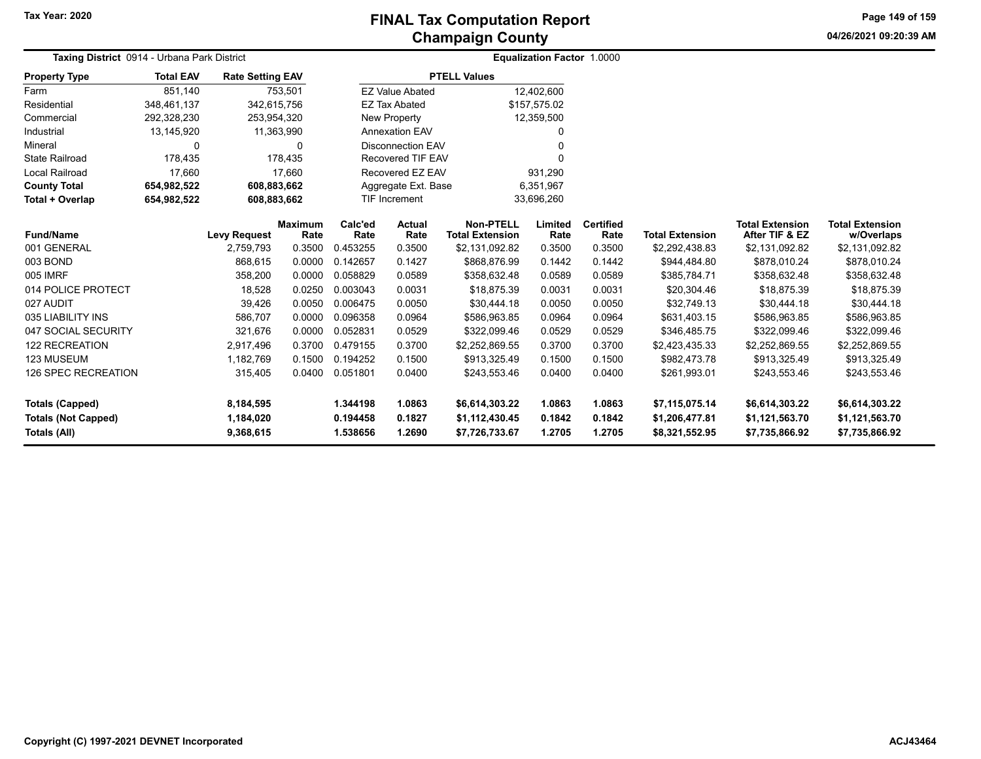**04/26/2021 09:20:39 AM Page 149 of 159**

| <b>Taxing District</b> 0914 - Urbana Park District            |                  |                                     |                        |                                  |                            |                                                    | <b>Equalization Factor 1.0000</b> |                            |                                                    |                                                    |                                                    |
|---------------------------------------------------------------|------------------|-------------------------------------|------------------------|----------------------------------|----------------------------|----------------------------------------------------|-----------------------------------|----------------------------|----------------------------------------------------|----------------------------------------------------|----------------------------------------------------|
| <b>Property Type</b>                                          | <b>Total EAV</b> | <b>Rate Setting EAV</b>             |                        |                                  |                            | <b>PTELL Values</b>                                |                                   |                            |                                                    |                                                    |                                                    |
| Farm                                                          | 851,140          |                                     | 753,501                |                                  | <b>EZ Value Abated</b>     |                                                    | 12,402,600                        |                            |                                                    |                                                    |                                                    |
| Residential                                                   | 348,461,137      | 342,615,756                         |                        |                                  | <b>EZ Tax Abated</b>       |                                                    | \$157,575.02                      |                            |                                                    |                                                    |                                                    |
| Commercial                                                    | 292,328,230      | 253,954,320                         |                        |                                  | New Property               |                                                    | 12,359,500                        |                            |                                                    |                                                    |                                                    |
| Industrial                                                    | 13,145,920       | 11,363,990                          |                        |                                  | <b>Annexation EAV</b>      |                                                    | 0                                 |                            |                                                    |                                                    |                                                    |
| Mineral                                                       | 0                |                                     | $\Omega$               |                                  | <b>Disconnection EAV</b>   |                                                    | $\Omega$                          |                            |                                                    |                                                    |                                                    |
| <b>State Railroad</b>                                         | 178,435          |                                     | 178,435                |                                  | Recovered TIF EAV          |                                                    | $\Omega$                          |                            |                                                    |                                                    |                                                    |
| Local Railroad                                                | 17,660           |                                     | 17,660                 |                                  | Recovered EZ EAV           |                                                    | 931,290                           |                            |                                                    |                                                    |                                                    |
| <b>County Total</b>                                           | 654,982,522      | 608,883,662                         |                        |                                  | Aggregate Ext. Base        |                                                    | 6,351,967                         |                            |                                                    |                                                    |                                                    |
| Total + Overlap                                               | 654,982,522      | 608,883,662                         |                        |                                  | <b>TIF Increment</b>       |                                                    | 33,696,260                        |                            |                                                    |                                                    |                                                    |
| <b>Fund/Name</b>                                              |                  | <b>Levy Request</b>                 | <b>Maximum</b><br>Rate | Calc'ed<br>Rate                  | <b>Actual</b><br>Rate      | <b>Non-PTELL</b><br><b>Total Extension</b>         | Limited<br>Rate                   | <b>Certified</b><br>Rate   | <b>Total Extension</b>                             | <b>Total Extension</b><br>After TIF & EZ           | <b>Total Extension</b><br>w/Overlaps               |
| 001 GENERAL                                                   |                  | 2,759,793                           | 0.3500                 | 0.453255                         | 0.3500                     | \$2,131,092.82                                     | 0.3500                            | 0.3500                     | \$2,292,438.83                                     | \$2,131,092.82                                     | \$2,131,092.82                                     |
| 003 BOND                                                      |                  | 868,615                             | 0.0000                 | 0.142657                         | 0.1427                     | \$868,876.99                                       | 0.1442                            | 0.1442                     | \$944,484.80                                       | \$878,010.24                                       | \$878,010.24                                       |
| 005 IMRF                                                      |                  | 358,200                             | 0.0000                 | 0.058829                         | 0.0589                     | \$358,632.48                                       | 0.0589                            | 0.0589                     | \$385,784.71                                       | \$358,632.48                                       | \$358,632.48                                       |
| 014 POLICE PROTECT                                            |                  | 18,528                              | 0.0250                 | 0.003043                         | 0.0031                     | \$18,875.39                                        | 0.0031                            | 0.0031                     | \$20,304.46                                        | \$18,875.39                                        | \$18,875.39                                        |
| 027 AUDIT                                                     |                  | 39,426                              | 0.0050                 | 0.006475                         | 0.0050                     | \$30,444.18                                        | 0.0050                            | 0.0050                     | \$32,749.13                                        | \$30,444.18                                        | \$30,444.18                                        |
| 035 LIABILITY INS                                             |                  | 586,707                             | 0.0000                 | 0.096358                         | 0.0964                     | \$586,963.85                                       | 0.0964                            | 0.0964                     | \$631,403.15                                       | \$586,963.85                                       | \$586,963.85                                       |
| 047 SOCIAL SECURITY                                           |                  | 321,676                             | 0.0000                 | 0.052831                         | 0.0529                     | \$322,099.46                                       | 0.0529                            | 0.0529                     | \$346,485.75                                       | \$322,099.46                                       | \$322,099.46                                       |
| <b>122 RECREATION</b>                                         |                  | 2,917,496                           | 0.3700                 | 0.479155                         | 0.3700                     | \$2,252,869.55                                     | 0.3700                            | 0.3700                     | \$2,423,435.33                                     | \$2,252,869.55                                     | \$2,252,869.55                                     |
| 123 MUSEUM                                                    |                  | 1,182,769                           | 0.1500                 | 0.194252                         | 0.1500                     | \$913,325.49                                       | 0.1500                            | 0.1500                     | \$982,473.78                                       | \$913,325.49                                       | \$913,325.49                                       |
| <b>126 SPEC RECREATION</b>                                    |                  | 315,405                             | 0.0400                 | 0.051801                         | 0.0400                     | \$243,553.46                                       | 0.0400                            | 0.0400                     | \$261,993.01                                       | \$243,553.46                                       | \$243,553.46                                       |
|                                                               |                  |                                     |                        |                                  |                            |                                                    |                                   |                            |                                                    |                                                    |                                                    |
| Totals (Capped)<br><b>Totals (Not Capped)</b><br>Totals (All) |                  | 8,184,595<br>1,184,020<br>9,368,615 |                        | 1.344198<br>0.194458<br>1.538656 | 1.0863<br>0.1827<br>1.2690 | \$6,614,303.22<br>\$1,112,430.45<br>\$7,726,733.67 | 1.0863<br>0.1842<br>1.2705        | 1.0863<br>0.1842<br>1.2705 | \$7,115,075.14<br>\$1,206,477.81<br>\$8,321,552.95 | \$6,614,303.22<br>\$1,121,563.70<br>\$7,735,866.92 | \$6,614,303.22<br>\$1,121,563.70<br>\$7,735,866.92 |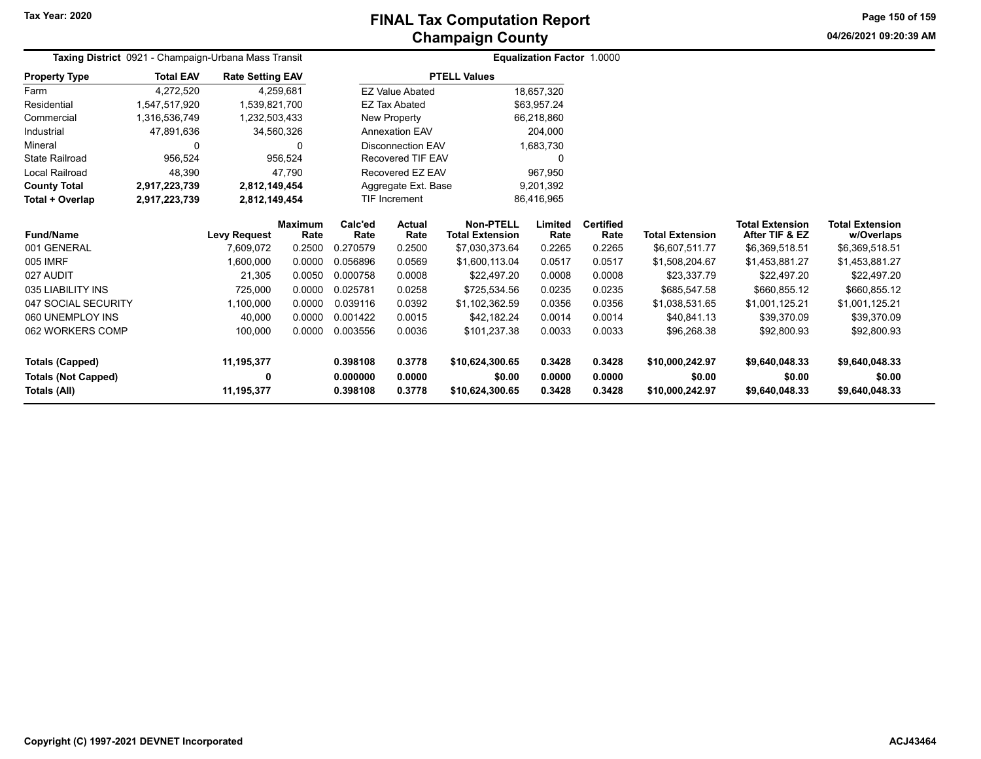#### **Champaign County FINAL Tax Computation Report**

**04/26/2021 09:20:39 AMPage 150 of 159**

|                      |                                                      |                         | <b>Undilipalgii Udulity</b> |                                   |  |
|----------------------|------------------------------------------------------|-------------------------|-----------------------------|-----------------------------------|--|
|                      | Taxing District 0921 - Champaign-Urbana Mass Transit |                         |                             | <b>Equalization Factor 1.0000</b> |  |
| <b>Property Type</b> | <b>Total EAV</b>                                     | <b>Rate Setting EAV</b> | <b>PTELL Values</b>         |                                   |  |
| Farm                 | 4,272,520                                            | 4.259.681               | EZ Value Abated             | 18,657,320                        |  |
| Residential          | 1.547.517.920                                        | 1.539.821.700           | EZ Tax Abated               | \$63.957.24                       |  |
| Commercial           | 1,316,536,749                                        | 1,232,503,433           | New Property                | 66,218,860                        |  |
| Industrial           | 47.891.636                                           | 34.560.326              | <b>Annexation EAV</b>       | 204,000                           |  |
| Mineral              |                                                      |                         | Disconnection EAV           | 1,683,730                         |  |
| State Railroad       | 956.524                                              | 956.524                 | Recovered TIF EAV           | 0                                 |  |
| Local Railroad       | 48.390                                               | 47.790                  | Recovered EZ EAV            | 967.950                           |  |
| <b>County Total</b>  | 2,917,223,739                                        | 2,812,149,454           | Aggregate Ext. Base         | 9.201.392                         |  |
| Total + Overlap      | 2,917,223,739                                        | 2,812,149,454           | <b>TIF Increment</b>        | 86,416,965                        |  |

| Fund/Name                  | <b>Levy Request</b> | <b>Maximum</b><br>Rate | Calc'ed<br>Rate | Actual<br>Rate | Non-PTELL<br><b>Total Extension</b> | Limited<br>Rate | <b>Certified</b><br>Rate | <b>Total Extension</b> | <b>Total Extension</b><br>After TIF & EZ | <b>Total Extension</b><br>w/Overlaps |
|----------------------------|---------------------|------------------------|-----------------|----------------|-------------------------------------|-----------------|--------------------------|------------------------|------------------------------------------|--------------------------------------|
| 001 GENERAL                | 7.609.072           | 0.2500                 | 0.270579        | 0.2500         | \$7,030,373.64                      | 0.2265          | 0.2265                   | \$6.607.511.77         | \$6,369,518.51                           | \$6,369,518.51                       |
| 005 IMRF                   | 1.600.000           | 0.0000                 | 0.056896        | 0.0569         | \$1.600.113.04                      | 0.0517          | 0.0517                   | \$1.508.204.67         | \$1.453.881.27                           | \$1,453,881.27                       |
| 027 AUDIT                  | 21.305              | 0.0050                 | 0.000758        | 0.0008         | \$22,497.20                         | 0.0008          | 0.0008                   | \$23.337.79            | \$22.497.20                              | \$22.497.20                          |
| 035 LIABILITY INS          | 725.000             | 0.0000                 | 0.025781        | 0.0258         | \$725.534.56                        | 0.0235          | 0.0235                   | \$685.547.58           | \$660,855.12                             | \$660,855.12                         |
| 047 SOCIAL SECURITY        | 1.100.000           | 0.0000                 | 0.039116        | 0.0392         | \$1.102.362.59                      | 0.0356          | 0.0356                   | \$1.038.531.65         | \$1,001,125.21                           | \$1.001.125.21                       |
| 060 UNEMPLOY INS           | 40,000              | 0.0000                 | 0.001422        | 0.0015         | \$42.182.24                         | 0.0014          | 0.0014                   | \$40.841.13            | \$39,370.09                              | \$39.370.09                          |
| 062 WORKERS COMP           | 100,000             | 0.0000                 | 0.003556        | 0.0036         | \$101.237.38                        | 0.0033          | 0.0033                   | \$96.268.38            | \$92,800.93                              | \$92,800.93                          |
| <b>Totals (Capped)</b>     | 11.195.377          |                        | 0.398108        | 0.3778         | \$10.624.300.65                     | 0.3428          | 0.3428                   | \$10.000.242.97        | \$9,640,048.33                           | \$9,640,048.33                       |
| <b>Totals (Not Capped)</b> | 0                   |                        | 0.000000        | 0.0000         | \$0.00                              | 0.0000          | 0.0000                   | \$0.00                 | \$0.00                                   | \$0.00                               |
| Totals (All)               | 11,195,377          |                        | 0.398108        | 0.3778         | \$10,624,300.65                     | 0.3428          | 0.3428                   | \$10,000.242.97        | \$9,640,048.33                           | \$9,640,048.33                       |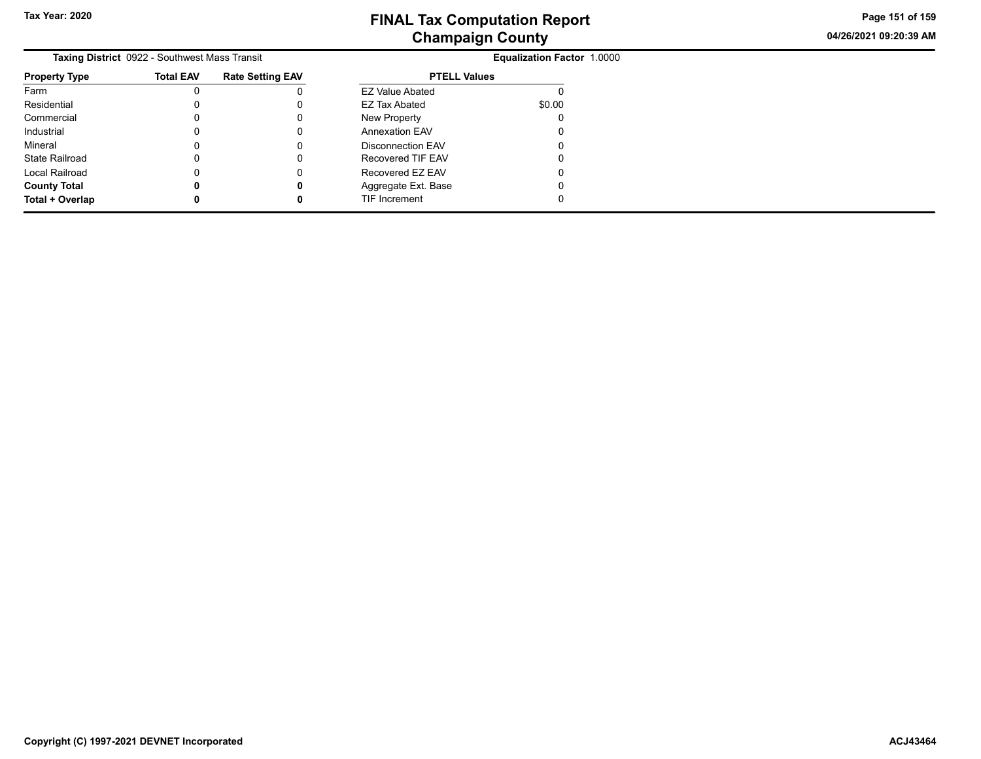**04/26/2021 09:20:39 AM Page 151 of 159**

|                      | Taxing District 0922 - Southwest Mass Transit |                         | <b>Equalization Factor 1.0000</b> |        |  |  |  |  |
|----------------------|-----------------------------------------------|-------------------------|-----------------------------------|--------|--|--|--|--|
| <b>Property Type</b> | <b>Total EAV</b>                              | <b>Rate Setting EAV</b> | <b>PTELL Values</b>               |        |  |  |  |  |
| Farm                 |                                               |                         | <b>EZ Value Abated</b>            |        |  |  |  |  |
| Residential          |                                               |                         | EZ Tax Abated                     | \$0.00 |  |  |  |  |
| Commercial           |                                               |                         | New Property                      |        |  |  |  |  |
| Industrial           |                                               |                         | <b>Annexation EAV</b>             |        |  |  |  |  |
| Mineral              |                                               |                         | Disconnection EAV                 |        |  |  |  |  |
| State Railroad       |                                               |                         | Recovered TIF EAV                 |        |  |  |  |  |
| Local Railroad       |                                               |                         | Recovered EZ EAV                  |        |  |  |  |  |
| <b>County Total</b>  |                                               | 0                       | Aggregate Ext. Base               |        |  |  |  |  |
| Total + Overlap      |                                               |                         | TIF Increment                     |        |  |  |  |  |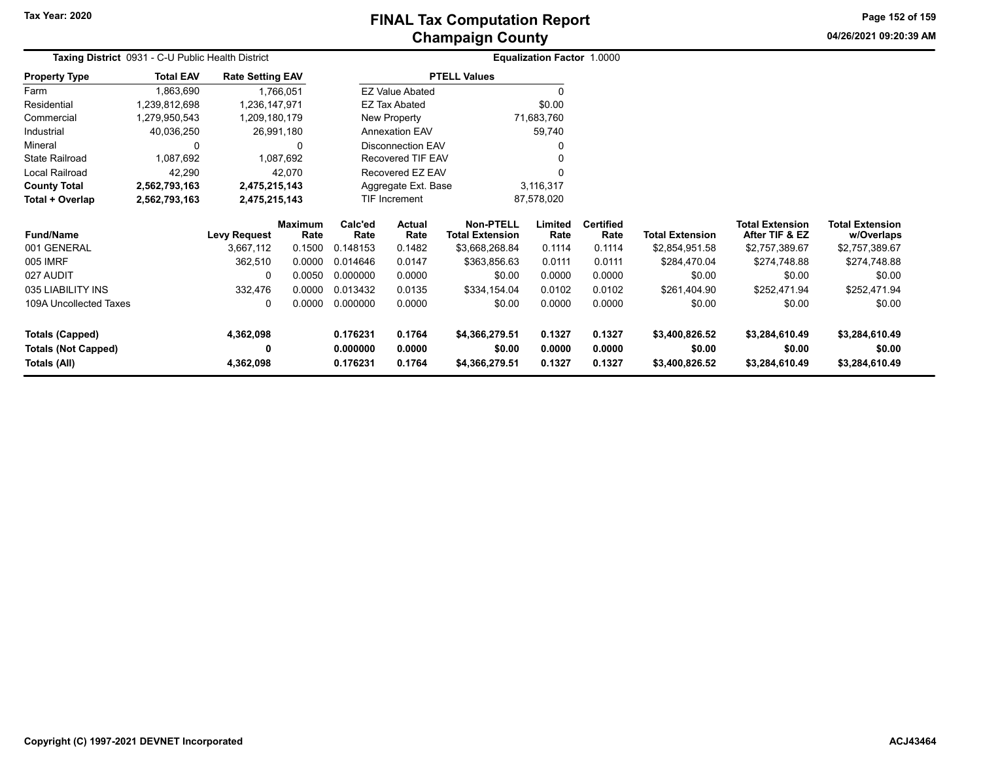**Property Type**

State Railroad Local Railroad **County Total 2,562,793,163 2,475,215,143 Total + Overlap 2,562,793,163 2,475,215,143**

Farm Residential Commercial **Industrial** Mineral

## **Champaign County FINAL Tax Computation Report**

**04/26/2021 09:20:39 AMPage 152 of 159**

|                            | Taxing District 0931 - C-U Public Health District |                                        |                                   |                                     | <b>Equalization Factor 1.0000</b> |                          |                        |                                          |                                      |
|----------------------------|---------------------------------------------------|----------------------------------------|-----------------------------------|-------------------------------------|-----------------------------------|--------------------------|------------------------|------------------------------------------|--------------------------------------|
| erty Type                  | <b>Total EAV</b>                                  | <b>Rate Setting EAV</b>                |                                   | <b>PTELL Values</b>                 |                                   |                          |                        |                                          |                                      |
|                            | 1,863,690                                         | .766.051                               | <b>EZ Value Abated</b>            |                                     |                                   |                          |                        |                                          |                                      |
| ential                     | 1,239,812,698                                     | 1,236,147,971                          | EZ Tax Abated                     |                                     | \$0.00                            |                          |                        |                                          |                                      |
| nercial                    | 1,279,950,543                                     | 1,209,180,179                          | New Property                      |                                     | 71,683,760                        |                          |                        |                                          |                                      |
| trial                      | 40,036,250                                        | 26,991,180                             | <b>Annexation EAV</b>             |                                     | 59,740                            |                          |                        |                                          |                                      |
| al                         |                                                   |                                        | Disconnection EAV                 |                                     | 0                                 |                          |                        |                                          |                                      |
| Railroad                   | 1.087.692                                         | 1,087,692                              | Recovered TIF EAV                 |                                     |                                   |                          |                        |                                          |                                      |
| Railroad                   | 42,290                                            | 42,070                                 | Recovered EZ EAV                  | 0                                   |                                   |                          |                        |                                          |                                      |
| ty Total                   | 2,562,793,163                                     | 2,475,215,143                          | Aggregate Ext. Base               |                                     | 3,116,317                         |                          |                        |                                          |                                      |
| + Overlap<br>2,562,793,163 |                                                   | 2,475,215,143                          | <b>TIF Increment</b>              |                                     | 87,578,020                        |                          |                        |                                          |                                      |
| /Name                      |                                                   | Maximum<br><b>Levy Request</b><br>Rate | Calc'ed<br>Actual<br>Rate<br>Rate | Non-PTELL<br><b>Total Extension</b> | Limited<br>Rate                   | <b>Certified</b><br>Rate | <b>Total Extension</b> | <b>Total Extension</b><br>After TIF & EZ | <b>Total Extension</b><br>w/Overlaps |

| <b>Fund/Name</b>           | <b>Levy Request</b> | maximum<br>Rate | Gaic ed<br>Rate | Actual<br>Rate | NON-PIELL<br><b>Total Extension</b> | Limited<br>Rate | certified<br>Rate | <b>Total Extension</b> | Total Extension<br>After TIF & EZ | Total Extension<br>w/Overlaps |
|----------------------------|---------------------|-----------------|-----------------|----------------|-------------------------------------|-----------------|-------------------|------------------------|-----------------------------------|-------------------------------|
| 001 GENERAL                | 3.667.112           | 0.1500          | 0.148153        | 0.1482         | \$3,668,268.84                      | 0.1114          | 0.1114            | \$2,854,951.58         | \$2,757,389.67                    | \$2,757,389.67                |
| 005 IMRF                   | 362.510             | 0.0000          | 0.014646        | 0.0147         | \$363.856.63                        | 0.0111          | 0.0111            | \$284,470.04           | \$274,748.88                      | \$274,748.88                  |
| 027 AUDIT                  | 0                   | 0.0050          | 0.000000        | 0.0000         | \$0.00                              | 0.0000          | 0.0000            | \$0.00                 | \$0.00                            | \$0.00                        |
| 035 LIABILITY INS          | 332.476             | 0.0000          | 0.013432        | 0.0135         | \$334,154.04                        | 0.0102          | 0.0102            | \$261.404.90           | \$252.471.94                      | \$252,471.94                  |
| 109A Uncollected Taxes     | 0                   | 0.0000          | 0.000000        | 0.0000         | \$0.00                              | 0.0000          | 0.0000            | \$0.00                 | \$0.00                            | \$0.00                        |
| Totals (Capped)            | 4,362,098           |                 | 0.176231        | 0.1764         | \$4,366,279.51                      | 0.1327          | 0.1327            | \$3,400,826.52         | \$3,284,610.49                    | \$3,284,610.49                |
| <b>Totals (Not Capped)</b> | 0                   |                 | 0.000000        | 0.0000         | \$0.00                              | 0.0000          | 0.0000            | \$0.00                 | \$0.00                            | \$0.00                        |
| Totals (All)               | 4,362,098           |                 | 0.176231        | 0.1764         | \$4,366,279.51                      | 0.1327          | 0.1327            | \$3,400,826.52         | \$3.284.610.49                    | \$3.284.610.49                |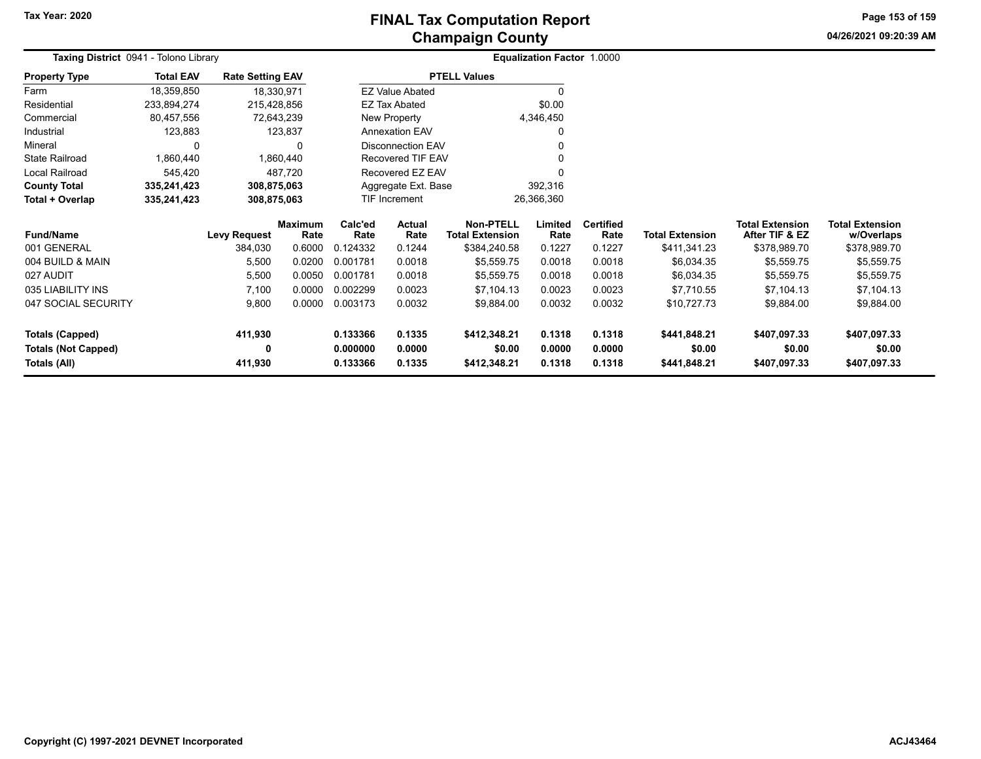**04/26/2021 09:20:39 AM Page 153 of 159**

| Taxing District 0941 - Tolono Library |                  |                         |                        |                                |                          |                                            | <b>Equalization Factor 1.0000</b> |                          |                        |                                          |                                      |
|---------------------------------------|------------------|-------------------------|------------------------|--------------------------------|--------------------------|--------------------------------------------|-----------------------------------|--------------------------|------------------------|------------------------------------------|--------------------------------------|
| <b>Property Type</b>                  | <b>Total EAV</b> | <b>Rate Setting EAV</b> |                        |                                |                          | <b>PTELL Values</b>                        |                                   |                          |                        |                                          |                                      |
| Farm                                  | 18,359,850       | 18,330,971              |                        |                                | <b>EZ Value Abated</b>   |                                            |                                   |                          |                        |                                          |                                      |
| Residential                           | 233,894,274      | 215,428,856             |                        |                                | EZ Tax Abated            |                                            | \$0.00                            |                          |                        |                                          |                                      |
| Commercial                            | 80,457,556       | 72,643,239              |                        |                                | New Property             |                                            | 4,346,450                         |                          |                        |                                          |                                      |
| Industrial                            | 123,883          |                         | 123,837                |                                | <b>Annexation EAV</b>    |                                            |                                   |                          |                        |                                          |                                      |
| Mineral                               |                  |                         | <sup>0</sup>           |                                | <b>Disconnection EAV</b> |                                            |                                   |                          |                        |                                          |                                      |
| <b>State Railroad</b>                 | 1,860,440        |                         | 1,860,440              |                                | Recovered TIF EAV        |                                            |                                   |                          |                        |                                          |                                      |
| Local Railroad                        | 545,420          |                         | 487,720                |                                | Recovered EZ EAV         |                                            |                                   |                          |                        |                                          |                                      |
| <b>County Total</b>                   | 335,241,423      | 308,875,063             |                        | Aggregate Ext. Base<br>392,316 |                          |                                            |                                   |                          |                        |                                          |                                      |
| Total + Overlap                       | 335,241,423      | 308,875,063             |                        |                                | TIF Increment            |                                            | 26,366,360                        |                          |                        |                                          |                                      |
| <b>Fund/Name</b>                      |                  | <b>Levy Request</b>     | <b>Maximum</b><br>Rate | Calc'ed<br>Rate                | Actual<br>Rate           | <b>Non-PTELL</b><br><b>Total Extension</b> | Limited<br>Rate                   | <b>Certified</b><br>Rate | <b>Total Extension</b> | <b>Total Extension</b><br>After TIF & EZ | <b>Total Extension</b><br>w/Overlaps |
| 001 GENERAL                           |                  | 384,030                 | 0.6000                 | 0.124332                       | 0.1244                   | \$384,240.58                               | 0.1227                            | 0.1227                   | \$411,341.23           | \$378,989.70                             | \$378,989.70                         |
| 004 BUILD & MAIN                      |                  | 5,500                   | 0.0200                 | 0.001781                       | 0.0018                   | \$5,559.75                                 | 0.0018                            | 0.0018                   | \$6,034.35             | \$5,559.75                               | \$5,559.75                           |
| 027 AUDIT                             |                  | 5,500                   | 0.0050                 | 0.001781                       | 0.0018                   | \$5,559.75                                 | 0.0018                            | 0.0018                   | \$6,034.35             | \$5,559.75                               | \$5,559.75                           |
| 035 LIABILITY INS                     |                  | 7,100                   | 0.0000                 | 0.002299                       | 0.0023                   | \$7,104.13                                 | 0.0023                            | 0.0023                   | \$7,710.55             | \$7,104.13                               | \$7,104.13                           |
| 047 SOCIAL SECURITY                   |                  | 9,800                   | 0.0000                 | 0.003173                       | 0.0032                   | \$9,884.00                                 | 0.0032                            | 0.0032                   | \$10,727.73            | \$9,884.00                               | \$9,884.00                           |
| <b>Totals (Capped)</b>                |                  | 411,930                 |                        | 0.133366                       | 0.1335                   | \$412,348.21                               | 0.1318                            | 0.1318                   | \$441,848.21           | \$407,097.33                             | \$407,097.33                         |
| <b>Totals (Not Capped)</b>            |                  | 0                       |                        | 0.000000                       | 0.0000                   | \$0.00                                     | 0.0000                            | 0.0000                   | \$0.00                 | \$0.00                                   | \$0.00                               |
| Totals (All)                          |                  | 411,930                 |                        | 0.133366                       | 0.1335                   | \$412,348.21                               | 0.1318                            | 0.1318                   | \$441,848.21           | \$407,097.33                             | \$407,097.33                         |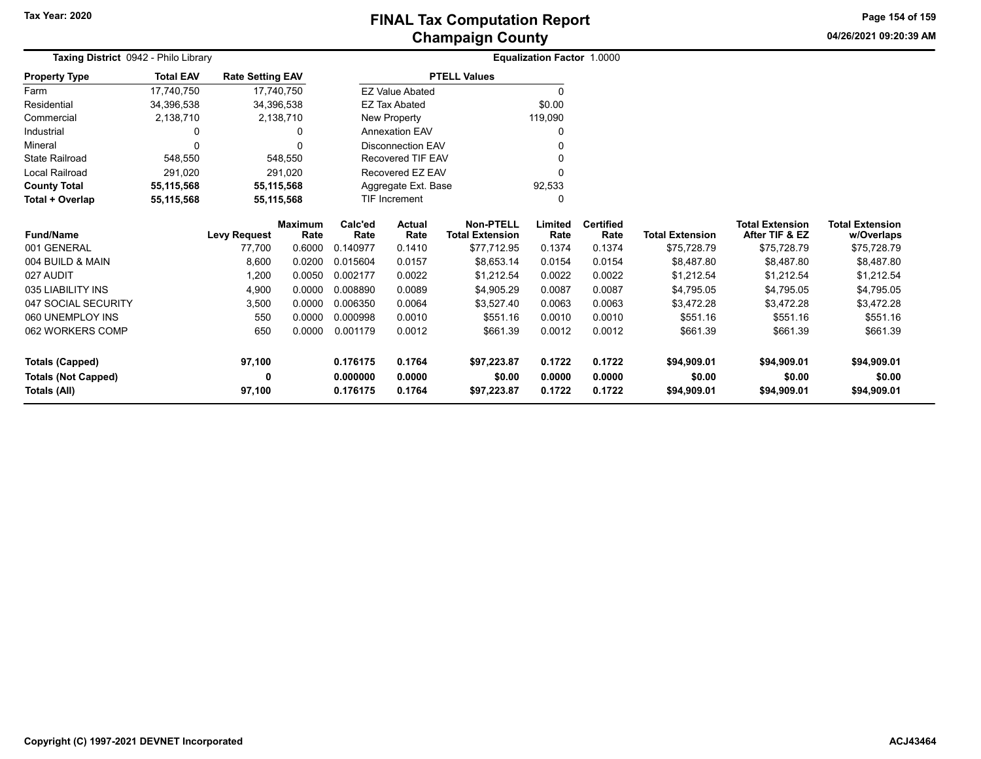## **Champaign County FINAL Tax Computation Report**

**04/26/2021 09:20:39 AM**

**Page 154 of 159**

| Taxing District 0942 - Philo Library |                  |                     |                         |                      | <b>Equalization Factor 1.0000</b> |                                            |                 |                          |                        |                                          |                                      |  |
|--------------------------------------|------------------|---------------------|-------------------------|----------------------|-----------------------------------|--------------------------------------------|-----------------|--------------------------|------------------------|------------------------------------------|--------------------------------------|--|
| <b>Property Type</b>                 | <b>Total EAV</b> |                     | <b>Rate Setting EAV</b> |                      |                                   | <b>PTELL Values</b>                        |                 |                          |                        |                                          |                                      |  |
| Farm                                 | 17,740,750       |                     | 17,740,750              |                      | <b>EZ Value Abated</b>            |                                            |                 |                          |                        |                                          |                                      |  |
| Residential                          | 34,396,538       |                     | 34,396,538              |                      | <b>EZ Tax Abated</b>              |                                            | \$0.00          |                          |                        |                                          |                                      |  |
| Commercial                           | 2,138,710        |                     | 2,138,710               |                      | New Property                      |                                            | 119,090         |                          |                        |                                          |                                      |  |
| Industrial                           | 0                |                     | 0                       |                      | <b>Annexation EAV</b>             |                                            | 0               |                          |                        |                                          |                                      |  |
| Mineral                              | $\Omega$         |                     | $\Omega$                |                      | <b>Disconnection EAV</b>          |                                            | 0               |                          |                        |                                          |                                      |  |
| <b>State Railroad</b>                | 548,550          |                     | 548,550                 |                      | <b>Recovered TIF EAV</b>          |                                            | 0               |                          |                        |                                          |                                      |  |
| <b>Local Railroad</b>                | 291,020          |                     | 291,020                 |                      | Recovered EZ EAV                  |                                            | $\Omega$        |                          |                        |                                          |                                      |  |
| <b>County Total</b>                  | 55,115,568       |                     | 55,115,568              |                      | Aggregate Ext. Base               |                                            | 92,533          |                          |                        |                                          |                                      |  |
| Total + Overlap                      | 55,115,568       |                     | 55,115,568              | <b>TIF Increment</b> |                                   |                                            | 0               |                          |                        |                                          |                                      |  |
| <b>Fund/Name</b>                     |                  | <b>Levy Request</b> | <b>Maximum</b><br>Rate  | Calc'ed<br>Rate      | <b>Actual</b><br>Rate             | <b>Non-PTELL</b><br><b>Total Extension</b> | Limited<br>Rate | <b>Certified</b><br>Rate | <b>Total Extension</b> | <b>Total Extension</b><br>After TIF & EZ | <b>Total Extension</b><br>w/Overlaps |  |
| 001 GENERAL                          |                  | 77.700              | 0.6000                  | 0.140977             | 0.1410                            | \$77,712.95                                | 0.1374          | 0.1374                   | \$75,728.79            | \$75,728.79                              | \$75,728.79                          |  |
| 004 BUILD & MAIN                     |                  | 8,600               | 0.0200                  | 0.015604             | 0.0157                            | \$8,653.14                                 | 0.0154          | 0.0154                   | \$8,487.80             | \$8,487.80                               | \$8,487.80                           |  |
| 027 AUDIT                            |                  | 1,200               | 0.0050                  | 0.002177             | 0.0022                            | \$1.212.54                                 | 0.0022          | 0.0022                   | \$1,212.54             | \$1,212.54                               | \$1,212.54                           |  |
| 035 LIABILITY INS                    |                  | 4,900               | 0.0000                  | 0.008890             | 0.0089                            | \$4,905.29                                 | 0.0087          | 0.0087                   | \$4,795.05             | \$4,795.05                               | \$4,795.05                           |  |
| 047 SOCIAL SECURITY                  |                  | 3,500               | 0.0000                  | 0.006350             | 0.0064                            | \$3,527.40                                 | 0.0063          | 0.0063                   | \$3,472.28             | \$3,472.28                               | \$3,472.28                           |  |
| 060 UNEMPLOY INS                     |                  | 550                 | 0.0000                  | 0.000998             | 0.0010                            | \$551.16                                   | 0.0010          | 0.0010                   | \$551.16               | \$551.16                                 | \$551.16                             |  |
| 062 WORKERS COMP                     |                  | 650                 | 0.0000                  | 0.001179             | 0.0012                            | \$661.39                                   | 0.0012          | 0.0012                   | \$661.39               | \$661.39                                 | \$661.39                             |  |
| <b>Totals (Capped)</b>               |                  | 97,100              |                         | 0.176175             | 0.1764                            | \$97,223.87                                | 0.1722          | 0.1722                   | \$94,909.01            | \$94,909.01                              | \$94,909.01                          |  |
| <b>Totals (Not Capped)</b>           |                  | 0                   |                         | 0.000000             | 0.0000                            | \$0.00                                     | 0.0000          | 0.0000                   | \$0.00                 | \$0.00                                   | \$0.00                               |  |
| Totals (All)                         |                  | 97,100              |                         | 0.176175             | 0.1764                            | \$97,223.87                                | 0.1722          | 0.1722                   | \$94,909.01            | \$94,909.01                              | \$94,909.01                          |  |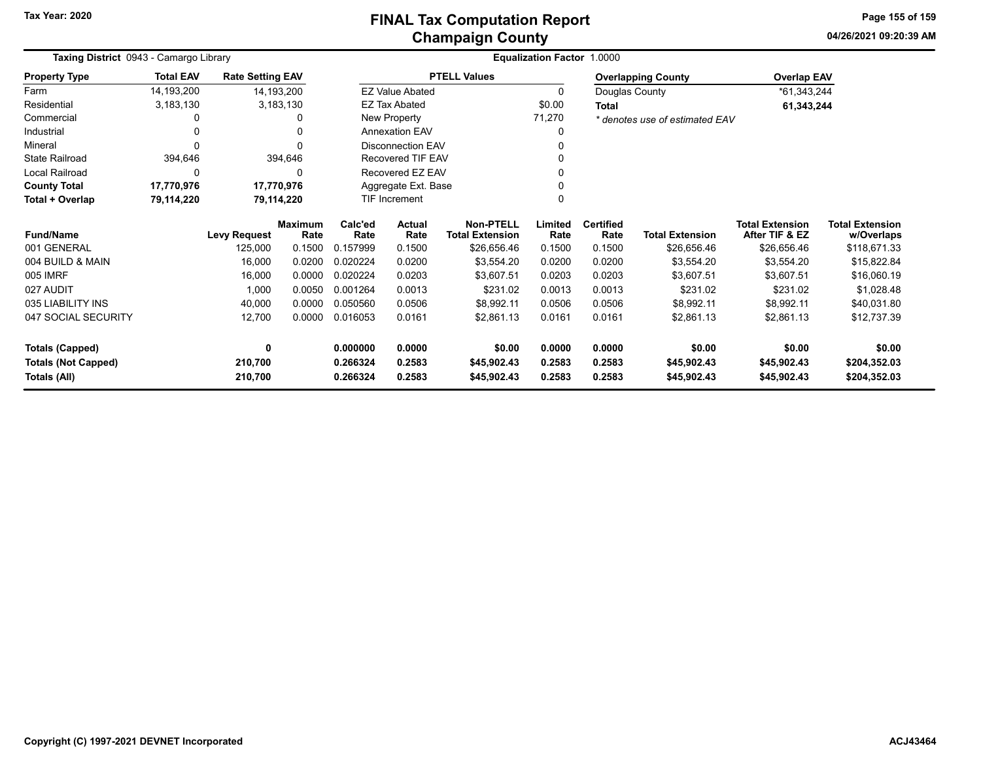**04/26/2021 09:20:39 AM Page 155 of 159**

| Taxing District 0943 - Camargo Library |                  |                         | Equalization Factor 1.0000 |                        |                          |                                            |                           |                          |                                |                                          |                                      |  |
|----------------------------------------|------------------|-------------------------|----------------------------|------------------------|--------------------------|--------------------------------------------|---------------------------|--------------------------|--------------------------------|------------------------------------------|--------------------------------------|--|
| <b>Property Type</b>                   | <b>Total EAV</b> | <b>Rate Setting EAV</b> |                            |                        |                          | <b>PTELL Values</b>                        | <b>Overlapping County</b> |                          |                                | <b>Overlap EAV</b>                       |                                      |  |
| Farm                                   | 14,193,200       | 14,193,200              |                            | <b>EZ Value Abated</b> |                          |                                            | 0                         |                          | Douglas County                 | *61,343,244                              |                                      |  |
| Residential                            | 3,183,130        |                         | 3,183,130                  |                        | <b>EZ Tax Abated</b>     |                                            | \$0.00                    | <b>Total</b>             |                                | 61,343,244                               |                                      |  |
| Commercial                             |                  |                         | n                          |                        | New Property             |                                            | 71,270                    |                          | * denotes use of estimated EAV |                                          |                                      |  |
| Industrial                             |                  |                         | 0                          |                        | <b>Annexation EAV</b>    |                                            | 0                         |                          |                                |                                          |                                      |  |
| Mineral                                |                  |                         |                            |                        | Disconnection EAV        |                                            |                           |                          |                                |                                          |                                      |  |
| <b>State Railroad</b>                  | 394,646          |                         | 394,646                    |                        | <b>Recovered TIF EAV</b> |                                            |                           |                          |                                |                                          |                                      |  |
| Local Railroad                         |                  |                         | $\Omega$                   |                        | Recovered EZ EAV         |                                            |                           |                          |                                |                                          |                                      |  |
| <b>County Total</b>                    | 17,770,976       | 17,770,976              |                            |                        | Aggregate Ext. Base      |                                            |                           |                          |                                |                                          |                                      |  |
| Total + Overlap                        | 79,114,220       | 79,114,220              |                            |                        | <b>TIF Increment</b>     |                                            | $\Omega$                  |                          |                                |                                          |                                      |  |
| <b>Fund/Name</b>                       |                  | <b>Levy Request</b>     | <b>Maximum</b><br>Rate     | Calc'ed<br>Rate        | <b>Actual</b><br>Rate    | <b>Non-PTELL</b><br><b>Total Extension</b> | Limited<br>Rate           | <b>Certified</b><br>Rate | <b>Total Extension</b>         | <b>Total Extension</b><br>After TIF & EZ | <b>Total Extension</b><br>w/Overlaps |  |
| 001 GENERAL                            |                  | 125,000                 | 0.1500                     | 0.157999               | 0.1500                   | \$26,656.46                                | 0.1500                    | 0.1500                   | \$26,656.46                    | \$26,656.46                              | \$118,671.33                         |  |
| 004 BUILD & MAIN                       |                  | 16,000                  | 0.0200                     | 0.020224               | 0.0200                   | \$3.554.20                                 | 0.0200                    | 0.0200                   | \$3,554.20                     | \$3.554.20                               | \$15,822.84                          |  |
| 005 IMRF                               |                  | 16,000                  | 0.0000                     | 0.020224               | 0.0203                   | \$3,607.51                                 | 0.0203                    | 0.0203                   | \$3,607.51                     | \$3,607.51                               | \$16,060.19                          |  |
| 027 AUDIT                              |                  | 1,000                   | 0.0050                     | 0.001264               | 0.0013                   | \$231.02                                   | 0.0013                    | 0.0013                   | \$231.02                       | \$231.02                                 | \$1,028.48                           |  |
| 035 LIABILITY INS                      |                  | 40,000                  | 0.0000                     | 0.050560               | 0.0506                   | \$8,992.11                                 | 0.0506                    | 0.0506                   | \$8,992.11                     | \$8.992.11                               | \$40,031.80                          |  |
| 047 SOCIAL SECURITY                    |                  | 12,700                  | 0.0000                     | 0.016053               | 0.0161                   | \$2,861.13                                 | 0.0161                    | 0.0161                   | \$2,861.13                     | \$2,861.13                               | \$12,737.39                          |  |
| <b>Totals (Capped)</b>                 |                  | 0                       |                            | 0.000000               | 0.0000                   | \$0.00                                     | 0.0000                    | 0.0000                   | \$0.00                         | \$0.00                                   | \$0.00                               |  |
| <b>Totals (Not Capped)</b>             |                  | 210,700                 |                            | 0.266324               | 0.2583                   | \$45,902.43                                | 0.2583                    | 0.2583                   | \$45,902.43                    | \$45,902.43                              | \$204,352.03                         |  |
| Totals (All)                           |                  | 210,700                 |                            | 0.266324               | 0.2583                   | \$45,902.43                                | 0.2583                    | 0.2583                   | \$45,902.43                    | \$45,902.43                              | \$204,352.03                         |  |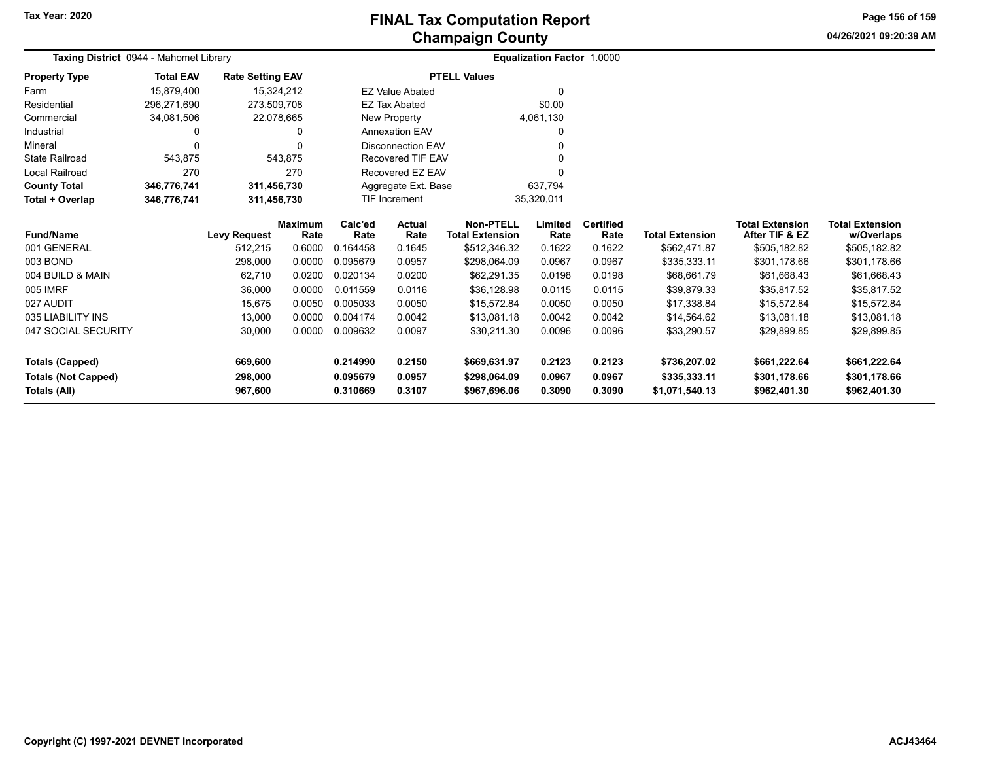## **Champaign County FINAL Tax Computation Report**

**04/26/2021 09:20:39 AM Page 156 of 159**

| Taxing District 0944 - Mahomet Library     |                  |                         |                        | <b>Equalization Factor 1.0000</b> |                          |                                            |                  |                          |                                |                                          |                                      |
|--------------------------------------------|------------------|-------------------------|------------------------|-----------------------------------|--------------------------|--------------------------------------------|------------------|--------------------------|--------------------------------|------------------------------------------|--------------------------------------|
| <b>Property Type</b>                       | <b>Total EAV</b> | <b>Rate Setting EAV</b> |                        |                                   |                          | <b>PTELL Values</b>                        |                  |                          |                                |                                          |                                      |
| Farm                                       | 15,879,400       |                         | 15,324,212             |                                   | <b>EZ Value Abated</b>   |                                            | $\Omega$         |                          |                                |                                          |                                      |
| Residential                                | 296,271,690      | 273,509,708             |                        |                                   | <b>EZ Tax Abated</b>     |                                            | \$0.00           |                          |                                |                                          |                                      |
| Commercial                                 | 34,081,506       | 22,078,665              |                        |                                   | <b>New Property</b>      |                                            | 4,061,130        |                          |                                |                                          |                                      |
| Industrial                                 | 0                |                         | 0                      |                                   | <b>Annexation EAV</b>    |                                            | 0                |                          |                                |                                          |                                      |
| Mineral                                    | 0                |                         | $\Omega$               |                                   | <b>Disconnection EAV</b> |                                            |                  |                          |                                |                                          |                                      |
| <b>State Railroad</b>                      | 543,875          |                         | 543,875                |                                   | <b>Recovered TIF EAV</b> |                                            |                  |                          |                                |                                          |                                      |
| Local Railroad                             | 270              |                         | 270                    |                                   | Recovered EZ EAV         |                                            | O                |                          |                                |                                          |                                      |
| <b>County Total</b>                        | 346,776,741      | 311,456,730             |                        |                                   | Aggregate Ext. Base      |                                            | 637,794          |                          |                                |                                          |                                      |
| Total + Overlap                            | 346,776,741      | 311,456,730             |                        |                                   | TIF Increment            | 35,320,011                                 |                  |                          |                                |                                          |                                      |
| <b>Fund/Name</b>                           |                  | <b>Levy Request</b>     | <b>Maximum</b><br>Rate | Calc'ed<br>Rate                   | <b>Actual</b><br>Rate    | <b>Non-PTELL</b><br><b>Total Extension</b> | Limited<br>Rate  | <b>Certified</b><br>Rate | <b>Total Extension</b>         | <b>Total Extension</b><br>After TIF & EZ | <b>Total Extension</b><br>w/Overlaps |
| 001 GENERAL                                |                  | 512,215                 | 0.6000                 | 0.164458                          | 0.1645                   | \$512,346.32                               | 0.1622           | 0.1622                   | \$562,471.87                   | \$505,182.82                             | \$505,182.82                         |
| 003 BOND                                   |                  | 298,000                 | 0.0000                 | 0.095679                          | 0.0957                   | \$298,064.09                               | 0.0967           | 0.0967                   | \$335,333.11                   | \$301,178.66                             | \$301,178.66                         |
| 004 BUILD & MAIN                           |                  | 62,710                  | 0.0200                 | 0.020134                          | 0.0200                   | \$62,291.35                                | 0.0198           | 0.0198                   | \$68,661.79                    | \$61,668.43                              | \$61,668.43                          |
| 005 IMRF                                   |                  | 36,000                  | 0.0000                 | 0.011559                          | 0.0116                   | \$36,128.98                                | 0.0115           | 0.0115                   | \$39,879.33                    | \$35,817.52                              | \$35,817.52                          |
| 027 AUDIT                                  |                  | 15,675                  | 0.0050                 | 0.005033                          | 0.0050                   | \$15,572.84                                | 0.0050           | 0.0050                   | \$17,338.84                    | \$15,572.84                              | \$15,572.84                          |
| 035 LIABILITY INS                          |                  | 13,000                  | 0.0000                 | 0.004174                          | 0.0042                   | \$13,081.18                                | 0.0042           | 0.0042                   | \$14,564.62                    | \$13,081.18                              | \$13,081.18                          |
| 047 SOCIAL SECURITY                        |                  | 30,000                  | 0.0000                 | 0.009632                          | 0.0097                   | \$30,211.30                                | 0.0096           | 0.0096                   | \$33,290.57                    | \$29,899.85                              | \$29,899.85                          |
| <b>Totals (Capped)</b>                     |                  | 669,600                 |                        | 0.214990                          | 0.2150                   | \$669,631.97                               | 0.2123           | 0.2123                   | \$736,207.02                   | \$661,222.64                             | \$661,222.64                         |
| <b>Totals (Not Capped)</b><br>Totals (All) |                  | 298,000<br>967,600      |                        | 0.095679<br>0.310669              | 0.0957<br>0.3107         | \$298,064.09<br>\$967,696.06               | 0.0967<br>0.3090 | 0.0967<br>0.3090         | \$335,333.11<br>\$1,071,540.13 | \$301,178.66<br>\$962,401.30             | \$301,178.66<br>\$962,401.30         |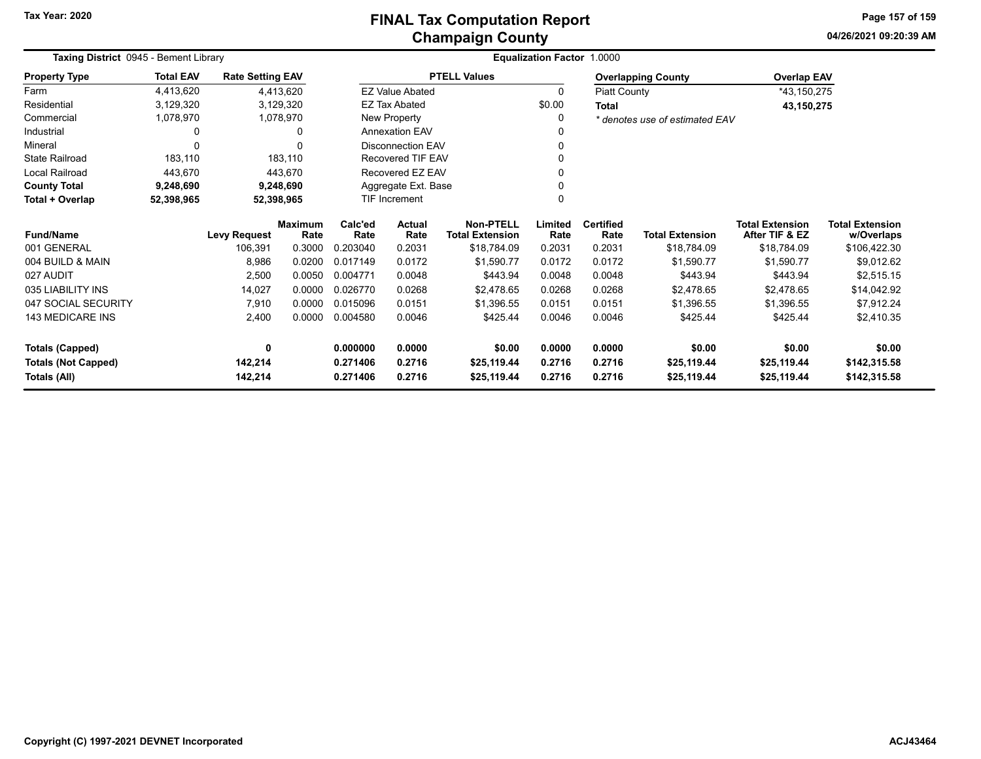## **Champaign County FINAL Tax Computation Report**

**04/26/2021 09:20:39 AM Page 157 of 159**

| Taxing District 0945 - Bement Library |                  |                         | <b>Equalization Factor 1.0000</b> |                     |                          |                                            |                 |                          |                                |                                          |                                      |  |
|---------------------------------------|------------------|-------------------------|-----------------------------------|---------------------|--------------------------|--------------------------------------------|-----------------|--------------------------|--------------------------------|------------------------------------------|--------------------------------------|--|
| <b>Property Type</b>                  | <b>Total EAV</b> | <b>Rate Setting EAV</b> |                                   | <b>PTELL Values</b> |                          |                                            |                 |                          | <b>Overlapping County</b>      | <b>Overlap EAV</b>                       |                                      |  |
| Farm                                  | 4,413,620        |                         | 4,413,620                         |                     | <b>EZ Value Abated</b>   |                                            | 0               |                          | <b>Piatt County</b>            | *43,150,275                              |                                      |  |
| Residential                           | 3,129,320        |                         | 3,129,320                         |                     | <b>EZ Tax Abated</b>     |                                            | \$0.00          | Total                    |                                | 43,150,275                               |                                      |  |
| Commercial                            | 1,078,970        |                         | 1,078,970                         | New Property        |                          |                                            | $\Omega$        |                          | * denotes use of estimated EAV |                                          |                                      |  |
| Industrial                            | 0                |                         | 0                                 |                     | <b>Annexation EAV</b>    |                                            |                 |                          |                                |                                          |                                      |  |
| Mineral                               | $\Omega$         |                         |                                   |                     | <b>Disconnection EAV</b> |                                            |                 |                          |                                |                                          |                                      |  |
| <b>State Railroad</b>                 | 183,110          |                         | 183,110                           |                     | <b>Recovered TIF EAV</b> |                                            |                 |                          |                                |                                          |                                      |  |
| Local Railroad                        | 443,670          |                         | 443,670                           |                     | Recovered EZ EAV         |                                            |                 |                          |                                |                                          |                                      |  |
| <b>County Total</b>                   | 9,248,690        |                         | 9,248,690                         |                     | Aggregate Ext. Base      |                                            |                 |                          |                                |                                          |                                      |  |
| Total + Overlap                       | 52,398,965       |                         | 52,398,965                        |                     | <b>TIF Increment</b>     |                                            |                 |                          |                                |                                          |                                      |  |
| <b>Fund/Name</b>                      |                  | <b>Levy Request</b>     | <b>Maximum</b><br>Rate            | Calc'ed<br>Rate     | <b>Actual</b><br>Rate    | <b>Non-PTELL</b><br><b>Total Extension</b> | Limited<br>Rate | <b>Certified</b><br>Rate | <b>Total Extension</b>         | <b>Total Extension</b><br>After TIF & EZ | <b>Total Extension</b><br>w/Overlaps |  |
| 001 GENERAL                           |                  | 106,391                 | 0.3000                            | 0.203040            | 0.2031                   | \$18,784.09                                | 0.2031          | 0.2031                   | \$18,784.09                    | \$18,784.09                              | \$106,422.30                         |  |
| 004 BUILD & MAIN                      |                  | 8,986                   | 0.0200                            | 0.017149            | 0.0172                   | \$1,590.77                                 | 0.0172          | 0.0172                   | \$1,590.77                     | \$1,590.77                               | \$9,012.62                           |  |
| 027 AUDIT                             |                  | 2,500                   | 0.0050                            | 0.004771            | 0.0048                   | \$443.94                                   | 0.0048          | 0.0048                   | \$443.94                       | \$443.94                                 | \$2,515.15                           |  |
| 035 LIABILITY INS                     |                  | 14,027                  | 0.0000                            | 0.026770            | 0.0268                   | \$2,478.65                                 | 0.0268          | 0.0268                   | \$2,478.65                     | \$2,478.65                               | \$14,042.92                          |  |
| 047 SOCIAL SECURITY                   |                  | 7,910                   | 0.0000                            | 0.015096            | 0.0151                   | \$1.396.55                                 | 0.0151          | 0.0151                   | \$1,396.55                     | \$1,396.55                               | \$7,912.24                           |  |
| 143 MEDICARE INS                      |                  | 2,400                   | 0.0000                            | 0.004580            | 0.0046                   | \$425.44                                   | 0.0046          | 0.0046                   | \$425.44                       | \$425.44                                 | \$2,410.35                           |  |
| <b>Totals (Capped)</b>                |                  | 0                       |                                   | 0.000000            | 0.0000                   | \$0.00                                     | 0.0000          | 0.0000                   | \$0.00                         | \$0.00                                   | \$0.00                               |  |
| <b>Totals (Not Capped)</b>            |                  | 142,214                 |                                   | 0.271406            | 0.2716                   | \$25,119.44                                | 0.2716          | 0.2716                   | \$25,119.44                    | \$25,119.44                              | \$142,315.58                         |  |
| Totals (All)                          |                  | 142,214                 |                                   | 0.271406            | 0.2716                   | \$25,119.44                                | 0.2716          | 0.2716                   | \$25,119.44                    | \$25,119.44                              | \$142,315.58                         |  |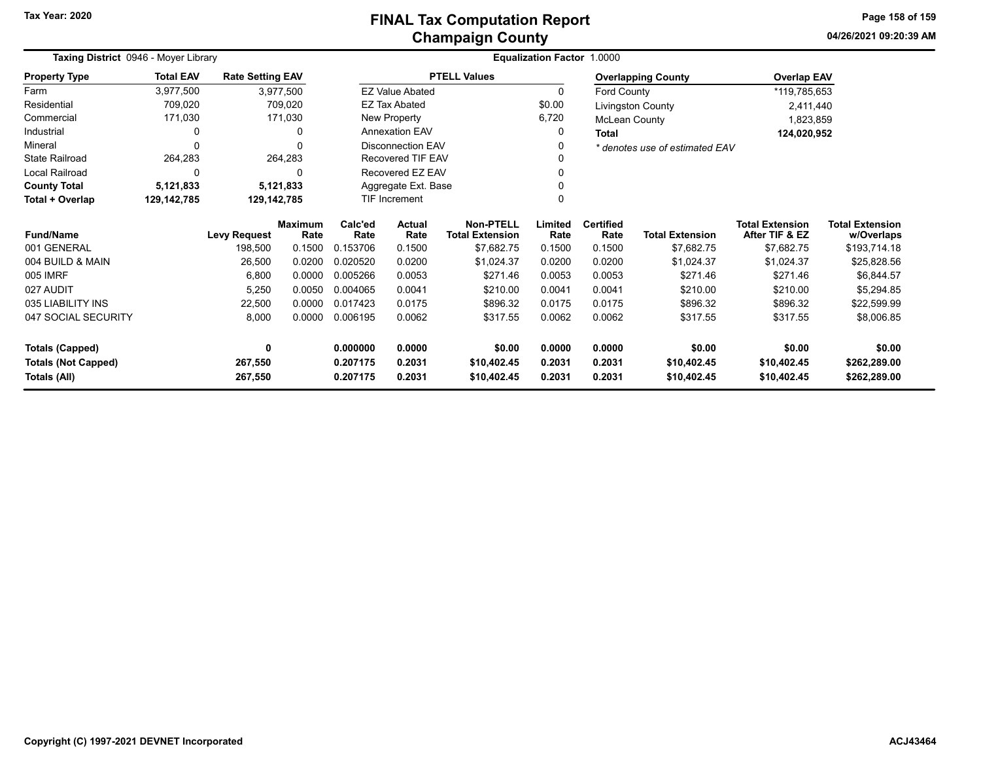**04/26/2021 09:20:39 AM Page 158 of 159**

| Taxing District 0946 - Moyer Library |                  |                         | <b>Equalization Factor 1.0000</b> |                 |                          |                                            |                 |                          |                                |                                          |                                      |
|--------------------------------------|------------------|-------------------------|-----------------------------------|-----------------|--------------------------|--------------------------------------------|-----------------|--------------------------|--------------------------------|------------------------------------------|--------------------------------------|
| <b>Property Type</b>                 | <b>Total EAV</b> | <b>Rate Setting EAV</b> |                                   |                 | <b>PTELL Values</b>      |                                            |                 |                          | <b>Overlapping County</b>      | <b>Overlap EAV</b>                       |                                      |
| Farm                                 | 3,977,500        |                         | 3,977,500                         |                 | <b>EZ Value Abated</b>   |                                            |                 | 0<br>Ford County         |                                | *119,785,653                             |                                      |
| Residential                          | 709,020          |                         | 709,020                           |                 | <b>EZ Tax Abated</b>     |                                            | \$0.00          |                          | Livingston County              | 2,411,440                                |                                      |
| Commercial                           | 171,030          |                         | 171,030                           |                 | New Property             |                                            | 6,720           | <b>McLean County</b>     |                                | 1,823,859                                |                                      |
| Industrial                           | 0                |                         | $\Omega$                          |                 | <b>Annexation EAV</b>    |                                            | 0               | <b>Total</b>             |                                | 124,020,952                              |                                      |
| Mineral                              | $\Omega$         |                         |                                   |                 | <b>Disconnection EAV</b> |                                            | 0               |                          | * denotes use of estimated EAV |                                          |                                      |
| <b>State Railroad</b>                | 264,283          |                         | 264,283                           |                 | <b>Recovered TIF EAV</b> |                                            | 0               |                          |                                |                                          |                                      |
| <b>Local Railroad</b>                | $\Omega$         |                         |                                   |                 | Recovered EZ EAV         |                                            | 0               |                          |                                |                                          |                                      |
| <b>County Total</b>                  | 5,121,833        |                         | 5,121,833                         |                 | Aggregate Ext. Base      |                                            | 0               |                          |                                |                                          |                                      |
| Total + Overlap                      | 129,142,785      |                         | 129,142,785                       |                 | TIF Increment            |                                            |                 |                          |                                |                                          |                                      |
| <b>Fund/Name</b>                     |                  | <b>Levy Request</b>     | <b>Maximum</b><br>Rate            | Calc'ed<br>Rate | <b>Actual</b><br>Rate    | <b>Non-PTELL</b><br><b>Total Extension</b> | Limited<br>Rate | <b>Certified</b><br>Rate | <b>Total Extension</b>         | <b>Total Extension</b><br>After TIF & EZ | <b>Total Extension</b><br>w/Overlaps |
| 001 GENERAL                          |                  | 198,500                 | 0.1500                            | 0.153706        | 0.1500                   | \$7,682.75                                 | 0.1500          | 0.1500                   | \$7,682.75                     | \$7,682.75                               | \$193,714.18                         |
| 004 BUILD & MAIN                     |                  | 26,500                  | 0.0200                            | 0.020520        | 0.0200                   | \$1,024.37                                 | 0.0200          | 0.0200                   | \$1,024.37                     | \$1,024.37                               | \$25,828.56                          |
| 005 IMRF                             |                  | 6,800                   | 0.0000                            | 0.005266        | 0.0053                   | \$271.46                                   | 0.0053          | 0.0053                   | \$271.46                       | \$271.46                                 | \$6,844.57                           |
| 027 AUDIT                            |                  | 5,250                   | 0.0050                            | 0.004065        | 0.0041                   | \$210.00                                   | 0.0041          | 0.0041                   | \$210.00                       | \$210.00                                 | \$5,294.85                           |
| 035 LIABILITY INS                    |                  | 22,500                  | 0.0000                            | 0.017423        | 0.0175                   | \$896.32                                   | 0.0175          | 0.0175                   | \$896.32                       | \$896.32                                 | \$22,599.99                          |
| 047 SOCIAL SECURITY                  |                  | 8,000                   | 0.0000                            | 0.006195        | 0.0062                   | \$317.55                                   | 0.0062          | 0.0062                   | \$317.55                       | \$317.55                                 | \$8,006.85                           |
| <b>Totals (Capped)</b>               |                  | 0                       |                                   | 0.000000        | 0.0000                   | \$0.00                                     | 0.0000          | 0.0000                   | \$0.00                         | \$0.00                                   | \$0.00                               |
| <b>Totals (Not Capped)</b>           |                  | 267,550                 |                                   | 0.207175        | 0.2031                   | \$10,402.45                                | 0.2031          | 0.2031                   | \$10,402.45                    | \$10,402.45                              | \$262,289.00                         |
| Totals (All)                         |                  | 267,550                 |                                   | 0.207175        | 0.2031                   | \$10,402.45                                | 0.2031          | 0.2031                   | \$10,402.45                    | \$10,402.45                              | \$262,289.00                         |